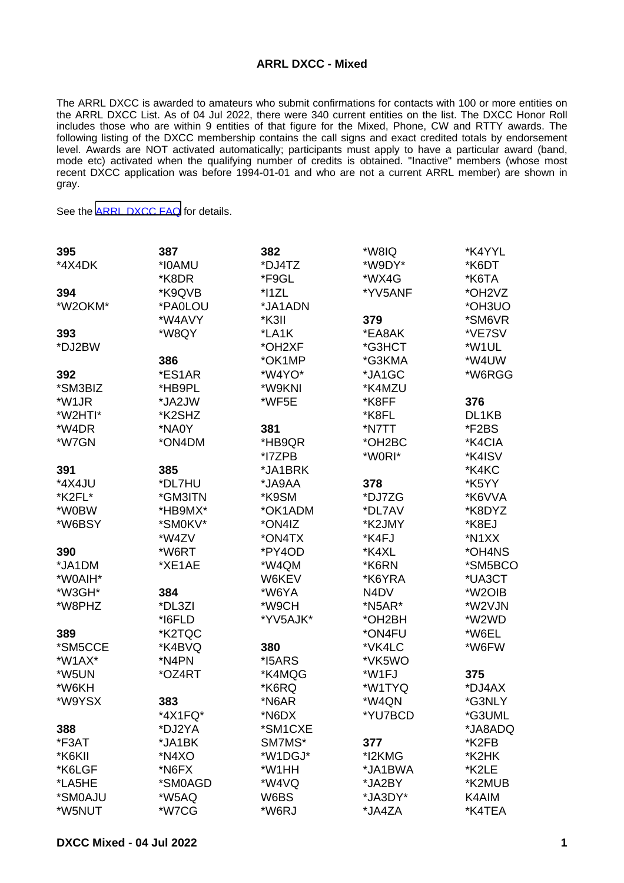## **ARRL DXCC - Mixed**

The ARRL DXCC is awarded to amateurs who submit confirmations for contacts with 100 or more entities on the ARRL DXCC List. As of 04 Jul 2022, there were 340 current entities on the list. The DXCC Honor Roll includes those who are within 9 entities of that figure for the Mixed, Phone, CW and RTTY awards. The following listing of the DXCC membership contains the call signs and exact credited totals by endorsement level. Awards are NOT activated automatically; participants must apply to have a particular award (band, mode etc) activated when the qualifying number of credits is obtained. "Inactive" members (whose most recent DXCC application was before 1994-01-01 and who are not a current ARRL member) are shown in gray.

See the [ARRL DXCC FAQ](http://www.arrl.org/dxcc-faq/) for details.

| 395          | 387     | 382      | *W8IQ                         | *K4YYL  |
|--------------|---------|----------|-------------------------------|---------|
| *4X4DK       | *I0AMU  | *DJ4TZ   | *W9DY*                        | *K6DT   |
|              | *K8DR   | *F9GL    | *WX4G                         | *K6TA   |
| 394          | *K9QVB  | $*$ 11ZL | *YV5ANF                       | *OH2VZ  |
| *W2OKM*      | *PA0LOU | *JA1ADN  |                               | *OH3UO  |
|              | *W4AVY  | *K3II    | 379                           | *SM6VR  |
| 393          | *W8QY   | *LA1K    | *EA8AK                        | *VE7SV  |
| *DJ2BW       |         | *OH2XF   | *G3HCT                        | *W1UL   |
|              | 386     | *OK1MP   | *G3KMA                        | *W4UW   |
| 392          | *ES1AR  | *W4YO*   | *JA1GC                        | *W6RGG  |
| *SM3BIZ      | *HB9PL  | *W9KNI   | *K4MZU                        |         |
| *W1JR        | *JA2JW  | *WF5E    | *K8FF                         | 376     |
| *W2HTI*      | *K2SHZ  |          | *K8FL                         | DL1KB   |
| *W4DR        | *NA0Y   | 381      | *N7TT                         | *F2BS   |
| *W7GN        | *ON4DM  | *HB9QR   | *OH2BC                        | *K4CIA  |
|              |         | *I7ZPB   | *W0RI*                        | *K4ISV  |
| 391          | 385     | *JA1BRK  |                               | *K4KC   |
| *4X4JU       | *DL7HU  | AAQAL*   | 378                           | *K5YY   |
| *K2FL*       | *GM3ITN | *K9SM    | *DJ7ZG                        | *K6VVA  |
| *W0BW        | *HB9MX* | *OK1ADM  | *DL7AV                        | *K8DYZ  |
| *W6BSY       | *SM0KV* | *ON4IZ   | *K2JMY                        | *K8EJ   |
|              | *W4ZV   | *ON4TX   | *K4FJ                         | *N1XX   |
| 390          | *W6RT   | *PY4OD   | *K4XL                         | *OH4NS  |
| *JA1DM       | *XE1AE  | *W4QM    | *K6RN                         | *SM5BCO |
| *W0AIH*      |         | W6KEV    | *K6YRA                        | *UA3CT  |
| *W3GH*       | 384     | *W6YA    | N <sub>4</sub> D <sub>V</sub> | *W2OIB  |
| *W8PHZ       | *DL3ZI  | *W9CH    | *N5AR*                        | *W2VJN  |
|              | *I6FLD  | *YV5AJK* | *OH2BH                        | *W2WD   |
| 389          | *K2TQC  |          | *ON4FU                        | *W6EL   |
| *SM5CCE      | *K4BVQ  | 380      | *VK4LC                        | *W6FW   |
|              | *N4PN   | *I5ARS   |                               |         |
| $*$ W1AX $*$ |         |          | *VK5WO                        |         |
| *W5UN        | *OZ4RT  | *K4MQG   | *W1FJ                         | 375     |
| *W6KH        |         | *K6RQ    | *W1TYQ                        | *DJ4AX  |
| *W9YSX       | 383     | *N6AR    | *W4QN                         | *G3NLY  |
|              | *4X1FQ* | *N6DX    | *YU7BCD                       | *G3UML  |
| 388          | *DJ2YA  | *SM1CXE  |                               | *JA8ADQ |
| *F3AT        | *JA1BK  | SM7MS*   | 377                           | *K2FB   |
| *K6KII       | *N4XO   | *W1DGJ*  | *I2KMG                        | *K2HK   |
| *K6LGF       | *N6FX   | *W1HH    | *JA1BWA                       | *K2LE   |
| *LA5HE       | *SM0AGD | *W4VQ    | *JA2BY                        | *K2MUB  |
| *SM0AJU      | *W5AQ   | W6BS     | *JA3DY*                       | K4AIM   |
| *W5NUT       | *W7CG   | *W6RJ    | *JA4ZA                        | *K4TEA  |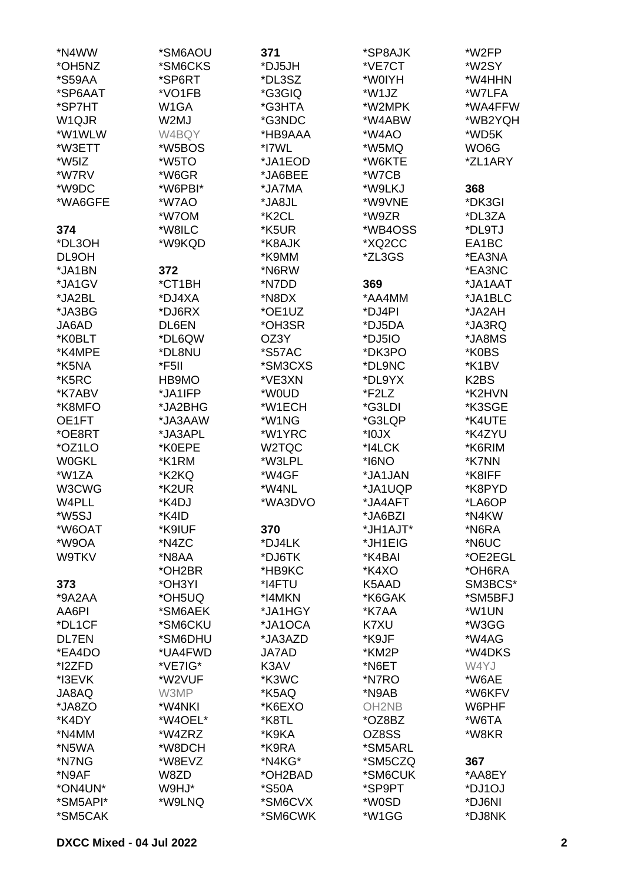| *N4WW        | *SM6AOU            | 371                | *SP8AJK           | *W2FP                         |
|--------------|--------------------|--------------------|-------------------|-------------------------------|
| *OH5NZ       | *SM6CKS            | *DJ5JH             | *VE7CT            | *W2SY                         |
| *S59AA       | *SP6RT             | *DL3SZ             | *W0IYH            | *W4HHN                        |
| *SP6AAT      | *VO1FB             | *G3GIQ             | *W1JZ             | *W7LFA                        |
| *SP7HT       | W <sub>1</sub> GA  | *G3HTA             | *W2MPK            | *WA4FFW                       |
| W1QJR        | W2MJ               | *G3NDC             | *W4ABW            | *WB2YQH                       |
| *W1WLW       |                    | *HB9AAA            | *W4AO             | *WD5K                         |
|              | W4BQY              |                    |                   |                               |
| *W3ETT       | *W5BOS             | *I7WL              | *W5MQ             | WO <sub>6</sub> G             |
| *W5IZ        | *W5TO              | *JA1EOD            | *W6KTE            | *ZL1ARY                       |
| *W7RV        | *W6GR              | *JA6BEE            | *W7CB             |                               |
| *W9DC        | *W6PBI*            | *JA7MA             | *W9LKJ            | 368                           |
| *WA6GFE      | *W7AO              | *JA8JL             | *W9VNE            | *DK3GI                        |
|              | *W7OM              | *K <sub>2</sub> CL | *W9ZR             | *DL3ZA                        |
| 374          | *W8ILC             | *K5UR              | *WB4OSS           | *DL9TJ                        |
| *DL3OH       | *W9KQD             | *K8AJK             | *XQ2CC            | EA1BC                         |
| DL9OH        |                    | *K9MM              | *ZL3GS            | *EA3NA                        |
| *JA1BN       | 372                | *N6RW              |                   | *EA3NC                        |
| *JA1GV       | *CT1BH             | *N7DD              | 369               | *JA1AAT                       |
| *JA2BL       | *DJ4XA             | *N8DX              | *AA4MM            | *JA1BLC                       |
| *JA3BG       | *DJ6RX             | *OE1UZ             | *DJ4PI            | *JA2AH                        |
| JA6AD        | DL6EN              | *OH3SR             | *DJ5DA            | *JA3RQ                        |
| *K0BLT       | *DL6QW             | OZ3Y               | *DJ5IO            | *JA8MS                        |
| *K4MPE       | *DL8NU             |                    | *DK3PO            |                               |
|              |                    | *S57AC             |                   | *K0BS                         |
| *K5NA        | *F5II              | *SM3CXS            | *DL9NC            | *K1BV                         |
| *K5RC        | HB9MO              | *VE3XN             | *DL9YX            | K <sub>2</sub> B <sub>S</sub> |
| *K7ABV       | *JA1IFP            | *W0UD              | *F2LZ             | *K2HVN                        |
| *K8MFO       | *JA2BHG            | *W1ECH             | *G3LDI            | *K3SGE                        |
| OE1FT        | *JA3AAW            | *W1NG              | *G3LQP            | *K4UTE                        |
| *OE8RT       | *JA3APL            | *W1YRC             | $*$ 10J $\times$  | *K4ZYU                        |
| *OZ1LO       | *K0EPE             | W2TQC              | *I4LCK            | *K6RIM                        |
| <b>W0GKL</b> | *K1RM              | *W3LPL             | *I6NO             | *K7NN                         |
| *W1ZA        | *K2KQ              | *W4GF              | *JA1JAN           | *K8IFF                        |
| W3CWG        | *K <sub>2</sub> UR | *W4NL              | *JA1UQP           | *K8PYD                        |
| W4PLL        | *K4DJ              | *WA3DVO            | *JA4AFT           | *LA6OP                        |
| *W5SJ        | *K4ID              |                    | *JA6BZI           | *N4KW                         |
| *W6OAT       | *K9IUF             | 370                | *JH1AJT*          | *N6RA                         |
| *W9OA        | *N4ZC              | *DJ4LK             | *JH1EIG           | *N6UC                         |
| W9TKV        | *N8AA              | *DJ6TK             | *K4BAI            | *OE2EGL                       |
|              | *OH2BR             | *HB9KC             | *K4XO             | *OH6RA                        |
| 373          | *OH3YI             | *I4FTU             | K5AAD             | SM3BCS*                       |
| *9A2AA       | *OH5UQ             | *I4MKN             | *K6GAK            | *SM5BFJ                       |
| AA6PI        | *SM6AEK            | *JA1HGY            | *K7AA             | *W1UN                         |
| *DL1CF       | *SM6CKU            | *JA1OCA            | K7XU              | *W3GG                         |
| <b>DL7EN</b> | *SM6DHU            | *JA3AZD            | *K9JF             | *W4AG                         |
| *EA4DO       | *UA4FWD            | <b>JA7AD</b>       | *KM2P             | *W4DKS                        |
| *I2ZFD       | *VE7IG*            | K3AV               | *N6ET             | W4YJ                          |
| *I3EVK       | *W2VUF             | *K3WC              | *N7RO             | *W6AE                         |
| JA8AQ        | W3MP               | *K5AQ              | *N9AB             | *W6KFV                        |
| *JA8ZO       | *W4NKI             | *K6EXO             | OH <sub>2NB</sub> | W6PHF                         |
| *K4DY        | *W4OEL*            | *K8TL              | *OZ8BZ            | *W6TA                         |
| *N4MM        | *W4ZRZ             | *K9KA              | OZ8SS             | *W8KR                         |
| *N5WA        | *W8DCH             | *K9RA              | *SM5ARL           |                               |
| *N7NG        | *W8EVZ             | *N4KG*             | *SM5CZQ           | 367                           |
| *N9AF        | W8ZD               | *OH2BAD            | *SM6CUK           | *AA8EY                        |
| *ON4UN*      | W9HJ*              | *S50A              | *SP9PT            | *DJ1OJ                        |
| *SM5API*     | *W9LNQ             | *SM6CVX            | *W0SD             | *DJ6NI                        |
| *SM5CAK      |                    | *SM6CWK            | *W1GG             | *DJ8NK                        |
|              |                    |                    |                   |                               |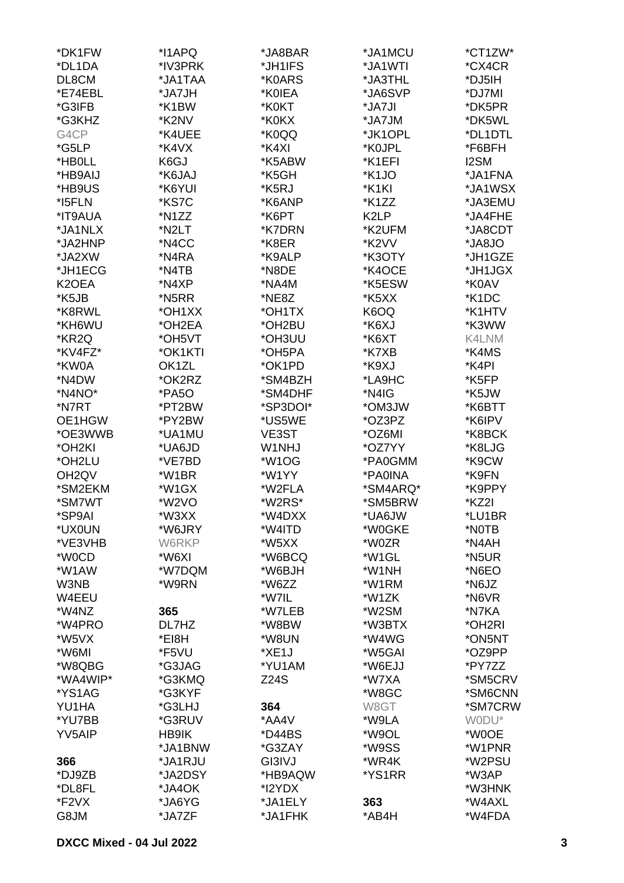| *DK1FW             | *I1APQ             | *JA8BAR     | *JA1MCU            | *CT1ZW*            |
|--------------------|--------------------|-------------|--------------------|--------------------|
| *DL1DA             | *IV3PRK            | *JH1IFS     | *JA1WTI            | *CX4CR             |
| DL8CM              | *JA1TAA            | *K0ARS      | *JA3THL            | *DJ5IH             |
|                    | *JA7JH             |             | *JA6SVP            |                    |
| *E74EBL            |                    | *K0IEA      |                    | *DJ7MI             |
| *G3IFB             | *K1BW              | *K0KT       | *JA7JI             | *DK5PR             |
| *G3KHZ             | *K2NV              | *K0KX       | *JA7JM             | *DK5WL             |
| G4CP               | *K4UEE             | *K0QQ       | *JK1OPL            | *DL1DTL            |
| *G5LP              | *K4VX              | *K4XI       | *K0JPL             | *F6BFH             |
| *HB0LL             | K6GJ               | *K5ABW      | *K1EFI             | I2SM               |
| *HB9AIJ            | *K6JAJ             | *K5GH       | *K <sub>1</sub> JO | *JA1FNA            |
| *HB9US             | *K6YUI             | *K5RJ       | *K1KI              | *JA1WSX            |
| *I5FLN             | *KS7C              | *K6ANP      | *K1ZZ              | *JA3EMU            |
| *IT9AUA            | *N1ZZ              | *K6PT       | K <sub>2</sub> LP  | *JA4FHE            |
| *JA1NLX            | *N2LT              | *K7DRN      | *K2UFM             | *JA8CDT            |
| *JA2HNP            | *N4CC              | *K8ER       | *K2VV              | *JA8JO             |
| *JA2XW             | *N4RA              | *K9ALP      | *K3OTY             | *JH1GZE            |
| *JH1ECG            | *N4TB              | *N8DE       | *K4OCE             | *JH1JGX            |
| K2OEA              | *N4XP              | *NA4M       | *K5ESW             | *K0AV              |
| *K5JB              | *N5RR              | *NE8Z       | *K5XX              | *K <sub>1</sub> DC |
|                    |                    |             |                    |                    |
| *K8RWL             | *OH1XX             | *OH1TX      | K6OQ               | *K1HTV             |
| *KH6WU             | *OH2EA             | *OH2BU      | *K6XJ              | *K3WW              |
| *KR2Q              | *OH5VT             | *OH3UU      | *K6XT              | K4LNM              |
| *KV4FZ*            | *OK1KTI            | *OH5PA      | *K7XB              | *K4MS              |
| *KW0A              | OK <sub>1</sub> ZL | *OK1PD      | *K9XJ              | *K4PI              |
| *N4DW              | *OK2RZ             | *SM4BZH     | *LA9HC             | *K5FP              |
| *N4NO*             | *PA5O              | *SM4DHF     | *N4IG              | *K5JW              |
| *N7RT              | *PT2BW             | *SP3DOI*    | *OM3JW             | *K6BTT             |
| OE1HGW             | *PY2BW             | *US5WE      | *OZ3PZ             | *K6IPV             |
| *OE3WWB            | *UA1MU             | VE3ST       | *OZ6MI             | *K8BCK             |
| *OH2KI             | *UA6JD             | W1NHJ       | *OZ7YY             | *K8LJG             |
| *OH2LU             | *VE7BD             | *W1OG       | *PA0GMM            | *K9CW              |
| OH <sub>2</sub> QV | *W1BR              | *W1YY       | *PA0INA            | *K9FN              |
| *SM2EKM            | *W1GX              | *W2FLA      | *SM4ARQ*           | *K9PPY             |
| *SM7WT             | *W2VO              | *W2RS*      | *SM5BRW            | *KZ2I              |
| *SP9AI             | *W3XX              | *W4DXX      | *UA6JW             | *LU1BR             |
| *UX0UN             | *W6JRY             | *W4ITD      | *W0GKE             | *NOTB              |
| *VE3VHB            | W6RKP              | *W5XX       | *W0ZR              | *N4AH              |
| *W0CD              | *W6XI              | *W6BCQ      | *W1GL              | *N5UR              |
| *W1AW              | *W7DQM             | *W6BJH      | *W1NH              | *N6EO              |
|                    |                    |             |                    |                    |
| W3NB               | *W9RN              | *W6ZZ       | *W1RM              | *N6JZ              |
| W4EEU              |                    | *W7IL       | *W1ZK              | *N6VR              |
| *W4NZ              | 365                | *W7LEB      | *W2SM              | *N7KA              |
| *W4PRO             | DL7HZ              | *W8BW       | *W3BTX             | *OH2RI             |
| *W5VX              | *EI8H              | *W8UN       | *W4WG              | *ON5NT             |
| *W6MI              | *F5VU              | *XE1J       | *W5GAI             | *OZ9PP             |
| *W8QBG             | *G3JAG             | *YU1AM      | *W6EJJ             | *PY7ZZ             |
| *WA4WIP*           | *G3KMQ             | <b>Z24S</b> | *W7XA              | *SM5CRV            |
| *YS1AG             | *G3KYF             |             | *W8GC              | *SM6CNN            |
| YU1HA              | *G3LHJ             | 364         | W8GT               | *SM7CRW            |
| *YU7BB             | *G3RUV             | *AA4V       | *W9LA              | WODU*              |
| <b>YV5AIP</b>      | HB9IK              | *D44BS      | *W9OL              | *W0OE              |
|                    | *JA1BNW            | *G3ZAY      | *W9SS              | *W1PNR             |
| 366                | *JA1RJU            | GI3IVJ      | *WR4K              | *W2PSU             |
| *DJ9ZB             | *JA2DSY            | *HB9AQW     | *YS1RR             | *W3AP              |
| *DL8FL             | *JA4OK             | *I2YDX      |                    | *W3HNK             |
| *F2VX              | *JA6YG             | *JA1ELY     | 363                | *W4AXL             |
| G8JM               | *JA7ZF             | *JA1FHK     | *AB4H              | *W4FDA             |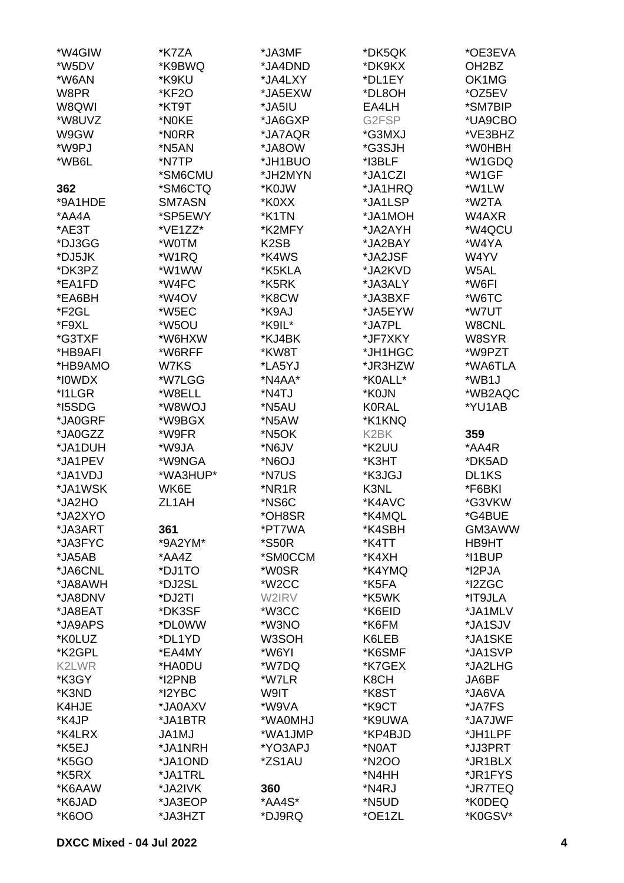| *W4GIW  | *K7ZA    | *JA3MF              | *DK5QK            | *OE3EVA            |
|---------|----------|---------------------|-------------------|--------------------|
| *W5DV   | *K9BWQ   | *JA4DND             | *DK9KX            | OH <sub>2</sub> BZ |
| *W6AN   | *K9KU    | *JA4LXY             | *DL1EY            | OK1MG              |
| W8PR    | *KF2O    | *JA5EXW             | *DL8OH            | *OZ5EV             |
|         |          |                     |                   |                    |
| W8QWI   | *KT9T    | *JA5IU              | EA4LH             | *SM7BIP            |
| *W8UVZ  | *N0KE    | *JA6GXP             | G2FSP             | *UA9CBO            |
| W9GW    | *N0RR    | *JA7AQR             | *G3MXJ            | *VE3BHZ            |
| *W9PJ   | *N5AN    | *JA8OW              | *G3SJH            | *W0HBH             |
| *WB6L   | *N7TP    | *JH1BUO             | *I3BLF            | *W1GDQ             |
|         | *SM6CMU  | *JH2MYN             | *JA1CZI           | *W1GF              |
| 362     | *SM6CTQ  | *K0JW               | *JA1HRQ           | *W1LW              |
| *9A1HDE | SM7ASN   | *K0XX               | *JA1LSP           | *W2TA              |
| *AA4A   | *SP5EWY  | *K1TN               | *JA1MOH           | W4AXR              |
| *AE3T   | *VE1ZZ*  | *K2MFY              | *JA2AYH           | *W4QCU             |
| *DJ3GG  | *W0TM    | K <sub>2</sub> SB   | *JA2BAY           | *W4YA              |
| *DJ5JK  | *W1RQ    | *K4WS               | *JA2JSF           | W4YV               |
| *DK3PZ  | *W1WW    | *K5KLA              | *JA2KVD           | W5AL               |
| *EA1FD  | *W4FC    | *K5RK               | *JA3ALY           | *W6FI              |
|         |          |                     |                   | *W6TC              |
| *EA6BH  | *W4OV    | *K8CW               | *JA3BXF           |                    |
| *F2GL   | *W5EC    | *K9AJ               | *JA5EYW           | *W7UT              |
| *F9XL   | *W5OU    | *K9IL*              | *JA7PL            | W8CNL              |
| *G3TXF  | *W6HXW   | *KJ4BK              | *JF7XKY           | W8SYR              |
| *HB9AFI | *W6RFF   | *KW8T               | *JH1HGC           | *W9PZT             |
| *HB9AMO | W7KS     | *LA5YJ              | *JR3HZW           | *WA6TLA            |
| *I0WDX  | *W7LGG   | *N4AA*              | *K0ALL*           | *WB1J              |
| *I1LGR  | *W8ELL   | *N4TJ               | *K0JN             | *WB2AQC            |
| *I5SDG  | *W8WOJ   | *N5AU               | <b>K0RAL</b>      | *YU1AB             |
| *JA0GRF | *W9BGX   | *N5AW               | *K1KNQ            |                    |
| *JA0GZZ | *W9FR    | *N <sub>5</sub> OK  | K <sub>2</sub> BK | 359                |
| *JA1DUH | *W9JA    | *N6JV               | *K2UU             | *AA4R              |
| *JA1PEV | *W9NGA   | *N6OJ               | *K3HT             | *DK5AD             |
| *JA1VDJ | *WA3HUP* | *N7US               | *K3JGJ            | DL1KS              |
| *JA1WSK | WK6E     | *NR1R               | K3NL              | *F6BKI             |
| *JA2HO  | ZL1AH    | *NS6C               | *K4AVC            | *G3VKW             |
|         |          |                     |                   |                    |
| *JA2XYO |          | *OH8SR              | *K4MQL            | *G4BUE             |
| *JA3ART | 361      | *PT7WA              | *K4SBH            | GM3AWW             |
| *JA3FYC | *9A2YM*  | <i><b>*S50R</b></i> | *K4TT             | HB9HT              |
| *JA5AB  | *AA4Z    | *SM0CCM             | *K4XH             | *I1BUP             |
| *JA6CNL | *DJ1TO   | *W0SR               | *K4YMQ            | *I2PJA             |
| *JA8AWH | *DJ2SL   | *W <sub>2</sub> CC  | *K5FA             | *I2ZGC             |
| *JA8DNV | *DJ2TI   | W2IRV               | *K5WK             | *IT9JLA            |
| *JA8EAT | *DK3SF   | *W3CC               | *K6EID            | *JA1MLV            |
| *JA9APS | *DL0WW   | *W3NO               | *K6FM             | *JA1SJV            |
| *K0LUZ  | *DL1YD   | W3SOH               | K6LEB             | *JA1SKE            |
| *K2GPL  | *EA4MY   | *W6YI               | *K6SMF            | *JA1SVP            |
| K2LWR   | *HA0DU   | *W7DQ               | *K7GEX            | *JA2LHG            |
| *K3GY   | *I2PNB   | *W7LR               | K8CH              | JA6BF              |
| *K3ND   | *I2YBC   | W9IT                | *K8ST             | *JA6VA             |
| K4HJE   | *JA0AXV  | *W9VA               | *K9CT             | *JA7FS             |
| *K4JP   | *JA1BTR  | *WA0MHJ             | *K9UWA            | *JA7JWF            |
| *K4LRX  | JA1MJ    | *WA1JMP             | *KP4BJD           | *JH1LPF            |
| *K5EJ   | *JA1NRH  | *YO3APJ             | *N0AT             | *JJ3PRT            |
| *K5GO   | *JA1OND  | *ZS1AU              | *N2OO             | *JR1BLX            |
| *K5RX   |          |                     |                   |                    |
|         | *JA1TRL  |                     | *N4HH             | *JR1FYS            |
| *K6AAW  | *JA2IVK  | 360                 | *N4RJ             | *JR7TEQ            |
| *K6JAD  | *JA3EOP  | *AA4S*              | *N5UD             | *K0DEQ             |
| *K6OO   | *JA3HZT  | *DJ9RQ              | *OE1ZL            | *K0GSV*            |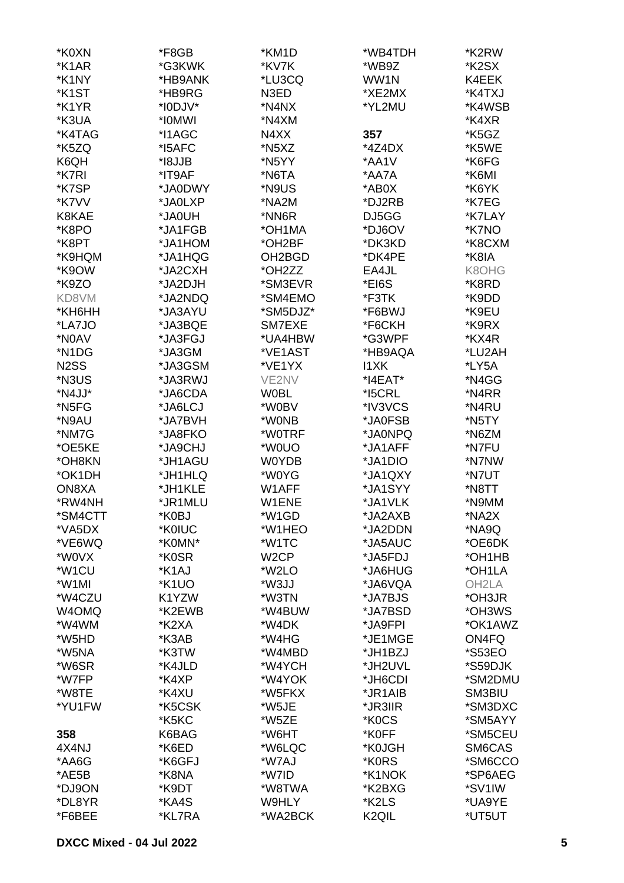| *K0XN                         | *F8GB   | *KM1D             | *WB4TDH           | *K2RW              |
|-------------------------------|---------|-------------------|-------------------|--------------------|
| *K1AR                         | *G3KWK  | *KV7K             | *WB9Z             | *K2SX              |
| *K1NY                         | *HB9ANK | *LU3CQ            | WW1N              | K4EEK              |
| *K <sub>1</sub> ST            | *HB9RG  | N3ED              | *XE2MX            | *K4TXJ             |
| *K1YR                         | *I0DJV* | *N4NX             | *YL2MU            | *K4WSB             |
| *K3UA                         | *IOMWI  | *N4XM             |                   | *K4XR              |
| *K4TAG                        | *I1AGC  | N4XX              | 357               | *K5GZ              |
| *K5ZQ                         | *I5AFC  | *N5XZ             | $*4Z4DX$          | *K5WE              |
| K6QH                          | *I8JJB  | *N5YY             | *AA1V             | *K6FG              |
| *K7RI                         | *IT9AF  | *N6TA             | *AA7A             | *K6MI              |
| *K7SP                         | *JA0DWY | *N9US             | *AB0X             | *K6YK              |
| *K7VV                         | *JA0LXP | *NA2M             | *DJ2RB            | *K7EG              |
| K8KAE                         | *JA0UH  | *NN6R             | DJ5GG             | *K7LAY             |
| *K8PO                         | *JA1FGB | *OH1MA            | *DJ6OV            | *K7NO              |
| *K8PT                         | *JA1HOM | *OH2BF            | *DK3KD            | *K8CXM             |
| *K9HQM                        | *JA1HQG | OH2BGD            | *DK4PE            | *K8IA              |
| *K9OW                         | *JA2CXH | *OH2ZZ            | EA4JL             | K8OHG              |
| *K9ZO                         | *JA2DJH | *SM3EVR           | *EI6S             | *K8RD              |
| KD8VM                         | *JA2NDQ | *SM4EMO           | *F3TK             | *K9DD              |
| *KH6HH                        | *JA3AYU | *SM5DJZ*          | *F6BWJ            | *K9EU              |
| *LA7JO                        | *JA3BQE | SM7EXE            | *F6CKH            | *K9RX              |
| *N0AV                         | *JA3FGJ | *UA4HBW           | *G3WPF            | *KX4R              |
| *N1DG                         | *JA3GM  | *VE1AST           | *HB9AQA           | *LU2AH             |
| N <sub>2</sub> S <sub>S</sub> | *JA3GSM | *VE1YX            | 11XK              | *LY5A              |
| *N3US                         | *JA3RWJ | VE2NV             | *I4EAT*           | *N4GG              |
| *N4JJ*                        | *JA6CDA | <b>W0BL</b>       | *I5CRL            | *N4RR              |
| *N <sub>5</sub> FG            | *JA6LCJ | *W0BV             | *IV3VCS           | *N4RU              |
| *N9AU                         | *JA7BVH | *W0NB             | *JA0FSB           | *N5TY              |
| *NM7G                         | *JA8FKO | *W0TRF            | *JA0NPQ           | *N6ZM              |
| *OE5KE                        | *JA9CHJ | *W0UO             | *JA1AFF           | *N7FU              |
| *OH8KN                        | *JH1AGU | <b>W0YDB</b>      | *JA1DIO           | *N7NW              |
| *OK1DH                        | *JH1HLQ | *W0YG             | *JA1QXY           | *N7UT              |
| ON8XA                         | *JH1KLE | W1AFF             | *JA1SYY           | *N8TT              |
| *RW4NH                        | *JR1MLU | W1ENE             | *JA1VLK           | *N9MM              |
| *SM4CTT                       | *K0BJ   | *W1GD             | *JA2AXB           | *NA2X              |
| *VA5DX                        | *K0IUC  | *W1HEO            | *JA2DDN           | *NA9Q              |
| *VE6WQ                        | *K0MN*  | *W1TC             | *JA5AUC           | *OE6DK             |
| *W0VX                         | *K0SR   | W <sub>2</sub> CP | *JA5FDJ           | *OH1HB             |
| *W <sub>1</sub> CU            | *K1AJ   | *W2LO             | *JA6HUG           | *OH1LA             |
| *W1MI                         | *K1UO   | *W3JJ             | *JA6VQA           | OH <sub>2</sub> LA |
| *W4CZU                        | K1YZW   | *W3TN             | *JA7BJS           | *OH3JR             |
| W4OMQ                         | *K2EWB  | *W4BUW            | *JA7BSD           | *OH3WS             |
| *W4WM                         | *K2XA   | *W4DK             | *JA9FPI           | *OK1AWZ            |
| *W5HD                         | *K3AB   | *W4HG             | *JE1MGE           | ON4FQ              |
| *W5NA                         | *K3TW   | *W4MBD            | *JH1BZJ           | *S53EO             |
| *W6SR                         | *K4JLD  | *W4YCH            | *JH2UVL           | *S59DJK            |
| *W7FP                         | *K4XP   | *W4YOK            | *JH6CDI           | *SM2DMU            |
| *W8TE                         | *K4XU   | *W5FKX            | *JR1AIB           | SM3BIU             |
| *YU1FW                        | *K5CSK  | *W5JE             | *JR3IIR           | *SM3DXC            |
|                               | *K5KC   | *W5ZE             | *K0CS             | *SM5AYY            |
| 358                           | K6BAG   | *W6HT             | *K0FF             | *SM5CEU            |
| 4X4NJ                         | *K6ED   | *W6LQC            | *K0JGH            | SM6CAS             |
| *AA6G                         | *K6GFJ  | *W7AJ             | *K0RS             | *SM6CCO            |
| *AE5B                         | *K8NA   | *W7ID             | *K1NOK            | *SP6AEG            |
| *DJ9ON                        | *K9DT   | *W8TWA            | *K2BXG            | *SV1IW             |
| *DL8YR                        | *KA4S   | W9HLY             | *K2LS             | *UA9YE             |
| *F6BEE                        | *KL7RA  | *WA2BCK           | K <sub>2QIL</sub> | *UT5UT             |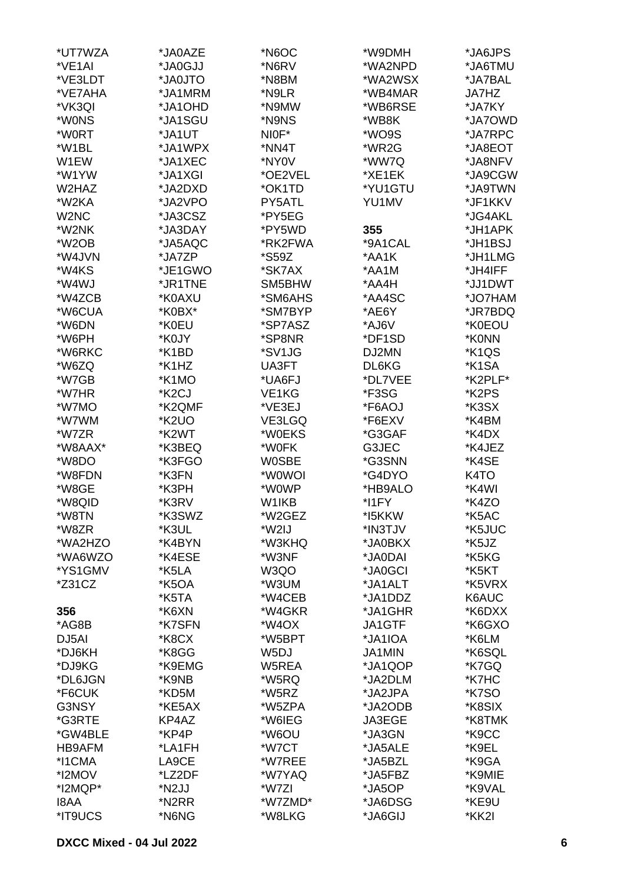| *UT7WZA            | *JA0AZE            | *N6OC              | *W9DMH        | *JA6JPS            |
|--------------------|--------------------|--------------------|---------------|--------------------|
| *VE1AI             | *JA0GJJ            | *N6RV              | *WA2NPD       | *JA6TMU            |
| *VE3LDT            | *JA0JTO            | *N8BM              | *WA2WSX       | *JA7BAL            |
| *VE7AHA            | *JA1MRM            | *N9LR              | *WB4MAR       | <b>JA7HZ</b>       |
| *VK3QI             | *JA1OHD            | *N9MW              | *WB6RSE       | *JA7KY             |
| *W0NS              | *JA1SGU            | *N9NS              | *WB8K         | *JA7OWD            |
| *W0RT              | *JA1UT             | NIOF*              | *WO9S         | *JA7RPC            |
| *W1BL              | *JA1WPX            | *NN4T              | *WR2G         | *JA8EOT            |
| W1EW               | *JA1XEC            | *NY0V              | *WW7Q         | *JA8NFV            |
| *W1YW              | *JA1XGI            | *OE2VEL            | *XE1EK        | *JA9CGW            |
| W2HAZ              | *JA2DXD            | *OK1TD             | *YU1GTU       | *JA9TWN            |
| *W2KA              |                    |                    |               | *JF1KKV            |
| W2NC               | *JA2VPO            | PY5ATL             | YU1MV         |                    |
|                    | *JA3CSZ            | *PY5EG             |               | *JG4AKL            |
| *W2NK              | *JA3DAY            | *PY5WD             | 355           | *JH1APK            |
| *W <sub>2</sub> OB | *JA5AQC            | *RK2FWA            | *9A1CAL       | *JH1BSJ            |
| *W4JVN             | *JA7ZP             | *S59Z              | *AA1K         | *JH1LMG            |
| *W4KS              | *JE1GWO            | *SK7AX             | *AA1M         | *JH4IFF            |
| *W4WJ              | *JR1TNE            | SM5BHW             | *AA4H         | *JJ1DWT            |
| *W4ZCB             | *K0AXU             | *SM6AHS            | *AA4SC        | *JO7HAM            |
| *W6CUA             | *K0BX*             | *SM7BYP            | *AE6Y         | *JR7BDQ            |
| *W6DN              | *K0EU              | *SP7ASZ            | *AJ6V         | *K0EOU             |
| *W6PH              | *K0JY              | *SP8NR             | *DF1SD        | *K0NN              |
| *W6RKC             | *K1BD              | *SV1JG             | DJ2MN         | *K1QS              |
| *W6ZQ              | *K1HZ              | UA3FT              | DL6KG         | *K <sub>1</sub> SA |
| *W7GB              | *K1MO              | *UA6FJ             | *DL7VEE       | *K2PLF*            |
| *W7HR              | *K <sub>2</sub> CJ | VE <sub>1</sub> KG | *F3SG         | *K2PS              |
| *W7MO              | *K2QMF             | *VE3EJ             | *F6AOJ        | *K3SX              |
| *W7WM              | *K2UO              | VE3LGQ             | *F6EXV        | *K4BM              |
| *W7ZR              | *K2WT              | *W0EKS             | *G3GAF        | *K4DX              |
| *W8AAX*            | *K3BEQ             | *W0FK              | G3JEC         | *K4JEZ             |
| *W8DO              | *K3FGO             | <b>WOSBE</b>       | *G3SNN        | *K4SE              |
| *W8FDN             | *K3FN              | *W0WOI             | *G4DYO        | K <sub>4</sub> TO  |
| *W8GE              | *K3PH              | *W0WP              | *HB9ALO       | *K4WI              |
| *W8QID             | *K3RV              | W <sub>1</sub> KB  | *I1FY         | *K4ZO              |
| *W8TN              | *K3SWZ             | *W2GEZ             | *I5KKW        | *K5AC              |
| *W8ZR              | *K3UL              | *W2IJ              | *IN3TJV       | *K5JUC             |
| *WA2HZO            | *K4BYN             | *W3KHQ             | *JA0BKX       | *K5JZ              |
| *WA6WZO            | *K4ESE             | *W3NF              | *JA0DAI       | *K5KG              |
| *YS1GMV            | *K5LA              | W3QO               | *JA0GCI       | *K5KT              |
| $*231CZ$           | *K5OA              | *W3UM              | *JA1ALT       | *K5VRX             |
|                    | *K5TA              | *W4CEB             | *JA1DDZ       | K6AUC              |
| 356                | *K6XN              | *W4GKR             | *JA1GHR       | *K6DXX             |
| *AG8B              | *K7SFN             | *W4OX              | <b>JA1GTF</b> | *K6GXO             |
| DJ5AI              | *K8CX              | *W5BPT             | *JA1IOA       | *K6LM              |
| *DJ6KH             | *K8GG              | W <sub>5</sub> DJ  | JA1MIN        | *K6SQL             |
| *DJ9KG             | *K9EMG             | W5REA              | *JA1QOP       | *K7GQ              |
| *DL6JGN            | *K9NB              | *W5RQ              | *JA2DLM       | *K7HC              |
| *F6CUK             | *KD5M              | *W5RZ              | *JA2JPA       | *K7SO              |
| G3NSY              | *KE5AX             | *W5ZPA             | *JA2ODB       | *K8SIX             |
| *G3RTE             | KP4AZ              | *W6IEG             | JA3EGE        | *K8TMK             |
|                    |                    |                    |               |                    |
| *GW4BLE            | *KP4P              | *W6OU              | *JA3GN        | *K9CC              |
| HB9AFM             | *LA1FH             | *W7CT              | *JA5ALE       | *K9EL              |
| *I1CMA             | LA9CE              | *W7REE             | *JA5BZL       | *K9GA              |
| *I2MOV             | *LZ2DF             | *W7YAQ             | *JA5FBZ       | *K9MIE             |
| *I2MQP*            | *N2JJ              | *W7ZI              | *JA5OP        | *K9VAL             |
| I8AA               | *N2RR              | *W7ZMD*            | *JA6DSG       | *KE9U              |
| *IT9UCS            | *N6NG              | *W8LKG             | *JA6GIJ       | *KK2I              |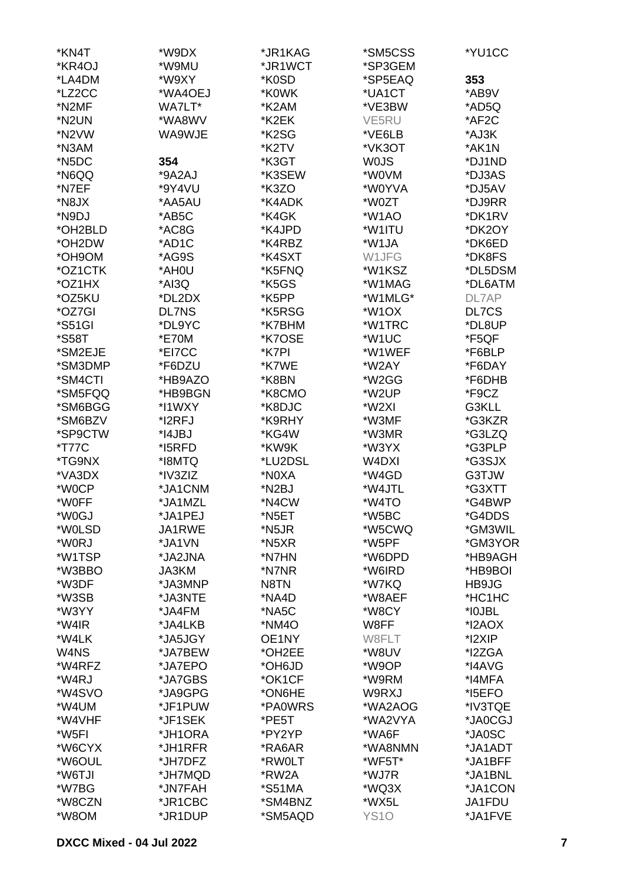| *KN4T         | *W9DX        | *JR1KAG            | *SM5CSS            | *YU1CC  |
|---------------|--------------|--------------------|--------------------|---------|
| *KR4OJ        | *W9MU        | *JR1WCT            | *SP3GEM            |         |
| *LA4DM        | *W9XY        | *K0SD              | *SP5EAQ            | 353     |
| *LZ2CC        | *WA4OEJ      | *K0WK              | *UA1CT             | *AB9V   |
| *N2MF         | WA7LT*       | *K2AM              | *VE3BW             | *AD5Q   |
| *N2UN         | *WA8WV       | *K2EK              | VE5RU              | *AF2C   |
| *N2VW         | WA9WJE       | *K2SG              | *VE6LB             | *AJ3K   |
| *N3AM         |              | *K2TV              | *VK3OT             | *AK1N   |
| *N5DC         | 354          | *K3GT              | <b>WOJS</b>        | *DJ1ND  |
| *N6QQ         | *9A2AJ       | *K3SEW             | *W0VM              | *DJ3AS  |
| *N7EF         | *9Y4VU       | *K3ZO              | *W0YVA             | *DJ5AV  |
| *N8JX         | *AA5AU       | *K4ADK             | *W0ZT              | *DJ9RR  |
| *N9DJ         | *AB5C        | *K4GK              | *W1AO              | *DK1RV  |
| *OH2BLD       | *AC8G        | *K4JPD             | *W1ITU             | *DK2OY  |
| *OH2DW        | *AD1C        | *K4RBZ             | *W1JA              | *DK6ED  |
| *OH9OM        | *AG9S        | *K4SXT             | W1JFG              | *DK8FS  |
| *OZ1CTK       | *AH0U        | *K5FNQ             | *W1KSZ             | *DL5DSM |
| *OZ1HX        | *AI3Q        | *K5GS              | *W1MAG             | *DL6ATM |
| *OZ5KU        | *DL2DX       | *K5PP              | *W1MLG*            | DL7AP   |
| *OZ7GI        | <b>DL7NS</b> | *K5RSG             | *W <sub>1</sub> OX | DL7CS   |
| *S51GI        | *DL9YC       | *K7BHM             | *W1TRC             | *DL8UP  |
| <i>*</i> S58T | *E70M        | *K7OSE             | *W1UC              | *F5QF   |
| *SM2EJE       | *EI7CC       | *K7PI              | *W1WEF             | *F6BLP  |
| *SM3DMP       | *F6DZU       | *K7WE              | *W2AY              | *F6DAY  |
| *SM4CTI       | *HB9AZO      | *K8BN              | *W2GG              | *F6DHB  |
| *SM5FQQ       | *HB9BGN      | *K8CMO             | *W2UP              | *F9CZ   |
| *SM6BGG       | *I1WXY       | *K8DJC             | *W2XI              | G3KLL   |
| *SM6BZV       | *I2RFJ       | *K9RHY             | *W3MF              | *G3KZR  |
| *SP9CTW       | *I4JBJ       | *KG4W              | *W3MR              | *G3LZQ  |
| <i>*</i> T77C | *I5RFD       | *KW9K              | *W3YX              | *G3PLP  |
| *TG9NX        | *I8MTQ       | *LU2DSL            | W4DXI              | *G3SJX  |
| *VA3DX        | *IV3ZIZ      | *N0XA              | *W4GD              | G3TJW   |
| *W0CP         | *JA1CNM      | *N <sub>2</sub> BJ | *W4JTL             | *G3XTT  |
| *W0FF         | *JA1MZL      | *N4CW              | *W4TO              | *G4BWP  |
| *W0GJ         | *JA1PEJ      | *N5ET              | *W5BC              | *G4DDS  |
| *W0LSD        | JA1RWE       | *N5JR              | *W5CWQ             | *GM3WIL |
| *W0RJ         | *JA1VN       | *N5XR              | *W5PF              | *GM3YOR |
| *W1TSP        | *JA2JNA      | *N7HN              | *W6DPD             | *HB9AGH |
| *W3BBO        | <b>JA3KM</b> | *N7NR              | *W6IRD             | *HB9BOI |
| *W3DF         | *JA3MNP      | N8TN               | *W7KQ              | HB9JG   |
| *W3SB         | *JA3NTE      | *NA4D              | *W8AEF             | *HC1HC  |
| *W3YY         | *JA4FM       | *NA5C              | *W8CY              | *I0JBL  |
| *W4IR         | *JA4LKB      | *NM4O              | W8FF               | *I2AOX  |
| *W4LK         | *JA5JGY      | OE1NY              | W8FLT              | *I2XIP  |
| W4NS          | *JA7BEW      | *OH2EE             | *W8UV              | *I2ZGA  |
| *W4RFZ        | *JA7EPO      | *OH6JD             | *W9OP              | *I4AVG  |
| *W4RJ         | *JA7GBS      | *OK1CF             | *W9RM              | *I4MFA  |
| *W4SVO        | *JA9GPG      | *ON6HE             | W9RXJ              | *I5EFO  |
| *W4UM         | *JF1PUW      | *PA0WRS            | *WA2AOG            | *IV3TQE |
| *W4VHF        | *JF1SEK      | *PE5T              | *WA2VYA            | *JA0CGJ |
| *W5FI         | *JH1ORA      | *PY2YP             | *WA6F              | *JA0SC  |
| *W6CYX        | *JH1RFR      | *RA6AR             | *WA8NMN            | *JA1ADT |
| *W6OUL        | *JH7DFZ      | *RW0LT             | *WF5T*             | *JA1BFF |
| *W6TJI        | *JH7MQD      | *RW2A              | *WJ7R              | *JA1BNL |
| *W7BG         | *JN7FAH      | *S51MA             | *WQ3X              | *JA1CON |
| *W8CZN        | *JR1CBC      | *SM4BNZ            | *WX5L              | JA1FDU  |
| *W8OM         | *JR1DUP      | *SM5AQD            | <b>YS10</b>        | *JA1FVE |
|               |              |                    |                    |         |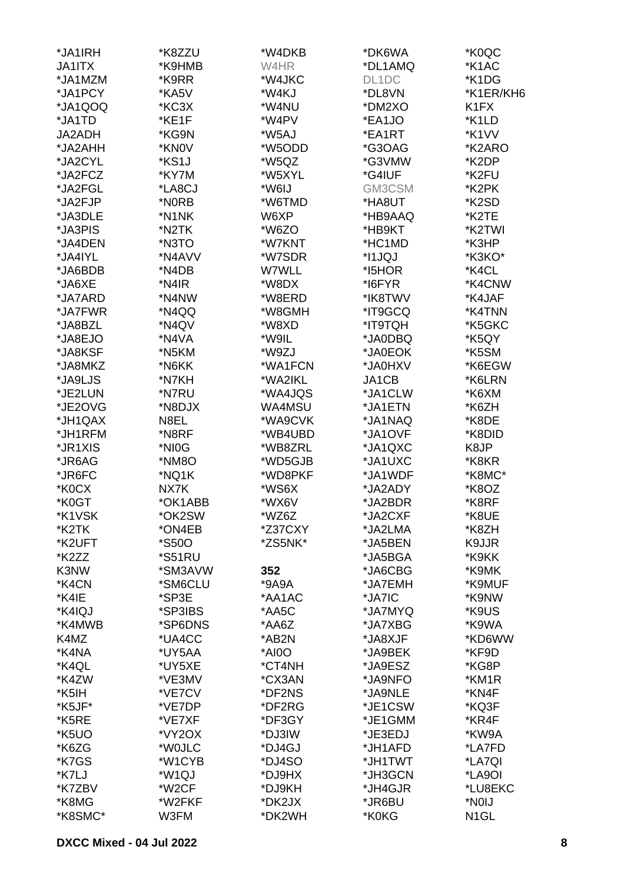| *JA1IRH       | *K8ZZU               | *W4DKB  | *DK6WA  | *K0QC                         |
|---------------|----------------------|---------|---------|-------------------------------|
| <b>JA1ITX</b> | *K9HMB               | W4HR    | *DL1AMQ | *K1AC                         |
| *JA1MZM       | *K9RR                | *W4JKC  | DL1DC   | *K1DG                         |
| *JA1PCY       | *KA5V                | *W4KJ   | *DL8VN  | *K1ER/KH6                     |
| *JA1QOQ       | *KC3X                | *W4NU   | *DM2XO  | K <sub>1</sub> F <sub>X</sub> |
| *JA1TD        | *KE1F                | *W4PV   | *EA1JO  | *K1LD                         |
| JA2ADH        | *KG9N                | *W5AJ   | *EA1RT  | *K1VV                         |
| *JA2AHH       | *KN0V                | *W5ODD  | *G3OAG  | *K2ARO                        |
|               |                      |         |         |                               |
| *JA2CYL       | *KS1J                | *W5QZ   | *G3VMW  | *K2DP                         |
| *JA2FCZ       | *KY7M                | *W5XYL  | *G4IUF  | *K2FU                         |
| *JA2FGL       | *LA8CJ               | *W6IJ   | GM3CSM  | *K2PK                         |
| *JA2FJP       | *N0RB                | *W6TMD  | *HA8UT  | *K2SD                         |
| *JA3DLE       | *N1NK                | W6XP    | *HB9AAQ | *K2TE                         |
| *JA3PIS       | *N2TK                | *W6ZO   | *HB9KT  | *K2TWI                        |
| *JA4DEN       | *N3TO                | *W7KNT  | *HC1MD  | *K3HP                         |
| *JA4IYL       | *N4AVV               | *W7SDR  | *I1JQJ  | *K3KO*                        |
| *JA6BDB       | *N4DB                | W7WLL   | *I5HOR  | *K4CL                         |
| *JA6XE        | *N4IR                | *W8DX   | *I6FYR  | *K4CNW                        |
| *JA7ARD       | *N4NW                | *W8ERD  | *IK8TWV | *K4JAF                        |
| *JA7FWR       | *N4QQ                | *W8GMH  | *IT9GCQ | *K4TNN                        |
| *JA8BZL       | *N4QV                | *W8XD   | *IT9TQH | *K5GKC                        |
| *JA8EJO       | *N4VA                | *W9IL   | *JA0DBQ | *K5QY                         |
| *JA8KSF       | *N5KM                | *W9ZJ   | *JA0EOK | *K5SM                         |
| *JA8MKZ       | *N6KK                | *WA1FCN | *JA0HXV | *K6EGW                        |
| *JA9LJS       | *N7KH                | *WA2IKL | JA1CB   | *K6LRN                        |
| *JE2LUN       | *N7RU                | *WA4JQS | *JA1CLW | *K6XM                         |
| *JE2OVG       | *N8DJX               | WA4MSU  | *JA1ETN | *K6ZH                         |
| *JH1QAX       | N8EL                 | *WA9CVK | *JA1NAQ | *K8DE                         |
| *JH1RFM       | *N8RF                | *WB4UBD | *JA1OVF | *K8DID                        |
| *JR1XIS       | *NI0G                | *WB8ZRL | *JA1QXC | K8JP                          |
| *JR6AG        | *NM8O                | *WD5GJB | *JA1UXC | *K8KR                         |
| *JR6FC        | *NQ1K                | *WD8PKF | *JA1WDF | *K8MC*                        |
| *K0CX         | NX7K                 | *WS6X   | *JA2ADY | *K8OZ                         |
| *K0GT         | *OK1ABB              | *WX6V   | *JA2BDR | *K8RF                         |
|               |                      |         |         |                               |
| *K1VSK        | *OK2SW               | *WZ6Z   | *JA2CXF | *K8UE                         |
| *K2TK         | *ON4EB               | *Z37CXY | *JA2LMA | *K8ZH                         |
| *K2UFT        | *S50O                | *ZS5NK* | *JA5BEN | K9JJR                         |
| *K2ZZ         | <i><b>*S51RU</b></i> |         | *JA5BGA | *K9KK                         |
| K3NW          | *SM3AVW              | 352     | *JA6CBG | *K9MK                         |
| *K4CN         | *SM6CLU              | *9A9A   | *JA7EMH | *K9MUF                        |
| *K4IE         | *SP3E                | *AA1AC  | *JA7IC  | *K9NW                         |
| *K4IQJ        | *SP3IBS              | *AA5C   | *JA7MYQ | *K9US                         |
| *K4MWB        | *SP6DNS              | *AA6Z   | *JA7XBG | *K9WA                         |
| K4MZ          | *UA4CC               | *AB2N   | *JA8XJF | *KD6WW                        |
| *K4NA         | *UY5AA               | *AI0O   | *JA9BEK | *KF9D                         |
| *K4QL         | *UY5XE               | *CT4NH  | *JA9ESZ | *KG8P                         |
| *K4ZW         | *VE3MV               | *CX3AN  | *JA9NFO | *KM1R                         |
| *K5IH         | *VE7CV               | *DF2NS  | *JA9NLE | *KN4F                         |
| *K5JF*        | *VE7DP               | *DF2RG  | *JE1CSW | *KQ3F                         |
| *K5RE         | *VE7XF               | *DF3GY  | *JE1GMM | *KR4F                         |
| *K5UO         | *VY2OX               | *DJ3IW  | *JE3EDJ | *KW9A                         |
| *K6ZG         | *W0JLC               | *DJ4GJ  | *JH1AFD | *LA7FD                        |
| *K7GS         | *W1CYB               | *DJ4SO  | *JH1TWT | *LA7QI                        |
| *K7LJ         | *W1QJ                | *DJ9HX  | *JH3GCN | *LA9OI                        |
| *K7ZBV        | *W <sub>2</sub> CF   | *DJ9KH  | *JH4GJR | *LU8EKC                       |
| *K8MG         | *W2FKF               | *DK2JX  | *JR6BU  | *NOIJ                         |
| *K8SMC*       | W3FM                 | *DK2WH  | *K0KG   | N <sub>1</sub> GL             |
|               |                      |         |         |                               |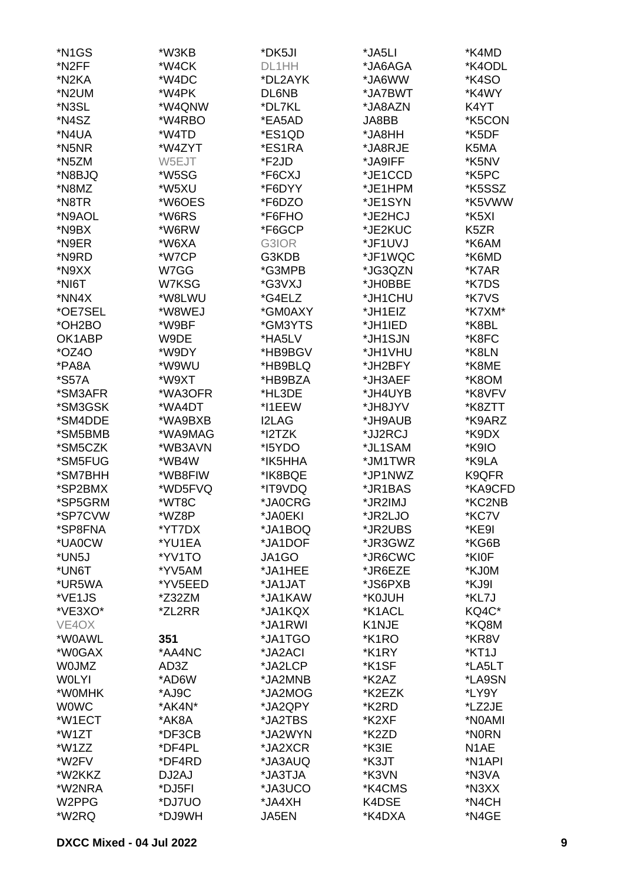| *N1GS                | *W3KB   | *DK5JI       | *JA5LI  | *K4MD               |
|----------------------|---------|--------------|---------|---------------------|
| *N <sub>2</sub> FF   | *W4CK   | DL1HH        | *JA6AGA | *K4ODL              |
| *N2KA                | *W4DC   | *DL2AYK      | *JA6WW  | *K4SO               |
| *N2UM                | *W4PK   | DL6NB        | *JA7BWT | *K4WY               |
| *N3SL                |         |              |         |                     |
|                      | *W4QNW  | *DL7KL       | *JA8AZN | K4YT                |
| *N4SZ                | *W4RBO  | *EA5AD       | JA8BB   | *K5CON              |
| *N4UA                | *W4TD   | *ES1QD       | *JA8HH  | *K5DF               |
| *N5NR                | *W4ZYT  | *ES1RA       | *JA8RJE | K5MA                |
| *N5ZM                | W5EJT   | *F2JD        | *JA9IFF | *K5NV               |
| *N8BJQ               | *W5SG   | *F6CXJ       | *JE1CCD | *K5PC               |
| *N8MZ                | *W5XU   | *F6DYY       | *JE1HPM | *K5SSZ              |
| *N8TR                | *W6OES  | *F6DZO       | *JE1SYN | *K5VWW              |
| *N9AOL               | *W6RS   | *F6FHO       | *JE2HCJ | *K5XI               |
| *N9BX                | *W6RW   | *F6GCP       | *JE2KUC | K <sub>5</sub> ZR   |
| *N9ER                | *W6XA   | G3IOR        | *JF1UVJ | *K6AM               |
| *N9RD                | *W7CP   | G3KDB        | *JF1WQC | *K6MD               |
| *N9XX                | W7GG    | *G3MPB       | *JG3QZN | *K7AR               |
| *NI6T                | W7KSG   | *G3VXJ       | *JH0BBE | *K7DS               |
| *NN4X                | *W8LWU  | *G4ELZ       | *JH1CHU | *K7VS               |
| *OE7SEL              | *W8WEJ  | *GM0AXY      | *JH1EIZ | *K7XM*              |
|                      | *W9BF   |              |         |                     |
| *OH <sub>2</sub> BO* |         | *GM3YTS      | *JH1IED | *K8BL               |
| OK1ABP               | W9DE    | *HA5LV       | *JH1SJN | *K8FC               |
| *OZ40                | *W9DY   | *HB9BGV      | *JH1VHU | *K8LN               |
| *PA8A                | *W9WU   | *HB9BLQ      | *JH2BFY | *K8ME               |
| *S57A                | *W9XT   | *HB9BZA      | *JH3AEF | *K8OM               |
| *SM3AFR              | *WA3OFR | *HL3DE       | *JH4UYB | *K8VFV              |
| *SM3GSK              | *WA4DT  | *I1EEW       | *JH8JYV | *K8ZTT              |
| *SM4DDE              | *WA9BXB | <b>I2LAG</b> | *JH9AUB | *K9ARZ              |
| *SM5BMB              | *WA9MAG | *I2TZK       | *JJ2RCJ | *K9DX               |
| *SM5CZK              | *WB3AVN | *I5YDO       | *JL1SAM | *K9IO               |
| *SM5FUG              | *WB4W   | *IK5HHA      | *JM1TWR | *K9LA               |
| *SM7BHH              | *WB8FIW | *IK8BQE      | *JP1NWZ | K9QFR               |
| *SP2BMX              | *WD5FVQ | *IT9VDQ      | *JR1BAS | *KA9CFD             |
| *SP5GRM              | *WT8C   | *JA0CRG      | *JR2IMJ | *KC2NB              |
| *SP7CVW              | *WZ8P   | *JA0EKI      | *JR2LJO | *KC7V               |
| *SP8FNA              | *YT7DX  | *JA1BOQ      | *JR2UBS | *KE9I               |
| *UA0CW               | *YU1EA  | *JA1DOF      | *JR3GWZ | *KG6B               |
| *UN5J                | *YV1TO  | JA1GO        | *JR6CWC | *KI0F               |
| *UN6T                | *YV5AM  | *JA1HEE      | *JR6EZE | *KJ0M               |
| *UR5WA               | *YV5EED | *JA1JAT      | *JS6PXB | *KJ9I               |
| *VE1JS               | *Z32ZM  | *JA1KAW      | *K0JUH  | *KL7J               |
| *VE3XO*              | *ZL2RR  | *JA1KQX      | *K1ACL  | KQ4C*               |
| VE4OX                |         | *JA1RWI      | K1NJE   | *KQ8M               |
| *W0AWL               | 351     | *JA1TGO      | *K1RO   | *KR8V               |
|                      |         |              |         |                     |
| *W0GAX               | *AA4NC  | *JA2ACI      | *K1RY   | *KT1J               |
| <b>WOJMZ</b>         | AD3Z    | *JA2LCP      | *K1SF   | *LA5LT              |
| <b>WOLYI</b>         | *AD6W   | *JA2MNB      | *K2AZ   | *LA9SN              |
| *WOMHK               | *AJ9C   | *JA2MOG      | *K2EZK  | *LY9Y               |
| <b>WOWC</b>          | *AK4N*  | *JA2QPY      | *K2RD   | *LZ2JE              |
| *W1ECT               | *AK8A   | *JA2TBS      | *K2XF   | *N0AMI              |
| *W1ZT                | *DF3CB  | *JA2WYN      | *K2ZD   | *N0RN               |
| *W1ZZ                | *DF4PL  | *JA2XCR      | *K3IE   | N <sub>1</sub> AE   |
| *W2FV                | *DF4RD  | *JA3AUQ      | *K3JT   | *N <sub>1</sub> API |
| *W2KKZ               | DJ2AJ   | *JA3TJA      | *K3VN   | *N3VA               |
| *W2NRA               | *DJ5FI  | *JA3UCO      | *K4CMS  | *N3XX               |
| W2PPG                | *DJ7UO  | *JA4XH       | K4DSE   | *N4CH               |
| *W2RQ                | *DJ9WH  | <b>JA5EN</b> | *K4DXA  | *N4GE               |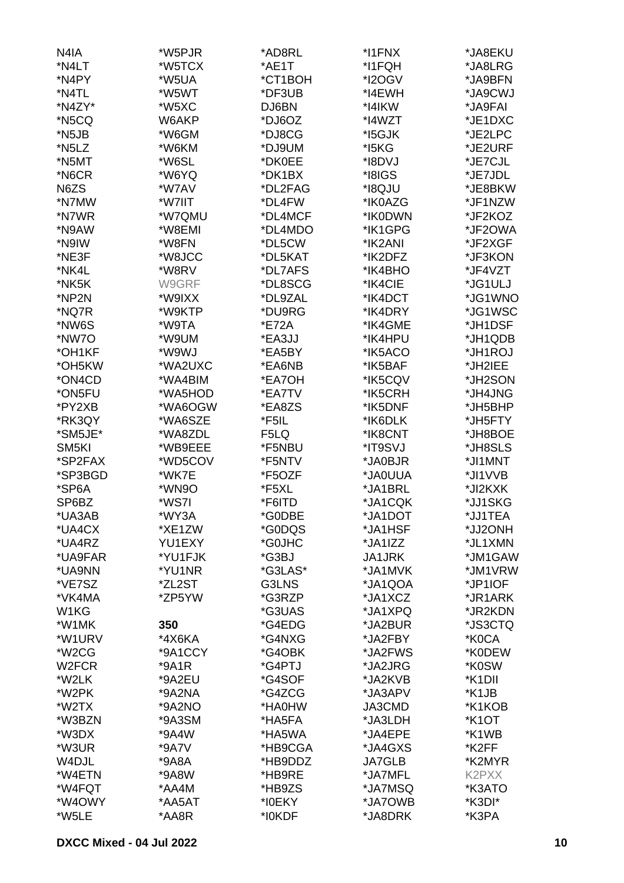| N4IA               | *W5PJR  | *AD8RL  | *I1FNX        | *JA8EKU             |
|--------------------|---------|---------|---------------|---------------------|
| *N4LT              | *W5TCX  | *AE1T   | *I1FQH        | *JA8LRG             |
| *N4PY              | *W5UA   | *CT1BOH | *I2OGV        | *JA9BFN             |
| *N4TL              | *W5WT   | *DF3UB  | *I4EWH        | *JA9CWJ             |
| *N4ZY*             | *W5XC   | DJ6BN   | *I4IKW        | *JA9FAI             |
| *N5CQ              | W6AKP   | *DJ6OZ  | *I4WZT        | *JE1DXC             |
|                    |         |         |               |                     |
| *N5JB              | *W6GM   | *DJ8CG  | *15GJK        | *JE2LPC             |
| *N5LZ              | *W6KM   | *DJ9UM  | *I5KG         | *JE2URF             |
| *N5MT              | *W6SL   | *DK0EE  | *I8DVJ        | *JE7CJL             |
| *N6CR              | *W6YQ   | *DK1BX  | *I8IGS        | *JE7JDL             |
| N6ZS               | *W7AV   | *DL2FAG | *I8QJU        | *JE8BKW             |
| *N7MW              | *W7IIT  | *DL4FW  | *IK0AZG       | *JF1NZW             |
| *N7WR              | *W7QMU  | *DL4MCF | *IK0DWN       | *JF2KOZ             |
| *N9AW              | *W8EMI  | *DL4MDO | *IK1GPG       | *JF2OWA             |
| *N9IW              | *W8FN   | *DL5CW  | *IK2ANI       | *JF2XGF             |
| *NE3F              | *W8JCC  | *DL5KAT | *IK2DFZ       | *JF3KON             |
| *NK4L              | *W8RV   | *DL7AFS | *IK4BHO       | *JF4VZT             |
| *NK5K              | W9GRF   | *DL8SCG | *IK4CIE       | *JG1ULJ             |
| *NP2N              | *W9IXX  | *DL9ZAL | *IK4DCT       | *JG1WNO             |
| *NQ7R              | *W9KTP  | *DU9RG  | *IK4DRY       | *JG1WSC             |
| *NW6S              | *W9TA   | *E72A   | *IK4GME       | *JH1DSF             |
| *NW7O              | *W9UM   | *EA3JJ  | *IK4HPU       | *JH1QDB             |
| *OH1KF             | *W9WJ   | *EA5BY  | *IK5ACO       | *JH1ROJ             |
| *OH5KW             | *WA2UXC | *EA6NB  | *IK5BAF       | *JH2IEE             |
| *ON4CD             | *WA4BIM | *EA7OH  | *IK5CQV       | *JH2SON             |
| *ON5FU             | *WA5HOD | *EA7TV  | *IK5CRH       | *JH4JNG             |
| *PY2XB             | *WA6OGW | *EA8ZS  | *IK5DNF       | *JH5BHP             |
| *RK3QY             | *WA6SZE | *F5IL   | *IK6DLK       | *JH5FTY             |
| *SM5JE*            | *WA8ZDL | F5LQ    | *IK8CNT       | *JH8BOE             |
| SM <sub>5KI</sub>  | *WB9EEE | *F5NBU  | *IT9SVJ       | *JH8SLS             |
| *SP2FAX            | *WD5COV | *F5NTV  | *JA0BJR       | *JI1MNT             |
| *SP3BGD            | *WK7E   | *F5OZF  | *JA0UUA       | *JI1VVB             |
| *SP6A              | *WN9O   | *F5XL   | *JA1BRL       | *JI2KXK             |
| SP6BZ              | *WS7I   |         | *JA1CQK       | *JJ1SKG             |
|                    |         | *F6ITD  |               |                     |
| *UA3AB             | *WY3A   | *G0DBE  | *JA1DOT       | *JJ1TEA             |
| *UA4CX             | *XE1ZW  | *G0DQS  | *JA1HSF       | *JJ2ONH             |
| *UA4RZ             | YU1EXY  | *G0JHC  | *JA1IZZ       | *JL1XMN             |
| *UA9FAR            | *YU1FJK | *G3BJ   | <b>JA1JRK</b> | *JM1GAW             |
| *UA9NN             | *YU1NR  | *G3LAS* | *JA1MVK       | *JM1VRW             |
| *VE7SZ             | *ZL2ST  | G3LNS   | *JA1QOA       | *JP1IOF             |
| *VK4MA             | *ZP5YW  | *G3RZP  | *JA1XCZ       | *JR1ARK             |
| W1KG               |         | *G3UAS  | *JA1XPQ       | *JR2KDN             |
| *W1MK              | 350     | *G4EDG  | *JA2BUR       | *JS3CTQ             |
| *W1URV             | *4X6KA  | *G4NXG  | *JA2FBY       | *K0CA               |
| *W <sub>2</sub> CG | *9A1CCY | *G4OBK  | *JA2FWS       | *K0DEW              |
| W <sub>2</sub> FCR | $*9A1R$ | *G4PTJ  | *JA2JRG       | *K0SW               |
| *W2LK              | *9A2EU  | *G4SOF  | *JA2KVB       | *K <sub>1</sub> DII |
| *W2PK              | *9A2NA  | *G4ZCG  | *JA3APV       | *K1JB               |
| *W2TX              | *9A2NO  | *HA0HW  | JA3CMD        | *K1KOB              |
| *W3BZN             | *9A3SM  | *HA5FA  | *JA3LDH       | *K <sub>1</sub> OT  |
| *W3DX              | *9A4W   | *HA5WA  | *JA4EPE       | *K1WB               |
| *W3UR              | *9A7V   | *HB9CGA | *JA4GXS       | *K2FF               |
| W4DJL              | $*9A8A$ | *HB9DDZ | <b>JA7GLB</b> | *K2MYR              |
| *W4ETN             | *9A8W   | *HB9RE  | *JA7MFL       | K2PXX               |
| *W4FQT             | *AA4M   | *HB9ZS  | *JA7MSQ       | *K3ATO              |
| *W4OWY             | *AA5AT  | *I0EKY  | *JA7OWB       | *K3DI*              |
| *W5LE              | *AA8R   | *I0KDF  | *JA8DRK       | *K3PA               |
|                    |         |         |               |                     |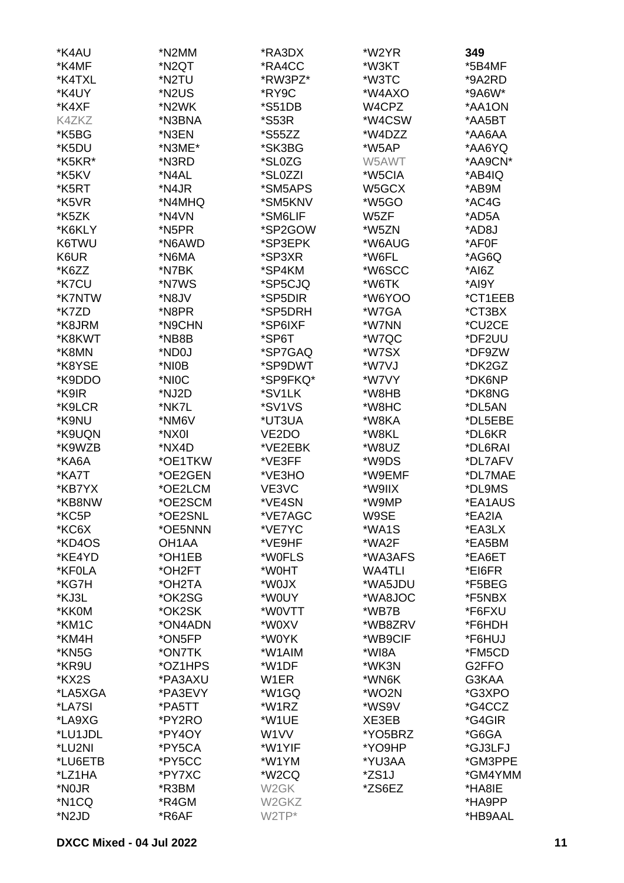| *K4AU              | *N2MM              | *RA3DX             | *W2YR         | 349     |
|--------------------|--------------------|--------------------|---------------|---------|
| *K4MF              | *N <sub>2</sub> QT | *RA4CC             | *W3KT         | *5B4MF  |
| *K4TXL             | *N2TU              | *RW3PZ*            | *W3TC         | *9A2RD  |
| *K4UY              | *N2US              | *RY9C              | *W4AXO        | *9A6W*  |
| *K4XF              | *N2WK              | *S51DB             | W4CPZ         | *AA1ON  |
| K4ZKZ              | *N3BNA             | *S53R              | *W4CSW        | *AA5BT  |
| *K5BG              | *N3EN              | *S55ZZ             | *W4DZZ        | *AA6AA  |
| *K5DU              | *N3ME*             | *SK3BG             | *W5AP         | *AA6YQ  |
| *K5KR*             | *N3RD              | *SL0ZG             | W5AWT         | *AA9CN* |
| *K5KV              | *N4AL              | *SL0ZZI            | *W5CIA        | *AB4IQ  |
| *K5RT              | *N4JR              | *SM5APS            | W5GCX         | *AB9M   |
| *K5VR              | *N4MHQ             | *SM5KNV            | *W5GO         | *AC4G   |
| *K5ZK              | *N4VN              | *SM6LIF            | W5ZF          | *AD5A   |
| *K6KLY             | *N5PR              | *SP2GOW            | *W5ZN         | *AD8J   |
| K6TWU              | *N6AWD             | *SP3EPK            | *W6AUG        | *AF0F   |
| K6UR               | *N6MA              | *SP3XR             | *W6FL         | *AG6Q   |
| *K6ZZ              | *N7BK              | *SP4KM             | *W6SCC        | *AI6Z   |
| *K7CU              | *N7WS              | *SP5CJQ            | *W6TK         | *AI9Y   |
| *K7NTW             | *N8JV              | *SP5DIR            | *W6YOO        | *CT1EEB |
| *K7ZD              | *N8PR              | *SP5DRH            | *W7GA         | *CT3BX  |
| *K8JRM             | *N9CHN             | *SP6IXF            | *W7NN         | *CU2CE  |
| *K8KWT             | *NB8B              |                    | *W7QC         |         |
|                    |                    | *SP6T              |               | *DF2UU  |
| *K8MN              | *ND0J              | *SP7GAQ            | *W7SX         | *DF9ZW  |
| *K8YSE             | *NI0B              | *SP9DWT            | *W7VJ         | *DK2GZ  |
| *K9DDO             | *NIOC              | *SP9FKQ*           | *W7VY         | *DK6NP  |
| *K9IR              | *NJ2D              | *SV1LK             | *W8HB         | *DK8NG  |
| *K9LCR             | *NK7L              | *SV1VS             | *W8HC         | *DL5AN  |
| *K9NU              | *NM6V              | *UT3UA             | *W8KA         | *DL5EBE |
| *K9UQN             | *NX0I              | VE <sub>2</sub> DO | *W8KL         | *DL6KR  |
| *K9WZB             | *NX4D              | *VE2EBK            | *W8UZ         | *DL6RAI |
| *KA6A              | *OE1TKW            | *VE3FF             | *W9DS         | *DL7AFV |
| *KA7T              | *OE2GEN            | *VE3HO             | *W9EMF        | *DL7MAE |
| *KB7YX             | *OE2LCM            | VE3VC              | *W9IIX        | *DL9MS  |
| *KB8NW             | *OE2SCM            | *VE4SN             | *W9MP         | *EA1AUS |
| *KC5P              | *OE2SNL            | *VE7AGC            | W9SE          | *EA2IA  |
| *KC6X              | *OE5NNN            | *VE7YC             | *WA1S         | *EA3LX  |
| *KD4OS             | OH <sub>1</sub> AA | *VE9HF             | *WA2F         | *EA5BM  |
| *KE4YD             | *OH1EB             | *W0FLS             | *WA3AFS       | *EA6ET  |
| *KF0LA             | *OH2FT             | *W0HT              | <b>WA4TLI</b> | *EI6FR  |
| *KG7H              | *OH2TA             | *W0JX              | *WA5JDU       | *F5BEG  |
| *KJ3L              | *OK2SG             | *W0UY              | *WA8JOC       | *F5NBX  |
| *KK0M              | *OK2SK             | *W0VTT             | *WB7B         | *F6FXU  |
| *KM1C              | *ON4ADN            | *W0XV              | *WB8ZRV       | *F6HDH  |
| *KM4H              | *ON5FP             | *W0YK              | *WB9CIF       | *F6HUJ  |
| *KN5G              | *ON7TK             | *W1AIM             | *WI8A         | *FM5CD  |
| *KR9U              | *OZ1HPS            | *W1DF              | *WK3N         | G2FFO   |
| *KX2S              | *PA3AXU            | W1ER               | *WN6K         | G3KAA   |
| *LA5XGA            | *PA3EVY            | *W1GQ              | *WO2N         | *G3XPO  |
| *LA7SI             | *PA5TT             | *W1RZ              | *WS9V         | *G4CCZ  |
| *LA9XG             | *PY2RO             | *W1UE              | XE3EB         | *G4GIR  |
| *LU1JDL            | *PY4OY             | W <sub>1</sub> VV  | *YO5BRZ       | *G6GA   |
| *LU2NI             | *PY5CA             | *W1YIF             | *YO9HP        | *GJ3LFJ |
| *LU6ETB            | *PY5CC             | *W1YM              | *YU3AA        | *GM3PPE |
| *LZ1HA             | *PY7XC             | *W2CQ              | *ZS1J         | *GM4YMM |
| *N <sub>0</sub> JR | *R3BM              | W <sub>2</sub> GK  | *ZS6EZ        | *HA8IE  |
| *N1CQ              | *R4GM              | W <sub>2</sub> GKZ |               | *HA9PP  |
| *N <sub>2</sub> JD | *R6AF              | W2TP*              |               | *HB9AAL |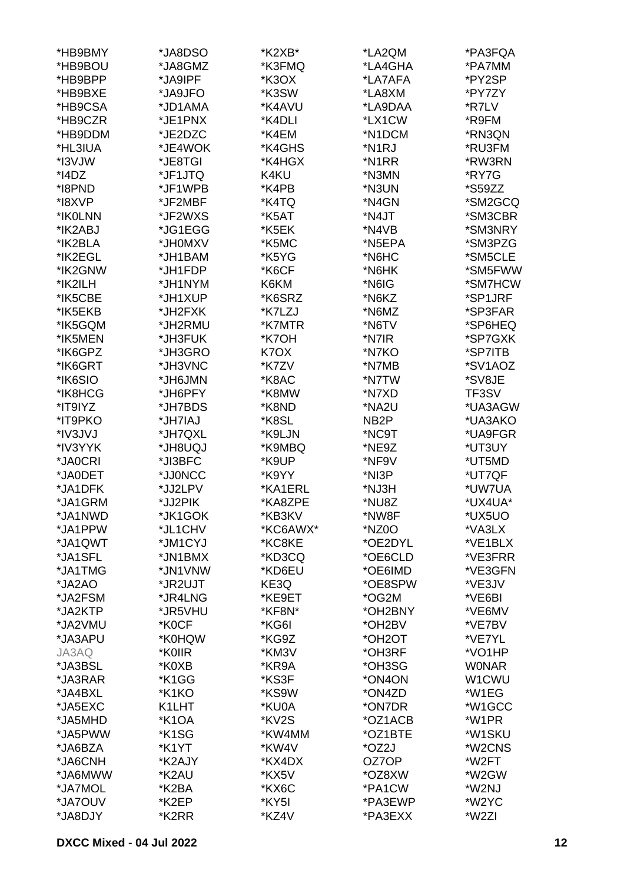| *HB9BMY  | *JA8DSO            | *K2XB*   | *LA2QM              | *PA3FQA      |
|----------|--------------------|----------|---------------------|--------------|
| *HB9BOU  | *JA8GMZ            | *K3FMQ   | *LA4GHA             | *PA7MM       |
| *HB9BPP  | *JA9IPF            | *K3OX    | *LA7AFA             | *PY2SP       |
|          |                    | *K3SW    | *LA8XM              |              |
| *HB9BXE  | *JA9JFO            |          |                     | *PY7ZY       |
| *HB9CSA  | *JD1AMA            | *K4AVU   | *LA9DAA             | *R7LV        |
| *HB9CZR  | *JE1PNX            | *K4DLI   | *LX1CW              | *R9FM        |
| *HB9DDM  | *JE2DZC            | *K4EM    | *N1DCM              | *RN3QN       |
| *HL3IUA  | *JE4WOK            | *K4GHS   | *N <sub>1</sub> RJ  | *RU3FM       |
| *I3VJW   | *JE8TGI            | *K4HGX   | *N1RR               | *RW3RN       |
| $*$ I4DZ | *JF1JTQ            | K4KU     | *N3MN               | *RY7G        |
| *I8PND   | *JF1WPB            | *K4PB    | *N3UN               | *S59ZZ       |
| *18XVP   | *JF2MBF            | *K4TQ    | *N4GN               | *SM2GCQ      |
| *IK0LNN  | *JF2WXS            | *K5AT    | *N4JT               | *SM3CBR      |
| *IK2ABJ  | *JG1EGG            | *K5EK    | *N4VB               | *SM3NRY      |
| *IK2BLA  | *JH0MXV            | *K5MC    | *N5EPA              | *SM3PZG      |
| *IK2EGL  | *JH1BAM            | *K5YG    | *N6HC               | *SM5CLE      |
| *IK2GNW  | *JH1FDP            | *K6CF    | *N6HK               | *SM5FWW      |
| *IK2ILH  | *JH1NYM            | K6KM     | *N6IG               | *SM7HCW      |
| *IK5CBE  | *JH1XUP            | *K6SRZ   | *N6KZ               | *SP1JRF      |
| *IK5EKB  |                    | *K7LZJ   | *N6MZ               | *SP3FAR      |
|          | *JH2FXK            |          |                     |              |
| *IK5GQM  | *JH2RMU            | *K7MTR   | *N6TV               | *SP6HEQ      |
| *IK5MEN  | *JH3FUK            | *K7OH    | *N7IR               | *SP7GXK      |
| *IK6GPZ  | *JH3GRO            | K7OX     | *N7KO               | *SP7ITB      |
| *IK6GRT  | *JH3VNC            | *K7ZV    | *N7MB               | *SV1AOZ      |
| *IK6SIO  | *JH6JMN            | *K8AC    | *N7TW               | *SV8JE       |
| *IK8HCG  | *JH6PFY            | *K8MW    | *N7XD               | TF3SV        |
| *IT9IYZ  | *JH7BDS            | *K8ND    | *NA2U               | *UA3AGW      |
| *IT9PKO  | *JH7IAJ            | *K8SL    | NB <sub>2</sub> P   | *UA3AKO      |
| *IV3JVJ  | *JH7QXL            | *K9LJN   | *NC9T               | *UA9FGR      |
| *IV3YYK  | <b>LQU8HL*</b>     | *K9MBQ   | *NE9Z               | *UT3UY       |
| *JA0CRI  | *JI3BFC            | *K9UP    | *NF9V               | *UT5MD       |
| *JA0DET  | *JJ0NCC            | *K9YY    | *NI3P               | *UT7QF       |
| *JA1DFK  | *JJ2LPV            | *KA1ERL  | *NJ3H               | *UW7UA       |
| *JA1GRM  | *JJ2PIK            | *KA8ZPE  | *NU8Z               | *UX4UA*      |
| *JA1NWD  | *JK1GOK            | *KB3KV   | *NW8F               | *UX5UO       |
| *JA1PPW  | *JL1CHV            | *KC6AWX* | *NZ0O               | *VA3LX       |
| *JA1QWT  | *JM1CYJ            | *KC8KE   | *OE2DYL             | *VE1BLX      |
| *JA1SFL  | *JN1BMX            | *KD3CQ   | *OE6CLD             | *VE3FRR      |
| *JA1TMG  | *JN1VNW            | *KD6EU   | *OE6IMD             | *VE3GFN      |
| *JA2AO   | *JR2UJT            | KE3Q     | *OE8SPW             | *VE3JV       |
| *JA2FSM  | *JR4LNG            | *KE9ET   | *OG2M               | *VE6BI       |
| *JA2KTP  | *JR5VHU            | *KF8N*   | *OH2BNY             | *VE6MV       |
| *JA2VMU  | *K0CF              | *KG6I    | *OH2BV              | *VE7BV       |
| *JA3APU  | *K0HQW             | *KG9Z    | *OH <sub>2</sub> OT | *VE7YL       |
| JA3AQ    | *K0IIR             | *KM3V    | *OH3RF              | *VO1HP       |
| *JA3BSL  | *K0XB              | *KR9A    | *OH3SG              | <b>WONAR</b> |
| *JA3RAR  | *K1GG              | *KS3F    | *ON4ON              | W1CWU        |
|          | *K1KO              | *KS9W    | *ON4ZD              | *W1EG        |
| *JA4BXL  |                    |          |                     |              |
| *JA5EXC  | K1LHT              | *KU0A    | *ON7DR              | *W1GCC       |
| *JA5MHD  | *K <sub>1</sub> OA | *KV2S    | *OZ1ACB             | *W1PR        |
| *JA5PWW  | *K1SG              | *KW4MM   | *OZ1BTE             | *W1SKU       |
| *JA6BZA  | *K1YT              | *KW4V    | *OZ2J               | *W2CNS       |
| *JA6CNH  | *K2AJY             | *KX4DX   | OZ7OP               | *W2FT        |
| *JA6MWW  | *K2AU              | *KX5V    | *OZ8XW              | *W2GW        |
| *JA7MOL  | *K2BA              | *KX6C    | *PA1CW              | *W2NJ        |
| *JA7OUV  | *K2EP              | *KY5I    | *PA3EWP             | *W2YC        |
| *JA8DJY  | *K2RR              | *KZ4V    | *PA3EXX             | *W2ZI        |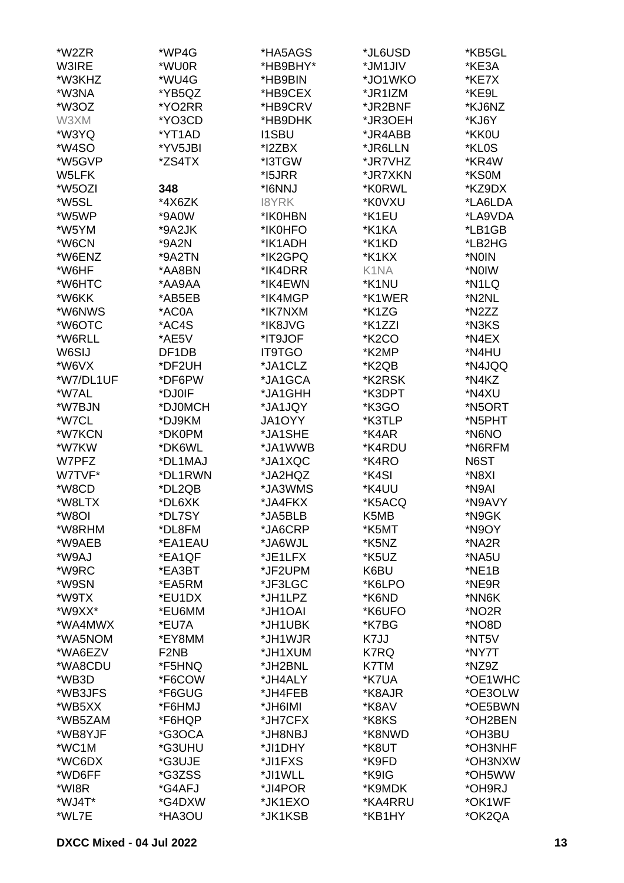| *W2ZR     | *WP4G                         | *HA5AGS       | *JL6USD            | *KB5GL  |
|-----------|-------------------------------|---------------|--------------------|---------|
| W3IRE     | *WU0R                         | *HB9BHY*      | *JM1JIV            | *KE3A   |
| *W3KHZ    | *WU4G                         | *HB9BIN       | *JO1WKO            | *KE7X   |
| *W3NA     | *YB5QZ                        | *HB9CEX       | *JR1IZM            | *KE9L   |
| *W3OZ     | *YO2RR                        | *HB9CRV       | *JR2BNF            | *KJ6NZ  |
| W3XM      | *YO3CD                        | *HB9DHK       | *JR3OEH            | *KJ6Y   |
| *W3YQ     | *YT1AD                        | <b>I1SBU</b>  | *JR4ABB            | *KK0U   |
| *W4SO     | *YV5JBI                       | *I2ZBX        | *JR6LLN            | *KL0S   |
| *W5GVP    | *ZS4TX                        | *I3TGW        | *JR7VHZ            | *KR4W   |
| W5LFK     |                               | *15JRR        | *JR7XKN            | *KS0M   |
| *W5OZI    | 348                           | *I6NNJ        | *K0RWL             | *KZ9DX  |
| *W5SL     | *4X6ZK                        | 18YRK         | *K0VXU             | *LA6LDA |
| *W5WP     | *9A0W                         | *IK0HBN       | *K1EU              | *LA9VDA |
| *W5YM     | *9A2JK                        | *IK0HFO       | *K1KA              | *LB1GB  |
| *W6CN     | *9A2N                         | *IK1ADH       | *K1KD              | *LB2HG  |
| *W6ENZ    | *9A2TN                        | *IK2GPQ       | *K1KX              | *N0IN   |
| *W6HF     | *AA8BN                        | *IK4DRR       | K1NA               | *NOIW   |
| *W6HTC    | *AA9AA                        | *IK4EWN       | *K1NU              | *N1LQ   |
| *W6KK     | *AB5EB                        | *IK4MGP       |                    | *N2NL   |
|           |                               |               | *K1WER             |         |
| *W6NWS    | *AC0A                         | *IK7NXM       | *K1ZG              | *N2ZZ   |
| *W6OTC    | *AC4S                         | *IK8JVG       | *K1ZZI             | *N3KS   |
| *W6RLL    | *AE5V                         | *IT9JOF       | *K <sub>2</sub> CO | *N4EX   |
| W6SIJ     | DF1DB                         | <b>IT9TGO</b> | *K2MP              | *N4HU   |
| *W6VX     | *DF2UH                        | *JA1CLZ       | *K2QB              | *N4JQQ  |
| *W7/DL1UF | *DF6PW                        | *JA1GCA       | *K2RSK             | *N4KZ   |
| *W7AL     | *DJ0IF                        | *JA1GHH       | *K3DPT             | *N4XU   |
| *W7BJN    | *DJ0MCH                       | *JA1JQY       | *K3GO              | *N5ORT  |
| *W7CL     | *DJ9KM                        | JA1OYY        | *K3TLP             | *N5PHT  |
| *W7KCN    | *DK0PM                        | *JA1SHE       | *K4AR              | *N6NO   |
| *W7KW     | *DK6WL                        | *JA1WWB       | *K4RDU             | *N6RFM  |
| W7PFZ     | *DL1MAJ                       | *JA1XQC       | *K4RO              | N6ST    |
| W7TVF*    | *DL1RWN                       | *JA2HQZ       | *K4SI              | *N8XI   |
| *W8CD     | *DL2QB                        | *JA3WMS       | *K4UU              | *N9AI   |
| *W8LTX    | *DL6XK                        | *JA4FKX       | *K5ACQ             | *N9AVY  |
| *W8OI     | *DL7SY                        | *JA5BLB       | K5MB               | *N9GK   |
| *W8RHM    | *DL8FM                        | *JA6CRP       | *K5MT              | *N9OY   |
| *W9AEB    | *EA1EAU                       | *JA6WJL       | *K5NZ              | *NA2R   |
| *W9AJ     | *EA1QF                        | *JE1LFX       | *K5UZ              | *NA5U   |
| *W9RC     | *EA3BT                        | *JF2UPM       | K6BU               | *NE1B   |
| *W9SN     | *EA5RM                        | *JF3LGC       | *K6LPO             | *NE9R   |
| *W9TX     | *EU1DX                        | *JH1LPZ       | *K6ND              | *NN6K   |
| *W9XX*    | *EU6MM                        | *JH1OAI       | *K6UFO             | *NO2R   |
| *WA4MWX   | *EU7A                         | *JH1UBK       | *K7BG              | *NO8D   |
| *WA5NOM   | *EY8MM                        | *JH1WJR       | K7JJ               | *NT5V   |
| *WA6EZV   | F <sub>2</sub> N <sub>B</sub> | *JH1XUM       | K7RQ               | *NY7T   |
| *WA8CDU   | *F5HNQ                        | *JH2BNL       | K7TM               | *NZ9Z   |
| *WB3D     | *F6COW                        | *JH4ALY       | *K7UA              | *OE1WHC |
| *WB3JFS   | *F6GUG                        | *JH4FEB       | *K8AJR             | *OE3OLW |
| *WB5XX    | *F6HMJ                        | *JH6IMI       | *K8AV              | *OE5BWN |
| *WB5ZAM   | *F6HQP                        | *JH7CFX       | *K8KS              | *OH2BEN |
| *WB8YJF   | *G3OCA                        | *JH8NBJ       | *K8NWD             | *OH3BU  |
| *WC1M     | *G3UHU                        | *JI1DHY       | *K8UT              | *OH3NHF |
| *WC6DX    | *G3UJE                        | *JI1FXS       | *K9FD              | *OH3NXW |
| *WD6FF    | *G3ZSS                        | *JI1WLL       | *K9IG              | *OH5WW  |
| *WI8R     | *G4AFJ                        | *JI4POR       | *K9MDK             | *OH9RJ  |
| *WJ4T*    | *G4DXW                        | *JK1EXO       | *KA4RRU            | *OK1WF  |
| *WL7E     | *HA3OU                        | *JK1KSB       | *KB1HY             | *OK2QA  |
|           |                               |               |                    |         |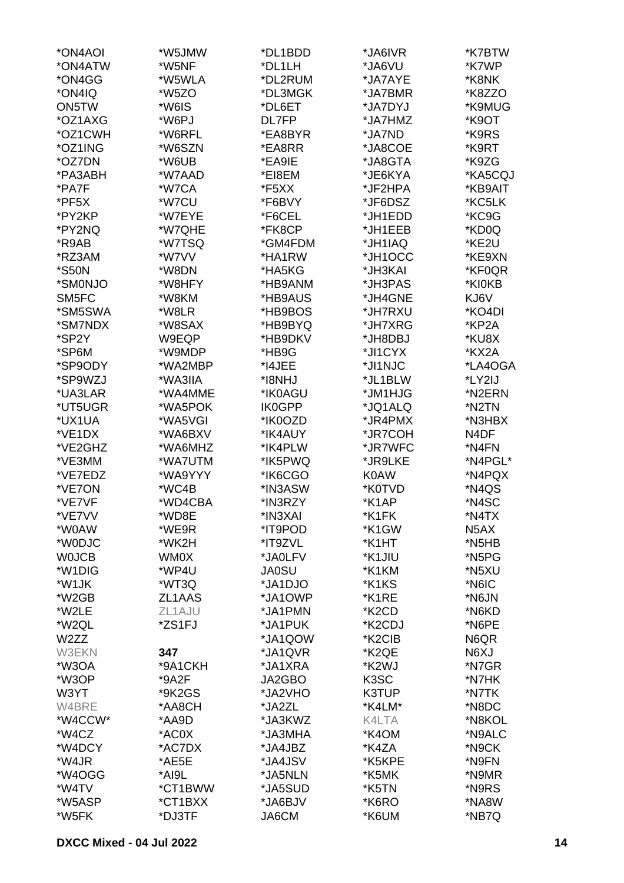| *ON4AOI      | *W5JMW  | *DL1BDD       | *JA6IVR             | *K7BTW            |
|--------------|---------|---------------|---------------------|-------------------|
| *ON4ATW      | *W5NF   | *DL1LH        | *JA6VU              | *K7WP             |
| *ON4GG       | *W5WLA  | *DL2RUM       | *JA7AYE             | *K8NK             |
| *ON4IQ       | *W5ZO   | *DL3MGK       | *JA7BMR             | *K8ZZO            |
| ON5TW        | *W6IS   | *DL6ET        | *JA7DYJ             | *K9MUG            |
| *OZ1AXG      | *W6PJ   | DL7FP         | *JA7HMZ             | *K9OT             |
| *OZ1CWH      | *W6RFL  | *EA8BYR       | *JA7ND              | *K9RS             |
| *OZ1ING      | *W6SZN  | *EA8RR        | *JA8COE             | *K9RT             |
| *OZ7DN       | *W6UB   | *EA9IE        | *JA8GTA             | *K9ZG             |
| *PA3ABH      | *W7AAD  | *EI8EM        | *JE6KYA             | *KA5CQJ           |
| *PA7F        | *W7CA   | *F5XX         | *JF2HPA             | *KB9AIT           |
| *PF5X        | *W7CU   | *F6BVY        | *JF6DSZ             | *KC5LK            |
| *PY2KP       | *W7EYE  | *F6CEL        | *JH1EDD             | *KC9G             |
| *PY2NQ       | *W7QHE  | *FK8CP        | *JH1EEB             | *KD0Q             |
| *R9AB        | *W7TSQ  | *GM4FDM       | *JH1IAQ             | *KE2U             |
| *RZ3AM       | *W7VV   | *HA1RW        | *JH1OCC             | *KE9XN            |
| *S50N        | *W8DN   |               |                     |                   |
|              |         | *HA5KG        | *JH3KAI             | *KF0QR            |
| *SM0NJO      | *W8HFY  | *HB9ANM       | *JH3PAS             | *KI0KB            |
| SM5FC        | *W8KM   | *HB9AUS       | *JH4GNE             | KJ6V              |
| *SM5SWA      | *W8LR   | *HB9BOS       | *JH7RXU             | *KO4DI            |
| *SM7NDX      | *W8SAX  | *HB9BYQ       | *JH7XRG             | *KP2A             |
| *SP2Y        | W9EQP   | *HB9DKV       | *JH8DBJ             | *KU8X             |
| *SP6M        | *W9MDP  | *HB9G         | *JI1CYX             | *KX2A             |
| *SP9ODY      | *WA2MBP | *I4JEE        | *JI1NJC             | *LA4OGA           |
| *SP9WZJ      | *WA3IIA | *I8NHJ        | *JL1BLW             | *LY2IJ            |
| *UA3LAR      | *WA4MME | *IK0AGU       | *JM1HJG             | *N2ERN            |
| *UT5UGR      | *WA5POK | <b>IK0GPP</b> | *JQ1ALQ             | *N2TN             |
| *UX1UA       | *WA5VGI | *IK0OZD       | *JR4PMX             | *N3HBX            |
| *VE1DX       | *WA6BXV | *IK4AUY       | *JR7COH             | N <sub>4</sub> DF |
| *VE2GHZ      | *WA6MHZ | *IK4PLW       | *JR7WFC             | *N4FN             |
| *VE3MM       | *WA7UTM | *IK5PWQ       | *JR9LKE             | *N4PGL*           |
| *VE7EDZ      | *WA9YYY | *IK6CGO       | <b>K0AW</b>         | *N4PQX            |
| *VE7ON       | *WC4B   | *IN3ASW       | *K0TVD              | *N4QS             |
| *VE7VF       | *WD4CBA | *IN3RZY       | *K1AP               | *N4SC             |
| *VE7VV       | *WD8E   | *IN3XAI       | *K1FK               | *N4TX             |
| *W0AW        | *WE9R   | *IT9POD       | *K1GW               | N <sub>5</sub> AX |
| *W0DJC       | *WK2H   | *IT9ZVL       | *K1HT               | *N5HB             |
| <b>WOJCB</b> | WM0X    | *JA0LFV       | *K1JIU              | *N5PG             |
| *W1DIG       | *WP4U   | <b>JA0SU</b>  | *K1KM               | *N5XU             |
| *W1JK        | *WT3Q   | *JA1DJO       | *K1KS               | *N6IC             |
| *W2GB        | ZL1AAS  | *JA1OWP       | *K1RE               | *N6JN             |
| *W2LE        | ZL1AJU  | *JA1PMN       | *K <sub>2</sub> CD  | *N6KD             |
| *W2QL        | *ZS1FJ  | *JA1PUK       | *K <sub>2</sub> CDJ | *N6PE             |
| W2ZZ         |         | *JA1QOW       | *K2CIB              | N6QR              |
| <b>W3EKN</b> | 347     | *JA1QVR       | *K2QE               | N6XJ              |
| *W3OA        | *9A1CKH | *JA1XRA       | *K2WJ               | *N7GR             |
| *W3OP        | *9A2F   | JA2GBO        | K <sub>3</sub> SC   | *N7HK             |
| W3YT         | *9K2GS  | *JA2VHO       | K3TUP               | *N7TK             |
| W4BRE        | *AA8CH  | *JA2ZL        | *K4LM*              | *N8DC             |
| *W4CCW*      | *AA9D   | *JA3KWZ       | K4LTA               | *N8KOL            |
| *W4CZ        | *AC0X   | *JA3MHA       | *K4OM               | *N9ALC            |
| *W4DCY       | *AC7DX  | *JA4JBZ       | *K4ZA               | *N9CK             |
| *W4JR        | *AE5E   | *JA4JSV       | *K5KPE              | *N9FN             |
| *W4OGG       | *AI9L   | *JA5NLN       | *K5MK               | *N9MR             |
| *W4TV        | *CT1BWW | *JA5SUD       | *K5TN               | *N9RS             |
| *W5ASP       | *CT1BXX | *JA6BJV       | *K6RO               | *NA8W             |
| *W5FK        | *DJ3TF  | JA6CM         | *K6UM               | *NB7Q             |
|              |         |               |                     |                   |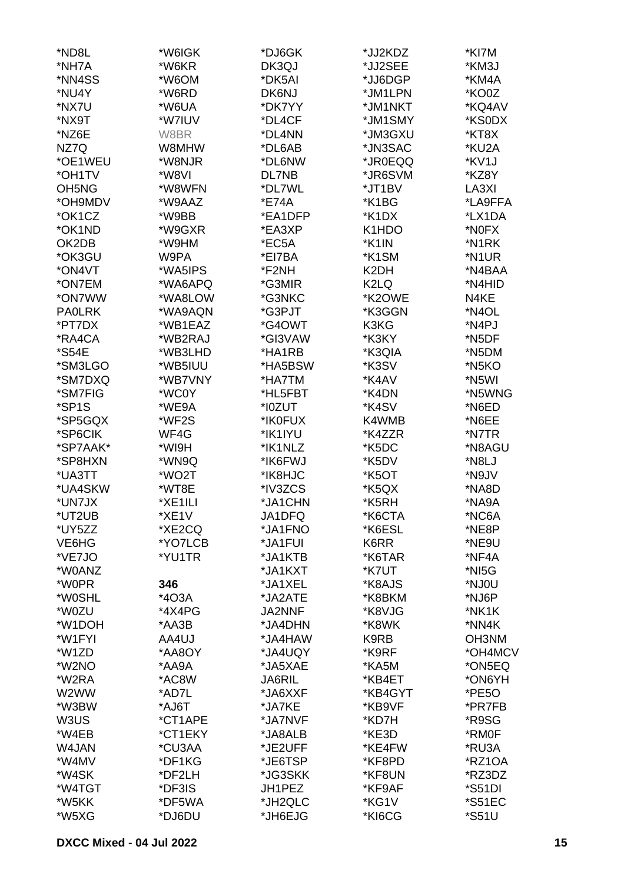| *ND8L                          | *W6IGK  | *DJ6GK        | *JJ2KDZ           | *KI7M               |
|--------------------------------|---------|---------------|-------------------|---------------------|
| *NH7A                          | *W6KR   | DK3QJ         | *JJ2SEE           | *KM3J               |
| *NN4SS                         | *W6OM   | *DK5AI        | *JJ6DGP           | *KM4A               |
| *NU4Y                          | *W6RD   | DK6NJ         | *JM1LPN           | *KO0Z               |
| *NX7U                          | *W6UA   | *DK7YY        | *JM1NKT           | *KQ4AV              |
| *NX9T                          | *W7IUV  | *DL4CF        | *JM1SMY           | *KS0DX              |
| *NZ6E                          | W8BR    | *DL4NN        | *JM3GXU           | *KT8X               |
| NZ7Q                           | W8MHW   | *DL6AB        | *JN3SAC           | *KU2A               |
| *OE1WEU                        | *W8NJR  | *DL6NW        | *JR0EQQ           | *KV1J               |
| *OH1TV                         | *W8VI   | DL7NB         | *JR6SVM           | *KZ8Y               |
| OH <sub>5</sub> N <sub>G</sub> | *W8WFN  | *DL7WL        | *JT1BV            | LA3XI               |
| *OH9MDV                        | *W9AAZ  | *E74A         | *K1BG             | *LA9FFA             |
| *OK1CZ                         | *W9BB   | *EA1DFP       | *K1DX             | *LX1DA              |
| *OK1ND                         | *W9GXR  | *EA3XP        | K1HDO             | *N0FX               |
| OK2DB                          | *W9HM   | *EC5A         | *K1IN             | *N1RK               |
| *OK3GU                         | W9PA    | *EI7BA        | *K1SM             | *N1UR               |
| *ON4VT                         | *WA5IPS | *F2NH         | K <sub>2</sub> DH | *N4BAA              |
| *ON7EM                         | *WA6APQ | *G3MIR        | K <sub>2</sub> LQ | *N4HID              |
| *ON7WW                         | *WA8LOW | *G3NKC        | *K2OWE            | N4KE                |
| <b>PAOLRK</b>                  | *WA9AQN | *G3PJT        | *K3GGN            | *N4OL               |
| *PT7DX                         | *WB1EAZ | *G4OWT        | K3KG              | *N <sub>4</sub> PJ  |
| *RA4CA                         | *WB2RAJ | *GI3VAW       | *K3KY             | *N5DF               |
| *S54E                          | *WB3LHD | *HA1RB        | *K3QIA            | *N5DM               |
| *SM3LGO                        | *WB5IUU | *HA5BSW       | *K3SV             | *N <sub>5</sub> KO  |
| *SM7DXQ                        | *WB7VNY | *HA7TM        | *K4AV             | *N5WI               |
| *SM7FIG                        | *WC0Y   | *HL5FBT       | *K4DN             | *N5WNG              |
| *SP1S                          | *WE9A   | *I0ZUT        | *K4SV             | *N6ED               |
| *SP5GQX                        | *WF2S   | *IK0FUX       | K4WMB             | *N6EE               |
| *SP6CIK                        | WF4G    | *IK1IYU       | *K4ZZR            | *N7TR               |
| *SP7AAK*                       | *WI9H   | *IK1NLZ       | *K5DC             | *N8AGU              |
| *SP8HXN                        | *WN9Q   | *IK6FWJ       | *K5DV             | *N8LJ               |
| *UA3TT                         | *WO2T   | *IK8HJC       | *K5OT             | *N9JV               |
| *UA4SKW                        | *WT8E   | *IV3ZCS       | *K5QX             | *NA8D               |
| *UN7JX                         | *XE1ILI | *JA1CHN       | *K5RH             | *NA9A               |
| *UT2UB                         | *XE1V   | JA1DFQ        | *K6CTA            | *NC6A               |
| *UY5ZZ                         | *XE2CQ  | *JA1FNO       | *K6ESL            | *NE8P               |
| VE6HG                          | *YO7LCB | *JA1FUI       | K6RR              | *NE9U               |
| *VE7JO                         | *YU1TR  | *JA1KTB       | *K6TAR            | *NF4A               |
| *W0ANZ                         |         | *JA1KXT       | *K7UT             | *NI5G               |
| *W0PR                          | 346     | *JA1XEL       | *K8AJS            | *NJ0U               |
| *W0SHL                         | *4O3A   | *JA2ATE       | *K8BKM            | *NJ6P               |
| *W0ZU                          | *4X4PG  | JA2NNF        | *K8VJG            | *NK1K               |
| *W1DOH                         | *AA3B   | *JA4DHN       | *K8WK             | *NN4K               |
| *W1FYI                         | AA4UJ   | *JA4HAW       | K9RB              | OH3NM               |
| *W1ZD                          | *AA8OY  | *JA4UQY       | *K9RF             | *OH4MCV             |
| *W2NO                          | *AA9A   | *JA5XAE       | *KA5M             | *ON5EQ              |
| *W2RA                          | *AC8W   | <b>JA6RIL</b> | *KB4ET            | *ON6YH              |
| W2WW                           | *AD7L   | *JA6XXF       | *KB4GYT           | *PE5O               |
| *W3BW                          | *AJ6T   | *JA7KE        | *KB9VF            | *PR7FB              |
| W3US                           | *CT1APE | *JA7NVF       | *KD7H             | *R9SG               |
| *W4EB                          | *CT1EKY | *JA8ALB       | *KE3D             | *RM0F               |
| W4JAN                          | *CU3AA  | *JE2UFF       | *KE4FW            | *RU3A               |
| *W4MV                          | *DF1KG  | *JE6TSP       | *KF8PD            | *RZ1OA              |
| *W4SK                          | *DF2LH  | *JG3SKK       | *KF8UN            | *RZ3DZ              |
| *W4TGT                         | *DF3IS  | JH1PEZ        | *KF9AF            | *S51DI              |
| *W5KK                          | *DF5WA  | *JH2QLC       | *KG1V             | <i>*</i> S51EC      |
| *W5XG                          | *DJ6DU  | *JH6EJG       | *KI6CG            | <i><b>*S51U</b></i> |
|                                |         |               |                   |                     |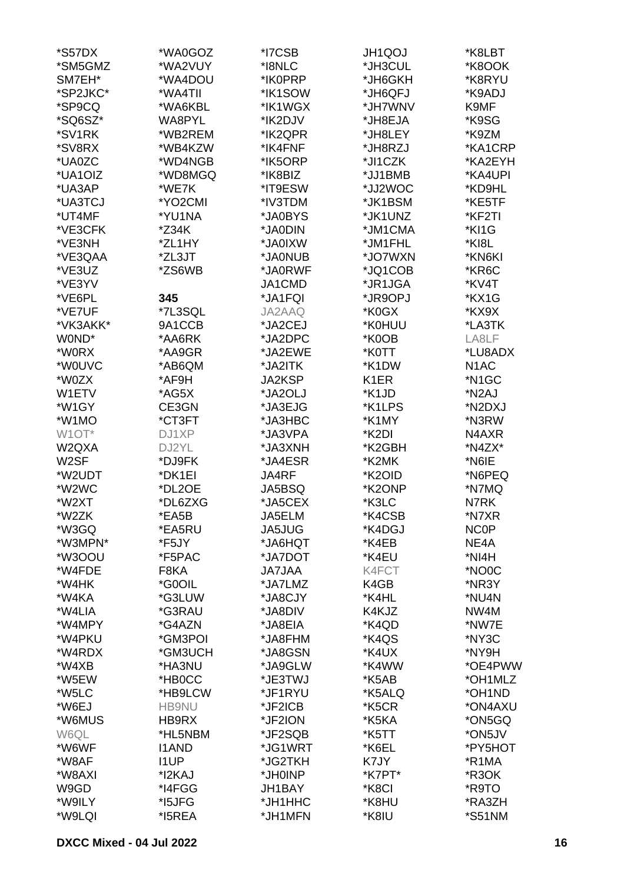| *S57DX            | *WA0GOZ      | *I7CSB        | JH1QOJ            | *K8LBT             |
|-------------------|--------------|---------------|-------------------|--------------------|
| *SM5GMZ           | *WA2VUY      | *I8NLC        | *JH3CUL           | *K8OOK             |
| SM7EH*            | *WA4DOU      | *IK0PRP       | *JH6GKH           | *K8RYU             |
| *SP2JKC*          | *WA4TII      | *IK1SOW       | *JH6QFJ           | *K9ADJ             |
| *SP9CQ            | *WA6KBL      | *IK1WGX       | *JH7WNV           | K9MF               |
|                   |              |               |                   |                    |
| *SQ6SZ*           | WA8PYL       | *IK2DJV       | *JH8EJA           | *K9SG              |
| *SV1RK            | *WB2REM      | *IK2QPR       | *JH8LEY           | *K9ZM              |
| *SV8RX            | *WB4KZW      | *IK4FNF       | *JH8RZJ           | *KA1CRP            |
| *UA0ZC            | *WD4NGB      | *IK5ORP       | *JI1CZK           | *KA2EYH            |
| *UA1OIZ           | *WD8MGQ      | *IK8BIZ       | *JJ1BMB           | *KA4UPI            |
| *UA3AP            | *WE7K        | *IT9ESW       | *JJ2WOC           | *KD9HL             |
| *UA3TCJ           | *YO2CMI      | *IV3TDM       | *JK1BSM           | *KE5TF             |
| *UT4MF            | *YU1NA       | *JA0BYS       | *JK1UNZ           | *KF2TI             |
| *VE3CFK           | *Z34K        | *JA0DIN       | *JM1CMA           | *KI1G              |
| *VE3NH            | *ZL1HY       | *JA0IXW       | *JM1FHL           | *KI8L              |
| *VE3QAA           | *ZL3JT       | *JA0NUB       | *JO7WXN           | *KN6KI             |
| *VE3UZ            | *ZS6WB       | *JA0RWF       | *JQ1COB           | *KR6C              |
| *VE3YV            |              | JA1CMD        | *JR1JGA           | *KV4T              |
| *VE6PL            | 345          | *JA1FQI       | *JR9OPJ           | *KX1G              |
| *VE7UF            | *7L3SQL      | JA2AAQ        | *K0GX             | *KX9X              |
| *VK3AKK*          | 9A1CCB       | *JA2CEJ       | *K0HUU            | *LA3TK             |
| WOND*             | *AA6RK       | *JA2DPC       | *K0OB             | LA8LF              |
| *W0RX             | *AA9GR       | *JA2EWE       | *K0TT             | *LU8ADX            |
| *W0UVC            | *AB6QM       |               | *K1DW             | N <sub>1</sub> AC  |
| *W0ZX             |              | *JA2ITK       |                   |                    |
|                   | *AF9H        | JA2KSP        | K <sub>1</sub> ER | *N1GC              |
| W1ETV             | *AG5X        | *JA2OLJ       | *K1JD             | *N2AJ              |
| *W1GY             | CE3GN        | *JA3EJG       | *K1LPS            | *N2DXJ             |
| *W1MO             | *CT3FT       | *JA3HBC       | *K1MY             | *N3RW              |
| W1OT*             | DJ1XP        | *JA3VPA       | *K2DI             | N4AXR              |
| W2QXA             | DJ2YL        | *JA3XNH       | *K2GBH            | *N4ZX*             |
| W <sub>2</sub> SF | *DJ9FK       | *JA4ESR       | *K2MK             | *N6IE              |
| *W2UDT            | *DK1EI       | JA4RF         | *K2OID            | *N6PEQ             |
| *W2WC             | *DL2OE       | JA5BSQ        | *K2ONP            | *N7MQ              |
| *W2XT             | *DL6ZXG      | *JA5CEX       | *K3LC             | N7RK               |
| *W2ZK             | *EA5B        | JA5ELM        | *K4CSB            | *N7XR              |
| *W3GQ             | *EA5RU       | <b>JA5JUG</b> | *K4DGJ            | <b>NCOP</b>        |
| *W3MPN*           | *F5JY        | *JA6HQT       | *K4EB             | NE4A               |
| *W3OOU            | *F5PAC       | *JA7DOT       | *K4EU             | *NI4H              |
| *W4FDE            | F8KA         | <b>JA7JAA</b> | K4FCT             | *NO <sub>0</sub> C |
| *W4HK             | *G0OIL       | *JA7LMZ       | K4GB              | *NR3Y              |
| *W4KA             | *G3LUW       | *JA8CJY       | *K4HL             | *NU4N              |
| *W4LIA            | *G3RAU       | *JA8DIV       | K4KJZ             | NW4M               |
| *W4MPY            | *G4AZN       | *JA8EIA       | *K4QD             | *NW7E              |
| *W4PKU            | *GM3POI      | *JA8FHM       | *K4QS             | *NY3C              |
| *W4RDX            | *GM3UCH      | *JA8GSN       | *K4UX             | *NY9H              |
| *W4XB             | *HA3NU       | *JA9GLW       | *K4WW             | *OE4PWW            |
| *W5EW             | *HB0CC       | *JE3TWJ       | *K5AB             | *OH1MLZ            |
| *W5LC             | *HB9LCW      | *JF1RYU       | *K5ALQ            | *OH1ND             |
| *W6EJ             | <b>HB9NU</b> | *JF2ICB       | *K5CR             | *ON4AXU            |
| *W6MUS            | HB9RX        | *JF2ION       | *K5KA             | *ON5GQ             |
| W6QL              | *HL5NBM      | *JF2SQB       | *K5TT             | *ON5JV             |
| *W6WF             | <b>I1AND</b> | *JG1WRT       | *K6EL             | *PY5HOT            |
| *W8AF             | <b>I1UP</b>  | *JG2TKH       | K7JY              | *R1MA              |
| *W8AXI            | *I2KAJ       | *JH0INP       | *K7PT*            | *R3OK              |
| W9GD              | *I4FGG       | JH1BAY        | *K8CI             | *R9TO              |
| *W9ILY            | *I5JFG       | *JH1HHC       | *K8HU             | *RA3ZH             |
|                   | *I5REA       |               |                   | *S51NM             |
| *W9LQI            |              | *JH1MFN       | *K8IU             |                    |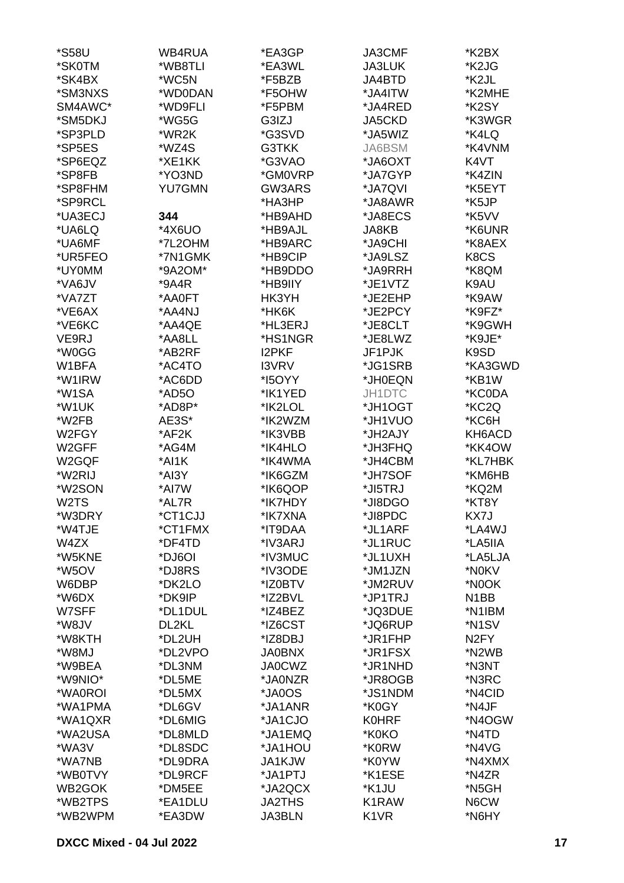| *S58U             | WB4RUA        | *EA3GP        | <b>JA3CMF</b>     | *K2BX                         |
|-------------------|---------------|---------------|-------------------|-------------------------------|
| *SK0TM            | *WB8TLI       | *EA3WL        | <b>JA3LUK</b>     | *K2JG                         |
| *SK4BX            | *WC5N         | *F5BZB        | JA4BTD            | *K2JL                         |
| *SM3NXS           | *WD0DAN       | *F5OHW        | *JA4ITW           | *K2MHE                        |
| SM4AWC*           | *WD9FLI       | *F5PBM        | *JA4RED           | *K2SY                         |
| *SM5DKJ           | *WG5G         | G3IZJ         | JA5CKD            | *K3WGR                        |
| *SP3PLD           | *WR2K         | *G3SVD        | *JA5WIZ           | *K4LQ                         |
|                   |               |               |                   |                               |
| *SP5ES            | *WZ4S         | G3TKK         | JA6BSM            | *K4VNM                        |
| *SP6EQZ           | *XE1KK        | *G3VAO        | *JA6OXT           | K4VT                          |
| *SP8FB            | *YO3ND        | *GM0VRP       | *JA7GYP           | *K4ZIN                        |
| *SP8FHM           | <b>YU7GMN</b> | GW3ARS        | *JA7QVI           | *K5EYT                        |
| *SP9RCL           |               | *HA3HP        | *JA8AWR           | *K5JP                         |
| *UA3ECJ           | 344           | *HB9AHD       | *JA8ECS           | *K5VV                         |
| *UA6LQ            | *4X6UO        | *HB9AJL       | JA8KB             | *K6UNR                        |
| *UA6MF            | *7L2OHM       | *HB9ARC       | *JA9CHI           | *K8AEX                        |
| *UR5FEO           | *7N1GMK       | *HB9CIP       | *JA9LSZ           | K <sub>8</sub> C <sub>S</sub> |
| *UY0MM            | *9A2OM*       | *HB9DDO       | *JA9RRH           | *K8QM                         |
| *VA6JV            | *9A4R         | *HB9IIY       | *JE1VTZ           | K9AU                          |
| *VA7ZT            | *AA0FT        | HK3YH         | *JE2EHP           | *K9AW                         |
| *VE6AX            | *AA4NJ        | *HK6K         | *JE2PCY           | *K9FZ*                        |
| *VE6KC            | *AA4QE        | *HL3ERJ       | *JE8CLT           | *K9GWH                        |
| VE9RJ             | *AA8LL        | *HS1NGR       | *JE8LWZ           | *K9JE*                        |
| *W0GG             | *AB2RF        | <b>I2PKF</b>  | JF1PJK            | K9SD                          |
| W1BFA             | *AC4TO        | <b>I3VRV</b>  | *JG1SRB           | *KA3GWD                       |
| *W1IRW            | *AC6DD        | *I5OYY        | *JH0EQN           | *KB1W                         |
| *W1SA             | *AD5O         | *IK1YED       | JH1DTC            | *KC0DA                        |
| *W1UK             | *AD8P*        | *IK2LOL       | *JH1OGT           | *KC2Q                         |
| *W2FB             | AE3S*         | *IK2WZM       | *JH1VUO           | *KC6H                         |
| W2FGY             | *AF2K         | *IK3VBB       | *JH2AJY           | KH6ACD                        |
| W2GFF             | *AG4M         | *IK4HLO       | *JH3FHQ           | *KK4OW                        |
| W2GQF             | *AI1K         | *IK4WMA       | *JH4CBM           | *KL7HBK                       |
| *W2RIJ            | *AI3Y         | *IK6GZM       | *JH7SOF           | *KM6HB                        |
| *W2SON            | *AI7W         | *IK6QOP       | *JI5TRJ           | *KQ2M                         |
| W <sub>2</sub> TS | *AL7R         | *IK7HDY       | *JI8DGO           | *KT8Y                         |
| *W3DRY            |               |               |                   | KX7J                          |
|                   | *CT1CJJ       | *IK7XNA       | *JI8PDC           |                               |
| *W4TJE<br>W4ZX    | *CT1FMX       | *IT9DAA       | *JL1ARF           | *LA4WJ                        |
|                   | *DF4TD        | *IV3ARJ       | *JL1RUC           | *LA5IIA                       |
| *W5KNE            | *DJ6OI        | *IV3MUC       | *JL1UXH           | *LA5LJA                       |
| *W5OV             | *DJ8RS        | *IV3ODE       | *JM1JZN           | *N0KV                         |
| W6DBP             | *DK2LO        | *IZ0BTV       | *JM2RUV           | *N0OK                         |
| *W6DX             | *DK9IP        | *IZ2BVL       | *JP1TRJ           | N <sub>1</sub> BB             |
| W7SFF             | *DL1DUL       | *IZ4BEZ       | *JQ3DUE           | *N1IBM                        |
| *W8JV             | DL2KL         | *IZ6CST       | *JQ6RUP           | *N <sub>1</sub> SV            |
| *W8KTH            | *DL2UH        | *IZ8DBJ       | *JR1FHP           | N <sub>2</sub> FY             |
| *W8MJ             | *DL2VPO       | <b>JA0BNX</b> | *JR1FSX           | *N2WB                         |
| *W9BEA            | *DL3NM        | <b>JA0CWZ</b> | *JR1NHD           | *N3NT                         |
| *W9NIO*           | *DL5ME        | *JA0NZR       | *JR8OGB           | *N3RC                         |
| *WA0ROI           | *DL5MX        | *JA0OS        | *JS1NDM           | *N4CID                        |
| *WA1PMA           | *DL6GV        | *JA1ANR       | *K0GY             | *N4JF                         |
| *WA1QXR           | *DL6MIG       | *JA1CJO       | <b>K0HRF</b>      | *N4OGW                        |
| *WA2USA           | *DL8MLD       | *JA1EMQ       | *K0KO             | *N4TD                         |
| *WA3V             | *DL8SDC       | *JA1HOU       | *K0RW             | *N4VG                         |
| *WA7NB            | *DL9DRA       | JA1KJW        | *K0YW             | *N4XMX                        |
| *WB0TVY           | *DL9RCF       | *JA1PTJ       | *K1ESE            | *N4ZR                         |
| WB2GOK            | *DM5EE        | *JA2QCX       | *K1JU             | *N5GH                         |
| *WB2TPS           | *EA1DLU       | <b>JA2THS</b> | K1RAW             | N6CW                          |
| *WB2WPM           | *EA3DW        | JA3BLN        | K <sub>1</sub> VR | *N6HY                         |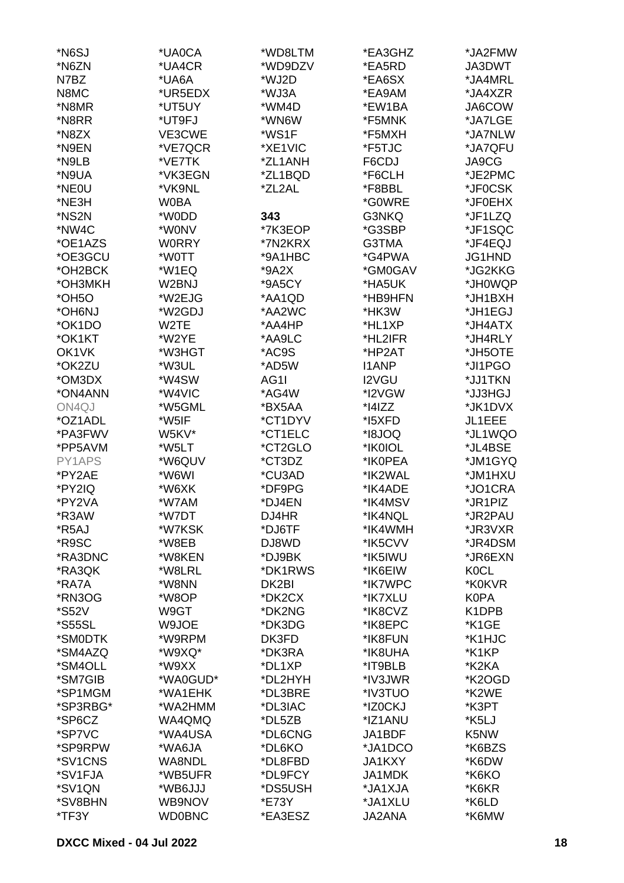| *N <sub>6</sub> SJ   | *UA0CA        | *WD8LTM | *EA3GHZ       | *JA2FMW     |
|----------------------|---------------|---------|---------------|-------------|
| *N6ZN                | *UA4CR        | *WD9DZV | *EA5RD        | JA3DWT      |
| N7BZ                 |               | *WJ2D   | *EA6SX        |             |
|                      | *UA6A         |         |               | *JA4MRL     |
| N8MC                 | *UR5EDX       | *WJ3A   | *EA9AM        | *JA4XZR     |
| *N8MR                | *UT5UY        | *WM4D   | *EW1BA        | JA6COW      |
| *N8RR                | *UT9FJ        | *WN6W   | *F5MNK        | *JA7LGE     |
| *N8ZX                | VE3CWE        | *WS1F   | *F5MXH        | *JA7NLW     |
| *N9EN                | *VE7QCR       | *XE1VIC | *F5TJC        | *JA7QFU     |
| *N9LB                | *VE7TK        | *ZL1ANH | F6CDJ         | JA9CG       |
| *N9UA                | *VK3EGN       | *ZL1BQD | *F6CLH        | *JE2PMC     |
| *NE0U                | *VK9NL        | *ZL2AL  | *F8BBL        | *JF0CSK     |
| *NE3H                | <b>W0BA</b>   |         | *G0WRE        | *JF0EHX     |
| *NS2N                | *W0DD         | 343     | G3NKQ         | *JF1LZQ     |
| *NW4C                | *W0NV         | *7K3EOP | *G3SBP        | *JF1SQC     |
| *OE1AZS              | <b>WORRY</b>  | *7N2KRX | G3TMA         | *JF4EQJ     |
| *OE3GCU              | *W0TT         | *9A1HBC | *G4PWA        | JG1HND      |
| *OH2BCK              | *W1EQ         | $*9A2X$ | *GM0GAV       | *JG2KKG     |
| *OH3MKH              | W2BNJ         | *9A5CY  | *HA5UK        | *JH0WQP     |
| *OH <sub>5</sub> O   | *W2EJG        | *AA1QD  | *HB9HFN       | *JH1BXH     |
| *OH6NJ               | *W2GDJ        | *AA2WC  | *HK3W         | *JH1EGJ     |
| *OK1DO               | W2TE          | *AA4HP  | *HL1XP        | *JH4ATX     |
|                      |               |         |               |             |
| *OK1KT               | *W2YE         | *AA9LC  | *HL2IFR       | *JH4RLY     |
| OK1VK                | *W3HGT        | *AC9S   | *HP2AT        | *JH5OTE     |
| *OK2ZU               | *W3UL         | *AD5W   | <b>I1ANP</b>  | *JI1PGO     |
| *OM3DX               | *W4SW         | AG1I    | I2VGU         | *JJ1TKN     |
| *ON4ANN              | *W4VIC        | *AG4W   | *I2VGW        | *JJ3HGJ     |
| ON4QJ                | *W5GML        | *BX5AA  | $*$ $14$ $ZZ$ | *JK1DVX     |
| *OZ1ADL              | *W5IF         | *CT1DYV | *15XFD        | JL1EEE      |
| *PA3FWV              | W5KV*         | *CT1ELC | *I8JOQ        | *JL1WQO     |
| *PP5AVM              | *W5LT         | *CT2GLO | *IK0IOL       | *JL4BSE     |
| PY1APS               | *W6QUV        | *CT3DZ  | *IK0PEA       | *JM1GYQ     |
| *PY2AE               | *W6WI         | *CU3AD  | *IK2WAL       | *JM1HXU     |
| *PY2IQ               | *W6XK         | *DF9PG  | *IK4ADE       | *JO1CRA     |
| *PY2VA               | *W7AM         | *DJ4EN  | *IK4MSV       | *JR1PIZ     |
| *R3AW                | *W7DT         | DJ4HR   | *IK4NQL       | *JR2PAU     |
| *R <sub>5</sub> AJ   | *W7KSK        | *DJ6TF  | *IK4WMH       | *JR3VXR     |
| *R9SC                | *W8EB         | DJ8WD   | *IK5CVV       | *JR4DSM     |
| *RA3DNC              | *W8KEN        | *DJ9BK  | *IK5IWU       | *JR6EXN     |
| *RA3QK               | *W8LRL        | *DK1RWS | *IK6EIW       | <b>K0CL</b> |
| *RA7A                | *W8NN         | DK2BI   | *IK7WPC       | *K0KVR      |
| *RN3OG               | *W8OP         | *DK2CX  | *IK7XLU       | K0PA        |
| <i><b>*S52V</b></i>  | W9GT          | *DK2NG  | *IK8CVZ       | K1DPB       |
| <i><b>*S55SL</b></i> | W9JOE         | *DK3DG  | *IK8EPC       | *K1GE       |
| *SM0DTK              | *W9RPM        | DK3FD   | *IK8FUN       | *K1HJC      |
| *SM4AZQ              | *W9XQ*        | *DK3RA  | *IK8UHA       | *K1KP       |
| *SM4OLL              | *W9XX         | *DL1XP  | *IT9BLB       | *K2KA       |
| *SM7GIB              | *WA0GUD*      | *DL2HYH | *IV3JWR       | *K2OGD      |
| *SP1MGM              | *WA1EHK       | *DL3BRE | *IV3TUO       | *K2WE       |
| *SP3RBG*             | *WA2HMM       | *DL3IAC | *IZ0CKJ       | *K3PT       |
| *SP6CZ               | WA4QMQ        | *DL5ZB  | *IZ1ANU       | *K5LJ       |
| *SP7VC               | *WA4USA       | *DL6CNG | JA1BDF        | K5NW        |
| *SP9RPW              | *WA6JA        | *DL6KO  | *JA1DCO       | *K6BZS      |
| *SV1CNS              | WA8NDL        | *DL8FBD | JA1KXY        | *K6DW       |
| *SV1FJA              | *WB5UFR       | *DL9FCY | JA1MDK        | *K6KO       |
| *SV1QN               | *WB6JJJ       | *DS5USH | *JA1XJA       | *K6KR       |
| *SV8BHN              | WB9NOV        | *E73Y   | *JA1XLU       | *K6LD       |
| *TF3Y                | <b>WD0BNC</b> | *EA3ESZ | JA2ANA        | *K6MW       |
|                      |               |         |               |             |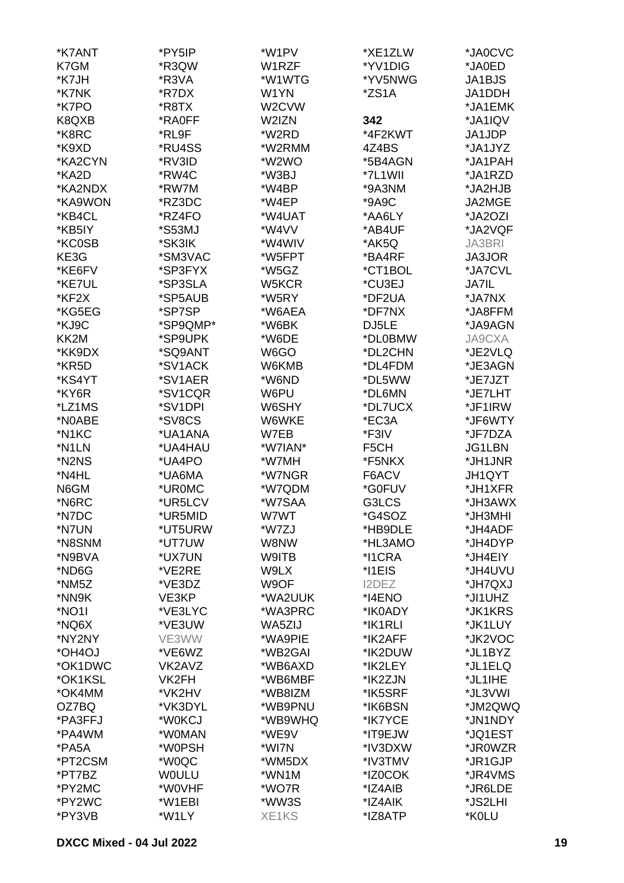| *K7ANT            | *PY5IP       | *W1PV              | *XE1ZLW | *JA0CVC                |
|-------------------|--------------|--------------------|---------|------------------------|
| K7GM              | *R3QW        | W1RZF              | *YV1DIG | *JA0ED                 |
| *K7JH             | *R3VA        | *W1WTG             | *YV5NWG | JA1BJS                 |
| *K7NK             | *R7DX        | W1YN               | *ZS1A   | JA1DDH                 |
| *K7PO             | *R8TX        | W <sub>2</sub> CVW |         | *JA1EMK                |
| K8QXB             | *RA0FF       | W2IZN              | 342     | *JA1IQV                |
| *K8RC             | *RL9F        | *W2RD              | *4F2KWT | JA1JDP                 |
| *K9XD             | *RU4SS       | *W2RMM             | 4Z4BS   | *JA1JYZ                |
| *KA2CYN           | *RV3ID       | *W2WO              | *5B4AGN | *JA1PAH                |
| *KA2D             | *RW4C        | *W3BJ              | *7L1WII | *JA1RZD                |
| *KA2NDX           | *RW7M        | *W4BP              | *9A3NM  | *JA2HJB                |
| *KA9WON           | *RZ3DC       | *W4EP              | *9A9C   | JA2MGE                 |
| *KB4CL            | *RZ4FO       | *W4UAT             | *AA6LY  | *JA2OZI                |
| *KB5IY            | *S53MJ       | *W4VV              | *AB4UF  | *JA2VQF                |
| *KC0SB            | *SK3IK       | *W4WIV             | *AK5Q   | JA3BRI                 |
| KE3G              | *SM3VAC      | *W5FPT             | *BA4RF  | JA3JOR                 |
| *KE6FV            | *SP3FYX      | *W5GZ              | *CT1BOL | *JA7CVL                |
|                   | *SP3SLA      | W5KCR              | *CU3EJ  |                        |
| *KE7UL<br>*KF2X   | *SP5AUB      | *W5RY              | *DF2UA  | <b>JA7IL</b><br>*JA7NX |
|                   |              |                    |         |                        |
| *KG5EG            | *SP7SP       | *W6AEA             | *DF7NX  | *JA8FFM                |
| *KJ9C             | *SP9QMP*     | *W6BK              | DJ5LE   | *JA9AGN                |
| KK <sub>2</sub> M | *SP9UPK      | *W6DE              | *DL0BMW | <b>JA9CXA</b>          |
| *KK9DX            | *SQ9ANT      | W6GO               | *DL2CHN | *JE2VLQ                |
| *KR5D             | *SV1ACK      | W6KMB              | *DL4FDM | *JE3AGN                |
| *KS4YT            | *SV1AER      | *W6ND              | *DL5WW  | *JE7JZT                |
| *KY6R             | *SV1CQR      | W6PU               | *DL6MN  | *JE7LHT                |
| *LZ1MS            | *SV1DPI      | W6SHY              | *DL7UCX | *JF1IRW                |
| *N0ABE            | *SV8CS       | W6WKE              | *EC3A   | *JF6WTY                |
| *N1KC             | *UA1ANA      | W7EB               | *F3IV   | *JF7DZA                |
| *N1LN             | *UA4HAU      | *W7IAN*            | F5CH    | <b>JG1LBN</b>          |
| *N2NS             | *UA4PO       | *W7MH              | *F5NKX  | *JH1JNR                |
| *N4HL             | *UA6MA       | *W7NGR             | F6ACV   | JH1QYT                 |
| N6GM              | *UR0MC       | *W7QDM             | *G0FUV  | *JH1XFR                |
| *N6RC             | *UR5LCV      | *W7SAA             | G3LCS   | *JH3AWX                |
| *N7DC             | *UR5MID      | W7WT               | *G4SOZ  | *JH3MHI                |
| *N7UN             | *UT5URW      | *W7ZJ              | *HB9DLE | *JH4ADF                |
| *N8SNM            | *UT7UW       | W8NW               | *HL3AMO | *JH4DYP                |
| *N9BVA            | *UX7UN       | W9ITB              | *I1CRA  | *JH4EIY                |
| *ND6G             | *VE2RE       | W9LX               | *I1EIS  | *JH4UVU                |
| *NM5Z             | *VE3DZ       | W9OF               | I2DEZ   | *JH7QXJ                |
| *NN9K             | VE3KP        | *WA2UUK            | *I4ENO  | *JI1UHZ                |
| *NO1I             | *VE3LYC      | *WA3PRC            | *IK0ADY | *JK1KRS                |
| *NQ6X             | *VE3UW       | WA5ZIJ             | *IK1RLI | *JK1LUY                |
| *NY2NY            | VE3WW        | *WA9PIE            | *IK2AFF | *JK2VOC                |
| *OH4OJ            | *VE6WZ       | *WB2GAI            | *IK2DUW | *JL1BYZ                |
| *OK1DWC           | VK2AVZ       | *WB6AXD            | *IK2LEY | *JL1ELQ                |
| *OK1KSL           | VK2FH        | *WB6MBF            | *IK2ZJN | *JL1IHE                |
| *OK4MM            | *VK2HV       | *WB8IZM            | *IK5SRF | *JL3VWI                |
| OZ7BQ             | *VK3DYL      | *WB9PNU            | *IK6BSN | *JM2QWQ                |
| *PA3FFJ           | *W0KCJ       | *WB9WHQ            | *IK7YCE | *JN1NDY                |
| *PA4WM            | *W0MAN       | *WE9V              | *IT9EJW | *JQ1EST                |
| *PA5A             | *W0PSH       | *WI7N              | *IV3DXW | *JR0WZR                |
| *PT2CSM           | *W0QC        | *WM5DX             | *IV3TMV | *JR1GJP                |
| *PT7BZ            | <b>WOULU</b> | *WN1M              | *IZ0COK | *JR4VMS                |
| *PY2MC            | *W0VHF       | *WO7R              | *IZ4AIB | *JR6LDE                |
| *PY2WC            | *W1EBI       | *WW3S              | *IZ4AIK | *JS2LHI                |
| *PY3VB            | *W1LY        | XE1KS              | *IZ8ATP | *K0LU                  |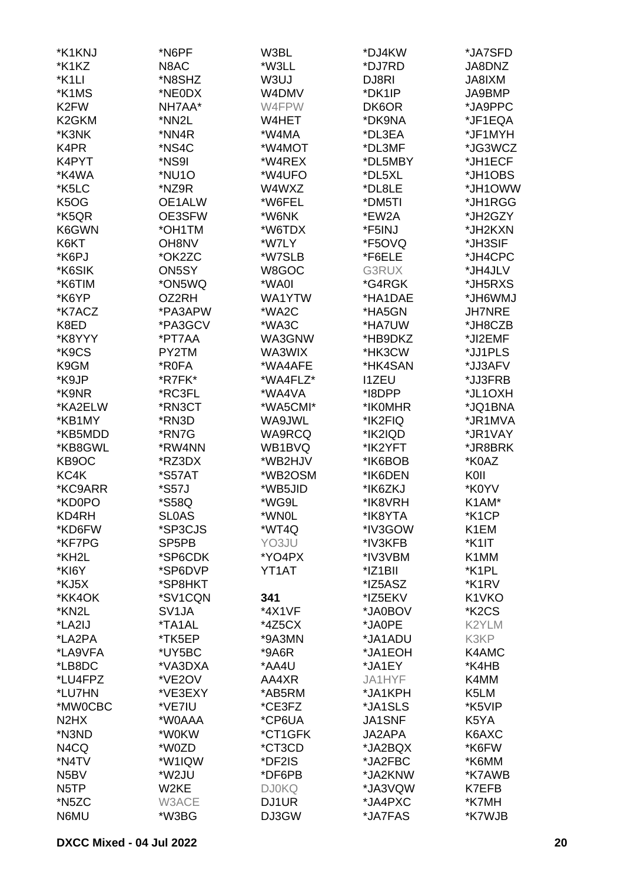| *K1KNJ                        | *N6PF              | W3BL         | *DJ4KW        | *JA7SFD                        |
|-------------------------------|--------------------|--------------|---------------|--------------------------------|
| *K1KZ                         | N8AC               | *W3LL        | *DJ7RD        | JA8DNZ                         |
| *K1LI                         | *N8SHZ             | W3UJ         | DJ8RI         | JA8IXM                         |
| *K1MS                         | *NE0DX             | W4DMV        | *DK1IP        | JA9BMP                         |
| K <sub>2</sub> FW             | NH7AA*             | W4FPW        | DK6OR         | *JA9PPC                        |
| K <sub>2</sub> GKM            |                    |              |               |                                |
|                               | *NN2L              | W4HET        | *DK9NA        | *JF1EQA                        |
| *K3NK                         | *NN4R              | *W4MA        | *DL3EA        | *JF1MYH                        |
| K4PR                          | *NS4C              | *W4MOT       | *DL3MF        | *JG3WCZ                        |
| K4PYT                         | *NS9I              | *W4REX       | *DL5MBY       | *JH1ECF                        |
| *K4WA                         | *NU1O              | *W4UFO       | *DL5XL        | *JH1OBS                        |
| *K5LC                         | *NZ9R              | W4WXZ        | *DL8LE        | *JH1OWW                        |
| K <sub>5</sub> O <sub>G</sub> | OE1ALW             | *W6FEL       | *DM5TI        | *JH1RGG                        |
| *K5QR                         | OE3SFW             | *W6NK        | *EW2A         | *JH2GZY                        |
| K6GWN                         | *OH1TM             | *W6TDX       | *F5INJ        | *JH2KXN                        |
| K6KT                          | <b>OH8NV</b>       | *W7LY        | *F5OVQ        | *JH3SIF                        |
| *K6PJ                         | *OK2ZC             | *W7SLB       | *F6ELE        | *JH4CPC                        |
| *K6SIK                        | ON5SY              | W8GOC        | G3RUX         | *JH4JLV                        |
| *K6TIM                        | *ON5WQ             | *WA0I        | *G4RGK        | *JH5RXS                        |
| *K6YP                         | OZ2RH              | WA1YTW       | *HA1DAE       | *JH6WMJ                        |
| *K7ACZ                        | *PA3APW            | *WA2C        | *HA5GN        | <b>JH7NRE</b>                  |
| K8ED                          | *PA3GCV            | *WA3C        | *HA7UW        | *JH8CZB                        |
| *K8YYY                        | *PT7AA             | WA3GNW       | *HB9DKZ       | *JI2EMF                        |
| *K9CS                         | PY2TM              | WA3WIX       | *HK3CW        | *JJ1PLS                        |
| K9GM                          | *R0FA              | *WA4AFE      | *HK4SAN       | *JJ3AFV                        |
| *K9JP                         | *R7FK*             | *WA4FLZ*     | <b>I1ZEU</b>  | *JJ3FRB                        |
| *K9NR                         | *RC3FL             | *WA4VA       | *I8DPP        | *JL1OXH                        |
| *KA2ELW                       | *RN3CT             | *WA5CMI*     | *IK0MHR       | *JQ1BNA                        |
| *KB1MY                        | *RN3D              | WA9JWL       | *IK2FIQ       | *JR1MVA                        |
| *KB5MDD                       | *RN7G              | WA9RCQ       | *IK2IQD       | *JR1VAY                        |
| *KB8GWL                       | *RW4NN             | WB1BVQ       | *IK2YFT       | *JR8BRK                        |
| KB9OC                         | *RZ3DX             | *WB2HJV      | *IK6BOB       | *K0AZ                          |
| KC4K                          | *S57AT             | *WB2OSM      | *IK6DEN       | KOII                           |
| *KC9ARR                       | *S57J              | *WB5JID      | *IK6ZKJ       | *K0YV                          |
| *KD0PO                        | *S58Q              | *WG9L        | *IK8VRH       | K1AM*                          |
| KD4RH                         | <b>SLOAS</b>       | *WN0L        | *IK8YTA       | *K1CP                          |
| *KD6FW                        | *SP3CJS            | *WT4Q        | *IV3GOW       | K1EM                           |
| *KF7PG                        | SP <sub>5</sub> PB | YO3JU        | *IV3KFB       | *K1IT                          |
|                               |                    |              |               |                                |
| *KH2L                         | *SP6CDK            | *YO4PX       | *IV3VBM       | K1MM                           |
| *KI6Y                         | *SP6DVP            | YT1AT        | *IZ1BII       | *K1PL                          |
| *KJ5X                         | *SP8HKT            |              | *IZ5ASZ       | *K1RV                          |
| *KK4OK                        | *SV1CQN            | 341          | *IZ5EKV       | K1VKO                          |
| *KN2L                         | SV <sub>1</sub> JA | *4X1VF       | *JA0BOV       | *K <sub>2</sub> C <sub>S</sub> |
| *LA2IJ                        | *TA1AL             | *4Z5CX       | *JA0PE        | K2YLM                          |
| *LA2PA                        | *TK5EP             | *9A3MN       | *JA1ADU       | K3KP                           |
| *LA9VFA                       | *UY5BC             | *9A6R        | *JA1EOH       | K4AMC                          |
| *LB8DC                        | *VA3DXA            | *AA4U        | *JA1EY        | *K4HB                          |
| *LU4FPZ                       | *VE2OV             | AA4XR        | JA1HYF        | K4MM                           |
| *LU7HN                        | *VE3EXY            | *AB5RM       | *JA1KPH       | K5LM                           |
| *MW0CBC                       | *VE7IU             | *CE3FZ       | *JA1SLS       | *K5VIP                         |
| N <sub>2</sub> H <sub>X</sub> | *W0AAA             | *CP6UA       | <b>JA1SNF</b> | K5YA                           |
| *N3ND                         | *W0KW              | *CT1GFK      | JA2APA        | K6AXC                          |
| N4CQ                          | *W0ZD              | *CT3CD       | *JA2BQX       | *K6FW                          |
| *N4TV                         | *W1IQW             | *DF2IS       | *JA2FBC       | *K6MM                          |
| N <sub>5</sub> BV             | *W2JU              | *DF6PB       | *JA2KNW       | *K7AWB                         |
| N <sub>5</sub> TP             | W <sub>2</sub> KE  | <b>DJ0KQ</b> | *JA3VQW       | K7EFB                          |
| *N5ZC                         | W3ACE              | DJ1UR        | *JA4PXC       | *K7MH                          |
| N6MU                          | *W3BG              | DJ3GW        | *JA7FAS       | *K7WJB                         |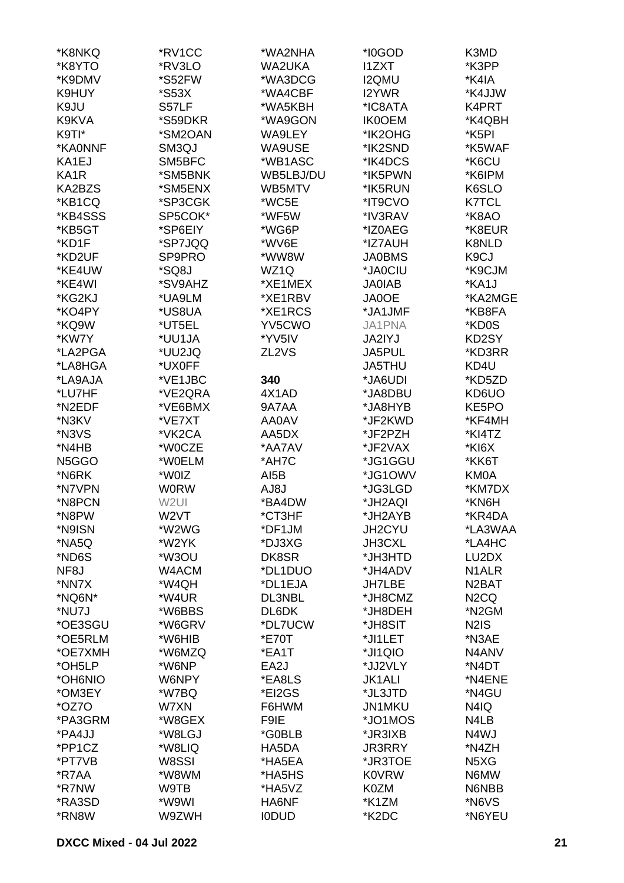| *K8NKQ            | *RV1CC           | *WA2NHA      | *I0GOD        | K3MD               |
|-------------------|------------------|--------------|---------------|--------------------|
| *K8YTO            | *RV3LO           | WA2UKA       | <b>I1ZXT</b>  | *K3PP              |
| *K9DMV            | *S52FW           | *WA3DCG      | <b>I2QMU</b>  | *K4IA              |
| K9HUY             | *S53X            | *WA4CBF      | I2YWR         | *K4JJW             |
|                   |                  |              |               | K4PRT              |
| K9JU              | S57LF            | *WA5KBH      | *IC8ATA       |                    |
| K9KVA             | *S59DKR          | *WA9GON      | <b>IK0OEM</b> | *K4QBH             |
| K9TI*             | *SM2OAN          | WA9LEY       | *IK2OHG       | *K5PI              |
| *KA0NNF           | SM3QJ            | WA9USE       | *IK2SND       | *K5WAF             |
| KA1EJ             | SM5BFC           | *WB1ASC      | *IK4DCS       | *K6CU              |
| KA <sub>1</sub> R | *SM5BNK          | WB5LBJ/DU    | *IK5PWN       | *K6IPM             |
| KA2BZS            | *SM5ENX          | WB5MTV       | *IK5RUN       | K6SLO              |
| *KB1CQ            | *SP3CGK          | *WC5E        | *IT9CVO       | <b>K7TCL</b>       |
| *KB4SSS           | SP5COK*          | *WF5W        | *IV3RAV       | *K8AO              |
| *KB5GT            | *SP6EIY          | *WG6P        | *IZ0AEG       | *K8EUR             |
| *KD1F             | *SP7JQQ          | *WV6E        | *IZ7AUH       | K8NLD              |
| *KD2UF            | SP9PRO           | *WW8W        | <b>JA0BMS</b> | K <sub>9</sub> CJ  |
| *KE4UW            | *SQ8J            | WZ1Q         | *JA0CIU       | *K9CJM             |
| *KE4WI            | *SV9AHZ          | *XE1MEX      | <b>JA0IAB</b> | *KA1J              |
| *KG2KJ            | *UA9LM           | *XE1RBV      | <b>JA0OE</b>  | *KA2MGE            |
| *KO4PY            | *US8UA           | *XE1RCS      | *JA1JMF       | *KB8FA             |
| *KQ9W             | *UT5EL           | YV5CWO       | <b>JA1PNA</b> | *KD0S              |
|                   |                  |              |               |                    |
| *KW7Y             | *UU1JA           | *YV5IV       | JA2IYJ        | KD2SY              |
| *LA2PGA           | *UU2JQ           | ZL2VS        | JA5PUL        | *KD3RR             |
| *LA8HGA           | *UX0FF           |              | <b>JA5THU</b> | KD4U               |
| *LA9AJA           | *VE1JBC          | 340          | *JA6UDI       | *KD5ZD             |
| *LU7HF            | *VE2QRA          | 4X1AD        | *JA8DBU       | KD6UO              |
| *N2EDF            | *VE6BMX          | 9A7AA        | *JA8HYB       | KE5PO              |
| *N3KV             | *VE7XT           | AA0AV        | *JF2KWD       | *KF4MH             |
| *N3VS             | *VK2CA           | AA5DX        | *JF2PZH       | *KI4TZ             |
| *N4HB             | *W0CZE           | *AA7AV       | *JF2VAX       | *KI6X              |
| N5GGO             | *W0ELM           | *AH7C        | *JG1GGU       | *KK6T              |
| *N6RK             | *W0IZ            | AI5B         | *JG1OWV       | <b>KM0A</b>        |
| *N7VPN            | <b>WORW</b>      | L8JA         | *JG3LGD       | *KM7DX             |
| *N8PCN            | W <sub>2UI</sub> | *BA4DW       | *JH2AQI       | *KN6H              |
| *N8PW             | W2VT             | *CT3HF       | *JH2AYB       | *KR4DA             |
| *N9ISN            | *W2WG            | *DF1JM       | JH2CYU        | *LA3WAA            |
| *NA5Q             | *W2YK            | *DJ3XG       | <b>JH3CXL</b> | *LA4HC             |
| *ND6S             | *W3OU            | DK8SR        | *JH3HTD       | LU2DX              |
| NF <sub>8</sub> J | W4ACM            | *DL1DUO      | *JH4ADV       | N <sub>1</sub> ALR |
| *NN7X             | *W4QH            | *DL1EJA      | <b>JH7LBE</b> | N <sub>2</sub> BAT |
| *NQ6N*            | *W4UR            | DL3NBL       | *JH8CMZ       | N <sub>2</sub> CQ  |
| *NU7J             | *W6BBS           | DL6DK        | *JH8DEH       | *N <sub>2</sub> GM |
|                   |                  |              |               |                    |
| *OE3SGU           | *W6GRV           | *DL7UCW      | *JH8SIT       | N <sub>2</sub> IS  |
| *OE5RLM           | *W6HIB           | *E70T        | *JI1LET       | *N3AE              |
| *OE7XMH           | *W6MZQ           | *EA1T        | *JI1QIO       | N4ANV              |
| *OH5LP            | *W6NP            | EA2J         | *JJ2VLY       | *N4DT              |
| *OH6NIO           | W6NPY            | *EA8LS       | <b>JK1ALI</b> | *N4ENE             |
| *OM3EY            | *W7BQ            | *EI2GS       | *JL3JTD       | *N4GU              |
| *OZ70             | W7XN             | F6HWM        | JN1MKU        | N4IQ               |
| *PA3GRM           | *W8GEX           | F9IE         | *JO1MOS       | N4LB               |
| *PA4JJ            | *W8LGJ           | *G0BLB       | *JR3IXB       | N4WJ               |
| *PP1CZ            | *W8LIQ           | HA5DA        | <b>JR3RRY</b> | *N4ZH              |
| *PT7VB            | W8SSI            | *HA5EA       | *JR3TOE       | N5XG               |
| *R7AA             | *W8WM            | *HA5HS       | <b>K0VRW</b>  | N6MW               |
| *R7NW             | W9TB             | *HA5VZ       | K0ZM          | N6NBB              |
| *RA3SD            | *W9WI            | HA6NF        | *K1ZM         | *N6VS              |
| *RN8W             | W9ZWH            | <b>IODUD</b> | *K2DC         | *N6YEU             |
|                   |                  |              |               |                    |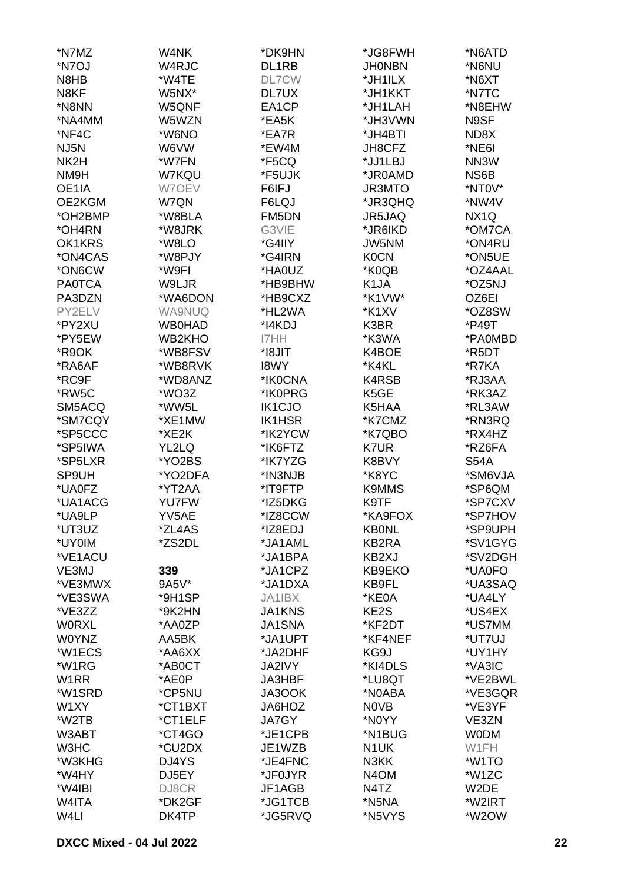| *N7MZ             | W4NK                  | *DK9HN                  | *JG8FWH           | *N6ATD             |
|-------------------|-----------------------|-------------------------|-------------------|--------------------|
| *N7OJ             | W4RJC                 | DL1RB                   | <b>JHONBN</b>     | *N6NU              |
| N8HB              | *W4TE                 | <b>DL7CW</b>            | *JH1ILX           | *N6XT              |
| N8KF              | W5NX*                 | DL7UX                   | *JH1KKT           | *N7TC              |
| *N8NN             | W5QNF                 | EA1CP                   | *JH1LAH           | *N8EHW             |
| *NA4MM            | W5WZN                 | *EA5K                   | *JH3VWN           | N9SF               |
| *NF4C             | *W6NO                 | *EA7R                   | *JH4BTI           | ND8X               |
| NJ <sub>5</sub> N | W6VW                  | *EW4M                   | JH8CFZ            | *NE6I              |
| NK <sub>2</sub> H | *W7FN                 | *F5CQ                   | *JJ1LBJ           | NN3W               |
| NM9H              | W7KQU                 | *F5UJK                  | *JR0AMD           | NS6B               |
| OE1IA             | W7OEV                 | F6IFJ                   | JR3MTO            | *NT0V*             |
| OE2KGM            | W7QN                  | F6LQJ                   | *JR3QHQ           | *NW4V              |
| *OH2BMP           | *W8BLA                | FM5DN                   | JR5JAQ            | NX <sub>1</sub> Q  |
| *OH4RN            | *W8JRK                | G3VIE                   | *JR6IKD           | *OM7CA             |
| OK1KRS            | *W8LO                 | *G4IIY                  | JW5NM             | *ON4RU             |
| *ON4CAS           | *W8PJY                | *G4IRN                  | <b>K0CN</b>       | *ON5UE             |
| *ON6CW            | *W9FI                 | *HA0UZ                  | *K0QB             | *OZ4AAL            |
| <b>PA0TCA</b>     | W9LJR                 | *HB9BHW                 | K <sub>1</sub> JA | *OZ5NJ             |
| PA3DZN            | *WA6DON               | *HB9CXZ                 | *K1VW*            | OZ6EI              |
| PY2ELV            | <b>WA9NUQ</b>         | *HL2WA                  | *K1XV             | *OZ8SW             |
| *PY2XU            | <b>WB0HAD</b>         | *I4KDJ                  | K3BR              | *P49T              |
| *PY5EW            | WB2KHO                | I7HH                    | *K3WA             | *PA0MBD            |
| *R9OK             | *WB8FSV               | *I8JIT                  | K4BOE             | *R5DT              |
| *RA6AF            | *WB8RVK               | <b>I8WY</b>             | *K4KL             | *R7KA              |
| *RC9F             | *WD8ANZ               | *IK0CNA                 | K4RSB             | *RJ3AA             |
| *RW5C             | *WO3Z                 | *IK0PRG                 | K <sub>5</sub> GE | *RK3AZ             |
|                   |                       |                         |                   |                    |
| SM5ACQ            | *WW5L<br>*XE1MW       | IK1CJO<br><b>IK1HSR</b> | K5HAA             | *RL3AW             |
| *SM7CQY           |                       |                         | *K7CMZ            | *RN3RQ             |
| *SP5CCC           | *XE2K                 | *IK2YCW                 | *K7QBO            | *RX4HZ             |
| *SP5IWA           | YL2LQ                 | *IK6FTZ                 | K7UR              | *RZ6FA             |
| *SP5LXR           | *YO2BS                | *IK7YZG                 | K8BVY             | <b>S54A</b>        |
| SP9UH             | *YO2DFA               | *IN3NJB                 | *K8YC             | *SM6VJA<br>*SP6QM  |
| *UA0FZ<br>*UA1ACG | *YT2AA                | *IT9FTP<br>*IZ5DKG      | <b>K9MMS</b>      | *SP7CXV            |
|                   | <b>YU7FW</b><br>YV5AE |                         | K9TF<br>*KA9FOX   | *SP7HOV            |
| *UA9LP            |                       | *IZ8CCW                 |                   |                    |
| *UT3UZ<br>*UY0IM  | *ZL4AS                | *IZ8EDJ                 | <b>KBONL</b>      | *SP9UPH<br>*SV1GYG |
|                   | *ZS2DL                | *JA1AML                 | KB2RA             |                    |
| *VE1ACU           |                       | *JA1BPA                 | KB2XJ             | *SV2DGH            |
| VE3MJ             | 339                   | *JA1CPZ                 | KB9EKO            | *UA0FO             |
| *VE3MWX           | 9A5V*                 | *JA1DXA                 | KB9FL             | *UA3SAQ            |
| *VE3SWA           | *9H1SP                | JA1IBX                  | *KE0A             | *UA4LY             |
| *VE3ZZ            | *9K2HN                | <b>JA1KNS</b>           | KE2S              | *US4EX             |
| <b>WORXL</b>      | *AA0ZP                | <b>JA1SNA</b>           | *KF2DT            | *US7MM             |
| <b>W0YNZ</b>      | AA5BK                 | *JA1UPT                 | *KF4NEF           | *UT7UJ             |
| *W1ECS            | *AA6XX                | *JA2DHF                 | KG9J              | *UY1HY             |
| *W1RG             | *AB0CT                | <b>JA2IVY</b>           | *KI4DLS           | *VA3IC             |
| W <sub>1</sub> RR | *AE0P                 | JA3HBF                  | *LU8QT            | *VE2BWL            |
| *W1SRD            | *CP5NU                | JA3OOK                  | *N0ABA            | *VE3GQR            |
| W1XY              | *CT1BXT               | JA6HOZ                  | <b>NOVB</b>       | *VE3YF             |
| *W2TB             | *CT1ELF               | <b>JA7GY</b>            | *N0YY             | VE3ZN              |
| W3ABT             | *CT4GO                | *JE1CPB                 | *N1BUG            | <b>WODM</b>        |
| W3HC              | *CU2DX                | JE1WZB                  | N <sub>1</sub> UK | W1FH               |
| *W3KHG            | DJ4YS                 | *JE4FNC                 | N3KK              | *W1TO              |
| *W4HY             | DJ5EY                 | *JF0JYR                 | N <sub>4</sub> OM | *W1ZC              |
| *W4IBI            | DJ8CR                 | JF1AGB                  | N4TZ              | W2DE               |
| W4ITA             | *DK2GF                | *JG1TCB                 | *N5NA             | *W2IRT             |
| W4LI              | DK4TP                 | *JG5RVQ                 | *N5VYS            | *W2OW              |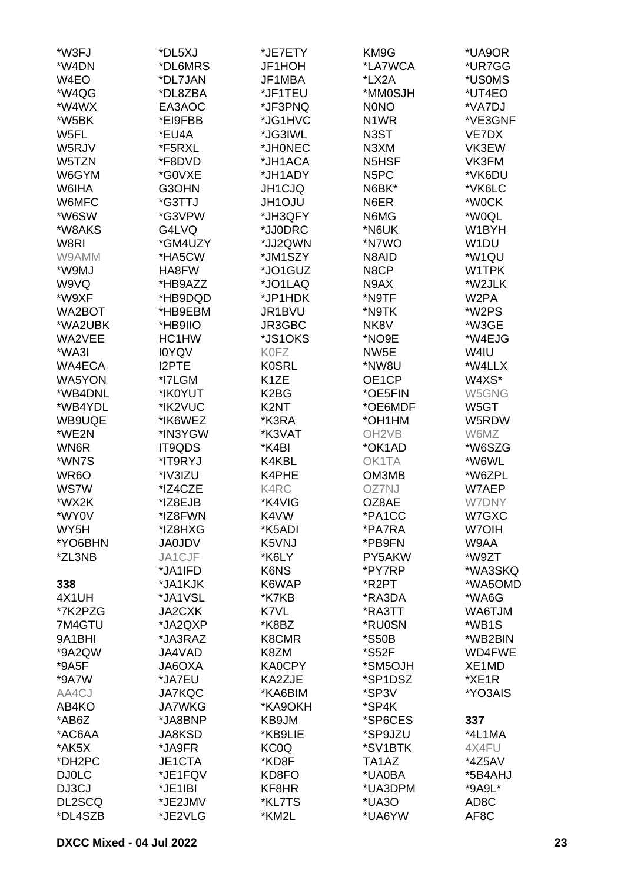| *W3FJ        | *DL5XJ        | *JE7ETY           | KM9G                           | *UA9OR            |
|--------------|---------------|-------------------|--------------------------------|-------------------|
| *W4DN        | *DL6MRS       | JF1HOH            | *LA7WCA                        | *UR7GG            |
| W4EO         | *DL7JAN       | JF1MBA            | *LX2A                          | *US0MS            |
|              |               |                   |                                |                   |
| *W4QG        | *DL8ZBA       | *JF1TEU           | *MM0SJH                        | *UT4EO            |
| *W4WX        | EA3AOC        | *JF3PNQ           | <b>NONO</b>                    | *VA7DJ            |
| *W5BK        | *EI9FBB       | *JG1HVC           | N <sub>1</sub> WR              | *VE3GNF           |
| W5FL         | *EU4A         | *JG3IWL           | N3ST                           | VE7DX             |
| W5RJV        | *F5RXL        | *JH0NEC           | N3XM                           | VK3EW             |
| W5TZN        | *F8DVD        | *JH1ACA           | N <sub>5</sub> H <sub>SF</sub> | VK3FM             |
| W6GYM        | *G0VXE        | *JH1ADY           | N <sub>5</sub> PC              | *VK6DU            |
| W6IHA        | G3OHN         | JH1CJQ            | N6BK*                          | *VK6LC            |
| W6MFC        | *G3TTJ        | <b>JH1OJU</b>     | N6ER                           | *W0CK             |
| *W6SW        | *G3VPW        | *JH3QFY           | N6MG                           | *W0QL             |
| *W8AKS       | G4LVQ         | *JJ0DRC           | *N6UK                          | W1BYH             |
| W8RI         | *GM4UZY       | *JJ2QWN           | *N7WO                          | W1DU              |
| W9AMM        | *HA5CW        | *JM1SZY           | N8AID                          | *W1QU             |
| *W9MJ        | HA8FW         | *JO1GUZ           | N8CP                           | W1TPK             |
|              |               |                   |                                |                   |
| W9VQ         | *HB9AZZ       | *JO1LAQ           | N9AX                           | *W2JLK            |
| *W9XF        | *HB9DQD       | *JP1HDK           | *N9TF                          | W <sub>2</sub> PA |
| WA2BOT       | *HB9EBM       | JR1BVU            | *N9TK                          | *W2PS             |
| *WA2UBK      | *HB9IIO       | JR3GBC            | NK8V                           | *W3GE             |
| WA2VEE       | HC1HW         | *JS1OKS           | *NO9E                          | *W4EJG            |
| *WA3I        | <b>IOYQV</b>  | <b>K0FZ</b>       | NW <sub>5</sub> E              | W4IU              |
| WA4ECA       | <b>I2PTE</b>  | <b>K0SRL</b>      | *NW8U                          | *W4LLX            |
| WA5YON       | *I7LGM        | K <sub>1</sub> ZE | OE1CP                          | W4XS*             |
| *WB4DNL      | *IK0YUT       | K <sub>2</sub> BG | *OE5FIN                        | W5GNG             |
| *WB4YDL      | *IK2VUC       | K2NT              | *OE6MDF                        | W5GT              |
| WB9UQE       | *IK6WEZ       | *K3RA             | *OH1HM                         | W5RDW             |
| *WE2N        | *IN3YGW       | *K3VAT            | OH <sub>2</sub> VB             | W6MZ              |
| WN6R         | IT9QDS        | *K4BI             | *OK1AD                         | *W6SZG            |
| *WN7S        | *IT9RYJ       | K4KBL             | OK1TA                          | *W6WL             |
| WR6O         |               | K4PHE             | OM3MB                          | *W6ZPL            |
|              | *IV3IZU       |                   |                                |                   |
| <b>WS7W</b>  | *IZ4CZE       | K4RC              | OZ7NJ                          | W7AEP             |
| *WX2K        | *IZ8EJB       | *K4VIG            | OZ8AE                          | <b>W7DNY</b>      |
| *WY0V        | *IZ8FWN       | K4VW              | *PA1CC                         | W7GXC             |
| WY5H         | *IZ8HXG       | *K5ADI            | *PA7RA                         | W7OIH             |
| *YO6BHN      | <b>JA0JDV</b> | K5VNJ             | *PB9FN                         | W9AA              |
| *ZL3NB       | JA1CJF        | *K6LY             | PY5AKW                         | *W9ZT             |
|              | *JA1IFD       | K6NS              | *PY7RP                         | *WA3SKQ           |
| 338          | *JA1KJK       | K6WAP             | *R2PT                          | *WA5OMD           |
| 4X1UH        | *JA1VSL       | *K7KB             | *RA3DA                         | *WA6G             |
| *7K2PZG      | JA2CXK        | K7VL              | *RA3TT                         | <b>WA6TJM</b>     |
| 7M4GTU       | *JA2QXP       | *K8BZ             | *RU0SN                         | *WB1S             |
| 9A1BHI       | *JA3RAZ       | K8CMR             | *S50B                          | *WB2BIN           |
| *9A2QW       | JA4VAD        | K8ZM              | *S52F                          | WD4FWE            |
| *9A5F        | JA6OXA        | <b>KA0CPY</b>     | *SM5OJH                        | XE1MD             |
| *9A7W        | *JA7EU        | KA2ZJE            | *SP1DSZ                        | *XE1R             |
| AA4CJ        | <b>JA7KQC</b> | *KA6BIM           | *SP3V                          | *YO3AIS           |
| AB4KO        | <b>JA7WKG</b> | *KA9OKH           | *SP4K                          |                   |
| *AB6Z        | *JA8BNP       | KB9JM             | *SP6CES                        | 337               |
| *AC6AA       | <b>JA8KSD</b> | *KB9LIE           | *SP9JZU                        | *4L1MA            |
|              |               |                   |                                |                   |
| *AK5X        | *JA9FR        | KC0Q              | *SV1BTK                        | 4X4FU             |
| *DH2PC       | JE1CTA        | *KD8F             | TA1AZ                          | *4Z5AV            |
| <b>DJ0LC</b> | *JE1FQV       | KD8FO             | *UA0BA                         | *5B4AHJ           |
| DJ3CJ        | *JE1IBI       | KF8HR             | *UA3DPM                        | *9A9L*            |
| DL2SCQ       | *JE2JMV       | *KL7TS            | *UA3O                          | AD <sub>8</sub> C |
| *DL4SZB      | *JE2VLG       | *KM2L             | *UA6YW                         | AF8C              |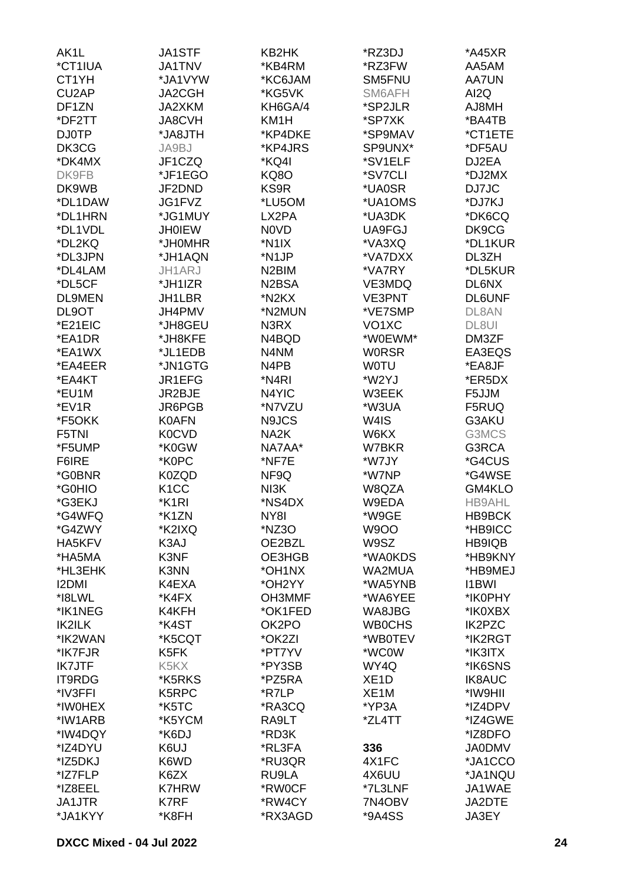| AK1L          | JA1STF                        | KB2HK                          | *RZ3DJ             | *A45XR        |
|---------------|-------------------------------|--------------------------------|--------------------|---------------|
| *CT1IUA       | <b>JA1TNV</b>                 | *KB4RM                         | *RZ3FW             | AA5AM         |
| CT1YH         | *JA1VYW                       | *KC6JAM                        | SM5FNU             | <b>AA7UN</b>  |
| CU2AP         | JA2CGH                        | *KG5VK                         | SM6AFH             | AI2Q          |
| DF1ZN         | JA2XKM                        | KH6GA/4                        | *SP2JLR            | AJ8MH         |
|               |                               | KM1H                           | *SP7XK             |               |
| *DF2TT        | <b>JA8CVH</b>                 |                                |                    | *BA4TB        |
| <b>DJ0TP</b>  | *JA8JTH                       | *KP4DKE                        | *SP9MAV            | *CT1ETE       |
| DK3CG         | JA9BJ                         | *KP4JRS                        | SP9UNX*            | *DF5AU        |
| *DK4MX        | JF1CZQ                        | *KQ4I                          | *SV1ELF            | DJ2EA         |
| DK9FB         | *JF1EGO                       | KQ8O                           | *SV7CLI            | *DJ2MX        |
| DK9WB         | JF2DND                        | KS9R                           | *UA0SR             | DJ7JC         |
| *DL1DAW       | JG1FVZ                        | *LU5OM                         | *UA1OMS            | *DJ7KJ        |
| *DL1HRN       | *JG1MUY                       | LX2PA                          | *UA3DK             | *DK6CQ        |
| *DL1VDL       | <b>JH0IEW</b>                 | <b>NOVD</b>                    | UA9FGJ             | DK9CG         |
| *DL2KQ        | *JH0MHR                       | *N1IX                          | *VA3XQ             | *DL1KUR       |
| *DL3JPN       | *JH1AQN                       | *N1JP                          | *VA7DXX            | DL3ZH         |
| *DL4LAM       | JH1ARJ                        | N <sub>2</sub> BIM             | *VA7RY             | *DL5KUR       |
| *DL5CF        | *JH1IZR                       | N <sub>2</sub> B <sub>SA</sub> | VE3MDQ             | DL6NX         |
| <b>DL9MEN</b> | JH1LBR                        | *N2KX                          | VE3PNT             | <b>DL6UNF</b> |
| DL9OT         | JH4PMV                        | *N2MUN                         | *VE7SMP            | DL8AN         |
|               |                               |                                |                    |               |
| *E21EIC       | *JH8GEU                       | N3RX                           | VO <sub>1</sub> XC | DL8UI         |
| *EA1DR        | *JH8KFE                       | N4BQD                          | *W0EWM*            | DM3ZF         |
| *EA1WX        | *JL1EDB                       | N4NM                           | <b>WORSR</b>       | EA3EQS        |
| *EA4EER       | *JN1GTG                       | N4PB                           | <b>WOTU</b>        | *EA8JF        |
| *EA4KT        | JR1EFG                        | *N4RI                          | *W2YJ              | *ER5DX        |
| *EU1M         | JR2BJE                        | N4YIC                          | W3EEK              | F5JJM         |
| *EV1R         | JR6PGB                        | *N7VZU                         | *W3UA              | F5RUQ         |
| *F5OKK        | <b>K0AFN</b>                  | N9JCS                          | W4IS               | G3AKU         |
| F5TNI         | <b>K0CVD</b>                  | NA <sub>2</sub> K              | W6KX               | G3MCS         |
| *F5UMP        | *K0GW                         | NA7AA*                         | W7BKR              | G3RCA         |
| F6IRE         | *K0PC                         | *NF7E                          | *W7JY              | *G4CUS        |
| *G0BNR        | K0ZQD                         | NF9Q                           | *W7NP              | *G4WSE        |
| *G0HIO        | K <sub>1</sub> CC             | NI3K                           | W8QZA              | GM4KLO        |
| *G3EKJ        | *K <sub>1</sub> RI            | *NS4DX                         | W9EDA              | <b>HB9AHL</b> |
| *G4WFQ        | *K1ZN                         | NY8I                           | *W9GE              | HB9BCK        |
| *G4ZWY        | *K2IXQ                        | *NZ3O                          | W9OO               | *HB9ICC       |
| HA5KFV        | K3AJ                          | OE2BZL                         | W9SZ               | HB9IQB        |
|               | K3NF                          |                                | *WA0KDS            |               |
| *HA5MA        |                               | OE3HGB                         |                    | *HB9KNY       |
| *HL3EHK       | K3NN                          | *OH1NX                         | WA2MUA             | *HB9MEJ       |
| <b>I2DMI</b>  | K4EXA                         | *OH2YY                         | *WA5YNB            | <b>I1BWI</b>  |
| *I8LWL        | *K4FX                         | OH3MMF                         | *WA6YEE            | *IK0PHY       |
| *IK1NEG       | K4KFH                         | *OK1FED                        | WA8JBG             | *IK0XBX       |
| <b>IK2ILK</b> | *K4ST                         | OK2PO                          | <b>WBOCHS</b>      | IK2PZC        |
| *IK2WAN       | *K5CQT                        | *OK2ZI                         | *WB0TEV            | *IK2RGT       |
| *IK7FJR       | K5FK                          | *PT7YV                         | *WC0W              | *IK3ITX       |
| <b>IK7JTF</b> | K <sub>5</sub> K <sub>X</sub> | *PY3SB                         | WY4Q               | *IK6SNS       |
| <b>IT9RDG</b> | *K5RKS                        | *PZ5RA                         | XE <sub>1</sub> D  | <b>IK8AUC</b> |
| *IV3FFI       | K5RPC                         | *R7LP                          | XE <sub>1</sub> M  | *IW9HII       |
| *IW0HEX       | *K5TC                         | *RA3CQ                         | *YP3A              | *IZ4DPV       |
| *IW1ARB       | *K5YCM                        | RA9LT                          | *ZL4TT             | *IZ4GWE       |
| *IW4DQY       | *K6DJ                         | *RD3K                          |                    | *IZ8DFO       |
| *IZ4DYU       | K6UJ                          | *RL3FA                         | 336                | <b>JA0DMV</b> |
| *IZ5DKJ       | K6WD                          | *RU3QR                         | 4X1FC              | *JA1CCO       |
| *IZ7FLP       | K6ZX                          | RU9LA                          | 4X6UU              | *JA1NQU       |
| *IZ8EEL       | <b>K7HRW</b>                  | *RW0CF                         | *7L3LNF            | JA1WAE        |
| JA1JTR        | K7RF                          | *RW4CY                         | 7N4OBV             | JA2DTE        |
|               |                               |                                |                    |               |
| *JA1KYY       | *K8FH                         | *RX3AGD                        | *9A4SS             | JA3EY         |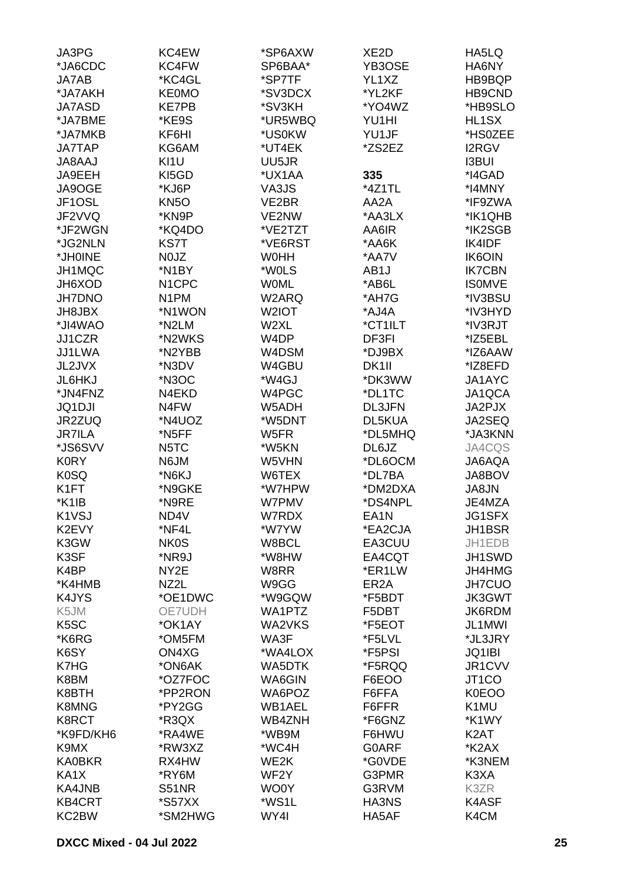| JA3PG             | KC4EW              | *SP6AXW            | XE <sub>2</sub> D | HA5LQ              |
|-------------------|--------------------|--------------------|-------------------|--------------------|
| *JA6CDC           | KC4FW              | SP6BAA*            | YB3OSE            | HA6NY              |
| JA7AB             | *KC4GL             | *SP7TF             | YL1XZ             | HB9BQP             |
| *JA7AKH           | <b>KE0MO</b>       | *SV3DCX            | *YL2KF            | HB9CND             |
|                   |                    |                    |                   |                    |
| <b>JA7ASD</b>     | <b>KE7PB</b>       | *SV3KH             | *YO4WZ            | *HB9SLO            |
| *JA7BME           | *KE9S              | *UR5WBQ            | YU1HI             | HL1SX              |
| *JA7MKB           | KF6HI              | *US0KW             | YU1JF             | *HS0ZEE            |
| <b>JA7TAP</b>     | KG6AM              | *UT4EK             | *ZS2EZ            | <b>I2RGV</b>       |
| <b>JA8AAJ</b>     | KI1U               | UU5JR              |                   | <b>I3BUI</b>       |
| JA9EEH            | KI5GD              | *UX1AA             | 335               | *I4GAD             |
| JA9OGE            | *KJ6P              | VA3JS              | *4Z1TL            | *I4MNY             |
| JF1OSL            | KN <sub>5</sub> O  | VE2BR              | AA2A              | *IF9ZWA            |
| JF2VVQ            | *KN9P              | VE2NW              | *AA3LX            | *IK1QHB            |
| *JF2WGN           | *KQ4DO             | *VE2TZT            | AA6IR             | *IK2SGB            |
| *JG2NLN           | KS7T               | *VE6RST            | *AA6K             | IK4IDF             |
| *JH0INE           | N0JZ               | <b>WOHH</b>        | *AA7V             | <b>IK6OIN</b>      |
| JH1MQC            | *N1BY              | *W0LS              | AB1J              | <b>IK7CBN</b>      |
| JH6XOD            | N <sub>1</sub> CPC | <b>WOML</b>        | *AB6L             | <b>ISOMVE</b>      |
|                   |                    |                    |                   |                    |
| <b>JH7DNO</b>     | N <sub>1</sub> PM  | W2ARQ              | *AH7G             | *IV3BSU            |
| <b>JH8JBX</b>     | *N1WON             | W <sub>2</sub> IOT | *AJ4A             | *IV3HYD            |
| *JI4WAO           | *N2LM              | W2XL               | *CT1ILT           | *IV3RJT            |
| JJ1CZR            | *N2WKS             | W <sub>4</sub> DP  | DF3FI             | *IZ5EBL            |
| JJ1LWA            | *N2YBB             | W4DSM              | *DJ9BX            | *IZ6AAW            |
| JL2JVX            | *N3DV              | W4GBU              | DK <sub>1</sub>   | *IZ8EFD            |
| <b>JL6HKJ</b>     | *N3OC              | *W4GJ              | *DK3WW            | JA1AYC             |
| *JN4FNZ           | N4EKD              | W4PGC              | *DL1TC            | JA1QCA             |
| <b>JQ1DJI</b>     | N4FW               | W5ADH              | <b>DL3JFN</b>     | JA2PJX             |
| JR2ZUQ            | *N4UOZ             | *W5DNT             | DL5KUA            | JA2SEQ             |
| <b>JR7ILA</b>     | *N5FF              | W5FR               | *DL5MHQ           | *JA3KNN            |
| *JS6SVV           | N <sub>5</sub> TC  | *W5KN              | DL6JZ             | JA4CQS             |
| <b>K0RY</b>       | N6JM               | W5VHN              | *DL6OCM           | <b>JA6AQA</b>      |
| <b>K0SQ</b>       | *N6KJ              | W6TEX              | *DL7BA            | JA8BOV             |
| K <sub>1</sub> FT | *N9GKE             | *W7HPW             | *DM2DXA           | JA8JN              |
| *K1IB             | *N9RE              | <b>W7PMV</b>       | *DS4NPL           | JE4MZA             |
|                   |                    |                    |                   |                    |
| K1VSJ             | ND4V               | W7RDX              | EA <sub>1</sub> N | JG1SFX             |
| K2EVY             | *NF4L              | *W7YW              | *EA2CJA           | JH1BSR             |
| K3GW              | <b>NK0S</b>        | W8BCL              | EA3CUU            | JH1EDB             |
| K3SF              | *NR9J              | *W8HW              | EA4CQT            | JH1SWD             |
| K4BP              | NY2E               | W8RR               | *ER1LW            | JH4HMG             |
| *K4HMB            | NZ2L               | W9GG               | ER <sub>2</sub> A | <b>JH7CUO</b>      |
| K4JYS             | *OE1DWC            | *W9GQW             | *F5BDT            | <b>JK3GWT</b>      |
| K5JM              | OE7UDH             | WA1PTZ             | F5DBT             | JK6RDM             |
| K <sub>5</sub> SC | *OK1AY             | WA2VKS             | *F5EOT            | JL1MWI             |
| *K6RG             | *OM5FM             | WA3F               | *F5LVL            | *JL3JRY            |
| K6SY              | ON4XG              | *WA4LOX            | *F5PSI            | JQ1IBI             |
| K7HG              | *ON6AK             | WA5DTK             | *F5RQQ            | JR1CVV             |
| K8BM              | *OZ7FOC            | WA6GIN             | F6EOO             | JT <sub>1</sub> CO |
| K8BTH             | *PP2RON            | WA6POZ             | F6FFA             | <b>K0EOO</b>       |
| K8MNG             | *PY2GG             | <b>WB1AEL</b>      | F6FFR             | K1MU               |
| K8RCT             | *R3QX              | WB4ZNH             | *F6GNZ            | *K1WY              |
| *K9FD/KH6         | *RA4WE             | *WB9M              | F6HWU             | K <sub>2</sub> AT  |
|                   |                    |                    |                   |                    |
| K9MX              | *RW3XZ             | *WC4H              | <b>GOARF</b>      | *K2AX              |
| <b>KA0BKR</b>     | RX4HW              | WE2K               | *G0VDE            | *K3NEM             |
| KA1X              | *RY6M              | WF <sub>2</sub> Y  | G3PMR             | K3XA               |
| KA4JNB            | <b>S51NR</b>       | WO0Y               | G3RVM             | K3ZR               |
| <b>KB4CRT</b>     | *S57XX             | *WS1L              | HA3NS             | K4ASF              |
| KC2BW             | *SM2HWG            | WY4I               | HA5AF             | K4CM               |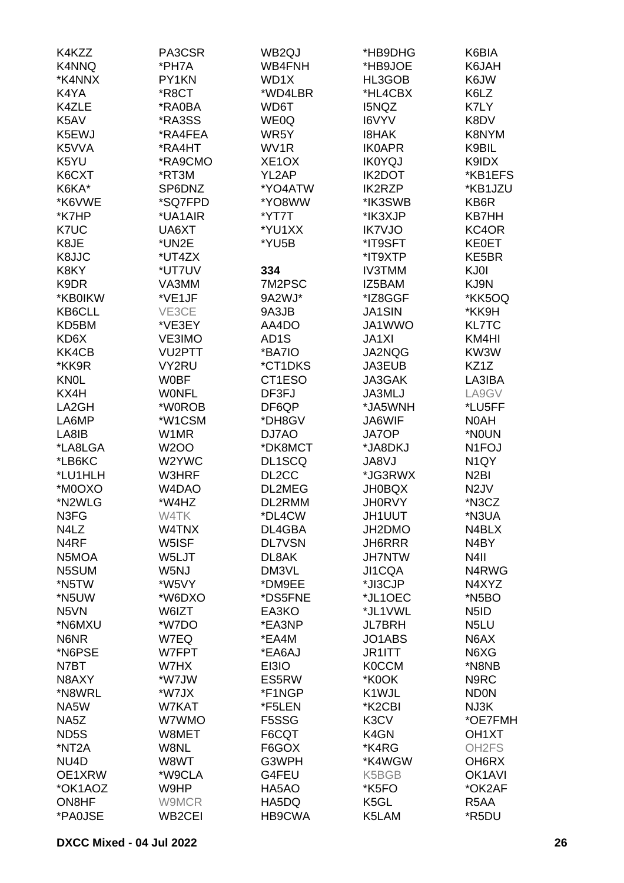| K4KZZ              | PA3CSR        | WB2QJ              | *HB9DHG       | K6BIA               |
|--------------------|---------------|--------------------|---------------|---------------------|
| K4NNQ              | *PH7A         | WB4FNH             | *HB9JOE       | K6JAH               |
| *K4NNX             | PY1KN         | WD1X               | HL3GOB        | K6JW                |
| K4YA               | *R8CT         | *WD4LBR            | *HL4CBX       | K6LZ                |
| K4ZLE              | *RA0BA        | WD6T               | <b>I5NQZ</b>  | K7LY                |
| K5AV               | *RA3SS        | WE0Q               | I6VYV         | K8DV                |
| K5EWJ              | *RA4FEA       | WR5Y               | <b>I8HAK</b>  | K8NYM               |
|                    |               |                    |               |                     |
| K5VVA              | *RA4HT        | WV1R               | <b>IK0APR</b> | K9BIL               |
| K5YU               | *RA9CMO       | XE <sub>1</sub> OX | <b>IK0YQJ</b> | K9IDX               |
| K6CXT              | *RT3M         | YL2AP              | <b>IK2DOT</b> | *KB1EFS             |
| K6KA*              | SP6DNZ        | *YO4ATW            | <b>IK2RZP</b> | *KB1JZU             |
| *K6VWE             | *SQ7FPD       | *YO8WW             | *IK3SWB       | KB6R                |
| *K7HP              | *UA1AIR       | *YT7T              | *IK3XJP       | <b>KB7HH</b>        |
| K7UC               | UA6XT         | *YU1XX             | <b>IK7VJO</b> | KC4OR               |
| K8JE               | *UN2E         | *YU5B              | *IT9SFT       | <b>KE0ET</b>        |
| K8JJC              | *UT4ZX        |                    | *IT9XTP       | KE5BR               |
| K8KY               | *UT7UV        | 334                | <b>IV3TMM</b> | KJ0I                |
| K9DR               | VA3MM         | 7M2PSC             | IZ5BAM        | KJ9N                |
| *KB0IKW            | *VE1JF        | 9A2WJ*             | *IZ8GGF       | *KK5OQ              |
| KB6CLL             | VE3CE         | 9A3JB              | <b>JA1SIN</b> | *KK9H               |
| KD5BM              | *VE3EY        | AA4DO              | JA1WWO        | <b>KL7TC</b>        |
| KD6X               | VE3IMO        | AD <sub>1</sub> S  | <b>JA1XI</b>  | KM4HI               |
| KK4CB              | <b>VU2PTT</b> |                    | JA2NQG        | KW3W                |
|                    |               | *BA7IO             |               |                     |
| *KK9R              | VY2RU         | *CT1DKS            | <b>JA3EUB</b> | KZ1Z                |
| <b>KNOL</b>        | <b>WOBF</b>   | CT1ESO             | JA3GAK        | LA3IBA              |
| KX4H               | <b>WONFL</b>  | DF3FJ              | JA3MLJ        | LA9GV               |
| LA2GH              | *W0ROB        | DF6QP              | *JA5WNH       | *LU5FF              |
| LA6MP              | *W1CSM        | *DH8GV             | JA6WIF        | N0AH                |
| LA8IB              | W1MR          | DJ7AO              | JA7OP         | *NOUN               |
| *LA8LGA            | <b>W2OO</b>   | *DK8MCT            | *JA8DKJ       | N <sub>1</sub> FOJ  |
| *LB6KC             | W2YWC         | DL1SCQ             | JA8VJ         | N <sub>1</sub> QY   |
| *LU1HLH            | W3HRF         | DL <sub>2</sub> CC | *JG3RWX       | N <sub>2</sub> BI   |
| *M0OXO             | W4DAO         | DL2MEG             | <b>JH0BQX</b> | N <sub>2</sub> JV   |
| *N2WLG             | *W4HZ         | DL2RMM             | <b>JH0RVY</b> | *N3CZ               |
| N3FG               | W4TK          | *DL4CW             | JH1UUT        | *N3UA               |
| N4LZ               | W4TNX         | DL4GBA             | JH2DMO        | N4BLX               |
| N <sub>4</sub> RF  | W5ISF         | <b>DL7VSN</b>      | <b>JH6RRR</b> | N4BY                |
| N5MOA              | W5LJT         | DL8AK              | <b>JH7NTW</b> | N4II                |
| N5SUM              | W5NJ          | DM3VL              | JI1CQA        | N4RWG               |
| *N5TW              | *W5VY         | *DM9EE             | *JI3CJP       | N4XYZ               |
| *N5UW              | *W6DXO        | *DS5FNE            | *JL1OEC       | *N <sub>5</sub> BO  |
|                    | W6IZT         |                    | *JL1VWL       |                     |
| N <sub>5</sub> VN  |               | EA3KO              |               | N <sub>5</sub> ID   |
| *N6MXU             | *W7DO         | *EA3NP             | <b>JL7BRH</b> | N <sub>5</sub> LU   |
| N6NR               | W7EQ          | *EA4M              | JO1ABS        | N6AX                |
| *N6PSE             | W7FPT         | *EA6AJ             | JR1ITT        | N6XG                |
| N7BT               | W7HX          | EI3IO              | <b>K0CCM</b>  | *N8NB               |
| N8AXY              | *W7JW         | ES5RW              | *K0OK         | N9RC                |
| *N8WRL             | *W7JX         | *F1NGP             | K1WJL         | <b>ND0N</b>         |
| NA5W               | W7KAT         | *F5LEN             | *K2CBI        | NJ3K                |
| NA5Z               | W7WMO         | F5SSG              | K3CV          | *OE7FMH             |
| ND <sub>5</sub> S  | W8MET         | F6CQT              | K4GN          | OH <sub>1</sub> XT  |
| *NT <sub>2</sub> A | W8NL          | F6GOX              | *K4RG         | OH <sub>2</sub> FS  |
| NU <sub>4</sub> D  | W8WT          | G3WPH              | *K4WGW        | OH6RX               |
| OE1XRW             | *W9CLA        | G4FEU              | K5BGB         | OK <sub>1</sub> AVI |
| *OK1AOZ            | W9HP          | HA5AO              | *K5FO         | *OK2AF              |
| ON8HF              | W9MCR         | HA5DQ              | K5GL          | R5AA                |
| *PA0JSE            | WB2CEI        | HB9CWA             | K5LAM         | *R5DU               |
|                    |               |                    |               |                     |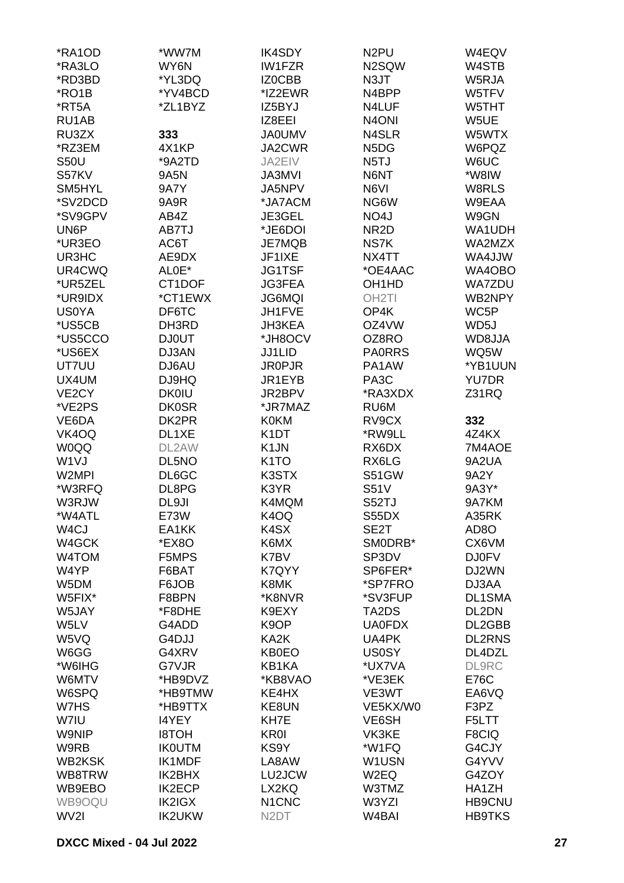| *RA1OD             | *WW7M         | <b>IK4SDY</b>                  | N <sub>2</sub> PU             | W4EQV             |
|--------------------|---------------|--------------------------------|-------------------------------|-------------------|
| *RA3LO             | WY6N          | <b>IW1FZR</b>                  | N2SQW                         | W4STB             |
| *RD3BD             | *YL3DQ        | IZ0CBB                         | N3JT                          | W5RJA             |
|                    |               |                                |                               |                   |
| *RO1B              | *YV4BCD       | *IZ2EWR                        | N4BPP                         | W5TFV             |
| *RT5A              | *ZL1BYZ       | IZ5BYJ                         | N4LUF                         | W5THT             |
| RU1AB              |               | IZ8EEI                         | N <sub>4</sub> ONI            | W5UE              |
| RU3ZX              | 333           | <b>JA0UMV</b>                  | N4SLR                         | W5WTX             |
| *RZ3EM             | 4X1KP         | JA2CWR                         | N <sub>5</sub> D <sub>G</sub> | W6PQZ             |
| <b>S50U</b>        | *9A2TD        | JA2EIV                         | N <sub>5</sub> TJ             | W6UC              |
| S57KV              | <b>9A5N</b>   | <b>JA3MVI</b>                  | N6NT                          | *W8IW             |
| SM5HYL             | <b>9A7Y</b>   | JA5NPV                         | N6VI                          | W8RLS             |
| *SV2DCD            | 9A9R          | *JA7ACM                        | NG6W                          | W9EAA             |
| *SV9GPV            | AB4Z          | JE3GEL                         | NO4J                          | W9GN              |
| UN6P               | AB7TJ         | *JE6DOI                        | NR <sub>2</sub> D             | WA1UDH            |
| *UR3EO             | AC6T          | JE7MQB                         | NS7K                          | WA2MZX            |
| UR3HC              | AE9DX         | JF1IXE                         |                               |                   |
|                    |               |                                | NX4TT                         | WA4JJW            |
| UR4CWQ             | ALOE*         | <b>JG1TSF</b>                  | *OE4AAC                       | WA4OBO            |
| *UR5ZEL            | CT1DOF        | JG3FEA                         | OH <sub>1</sub> HD            | <b>WA7ZDU</b>     |
| *UR9IDX            | *CT1EWX       | <b>JG6MQI</b>                  | OH <sub>2</sub> TI            | WB2NPY            |
| <b>US0YA</b>       | DF6TC         | JH1FVE                         | OP4K                          | WC5P              |
| *US5CB             | DH3RD         | JH3KEA                         | OZ4VW                         | WD5J              |
| *US5CCO            | <b>DJ0UT</b>  | *JH8OCV                        | OZ8RO                         | WD8JJA            |
| *US6EX             | DJ3AN         | <b>JJ1LID</b>                  | <b>PAORRS</b>                 | WQ5W              |
| UT7UU              | DJ6AU         | <b>JR0PJR</b>                  | PA1AW                         | *YB1UUN           |
| UX4UM              | DJ9HQ         | JR1EYB                         | PA <sub>3</sub> C             | <b>YU7DR</b>      |
| VE <sub>2</sub> CY | <b>DK0IU</b>  | JR2BPV                         | *RA3XDX                       | Z31RQ             |
| *VE2PS             | <b>DK0SR</b>  | *JR7MAZ                        | RU6M                          |                   |
|                    |               |                                |                               |                   |
| VE6DA              | DK2PR         | <b>K0KM</b>                    | RV9CX                         | 332               |
| VK4OQ              | DL1XE         | K <sub>1</sub> DT              | *RW9LL                        | 4Z4KX             |
| W0QQ               | DL2AW         | K <sub>1</sub> JN              | RX6DX                         | 7M4AOE            |
| W <sub>1</sub> VJ  | DL5NO         | K <sub>1</sub> TO              | RX6LG                         | 9A2UA             |
| W2MPI              | DL6GC         | K3STX                          | <b>S51GW</b>                  | 9A2Y              |
| *W3RFQ             | DL8PG         | K3YR                           | <b>S51V</b>                   | 9A3Y*             |
| W3RJW              | DL9JI         | K4MQM                          | S52TJ                         | 9A7KM             |
| *W4ATL             | E73W          | K4OQ                           | S55DX                         | A35RK             |
| W <sub>4</sub> CJ  | EA1KK         | K4SX                           | SE2T                          | AD <sub>8</sub> O |
| W4GCK              | *EX8O         | K6MX                           | SM0DRB*                       | CX6VM             |
| W4TOM              | F5MPS         | K7BV                           | SP3DV                         | <b>DJ0FV</b>      |
| W4YP               | F6BAT         | K7QYY                          | SP6FER*                       | DJ2WN             |
| W5DM               | F6JOB         | K8MK                           | *SP7FRO                       | DJ3AA             |
| W5FIX*             | F8BPN         | *K8NVR                         | *SV3FUP                       | DL1SMA            |
|                    |               |                                |                               |                   |
| W5JAY              | *F8DHE        | K9EXY                          | TA2DS                         | DL2DN             |
| W5LV               | G4ADD         | K9OP                           | <b>UA0FDX</b>                 | DL2GBB            |
| W5VQ               | G4DJJ         | KA2K                           | UA4PK                         | <b>DL2RNS</b>     |
| W6GG               | G4XRV         | <b>KB0EO</b>                   | <b>US0SY</b>                  | DL4DZL            |
| *W6IHG             | G7VJR         | KB1KA                          | *UX7VA                        | <b>DL9RC</b>      |
| W6MTV              | *HB9DVZ       | *KB8VAO                        | *VE3EK                        | E76C              |
| W6SPQ              | *HB9TMW       | KE4HX                          | VE3WT                         | EA6VQ             |
| W7HS               | *HB9TTX       | KE8UN                          | VE5KX/W0                      | F3PZ              |
| W7IU               | I4YEY         | KH7E                           | VE6SH                         | F5LTT             |
| W9NIP              | <b>HOT8I</b>  | <b>KR0I</b>                    | VK3KE                         | F8CIQ             |
| W9RB               | <b>IK0UTM</b> | KS9Y                           | *W1FQ                         | G4CJY             |
| WB2KSK             | <b>IK1MDF</b> | LA8AW                          | W1USN                         | G4YVV             |
| WB8TRW             | IK2BHX        | LU2JCW                         | W2EQ                          | G4ZOY             |
|                    |               |                                |                               |                   |
| WB9EBO             | <b>IK2ECP</b> | LX2KQ                          | W3TMZ                         | HA1ZH             |
| WB9OQU             | IK2IGX        | N <sub>1</sub> C <sub>NC</sub> | W3YZI                         | <b>HB9CNU</b>     |
| WV2I               | <b>IK2UKW</b> | N <sub>2</sub> DT              | W <sub>4</sub> BAI            | <b>HB9TKS</b>     |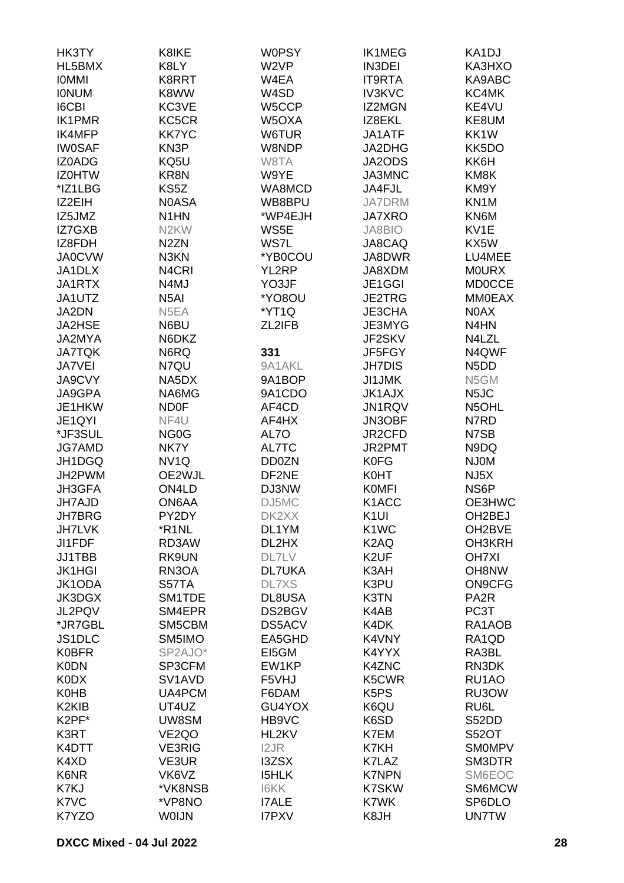| <b>HK3TY</b>                   | K8IKE                           | <b>W0PSY</b>     | <b>IK1MEG</b>                 | KA1DJ                         |
|--------------------------------|---------------------------------|------------------|-------------------------------|-------------------------------|
| HL5BMX                         | K8LY                            | W <sub>2VP</sub> | <b>IN3DEI</b>                 | KA3HXO                        |
| <b>IOMMI</b>                   | K8RRT                           | W4EA             | <b>IT9RTA</b>                 | KA9ABC                        |
| <b>IONUM</b>                   | K8WW                            | W4SD             | <b>IV3KVC</b>                 | KC4MK                         |
| <b>I6CBI</b>                   | KC3VE                           | W5CCP            | IZ2MGN                        | KE4VU                         |
| <b>IK1PMR</b>                  | KC5CR                           | W5OXA            | IZ8EKL                        | KE8UM                         |
| <b>IK4MFP</b>                  | <b>KK7YC</b>                    | W6TUR            | JA1ATF                        | KK1W                          |
| <b>IW0SAF</b>                  | KN3P                            | W8NDP            | JA2DHG                        | KK5DO                         |
| IZ0ADG                         | KQ5U                            | W8TA             | JA2ODS                        | KK6H                          |
|                                |                                 |                  |                               |                               |
| <b>IZ0HTW</b>                  | KR8N                            | W9YE             | JA3MNC                        | KM8K                          |
| *IZ1LBG                        | KS5Z                            | WA8MCD           | JA4FJL                        | KM9Y                          |
| IZ2EIH                         | <b>NOASA</b>                    | WB8BPU           | <b>JA7DRM</b>                 | KN1M                          |
| IZ5JMZ                         | N <sub>1</sub> HN               | *WP4EJH          | <b>JA7XRO</b>                 | KN6M                          |
| IZ7GXB                         | N <sub>2</sub> KW               | WS5E             | <b>JA8BIO</b>                 | KV1E                          |
| IZ8FDH                         | N <sub>2</sub> ZN               | WS7L             | JA8CAQ                        | KX5W                          |
| <b>JA0CVW</b>                  | N3KN                            | *YB0COU          | JA8DWR                        | LU4MEE                        |
| JA1DLX                         | N <sub>4</sub> CRI              | YL2RP            | JA8XDM                        | <b>MOURX</b>                  |
| JA1RTX                         | N4MJ                            | YO3JF            | JE1GGI                        | <b>MD0CCE</b>                 |
| JA1UTZ                         | N <sub>5</sub> AI               | *YO8OU           | JE2TRG                        | <b>MM0EAX</b>                 |
| JA2DN                          | N5EA                            | *YT1Q            | JE3CHA                        | N0AX                          |
| JA2HSE                         | N6BU                            | ZL2IFB           | JE3MYG                        | N <sub>4</sub> HN             |
| JA2MYA                         | N6DKZ                           |                  | JF2SKV                        | N4LZL                         |
| <b>JA7TQK</b>                  | N6RQ                            | 331              | JF5FGY                        | N4QWF                         |
| JA7VEI                         | N7QU                            | 9A1AKL           | <b>JH7DIS</b>                 | N <sub>5</sub> D <sub>D</sub> |
| JA9CVY                         | NA5DX                           | 9A1BOP           | <b>JI1JMK</b>                 | N5GM                          |
| JA9GPA                         | NA6MG                           | 9A1CDO           | JK1AJX                        | N <sub>5</sub> JC             |
| JE1HKW                         | <b>ND0F</b>                     | AF4CD            | JN1RQV                        | N5OHL                         |
| JE1QYI                         | NF4U                            | AF4HX            | JN3OBF                        | N7RD                          |
| *JF3SUL                        |                                 | AL7O             | JR2CFD                        | N7SB                          |
|                                | NG <sub>0</sub> G               |                  |                               |                               |
| <b>JG7AMD</b>                  | NK7Y                            | AL7TC            | JR2PMT                        | N9DQ                          |
| JH1DGQ                         | NV <sub>1Q</sub>                | DD0ZN            | <b>K0FG</b>                   | <b>NJ0M</b>                   |
| JH2PWM                         | OE2WJL                          | DF2NE            | K0HT                          | NJ5X                          |
| JH3GFA                         | ON4LD                           | DJ3NW            | <b>KOMFI</b>                  | NS6P                          |
| JH7AJD                         | ON6AA                           | DJ5MC            | K <sub>1</sub> ACC            | OE3HWC                        |
| <b>JH7BRG</b>                  | PY2DY                           | DK2XX            | K <sub>1UI</sub>              | OH2BEJ                        |
| <b>JH7LVK</b>                  | *R <sub>1</sub> NL              | DL1YM            | K <sub>1</sub> W <sub>C</sub> | OH2BVE                        |
| JI1FDF                         | RD3AW                           | DL2HX            | K <sub>2</sub> AQ             | OH3KRH                        |
| JJ1TBB                         | RK9UN                           | <b>DL7LV</b>     | K <sub>2</sub> UF             | <b>OH7XI</b>                  |
| <b>JK1HGI</b>                  | RN3OA                           | <b>DL7UKA</b>    | K3AH                          | OH8NW                         |
| JK1ODA                         | S57TA                           | <b>DL7XS</b>     | K3PU                          | <b>ON9CFG</b>                 |
| <b>JK3DGX</b>                  | SM1TDE                          | DL8USA           | K3TN                          | PA <sub>2</sub> R             |
| JL2PQV                         | SM4EPR                          | DS2BGV           | K4AB                          | PC3T                          |
| *JR7GBL                        | SM5CBM                          | DS5ACV           | K4DK                          | RA1AOB                        |
| JS1DLC                         | SM5IMO                          | EA5GHD           | K4VNY                         | RA1QD                         |
| <b>K0BFR</b>                   | SP2AJO*                         | EI5GM            | K4YYX                         | RA3BL                         |
| <b>K0DN</b>                    | SP3CFM                          | EW1KP            | K4ZNC                         | RN3DK                         |
| <b>K0DX</b>                    | SV <sub>1</sub> AV <sub>D</sub> | F5VHJ            | K5CWR                         | RU1AO                         |
| <b>K0HB</b>                    | UA4PCM                          | F6DAM            | K <sub>5</sub> P <sub>S</sub> | RU3OW                         |
| K <sub>2</sub> KI <sub>B</sub> | UT4UZ                           | GU4YOX           | K6QU                          | RU6L                          |
| K2PF*                          | UW8SM                           | HB9VC            | K6SD                          | S52DD                         |
| K3RT                           | VE <sub>2QO</sub>               | HL2KV            | K7EM                          | <b>S52OT</b>                  |
| K4DTT                          | <b>VE3RIG</b>                   | I2JR             | K7KH                          | SMOMPV                        |
| K4XD                           | VE3UR                           |                  | K7LAZ                         | SM3DTR                        |
|                                |                                 | <b>I3ZSX</b>     |                               |                               |
| K6NR                           | VK6VZ                           | <b>I5HLK</b>     | <b>K7NPN</b>                  | SM6EOC                        |
| K7KJ                           | *VK8NSB                         | <b>I6KK</b>      | <b>K7SKW</b>                  | SM6MCW                        |
| K7VC                           | *VP8NO                          | <b>I7ALE</b>     | K7WK                          | SP6DLO                        |
| K7YZO                          | <b>WOIJN</b>                    | <b>I7PXV</b>     | K8JH                          | <b>UN7TW</b>                  |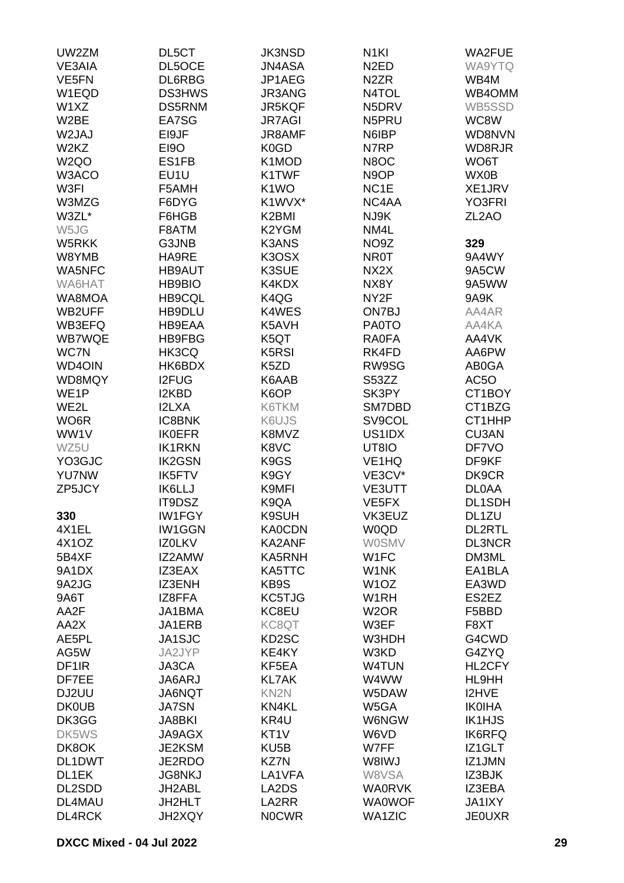| UW2ZM             | DL5CT         | <b>JK3NSD</b>                  | N <sub>1KI</sub>   | <b>WA2FUE</b>      |
|-------------------|---------------|--------------------------------|--------------------|--------------------|
| VE3AIA            | DL5OCE        | <b>JN4ASA</b>                  | N <sub>2</sub> ED  | WA9YTQ             |
| VE5FN             | DL6RBG        | JP1AEG                         | N <sub>2</sub> ZR  | WB4M               |
| W1EQD             | <b>DS3HWS</b> | JR3ANG                         | N4TOL              | WB4OMM             |
| W1XZ              | DS5RNM        | JR5KQF                         | N5DRV              | WB5SSD             |
| W <sub>2</sub> BE | EA7SG         | <b>JR7AGI</b>                  | N5PRU              | WC8W               |
| W2JAJ             | EI9JF         | <b>JR8AMF</b>                  | N6IBP              | WD8NVN             |
| W2KZ              | <b>EI9O</b>   | K <sub>0</sub> GD              | N7RP               | WD8RJR             |
| W <sub>2Q</sub> O | ES1FB         | K1MOD                          | N8OC               | WO6T               |
| W3ACO             | EU1U          | K1TWF                          | N <sub>9</sub> OP  | WX0B               |
| W3FI              | F5AMH         | K <sub>1</sub> WO              | NC <sub>1</sub> E  | XE1JRV             |
| W3MZG             | F6DYG         | K1WVX*                         | NC4AA              | YO3FRI             |
| W3ZL*             | F6HGB         | K2BMI                          | NJ9K               | ZL <sub>2</sub> AO |
| W5JG              | F8ATM         | K2YGM                          | NM4L               |                    |
| W5RKK             | G3JNB         | K3ANS                          | NO9Z               | 329                |
| W8YMB             | HA9RE         | K3OSX                          | <b>NR0T</b>        | 9A4WY              |
| WA5NFC            | <b>HB9AUT</b> | K3SUE                          | NX2X               | 9A5CW              |
| WA6HAT            | <b>HB9BIO</b> | K4KDX                          | NX8Y               | 9A5WW              |
| WA8MOA            | HB9CQL        | K4QG                           | NY <sub>2</sub> F  | 9A9K               |
| WB2UFF            | HB9DLU        | K4WES                          | ON7BJ              | AA4AR              |
| WB3EFQ            | HB9EAA        | K5AVH                          | PA0TO              | AA4KA              |
| <b>WB7WQE</b>     | HB9FBG        | K5QT                           | <b>RA0FA</b>       | AA4VK              |
| WC7N              | HK3CQ         | K <sub>5</sub> R <sub>SI</sub> | RK4FD              | AA6PW              |
| <b>WD4OIN</b>     | HK6BDX        | K <sub>5</sub> ZD              | RW9SG              | AB0GA              |
| WD8MQY            | <b>I2FUG</b>  | K6AAB                          | S53ZZ              | AC5O               |
| WE <sub>1</sub> P | I2KBD         | K6OP                           | SK3PY              | CT1BOY             |
| WE2L              | <b>I2LXA</b>  | K6TKM                          | SM7DBD             | CT1BZG             |
| WO6R              | <b>IC8BNK</b> | K6UJS                          | SV9COL             | CT1HHP             |
| WW1V              | <b>IK0EFR</b> | K8MVZ                          | US1IDX             | CU3AN              |
| WZ5U              | <b>IK1RKN</b> | K8VC                           | UT8IO              | DF7VO              |
| YO3GJC            | <b>IK2GSN</b> | K <sub>9</sub> GS              | VE1HQ              | DF9KF              |
| <b>YU7NW</b>      | <b>IK5FTV</b> | K9GY                           | VE3CV*             | DK9CR              |
| ZP5JCY            | <b>IK6LLJ</b> | K9MFI                          | <b>VE3UTT</b>      | <b>DL0AA</b>       |
|                   | IT9DSZ        | K9QA                           | VE <sub>5</sub> FX | DL1SDH             |
| 330               | <b>IW1FGY</b> | K9SUH                          | VK3EUZ             | DL1ZU              |
| 4X1EL             | <b>IW1GGN</b> | <b>KA0CDN</b>                  | <b>W0QD</b>        | <b>DL2RTL</b>      |
| 4X10Z             | IZ0LKV        | KA2ANF                         | <b>WOSMV</b>       | <b>DL3NCR</b>      |
| 5B4XF             | IZ2AMW        | KA5RNH                         | W1FC               | DM3ML              |
| 9A1DX             | IZ3EAX        | KA5TTC                         | W1NK               | EA1BLA             |
| 9A2JG             | <b>IZ3ENH</b> | KB9S                           | W <sub>1</sub> OZ  | EA3WD              |
| 9A6T              | IZ8FFA        | KC5TJG                         | W1RH               | ES2EZ              |
| AA2F              | JA1BMA        | KC8EU                          | W <sub>2</sub> OR  | F5BBD              |
| AA2X              | JA1ERB        | KC8QT                          | W3EF               | F8XT               |
| AE5PL             | JA1SJC        | KD <sub>2</sub> SC             | W3HDH              | G4CWD              |
| AG5W              | JA2JYP        | KE4KY                          | W3KD               | G4ZYQ              |
| DF <sub>1</sub> R | JA3CA         | KF5EA                          | W4TUN              | HL2CFY             |
| DF7EE             | JA6ARJ        | <b>KL7AK</b>                   | W4WW               | HL9HH              |
| DJ2UU             | JA6NQT        | KN <sub>2N</sub>               | W5DAW              | I2HVE              |
| <b>DK0UB</b>      | <b>JA7SN</b>  | KN4KL                          | W5GA               | <b>IK0IHA</b>      |
| DK3GG             | <b>JA8BKI</b> | KR4U                           | W6NGW              | <b>IK1HJS</b>      |
| DK5WS             | <b>JA9AGX</b> | KT <sub>1</sub> V              | W6VD               | <b>IK6RFQ</b>      |
| DK8OK             | JE2KSM        | KU <sub>5</sub> B              | W7FF               | IZ1GLT             |
| DL1DWT            | JE2RDO        | KZ7N                           | W8IWJ              | IZ1JMN             |
| DL1EK             | <b>JG8NKJ</b> | LA1VFA                         | W8VSA              | IZ3BJK             |
| DL2SDD            | JH2ABL        | LA2DS                          | <b>WA0RVK</b>      | IZ3EBA             |
| DL4MAU            | JH2HLT        | LA2RR                          | <b>WA0WOF</b>      | <b>JA1IXY</b>      |
| <b>DL4RCK</b>     | JH2XQY        | <b>NOCWR</b>                   | <b>WA1ZIC</b>      | <b>JE0UXR</b>      |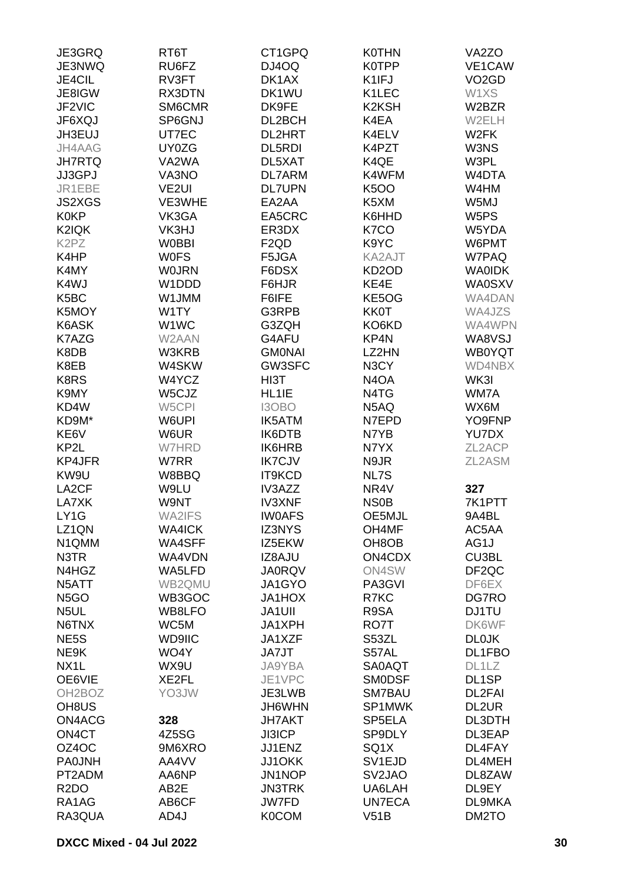| JE3GRQ                        | RT6T              | CT1GPQ           | <b>K0THN</b>                   | VA <sub>2</sub> ZO |
|-------------------------------|-------------------|------------------|--------------------------------|--------------------|
| JE3NWQ                        | RU6FZ             | DJ4OQ            | <b>K0TPP</b>                   | VE1CAW             |
| JE4CIL                        | RV3FT             | DK1AX            | K1IFJ                          | VO <sub>2</sub> GD |
| JE8IGW                        | RX3DTN            | DK1WU            | K1LEC                          | W1XS               |
| JF2VIC                        | SM6CMR            | DK9FE            | K <sub>2</sub> K <sub>SH</sub> | W2BZR              |
|                               |                   | DL2BCH           | K4EA                           |                    |
| JF6XQJ                        | SP6GNJ            |                  |                                | W2ELH              |
| JH3EUJ                        | UT7EC             | <b>DL2HRT</b>    | K4ELV                          | W <sub>2</sub> FK  |
| JH4AAG                        | UY0ZG             | <b>DL5RDI</b>    | K4PZT                          | W3NS               |
| <b>JH7RTQ</b>                 | VA2WA             | DL5XAT           | K4QE                           | W3PL               |
| JJ3GPJ                        | VA3NO             | <b>DL7ARM</b>    | K4WFM                          | W4DTA              |
| JR1EBE                        | VE <sub>2UI</sub> | <b>DL7UPN</b>    | <b>K5OO</b>                    | W4HM               |
| <b>JS2XGS</b>                 | VE3WHE            | EA2AA            | K5XM                           | W5MJ               |
| <b>K0KP</b>                   | VK3GA             | EA5CRC           | K6HHD                          | W5PS               |
| K2IQK                         | VK3HJ             | ER3DX            | K7CO                           | W5YDA              |
| K <sub>2</sub> P <sub>Z</sub> | <b>W0BBI</b>      | F <sub>2QD</sub> | K9YC                           | W6PMT              |
| K4HP                          | <b>WOFS</b>       | F5JGA            | KA2AJT                         | W7PAQ              |
| K4MY                          | <b>WOJRN</b>      | F6DSX            | KD <sub>2</sub> OD             | <b>WAOIDK</b>      |
|                               |                   |                  |                                |                    |
| K4WJ                          | W1DDD             | F6HJR            | KE4E                           | <b>WA0SXV</b>      |
| K <sub>5</sub> BC             | W1JMM             | F6IFE            | KE5OG                          | WA4DAN             |
| K5MOY                         | W1TY              | G3RPB            | <b>KK0T</b>                    | WA4JZS             |
| K6ASK                         | W1WC              | G3ZQH            | KO6KD                          | WA4WPN             |
| K7AZG                         | W2AAN             | G4AFU            | KP4N                           | WA8VSJ             |
| K8DB                          | W3KRB             | <b>GMONAI</b>    | LZ2HN                          | <b>WB0YQT</b>      |
| K8EB                          | W4SKW             | GW3SFC           | N3CY                           | WD4NBX             |
| K8RS                          | W4YCZ             | HI3T             | N <sub>4</sub> OA              | WK3I               |
| K9MY                          | W5CJZ             | HL1IE            | N4TG                           | WM7A               |
| KD4W                          | W5CPI             | I3OBO            | N5AQ                           | WX6M               |
| KD9M*                         | W6UPI             | IK5ATM           | N7EPD                          | YO9FNP             |
| KE6V                          | W6UR              | IK6DTB           | N7YB                           | YU7DX              |
|                               |                   |                  |                                |                    |
| KP <sub>2</sub> L             | W7HRD             | IK6HRB           | N7YX                           | ZL2ACP             |
| KP4JFR                        | W7RR              | <b>IK7CJV</b>    | N9JR                           | ZL2ASM             |
| KW9U                          | W8BBQ             | IT9KCD           | NL7S                           |                    |
| LA <sub>2</sub> CF            | W9LU              | IV3AZZ           | NR4V                           | 327                |
| LA7XK                         | W9NT              | <b>IV3XNF</b>    | <b>NS0B</b>                    | 7K1PTT             |
| LY1G                          | WA2IFS            | <b>IWOAFS</b>    | OE5MJL                         | 9A4BL              |
| LZ1QN                         | <b>WA4ICK</b>     | <b>IZ3NYS</b>    | OH4MF                          | AC5AA              |
| N1QMM                         | WA4SFF            | IZ5EKW           | OH <sub>8</sub> OB             | AG1J               |
| N3TR                          | WA4VDN            | IZ8AJU           | ON4CDX                         | CU3BL              |
| N4HGZ                         | WA5LFD            | <b>JA0RQV</b>    | ON4SW                          | DF <sub>2QC</sub>  |
| N5ATT                         | WB2QMU            | JA1GYO           | PA3GVI                         | DF6EX              |
| N <sub>5</sub> GO             | WB3GOC            | <b>JA1HOX</b>    | R7KC                           | DG7RO              |
| N <sub>5</sub> UL             | WB8LFO            | <b>JA1UII</b>    | R9SA                           |                    |
|                               |                   |                  |                                | <b>DJ1TU</b>       |
| N6TNX                         | WC5M              | JA1XPH           | RO7T                           | DK6WF              |
| NE <sub>5</sub> S             | <b>WD9IIC</b>     | JA1XZF           | S53ZL                          | <b>DL0JK</b>       |
| NE9K                          | WO4Y              | JA7JT            | S57AL                          | DL1FBO             |
| NX <sub>1</sub> L             | WX9U              | <b>JA9YBA</b>    | SA0AQT                         | DL1LZ              |
| OE6VIE                        | XE2FL             | JE1VPC           | <b>SMODSF</b>                  | DL1SP              |
| OH <sub>2</sub> BOZ           | YO3JW             | JE3LWB           | SM7BAU                         | DL2FAI             |
| OH <sub>8</sub> US            |                   | JH6WHN           | SP1MWK                         | DL2UR              |
| ON4ACG                        | 328               | <b>JH7AKT</b>    | SP5ELA                         | DL3DTH             |
| ON <sub>4</sub> CT            | 4Z5SG             | <b>JI3ICP</b>    | SP9DLY                         | DL3EAP             |
| OZ4OC                         | 9M6XRO            | JJ1ENZ           | SQ1X                           | DL4FAY             |
| <b>PA0JNH</b>                 | AA4VV             | <b>JJ1OKK</b>    | SV <sub>1</sub> EJD            | DL4MEH             |
| PT2ADM                        | AA6NP             | JN1NOP           | SV <sub>2</sub> JAO            | DL8ZAW             |
| R <sub>2</sub> DO             | AB2E              | <b>JN3TRK</b>    | UA6LAH                         | DL9EY              |
|                               |                   |                  |                                |                    |
| RA1AG                         | AB6CF             | <b>JW7FD</b>     | <b>UN7ECA</b>                  | DL9MKA             |
| RA3QUA                        | AD4J              | <b>K0COM</b>     | V51B                           | DM2TO              |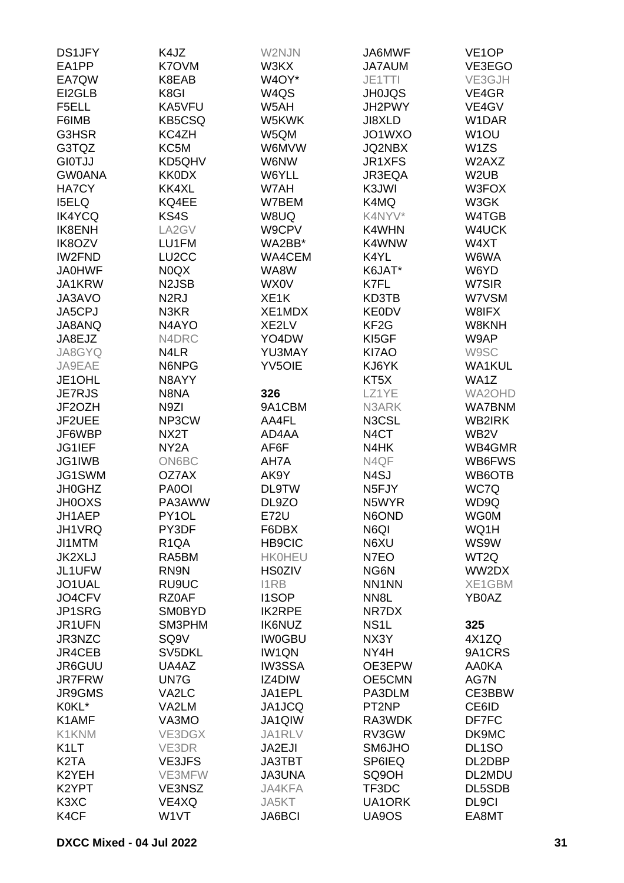| <b>DS1JFY</b>                 | K4JZ               | W2NJN             | JA6MWF             | VE <sub>1</sub> OP |
|-------------------------------|--------------------|-------------------|--------------------|--------------------|
| EA1PP                         | K7OVM              | W3KX              | <b>JA7AUM</b>      | VE3EGO             |
| EA7QW                         | K8EAB              | W4OY*             | JE1TTI             | VE3GJH             |
| EI2GLB                        | K8GI               | W4QS              | <b>JH0JQS</b>      | VE4GR              |
|                               |                    |                   |                    |                    |
| F5ELL                         | KA5VFU             | W5AH              | JH2PWY             | VE4GV              |
| F6IMB                         | KB5CSQ             | W5KWK             | JI8XLD             | W1DAR              |
| G3HSR                         | KC4ZH              | W5QM              | JO1WXO             | W <sub>1</sub> OU  |
| G3TQZ                         | KC5M               | W6MVW             | <b>JQ2NBX</b>      | W <sub>1</sub> ZS  |
| <b>GIOTJJ</b>                 | KD5QHV             | W6NW              | JR1XFS             | W2AXZ              |
| <b>GW0ANA</b>                 | KK0DX              | W6YLL             | JR3EQA             | W <sub>2</sub> UB  |
| <b>HA7CY</b>                  | KK4XL              | W7AH              | K3JWI              | W3FOX              |
| <b>ISELQ</b>                  | KQ4EE              | W7BEM             | K4MQ               | W3GK               |
| <b>IK4YCQ</b>                 | KS4S               | W8UQ              | K4NYV*             | W4TGB              |
| IK8ENH                        | LA2GV              | W9CPV             | K4WHN              | W4UCK              |
| IK8OZV                        | LU1FM              | WA2BB*            | K4WNW              | W4XT               |
| IW2FND                        | LU <sub>2</sub> CC | WA4CEM            | K4YL               | W6WA               |
| <b>JA0HWF</b>                 | N0QX               | WA8W              | K6JAT*             | W6YD               |
| JA1KRW                        |                    |                   | K7FL               | W7SIR              |
|                               | N2JSB              | WX0V              |                    |                    |
| JA3AVO                        | N2RJ               | XE <sub>1</sub> K | KD3TB              | W7VSM              |
| JA5CPJ                        | N <sub>3</sub> KR  | XE1MDX            | <b>KE0DV</b>       | W8IFX              |
| JA8ANQ                        | N <sub>4</sub> AYO | XE2LV             | KF <sub>2</sub> G  | W8KNH              |
| JA8EJZ                        | N4DRC              | YO4DW             | KI5GF              | W9AP               |
| JA8GYQ                        | N4LR               | YU3MAY            | KI7AO              | W9SC               |
| JA9EAE                        | N6NPG              | <b>YV5OIE</b>     | KJ6YK              | <b>WA1KUL</b>      |
| JE1OHL                        | N8AYY              |                   | KT <sub>5</sub> X  | WA1Z               |
| <b>JE7RJS</b>                 | N8NA               | 326               | LZ1YE              | WA2OHD             |
| JF2OZH                        | N9ZI               | 9A1CBM            | N3ARK              | <b>WA7BNM</b>      |
| JF2UEE                        | NP3CW              | AA4FL             | N3CSL              | WB2IRK             |
| JF6WBP                        | NX2T               | AD4AA             | N <sub>4</sub> CT  | WB <sub>2</sub> V  |
| JG1IEF                        | NY <sub>2</sub> A  | AF6F              | N4HK               | WB4GMR             |
| JG1IWB                        | ON6BC              | AH7A              | N4QF               | WB6FWS             |
| JG1SWM                        | OZ7AX              | AK9Y              | N <sub>4</sub> SJ  | WB6OTB             |
|                               |                    |                   |                    |                    |
| <b>JH0GHZ</b>                 | PA0OI              | <b>DL9TW</b>      | N <sub>5</sub> FJY | WC7Q               |
| <b>JH0OXS</b>                 | PA3AWW             | DL9ZO             | N5WYR              | WD9Q               |
| JH1AEP                        | PY1OL              | E72U              | N6OND              | <b>WG0M</b>        |
| JH1VRQ                        | PY3DF              | F6DBX             | N6QI               | WQ1H               |
| JI1MTM                        | R <sub>1</sub> QA  | <b>HB9CIC</b>     | N6XU               | WS9W               |
| JK2XLJ                        | RA5BM              | <b>HK0HEU</b>     | N7EO               | WT2Q               |
| JL1UFW                        | RN9N               | <b>HS0ZIV</b>     | NG6N               | WW2DX              |
| JO1UAL                        | RU9UC              | <b>I1RB</b>       | NN1NN              | XE1GBM             |
| JO4CFV                        | RZ0AF              | <b>I1SOP</b>      | NN <sub>8</sub> L  | YB0AZ              |
| JP1SRG                        | <b>SM0BYD</b>      | <b>IK2RPE</b>     | NR7DX              |                    |
| JR1UFN                        | SM3PHM             | <b>IK6NUZ</b>     | NS <sub>1</sub> L  | 325                |
| JR3NZC                        | SQ9V               | <b>IW0GBU</b>     | NX3Y               | 4X1ZQ              |
| JR4CEB                        | SV5DKL             | IW1QN             | NY4H               | 9A1CRS             |
| JR6GUU                        | UA4AZ              | <b>IW3SSA</b>     | OE3EPW             | <b>AA0KA</b>       |
| <b>JR7FRW</b>                 | UN7G               | IZ4DIW            | OE5CMN             | AG7N               |
| JR9GMS                        | VA2LC              | JA1EPL            | PA3DLM             | CE3BBW             |
| K0KL*                         | VA2LM              | JA1JCQ            | PT <sub>2</sub> NP | CE6ID              |
| K1AMF                         | VA3MO              | JA1QIW            | RA3WDK             | DF7FC              |
|                               |                    |                   |                    |                    |
| K1KNM                         | VE3DGX             | JA1RLV            | RV3GW              | DK9MC              |
| K <sub>1</sub> LT             | VE3DR              | JA2EJI            | SM6JHO             | DL <sub>1</sub> SO |
| K <sub>2</sub> TA             | <b>VE3JFS</b>      | <b>JA3TBT</b>     | <b>SP6IEQ</b>      | DL2DBP             |
| K2YEH                         | VE3MFW             | <b>JA3UNA</b>     | SQ9OH              | DL2MDU             |
| K2YPT                         | VE3NSZ             | JA4KFA            | TF3DC              | DL5SDB             |
| K <sub>3</sub> X <sub>C</sub> | VE4XQ              | JA5KT             | UA1ORK             | DL9CI              |
| K <sub>4</sub> CF             | W1VT               | <b>JA6BCI</b>     | UA9OS              | EA8MT              |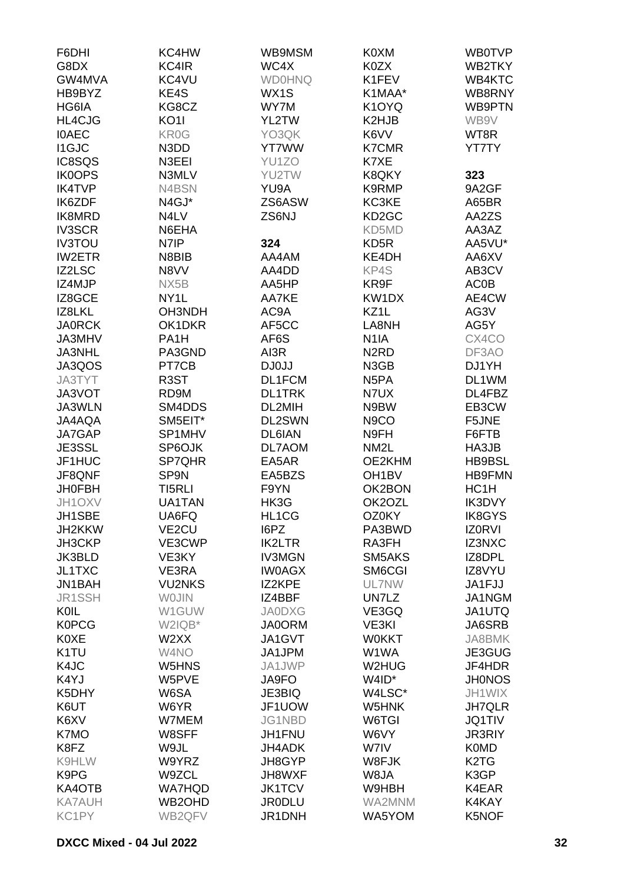| F6DHI             | KC4HW              | WB9MSM        | K0XM               | <b>WB0TVP</b>                 |
|-------------------|--------------------|---------------|--------------------|-------------------------------|
| G8DX              | KC4IR              | WC4X          | K0ZX               | WB2TKY                        |
| GW4MVA            | KC4VU              | <b>WD0HNQ</b> | K1FEV              | WB4KTC                        |
| HB9BYZ            | KE4S               | WX1S          | K1MAA*             | WB8RNY                        |
| HG6IA             | KG8CZ              | WY7M          | K1OYQ              | WB9PTN                        |
| HL4CJG            | <b>KO11</b>        | YL2TW         | K2HJB              | WB9V                          |
| <b>IOAEC</b>      | KR0G               | YO3QK         | K6VV               | WT8R                          |
| <b>I1GJC</b>      | N3DD               | <b>YT7WW</b>  | <b>K7CMR</b>       | <b>YT7TY</b>                  |
| IC8SQS            | N3EEI              |               | K7XE               |                               |
|                   |                    | YU1ZO         |                    |                               |
| <b>IK0OPS</b>     | N3MLV              | YU2TW         | K8QKY              | 323                           |
| <b>IK4TVP</b>     | N4BSN              | YU9A          | K9RMP              | 9A2GF                         |
| IK6ZDF            | N4GJ*              | ZS6ASW        | KC3KE              | A65BR                         |
| IK8MRD            | N4LV               | ZS6NJ         | KD <sub>2</sub> GC | AA2ZS                         |
| <b>IV3SCR</b>     | N6EHA              |               | KD5MD              | AA3AZ                         |
| <b>IV3TOU</b>     | N7IP               | 324           | KD <sub>5</sub> R  | AA5VU*                        |
| <b>IW2ETR</b>     | N8BIB              | AA4AM         | KE4DH              | AA6XV                         |
| <b>IZ2LSC</b>     | N8VV               | AA4DD         | KP4S               | AB3CV                         |
| IZ4MJP            | NX5B               | AA5HP         | KR9F               | <b>AC0B</b>                   |
| IZ8GCE            | NY <sub>1</sub> L  | AA7KE         | KW1DX              | AE4CW                         |
| IZ8LKL            | OH3NDH             | AC9A          | KZ1L               | AG3V                          |
| <b>JA0RCK</b>     | OK1DKR             | AF5CC         | LA8NH              | AG5Y                          |
| JA3MHV            | PA <sub>1</sub> H  | AF6S          | N <sub>1</sub> IA  | CX4CO                         |
| JA3NHL            | PA3GND             | AI3R          | N <sub>2</sub> RD  | DF3AO                         |
| JA3QOS            | PT7CB              | DJ0JJ         | N3GB               | DJ1YH                         |
| JA3TYT            | R <sub>3</sub> ST  | DL1FCM        | N <sub>5</sub> PA  | DL1WM                         |
| JA3VOT            | RD9M               | <b>DL1TRK</b> | N7UX               | DL4FBZ                        |
| JA3WLN            | SM4DDS             | DL2MIH        | N9BW               | EB3CW                         |
| JA4AQA            | SM5EIT*            | DL2SWN        | N <sub>9</sub> CO  | F5JNE                         |
| JA7GAP            | SP1MHV             | <b>DL6IAN</b> | N9FH               | F6FTB                         |
| JE3SSL            | SP6OJK             | DL7AOM        | NM <sub>2</sub> L  | HA3JB                         |
| JF1HUC            | SP7QHR             | EA5AR         | OE2KHM             | HB9BSL                        |
| JF8QNF            | SP9N               | EA5BZS        | OH <sub>1</sub> BV | <b>HB9FMN</b>                 |
| <b>JH0FBH</b>     | TI5RLI             | F9YN          | OK2BON             | HC1H                          |
| JH1OXV            | UA1TAN             | HK3G          | OK2OZL             | IK3DVY                        |
| JH1SBE            | UA6FQ              | HL1CG         | OZ0KY              | <b>IK8GYS</b>                 |
| JH2KKW            | VE <sub>2</sub> CU | I6PZ          | PA3BWD             | <b>IZORVI</b>                 |
| JH3CKP            | VE3CWP             | <b>IK2LTR</b> | RA3FH              | IZ3NXC                        |
| JK3BLD            |                    | <b>IV3MGN</b> | SM5AKS             | IZ8DPL                        |
|                   | VE3KY              | <b>IWOAGX</b> |                    |                               |
| JL1TXC            | VE3RA              |               | SM6CGI             | IZ8VYU                        |
| JN1BAH            | <b>VU2NKS</b>      | IZ2KPE        | UL7NW              | JA1FJJ                        |
| JR1SSH            | <b>WOJIN</b>       | IZ4BBF        | UN7LZ              | JA1NGM                        |
| <b>KOIL</b>       | W1GUW              | <b>JA0DXG</b> | VE3GQ              | <b>JA1UTQ</b>                 |
| <b>K0PCG</b>      | W2IQB*             | <b>JA0ORM</b> | VE3KI              | JA6SRB                        |
| <b>K0XE</b>       | W2XX               | JA1GVT        | <b>W0KKT</b>       | JA8BMK                        |
| K <sub>1</sub> TU | W4NO               | JA1JPM        | W1WA               | JE3GUG                        |
| K4JC              | W <sub>5</sub> HNS | JA1JWP        | W2HUG              | JF4HDR                        |
| K4YJ              | W5PVE              | JA9FO         | W4ID*              | <b>JH0NOS</b>                 |
| K5DHY             | W6SA               | <b>JE3BIQ</b> | W4LSC*             | JH1WIX                        |
| K6UT              | W6YR               | JF1UOW        | W5HNK              | <b>JH7QLR</b>                 |
| K6XV              | W7MEM              | JG1NBD        | W6TGI              | <b>JQ1TIV</b>                 |
| K7MO              | W8SFF              | JH1FNU        | W6VY               | <b>JR3RIY</b>                 |
| K8FZ              | W9JL               | <b>JH4ADK</b> | W7IV               | <b>K0MD</b>                   |
| K9HLW             | W9YRZ              | JH8GYP        | W8FJK              | K <sub>2</sub> T <sub>G</sub> |
| K9PG              | W9ZCL              | JH8WXF        | W8JA               | K3GP                          |
| KA4OTB            | <b>WA7HQD</b>      | <b>JK1TCV</b> | W9HBH              | K4EAR                         |
| <b>KA7AUH</b>     | WB2OHD             | <b>JR0DLU</b> | WA2MNM             | K4KAY                         |
| KC1PY             | WB2QFV             | JR1DNH        | WA5YOM             | K5NOF                         |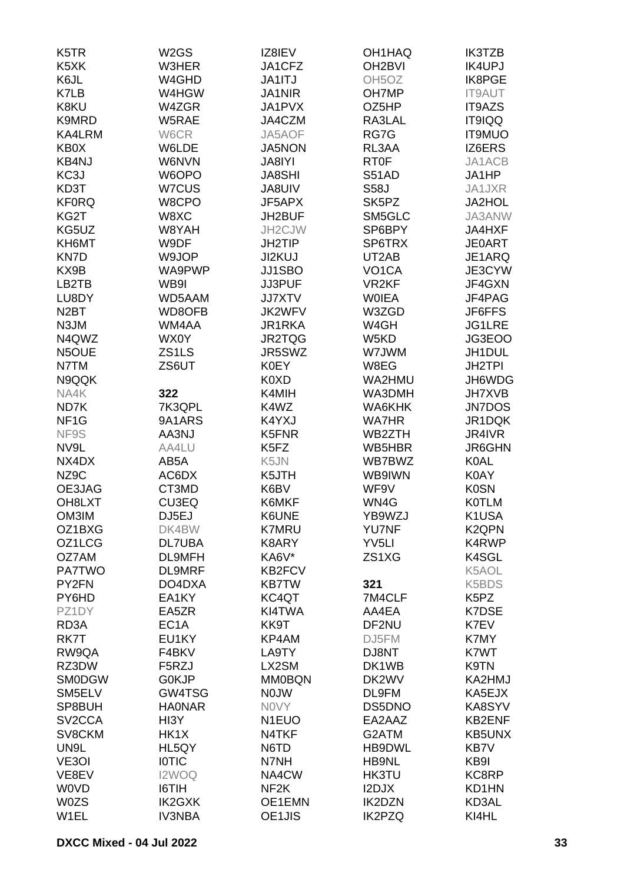| K <sub>5</sub> TR   | W <sub>2</sub> GS | IZ8IEV                | OH1HAQ              | <b>IK3TZB</b>                 |
|---------------------|-------------------|-----------------------|---------------------|-------------------------------|
| K <sub>5</sub> XK   | W3HER             | JA1CFZ                | OH <sub>2</sub> BVI | IK4UPJ                        |
| K6JL                | W4GHD             | <b>JA1ITJ</b>         | OH <sub>5</sub> OZ  | IK8PGE                        |
| K7LB                | W4HGW             | <b>JA1NIR</b>         | OH7MP               | <b>IT9AUT</b>                 |
| K8KU                | W4ZGR             | JA1PVX                | OZ5HP               | IT9AZS                        |
| K9MRD               | W5RAE             | JA4CZM                | RA3LAL              | IT9IQQ                        |
| KA4LRM              | W6CR              | JA5AOF                | RG7G                | <b>IT9MUO</b>                 |
| KB0X                | W6LDE             | <b>JA5NON</b>         | RL3AA               | IZ6ERS                        |
| KB4NJ               | W6NVN             | JA8IYI                | RT <sub>0</sub> F   | JA1ACB                        |
| KC3J                | W6OPO             | <b>JA8SHI</b>         | S51AD               | JA1HP                         |
| KD3T                | W7CUS             | <b>JA8UIV</b>         | <b>S58J</b>         | JA1JXR                        |
| <b>KF0RQ</b>        | W8CPO             | JF5APX                | SK5PZ               | JA2HOL                        |
| KG2T                | W8XC              | JH2BUF                | SM5GLC              | JA3ANW                        |
| KG5UZ               | W8YAH             | JH2CJW                | SP6BPY              | JA4HXF                        |
| KH6MT               | W9DF              | <b>JH2TIP</b>         | SP6TRX              | <b>JE0ART</b>                 |
| KN7D                | W9JOP             | JI2KUJ                | UT2AB               | JE1ARQ                        |
| KX9B                | WA9PWP            | JJ1SBO                | VO <sub>1</sub> CA  | JE3CYW                        |
| LB2TB               | WB9I              | JJ3PUF                | VR <sub>2KF</sub>   | JF4GXN                        |
| LU8DY               | WD5AAM            | <b>JJ7XTV</b>         | <b>WOIEA</b>        | JF4PAG                        |
| N <sub>2</sub> BT   | WD8OFB            | JK2WFV                | W3ZGD               | JF6FFS                        |
| N3JM                | WM4AA             | JR1RKA                | W4GH                | JG1LRE                        |
| N4QWZ               | WX0Y              | JR2TQG                | W5KD                | JG3EOO                        |
| N5OUE               | ZS1LS             | JR5SWZ                | W7JWM               | JH1DUL                        |
| N7TM                | ZS6UT             | <b>K0EY</b>           | W8EG                | <b>JH2TPI</b>                 |
| N9QQK               |                   | K0XD                  | WA2HMU              | JH6WDG                        |
| NA4K                | 322               | K4MIH                 | WA3DMH              | <b>JH7XVB</b>                 |
| ND7K                | 7K3QPL            | K4WZ                  | WA6KHK              | <b>JN7DOS</b>                 |
| NF <sub>1</sub> G   | 9A1ARS            | K4YXJ                 | <b>WA7HR</b>        | JR1DQK                        |
|                     | AA3NJ             | K5FNR                 | WB2ZTH              | JR4IVR                        |
| NF9S                |                   |                       |                     |                               |
| NV9L<br>NX4DX       | AA4LU<br>AB5A     | K5FZ                  | WB5HBR<br>WB7BWZ    | JR6GHN                        |
|                     |                   | K5JN                  |                     | <b>K0AL</b>                   |
| NZ9C                | AC6DX             | K5JTH                 | WB9IWN              | <b>K0AY</b>                   |
| OE3JAG<br>OH8LXT    | CT3MD             | K6BV                  | WF9V<br>WN4G        | <b>K0SN</b><br><b>K0TLM</b>   |
|                     | <b>CU3EQ</b>      | K6MKF                 | YB9WZJ              | K1USA                         |
| OM3IM               | DJ5EJ             | K6UNE                 |                     |                               |
| OZ1BXG<br>OZ1LCG    | DK4BW             | <b>K7MRU</b><br>K8ARY | <b>YU7NF</b>        | K <sub>2</sub> QPN            |
| OZ7AM               | DL7UBA<br>DL9MFH  |                       | YV <sub>5LI</sub>   | K4RWP                         |
|                     |                   | KA6V*                 | ZS1XG               | K4SGL                         |
| <b>PA7TWO</b>       | <b>DL9MRF</b>     | KB2FCV                |                     | K5AOL                         |
| PY2FN               | DO4DXA            | <b>KB7TW</b>          | 321                 | K5BDS                         |
| PY6HD               | EA1KY             | KC4QT                 | 7M4CLF              | K <sub>5</sub> P <sub>Z</sub> |
| PZ1DY               | EA5ZR             | KI4TWA                | AA4EA               | <b>K7DSE</b>                  |
| RD <sub>3</sub> A   | EC <sub>1</sub> A | KK9T                  | DF2NU               | K7EV                          |
| RK7T                | EU1KY             | KP4AM                 | DJ5FM               | K7MY                          |
| RW9QA               | F4BKV             | LA9TY                 | DJ8NT               | K7WT                          |
| RZ3DW               | F5RZJ             | LX2SM                 | DK1WB               | K9TN                          |
| <b>SMODGW</b>       | G0KJP             | <b>MM0BQN</b>         | DK2WV               | KA2HMJ                        |
| SM5ELV              | GW4TSG            | <b>NOJW</b>           | DL9FM               | KA5EJX                        |
| SP8BUH              | <b>HAONAR</b>     | <b>NOVY</b>           | DS5DNO              | KA8SYV                        |
| SV <sub>2</sub> CCA | HI3Y              | N <sub>1</sub> EUO    | EA2AAZ              | KB2ENF                        |
| SV8CKM              | HK1X              | N4TKF                 | G2ATM               | <b>KB5UNX</b>                 |
| UN9L                | HL5QY             | N6TD                  | HB9DWL              | KB7V                          |
| VE3OI               | <b>IOTIC</b>      | N7NH                  | HB9NL               | KB9I                          |
| VE8EV               | I2WOQ             | NA4CW                 | HK3TU               | KC8RP                         |
| <b>WOVD</b>         | I6TIH             | NF <sub>2</sub> K     | I2DJX               | KD1HN                         |
| <b>W0ZS</b>         | <b>IK2GXK</b>     | OE1EMN                | <b>IK2DZN</b>       | KD3AL                         |
| W1EL                | <b>IV3NBA</b>     | OE1JIS                | <b>IK2PZQ</b>       | KI4HL                         |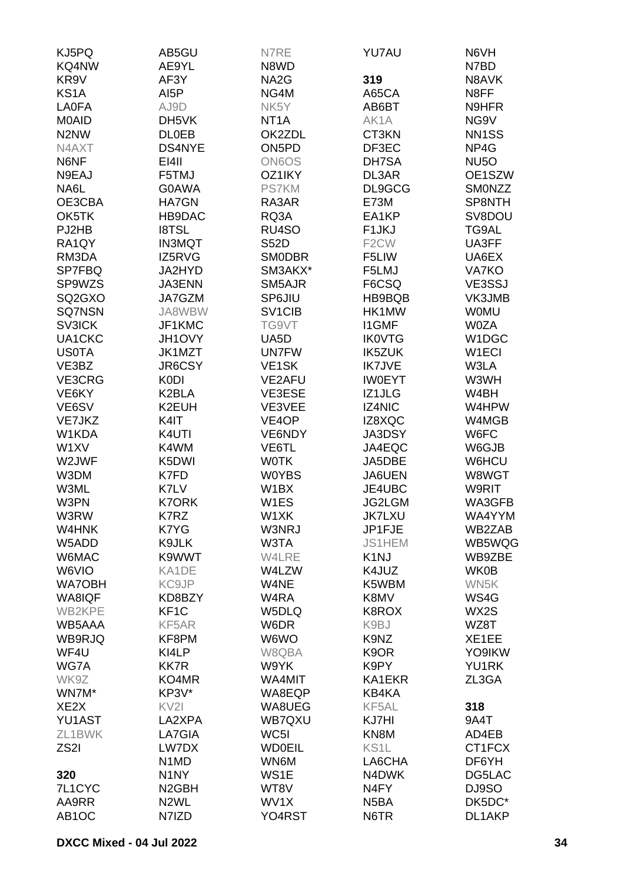| KJ5PQ                         | AB5GU                         | N7RE                | YU7AU              | N6VH               |
|-------------------------------|-------------------------------|---------------------|--------------------|--------------------|
| KQ4NW                         | AE9YL                         | N8WD                |                    | N7BD               |
| KR <sub>9V</sub>              | AF3Y                          | NA <sub>2</sub> G   | 319                | N8AVK              |
| KS <sub>1</sub> A             | AI <sub>5</sub> P             | NG4M                | A65CA              | N8FF               |
| <b>LA0FA</b>                  | AJ9D                          | NK5Y                | AB6BT              | N9HFR              |
| M0AID                         | DH5VK                         | NT <sub>1</sub> A   | AK1A               | NG9V               |
| N <sub>2</sub> N <sub>W</sub> | <b>DLOEB</b>                  | OK2ZDL              | CT3KN              | NN <sub>1</sub> SS |
| N4AXT                         | DS4NYE                        | ON <sub>5</sub> PD  | DF3EC              | NP4G               |
| N6NF                          | EI4II                         | <b>ON6OS</b>        | DH7SA              | NU <sub>5</sub> O  |
|                               |                               |                     |                    |                    |
| N9EAJ                         | F5TMJ                         | OZ1IKY              | DL3AR              | OE1SZW             |
| NA6L                          | G0AWA                         | <b>PS7KM</b>        | DL9GCG             | <b>SMONZZ</b>      |
| OE3CBA                        | <b>HA7GN</b>                  | RA3AR               | <b>E73M</b>        | SP8NTH             |
| OK5TK                         | HB9DAC                        | RQ3A                | EA1KP              | SV8DOU             |
| PJ2HB                         | <b>I8TSL</b>                  | RU4SO               | F <sub>1</sub> JKJ | TG9AL              |
| RA1QY                         | <b>IN3MQT</b>                 | <b>S52D</b>         | F <sub>2</sub> CW  | UA3FF              |
| RM3DA                         | IZ5RVG                        | <b>SMODBR</b>       | F5LIW              | UA6EX              |
| SP7FBQ                        | JA2HYD                        | SM3AKX*             | F5LMJ              | VA7KO              |
| SP9WZS                        | <b>JA3ENN</b>                 | SM5AJR              | F6CSQ              | VE3SSJ             |
| SQ2GXO                        | JA7GZM                        | <b>SP6JIU</b>       | HB9BQB             | VK3JMB             |
| <b>SQ7NSN</b>                 | JA8WBW                        | SV <sub>1</sub> CIB | HK1MW              | <b>WOMU</b>        |
| <b>SV3ICK</b>                 | JF1KMC                        | TG9VT               | <b>I1GMF</b>       | <b>W0ZA</b>        |
| UA1CKC                        | JH1OVY                        | UA5D                | <b>IK0VTG</b>      | W1DGC              |
| <b>US0TA</b>                  | JK1MZT                        | <b>UN7FW</b>        | <b>IK5ZUK</b>      | W <sub>1</sub> ECI |
| VE3BZ                         | JR6CSY                        | VE <sub>1</sub> SK  | <b>IK7JVE</b>      | W3LA               |
| VE3CRG                        | <b>K0DI</b>                   | VE2AFU              | <b>IWOEYT</b>      | W3WH               |
| VE6KY                         | K2BLA                         | VE3ESE              | IZ1JLG             | W4BH               |
| VE6SV                         | K2EUH                         | VE3VEE              | <b>IZ4NIC</b>      | W4HPW              |
| VE7JKZ                        | K4IT                          | VE4OP               | IZ8XQC             | W4MGB              |
| W1KDA                         | K4UTI                         | VE6NDY              | <b>JA3DSY</b>      | W6FC               |
| W1XV                          | K4WM                          | VE6TL               | JA4EQC             | W6GJB              |
| W2JWF                         | K5DWI                         | <b>WOTK</b>         | JA5DBE             | W6HCU              |
| W3DM                          | K7FD                          | <b>WOYBS</b>        | JA6UEN             | W8WGT              |
| W3ML                          | K7LV                          | W1BX                | JE4UBC             | W9RIT              |
| W3PN                          | <b>K7ORK</b>                  | W1ES                | JG2LGM             | WA3GFB             |
| W3RW                          | K7RZ                          | W1XK                | <b>JK7LXU</b>      | WA4YYM             |
| W4HNK                         | K7YG                          | W3NRJ               | JP1FJE             | WB2ZAB             |
| W5ADD                         | K9JLK                         | W3TA                | JS1HEM             | WB5WQG             |
| W6MAC                         | K9WWT                         | W4LRE               | K <sub>1</sub> NJ  | WB9ZBE             |
| W6VIO                         | KA1DE                         | W4LZW               | K4JUZ              | <b>WK0B</b>        |
| <b>WA7OBH</b>                 | KC9JP                         | W4NE                | K5WBM              | WN5K               |
| WA8IQF                        | KD8BZY                        | W4RA                | K8MV               | WS4G               |
| WB2KPE                        | KF <sub>1</sub> C             | W5DLQ               | K8ROX              | WX2S               |
| WB5AAA                        | KF5AR                         | W6DR                | K9BJ               | WZ8T               |
| WB9RJQ                        | KF8PM                         | W6WO                | K9NZ               | XE1EE              |
| WF4U                          | KI4LP                         | W8QBA               | K9OR               | YO9IKW             |
| WG7A                          | <b>KK7R</b>                   | W9YK                |                    | YU1RK              |
|                               | KO4MR                         | WA4MIT              | K9PY<br>KA1EKR     | ZL3GA              |
| WK9Z                          |                               |                     |                    |                    |
| WN7M*                         | KP3V*                         | WA8EQP              | KB4KA              |                    |
| XE <sub>2</sub> X             | KV <sub>2I</sub>              | WA8UEG              | KF5AL              | 318                |
| YU1AST                        | LA2XPA                        | WB7QXU              | KJ7HI              | 9A4T               |
| ZL1BWK                        | LA7GIA                        | WC5I                | KN8M               | AD4EB              |
| ZS <sub>2</sub> I             | LW7DX                         | <b>WD0EIL</b>       | KS <sub>1</sub> L  | CT1FCX             |
|                               | N <sub>1</sub> M <sub>D</sub> | WN6M                | LA6CHA             | DF6YH              |
| 320                           | N <sub>1</sub> NY             | WS1E                | N4DWK              | DG5LAC             |
| 7L1CYC                        | N <sub>2</sub> GBH            | WT8V                | N4FY               | DJ9SO              |
| AA9RR                         | N <sub>2</sub> WL             | WV1X                | N5BA               | DK5DC*             |
| AB <sub>1</sub> OC            | N7IZD                         | YO4RST              | N6TR               | DL1AKP             |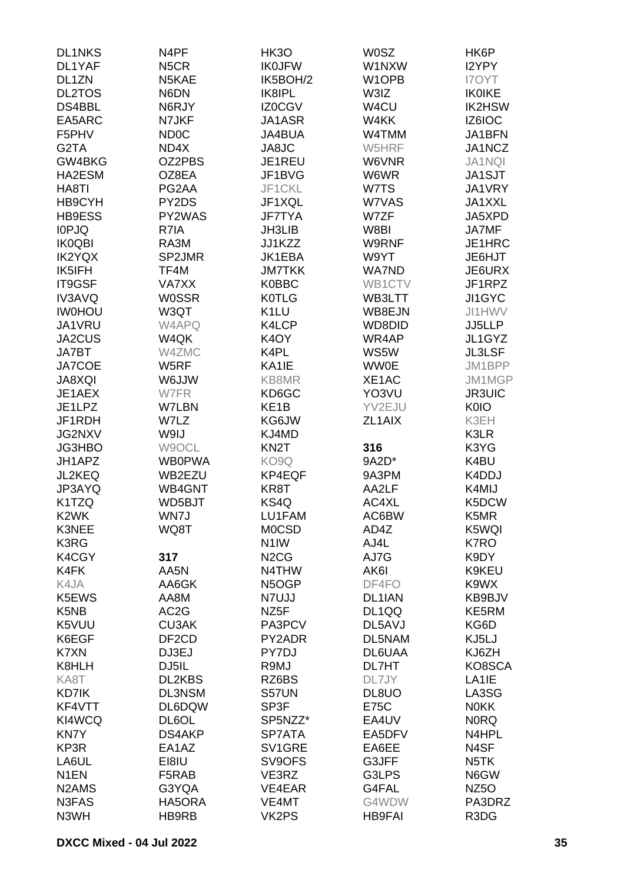| <b>DL1NKS</b>                   | N4PF               | HK3O                          | <b>W0SZ</b>        | HK6P               |
|---------------------------------|--------------------|-------------------------------|--------------------|--------------------|
| DL1YAF                          | N <sub>5</sub> CR  | <b>IK0JFW</b>                 | W1NXW              | I2YPY              |
| DL1ZN                           | N5KAE              | IK5BOH/2                      | W <sub>1</sub> OPB | <b>I7OYT</b>       |
| <b>DL2TOS</b>                   | N6DN               | IK8IPL                        |                    | <b>IK0IKE</b>      |
|                                 |                    |                               | W3IZ               |                    |
| DS4BBL                          | N6RJY              | IZ0CGV                        | W4CU               | IK2HSW             |
| EA5ARC                          | N7JKF              | JA1ASR                        | W4KK               | IZ6IOC             |
| F5PHV                           | <b>ND0C</b>        | JA4BUA                        | W4TMM              | JA1BFN             |
| G2TA                            | ND4X               | JA8JC                         | W5HRF              | JA1NCZ             |
| GW4BKG                          | OZ2PBS             | JE1REU                        | W6VNR              | <b>JA1NQI</b>      |
| HA2ESM                          | OZ8EA              | JF1BVG                        | W6WR               | JA1SJT             |
| HA8TI                           | PG2AA              | JF1CKL                        | W7TS               | JA1VRY             |
| HB9CYH                          | PY2DS              | JF1XQL                        | W7VAS              | JA1XXL             |
| HB9ESS                          | PY2WAS             | <b>JF7TYA</b>                 | W7ZF               | JA5XPD             |
| <b>IOPJQ</b>                    | R7IA               | <b>JH3LIB</b>                 | W8BI               | JA7MF              |
| <b>IK0QBI</b>                   | RA3M               | JJ1KZZ                        | W9RNF              | JE1HRC             |
| <b>IK2YQX</b>                   | SP2JMR             | JK1EBA                        | W9YT               | JE6HJT             |
|                                 |                    | <b>JM7TKK</b>                 | <b>WA7ND</b>       |                    |
| IK5IFH                          | TF4M               |                               |                    | JE6URX             |
| IT9GSF                          | <b>VA7XX</b>       | <b>K0BBC</b>                  | WB1CTV             | JF1RPZ             |
| <b>IV3AVQ</b>                   | <b>WOSSR</b>       | <b>K0TLG</b>                  | WB3LTT             | JI1GYC             |
| <b>IWOHOU</b>                   | W3QT               | K <sub>1</sub> LU             | WB8EJN             | JI1HWV             |
| JA1VRU                          | W4APQ              | K4LCP                         | WD8DID             | JJ5LLP             |
| JA2CUS                          | W4QK               | K <sub>4</sub> OY             | WR4AP              | JL1GYZ             |
| <b>JA7BT</b>                    | W4ZMC              | K4PL                          | WS5W               | <b>JL3LSF</b>      |
| <b>JA7COE</b>                   | W5RF               | KA1IE                         | <b>WW0E</b>        | JM1BPP             |
| <b>JA8XQI</b>                   | W6JJW              | KB8MR                         | XE1AC              | JM1MGP             |
| JE1AEX                          | W7FR               | KD6GC                         | YO3VU              | <b>JR3UIC</b>      |
| JE1LPZ                          | W7LBN              | KE <sub>1</sub> B             | YV2EJU             | K0IO               |
| JF1RDH                          | W7LZ               | KG6JW                         | ZL1AIX             | K3EH               |
| <b>JG2NXV</b>                   | W9IJ               | KJ4MD                         |                    | K3LR               |
|                                 |                    |                               |                    |                    |
| JG3HBO                          | W9OCL              | KN <sub>2</sub> T             | 316                | K3YG               |
| JH1APZ                          | <b>WB0PWA</b>      | KO9Q                          | 9A2D*              | K4BU               |
| <b>JL2KEQ</b>                   | WB2EZU             | KP4EQF                        | 9A3PM              | K4DDJ              |
| JP3AYQ                          | WB4GNT             | KR8T                          | AA2LF              | K4MIJ              |
| K <sub>1</sub> T <sub>Z</sub> Q | WD5BJT             | KS4Q                          | AC4XL              | K5DCW              |
| K <sub>2</sub> WK               | WN7J               | LU1FAM                        | AC6BW              | K5MR               |
| K3NEE                           | WQ8T               | <b>MOCSD</b>                  | AD4Z               | K5WQI              |
| K3RG                            |                    | N <sub>1</sub> IW             | AJ4L               | K7RO               |
| K4CGY                           | 317                | N <sub>2</sub> C <sub>G</sub> | AJ7G               | K9DY               |
| K4FK                            | AA5N               | N4THW                         | AK6I               | K9KEU              |
| K4JA                            | AA6GK              | N5OGP                         | DF4FO              | K9WX               |
| K5EWS                           | AA8M               | N7UJJ                         | DL1IAN             | KB9BJV             |
| K <sub>5</sub> N <sub>B</sub>   | AC <sub>2</sub> G  | NZ <sub>5</sub> F             | DL1QQ              | KE5RM              |
| K5VUU                           | <b>CU3AK</b>       | PA3PCV                        | DL5AVJ             | KG6D               |
| K6EGF                           | DF <sub>2</sub> CD | PY2ADR                        | DL5NAM             | KJ5LJ              |
|                                 |                    |                               |                    |                    |
| K7XN                            | DJ3EJ              | PY7DJ                         | DL6UAA             | KJ6ZH              |
| K8HLH                           | DJ5IL              | R9MJ                          | DL7HT              | KO8SCA             |
| KA8T                            | DL2KBS             | RZ6BS                         | DL7JY              | LA <sub>1</sub> IE |
| KD7IK                           | DL3NSM             | S57UN                         | DL8UO              | LA3SG              |
| KF4VTT                          | DL6DQW             | SP3F                          | <b>E75C</b>        | <b>NOKK</b>        |
| KI4WCQ                          | DL6OL              | SP5NZZ*                       | EA4UV              | <b>NORQ</b>        |
| <b>KN7Y</b>                     | DS4AKP             | SP7ATA                        | EA5DFV             | N4HPL              |
| KP3R                            | EA1AZ              | SV1GRE                        | EA6EE              | N4SF               |
| LA6UL                           | EI8IU              | SV9OFS                        | G3JFF              | N <sub>5</sub> TK  |
| N <sub>1</sub> EN               | F5RAB              | VE3RZ                         | G3LPS              | N6GW               |
| N <sub>2</sub> AM <sub>S</sub>  | G3YQA              | VE4EAR                        | G4FAL              | NZ <sub>50</sub>   |
| N3FAS                           | HA5ORA             | VE4MT                         | G4WDW              | PA3DRZ             |
| N3WH                            | HB9RB              | VK2PS                         | <b>HB9FAI</b>      | R3DG               |
|                                 |                    |                               |                    |                    |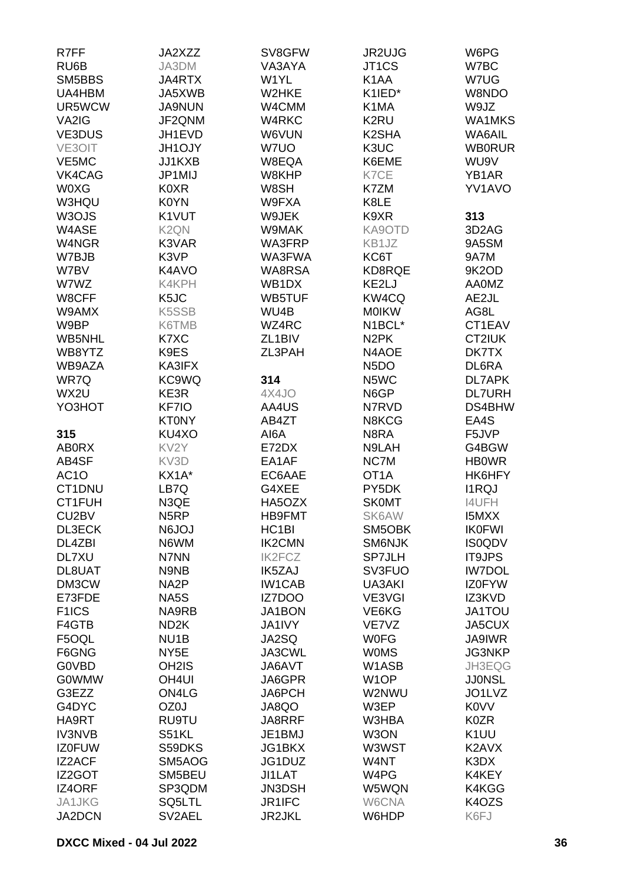| R7FF               | JA2XZZ             | SV8GFW              | JR2UJG             | W6PG                   |
|--------------------|--------------------|---------------------|--------------------|------------------------|
| RU6B               | JA3DM              | VA3AYA              | JT <sub>1</sub> CS | W7BC                   |
| SM5BBS             | JA4RTX             | W1YL                | K <sub>1</sub> AA  | W7UG                   |
| UA4HBM             | JA5XWB             | W2HKE               | K1IED*             | W8NDO                  |
| UR5WCW             | <b>JA9NUN</b>      | W4CMM               | K1MA               | W9JZ                   |
| VA2IG              | JF2QNM             | W4RKC               | K2RU               | <b>WA1MKS</b>          |
| <b>VE3DUS</b>      | JH1EVD             | W6VUN               | K2SHA              | <b>WA6AIL</b>          |
| VE3OIT             | <b>JH1OJY</b>      | W7UO                | K3UC               | <b>WB0RUR</b>          |
| VE5MC              | JJ1KXB             | W8EQA               | K6EME              | WU9V                   |
| VK4CAG             | JP1MIJ             | W8KHP               | K7CE               | YB1AR                  |
| <b>W0XG</b>        | <b>K0XR</b>        | W8SH                | K7ZM               | YV1AVO                 |
| W3HQU              | K0YN               | W9FXA               | K8LE               |                        |
| W3OJS              | K1VUT              | W9JEK               | K9XR               | 313                    |
| W4ASE              | K <sub>2</sub> QN  | W9MAK               | KA9OTD             | 3D <sub>2</sub> AG     |
| W4NGR              | K3VAR              | WA3FRP              | KB1JZ              | 9A5SM                  |
| W7BJB              | K3VP               | WA3FWA              | KC6T               | 9A7M                   |
| W7BV               | K4AVO              | <b>WA8RSA</b>       | KD8RQE             | 9K2OD                  |
| W7WZ               | K4KPH              | WB1DX               | KE2LJ              | <b>AA0MZ</b>           |
| W8CFF              | K <sub>5</sub> JC  | <b>WB5TUF</b>       | KW4CQ              | AE2JL                  |
| W9AMX              | K5SSB              | WU4B                | <b>MOIKW</b>       | AG8L                   |
| W9BP               | K6TMB              | WZ4RC               | N1BCL*             | CT1EAV                 |
| WB5NHL             | K7XC               | ZL <sub>1</sub> BIV | N <sub>2</sub> PK  | CT2IUK                 |
| WB8YTZ             | K9ES               | ZL3PAH              | N4AOE              | DK7TX                  |
|                    |                    |                     |                    |                        |
| WB9AZA             | KA3IFX             | 314                 | N <sub>5</sub> DO  | DL6RA<br><b>DL7APK</b> |
| WR7Q               | KC9WQ              |                     | N5WC               |                        |
| WX2U               | KE3R               | 4X4JO               | N6GP               | <b>DL7URH</b>          |
| YO3HOT             | KF7IO              | AA4US               | N7RVD              | DS4BHW                 |
|                    | <b>KT0NY</b>       | AB4ZT               | N8KCG              | EA4S                   |
| 315                | KU4XO              | AI6A                | N8RA               | F5JVP                  |
| <b>ABORX</b>       | KV <sub>2</sub> Y  | E72DX               | N9LAH              | G4BGW                  |
| AB4SF              | KV3D               | EA1AF               | NC7M               | <b>HB0WR</b>           |
| AC <sub>1</sub> O  | KX1A*              | EC6AAE              | OT <sub>1</sub> A  | HK6HFY                 |
| CT1DNU             | LB7Q               | G4XEE               | PY5DK              | <b>I1RQJ</b>           |
| CT1FUH             | N3QE               | HA5OZX              | <b>SK0MT</b>       | <b>I4UFH</b>           |
| CU <sub>2</sub> BV | N <sub>5</sub> RP  | <b>HB9FMT</b>       | SK6AW              | I5MXX                  |
| DL3ECK             | <b>N6JOJ</b>       | HC <sub>1</sub> BI  | SM5OBK             | <b>IK0FWI</b>          |
| DL4ZBI             | N6WM               | <b>IK2CMN</b>       | SM6NJK             | <b>IS0QDV</b>          |
| DL7XU              | N7NN               | <b>IK2FCZ</b>       | <b>SP7JLH</b>      | <b>IT9JPS</b>          |
| DL8UAT             | N9NB               | <b>IK5ZAJ</b>       | SV3FUO             | <b>IW7DOL</b>          |
| DM3CW              | NA <sub>2</sub> P  | <b>IW1CAB</b>       | UA3AKI             | <b>IZ0FYW</b>          |
| E73FDE             | NA5S               | IZ7DOO              | VE3VGI             | IZ3KVD                 |
| F <sub>1</sub> ICS | NA9RB              | JA1BON              | VE6KG              | JA1TOU                 |
| F4GTB              | ND <sub>2</sub> K  | JA1IVY              | VE7VZ              | JA5CUX                 |
| F5OQL              | NU <sub>1</sub> B  | JA2SQ               | <b>WOFG</b>        | <b>JA9IWR</b>          |
| F6GNG              | NY <sub>5</sub> E  | JA3CWL              | <b>WOMS</b>        | JG3NKP                 |
| <b>G0VBD</b>       | OH <sub>2</sub> IS | JA6AVT              | W1ASB              | JH3EQG                 |
| <b>G0WMW</b>       | OH <sub>4UI</sub>  | JA6GPR              | W <sub>1</sub> OP  | <b>JJONSL</b>          |
| G3EZZ              | ON4LG              | JA6PCH              | W2NWU              | JO1LVZ                 |
| G4DYC              | OZ0J               | JA8QO               | W3EP               | <b>K0VV</b>            |
| HA9RT              | <b>RU9TU</b>       | JA8RRF              | W3HBA              | <b>K0ZR</b>            |
| <b>IV3NVB</b>      | S51KL              | JE1BMJ              | W3ON               | K <sub>1</sub> UU      |
| <b>IZ0FUW</b>      | S59DKS             | JG1BKX              | W3WST              | K2AVX                  |
| <b>IZ2ACF</b>      | SM5AOG             | JG1DUZ              | W4NT               | K3DX                   |
| IZ2GOT             | SM5BEU             | JI1LAT              | W4PG               | K4KEY                  |
| IZ4ORF             | SP3QDM             | <b>JN3DSH</b>       | W5WQN              | K4KGG                  |
| JA1JKG             | SQ5LTL             | JR1IFC              | W6CNA              | K4OZS                  |
| JA2DCN             | SV2AEL             | <b>JR2JKL</b>       | W6HDP              | K6FJ                   |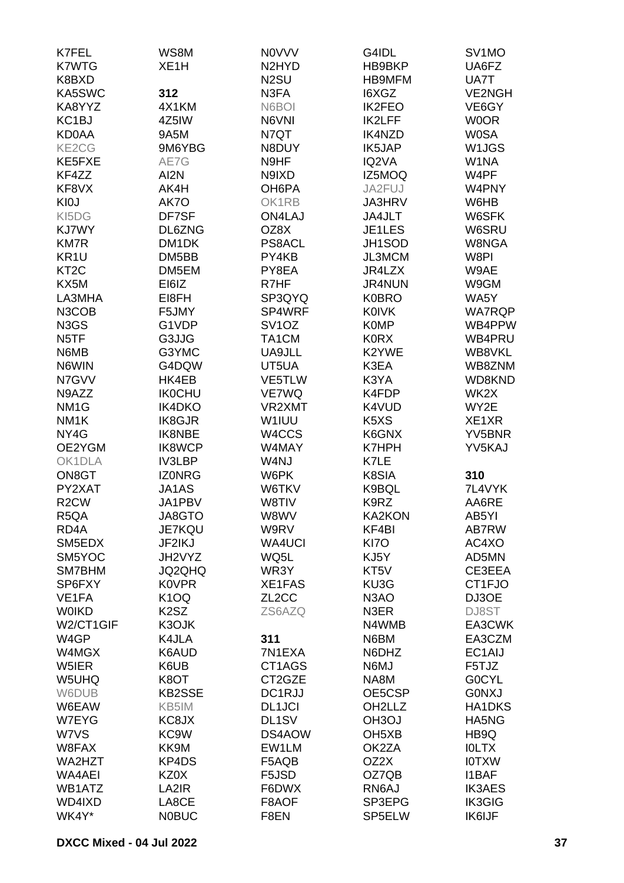| K7FEL                         | WS8M               | <b>NOVVV</b>                   | G4IDL                         | SV <sub>1</sub> MO |
|-------------------------------|--------------------|--------------------------------|-------------------------------|--------------------|
| <b>K7WTG</b>                  | XE <sub>1</sub> H  | N <sub>2</sub> HY <sub>D</sub> | HB9BKP                        | UA6FZ              |
| K8BXD                         |                    | N <sub>2</sub> SU              | <b>HB9MFM</b>                 | UA7T               |
| KA5SWC                        | 312                | N3FA                           | I6XGZ                         | <b>VE2NGH</b>      |
| KA8YYZ                        | 4X1KM              | N6BOI                          | <b>IK2FEO</b>                 | VE6GY              |
| KC <sub>1</sub> BJ            | 4Z5IW              | N6VNI                          | <b>IK2LFF</b>                 | <b>WOOR</b>        |
| <b>KD0AA</b>                  | 9A5M               | N7QT                           | <b>IK4NZD</b>                 | <b>W0SA</b>        |
| KE2CG                         | 9M6YBG             | N8DUY                          | IK5JAP                        | W1JGS              |
| KE5FXE                        | AE7G               | N9HF                           | IQ2VA                         | W1NA               |
| KF4ZZ                         | AI2N               | N9IXD                          | IZ5MOQ                        | W4PF               |
| KF8VX                         | AK4H               | OH6PA                          | JA2FUJ                        | W4PNY              |
| KI0J                          | AK7O               | OK1RB                          | <b>JA3HRV</b>                 | W6HB               |
| KI5DG                         | DF7SF              | <b>ON4LAJ</b>                  | JA4JLT                        | W6SFK              |
| KJ7WY                         | DL6ZNG             | OZ8X                           | JE1LES                        | W6SRU              |
| <b>KM7R</b>                   | DM <sub>1</sub> DK | PS8ACL                         | JH1SOD                        | W8NGA              |
| KR <sub>1U</sub>              | DM5BB              | PY4KB                          | JL3MCM                        | W8PI               |
| KT <sub>2</sub> C             | DM5EM              | PY8EA                          | JR4LZX                        | W9AE               |
| KX5M                          | EI6IZ              | R7HF                           | <b>JR4NUN</b>                 | W9GM               |
| LA3MHA                        | EI8FH              | SP3QYQ                         | <b>K0BRO</b>                  | WA5Y               |
| N3COB                         | F5JMY              | SP4WRF                         | <b>K0IVK</b>                  | <b>WA7RQP</b>      |
| N <sub>3</sub> G <sub>S</sub> | G1VDP              | SV <sub>1</sub> OZ             | <b>K0MP</b>                   | WB4PPW             |
| N <sub>5</sub> TF             | G3JJG              | TA1CM                          | <b>KORX</b>                   | WB4PRU             |
| N6MB                          | G3YMC              | UA9JLL                         | K2YWE                         | WB8VKL             |
| N6WIN                         | G4DQW              | UT5UA                          | K3EA                          | WB8ZNM             |
| N7GVV                         | HK4EB              | VE5TLW                         | K3YA                          | WD8KND             |
| N9AZZ                         | <b>IK0CHU</b>      | VE7WQ                          | K4FDP                         | WK2X               |
| NM <sub>1</sub> G             | IK4DKO             | VR2XMT                         | K4VUD                         | WY2E               |
| NM <sub>1</sub> K             | <b>IK8GJR</b>      | W1IUU                          | K <sub>5</sub> X <sub>S</sub> | XE1XR              |
| NY4G                          | <b>IK8NBE</b>      | W4CCS                          | K6GNX                         | YV5BNR             |
| OE2YGM                        | <b>IK8WCP</b>      | W4MAY                          | K7HPH                         | YV5KAJ             |
| OK1DLA                        | <b>IV3LBP</b>      | W4NJ                           | K7LE                          |                    |
| ON8GT                         | <b>IZONRG</b>      | W6PK                           | K8SIA                         | 310                |
| PY2XAT                        | JA1AS              | W6TKV                          | K9BQL                         | 7L4VYK             |
| R <sub>2</sub> CW             | JA1PBV             | W8TIV                          | K9RZ                          | AA6RE              |
| R5QA                          | JA8GTO             | W8WV                           | KA2KON                        | AB5YI              |
| RD <sub>4</sub> A             | <b>JE7KQU</b>      | W9RV                           | KF4BI                         | AB7RW              |
| SM5EDX                        | JF2IKJ             | <b>WA4UCI</b>                  | KI7O                          | AC4XO              |
| SM5YOC                        | JH2VYZ             | WQ5L                           | KJ5Y                          | AD5MN              |
| SM7BHM                        | <b>JQ2QHQ</b>      | WR3Y                           | KT5V                          | CE3EEA             |
| SP6FXY                        | <b>K0VPR</b>       | XE1FAS                         | KU3G                          | CT1FJO             |
| VE1FA                         | K <sub>1</sub> OQ  | ZL <sub>2</sub> CC             | N <sub>3</sub> AO             | DJ3OE              |
| <b>WOIKD</b>                  | K2SZ               | ZS6AZQ                         | N3ER                          | DJ8ST              |
| W2/CT1GIF                     | K3OJK              |                                | N4WMB                         | EA3CWK             |
| W4GP                          | K4JLA              | 311                            | N6BM                          | EA3CZM             |
| W4MGX                         | K6AUD              | 7N1EXA                         | N6DHZ                         | EC1AIJ             |
| W5IER                         | K6UB               | CT1AGS                         | N6MJ                          | F5TJZ              |
| W5UHQ                         | K8OT               | CT2GZE                         | NA8M                          | <b>GOCYL</b>       |
| W6DUB                         | <b>KB2SSE</b>      | DC1RJJ                         | OE5CSP                        | <b>GONXJ</b>       |
| W6EAW                         | KB5IM              | <b>DL1JCI</b>                  | OH <sub>2</sub> LLZ           | <b>HA1DKS</b>      |
| W7EYG                         | KC8JX              | DL1SV                          | OH <sub>3</sub> OJ            | HA5NG              |
| W7VS                          | KC9W               | DS4AOW                         | OH <sub>5</sub> XB            | HB9Q               |
| W8FAX                         | KK9M               | EW1LM                          | OK2ZA                         | <b>IOLTX</b>       |
| WA2HZT                        | KP4DS              | F5AQB                          | OZ2X                          | <b>IOTXW</b>       |
| <b>WA4AEI</b>                 | KZ0X               | F5JSD                          | OZ7QB                         | <b>I1BAF</b>       |
| WB1ATZ                        | LA2IR              | F6DWX                          | RN6AJ                         | <b>IK3AES</b>      |
| WD4IXD                        | LA8CE              | F8AOF                          | SP3EPG                        | <b>IK3GIG</b>      |
| WK4Y*                         | <b>NOBUC</b>       | F8EN                           | SP5ELW                        | IK6IJF             |
|                               |                    |                                |                               |                    |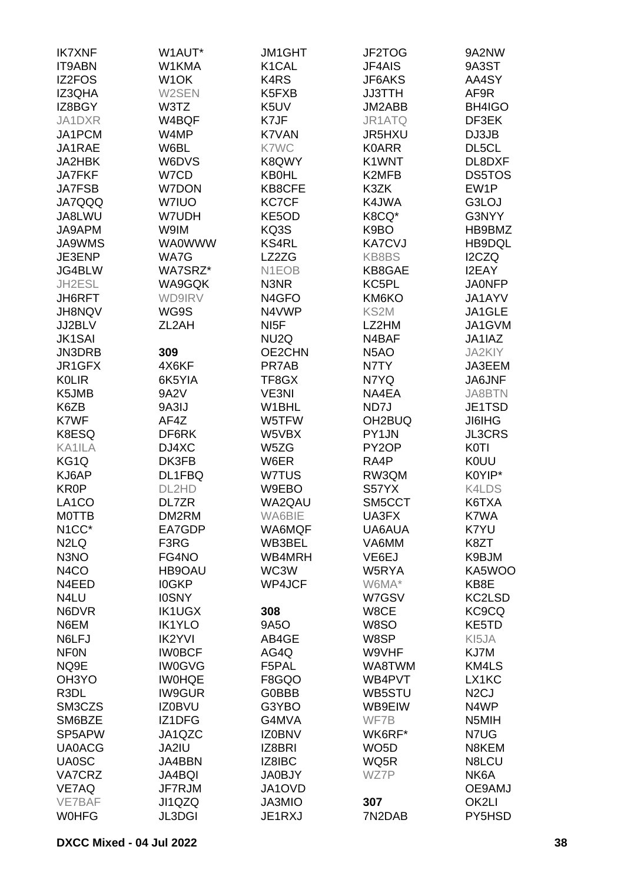| <b>IK7XNF</b>      | W1AUT*            | <b>JM1GHT</b>                  | JF2TOG              | 9A2NW             |
|--------------------|-------------------|--------------------------------|---------------------|-------------------|
| <b>IT9ABN</b>      | W1KMA             | K1CAL                          | <b>JF4AIS</b>       | 9A3ST             |
| IZ2FOS             | W <sub>1</sub> OK | K <sub>4</sub> R <sub>S</sub>  | JF6AKS              | AA4SY             |
| IZ3QHA             | W2SEN             | K <sub>5</sub> F <sub>XB</sub> | <b>JJ3TTH</b>       | AF9R              |
| IZ8BGY             | W3TZ              | K5UV                           | JM2ABB              | BH4IGO            |
|                    |                   |                                |                     |                   |
| JA1DXR             | W4BQF             | K7JF                           | JR1ATQ              | DF3EK             |
| JA1PCM             | W4MP              | K7VAN                          | <b>JR5HXU</b>       | DJ3JB             |
| JA1RAE             | W6BL              | K7WC                           | <b>K0ARR</b>        | DL5CL             |
| JA2HBK             | W6DVS             | K8QWY                          | K1WNT               | DL8DXF            |
| <b>JA7FKF</b>      | W7CD              | <b>KB0HL</b>                   | K2MFB               | <b>DS5TOS</b>     |
| <b>JA7FSB</b>      | <b>W7DON</b>      | KB8CFE                         | K3ZK                | EW1P              |
| <b>JA7QQQ</b>      | W7IUO             | <b>KC7CF</b>                   | K4JWA               | G3LOJ             |
| JA8LWU             | W7UDH             | KE5OD                          | K8CQ*               | G3NYY             |
| JA9APM             | W9IM              | KQ3S                           | K9BO                | HB9BMZ            |
| <b>JA9WMS</b>      | <b>WA0WWW</b>     | <b>KS4RL</b>                   | <b>KA7CVJ</b>       | HB9DQL            |
| JE3ENP             | WA7G              | LZ2ZG                          | KB8BS               | I2CZQ             |
| JG4BLW             | WA7SRZ*           | N <sub>1</sub> EOB             | KB8GAE              | <b>I2EAY</b>      |
| JH2ESL             | WA9GQK            | N3NR                           | KC5PL               | <b>JA0NFP</b>     |
| JH6RFT             | <b>WD9IRV</b>     | N <sub>4</sub> GFO             | KM6KO               | JA1AYV            |
| JH8NQV             | WG9S              | N4VWP                          | KS2M                | JA1GLE            |
| JJ2BLV             | ZL2AH             | NI <sub>5</sub> F              | LZ2HM               | JA1GVM            |
| <b>JK1SAI</b>      |                   | NU <sub>2</sub> Q              | N4BAF               | JA1IAZ            |
| JN3DRB             | 309               | OE2CHN                         | N <sub>5</sub> AO   | <b>JA2KIY</b>     |
|                    |                   |                                |                     |                   |
| JR1GFX             | 4X6KF             | PR7AB                          | N7TY                | JA3EEM            |
| <b>KOLIR</b>       | 6K5YIA            | TF8GX                          | N7YQ                | <b>JA6JNF</b>     |
| K5JMB              | 9A2V              | VE3NI                          | NA4EA               | <b>JA8BTN</b>     |
| K6ZB               | 9A3IJ             | W1BHL                          | ND7J                | JE1TSD            |
| K7WF               | AF4Z              | W5TFW                          | OH <sub>2</sub> BUQ | <b>JI6IHG</b>     |
| K8ESQ              | DF6RK             | W5VBX                          | PY1JN               | <b>JL3CRS</b>     |
| KA1ILA             | DJ4XC             | W5ZG                           | PY2OP               | <b>K0TI</b>       |
| KG1Q               | DK3FB             | W6ER                           | RA4P                | <b>KOUU</b>       |
| KJ6AP              | DL1FBQ            | W7TUS                          | RW3QM               | K0YIP*            |
| <b>KR0P</b>        | DL2HD             | W9EBO                          | S57YX               | K4LDS             |
| LA <sub>1</sub> CO | DL7ZR             | WA2QAU                         | SM5CCT              | K6TXA             |
| <b>MOTTB</b>       | DM2RM             | WA6BIE                         | UA3FX               | K7WA              |
| N <sub>1</sub> CC* | EA7GDP            | WA6MQF                         | UA6AUA              | K7YU              |
| N <sub>2</sub> LQ  | F3RG              | WB3BEL                         | VA6MM               | K8ZT              |
| N <sub>3</sub> NO  | FG4NO             | WB4MRH                         | VE6EJ               | K9BJM             |
| N <sub>4</sub> CO  | HB9OAU            | WC3W                           | W5RYA               | KA5WOO            |
| N4EED              | <b>IOGKP</b>      | WP4JCF                         | W6MA*               | KB8E              |
| N4LU               | <b>IOSNY</b>      |                                | W7GSV               | KC2LSD            |
| N6DVR              | <b>IK1UGX</b>     | 308                            | W8CE                | KC9CQ             |
| N6EM               | <b>IK1YLO</b>     | 9A5O                           | <b>W8SO</b>         | KE5TD             |
| N6LFJ              | <b>IK2YVI</b>     | AB4GE                          | W8SP                | KI5JA             |
| <b>NFON</b>        | <b>IWOBCF</b>     | AG4Q                           | W9VHF               | KJ7M              |
| NQ9E               | <b>IW0GVG</b>     | F5PAL                          | WA8TWM              | KM4LS             |
| OH <sub>3</sub> YO | <b>IW0HQE</b>     | F8GQO                          | WB4PVT              | LX1KC             |
| R3DL               | <b>IW9GUR</b>     | <b>G0BBB</b>                   | WB5STU              | N <sub>2</sub> CJ |
| SM3CZS             | <b>IZ0BVU</b>     | G3YBO                          | WB9EIW              | N4WP              |
| SM6BZE             | IZ1DFG            | G4MVA                          | WF7B                | N5MIH             |
| SP5APW             | JA1QZC            | <b>IZ0BNV</b>                  | WK6RF*              | N7UG              |
| <b>UA0ACG</b>      | JA2IU             | IZ8BRI                         | WO <sub>5</sub> D   | N8KEM             |
| <b>UA0SC</b>       | JA4BBN            | IZ8IBC                         | WQ5R                | N8LCU             |
|                    |                   |                                | WZ7P                | NK6A              |
| VA7CRZ             | <b>JA4BQI</b>     | <b>JA0BJY</b>                  |                     |                   |
| VE7AQ<br>VE7BAF    | JF7RJM            | JA1OVD                         |                     | OE9AMJ            |
|                    | JI1QZQ            | JA3MIO                         | 307                 | OK2LI             |
| <b>WOHFG</b>       | <b>JL3DGI</b>     | JE1RXJ                         | 7N2DAB              | PY5HSD            |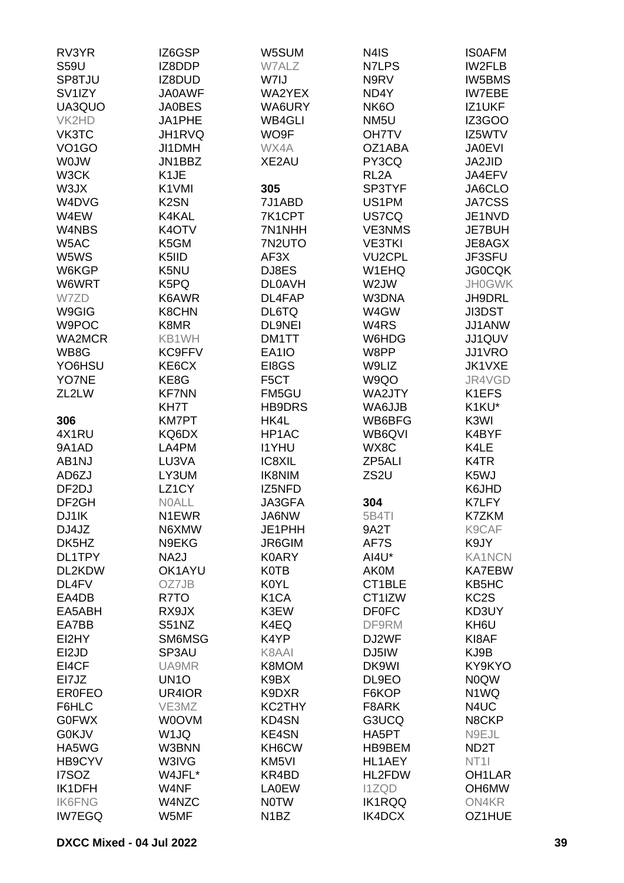| RV3YR              | IZ6GSP            | W5SUM             | N4IS              | <b>ISOAFM</b>     |
|--------------------|-------------------|-------------------|-------------------|-------------------|
| <b>S59U</b>        | IZ8DDP            | W7ALZ             | N7LPS             | IW2FLB            |
| SP8TJU             | IZ8DUD            | W7IJ              | N9RV              | <b>IW5BMS</b>     |
| SV1IZY             | <b>JA0AWF</b>     | WA2YEX            | ND4Y              | <b>IW7EBE</b>     |
| UA3QUO             | <b>JA0BES</b>     | WA6URY            | NK <sub>6</sub> O | IZ1UKF            |
|                    |                   |                   |                   |                   |
| VK2HD              | JA1PHE            | WB4GLI            | NM <sub>5U</sub>  | IZ3GOO            |
| VK3TC              | JH1RVQ            | WO9F              | <b>OH7TV</b>      | IZ5WTV            |
| VO <sub>1</sub> GO | JI1DMH            | WX4A              | OZ1ABA            | <b>JA0EVI</b>     |
| <b>WOJW</b>        | JN1BBZ            | XE2AU             | PY3CQ             | JA2JID            |
| W3CK               | K <sub>1</sub> JE |                   | RL <sub>2</sub> A | JA4EFV            |
| W3JX               | K1VMI             | 305               | SP3TYF            | JA6CLO            |
| W4DVG              | K <sub>2</sub> SN | 7J1ABD            | US1PM             | JA7CSS            |
| W4EW               | K4KAL             | 7K1CPT            | US7CQ             | JE1NVD            |
| W4NBS              | K4OTV             | 7N1NHH            | <b>VE3NMS</b>     | JE7BUH            |
| W5AC               | K5GM              | 7N2UTO            | <b>VE3TKI</b>     | JE8AGX            |
| W5WS               | K5IID             | AF3X              | <b>VU2CPL</b>     | JF3SFU            |
| W6KGP              | K5NU              | DJ8ES             | W1EHQ             | <b>JG0CQK</b>     |
|                    | K5PQ              |                   | W2JW              | <b>JH0GWK</b>     |
| W6WRT              |                   | <b>DL0AVH</b>     |                   |                   |
| W7ZD               | K6AWR             | DL4FAP            | W3DNA             | JH9DRL            |
| W9GIG              | K8CHN             | DL6TQ             | W4GW              | JI3DST            |
| W9POC              | K8MR              | <b>DL9NEI</b>     | W4RS              | JJ1ANW            |
| WA2MCR             | KB1WH             | DM1TT             | W6HDG             | JJ1QUV            |
| WB8G               | <b>KC9FFV</b>     | EA1IO             | W8PP              | JJ1VRO            |
| YO6HSU             | KE6CX             | EI8GS             | W9LIZ             | JK1VXE            |
| YO7NE              | KE8G              | F <sub>5</sub> CT | W9QO              | JR4VGD            |
| ZL2LW              | <b>KF7NN</b>      | FM5GU             | WA2JTY            | K1EFS             |
|                    | KH7T              | <b>HB9DRS</b>     | WA6JJB            | K1KU*             |
| 306                | <b>KM7PT</b>      | HK4L              | WB6BFG            | K3WI              |
| 4X1RU              | KQ6DX             | HP1AC             | WB6QVI            | K4BYF             |
| 9A1AD              | LA4PM             | <b>I1YHU</b>      | WX8C              | K4LE              |
| AB1NJ              | LU3VA             | IC8XIL            | ZP5ALI            | K4TR              |
|                    |                   |                   |                   |                   |
| AD6ZJ              | LY3UM             | <b>IK8NIM</b>     | ZS2U              | K5WJ              |
| DF <sub>2</sub> DJ | LZ1CY             | IZ5NFD            |                   | K6JHD             |
| DF <sub>2GH</sub>  | <b>NOALL</b>      | <b>JA3GFA</b>     | 304               | <b>K7LFY</b>      |
| DJ1IK              | N1EWR             | JA6NW             | 5B4TI             | K7ZKM             |
| DJ4JZ              | N6XMW             | JE1PHH            | 9A2T              | K9CAF             |
| DK5HZ              | N9EKG             | JR6GIM            | AF7S              | K9JY              |
| DL1TPY             | NA <sub>2</sub> J | <b>K0ARY</b>      | AI4U*             | <b>KA1NCN</b>     |
| DL2KDW             | OK1AYU            | <b>K0TB</b>       | <b>AK0M</b>       | <b>KA7EBW</b>     |
| DL4FV              | OZ7JB             | <b>K0YL</b>       | CT1BLE            | KB5HC             |
| EA4DB              | R7TO              | K <sub>1</sub> CA | CT1IZW            | KC <sub>2</sub> S |
| EA5ABH             | RX9JX             | K3EW              | <b>DF0FC</b>      | KD3UY             |
| EA7BB              | S51NZ             | K4EQ              | DF9RM             | KH6U              |
| EI2HY              | SM6MSG            | K4YP              | DJ2WF             | KI8AF             |
| EI2JD              | SP3AU             | K8AAI             | DJ5IW             | KJ9B              |
| EI4CF              | UA9MR             | K8MOM             | DK9WI             | KY9KYO            |
|                    |                   |                   |                   |                   |
| EI7JZ              | UN <sub>10</sub>  | K9BX              | DL9EO             | <b>NOQW</b>       |
| <b>ER0FEO</b>      | UR4IOR            | K9DXR             | F6KOP             | N1WQ              |
| F6HLC              | VE3MZ             | KC2THY            | F8ARK             | N4UC              |
| <b>G0FWX</b>       | <b>WOOVM</b>      | KD4SN             | G3UCQ             | N8CKP             |
| <b>G0KJV</b>       | W <sub>1JQ</sub>  | KE4SN             | HA5PT             | N9EJL             |
| HA5WG              | W3BNN             | KH6CW             | HB9BEM            | ND <sub>2</sub> T |
| HB9CYV             | W3IVG             | KM5VI             | HL1AEY            | NT <sub>1</sub>   |
| I7SOZ              | W4JFL*            | KR4BD             | HL2FDW            | OH1LAR            |
| IK1DFH             | W4NF              | <b>LA0EW</b>      | <b>I1ZQD</b>      | OH6MW             |
| <b>IK6FNG</b>      | W4NZC             | <b>NOTW</b>       | <b>IK1RQQ</b>     | ON4KR             |
| <b>IW7EGQ</b>      | W5MF              | N <sub>1</sub> BZ | IK4DCX            | OZ1HUE            |
|                    |                   |                   |                   |                   |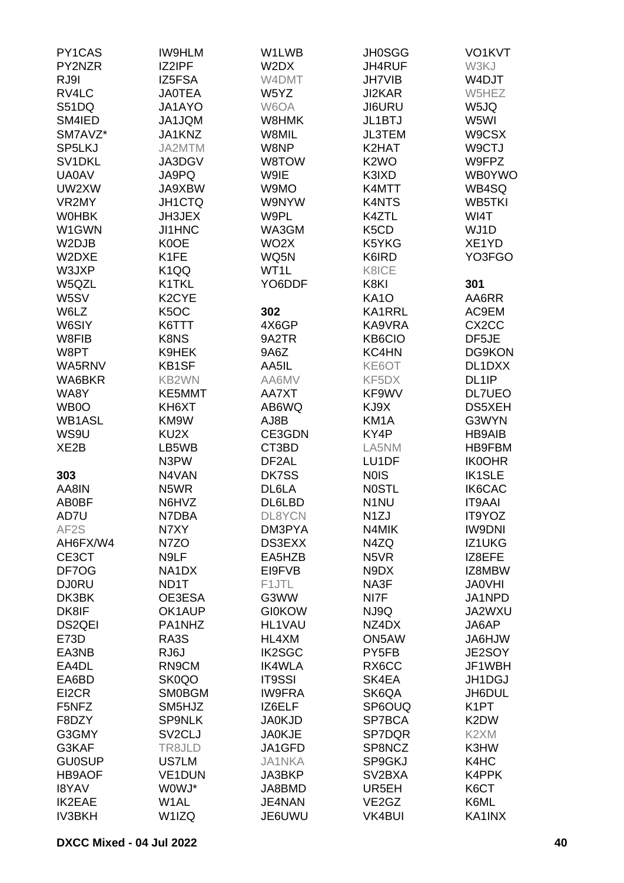| PY1CAS            | <b>IW9HLM</b>       | W1LWB              | <b>JH0SGG</b>                 | VO1KVT             |
|-------------------|---------------------|--------------------|-------------------------------|--------------------|
| PY2NZR            | IZ2IPF              | W2DX               | JH4RUF                        | W3KJ               |
| RJ9I              | IZ5FSA              | W4DMT              | <b>JH7VIB</b>                 | W4DJT              |
| RV4LC             | <b>JA0TEA</b>       | W5YZ               | <b>JI2KAR</b>                 | W5HEZ              |
| <b>S51DQ</b>      | JA1AYO              | W6OA               | <b>JI6URU</b>                 | W5JQ               |
| SM4IED            | <b>MQLPAU</b>       | W8HMK              | <b>JL1BTJ</b>                 | W5WI               |
| SM7AVZ*           | JA1KNZ              | W8MIL              | JL3TEM                        | W9CSX              |
| SP5LKJ            | JA2MTM              | W8NP               | K2HAT                         | W9CTJ              |
| SV1DKL            | JA3DGV              | W8TOW              | K <sub>2</sub> WO             | W9FPZ              |
| <b>UA0AV</b>      | JA9PQ               | W9IE               | K3IXD                         | <b>WB0YWO</b>      |
| UW2XW             | JA9XBW              | W9MO               | K4MTT                         | WB4SQ              |
| VR2MY             | <b>JH1CTQ</b>       | W9NYW              | K4NTS                         | <b>WB5TKI</b>      |
| <b>WOHBK</b>      | JH3JEX              | W9PL               | K4ZTL                         | WI4T               |
| W1GWN             | <b>JI1HNC</b>       | WA3GM              | K <sub>5</sub> C <sub>D</sub> | WJ1D               |
| W2DJB             | K0OE                | WO <sub>2</sub> X  | K5YKG                         | XE1YD              |
| W2DXE             | K <sub>1</sub> FE   | WQ5N               | K6IRD                         | YO3FGO             |
| W3JXP             | K1QQ                | WT1L               | K8ICE                         |                    |
| W5QZL             | K1TKL               | YO6DDF             | K8KI                          | 301                |
| W5SV              | K <sub>2</sub> CYE  |                    | <b>KA10</b>                   | AA6RR              |
| W6LZ              | K <sub>5</sub> OC   | 302                | <b>KA1RRL</b>                 | AC9EM              |
| W6SIY             | K6TTT               | 4X6GP              | KA9VRA                        | CX <sub>2</sub> CC |
| W8FIB             | K8NS                | 9A2TR              | <b>KB6CIO</b>                 | DF5JE              |
| W8PT              | K9HEK               | 9A6Z               | KC4HN                         | DG9KON             |
| WA5RNV            | <b>KB1SF</b>        | AA5IL              | KE6OT                         | DL1DXX             |
| WA6BKR            | KB2WN               | AA6MV              | KF5DX                         | DL <sub>1</sub> IP |
| WA8Y              | KE5MMT              | AA7XT              | KF9WV                         | <b>DL7UEO</b>      |
| WB0O              | KH6XT               | AB6WQ              | KJ9X                          | DS5XEH             |
| <b>WB1ASL</b>     | KM9W                | AJ8B               | KM <sub>1</sub> A             | G3WYN              |
| WS9U              | KU2X                | CE3GDN             | KY4P                          | <b>HB9AIB</b>      |
| XE <sub>2</sub> B | LB5WB               | CT3BD              | LA5NM                         | HB9FBM             |
|                   | N3PW                | DF <sub>2</sub> AL | LU1DF                         | <b>IK0OHR</b>      |
| 303               | N4VAN               | DK7SS              | <b>NOIS</b>                   | <b>IK1SLE</b>      |
| AA8IN             | N5WR                | DL6LA              | <b>NOSTL</b>                  | IK6CAC             |
| AB0BF             | N6HVZ               | DL6LBD             | N <sub>1</sub> NU             | <b>IT9AAI</b>      |
| AD7U              | N7DBA               | DL8YCN             | N <sub>1</sub> ZJ             | IT9YOZ             |
| AF <sub>2</sub> S | N7XY                | DM3PYA             | N4MIK                         | <b>IW9DNI</b>      |
| AH6FX/W4          | N7ZO                | DS3EXX             | N4ZQ                          | IZ1UKG             |
| CE3CT             | N9LF                | EA5HZB             | N <sub>5</sub> VR             | IZ8EFE             |
| DF7OG             | NA1DX               | EI9FVB             | N9DX                          | IZ8MBW             |
| <b>DJ0RU</b>      | ND1T                | F1JTL              | NA3F                          | <b>JA0VHI</b>      |
| DK3BK             | OE3ESA              | G3WW               | NI7F                          | JA1NPD             |
| DK8IF             | OK1AUP              | <b>GI0KOW</b>      | NJ9Q                          | JA2WXU             |
| <b>DS2QEI</b>     | PA1NHZ              | <b>HL1VAU</b>      | NZ4DX                         | JA6AP              |
| E73D              | RA3S                | HL4XM              | ON5AW                         | <b>JA6HJW</b>      |
| EA3NB             | RJ6J                | <b>IK2SGC</b>      | PY5FB                         | JE2SOY             |
| EA4DL             | RN9CM               | <b>IK4WLA</b>      | RX6CC                         | JF1WBH             |
| EA6BD             | SK0QO               | <b>IT9SSI</b>      | SK4EA                         | JH1DGJ             |
| EI2CR             | <b>SM0BGM</b>       | <b>IW9FRA</b>      | SK6QA                         | JH6DUL             |
| F5NFZ             | SM5HJZ              | IZ6ELF             | SP6OUQ                        | K <sub>1</sub> PT  |
| F8DZY             | <b>SP9NLK</b>       | <b>JA0KJD</b>      | SP7BCA                        | K2DW               |
|                   |                     |                    |                               |                    |
| G3GMY             | SV <sub>2</sub> CLJ | <b>JA0KJE</b>      | SP7DQR                        | K2XM               |
| G3KAF             | TR8JLD              | JA1GFD             | SP8NCZ                        | K3HW               |
| <b>GU0SUP</b>     | US7LM               | <b>JA1NKA</b>      | SP9GKJ                        | K4HC               |
| <b>HB9AOF</b>     | <b>VE1DUN</b>       | JA3BKP             | SV2BXA                        | K4PPK              |
| <b>I8YAV</b>      | W0WJ*               | JA8BMD             | UR5EH                         | K6CT               |
| IK2EAE            | W <sub>1</sub> AL   | JE4NAN             | VE2GZ                         | K6ML               |
| <b>IV3BKH</b>     | W1IZQ               | JE6UWU             | <b>VK4BUI</b>                 | KA1INX             |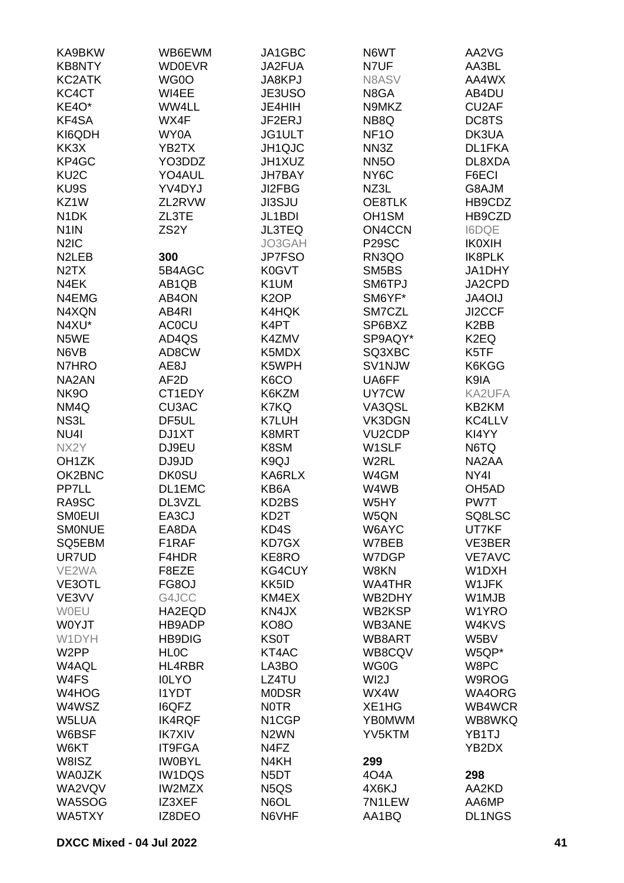| KA9BKW                        | WB6EWM            | JA1GBC                        | N6WT                | AA2VG              |
|-------------------------------|-------------------|-------------------------------|---------------------|--------------------|
| <b>KB8NTY</b>                 | <b>WD0EVR</b>     | JA2FUA                        | N7UF                | AA3BL              |
| KC2ATK                        | WG0O              | JA8KPJ                        | N8ASV               | AA4WX              |
| KC4CT                         | WI4EE             | JE3USO                        | N8GA                | AB4DU              |
| KE4O*                         | WW4LL             | JE4HIH                        | N9MKZ               | CU2AF              |
| KF4SA                         | WX4F              | JF2ERJ                        | NB8Q                | DC8TS              |
| KI6QDH                        | WY0A              | JG1ULT                        | NF <sub>10</sub>    | DK3UA              |
| KK3X                          | YB2TX             | JH1QJC                        | NN3Z                | DL1FKA             |
| KP4GC                         | YO3DDZ            | JH1XUZ                        | NN <sub>5</sub> O   | DL8XDA             |
| KU <sub>2</sub> C             | YO4AUL            | <b>JH7BAY</b>                 | NY <sub>6</sub> C   | F6ECI              |
| KU9S                          | YV4DYJ            | JI2FBG                        |                     | G8AJM              |
| KZ1W                          | ZL2RVW            | <b>JI3SJU</b>                 | NZ3L<br>OE8TLK      | HB9CDZ             |
| N <sub>1</sub> DK             | ZL3TE             |                               |                     |                    |
|                               |                   | JL1BDI                        | OH <sub>1</sub> SM  | HB9CZD             |
| N <sub>1</sub> IN             | ZS <sub>2</sub> Y | <b>JL3TEQ</b>                 | ON4CCN              | <b>I6DQE</b>       |
| N <sub>2</sub> I <sub>C</sub> |                   | JO3GAH                        | P <sub>29</sub> SC  | <b>IKOXIH</b>      |
| N <sub>2</sub> LEB            | 300               | <b>JP7FSO</b>                 | RN3QO               | IK8PLK             |
| N <sub>2</sub> T <sub>X</sub> | 5B4AGC            | K0GVT                         | SM5BS               | JA1DHY             |
| N4EK                          | AB1QB             | K1UM                          | SM6TPJ              | JA2CPD             |
| N4EMG                         | AB4ON             | K <sub>2</sub> OP             | SM6YF*              | JA4OIJ             |
| N4XQN                         | AB4RI             | K4HQK                         | SM7CZL              | JI2CCF             |
| N4XU*                         | <b>AC0CU</b>      | K4PT                          | SP6BXZ              | K <sub>2</sub> BB  |
| N5WE                          | AD4QS             | K4ZMV                         | SP9AQY*             | K <sub>2</sub> EQ  |
| N6VB                          | AD8CW             | K5MDX                         | SQ3XBC              | K5TF               |
| N7HRO                         | AE8J              | K5WPH                         | SV1NJW              | K6KGG              |
| NA2AN                         | AF <sub>2</sub> D | K6CO                          | UA6FF               | K9IA               |
| <b>NK9O</b>                   | CT1EDY            | K6KZM                         | UY7CW               | KA2UFA             |
| NM4Q                          | <b>CU3AC</b>      | K7KQ                          | VA3QSL              | KB2KM              |
| NS3L                          | DF5UL             | <b>K7LUH</b>                  | VK3DGN              | KC4LLV             |
| NU <sub>4</sub>               | DJ1XT             | K8MRT                         | VU <sub>2</sub> CDP | KI4YY              |
| NX2Y                          | DJ9EU             | K8SM                          | W1SLF               | N6TQ               |
| OH <sub>1</sub> ZK            | DJ9JD             | K9QJ                          | W2RL                | NA2AA              |
| OK2BNC                        | <b>DK0SU</b>      | KA6RLX                        | W4GM                | NY4I               |
| PP7LL                         | DL1EMC            | KB6A                          | W4WB                | OH <sub>5</sub> AD |
| RA9SC                         | DL3VZL            | KD2BS                         | W5HY                | PW7T               |
| <b>SMOEUI</b>                 | EA3CJ             | KD <sub>2</sub> T             | W5QN                | SQ8LSC             |
| <b>SMONUE</b>                 | EA8DA             | KD4S                          | W6AYC               | UT7KF              |
| SQ5EBM                        | F1RAF             | KD7GX                         | W7BEB               | VE3BER             |
| UR7UD                         | F4HDR             | KE8RO                         | W7DGP               | <b>VE7AVC</b>      |
| VE2WA                         | F8EZE             | <b>KG4CUY</b>                 | W8KN                | W1DXH              |
| VE3OTL                        | FG8OJ             | KK5ID                         | <b>WA4THR</b>       | W1JFK              |
| VE3VV                         | G4JCC             | KM4EX                         | WB2DHY              | W1MJB              |
| WOEU                          | HA2EQD            | KN4JX                         | WB2KSP              | W1YRO              |
| <b>WOYJT</b>                  | HB9ADP            | <b>KO8O</b>                   | WB3ANE              | W4KVS              |
| W1DYH                         | <b>HB9DIG</b>     | <b>KS0T</b>                   | WB8ART              | W5BV               |
| W <sub>2</sub> PP             | <b>HLOC</b>       | KT4AC                         | WB8CQV              | W5QP*              |
| W4AQL                         | HL4RBR            | LA3BO                         | WG0G                | W8PC               |
| W4FS                          | <b>IOLYO</b>      | LZ4TU                         | WI <sub>2</sub> J   | W9ROG              |
| W4HOG                         | <b>I1YDT</b>      | <b>MODSR</b>                  | WX4W                | WA4ORG             |
| W4WSZ                         | <b>I6QFZ</b>      | <b>NOTR</b>                   | XE1HG               | WB4WCR             |
| W5LUA                         | <b>IK4RQF</b>     | N <sub>1</sub> CGP            | <b>YB0MWM</b>       | WB8WKQ             |
| W6BSF                         | <b>IK7XIV</b>     | N <sub>2</sub> WN             | YV5KTM              | YB1TJ              |
| W6KT                          | <b>IT9FGA</b>     | N4FZ                          |                     | YB2DX              |
| W8ISZ                         | <b>IW0BYL</b>     | N4KH                          | 299                 |                    |
| <b>WA0JZK</b>                 | <b>IW1DQS</b>     | N <sub>5</sub> DT             | 404A                | 298                |
| WA2VQV                        | IW2MZX            | N <sub>5</sub> Q <sub>S</sub> | 4X6KJ               | AA2KD              |
| WA5SOG                        | IZ3XEF            | N6OL                          | 7N1LEW              | AA6MP              |
| WA5TXY                        |                   |                               |                     | DL1NGS             |
|                               | IZ8DEO            | N6VHF                         | AA1BQ               |                    |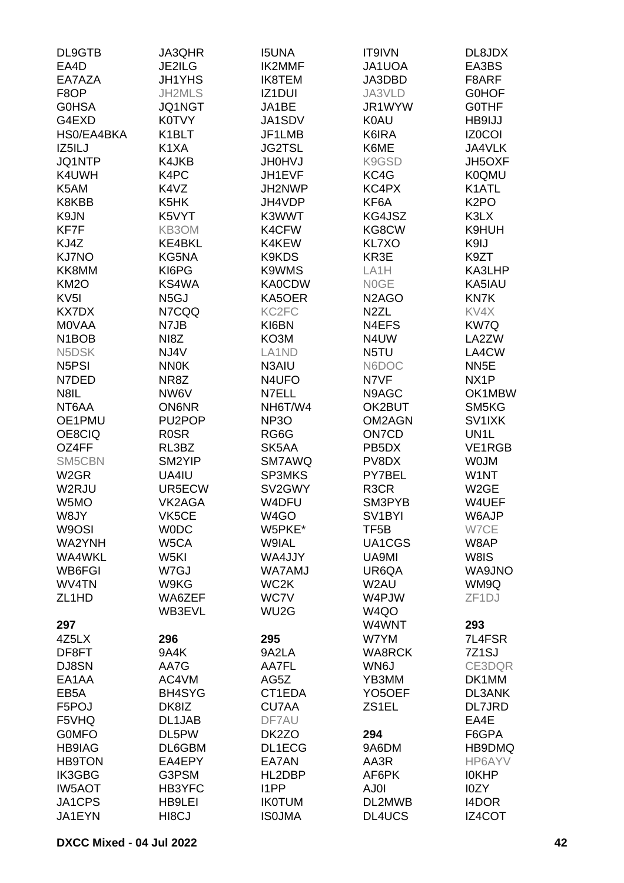| DL9GTB                         | JA3QHR            | <b>I5UNA</b>                   | IT9IVN                          | DL8JDX             |
|--------------------------------|-------------------|--------------------------------|---------------------------------|--------------------|
| EA4D                           | JE2ILG            | IK2MMF                         | JA1UOA                          | EA3BS              |
| EA7AZA                         | <b>JH1YHS</b>     | <b>IK8TEM</b>                  | JA3DBD                          | F8ARF              |
| F8OP                           | JH2MLS            | IZ1DUI                         | JA3VLD                          | <b>GOHOF</b>       |
| <b>G0HSA</b>                   | <b>JQ1NGT</b>     | JA1BE                          | JR1WYW                          | <b>GOTHF</b>       |
| G4EXD                          | K0TVY             | JA1SDV                         | <b>K0AU</b>                     | HB9IJJ             |
| HS0/EA4BKA                     | K1BLT             | JF1LMB                         | K6IRA                           | <b>IZ0COI</b>      |
| IZ5ILJ                         | K <sub>1</sub> XA | <b>JG2TSL</b>                  | K6ME                            | JA4VLK             |
| JQ1NTP                         | K4JKB             | <b>JH0HVJ</b>                  | K9GSD                           | JH5OXF             |
| K4UWH                          | K4PC              | JH1EVF                         | KC4G                            | <b>K0QMU</b>       |
| K5AM                           | K4VZ              | JH2NWP                         | KC4PX                           | K1ATL              |
| K8KBB                          | K5HK              | JH4VDP                         | KF6A                            | K <sub>2</sub> PO  |
| K9JN                           | K5VYT             | K3WWT                          | KG4JSZ                          | K3LX               |
| KF7F                           | KB3OM             | K4CFW                          | KG8CW                           | K9HUH              |
| KJ4Z                           | KE4BKL            | K4KEW                          | <b>KL7XO</b>                    | K9IJ               |
| KJ7NO                          | KG5NA             | K9KDS                          | KR3E                            | K9ZT               |
| KK8MM                          | KI6PG             | K9WMS                          | LA <sub>1</sub> H               | KA3LHP             |
| KM <sub>2</sub> O              | KS4WA             | <b>KA0CDW</b>                  | <b>NOGE</b>                     | KA5IAU             |
| KV <sub>5</sub> I              | N <sub>5</sub> GJ | KA5OER                         | N <sub>2</sub> A <sub>G</sub> O | KN7K               |
| <b>KX7DX</b>                   | N7CQQ             | KC <sub>2F</sub> C             | N <sub>2</sub> ZL               | KV4X               |
| <b>MOVAA</b>                   | N7JB              | KI6BN                          | N4EFS                           | KW7Q               |
| N <sub>1</sub> BO <sub>B</sub> | NI8Z              | KO3M                           | N4UW                            | LA2ZW              |
| N5DSK                          | NJ4V              | LA <sub>1</sub> N <sub>D</sub> | N5TU                            | LA4CW              |
| N <sub>5</sub> P <sub>SI</sub> | <b>NN0K</b>       | N3AIU                          | N6DOC                           | NN <sub>5</sub> E  |
| N7DED                          | NR8Z              | N4UFO                          | N7VF                            | NX <sub>1</sub> P  |
| N8IL                           | NW6V              | N7ELL                          | N9AGC                           | OK1MBW             |
| NT6AA                          | <b>ON6NR</b>      | NH6T/W4                        | OK2BUT                          | SM5KG              |
| OE1PMU                         | PU2POP            | NP <sub>3</sub> O              | OM2AGN                          | SV1IXK             |
| OE8CIQ                         | <b>ROSR</b>       | RG6G                           | ON7CD                           | UN <sub>1</sub> L  |
| OZ4FF                          | RL3BZ             | SK5AA                          | PB <sub>5</sub> DX              | <b>VE1RGB</b>      |
| SM5CBN                         | SM2YIP            | SM7AWQ                         | PV8DX                           | <b>WOJM</b>        |
| W <sub>2</sub> GR              | UA4IU             | <b>SP3MKS</b>                  | PY7BEL                          | W1NT               |
| W2RJU                          | UR5ECW            | SV2GWY                         | R <sub>3</sub> CR               | W <sub>2</sub> GE  |
| W <sub>5</sub> MO              | VK2AGA            | W4DFU                          | SM3PYB                          | W4UEF              |
| W8JY                           | VK5CE             | W4GO                           | SV <sub>1</sub> BYI             | W6AJP              |
| W9OSI                          | <b>WODC</b>       | W5PKE*                         | TF <sub>5</sub> B               | W7CE               |
| WA2YNH                         | W5CA              | W9IAL                          | UA1CGS                          | W8AP               |
| WA4WKL                         | W5KI              | WA4JJY                         | UA9MI                           | W8IS               |
| WB6FGI                         | W7GJ              | <b>WA7AMJ</b>                  | UR6QA                           | WA9JNO             |
| WV4TN                          | W9KG              | WC <sub>2</sub> K              | W2AU                            | WM9Q               |
| ZL <sub>1</sub> HD             | WA6ZEF            | WC7V                           | W4PJW                           | ZF <sub>1</sub> DJ |
|                                | WB3EVL            | WU2G                           | W <sub>4Q</sub> O               |                    |
| 297                            |                   |                                | W4WNT                           | 293                |
| 4Z5LX                          | 296               | 295                            | W7YM                            | 7L4FSR             |
| DF8FT                          | 9A4K              | 9A2LA                          | <b>WA8RCK</b>                   | 7Z1SJ              |
| DJ8SN                          | AA7G              | AA7FL                          | WN6J                            | CE3DQR             |
| EA1AA                          | AC4VM             | AG5Z                           | YB3MM                           | DK1MM              |
| EB <sub>5</sub> A              | BH4SYG            | CT1EDA                         | YO <sub>5</sub> OEF             | DL3ANK             |
| F5POJ                          | DK8IZ             | <b>CU7AA</b>                   | ZS1EL                           | <b>DL7JRD</b>      |
| F5VHQ                          | DL1JAB            | DF7AU                          |                                 | EA4E               |
| <b>GOMFO</b>                   | DL5PW             | DK2ZO                          | 294                             | F6GPA              |
| <b>HB9IAG</b>                  | DL6GBM            | DL1ECG                         | 9A6DM                           | HB9DMQ             |
| <b>HB9TON</b>                  | EA4EPY            | EA7AN                          | AA3R                            | HP6AYV             |
| <b>IK3GBG</b>                  | G3PSM             | HL2DBP                         | AF6PK                           | <b>IOKHP</b>       |
| <b>IW5AOT</b>                  | HB3YFC            | I1PP                           | AJ0I                            | I0ZY               |
| JA1CPS                         | HB9LEI            | <b>IKOTUM</b>                  | DL2MWB                          | <b>I4DOR</b>       |
| JA1EYN                         | HI8CJ             | <b>ISOJMA</b>                  | DL4UCS                          | <b>IZ4COT</b>      |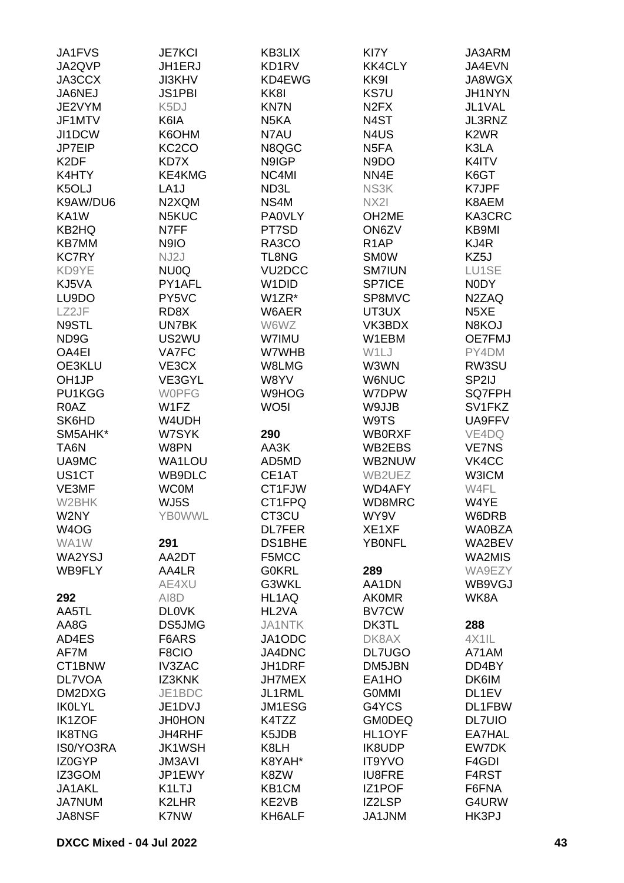| JA1FVS            | <b>JE7KCI</b>      | KB3LIX              | KI7Y                          | JA3ARM                        |
|-------------------|--------------------|---------------------|-------------------------------|-------------------------------|
| JA2QVP            | JH1ERJ             | KD1RV               | <b>KK4CLY</b>                 | JA4EVN                        |
| JA3CCX            | <b>JI3KHV</b>      | KD4EWG              | KK9I                          | JA8WGX                        |
| JA6NEJ            | <b>JS1PBI</b>      | KK8I                | <b>KS7U</b>                   | JH1NYN                        |
|                   |                    |                     |                               |                               |
| JE2VYM            | K <sub>5</sub> DJ  | <b>KN7N</b>         | N <sub>2</sub> F <sub>X</sub> | JL1VAL                        |
| JF1MTV            | K6IA               | N5KA                | N4ST                          | JL3RNZ                        |
| JI1DCW            | K6OHM              | N7AU                | N4US                          | K <sub>2</sub> W <sub>R</sub> |
| JP7EIP            | KC <sub>2</sub> CO | N8QGC               | N <sub>5</sub> FA             | K3LA                          |
| K <sub>2</sub> DF | KD7X               | N9IGP               | N9DO                          | K4ITV                         |
| K4HTY             | KE4KMG             | NC4MI               | NN4E                          | K6GT                          |
| K5OLJ             | LA <sub>1</sub> J  | ND3L                | NS3K                          | K7JPF                         |
| K9AW/DU6          | N2XQM              | NS4M                | NX2I                          | K8AEM                         |
|                   |                    |                     |                               |                               |
| KA1W              | N5KUC              | <b>PA0VLY</b>       | OH2ME                         | KA3CRC                        |
| <b>KB2HQ</b>      | N7FF               | PT7SD               | ON6ZV                         | KB9MI                         |
| <b>KB7MM</b>      | N9IO               | RA3CO               | R <sub>1</sub> AP             | KJ4R                          |
| <b>KC7RY</b>      | NJ2J               | TL8NG               | <b>SMOW</b>                   | KZ5J                          |
| KD9YE             | NU0Q               | VU <sub>2</sub> DCC | <b>SM7IUN</b>                 | LU1SE                         |
| KJ5VA             | PY1AFL             | W <sub>1</sub> DID  | SP7ICE                        | N0DY                          |
| LU9DO             | PY5VC              | W1ZR*               | SP8MVC                        | N2ZAQ                         |
| LZ2JF             | RD8X               | W6AER               | UT3UX                         | N <sub>5</sub> XE             |
|                   |                    |                     |                               |                               |
| N9STL             | UN7BK              | W6WZ                | VK3BDX                        | N8KOJ                         |
| ND9G              | US2WU              | W7IMU               | W1EBM                         | OE7FMJ                        |
| OA4EI             | <b>VA7FC</b>       | W7WHB               | W1LJ                          | PY4DM                         |
| OE3KLU            | VE3CX              | W8LMG               | W3WN                          | RW3SU                         |
| OH <sub>1JP</sub> | VE3GYL             | W8YV                | <b>W6NUC</b>                  | SP2IJ                         |
| PU1KGG            | <b>WOPFG</b>       | W9HOG               | W7DPW                         | SQ7FPH                        |
| R <sub>0</sub> AZ | W1FZ               | WO <sub>5</sub> I   | W9JJB                         | SV1FKZ                        |
| SK6HD             | W4UDH              |                     | W9TS                          | UA9FFV                        |
| SM5AHK*           | W7SYK              | 290                 | <b>WB0RXF</b>                 | VE4DQ                         |
|                   | W8PN               |                     |                               |                               |
| TA6N              |                    | AA3K                | WB2EBS                        | <b>VE7NS</b>                  |
| UA9MC             | WA1LOU             | AD5MD               | WB2NUW                        | VK4CC                         |
| US1CT             | WB9DLC             | CE1AT               | WB2UEZ                        | W3ICM                         |
| VE3MF             | <b>WC0M</b>        | CT1FJW              | <b>WD4AFY</b>                 | W4FL                          |
| W2BHK             | WJ5S               | CT1FPQ              | WD8MRC                        | W4YE                          |
| W2NY              | <b>YBOWWL</b>      | CT3CU               | WY9V                          | W6DRB                         |
| W4OG              |                    | <b>DL7FER</b>       | XE1XF                         | <b>WA0BZA</b>                 |
| WA1W              | 291                | DS1BHE              | <b>YBONFL</b>                 | WA2BEV                        |
| WA2YSJ            | AA2DT              | F5MCC               |                               | WA2MIS                        |
| WB9FLY            |                    |                     |                               | WA9EZY                        |
|                   | AA4LR              | <b>G0KRL</b>        | 289                           |                               |
|                   | AE4XU              | G3WKL               | AA1DN                         | WB9VGJ                        |
| 292               | AI8D               | HL1AQ               | <b>AKOMR</b>                  | WK8A                          |
| AA5TL             | <b>DLOVK</b>       | HL2VA               | <b>BV7CW</b>                  |                               |
| AA8G              | DS5JMG             | <b>JA1NTK</b>       | DK3TL                         | 288                           |
| AD4ES             | F6ARS              | JA1ODC              | DK8AX                         | 4X1IL                         |
| AF7M              | F8CIO              | JA4DNC              | DL7UGO                        | A71AM                         |
| CT1BNW            | <b>IV3ZAC</b>      | JH1DRF              | DM5JBN                        | DD4BY                         |
| DL7VOA            | IZ3KNK             | <b>JH7MEX</b>       | EA1HO                         | DK6IM                         |
| DM2DXG            | JE1BDC             | JL1RML              | <b>GOMMI</b>                  | DL1EV                         |
|                   |                    |                     |                               |                               |
| <b>IKOLYL</b>     | JE1DVJ             | JM1ESG              | G4YCS                         | DL1FBW                        |
| <b>IK1ZOF</b>     | <b>JH0HON</b>      | K4TZZ               | <b>GMODEQ</b>                 | <b>DL7UIO</b>                 |
| <b>IK8TNG</b>     | <b>JH4RHF</b>      | K5JDB               | HL1OYF                        | EA7HAL                        |
| IS0/YO3RA         | <b>JK1WSH</b>      | K8LH                | <b>IK8UDP</b>                 | EW7DK                         |
| IZ0GYP            | <b>JM3AVI</b>      | K8YAH*              | <b>IT9YVO</b>                 | F4GDI                         |
| IZ3GOM            | JP1EWY             | K8ZW                | <b>IU8FRE</b>                 | F4RST                         |
| JA1AKL            | K1LTJ              | KB1CM               | IZ1POF                        | F6FNA                         |
| <b>JA7NUM</b>     | K2LHR              | KE2VB               | IZ2LSP                        | G4URW                         |
| <b>JA8NSF</b>     | K7NW               | KH6ALF              | JA1JNM                        | HK3PJ                         |
|                   |                    |                     |                               |                               |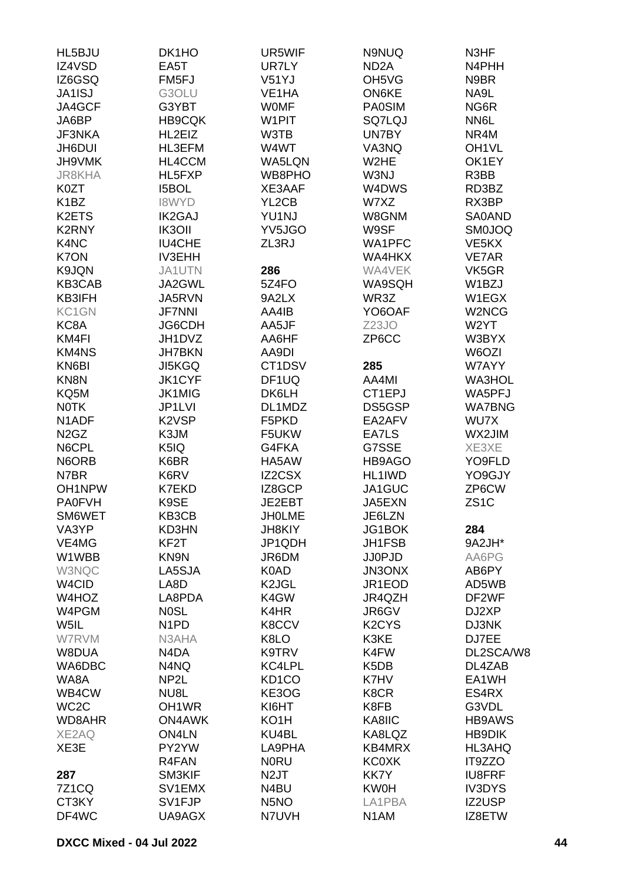| HL5BJU                        | DK1HO                          | UR5WIF             | N9NUQ                          | N3HF               |
|-------------------------------|--------------------------------|--------------------|--------------------------------|--------------------|
| IZ4VSD                        | EA5T                           | UR7LY              | ND <sub>2</sub> A              | N4PHH              |
| IZ6GSQ                        | FM <sub>5FJ</sub>              | V51YJ              | OH <sub>5</sub> V <sub>G</sub> | N9BR               |
| <b>JA1ISJ</b>                 | G3OLU                          | VE <sub>1</sub> HA | ON6KE                          | NA9L               |
| JA4GCF                        | G3YBT                          | <b>WOMF</b>        | <b>PA0SIM</b>                  | NG6R               |
| JA6BP                         | <b>HB9CQK</b>                  | W1PIT              | SQ7LQJ                         | NN6L               |
| <b>JF3NKA</b>                 | HL2EIZ                         | W3TB               | UN7BY                          | NR4M               |
| <b>JH6DUI</b>                 | HL3EFM                         | W4WT               | VA3NQ                          | OH <sub>1</sub> VL |
| JH9VMK                        | HL4CCM                         | WA5LQN             | W <sub>2</sub> HE              | OK1EY              |
| <b>JR8KHA</b>                 | HL5FXP                         | WB8PHO             | W3NJ                           | R3BB               |
| K0ZT                          | <b>I5BOL</b>                   | XE3AAF             | W4DWS                          | RD3BZ              |
| K <sub>1</sub> BZ             | <b>I8WYD</b>                   | YL2CB              | W7XZ                           | RX3BP              |
| K2ETS                         | <b>IK2GAJ</b>                  | YU1NJ              | W8GNM                          | <b>SA0AND</b>      |
| K2RNY                         | IK3OII                         | YV5JGO             | W9SF                           | <b>SM0JOQ</b>      |
| K4NC                          | <b>IU4CHE</b>                  | ZL3RJ              | WA1PFC                         | VE <sub>5</sub> KX |
| K7ON                          | <b>IV3EHH</b>                  |                    | WA4HKX                         | <b>VE7AR</b>       |
| K9JQN                         | JA1UTN                         | 286                | WA4VEK                         | VK5GR              |
| KB3CAB                        | JA2GWL                         | 5Z4FO              | WA9SQH                         | W1BZJ              |
| KB3IFH                        | JA5RVN                         | 9A2LX              | WR3Z                           | W1EGX              |
| KC1GN                         | <b>JF7NNI</b>                  | AA4IB              | YO6OAF                         | W2NCG              |
| KC8A                          | <b>JG6CDH</b>                  | AA5JF              | Z <sub>23</sub> JO             | W2YT               |
| KM4FI                         | JH1DVZ                         | AA6HF              | ZP6CC                          | W3BYX              |
| <b>KM4NS</b>                  | <b>JH7BKN</b>                  | AA9DI              |                                | W6OZI              |
| KN6BI                         | <b>JI5KGQ</b>                  | CT1DSV             | 285                            | W7AYY              |
| KN8N                          | JK1CYF                         | DF1UQ              | AA4MI                          | WA3HOL             |
| KQ5M                          | JK1MIG                         | DK6LH              | CT1EPJ                         | WA5PFJ             |
| <b>NOTK</b>                   | JP1LVI                         | DL1MDZ             | DS5GSP                         | <b>WA7BNG</b>      |
| N <sub>1</sub> ADF            | K <sub>2</sub> V <sub>SP</sub> | F5PKD              | EA2AFV                         | WU7X               |
| N <sub>2</sub> G <sub>Z</sub> | K3JM                           | F5UKW              | EA7LS                          | WX2JIM             |
| N6CPL                         | K5IQ                           | G4FKA              | G7SSE                          | XE3XE              |
| N6ORB                         | K6BR                           | HA5AW              | HB9AGO                         | YO9FLD             |
| N7BR                          | K6RV                           | IZ2CSX             | HL1IWD                         | YO9GJY             |
| OH1NPW                        | <b>K7EKD</b>                   | IZ8GCP             | JA1GUC                         | ZP6CW              |
| <b>PA0FVH</b>                 | K9SE                           | JE2EBT             | JA5EXN                         | ZS <sub>1</sub> C  |
| SM6WET                        | KB3CB                          | <b>JHOLME</b>      | JE6LZN                         |                    |
| VA3YP                         | KD3HN                          | <b>JH8KIY</b>      | JG1BOK                         | 284                |
| VE4MG                         | KF <sub>2</sub> T              | JP1QDH             | JH1FSB                         | 9A2JH*             |
| W1WBB                         | KN9N                           | JR6DM              | <b>JJ0PJD</b>                  | AA6PG              |
| W3NQC                         | LA5SJA                         | K0AD               | JN3ONX                         | AB6PY              |
| W4CID                         | LA8D                           | K <sub>2</sub> JGL | JR1EOD                         | AD5WB              |
| W4HOZ                         | LA8PDA                         | K4GW               | JR4QZH                         | DF2WF              |
| W4PGM                         | <b>NOSL</b>                    | K4HR               | JR6GV                          | DJ2XP              |
| W5IL                          | N <sub>1</sub> PD              | K8CCV              | K <sub>2</sub> CY <sub>S</sub> | DJ3NK              |
| <b>W7RVM</b>                  | N3AHA                          | K8LO               | K3KE                           | DJ7EE              |
| W8DUA                         | N4DA                           | K9TRV              | K4FW                           | DL2SCA/W8          |
| WA6DBC                        | N4NQ                           | KC4LPL             | K <sub>5</sub> D <sub>B</sub>  | DL4ZAB             |
| WA8A                          | NP <sub>2</sub> L              | KD <sub>1</sub> CO | K7HV                           | EA1WH              |
| WB4CW                         | NU8L                           | KE3OG              | K8CR                           | ES4RX              |
| WC <sub>2</sub> C             | OH <sub>1</sub> WR             | KI6HT              | K8FB                           | G3VDL              |
| WD8AHR                        | <b>ON4AWK</b>                  | KO <sub>1</sub> H  | KA8IIC                         | <b>HB9AWS</b>      |
| XE2AQ                         | ON4LN                          | KU4BL              | KA8LQZ                         | <b>HB9DIK</b>      |
| XE3E                          | PY2YW                          | LA9PHA             | KB4MRX                         | HL3AHQ             |
|                               | R4FAN                          | <b>NORU</b>        | <b>KC0XK</b>                   | IT9ZZO             |
| 287                           | SM3KIF                         | N2JT               | <b>KK7Y</b>                    | <b>IU8FRF</b>      |
| 7Z1CQ                         | SV1EMX                         | N4BU               | <b>KW0H</b>                    | <b>IV3DYS</b>      |
| CT3KY                         | SV1FJP                         | N <sub>5</sub> NO  | LA1PBA                         | IZ2USP             |
| DF4WC                         | UA9AGX                         | N7UVH              | N <sub>1</sub> AM              | IZ8ETW             |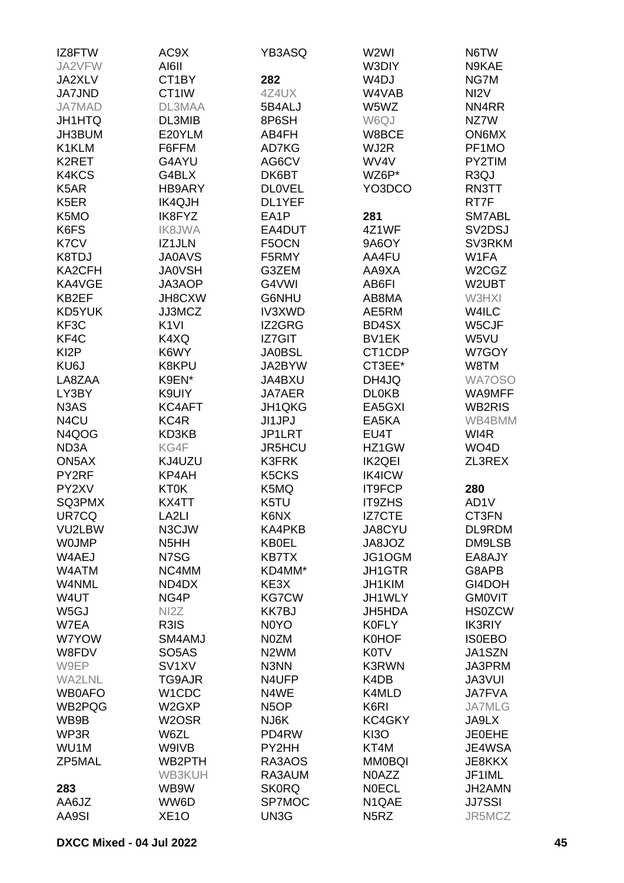| IZ8FTW                        | AC9X               | YB3ASQ                         | W2WI              | N6TW                           |
|-------------------------------|--------------------|--------------------------------|-------------------|--------------------------------|
| JA2VFW                        | AI6II              |                                | W3DIY             | N9KAE                          |
| JA2XLV                        | CT1BY              | 282                            | W4DJ              | NG7M                           |
| <b>JA7JND</b>                 | CT1IW              | 4Z4UX                          | W4VAB             | NI <sub>2</sub> V              |
| <b>JA7MAD</b>                 | DL3MAA             | 5B4ALJ                         | W5WZ              | NN4RR                          |
| <b>JH1HTQ</b>                 | DL3MIB             | 8P6SH                          | W6QJ              | NZ7W                           |
| JH3BUM                        | E20YLM             | AB4FH                          | W8BCE             | ON6MX                          |
| K1KLM                         | F6FFM              | AD7KG                          | WJ2R              | PF1MO                          |
| K <sub>2</sub> RET            | G4AYU              | AG6CV                          | WV4V              | PY2TIM                         |
| K4KCS                         | G4BLX              | DK6BT                          | WZ6P*             | R <sub>3</sub> QJ              |
| K <sub>5</sub> AR             | HB9ARY             | <b>DLOVEL</b>                  | YO3DCO            | RN3TT                          |
| K <sub>5</sub> ER             | <b>IK4QJH</b>      | DL1YEF                         |                   | RT7F                           |
| K5MO                          | IK8FYZ             | EA1P                           | 281               | SM7ABL                         |
| K6FS                          | <b>IK8JWA</b>      | EA4DUT                         | 4Z1WF             | SV2DSJ                         |
| K7CV                          | IZ1JLN             | F5OCN                          | 9A6OY             | SV3RKM                         |
| K8TDJ                         | <b>JA0AVS</b>      | F5RMY                          | AA4FU             | W1FA                           |
| KA2CFH                        | <b>JA0VSH</b>      | G3ZEM                          | AA9XA             | W <sub>2</sub> CG <sub>Z</sub> |
| KA4VGE                        | JA3AOP             | G4VWI                          | AB6FI             | W2UBT                          |
| KB2EF                         | JH8CXW             | G6NHU                          | AB8MA             | W3HXI                          |
| KD5YUK                        | JJ3MCZ             | IV3XWD                         | AE5RM             | W4ILC                          |
|                               | K <sub>1VI</sub>   |                                |                   |                                |
| KF3C                          |                    | IZ2GRG<br>IZ7GIT               | BD4SX             | W5CJF                          |
| KF4C                          | K4XQ               |                                | BV1EK             | W5VU                           |
| KI <sub>2</sub> P             | K6WY               | <b>JA0BSL</b>                  | CT1CDP            | W7GOY                          |
| KU6J                          | K8KPU              | JA2BYW                         | CT3EE*            | W8TM                           |
| LA8ZAA                        | K9EN*              | JA4BXU                         | DH4JQ             | WA7OSO                         |
| LY3BY                         | K9UIY              | <b>JA7AER</b>                  | <b>DL0KB</b>      | WA9MFF                         |
| N <sub>3</sub> A <sub>S</sub> | KC4AFT             | JH1QKG                         | EA5GXI            | <b>WB2RIS</b>                  |
| N4CU                          | KC4R               | <b>JI1JPJ</b>                  | EA5KA             | WB4BMM                         |
| N4QOG                         | KD3KB              | JP1LRT                         | EU4T              | WI4R                           |
| ND <sub>3</sub> A             | KG4F               | JR5HCU                         | HZ1GW             | WO <sub>4</sub> D              |
| ON5AX                         | KJ4UZU             | K3FRK                          | <b>IK2QEI</b>     | ZL3REX                         |
| PY2RF                         | KP4AH              | K <sub>5</sub> CK <sub>S</sub> | IK4ICW            |                                |
| PY2XV                         | <b>KT0K</b>        | K5MQ                           | IT9FCP            | 280                            |
| SQ3PMX                        | KX4TT              | K5TU                           | <b>IT9ZHS</b>     | AD1V                           |
| UR7CQ                         | LA <sub>2LI</sub>  | K6NX                           | IZ7CTE            | CT3FN                          |
| VU2LBW                        | N3CJW              | KA4PKB                         | <b>JA8CYU</b>     | DL9RDM                         |
| <b>WOJMP</b>                  | N <sub>5</sub> HH  | <b>KB0EL</b>                   | JA8JOZ            | DM9LSB                         |
| W4AEJ                         | N7SG               | <b>KB7TX</b>                   | JG1OGM            | EA8AJY                         |
| W4ATM                         | NC4MM              | KD4MM*                         | <b>JH1GTR</b>     | G8APB                          |
| W4NML                         | ND4DX              | KE3X                           | JH1KIM            | GI4DOH                         |
| W4UT                          | NG4P               | <b>KG7CW</b>                   | JH1WLY            | <b>GMOVIT</b>                  |
| W <sub>5</sub> GJ             | NI <sub>2</sub> Z  | <b>KK7BJ</b>                   | JH5HDA            | <b>HS0ZCW</b>                  |
| W7EA                          | R3IS               | N <sub>0</sub> Y <sub>O</sub>  | <b>K0FLY</b>      | <b>IK3RIY</b>                  |
| W7YOW                         | SM4AMJ             | <b>NOZM</b>                    | <b>K0HOF</b>      | <b>ISOEBO</b>                  |
| W8FDV                         | SO <sub>5</sub> AS | N <sub>2</sub> WM              | <b>K0TV</b>       | JA1SZN                         |
| W9EP                          | SV <sub>1</sub> XV | N3NN                           | <b>K3RWN</b>      | JA3PRM                         |
| WA2LNL                        | TG9AJR             | N4UFP                          | K4DB              | <b>JA3VUI</b>                  |
| <b>WB0AFO</b>                 | W1CDC              | N4WE                           | K4MLD             | <b>JA7FVA</b>                  |
| WB2PQG                        | W2GXP              | N <sub>5</sub> OP              | K6RI              | <b>JA7MLG</b>                  |
| WB9B                          | W <sub>2</sub> OSR | NJ6K                           | KC4GKY            | JA9LX                          |
| WP3R                          | W6ZL               | PD4RW                          | KI3O              | <b>JE0EHE</b>                  |
| WU1M                          | W9IVB              | PY2HH                          | KT4M              | JE4WSA                         |
| ZP5MAL                        | WB2PTH             | RA3AOS                         | <b>MM0BQI</b>     | JE8KKX                         |
|                               | WB3KUH             | RA3AUM                         | N0AZZ             | JF1IML                         |
| 283                           | WB9W               | <b>SK0RQ</b>                   | <b>NOECL</b>      | JH2AMN                         |
| AA6JZ                         | WW6D               | SP7MOC                         | N1QAE             | <b>JJ7SSI</b>                  |
| AA9SI                         | XE <sub>1</sub> O  | UN3G                           | N <sub>5</sub> RZ | JR5MCZ                         |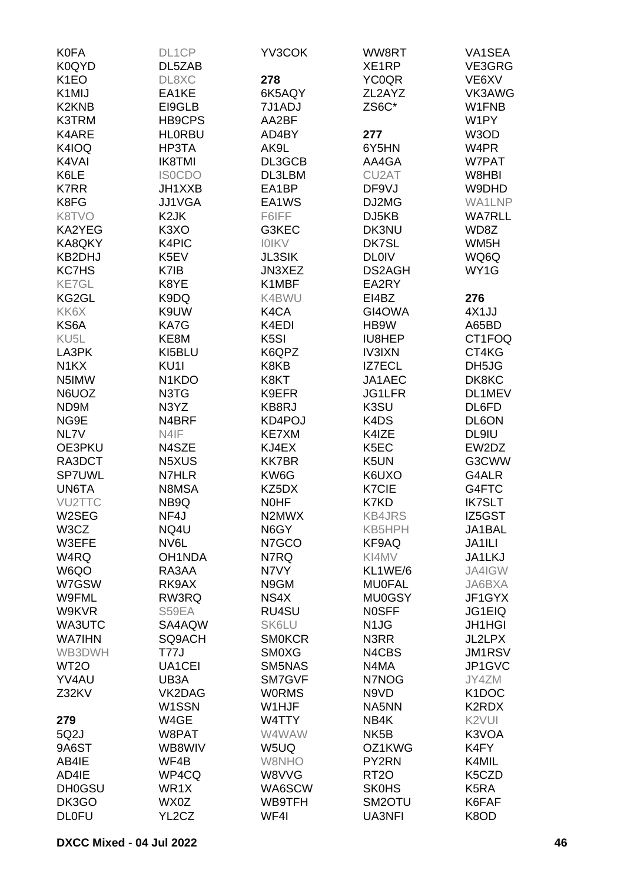| <b>K0FA</b>                    | DL1CP                           | YV3COK            | WW8RT              | VA1SEA             |
|--------------------------------|---------------------------------|-------------------|--------------------|--------------------|
| K0QYD                          | DL5ZAB                          |                   | XE <sub>1</sub> RP | VE3GRG             |
| K <sub>1</sub> EO              | DL8XC                           | 278               | <b>YC0QR</b>       | VE6XV              |
| K <sub>1</sub> MIJ             | EA1KE                           | 6K5AQY            | ZL2AYZ             | VK3AWG             |
| K <sub>2</sub> KN <sub>B</sub> | EI9GLB                          | 7J1ADJ            | ZS6C*              | W1FNB              |
| K3TRM                          | HB9CPS                          | AA2BF             |                    | W1PY               |
| K4ARE                          | <b>HLORBU</b>                   | AD4BY             | 277                | W3OD               |
| K4IOQ                          | HP3TA                           | AK9L              | 6Y5HN              | W4PR               |
| K4VAI                          | <b>IK8TMI</b>                   | DL3GCB            | AA4GA              | W7PAT              |
| K6LE                           | <b>ISOCDO</b>                   | DL3LBM            | CU <sub>2</sub> AT | W8HBI              |
| <b>K7RR</b>                    | JH1XXB                          | EA1BP             | DF9VJ              | W9DHD              |
| K8FG                           | <b>JJ1VGA</b>                   | EA1WS             | DJ2MG              | WA1LNP             |
| K8TVO                          | K <sub>2</sub> JK               | F6IFF             | DJ5KB              | <b>WA7RLL</b>      |
| KA2YEG                         | K <sub>3</sub> XO               | G3KEC             | DK3NU              | WD8Z               |
| KA8QKY                         | K4PIC                           | <b>IOIKV</b>      | DK7SL              | WM <sub>5</sub> H  |
| KB2DHJ                         | K5EV                            | <b>JL3SIK</b>     | <b>DL0IV</b>       | WQ6Q               |
| <b>KC7HS</b>                   | K7IB                            | JN3XEZ            | DS2AGH             | WY1G               |
| <b>KE7GL</b>                   | K8YE                            | K1MBF             | EA2RY              |                    |
| KG2GL                          | K9DQ                            | K4BWU             | EI4BZ              | 276                |
| KK6X                           | K9UW                            | K4CA              | GI4OWA             | 4X1JJ              |
| KS6A                           | KA7G                            | K4EDI             | HB9W               | A65BD              |
| KU <sub>5</sub> L              | KE8M                            | K <sub>5</sub> SI | IU8HEP             | CT1FOQ             |
| LA3PK                          | KI5BLU                          | K6QPZ             | <b>IV3IXN</b>      | CT4KG              |
| N <sub>1</sub> KX              | KU <sub>11</sub>                | K8KB              | <b>IZ7ECL</b>      | DH5JG              |
| N5IMW                          | N <sub>1</sub> K <sub>D</sub> O | K8KT              | JA1AEC             | DK8KC              |
| N6UOZ                          | N3TG                            | K9EFR             | JG1LFR             | DL1MEV             |
| ND9M                           | N3YZ                            | KB8RJ             | K3SU               | DL6FD              |
| NG9E                           | N4BRF                           | KD4POJ            | K4DS               | DL6ON              |
| NL7V                           | N4IF                            | <b>KE7XM</b>      | K4IZE              | DL9IU              |
| OE3PKU                         | N4SZE                           | KJ4EX             | K5EC               | EW2DZ              |
| RA3DCT                         | N5XUS                           | <b>KK7BR</b>      | K5UN               | G3CWW              |
| <b>SP7UWL</b>                  | N7HLR                           | KW6G              | K6UXO              | G4ALR              |
| UN6TA                          | N8MSA                           | KZ5DX             | K7CIE              | G4FTC              |
| VU2TTC                         | NB9Q                            | <b>NOHF</b>       | K7KD               | <b>IK7SLT</b>      |
| W2SEG                          | NF4J                            | N2MWX             | <b>KB4JRS</b>      | IZ5GST             |
| W3CZ                           | NQ4U                            | N6GY              | KB5HPH             | JA1BAL             |
| W3EFE                          | NV6L                            | N7GCO             | KF9AQ              | JA1ILI             |
| W4RQ                           | <b>OH1NDA</b>                   | N7RQ              | KI4MV              | JA1LKJ             |
| W6QO                           | RA3AA                           | N7VY              | KL1WE/6            | JA4IGW             |
| W7GSW                          | RK9AX                           | N9GM              | <b>MU0FAL</b>      | JA6BXA             |
| <b>W9FML</b>                   | RW3RQ                           | NS4X              | <b>MU0GSY</b>      | JF1GYX             |
| W9KVR                          | S59EA                           | RU4SU             | <b>NOSFF</b>       | JG1EIQ             |
| WA3UTC                         | SA4AQW                          | <b>SK6LU</b>      | N <sub>1</sub> JG  | <b>JH1HGI</b>      |
| <b>WA7IHN</b>                  | SQ9ACH                          | <b>SMOKCR</b>     | N3RR               | JL2LPX             |
| WB3DWH                         | T77J                            | <b>SMOXG</b>      | N4CBS              | JM1RSV             |
| WT <sub>2</sub> O              | UA1CEI                          | SM5NAS            | N4MA               | JP1GVC             |
| YV4AU                          | UB3A                            | SM7GVF            | N7NOG              | JY4ZM              |
| Z32KV                          | VK2DAG                          | <b>WORMS</b>      | N9VD               | K <sub>1</sub> DOC |
|                                | W1SSN                           | W1HJF             | NA5NN              | K2RDX              |
| 279                            | W4GE                            | W4TTY             | NB4K               | K <sub>2</sub> VUI |
| 5Q2J                           | W8PAT                           | W4WAW             | NK <sub>5</sub> B  | K3VOA              |
| 9A6ST                          | WB8WIV                          | W5UQ              | OZ1KWG             | K4FY               |
| AB4IE                          | WF4B                            | W8NHO             | PY2RN              | K4MIL              |
| AD4IE                          | WP4CQ                           | W8VVG             | RT <sub>20</sub>   | K5CZD              |
| <b>DH0GSU</b>                  | WR1X                            | WA6SCW            | <b>SK0HS</b>       | K <sub>5</sub> RA  |
| DK3GO                          | WX0Z                            | WB9TFH            | SM2OTU             | K6FAF              |
| <b>DLOFU</b>                   | YL2CZ                           | WF4I              | <b>UA3NFI</b>      | K8OD               |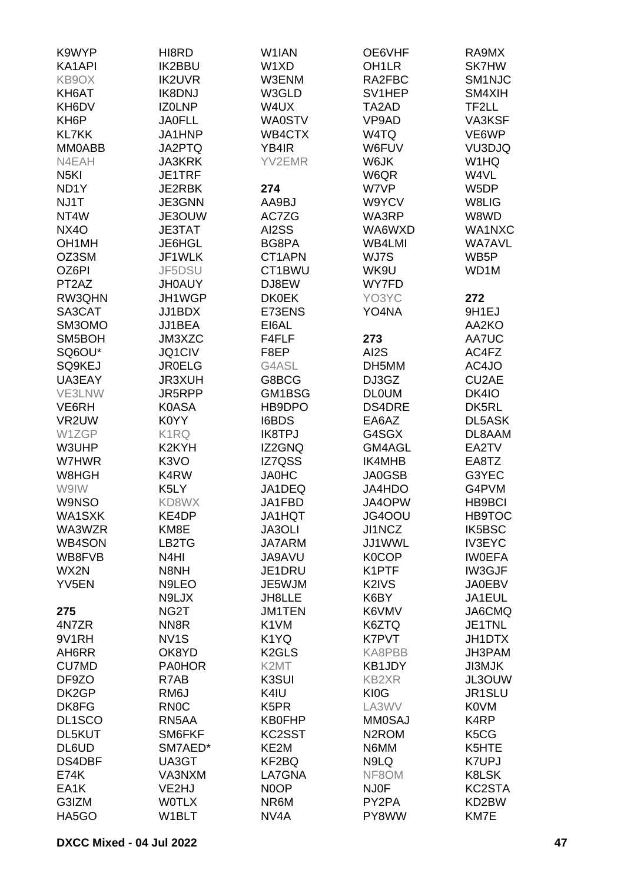| K9WYP              | HI8RD             | W <sub>1</sub> IAN | OE6VHF             | RA9MX                         |
|--------------------|-------------------|--------------------|--------------------|-------------------------------|
| KA1API             | <b>IK2BBU</b>     | W1XD               | OH <sub>1</sub> LR | <b>SK7HW</b>                  |
| KB9OX              | <b>IK2UVR</b>     | W3ENM              | RA2FBC             | SM1NJC                        |
| KH6AT              | <b>IK8DNJ</b>     | W3GLD              | SV1HEP             | SM4XIH                        |
| KH6DV              | <b>IZOLNP</b>     | W4UX               | TA2AD              | TF2LL                         |
| KH <sub>6</sub> P  | <b>JA0FLL</b>     | <b>WA0STV</b>      | VP9AD              | VA3KSF                        |
|                    |                   |                    |                    |                               |
| <b>KL7KK</b>       | JA1HNP            | WB4CTX             | W4TQ               | VE6WP                         |
| MM0ABB             | JA2PTQ            | YB4IR              | W6FUV              | VU3DJQ                        |
| N4EAH              | <b>JA3KRK</b>     | YV2EMR             | W6JK               | W1HQ                          |
| N <sub>5</sub> KI  | JE1TRF            |                    | W6QR               | W4VL                          |
| ND <sub>1</sub> Y  | <b>JE2RBK</b>     | 274                | W7VP               | W5DP                          |
| NJ1T               | JE3GNN            | AA9BJ              | W9YCV              | W8LIG                         |
| NT4W               | JE3OUW            | AC7ZG              | WA3RP              | W8WD                          |
| <b>NX4O</b>        | <b>JE3TAT</b>     | AI2SS              | WA6WXD             | WA1NXC                        |
| OH <sub>1</sub> MH | JE6HGL            | BG8PA              | WB4LMI             | <b>WA7AVL</b>                 |
| OZ3SM              | JF1WLK            | CT1APN             | WJ7S               | WB5P                          |
| OZ6PI              | JF5DSU            | CT1BWU             | WK9U               | WD <sub>1</sub> M             |
| PT <sub>2</sub> AZ | <b>JH0AUY</b>     | DJ8EW              | WY7FD              |                               |
| RW3QHN             | JH1WGP            | <b>DK0EK</b>       | YO3YC              | 272                           |
| SA3CAT             | JJ1BDX            | E73ENS             | YO4NA              | 9H1EJ                         |
| SM3OMO             | JJ1BEA            | EI6AL              |                    | AA2KO                         |
| SM5BOH             | JM3XZC            | F4FLF              | 273                | AA7UC                         |
| SQ6OU*             | <b>JQ1CIV</b>     | F8EP               | AI2S               | AC4FZ                         |
| SQ9KEJ             | <b>JR0ELG</b>     | G4ASL              | DH5MM              | AC4JO                         |
| UA3EAY             | <b>JR3XUH</b>     | G8BCG              | DJ3GZ              | CU2AE                         |
| VE3LNW             | JR5RPP            | GM1BSG             | <b>DLOUM</b>       | DK4IO                         |
| VE6RH              | <b>K0ASA</b>      | HB9DPO             | DS4DRE             | DK5RL                         |
| VR2UW              | K0YY              | I6BDS              | EA6AZ              | <b>DL5ASK</b>                 |
| W1ZGP              | K1RQ              | <b>IK8TPJ</b>      | G4SGX              | DL8AAM                        |
|                    | K2KYH             |                    |                    | EA2TV                         |
| W3UHP<br>W7HWR     | K <sub>3</sub> VO | IZ2GNQ             | GM4AGL             |                               |
|                    |                   | IZ7QSS             | IK4MHB             | EA8TZ                         |
| W8HGH              | K4RW              | <b>JA0HC</b>       | JA0GSB             | G3YEC                         |
| W9IW               | K5LY              | JA1DEQ             | JA4HDO             | G4PVM                         |
| W9NSO              | KD8WX             | JA1FBD             | JA4OPW             | <b>HB9BCI</b>                 |
| WA1SXK             | KE4DP             | JA1HQT             | JG4OOU             | <b>HB9TOC</b>                 |
| WA3WZR             | KM8E              | <b>JA3OLI</b>      | JI1NCZ             | IK5BSC                        |
| <b>WB4SON</b>      | LB2TG             | <b>JA7ARM</b>      | JJ1WWL             | <b>IV3EYC</b>                 |
| WB8FVB             | N <sub>4</sub> HI | JA9AVU             | <b>K0COP</b>       | <b>IWOEFA</b>                 |
| WX2N               | N8NH              | JE1DRU             | K1PTF              | <b>IW3GJF</b>                 |
| YV5EN              | N9LEO             | JE5WJM             | K2IVS              | <b>JA0EBV</b>                 |
|                    | N9LJX             | JH8LLE             | K6BY               | JA1EUL                        |
| 275                | NG <sub>2</sub> T | <b>JM1TEN</b>      | K6VMV              | JA6CMQ                        |
| 4N7ZR              | NN <sub>8</sub> R | K1VM               | K6ZTQ              | JE1TNL                        |
| 9V1RH              | NV <sub>1</sub> S | K <sub>1</sub> YQ  | K7PVT              | JH1DTX                        |
| AH6RR              | OK8YD             | K <sub>2</sub> GLS | KA8PBB             | JH3PAM                        |
| <b>CU7MD</b>       | <b>PA0HOR</b>     | K2MT               | KB1JDY             | JI3MJK                        |
| DF9ZO              | R7AB              | K3SUI              | <b>KB2XR</b>       | JL3OUW                        |
| DK2GP              | RM6J              | K4IU               | KI0G               | JR1SLU                        |
| DK8FG              | <b>RNOC</b>       | K <sub>5</sub> PR  | LA3WV              | K0VM                          |
| DL1SCO             | RN5AA             | <b>KB0FHP</b>      | <b>MM0SAJ</b>      | K4RP                          |
| DL5KUT             | SM6FKF            | KC2SST             | N <sub>2</sub> ROM | K <sub>5</sub> C <sub>G</sub> |
| DL6UD              | SM7AED*           | KE2M               | N6MM               | K5HTE                         |
| DS4DBF             | UA3GT             | KF2BQ              | N9LQ               | K7UPJ                         |
| <b>E74K</b>        | VA3NXM            | LA7GNA             | NF8OM              | K8LSK                         |
| EA <sub>1</sub> K  | VE2HJ             | N0OP               | <b>NJ0F</b>        | KC2STA                        |
| G3IZM              | <b>WOTLX</b>      | NR6M               | PY2PA              | KD2BW                         |
| HA5GO              | W1BLT             | NV <sub>4</sub> A  | PY8WW              | KM7E                          |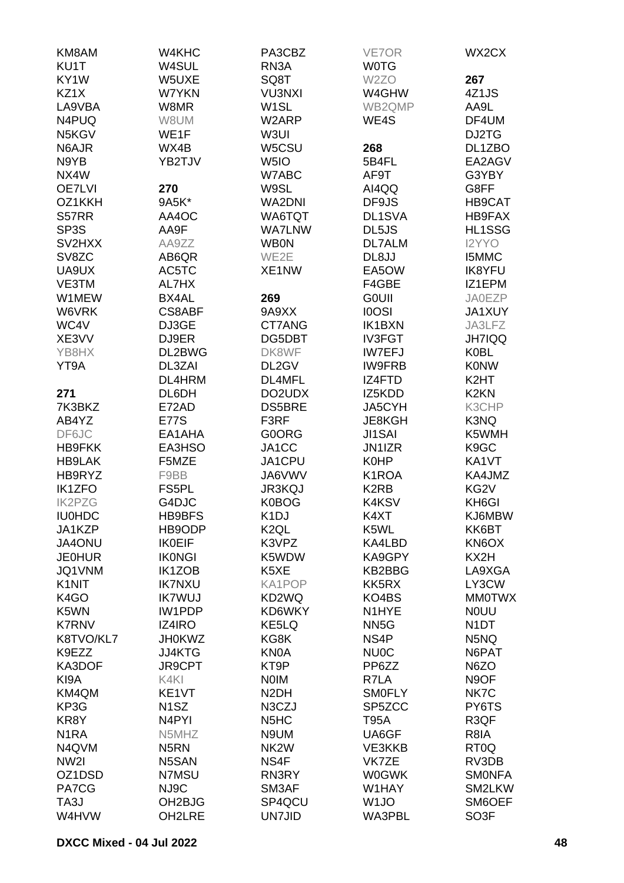| KM8AM                           | W4KHC               | PA3CBZ                        | VE7OR                         | WX2CX             |
|---------------------------------|---------------------|-------------------------------|-------------------------------|-------------------|
| KU1T                            | W4SUL               | RN <sub>3</sub> A             | <b>WOTG</b>                   |                   |
| KY1W                            | W5UXE               | SQ8T                          | W <sub>2</sub> ZO             | 267               |
| KZ1X                            | W7YKN               | <b>VU3NXI</b>                 | W4GHW                         | 4Z1JS             |
| LA9VBA                          | W8MR                | W <sub>1</sub> SL             | WB2QMP                        | AA9L              |
| N4PUQ                           | W8UM                | W2ARP                         | WE4S                          | DF4UM             |
| N5KGV                           | WE1F                | W3UI                          |                               | DJ2TG             |
| N6AJR                           | WX4B                | W5CSU                         | 268                           | DL1ZBO            |
| N9YB                            | YB2TJV              | W <sub>5I</sub> O             | 5B4FL                         | EA2AGV            |
| NX4W                            |                     | W7ABC                         | AF9T                          | G3YBY             |
| <b>OE7LVI</b>                   | 270                 | W9SL                          | AI4QQ                         | G8FF              |
| OZ1KKH                          | 9A5K*               | <b>WA2DNI</b>                 | DF9JS                         | HB9CAT            |
| S57RR                           | AA4OC               | WA6TQT                        | DL1SVA                        | HB9FAX            |
| SP <sub>3</sub> S               | AA9F                | <b>WA7LNW</b>                 | DL5JS                         | HL1SSG            |
| SV <sub>2</sub> H <sub>X</sub>  | AA9ZZ               | <b>WB0N</b>                   | <b>DL7ALM</b>                 | I2YYO             |
| SV8ZC                           | AB6QR               | WE2E                          | DL8JJ                         | <b>I5MMC</b>      |
| UA9UX                           | AC5TC               | XE1NW                         | EA5OW                         | <b>IK8YFU</b>     |
| VE3TM                           | AL7HX               |                               | F4GBE                         | IZ1EPM            |
| W1MEW                           | BX4AL               | 269                           | <b>GOUII</b>                  | <b>JA0EZP</b>     |
| W6VRK                           | <b>CS8ABF</b>       | 9A9XX                         | <b>IOOSI</b>                  | <b>JA1XUY</b>     |
| WC4V                            | DJ3GE               | CT7ANG                        | <b>IK1BXN</b>                 | JA3LFZ            |
| XE3VV                           | DJ9ER               | DG5DBT                        | <b>IV3FGT</b>                 | <b>JH7IQQ</b>     |
| YB8HX                           | DL2BWG              | DK8WF                         | <b>IW7EFJ</b>                 | <b>K0BL</b>       |
| YT9A                            | DL3ZAI              | DL2GV                         | <b>IW9FRB</b>                 | <b>KONW</b>       |
|                                 | DL4HRM              | DL4MFL                        | IZ4FTD                        | K <sub>2</sub> HT |
| 271                             | DL6DH               | DO2UDX                        | IZ5KDD                        | K <sub>2</sub> KN |
| 7K3BKZ                          | E72AD               | <b>DS5BRE</b>                 | JA5CYH                        | K3CHP             |
| AB4YZ                           | <b>E77S</b>         | F3RF                          | JE8KGH                        | K3NQ              |
| DF6JC                           | EA1AHA              | G0ORG                         | <b>JI1SAI</b>                 | K5WMH             |
| <b>HB9FKK</b>                   | EA3HSO              | JA1CC                         | JN1IZR                        | K9GC              |
| <b>HB9LAK</b>                   | F5MZE               | JA1CPU                        | <b>K0HP</b>                   | KA1VT             |
| HB9RYZ                          | F9BB                | JA6VWV                        | K1ROA                         | KA4JMZ            |
| <b>IK1ZFO</b>                   | FS5PL               | <b>JR3KQJ</b>                 | K <sub>2</sub> R <sub>B</sub> | KG2V              |
| <b>IK2PZG</b>                   | G4DJC               | K0BOG                         | K4KSV                         | KH6GI             |
| <b>IU0HDC</b>                   | HB9BFS              | K <sub>1</sub> DJ             | K4XT                          | KJ6MBW            |
| JA1KZP                          | HB9ODP              | K <sub>2</sub> QL             | K5WL                          | KK6BT             |
| JA4ONU                          | <b>IK0EIF</b>       | K3VPZ                         | KA4LBD                        | KN6OX             |
| <b>JE0HUR</b>                   | <b>IKONGI</b>       | K5WDW                         | KA9GPY                        | KX2H              |
| JQ1VNM                          | IK1ZOB              | K5XE                          | KB2BBG                        | LA9XGA            |
| K <sub>1</sub> N <sub>I</sub> T | <b>IK7NXU</b>       | KA1POP                        | KK5RX                         | LY3CW             |
| K4GO                            | <b>IK7WUJ</b>       | KD2WQ                         | KO4BS                         | <b>MMOTWX</b>     |
| K5WN                            | <b>IW1PDP</b>       | KD6WKY                        | N1HYE                         | <b>NOUU</b>       |
| <b>K7RNV</b>                    | IZ4IRO              | KE5LQ                         | NN <sub>5</sub> G             | N <sub>1</sub> DT |
| K8TVO/KL7                       | <b>JH0KWZ</b>       | KG8K                          | NS4P                          | N5NQ              |
| K9EZZ                           | <b>JJ4KTG</b>       | KN0A                          | <b>NU0C</b>                   | N6PAT             |
| KA3DOF                          | <b>JR9CPT</b>       | KT9P                          | PP6ZZ                         | N6ZO              |
| KI9A                            | K4KI                | <b>NOIM</b>                   | R7LA                          | N9OF              |
| KM4QM                           | KE1VT               | N <sub>2</sub> DH             | <b>SMOFLY</b>                 | NK7C              |
| KP3G                            | N <sub>1</sub> SZ   | N3CZJ                         | SP5ZCC                        | PY6TS             |
| KR8Y                            | N <sub>4</sub> PYI  | N <sub>5</sub> H <sub>C</sub> | <b>T95A</b>                   | R3QF              |
| N <sub>1</sub> RA               | N5MHZ               | N9UM                          | UA6GF                         | R8IA              |
| N4QVM                           | N <sub>5</sub> RN   | NK <sub>2</sub> W             | VE3KKB                        | RT <sub>0</sub> Q |
| NW <sub>2</sub>                 | N5SAN               | NS4F                          | VK7ZE                         | RV3DB             |
| OZ1DSD                          | N7MSU               | RN3RY                         | <b>W0GWK</b>                  | <b>SMONFA</b>     |
| PA7CG                           | NJ9C                | SM3AF                         | W1HAY                         | SM2LKW            |
| TA3J                            | OH <sub>2</sub> BJG | SP4QCU                        | W <sub>1</sub> JO             | SM6OEF            |
| W4HVW                           | OH2LRE              | <b>UN7JID</b>                 | WA3PBL                        | SO <sub>3</sub> F |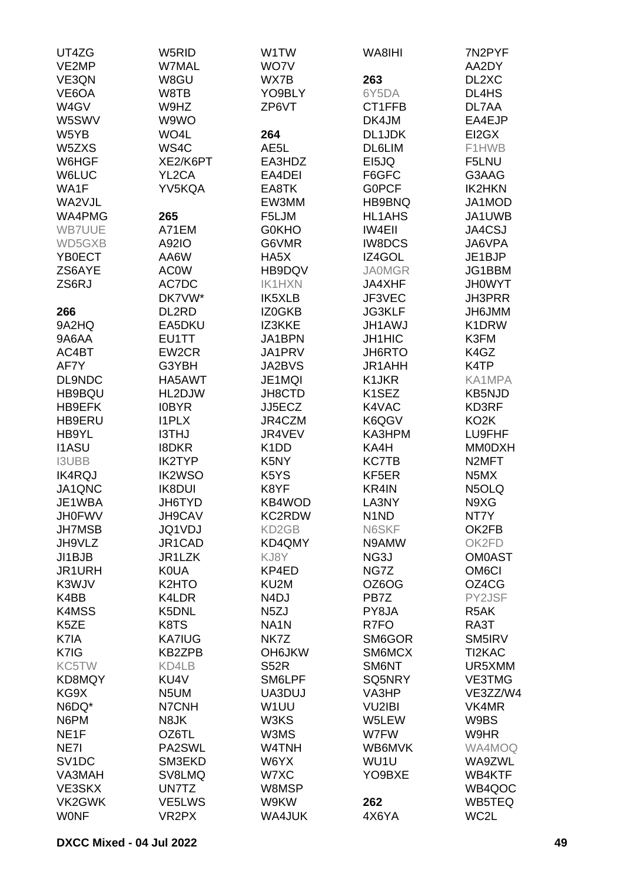| UT4ZG              | W5RID              | W1TW                          | WA8IHI             | 7N2PYF             |
|--------------------|--------------------|-------------------------------|--------------------|--------------------|
| VE2MP              | <b>W7MAL</b>       | WO7V                          |                    | AA2DY              |
| VE3QN              | W8GU               | WX7B                          | 263                | DL2XC              |
| VE6OA              | W8TB               | YO9BLY                        | 6Y5DA              | DL4HS              |
| W4GV               | W9HZ               | ZP6VT                         | CT1FFB             | DL7AA              |
| W5SWV              | W9WO               |                               | DK4JM              | EA4EJP             |
| W5YB               | WO4L               | 264                           | DL1JDK             | EI2GX              |
| W5ZXS              | WS4C               | AE5L                          | <b>DL6LIM</b>      | F1HWB              |
| W6HGF              | XE2/K6PT           | EA3HDZ                        | EI5JQ              | F5LNU              |
| <b>W6LUC</b>       | YL2CA              | EA4DEI                        | F6GFC              | G3AAG              |
| WA1F               | YV5KQA             | EA8TK                         | <b>GOPCF</b>       | <b>IK2HKN</b>      |
| WA2VJL             |                    | EW3MM                         | HB9BNQ             | JA1MOD             |
| WA4PMG             | 265                | F5LJM                         | <b>HL1AHS</b>      | JA1UWB             |
| <b>WB7UUE</b>      | A71EM              | <b>GOKHO</b>                  | <b>IW4EII</b>      | JA4CSJ             |
| WD5GXB             | A92IO              | G6VMR                         | <b>IW8DCS</b>      | JA6VPA             |
| YB0ECT             | AA6W               | HA5X                          | IZ4GOL             | JE1BJP             |
| ZS6AYE             | <b>AC0W</b>        | HB9DQV                        | <b>JA0MGR</b>      | JG1BBM             |
| ZS6RJ              | AC7DC              | <b>IK1HXN</b>                 | JA4XHF             | <b>JH0WYT</b>      |
|                    | DK7VW*             | <b>IK5XLB</b>                 | JF3VEC             | JH3PRR             |
| 266                | DL2RD              | IZ0GKB                        | <b>JG3KLF</b>      | JH6JMM             |
| 9A2HQ              | EA5DKU             | IZ3KKE                        | <b>JH1AWJ</b>      | K1DRW              |
| 9A6AA              | EU1TT              | JA1BPN                        | <b>JH1HIC</b>      | K3FM               |
| AC4BT              | EW2CR              | JA1PRV                        | JH6RTO             | K4GZ               |
| AF7Y               |                    | JA2BVS                        |                    | K <sub>4</sub> TP  |
| DL9NDC             | G3YBH              |                               | JR1AHH             | KA1MPA             |
|                    | HA5AWT             | JE1MQI                        | K1JKR              |                    |
| HB9BQU             | HL2DJW             | JH8CTD                        | K <sub>1</sub> SEZ | <b>KB5NJD</b>      |
| HB9EFK             | <b>IOBYR</b>       | JJ5ECZ                        | K4VAC              | KD3RF              |
| <b>HB9ERU</b>      | <b>I1PLX</b>       | JR4CZM                        | K6QGV              | KO <sub>2</sub> K  |
| HB9YL              | I3THJ              | JR4VEV                        | KA3HPM             | LU9FHF             |
| <b>I1ASU</b>       | <b>I8DKR</b>       | K <sub>1</sub> D <sub>D</sub> | KA4H               | <b>MM0DXH</b>      |
| <b>I3UBB</b>       | <b>IK2TYP</b>      | K5NY                          | <b>KC7TB</b>       | N <sub>2</sub> MFT |
| <b>IK4RQJ</b>      | <b>IK2WSO</b>      | K5YS                          | KF5ER              | N5MX               |
| JA1QNC             | <b>IK8DUI</b>      | K8YF                          | KR4IN              | N5OLQ              |
| JE1WBA             | JH6TYD             | KB4WOD                        | LA3NY              | N9XG               |
| <b>JH0FWV</b>      | JH9CAV             | <b>KC2RDW</b>                 | N1ND               | NT7Y               |
| <b>JH7MSB</b>      | JQ1VDJ             | KD <sub>2</sub> GB            | N6SKF              | OK2FB              |
| JH9VLZ             | JR1CAD             | KD4QMY                        | N9AMW              | OK2FD              |
| JI1BJB             | JR1LZK             | KJ8Y                          | NG3J               | <b>OM0AST</b>      |
| JR1URH             | <b>K0UA</b>        | KP4ED                         | NG7Z               | OM <sub>6</sub> CI |
| K3WJV              | K <sub>2</sub> HTO | KU2M                          | OZ6OG              | OZ4CG              |
| K4BB               | K4LDR              | N <sub>4</sub> DJ             | PB7Z               | PY2JSF             |
| K4MSS              | K5DNL              | N <sub>5</sub> ZJ             | PY8JA              | R <sub>5</sub> AK  |
| K5ZE               | K8TS               | NA <sub>1</sub> N             | R7FO               | RA3T               |
| K7IA               | <b>KA7IUG</b>      | NK7Z                          | SM6GOR             | SM5IRV             |
| K7IG               | <b>KB2ZPB</b>      | <b>OH6JKW</b>                 | SM6MCX             | TI2KAC             |
| KC5TW              | KD4LB              | <b>S52R</b>                   | SM6NT              | UR5XMM             |
| KD8MQY             | KU4V               | SM6LPF                        | SQ5NRY             | <b>VE3TMG</b>      |
| KG9X               | N5UM               | UA3DUJ                        | VA3HP              | VE3ZZ/W4           |
| N6DQ*              | N7CNH              | W <sub>1</sub> UU             | <b>VU2IBI</b>      | VK4MR              |
| N6PM               | N8JK               | W3KS                          | W5LEW              | W9BS               |
| NE <sub>1F</sub>   | OZ6TL              | W3MS                          | W7FW               | W9HR               |
| NE7I               | PA2SWL             | W4TNH                         | WB6MVK             | WA4MOQ             |
| SV <sub>1</sub> DC | SM3EKD             | W6YX                          | WU1U               | WA9ZWL             |
| VA3MAH             | SV8LMQ             | W7XC                          | YO9BXE             | WB4KTF             |
| VE3SKX             | UN7TZ              | W8MSP                         |                    | WB4QOC             |
| VK2GWK             | VE5LWS             | W9KW                          | 262                | WB5TEQ             |
| <b>WONF</b>        | VR <sub>2</sub> PX | <b>WA4JUK</b>                 | 4X6YA              | WC2L               |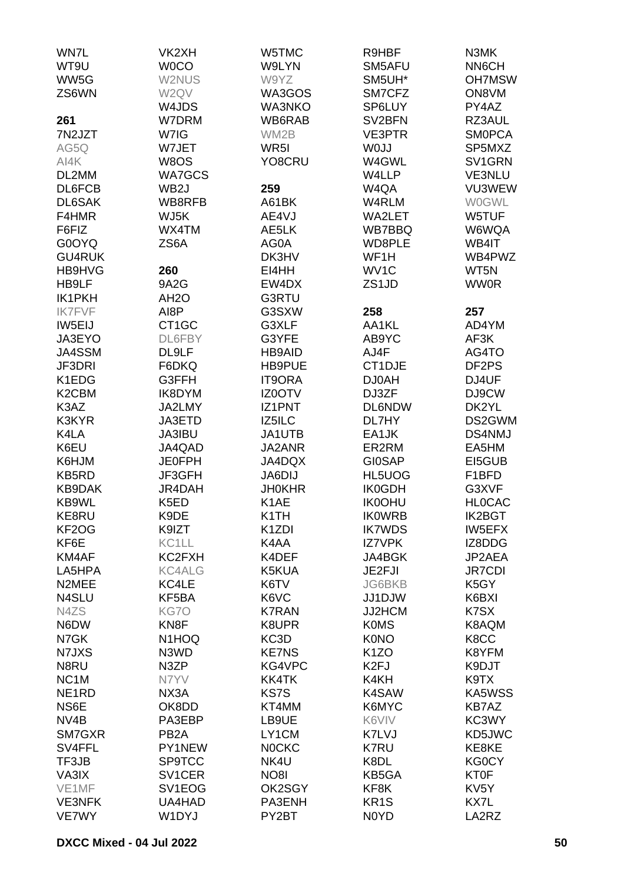| WN7L                           | VK2XH             | W5TMC              | R9HBF             | N3MK               |
|--------------------------------|-------------------|--------------------|-------------------|--------------------|
| WT9U                           | <b>WOCO</b>       | W9LYN              | SM5AFU            | NN6CH              |
| WW5G                           | W2NUS             | W9YZ               | SM5UH*            | <b>OH7MSW</b>      |
| ZS6WN                          | W2QV              | WA3GOS             | SM7CFZ            | ON8VM              |
|                                | W4JDS             | <b>WA3NKO</b>      | SP6LUY            | PY4AZ              |
| 261                            | W7DRM             | WB6RAB             | SV2BFN            | RZ3AUL             |
| 7N2JZT                         | W7IG              | WM2B               | <b>VE3PTR</b>     | <b>SMOPCA</b>      |
|                                |                   |                    |                   |                    |
| AG5Q                           | W7JET             | WR <sub>5</sub> I  | W0JJ              | SP5MXZ             |
| AI4K                           | W8OS              | YO8CRU             | W4GWL             | SV1GRN             |
| DL2MM                          | <b>WA7GCS</b>     |                    | W4LLP             | <b>VE3NLU</b>      |
| DL6FCB                         | WB <sub>2</sub> J | 259                | W4QA              | VU3WEW             |
| DL6SAK                         | WB8RFB            | A61BK              | W4RLM             | <b>WOGWL</b>       |
| F4HMR                          | WJ5K              | AE4VJ              | <b>WA2LET</b>     | W5TUF              |
| F6FIZ                          | WX4TM             | AE5LK              | WB7BBQ            | W6WQA              |
| G0OYQ                          | ZS6A              | AG0A               | WD8PLE            | WB4IT              |
| <b>GU4RUK</b>                  |                   | DK3HV              | WF1H              | WB4PWZ             |
| HB9HVG                         | 260               | EI4HH              | WV1C              | WT5N               |
| HB9LF                          | 9A2G              | EW4DX              | ZS1JD             | <b>WW0R</b>        |
| IK1PKH                         | AH <sub>2</sub> O | G3RTU              |                   |                    |
| <b>IK7FVF</b>                  | AI8P              | G3SXW              | 258               | 257                |
| IW5EIJ                         | CT1GC             | G3XLF              | AA1KL             | AD4YM              |
| JA3EYO                         | DL6FBY            | G3YFE              | AB9YC             | AF3K               |
| JA4SSM                         | DL9LF             | <b>HB9AID</b>      | AJ4F              | AG4TO              |
| JF3DRI                         | F6DKQ             | HB9PUE             | CT1DJE            | DF <sub>2</sub> PS |
| K1EDG                          | G3FFH             | <b>IT9ORA</b>      | DJ0AH             | DJ4UF              |
| K <sub>2</sub> CBM             | IK8DYM            | IZ0OTV             | DJ3ZF             | DJ9CW              |
| K3AZ                           | JA2LMY            | IZ1PNT             | <b>DL6NDW</b>     | DK2YL              |
| K3KYR                          | JA3ETD            | IZ5ILC             | DL7HY             | DS2GWM             |
| K4LA                           | JA3IBU            | JA1UTB             | EA1JK             | <b>DS4NMJ</b>      |
| K6EU                           | JA4QAD            | JA2ANR             | ER2RM             | EA5HM              |
| K6HJM                          | <b>JE0FPH</b>     | JA4DQX             | <b>GI0SAP</b>     | EI5GUB             |
| KB5RD                          |                   |                    |                   |                    |
|                                | JF3GFH            | JA6DIJ             | HL5UOG            | F1BFD              |
| KB9DAK                         | JR4DAH            | <b>JH0KHR</b>      | <b>IK0GDH</b>     | G3XVF              |
| KB9WL                          | K5ED              | K <sub>1</sub> AE  | <b>IK0OHU</b>     | <b>HLOCAC</b>      |
| KE8RU                          | K9DE              | K <sub>1</sub> TH  | <b>IK0WRB</b>     | <b>IK2BGT</b>      |
| KF <sub>2</sub> O <sub>G</sub> | K9IZT             | K <sub>1</sub> ZDI | <b>IK7WDS</b>     | <b>IW5EFX</b>      |
| KF6E                           | KC1LL             | K4AA               | <b>IZ7VPK</b>     | IZ8DDG             |
| KM4AF                          | KC2FXH            | K4DEF              | JA4BGK            | JP2AEA             |
| LA5HPA                         | <b>KC4ALG</b>     | K5KUA              | JE2FJI            | <b>JR7CDI</b>      |
| N2MEE                          | KC4LE             | K6TV               | JG6BKB            | K5GY               |
| N4SLU                          | KF5BA             | K6VC               | JJ1DJW            | K6BXI              |
| N4ZS                           | KG7O              | <b>K7RAN</b>       | JJ2HCM            | K7SX               |
| N6DW                           | KN <sub>8</sub> F | K8UPR              | <b>K0MS</b>       | K8AQM              |
| N7GK                           | N1HOQ             | KC <sub>3</sub> D  | <b>K0NO</b>       | K8CC               |
| N7JXS                          | N3WD              | <b>KE7NS</b>       | K <sub>1</sub> ZO | K8YFM              |
| N8RU                           | N3ZP              | KG4VPC             | K <sub>2F</sub> J | K9DJT              |
| NC <sub>1</sub> M              | N7YV              | <b>KK4TK</b>       | K4KH              | K9TX               |
| NE <sub>1</sub> RD             | NX3A              | KS7S               | K4SAW             | KA5WSS             |
| NS6E                           | OK8DD             | KT4MM              | K6MYC             | <b>KB7AZ</b>       |
| NV <sub>4</sub> B              | PA3EBP            | LB9UE              | K6VIV             | KC3WY              |
| SM7GXR                         | PB <sub>2</sub> A | LY1CM              | K7LVJ             | KD5JWC             |
| SV4FFL                         | PY1NEW            | <b>NOCKC</b>       | <b>K7RU</b>       | KE8KE              |
| TF3JB                          | <b>SP9TCC</b>     | NK4U               | K8DL              | <b>KG0CY</b>       |
| VA3IX                          | SV1CER            | <b>NO8I</b>        | KB5GA             | <b>KT0F</b>        |
| VE1MF                          | SV1EOG            | OK2SGY             | KF8K              | KV <sub>5</sub> Y  |
| <b>VE3NFK</b>                  | UA4HAD            | PA3ENH             | KR <sub>1</sub> S | KX7L               |
| VE7WY                          | W1DYJ             | PY2BT              | N0YD              | LA2RZ              |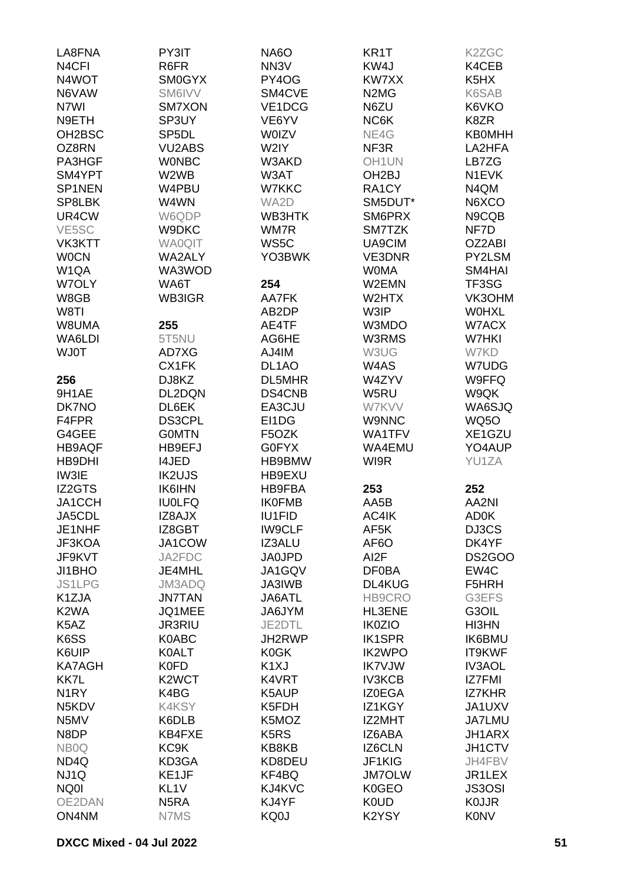| LA8FNA             | PY3IT              | NA6O                          | KR <sub>1</sub> T             | K2ZGC         |
|--------------------|--------------------|-------------------------------|-------------------------------|---------------|
| N <sub>4</sub> CFI | R6FR               | NN <sub>3</sub> V             | KW4J                          | K4CEB         |
| N4WOT              | <b>SM0GYX</b>      | PY4OG                         | KW7XX                         | K5HX          |
| N6VAW              | SM6IVV             | SM4CVE                        | N <sub>2</sub> M <sub>G</sub> | K6SAB         |
| N7WI               | SM7XON             | VE1DCG                        | N6ZU                          | K6VKO         |
| N9ETH              | SP3UY              | VE6YV                         | NC6K                          | K8ZR          |
|                    |                    |                               |                               |               |
| OH2BSC             | SP <sub>5</sub> DL | <b>WOIZV</b>                  | NE4G                          | <b>KB0MHH</b> |
| OZ8RN              | <b>VU2ABS</b>      | W2IY                          | NF3R                          | LA2HFA        |
| PA3HGF             | <b>WONBC</b>       | W3AKD                         | OH <sub>1</sub> UN            | LB7ZG         |
| SM4YPT             | W2WB               | W3AT                          | OH <sub>2</sub> BJ            | N1EVK         |
| SP1NEN             | W4PBU              | W7KKC                         | RA1CY                         | N4QM          |
| SP8LBK             | W4WN               | WA2D                          | SM5DUT*                       | N6XCO         |
| UR4CW              | W6QDP              | WB3HTK                        | SM6PRX                        | N9CQB         |
| VE <sub>5</sub> SC | W9DKC              | WM7R                          | SM7TZK                        | NF7D          |
| <b>VK3KTT</b>      | <b>WA0QIT</b>      | WS5C                          | UA9CIM                        | OZ2ABI        |
| <b>WOCN</b>        | WA2ALY             | YO3BWK                        | VE3DNR                        | PY2LSM        |
| W <sub>1</sub> QA  | WA3WOD             |                               | <b>WOMA</b>                   | SM4HAI        |
| W7OLY              | WA6T               | 254                           | W2EMN                         | TF3SG         |
| W8GB               | WB3IGR             | AA7FK                         | W2HTX                         | VK3OHM        |
| W8TI               |                    | AB2DP                         | W3IP                          | <b>WOHXL</b>  |
| W8UMA              | 255                | AE4TF                         | W3MDO                         | W7ACX         |
| WA6LDI             | 5T5NU              | AG6HE                         | W3RMS                         | W7HKI         |
| <b>WJ0T</b>        | AD7XG              | AJ4IM                         | W3UG                          | W7KD          |
|                    |                    |                               |                               |               |
|                    | CX1FK              | DL <sub>1</sub> AO            | W4AS                          | W7UDG         |
| 256                | DJ8KZ              | DL5MHR                        | W4ZYV                         | W9FFQ         |
| 9H1AE              | DL2DQN             | DS4CNB                        | W5RU                          | W9QK          |
| DK7NO              | DL6EK              | EA3CJU                        | W7KVV                         | WA6SJQ        |
| F4FPR              | DS3CPL             | EI1DG                         | <b>W9NNC</b>                  | <b>WQ50</b>   |
| G4GEE              | <b>GOMTN</b>       | F5OZK                         | WA1TFV                        | XE1GZU        |
| <b>HB9AQF</b>      | HB9EFJ             | G0FYX                         | WA4EMU                        | YO4AUP        |
| <b>HB9DHI</b>      | <b>I4JED</b>       | HB9BMW                        | WI9R                          | YU1ZA         |
| IW3IE              | <b>IK2UJS</b>      | HB9EXU                        |                               |               |
| IZ2GTS             | <b>IK6IHN</b>      | HB9FBA                        | 253                           | 252           |
| JA1CCH             | <b>IU0LFQ</b>      | <b>IK0FMB</b>                 | AA5B                          | AA2NI         |
| JA5CDL             | IZ8AJX             | <b>IU1FID</b>                 | AC4IK                         | <b>AD0K</b>   |
| JE1NHF             | IZ8GBT             | <b>IW9CLF</b>                 | AF5K                          | DJ3CS         |
| JF3KOA             | JA1COW             | IZ3ALU                        | AF <sub>6</sub> O             | DK4YF         |
| JF9KVT             | JA2FDC             | <b>JA0JPD</b>                 | AI <sub>2</sub> F             | <b>DS2GOO</b> |
| JI1BHO             | JE4MHL             | JA1GQV                        | <b>DF0BA</b>                  | EW4C          |
| <b>JS1LPG</b>      | <b>JM3ADQ</b>      | JA3IWB                        | DL4KUG                        | F5HRH         |
| K1ZJA              | <b>JN7TAN</b>      | JA6ATL                        | HB9CRO                        | G3EFS         |
| K <sub>2</sub> WA  | JQ1MEE             | JA6JYM                        | <b>HL3ENE</b>                 | G3OIL         |
| K5AZ               | <b>JR3RIU</b>      | JE2DTL                        | <b>IK0ZIO</b>                 | HI3HN         |
| K6SS               | K0ABC              | JH2RWP                        | <b>IK1SPR</b>                 | <b>IK6BMU</b> |
| K6UIP              | <b>K0ALT</b>       | K0GK                          | <b>IK2WPO</b>                 | IT9KWF        |
| <b>KA7AGH</b>      | <b>K0FD</b>        | K <sub>1</sub> XJ             | <b>IK7VJW</b>                 | <b>IV3AOL</b> |
| KK7L               | K <sub>2</sub> WCT | K4VRT                         | <b>IV3KCB</b>                 | <b>IZ7FMI</b> |
| N <sub>1</sub> RY  | K4BG               | K5AUP                         | <b>IZ0EGA</b>                 | <b>IZ7KHR</b> |
| N5KDV              | <b>K4KSY</b>       | K5FDH                         | IZ1KGY                        | JA1UXV        |
| N5MV               | K6DLB              | K5MOZ                         | IZ2MHT                        | <b>JA7LMU</b> |
| N8DP               | KB4FXE             | K <sub>5</sub> R <sub>S</sub> | IZ6ABA                        | JH1ARX        |
| NB <sub>0</sub> Q  | KC <sub>9</sub> K  | KB8KB                         | <b>IZ6CLN</b>                 | JH1CTV        |
| ND <sub>4</sub> Q  | KD3GA              | KD8DEU                        | JF1KIG                        | JH4FBV        |
| NJ1Q               | KE1JF              | KF4BQ                         | <b>JM7OLW</b>                 | JR1LEX        |
| NQ0I               | KL <sub>1</sub> V  | KJ4KVC                        | K0GEO                         | <b>JS3OSI</b> |
| OE2DAN             | N <sub>5</sub> RA  | KJ4YF                         | <b>K0UD</b>                   | <b>KOJJR</b>  |
| ON4NM              | N7MS               | KQ0J                          | K2YSY                         | <b>K0NV</b>   |
|                    |                    |                               |                               |               |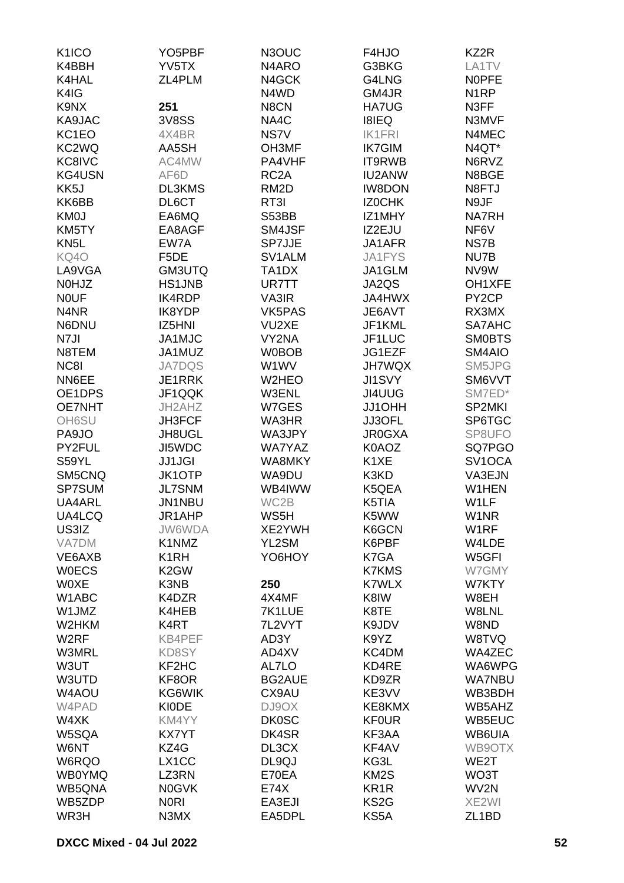| K <sub>1</sub> ICO            | YO <sub>5</sub> PBF | N3OUC               | F4HJO             | KZ2R                |
|-------------------------------|---------------------|---------------------|-------------------|---------------------|
| K4BBH                         | YV5TX               | N4ARO               | G3BKG             | LA1TV               |
| K4HAL                         | ZL4PLM              | N4GCK               | G4LNG             | <b>NOPFE</b>        |
| K4IG                          |                     | N4WD                | GM4JR             | N <sub>1</sub> RP   |
|                               |                     |                     |                   |                     |
| K9NX                          | 251                 | N8CN                | <b>HA7UG</b>      | N3FF                |
| KA9JAC                        | <b>3V8SS</b>        | NA4C                | <b>I8IEQ</b>      | N3MVF               |
| KC1EO                         | 4X4BR               | NS7V                | <b>IK1FRI</b>     | N4MEC               |
| KC2WQ                         | AA5SH               | OH3MF               | <b>IK7GIM</b>     | N4QT*               |
| KC8IVC                        | AC4MW               | PA4VHF              | IT9RWB            | N6RVZ               |
| <b>KG4USN</b>                 | AF6D                | RC <sub>2</sub> A   | <b>IU2ANW</b>     | N8BGE               |
| KK5J                          | DL3KMS              | RM <sub>2</sub> D   | <b>IW8DON</b>     | N8FTJ               |
| KK6BB                         | DL6CT               | RT3I                | <b>IZOCHK</b>     | N9JF                |
| KM0J                          | EA6MQ               | S53BB               | IZ1MHY            | <b>NA7RH</b>        |
| KM5TY                         | EA8AGF              | SM4JSF              | IZ2EJU            | NF6V                |
| KN <sub>5</sub> L             | EW7A                | SP7JJE              | JA1AFR            | NS7B                |
| KQ4O                          | F5DE                | SV <sub>1</sub> ALM | JA1FYS            | NU7B                |
|                               |                     |                     |                   |                     |
| LA9VGA                        | GM3UTQ              | TA1DX               | JA1GLM            | NV9W                |
| N0HJZ                         | <b>HS1JNB</b>       | UR7TT               | JA2QS             | OH1XFE              |
| <b>NOUF</b>                   | <b>IK4RDP</b>       | VA3IR               | <b>JA4HWX</b>     | PY <sub>2</sub> CP  |
| N <sub>4</sub> N <sub>R</sub> | IK8YDP              | VK5PAS              | JE6AVT            | RX3MX               |
| N6DNU                         | IZ5HNI              | VU2XE               | JF1KML            | SA7AHC              |
| N7JI                          | JA1MJC              | VY2NA               | JF1LUC            | <b>SMOBTS</b>       |
| N8TEM                         | JA1MUZ              | <b>W0BOB</b>        | JG1EZF            | SM4AIO              |
| NC8I                          | <b>JA7DQS</b>       | W1WV                | <b>JH7WQX</b>     | SM5JPG              |
| NN6EE                         | JE1RRK              | W2HEO               | <b>JI1SVY</b>     | SM6VVT              |
| OE1DPS                        | JF1QQK              | W3ENL               | JI4UUG            | SM7ED*              |
| <b>OE7NHT</b>                 | JH2AHZ              | W7GES               | JJ1OHH            | SP2MKI              |
|                               |                     |                     |                   |                     |
| OH6SU                         | JH3FCF              | WA3HR               | JJ3OFL            | SP6TGC              |
| PA9JO                         | JH8UGL              | WA3JPY              | <b>JR0GXA</b>     | SP8UFO              |
| PY2FUL                        | JI5WDC              | WA7YAZ              | K0AOZ             | SQ7PGO              |
| S59YL                         | <b>JJ1JGI</b>       | WA8MKY              | K1XE              | SV <sub>1</sub> OCA |
| SM5CNQ                        | <b>JK1OTP</b>       | WA9DU               | K3KD              | VA3EJN              |
| SP7SUM                        | <b>JL7SNM</b>       | WB4IWW              | K5QEA             | W1HEN               |
| UA4ARL                        | <b>JN1NBU</b>       | WC2B                | K5TIA             | W1LF                |
| UA4LCQ                        | JR1AHP              | WS5H                | K5WW              | W1NR                |
| US3IZ                         | <b>JW6WDA</b>       | XE2YWH              | K6GCN             | W1RF                |
| <b>VA7DM</b>                  | K1NMZ               | YL2SM               | K6PBF             | W4LDE               |
| VE6AXB                        | K <sub>1</sub> RH   | YO6HOY              | K7GA              | W5GFI               |
| <b>WOECS</b>                  | K <sub>2</sub> GW   |                     | <b>K7KMS</b>      | W7GMY               |
| <b>WOXE</b>                   | K3NB                | 250                 | <b>K7WLX</b>      | W7KTY               |
|                               |                     |                     |                   |                     |
| W1ABC                         | K4DZR               | 4X4MF               | K8IW              | W8EH                |
| W1JMZ                         | K4HEB               | 7K1LUE              | K8TE              | W8LNL               |
| W2HKM                         | K4RT                | 7L2VYT              | K9JDV             | W8ND                |
| W <sub>2</sub> RF             | KB4PEF              | AD3Y                | K9YZ              | W8TVQ               |
| W3MRL                         | KD8SY               | AD4XV               | KC4DM             | WA4ZEC              |
| W3UT                          | KF2HC               | AL7LO               | KD4RE             | WA6WPG              |
| W3UTD                         | KF8OR               | <b>BG2AUE</b>       | KD9ZR             | <b>WA7NBU</b>       |
| W4AOU                         | KG6WIK              | CX9AU               | KE3VV             | WB3BDH              |
| W4PAD                         | <b>KIODE</b>        | DJ9OX               | KE8KMX            | WB5AHZ              |
| W4XK                          | KM4YY               | <b>DK0SC</b>        | <b>KF0UR</b>      | WB5EUC              |
| W5SQA                         | <b>KX7YT</b>        | DK4SR               | KF3AA             | WB6UIA              |
| W6NT                          | KZ4G                | DL3CX               | KF4AV             | WB9OTX              |
| W6RQO                         |                     |                     | KG3L              | WE2T                |
|                               | LX1CC               | DL9QJ               |                   |                     |
| <b>WB0YMQ</b>                 | LZ3RN               | E70EA               | KM <sub>2</sub> S | WO3T                |
| WB5QNA                        | <b>N0GVK</b>        | <b>E74X</b>         | KR <sub>1</sub> R | WV2N                |
| WB5ZDP                        | <b>NORI</b>         | EA3EJI              | KS <sub>2</sub> G | XE2WI               |
| WR3H                          | N3MX                | EA5DPL              | KS5A              | ZL <sub>1</sub> BD  |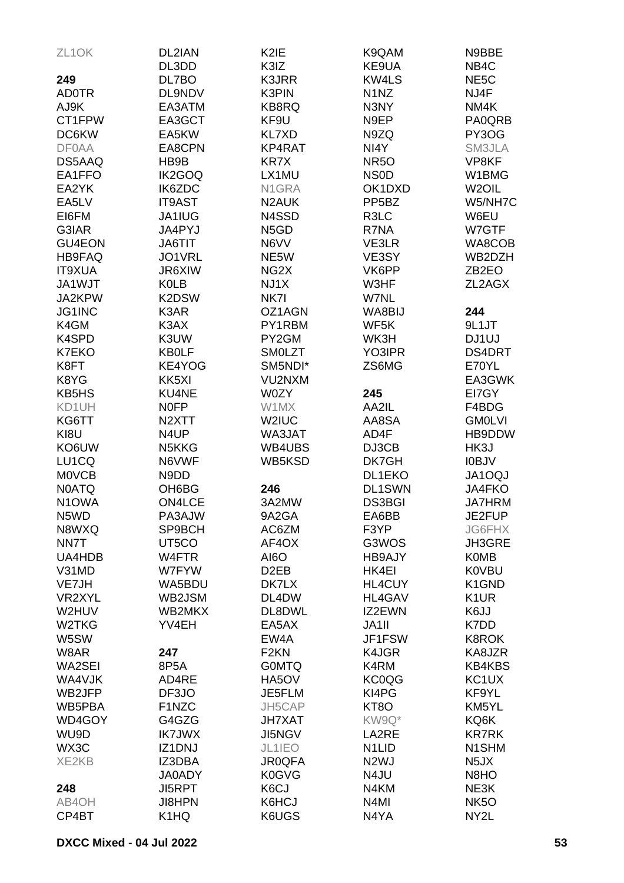| ZL <sub>1</sub> OK | DL2IAN             | K <sub>2</sub> IE | K9QAM                         | N9BBE              |
|--------------------|--------------------|-------------------|-------------------------------|--------------------|
|                    | DL3DD              | K3IZ              | KE9UA                         | NB <sub>4</sub> C  |
| 249                | DL7BO              | K3JRR             | <b>KW4LS</b>                  | NE <sub>5</sub> C  |
| <b>AD0TR</b>       | DL9NDV             | K3PIN             | N <sub>1</sub> N <sub>Z</sub> | NJ4F               |
| AJ9K               | EA3ATM             | KB8RQ             | N3NY                          | NM4K               |
| CT1FPW             | EA3GCT             | KF9U              | N9EP                          | PA0QRB             |
| DC6KW              | EA5KW              | <b>KL7XD</b>      | N9ZQ                          | PY3OG              |
| <b>DF0AA</b>       | EA8CPN             | KP4RAT            | NI4Y                          | SM3JLA             |
| DS5AAQ             | HB9B               | KR7X              | <b>NR50</b>                   | VP8KF              |
| EA1FFO             | IK2GOQ             | LX1MU             | <b>NSOD</b>                   | W1BMG              |
| EA2YK              | IK6ZDC             | N1GRA             | OK1DXD                        | W <sub>2</sub> OIL |
| EA5LV              | <b>IT9AST</b>      | N2AUK             | PP <sub>5</sub> BZ            | W5/NH7C            |
| EI6FM              | JA1IUG             | N4SSD             | R3LC                          | W6EU               |
| G3IAR              | JA4PYJ             | N <sub>5</sub> GD | R7NA                          | W7GTF              |
| GU4EON             | JA6TIT             | N6VV              | VE3LR                         | WA8COB             |
| <b>HB9FAQ</b>      | JO1VRL             | NE5W              | VE3SY                         | WB2DZH             |
| <b>IT9XUA</b>      | JR6XIW             | NG <sub>2</sub> X | VK6PP                         | ZB <sub>2</sub> EO |
| JA1WJT             | <b>K0LB</b>        | NJ1X              | W3HF                          | ZL2AGX             |
| JA2KPW             | K2DSW              | NK7I              | W7NL                          |                    |
| JG1INC             | K3AR               | OZ1AGN            | WA8BIJ                        | 244                |
| K4GM               | K3AX               | PY1RBM            | WF5K                          | 9L1JT              |
| K4SPD              | K3UW               | PY2GM             | WK3H                          | DJ1UJ              |
| <b>K7EKO</b>       | <b>KB0LF</b>       | <b>SMOLZT</b>     | YO3IPR                        | DS4DRT             |
| K8FT               | KE4YOG             | SM5NDI*           | ZS6MG                         | E70YL              |
| K8YG               | KK5XI              | VU2NXM            |                               | EA3GWK             |
| KB5HS              | <b>KU4NE</b>       | W0ZY              | 245                           | EI7GY              |
| KD1UH              | <b>NOFP</b>        | W1MX              | AA2IL                         | F4BDG              |
| KG6TT              | N <sub>2</sub> XTT | W2IUC             | AA8SA                         | <b>GM0LVI</b>      |
| KI8U               | N4UP               | WA3JAT            | AD4F                          | HB9DDW             |
| KO6UW              | N5KKG              | WB4UBS            | DJ3CB                         | HK3J               |
| LU1CQ              | N6VWF              | WB5KSD            | DK7GH                         | <b>IOBJV</b>       |
| <b>MOVCB</b>       | N9DD               |                   | DL1EKO                        | <b>JA1OQJ</b>      |
| <b>N0ATQ</b>       | OH6BG              | 246               | <b>DL1SWN</b>                 | JA4FKO             |
| N <sub>1</sub> OWA | <b>ON4LCE</b>      | 3A2MW             | <b>DS3BGI</b>                 | <b>JA7HRM</b>      |
| N5WD               | PA3AJW             | 9A2GA             | EA6BB                         | JE2FUP             |
| N8WXQ              | SP9BCH             | AC6ZM             | F3YP                          | <b>JG6FHX</b>      |
| NN7T               | UT5CO              | AF4OX             | G3WOS                         | JH3GRE             |
| UA4HDB             | W4FTR              | AI6O              | <b>HB9AJY</b>                 | <b>K0MB</b>        |
| V31MD              | W7FYW              | D <sub>2</sub> EB | HK4EI                         | <b>K0VBU</b>       |
| VE7JH              | WA5BDU             | DK7LX             | HL4CUY                        | K1GND              |
| VR2XYL             | WB2JSM             | DL4DW             | <b>HL4GAV</b>                 | K <sub>1</sub> UR  |
| W2HUV              | WB2MKX             | DL8DWL            | IZ2EWN                        | K6JJ               |
| W2TKG              | YV4EH              | EA5AX             | JA1II                         | K7DD               |
| W5SW               |                    | EW4A              | JF1FSW                        | <b>K8ROK</b>       |
| W8AR               | 247                | F <sub>2</sub> KN | K4JGR                         | KA8JZR             |
| WA2SEI             | 8P5A               | <b>GOMTQ</b>      | K4RM                          | <b>KB4KBS</b>      |
| WA4VJK             | AD4RE              | HA5OV             | <b>KC0QG</b>                  | KC <sub>1</sub> UX |
| WB2JFP             | DF3JO              | JE5FLM            | KI4PG                         | KF9YL              |
| WB5PBA             | F1NZC              | JH5CAP            | KT <sub>8</sub> O             | KM5YL              |
| WD4GOY             | G4GZG              | <b>JH7XAT</b>     | KW9Q*                         | KQ6K               |
| WU9D               | <b>IK7JWX</b>      | <b>JI5NGV</b>     | LA2RE                         | <b>KR7RK</b>       |
| WX3C               | IZ1DNJ             | JL1IEO            | N <sub>1</sub> LID            | N <sub>1</sub> SHM |
| XE2KB              | IZ3DBA             | <b>JR0QFA</b>     | N <sub>2</sub> WJ             | N <sub>5</sub> JX  |
|                    | <b>JA0ADY</b>      | K0GVG             | N4JU                          | N8HO               |
| 248                | <b>JI5RPT</b>      | K6CJ              | N4KM                          | NE3K               |
| AB4OH              | JI8HPN             | K6HCJ             | N <sub>4</sub> MI             | NK <sub>5</sub> O  |
| CP4BT              | K1HQ               | K6UGS             | N4YA                          | NY2L               |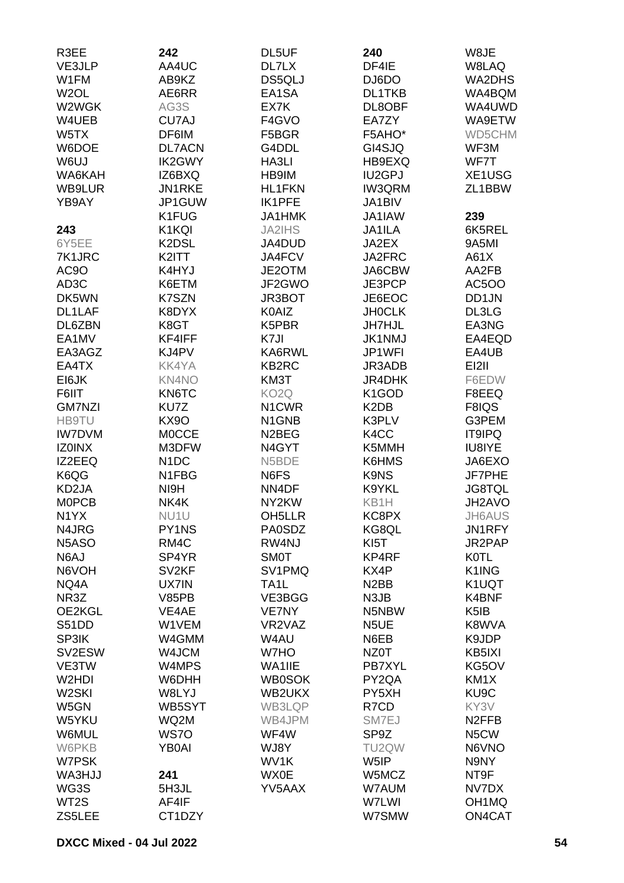| R3EE               | 242               | DL5UF               | 240                           | W8JE               |
|--------------------|-------------------|---------------------|-------------------------------|--------------------|
| VE3JLP             | AA4UC             | DL7LX               | DF4IE                         | W8LAQ              |
| W1FM               | AB9KZ             | DS5QLJ              | DJ6DO                         | WA2DHS             |
| W <sub>2</sub> OL  | AE6RR             | EA1SA               | DL1TKB                        | WA4BQM             |
| W2WGK              | AG3S              | EX7K                | DL8OBF                        | WA4UWD             |
| W4UEB              | CU7AJ             | F4GVO               | EA7ZY                         | WA9ETW             |
| W5TX               | DF6IM             | F5BGR               | F5AHO*                        | WD5CHM             |
|                    |                   |                     |                               |                    |
| W6DOE              | <b>DL7ACN</b>     | G4DDL               | GI4SJQ                        | WF3M               |
| W6UJ               | IK2GWY            | HA3LI               | HB9EXQ                        | WF7T               |
| WA6KAH             | IZ6BXQ            | HB9IM               | <b>IU2GPJ</b>                 | XE1USG             |
| WB9LUR             | JN1RKE            | <b>HL1FKN</b>       | <b>IW3QRM</b>                 | ZL1BBW             |
| YB9AY              | JP1GUW            | IK1PFE              | JA1BIV                        |                    |
|                    | K1FUG             | <b>JA1HMK</b>       | JA1IAW                        | 239                |
| 243                | K1KQI             | <b>JA2IHS</b>       | JA1ILA                        | 6K5REL             |
| 6Y5EE              | K2DSL             | JA4DUD              | JA2EX                         | 9A5MI              |
| 7K1JRC             | K2ITT             | JA4FCV              | JA2FRC                        | A61X               |
| AC <sub>9</sub> O  | K4HYJ             | JE2OTM              | JA6CBW                        | AA2FB              |
| AD3C               | K6ETM             | JF2GWO              | JE3PCP                        | AC5OO              |
| DK5WN              | K7SZN             | JR3BOT              | JE6EOC                        | DD1JN              |
| DL1LAF             | K8DYX             | K0AIZ               | <b>JH0CLK</b>                 | DL3LG              |
| DL6ZBN             | K8GT              | K5PBR               | <b>JH7HJL</b>                 | EA3NG              |
| EA1MV              | KF4IFF            | K7JI                | <b>JK1NMJ</b>                 | EA4EQD             |
| EA3AGZ             | KJ4PV             | KA6RWL              | JP1WFI                        | EA4UB              |
| EA4TX              | KK4YA             | KB2RC               | JR3ADB                        | EI2II              |
| EI6JK              | <b>KN4NO</b>      | KM3T                | <b>JR4DHK</b>                 | F6EDW              |
| F6IIT              | KN6TC             | KO <sub>2</sub> Q   | K <sub>1</sub> GOD            | F8EEQ              |
| <b>GM7NZI</b>      | KU7Z              | N <sub>1</sub> CWR  | K <sub>2</sub> D <sub>B</sub> | F8IQS              |
| HB9TU              | <b>KX90</b>       | N1GNB               | K3PLV                         | G3PEM              |
| <b>IW7DVM</b>      | <b>MOCCE</b>      | N <sub>2</sub> BEG  | K4CC                          | <b>IT9IPQ</b>      |
| <b>IZ0INX</b>      | M3DFW             | N4GYT               | K5MMH                         | <b>IU8IYE</b>      |
| IZ2EEQ             | N <sub>1</sub> DC | N5BDE               | K6HMS                         | JA6EXO             |
| K6QG               | N1FBG             | N6FS                | K9NS                          | JF7PHE             |
| KD <sub>2</sub> JA | NI9H              | NN4DF               | K9YKL                         | <b>JG8TQL</b>      |
| <b>MOPCB</b>       | NK4K              | NY2KW               | KB1H                          | JH2AVO             |
| N <sub>1</sub> YX  | NU <sub>1</sub> U | OH <sub>5</sub> LLR | KC8PX                         | JH6AUS             |
| N4JRG              | PY1NS             | <b>PA0SDZ</b>       | KG8QL                         | JN1RFY             |
| N5ASO              | RM4C              | RW4NJ               | KI <sub>5</sub> T             | JR2PAP             |
|                    |                   |                     |                               |                    |
| N6AJ               | SP4YR             | <b>SM0T</b>         | KP4RF                         | <b>K0TL</b>        |
| N6VOH              | SV <sub>2KF</sub> | SV1PMQ              | KX4P                          | K1ING              |
| NQ4A               | UX7IN             | TA1L                | N <sub>2</sub> BB             | K1UQT              |
| NR3Z               | <b>V85PB</b>      | VE3BGG              | N3JB                          | K4BNF              |
| OE2KGL             | VE4AE             | <b>VE7NY</b>        | N5NBW                         | K <sub>5</sub> IB  |
| S51DD              | W1VEM             | VR2VAZ              | N5UE                          | K8WVA              |
| SP3IK              | W4GMM             | W4AU                | N6EB                          | K9JDP              |
| SV2ESW             | W4JCM             | W7HO                | NZ0T                          | KB5IXI             |
| VE3TW              | W4MPS             | WA1IIE              | PB7XYL                        | KG5OV              |
| W <sub>2</sub> HDI | W6DHH             | <b>WB0SOK</b>       | PY2QA                         | KM1X               |
| W <sub>2</sub> SKI | W8LYJ             | WB2UKX              | PY5XH                         | KU <sub>9</sub> C  |
| W5GN               | WB5SYT            | WB3LQP              | R7CD                          | KY3V               |
| W5YKU              | WQ2M              | WB4JPM              | SM7EJ                         | N <sub>2</sub> FFB |
| W6MUL              | WS7O              | WF4W                | SP9Z                          | N5CW               |
| W6PKB              | <b>YB0AI</b>      | WJ8Y                | TU2QW                         | N6VNO              |
| W7PSK              |                   | WV1K                | W5IP                          | N9NY               |
| <b>WA3HJJ</b>      | 241               | <b>WX0E</b>         | W5MCZ                         | NT9F               |
| WG3S               | 5H3JL             | YV5AAX              | W7AUM                         | NV7DX              |
| WT <sub>2</sub> S  | AF4IF             |                     | W7LWI                         | OH <sub>1</sub> MQ |
| ZS5LEE             | CT1DZY            |                     | W7SMW                         | ON4CAT             |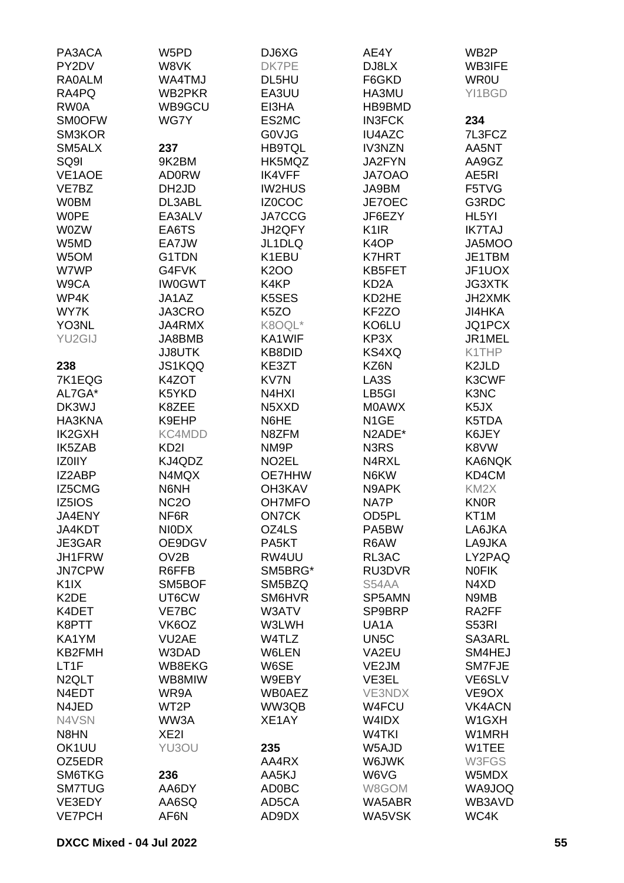| PA3ACA<br>PY2DV    | W5PD<br>W8VK       | DJ6XG<br>DK7PE     | AE4Y<br>DJ8LX      | WB <sub>2</sub> P<br><b>WB3IFE</b> |
|--------------------|--------------------|--------------------|--------------------|------------------------------------|
| <b>RA0ALM</b>      | WA4TMJ             | DL5HU              | F6GKD              | <b>WR0U</b>                        |
| RA4PQ              | WB2PKR             | EA3UU              | HA3MU              | YI1BGD                             |
| RW0A               | WB9GCU             | EI3HA              | HB9BMD             |                                    |
| <b>SM0OFW</b>      | WG7Y               | ES2MC              | <b>IN3FCK</b>      | 234                                |
| SM3KOR             |                    | <b>GOVJG</b>       | <b>IU4AZC</b>      | 7L3FCZ                             |
| SM5ALX             | 237                | <b>HB9TQL</b>      | <b>IV3NZN</b>      | AA5NT                              |
| SQ9I               | 9K2BM              | HK5MQZ             | JA2FYN             | AA9GZ                              |
| VE1AOE             | <b>AD0RW</b>       | <b>IK4VFF</b>      | JA7OAO             | AE5RI                              |
| VE7BZ              | DH <sub>2</sub> JD | <b>IW2HUS</b>      | JA9BM              | F5TVG                              |
| <b>W0BM</b>        | DL3ABL             | IZ0COC             | JE7OEC             | G3RDC                              |
| <b>WOPE</b>        | EA3ALV             | JA7CCG             | JF6EZY             | HL5YI                              |
| <b>W0ZW</b>        | EA6TS              | JH2QFY             | K <sub>1</sub> IR  | <b>IK7TAJ</b>                      |
| W5MD               | EA7JW              | JL1DLQ             | K <sub>4</sub> OP  | JA5MOO                             |
| W5OM               | G1TDN              | K1EBU              | <b>K7HRT</b>       | JE1TBM                             |
| W7WP               | G4FVK              | K <sub>2</sub> OO  | KB5FET             | JF1UOX                             |
| W9CA               | <b>IW0GWT</b>      | K4KP               | KD <sub>2</sub> A  | <b>JG3XTK</b>                      |
| WP4K               | JA1AZ              | K5SES              | KD2HE              | JH2XMK                             |
| WY7K               | JA3CRO             | K <sub>5</sub> ZO  | KF <sub>2</sub> ZO | <b>JI4HKA</b>                      |
| YO3NL              | JA4RMX             | K8OQL*             | KO6LU              | JQ1PCX                             |
| YU2GIJ             | JA8BMB             | KA1WIF             | KP3X               | JR1MEL                             |
|                    | <b>JJ8UTK</b>      | KB8DID             | KS4XQ              | K1THP                              |
| 238                | <b>JS1KQQ</b>      | KE3ZT              | KZ6N               | K <sub>2</sub> JLD                 |
| 7K1EQG             | K4ZOT              | KV7N               | LA3S               | K3CWF                              |
| AL7GA*             | K5YKD              | N4HXI              | LB5GI              | K3NC                               |
| DK3WJ              | K8ZEE              | N5XXD              | <b>MOAWX</b>       | K5JX                               |
| HA3KNA             | K9EHP              | N6HE               | N <sub>1</sub> GE  | K5TDA                              |
| <b>IK2GXH</b>      | KC4MDD             | N8ZFM              | N2ADE*             | K6JEY                              |
| IK5ZAB             | KD <sub>21</sub>   | NM9P               | N3RS               | K8VW                               |
| <b>IZOIIY</b>      | KJ4QDZ             | NO <sub>2</sub> EL | N4RXL              | KA6NQK                             |
| IZ2ABP             | N4MQX              | OE7HHW             | N6KW               | KD4CM                              |
| IZ5CMG             | N6NH               | <b>OH3KAV</b>      | N9APK              | KM <sub>2</sub> X                  |
| IZ5IOS             | <b>NC2O</b>        | <b>OH7MFO</b>      | NA7P               | <b>KNOR</b>                        |
| JA4ENY             | NF6R               | <b>ON7CK</b>       | OD5PL              | KT1M                               |
| JA4KDT             | <b>NIODX</b>       | OZ4LS              | PA5BW              | LA6JKA                             |
| JE3GAR             | OE9DGV             | PA <sub>5</sub> KT | R6AW               | LA9JKA                             |
| JH1FRW             | OV <sub>2</sub> B  | RW4UU              | RL3AC              | LY2PAQ                             |
| <b>JN7CPW</b>      | R6FFB              | SM5BRG*            | RU3DVR             | <b>NOFIK</b>                       |
| K <sub>1</sub> IX  | SM5BOF             | SM5BZQ             | S54AA              | N4XD                               |
| K <sub>2</sub> DE  | UT6CW              | SM6HVR             | SP5AMN             | N9MB                               |
| K4DET              | VE7BC              | W3ATV              | SP9BRP             | RA2FF                              |
| K8PTT              | VK6OZ              | W3LWH              | UA <sub>1</sub> A  | S53RI                              |
| KA1YM              | VU2AE              | W4TLZ              | UN <sub>5</sub> C  | SA3ARL                             |
| KB2FMH             | W3DAD              | W6LEN              | VA2EU              | SM4HEJ                             |
| LT1F               | WB8EKG             | W6SE               | VE2JM              | SM7FJE                             |
| N <sub>2</sub> QLT | WB8MIW             | W9EBY              | VE3EL              | VE6SLV                             |
| N4EDT              | WR9A               | <b>WB0AEZ</b>      | <b>VE3NDX</b>      | VE9OX                              |
| N4JED              | WT2P               | WW3QB              | W4FCU              | <b>VK4ACN</b>                      |
| N4VSN              | WW3A               | XE1AY              | W4IDX              | W1GXH                              |
| N8HN               | XE <sub>2</sub>    |                    | W4TKI              | W1MRH                              |
| OK1UU              | YU3OU              | 235                | W5AJD              | W1TEE                              |
| OZ5EDR             |                    | AA4RX              | W6JWK              | W3FGS                              |
| SM6TKG             | 236                | AA5KJ              | W6VG               | W5MDX                              |
| <b>SM7TUG</b>      | AA6DY              | AD0BC              | W8GOM              | WA9JOQ                             |
| VE3EDY             | AA6SQ              | AD5CA              | WA5ABR             | WB3AVD                             |
| <b>VE7PCH</b>      | AF6N               | AD9DX              | WA5VSK             | WC4K                               |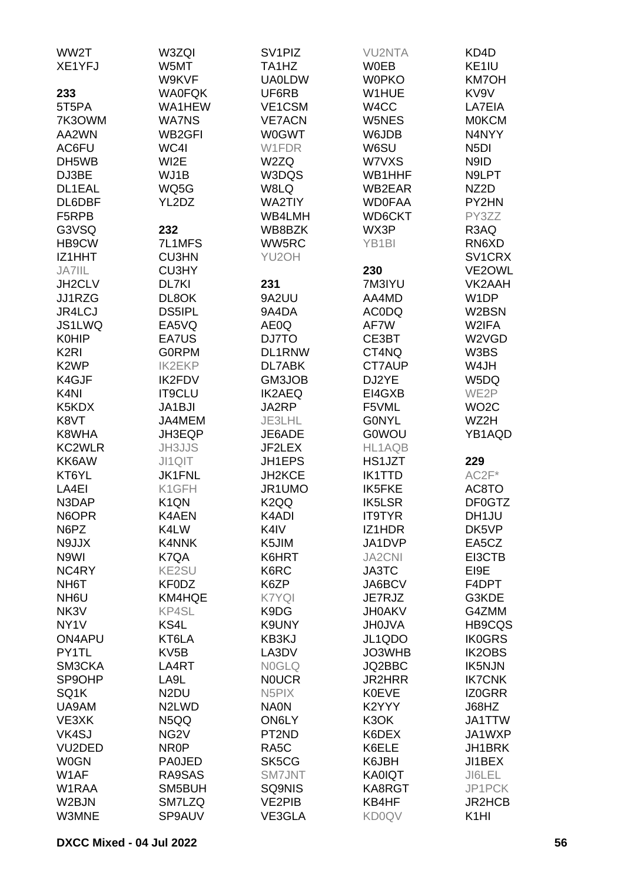| WW2T                       | W3ZQI                          | SV <sub>1</sub> PIZ    | <b>VU2NTA</b>      | KD4D                      |
|----------------------------|--------------------------------|------------------------|--------------------|---------------------------|
| XE1YFJ                     | W5MT                           | TA1HZ                  | <b>W0EB</b>        | KE1IU                     |
|                            | W9KVF                          | <b>UA0LDW</b>          | <b>W0PKO</b>       | <b>KM7OH</b>              |
| 233                        | <b>WA0FQK</b>                  | UF6RB                  | W1HUE              | KV9V                      |
| 5T5PA                      | WA1HEW                         | VE1CSM                 | W4CC               | LA7EIA                    |
| 7K3OWM                     | <b>WA7NS</b>                   | <b>VE7ACN</b>          | W5NES              | <b>MOKCM</b>              |
| AA2WN                      | WB2GFI                         | <b>W0GWT</b>           | W6JDB              | N4NYY                     |
| AC6FU                      | WC4I                           | W1FDR                  | W6SU               | N <sub>5</sub> DI         |
| DH5WB                      | WI2E                           | W2ZQ                   | W7VXS              | N9ID                      |
| DJ3BE                      | WJ1B                           | W3DQS                  | WB1HHF             | N9LPT                     |
| DL1EAL                     | WQ5G                           | W8LQ                   | WB2EAR             | NZ2D                      |
| DL6DBF                     | YL2DZ                          | <b>WA2TIY</b>          | <b>WD0FAA</b>      | PY2HN                     |
| F5RPB                      |                                | WB4LMH                 | WD6CKT             | PY3ZZ                     |
| G3VSQ                      | 232                            | WB8BZK                 | WX3P               | R3AQ                      |
| HB9CW                      | 7L1MFS                         | WW5RC                  | YB <sub>1</sub> BI | RN6XD                     |
| IZ1HHT                     | <b>CU3HN</b>                   | YU2OH                  |                    | SV1CRX                    |
| JA7IIL                     | <b>CU3HY</b>                   |                        | 230                | VE2OWL                    |
| JH2CLV                     | DL7KI                          | 231                    | 7M3IYU             | VK2AAH                    |
| JJ1RZG                     | DL8OK                          | 9A2UU                  | AA4MD              | W <sub>1</sub> DP         |
| JR4LCJ                     | <b>DS5IPL</b>                  | 9A4DA                  | <b>ACODQ</b>       | W2BSN                     |
| JS1LWQ                     | EA5VQ                          | AE0Q                   | AF7W               | W2IFA                     |
| <b>K0HIP</b>               | EA7US                          | DJ7TO                  | CE3BT              | W2VGD                     |
| K <sub>2RI</sub>           | <b>GORPM</b>                   | DL1RNW                 | CT4NQ              | W3BS                      |
| K <sub>2</sub> WP          | <b>IK2EKP</b>                  | DL7ABK                 | CT7AUP             | W4JH                      |
| K4GJF                      | <b>IK2FDV</b>                  | GM3JOB                 | DJ2YE              | W5DQ                      |
| K <sub>4</sub> NI<br>K5KDX | IT9CLU<br>JA1BJI               | <b>IK2AEQ</b><br>JA2RP | EI4GXB<br>F5VML    | WE2P                      |
| K8VT                       | JA4MEM                         | JE3LHL                 | <b>GONYL</b>       | WO <sub>2</sub> C<br>WZ2H |
| K8WHA                      | JH3EQP                         | JE6ADE                 | <b>G0WOU</b>       | YB1AQD                    |
| KC2WLR                     | <b>JH3JJS</b>                  | JF2LEX                 | HL1AQB             |                           |
| KK6AW                      | JI1QIT                         | JH1EPS                 | HS1JZT             | 229                       |
| KT6YL                      | <b>JK1FNL</b>                  | JH2KCE                 | <b>IK1TTD</b>      | $AC2F*$                   |
| LA4EI                      | K1GFH                          | JR1UMO                 | <b>IK5FKE</b>      | AC8TO                     |
| N3DAP                      | K <sub>1</sub> QN              | K <sub>2</sub> QQ      | <b>IK5LSR</b>      | DF0GTZ                    |
| N6OPR                      | K4AEN                          | K4ADI                  | <b>IT9TYR</b>      | DH1JU                     |
| N6PZ                       | K4LW                           | K4IV                   | IZ1HDR             | DK5VP                     |
| N9JJX                      | K4NNK                          | K5JIM                  | JA1DVP             | EA5CZ                     |
| N9WI                       | K7QA                           | K6HRT                  | <b>JA2CNI</b>      | EI3CTB                    |
| NC4RY                      | <b>KE2SU</b>                   | K6RC                   | JA3TC              | EI9E                      |
| NH <sub>6</sub> T          | <b>KF0DZ</b>                   | K6ZP                   | JA6BCV             | F4DPT                     |
| NH <sub>6</sub> U          | KM4HQE                         | K7YQI                  | JE7RJZ             | G3KDE                     |
| NK3V                       | <b>KP4SL</b>                   | K9DG                   | <b>JH0AKV</b>      | G4ZMM                     |
| NY <sub>1</sub> V          | KS4L                           | K9UNY                  | <b>JH0JVA</b>      | <b>HB9CQS</b>             |
| ON4APU                     | KT6LA                          | KB3KJ                  | JL1QDO             | <b>IK0GRS</b>             |
| PY1TL                      | KV <sub>5</sub> B              | LA3DV                  | JO3WHB             | IK2OBS                    |
| SM3CKA                     | LA4RT                          | <b>NOGLQ</b>           | JQ2BBC             | IK5NJN                    |
| SP9OHP                     | LA9L                           | <b>NOUCR</b>           | <b>JR2HRR</b>      | <b>IK7CNK</b>             |
| SQ1K                       | N <sub>2</sub> DU              | N <sub>5</sub> PIX     | <b>K0EVE</b>       | IZ0GRR                    |
| UA9AM                      | N <sub>2</sub> LW <sub>D</sub> | <b>NA0N</b>            | K2YYY              | J68HZ                     |
| VE3XK                      | N5QQ                           | <b>ON6LY</b>           | K3OK               | JA1TTW                    |
| VK4SJ                      | NG <sub>2</sub> V              | PT2ND                  | K6DEX              | JA1WXP                    |
| VU2DED                     | NR <sub>0</sub> P              | RA <sub>5</sub> C      | K6ELE              | JH1BRK                    |
| <b>W0GN</b>                | <b>PA0JED</b>                  | SK5CG                  | K6JBH              | JI1BEX                    |
| W1AF                       | RA9SAS                         | SM7JNT                 | <b>KA0IQT</b>      | JI6LEL                    |
| W1RAA                      | SM5BUH                         | SQ9NIS                 | KA8RGT             | JP1PCK                    |
| W2BJN                      | SM7LZQ                         | <b>VE2PIB</b>          | KB4HF              | JR2HCB                    |
| W3MNE                      | SP9AUV                         | VE3GLA                 | <b>KD0QV</b>       | K <sub>1</sub> HI         |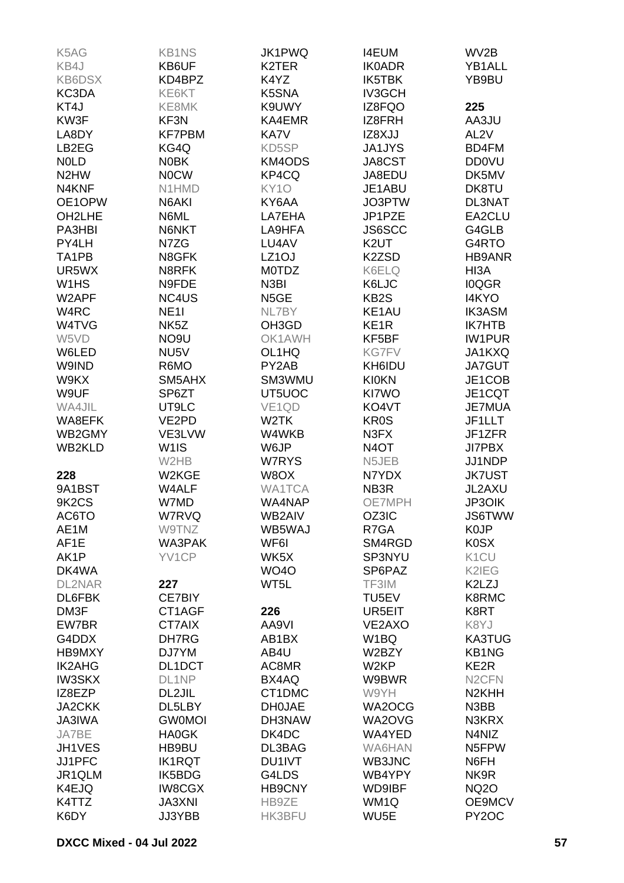| K5AG                           | <b>KB1NS</b>      | JK1PWQ                         | <b>I4EUM</b>      | WV2B               |
|--------------------------------|-------------------|--------------------------------|-------------------|--------------------|
| KB4J                           | KB6UF             | K <sub>2</sub> TER             | <b>IK0ADR</b>     | YB1ALL             |
| <b>KB6DSX</b>                  | KD4BPZ            | K4YZ                           | IK5TBK            | YB9BU              |
| KC3DA                          | KE6KT             | K5SNA                          | <b>IV3GCH</b>     |                    |
| KT4J                           | KE8MK             | K9UWY                          | IZ8FQO            | 225                |
| KW3F                           | KF3N              | KA4EMR                         | IZ8FRH            | AA3JU              |
| LA8DY                          | <b>KF7PBM</b>     | KA7V                           | IZ8XJJ            | AL <sub>2V</sub>   |
| LB2EG                          | KG4Q              | KD5SP                          | <b>JA1JYS</b>     | BD4FM              |
|                                |                   |                                |                   | <b>DD0VU</b>       |
| <b>NOLD</b>                    | N0BK              | KM4ODS                         | JA8CST            |                    |
| N <sub>2</sub> HW              | <b>NOCW</b>       | KP4CQ                          | JA8EDU            | DK5MV              |
| N4KNF                          | N1HMD             | KY <sub>10</sub>               | JE1ABU            | DK8TU              |
| OE1OPW                         | N6AKI             | KY6AA                          | JO3PTW            | <b>DL3NAT</b>      |
| OH2LHE                         | N6ML              | LA7EHA                         | JP1PZE            | EA2CLU             |
| PA3HBI                         | N6NKT             | LA9HFA                         | JS6SCC            | G4GLB              |
| PY4LH                          | N7ZG              | LU4AV                          | K <sub>2</sub> UT | G4RTO              |
| TA1PB                          | N8GFK             | LZ <sub>1</sub> OJ             | K2ZSD             | <b>HB9ANR</b>      |
| UR5WX                          | N8RFK             | <b>MOTDZ</b>                   | K6ELQ             | HI3A               |
| W <sub>1</sub> H <sub>S</sub>  | N9FDE             | N <sub>3</sub> BI              | K6LJC             | <b>IOQGR</b>       |
| W2APF                          | NC4US             | N5GE                           | KB <sub>2</sub> S | I4KYO              |
| W4RC                           | <b>NE11</b>       | NL7BY                          | KE1AU             | <b>IK3ASM</b>      |
| W4TVG                          | NK <sub>5</sub> Z | OH <sub>3</sub> G <sub>D</sub> | KE <sub>1</sub> R | <b>IK7HTB</b>      |
| W5VD                           | NO <sub>9U</sub>  | OK1AWH                         | KF5BF             | <b>IW1PUR</b>      |
| W6LED                          | NU5V              | OL1HQ                          | <b>KG7FV</b>      | JA1KXQ             |
| W9IND                          | R6MO              | PY2AB                          | KH6IDU            | JA7GUT             |
| W9KX                           | SM5AHX            | SM3WMU                         | <b>KI0KN</b>      | JE1COB             |
| W9UF                           | SP6ZT             | UT5UOC                         | KI7WO             | JE1CQT             |
| WA4JIL                         | UT9LC             | VE <sub>1QD</sub>              | KO4VT             | <b>JE7MUA</b>      |
| WA8EFK                         | VE2PD             | W <sub>2</sub> TK              | KR0S              | JF1LLT             |
| WB2GMY                         | VE3LVW            | W4WKB                          | N3FX              | JF1ZFR             |
|                                |                   |                                |                   |                    |
| <b>WB2KLD</b>                  | W <sub>1</sub> IS | W6JP                           | N <sub>4</sub> OT | <b>JI7PBX</b>      |
|                                | W2HB              | W7RYS                          | N5JEB             | JJ1NDP             |
| 228                            | W2KGE             | W8OX                           | N7YDX             | <b>JK7UST</b>      |
| 9A1BST                         | W4ALF             | <b>WA1TCA</b>                  | NB3R              | JL2AXU             |
| 9K <sub>2</sub> C <sub>S</sub> | W7MD              | WA4NAP                         | <b>OE7MPH</b>     | <b>JP3OIK</b>      |
| AC6TO                          | <b>W7RVQ</b>      | WB2AIV                         | OZ3IC             | <b>JS6TWW</b>      |
| AE1M                           | W9TNZ             | WB5WAJ                         | R7GA              | K0JP               |
| AF1E                           | WA3PAK            | WF6I                           | SM4RGD            | <b>K0SX</b>        |
| AK1P                           | YV1CP             | WK5X                           | SP3NYU            | K <sub>1</sub> CU  |
| DK4WA                          |                   | <b>WO40</b>                    | SP6PAZ            | K2IEG              |
| <b>DL2NAR</b>                  | 227               | WT5L                           | TF3IM             | K2LZJ              |
| DL6FBK                         | CE7BIY            |                                | TU5EV             | K8RMC              |
| DM3F                           | CT1AGF            | 226                            | UR5EIT            | K8RT               |
| EW7BR                          | CT7AIX            | AA9VI                          | VE2AXO            | K8YJ               |
| G4DDX                          | DH7RG             | AB1BX                          | W <sub>1</sub> BQ | <b>KA3TUG</b>      |
| HB9MXY                         | DJ7YM             | AB4U                           | W2BZY             | <b>KB1NG</b>       |
| <b>IK2AHG</b>                  | DL1DCT            | AC8MR                          | W <sub>2</sub> KP | KE <sub>2</sub> R  |
| <b>IW3SKX</b>                  | DL1NP             | BX4AQ                          | W9BWR             | N <sub>2</sub> CFN |
| IZ8EZP                         | DL2JIL            | CT1DMC                         | W9YH              | N <sub>2KHH</sub>  |
| <b>JA2CKK</b>                  | DL5LBY            | <b>DH0JAE</b>                  | WA2OCG            | N3BB               |
| <b>JA3IWA</b>                  | <b>GW0MOI</b>     | DH3NAW                         | WA2OVG            | N3KRX              |
| JA7BE                          | <b>HA0GK</b>      | DK4DC                          | WA4YED            | N4NIZ              |
| JH1VES                         | HB9BU             | DL3BAG                         | <b>WA6HAN</b>     | N5FPW              |
| JJ1PFC                         | <b>IK1RQT</b>     | DU1IVT                         | WB3JNC            | N6FH               |
| JR1QLM                         | IK5BDG            | G4LDS                          | WB4YPY            | NK9R               |
| K4EJQ                          | <b>IW8CGX</b>     | <b>HB9CNY</b>                  | <b>WD9IBF</b>     | <b>NQ2O</b>        |
| K4TTZ                          | <b>JA3XNI</b>     | HB9ZE                          | WM1Q              | OE9MCV             |
| K6DY                           | <b>JJ3YBB</b>     | <b>HK3BFU</b>                  | WU <sub>5</sub> E | PY <sub>2</sub> OC |
|                                |                   |                                |                   |                    |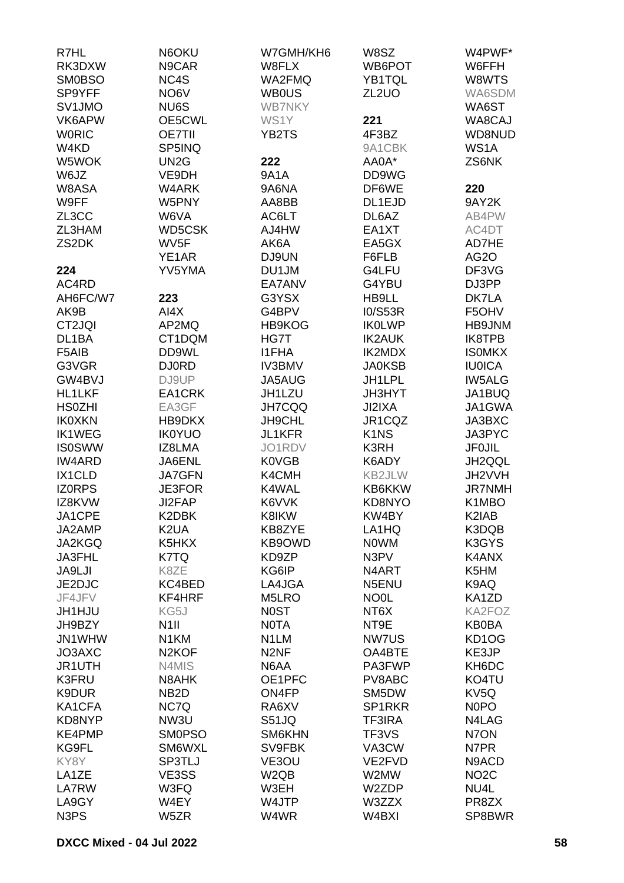| R7HL                          | N6OKU              | W7GMH/KH6         | W8SZ                          | W4PWF*            |
|-------------------------------|--------------------|-------------------|-------------------------------|-------------------|
| RK3DXW                        | N9CAR              | W8FLX             | WB6POT                        | W6FFH             |
| <b>SM0BSO</b>                 | NC4S               | WA2FMQ            | YB1TQL                        | W8WTS             |
| SP9YFF                        | NO <sub>6</sub> V  | <b>WB0US</b>      | ZL <sub>2</sub> UO            | WA6SDM            |
|                               |                    |                   |                               |                   |
| SV1JMO                        | NU6S               | <b>WB7NKY</b>     |                               | WA6ST             |
| VK6APW                        | OE5CWL             | WS1Y              | 221                           | WA8CAJ            |
| <b>WORIC</b>                  | <b>OE7TII</b>      | YB2TS             | 4F3BZ                         | WD8NUD            |
| W4KD                          | SP5INQ             |                   | 9A1CBK                        | WS <sub>1</sub> A |
| W5WOK                         | UN <sub>2</sub> G  | 222               | AA0A*                         | ZS6NK             |
| W6JZ                          | VE9DH              | <b>9A1A</b>       | DD9WG                         |                   |
| W8ASA                         | W4ARK              | 9A6NA             | DF6WE                         | 220               |
| W9FF                          | W5PNY              | AA8BB             | DL1EJD                        | 9AY2K             |
| ZL3CC                         | W6VA               | AC6LT             | DL6AZ                         | AB4PW             |
| ZL3HAM                        | <b>WD5CSK</b>      | AJ4HW             | EA1XT                         | AC4DT             |
| ZS2DK                         | WV <sub>5F</sub>   | AK6A              | EA5GX                         | AD7HE             |
|                               | YE1AR              | DJ9UN             |                               | <b>AG2O</b>       |
|                               |                    |                   | F6FLB                         |                   |
| 224                           | YV5YMA             | DU1JM             | G4LFU                         | DF3VG             |
| AC4RD                         |                    | EA7ANV            | G4YBU                         | DJ3PP             |
| AH6FC/W7                      | 223                | G3YSX             | HB9LL                         | DK7LA             |
| AK9B                          | AI4X               | G4BPV             | <b>I0/S53R</b>                | F5OHV             |
| CT2JQI                        | AP2MQ              | HB9KOG            | <b>IKOLWP</b>                 | HB9JNM            |
| DL1BA                         | CT1DQM             | HG7T              | <b>IK2AUK</b>                 | IK8TPB            |
| F5AIB                         | DD9WL              | <b>I1FHA</b>      | IK2MDX                        | <b>ISOMKX</b>     |
| G3VGR                         | <b>DJ0RD</b>       | <b>IV3BMV</b>     | <b>JA0KSB</b>                 | <b>IU0ICA</b>     |
| GW4BVJ                        | DJ9UP              | JA5AUG            | JH1LPL                        | <b>IW5ALG</b>     |
| <b>HL1LKF</b>                 | EA1CRK             | JH1LZU            | <b>JH3HYT</b>                 | JA1BUQ            |
| <b>HS0ZHI</b>                 | EA3GF              | JH7CQQ            | JI2IXA                        | JA1GWA            |
| <b>IK0XKN</b>                 | HB9DKX             | JH9CHL            | JR1CQZ                        | JA3BXC            |
|                               |                    | JL1KFR            |                               | JA3PYC            |
| <b>IK1WEG</b>                 | <b>IK0YUO</b>      |                   | K <sub>1</sub> N <sub>S</sub> |                   |
| <b>IS0SWW</b>                 | IZ8LMA             | JO1RDV            | K3RH                          | <b>JF0JIL</b>     |
| <b>IW4ARD</b>                 | JA6ENL             | <b>K0VGB</b>      | K6ADY                         | JH2QQL            |
| IX1CLD                        | <b>JA7GFN</b>      | K4CMH             | KB2JLW                        | JH2VVH            |
| <b>IZORPS</b>                 | <b>JE3FOR</b>      | K4WAL             | KB6KKW                        | <b>JR7NMH</b>     |
| IZ8KVW                        | JI2FAP             | K6VVK             | KD8NYO                        | K1MBO             |
| JA1CPE                        | K2DBK              | K8IKW             | KW4BY                         | K2IAB             |
| JA2AMP                        | K <sub>2</sub> UA  | KB8ZYE            | LA1HQ                         | K3DQB             |
| JA2KGQ                        | K5HKX              | KB9OWD            | <b>NOWM</b>                   | K3GYS             |
| JA3FHL                        | K7TQ               | KD9ZP             | N3PV                          | K4ANX             |
| <b>JA9LJI</b>                 | K8ZE               | KG6IP             | N4ART                         | K5HM              |
| JE2DJC                        | KC4BED             | LA4JGA            | N <sub>5</sub> ENU            | K9AQ              |
| JF4JFV                        | KF4HRF             | M5LRO             | <b>NO0L</b>                   | KA1ZD             |
| <b>JH1HJU</b>                 | KG5J               | <b>NOST</b>       | NT6X                          | KA2FOZ            |
| JH9BZY                        | N <sub>1</sub>     | <b>NOTA</b>       | NT9E                          | <b>KB0BA</b>      |
| JN1WHW                        | N <sub>1</sub> KM  | N <sub>1</sub> LM | NW7US                         | KD1OG             |
|                               |                    |                   |                               |                   |
| JO3AXC                        | N <sub>2</sub> KOF | N <sub>2NF</sub>  | OA4BTE                        | KE3JP             |
| JR1UTH                        | N4MIS              | N6AA              | PA3FWP                        | KH6DC             |
| K3FRU                         | N8AHK              | OE1PFC            | PV8ABC                        | KO4TU             |
| K9DUR                         | NB <sub>2</sub> D  | ON4FP             | SM5DW                         | KV <sub>5</sub> Q |
| KA1CFA                        | NC7Q               | RA6XV             | SP1RKR                        | N <sub>0</sub> PO |
| KD8NYP                        | NW3U               | <b>S51JQ</b>      | <b>TF3IRA</b>                 | N4LAG             |
| KE4PMP                        | <b>SM0PSO</b>      | SM6KHN            | TF3VS                         | N7ON              |
| KG9FL                         | SM6WXL             | SV9FBK            | VA3CW                         | N7PR              |
| KY8Y                          | SP3TLJ             | VE3OU             | VE2FVD                        | N9ACD             |
| LA1ZE                         | VE3SS              | W <sub>2Q</sub> B | W2MW                          | NO <sub>2</sub> C |
| LA7RW                         | W3FQ               | W3EH              | W2ZDP                         | NU4L              |
| LA9GY                         | W4EY               | W4JTP             | W3ZZX                         | PR8ZX             |
| N <sub>3</sub> P <sub>S</sub> | W5ZR               | W4WR              | W4BXI                         | SP8BWR            |
|                               |                    |                   |                               |                   |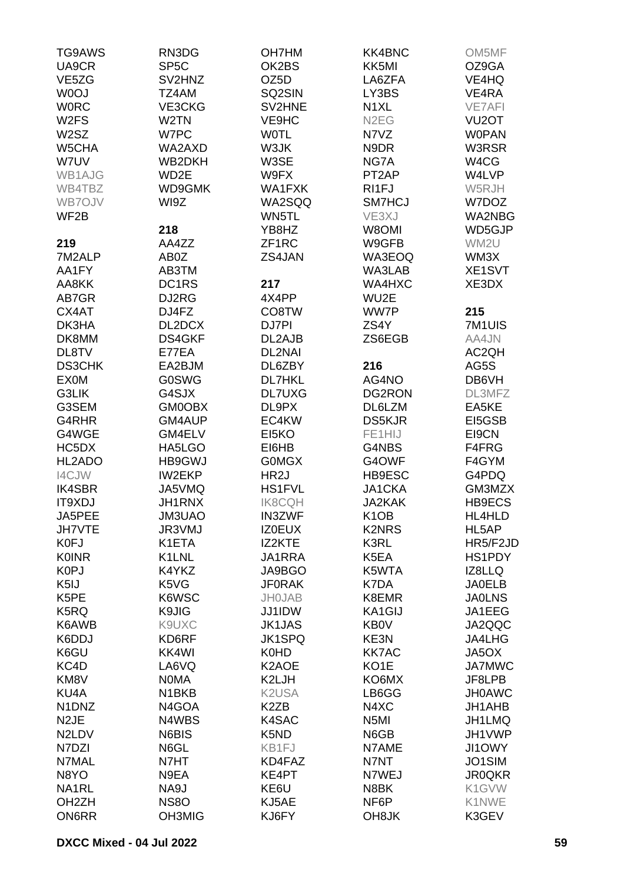| TG9AWS                         | RN3DG              | <b>OH7HM</b>      | <b>KK4BNC</b>      | OM5MF              |
|--------------------------------|--------------------|-------------------|--------------------|--------------------|
| UA9CR                          | SP <sub>5</sub> C  | OK2BS             | KK5MI              | OZ9GA              |
| VE <sub>5</sub> ZG             | SV2HNZ             | OZ <sub>5</sub> D | LA6ZFA             | VE4HQ              |
| W0OJ                           | TZ4AM              | SQ2SIN            | LY3BS              | VE4RA              |
|                                |                    |                   |                    |                    |
| <b>WORC</b>                    | VE3CKG             | SV2HNE            | N <sub>1</sub> XL  | <b>VE7AFI</b>      |
| W <sub>2</sub> FS              | W <sub>2</sub> TN  | VE9HC             | N <sub>2</sub> EG  | VU <sub>2</sub> OT |
| W <sub>2</sub> SZ              | W7PC               | <b>WOTL</b>       | N7VZ               | <b>WOPAN</b>       |
| W5CHA                          | WA2AXD             | W3JK              | N9DR               | W3RSR              |
| W7UV                           | WB2DKH             | W3SE              | NG7A               | W4CG               |
| WB1AJG                         | WD2E               | W9FX              | PT <sub>2</sub> AP | W4LVP              |
| WB4TBZ                         | WD9GMK             | WA1FXK            | RI1FJ              | W5RJH              |
| WB7OJV                         | WI9Z               | WA2SQQ            | SM7HCJ             | W7DOZ              |
| WF <sub>2</sub> B              |                    | WN5TL             | VE3XJ              | WA2NBG             |
|                                | 218                | YB8HZ             | W8OMI              | WD5GJP             |
|                                |                    |                   |                    |                    |
| 219                            | AA4ZZ              | ZF1RC             | W9GFB              | WM2U               |
| 7M2ALP                         | AB0Z               | ZS4JAN            | WA3EOQ             | WM3X               |
| AA1FY                          | AB3TM              |                   | WA3LAB             | XE1SVT             |
| AA8KK                          | DC1RS              | 217               | WA4HXC             | XE3DX              |
| AB7GR                          | DJ2RG              | 4X4PP             | WU2E               |                    |
| CX4AT                          | DJ4FZ              | CO8TW             | WW7P               | 215                |
| DK3HA                          | DL2DCX             | DJ7PI             | ZS4Y               | 7M1UIS             |
| DK8MM                          | DS4GKF             | DL2AJB            | ZS6EGB             | AA4JN              |
| DL8TV                          | E77EA              | DL2NAI            |                    | AC2QH              |
| <b>DS3CHK</b>                  | EA2BJM             | DL6ZBY            | 216                | AG5S               |
| <b>EX0M</b>                    | <b>G0SWG</b>       | <b>DL7HKL</b>     | AG4NO              | DB6VH              |
|                                |                    |                   |                    |                    |
| G3LIK                          | G4SJX              | <b>DL7UXG</b>     | DG2RON             | DL3MFZ             |
| G3SEM                          | <b>GM0OBX</b>      | DL9PX             | DL6LZM             | EA5KE              |
| G4RHR                          | GM4AUP             | EC4KW             | <b>DS5KJR</b>      | EI5GSB             |
| G4WGE                          | GM4ELV             | EI5KO             | FE1HIJ             | EI9CN              |
| HC5DX                          | HA5LGO             | EI6HB             | G4NBS              | F4FRG              |
| HL2ADO                         | HB9GWJ             | <b>GOMGX</b>      | G4OWF              | F4GYM              |
| I4CJW                          | <b>IW2EKP</b>      | HR <sub>2</sub> J | HB9ESC             | G4PDQ              |
| <b>IK4SBR</b>                  | JA5VMQ             | <b>HS1FVL</b>     | <b>JA1CKA</b>      | GM3MZX             |
| <b>IT9XDJ</b>                  | <b>JH1RNX</b>      | <b>IK8CQH</b>     | <b>JA2KAK</b>      | <b>HB9ECS</b>      |
| JA5PEE                         | JM3UAO             | <b>IN3ZWF</b>     | K <sub>1</sub> OB  | HL4HLD             |
| <b>JH7VTE</b>                  | JR3VMJ             |                   | <b>K2NRS</b>       | HL5AP              |
|                                |                    | <b>IZ0EUX</b>     |                    |                    |
| K0FJ                           | K1ETA              | IZ2KTE            | K3RL               | HR5/F2JD           |
| <b>K0INR</b>                   | K1LNL              | JA1RRA            | K5EA               | HS1PDY             |
| K <sub>0</sub> PJ              | K4YKZ              | JA9BGO            | K5WTA              | IZ8LLQ             |
| K <sub>5</sub> IJ              | K5VG               | <b>JF0RAK</b>     | K7DA               | <b>JA0ELB</b>      |
| K <sub>5</sub> PE              | K6WSC              | <b>JH0JAB</b>     | K8EMR              | <b>JA0LNS</b>      |
| K5RQ                           | K9JIG              | JJ1IDW            | KA1GIJ             | JA1EEG             |
| K6AWB                          | K9UXC              | <b>JK1JAS</b>     | <b>KB0V</b>        | JA2QQC             |
| K6DDJ                          | KD6RF              | <b>JK1SPQ</b>     | KE3N               | JA4LHG             |
| K6GU                           | KK4WI              | K0HD              | <b>KK7AC</b>       | JA5OX              |
| KC4D                           | LA6VQ              | K2AOE             | KO <sub>1</sub> E  | <b>JA7MWC</b>      |
| KM8V                           | <b>NOMA</b>        | K2LJH             | KO6MX              | JF8LPB             |
|                                |                    |                   |                    |                    |
| KU4A                           | N <sub>1</sub> BKB | K2USA             | LB6GG              | <b>JH0AWC</b>      |
| N1DNZ                          | N4GOA              | K <sub>2</sub> ZB | N4XC               | JH1AHB             |
| N <sub>2</sub> JE              | N4WBS              | K4SAC             | N <sub>5</sub> MI  | JH1LMQ             |
| N <sub>2</sub> LD <sub>V</sub> | N6BIS              | K5ND              | N6GB               | JH1VWP             |
| N7DZI                          | N6GL               | KB1FJ             | N7AME              | JI1OWY             |
| N7MAL                          | N7HT               | KD4FAZ            | N7NT               | JO1SIM             |
| N8YO                           | N9EA               | KE4PT             | N7WEJ              | <b>JR0QKR</b>      |
| NA1RL                          | NA9J               | KE6U              | N8BK               | K1GVW              |
| OH <sub>2</sub> ZH             | <b>NS8O</b>        | KJ5AE             | NF6P               | K1NWE              |
| <b>ON6RR</b>                   | OH3MIG             | KJ6FY             | OH8JK              | K3GEV              |
|                                |                    |                   |                    |                    |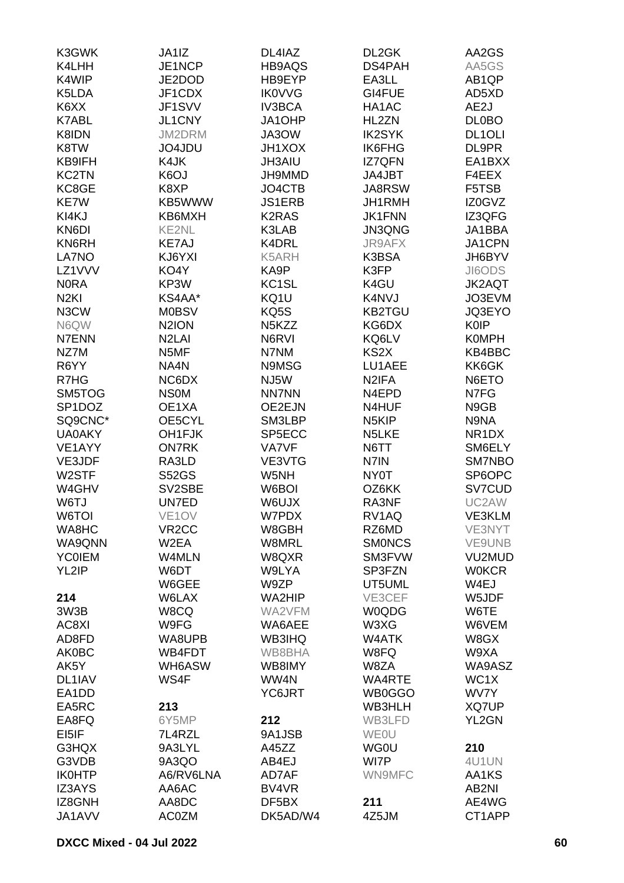| K3GWK            | JA1IZ              | DL4IAZ             | DL2GK              | AA2GS         |
|------------------|--------------------|--------------------|--------------------|---------------|
| K4LHH            | JE1NCP             | HB9AQS             | DS4PAH             | AA5GS         |
| K4WIP            | JE2DOD             | HB9EYP             | EA3LL              | AB1QP         |
| K5LDA            | JF1CDX             | <b>IK0VVG</b>      | GI4FUE             | AD5XD         |
| K6XX             | JF1SVV             | <b>IV3BCA</b>      | HA1AC              | AE2J          |
| K7ABL            | JL1CNY             | JA1OHP             | HL2ZN              | <b>DL0BO</b>  |
| K8IDN            | JM2DRM             | JA3OW              | <b>IK2SYK</b>      | <b>DL1OLI</b> |
| K8TW             | JO4JDU             | <b>JH1XOX</b>      | IK6FHG             | DL9PR         |
| KB9IFH           | K4JK               | <b>JH3AIU</b>      | <b>IZ7QFN</b>      | EA1BXX        |
| <b>KC2TN</b>     | K6OJ               | JH9MMD             | JA4JBT             | F4EEX         |
| KC8GE            | K8XP               | JO4CTB             | JA8RSW             | F5TSB         |
| KE7W             | KB5WWW             | <b>JS1ERB</b>      | JH1RMH             | IZ0GVZ        |
| KI4KJ            | KB6MXH             | <b>K2RAS</b>       | <b>JK1FNN</b>      | IZ3QFG        |
| KN6DI            | <b>KE2NL</b>       | K3LAB              | JN3QNG             | JA1BBA        |
| KN6RH            | <b>KE7AJ</b>       | K4DRL              | JR9AFX             | JA1CPN        |
| LA7NO            | KJ6YXI             | K5ARH              | K3BSA              | JH6BYV        |
| LZ1VVV           | KO4Y               | KA9P               | K3FP               | JI6ODS        |
| <b>NORA</b>      | KP3W               | KC <sub>1</sub> SL | K4GU               | <b>JK2AQT</b> |
| N <sub>2KI</sub> | KS4AA*             | KQ1U               | K4NVJ              | JO3EVM        |
| N3CW             | <b>M0BSV</b>       | KQ5S               | <b>KB2TGU</b>      | JQ3EYO        |
| N6QW             | N <sub>2</sub> ION | N <sub>5</sub> KZZ | KG6DX              | <b>K0IP</b>   |
| N7ENN            | N <sub>2</sub> LAI | N6RVI              | KQ6LV              | <b>K0MPH</b>  |
| NZ7M             | N5MF               | N7NM               | KS2X               | KB4BBC        |
| R6YY             | NA4N               | N9MSG              | LU1AEE             | KK6GK         |
| R7HG             | NC6DX              | NJ5W               | N <sub>2</sub> IFA | N6ETO         |
| SM5TOG           | <b>NSOM</b>        | <b>NN7NN</b>       | N4EPD              | N7FG          |
| SP1DOZ           | OE1XA              | OE2EJN             | N4HUF              | N9GB          |
| SQ9CNC*          | OE5CYL             | SM3LBP             | N <sub>5</sub> KIP | N9NA          |
| <b>UA0AKY</b>    | OH1FJK             | SP5ECC             | N5LKE              | NR1DX         |
| VE1AYY           | <b>ON7RK</b>       | VA7VF              | N6TT               | SM6ELY        |
| VE3JDF           | RA3LD              | VE3VTG             | N7IN               | SM7NBO        |
| W2STF            | <b>S52GS</b>       | W5NH               | NY0T               | SP6OPC        |
| W4GHV            | SV2SBE             | W6BOI              | OZ6KK              | SV7CUD        |
| W6TJ             | UN7ED              | W6UJX              | RA3NF              | UC2AW         |
| W6TOI            | VE1OV              | W7PDX              | RV1AQ              | VE3KLM        |
| WA8HC            | VR <sub>2</sub> CC | W8GBH              | RZ6MD              | VE3NYT        |
| WA9QNN           | W <sub>2</sub> EA  | W8MRL              | <b>SMONCS</b>      | VE9UNB        |
| <b>YC0IEM</b>    | W4MLN              | W8QXR              | SM3FVW             | VU2MUD        |
| YL2IP            | W6DT               | W9LYA              | SP3FZN             | <b>W0KCR</b>  |
|                  | W6GEE              | W9ZP               | UT5UML             | W4EJ          |
| 214              | W6LAX              | WA2HIP             | VE3CEF             | W5JDF         |
| 3W3B             | W8CQ               | WA2VFM             | W0QDG              | W6TE          |
| AC8XI            | W9FG               | WA6AEE             | W3XG               | W6VEM         |
| AD8FD            | WA8UPB             | <b>WB3IHQ</b>      | W4ATK              | W8GX          |
| <b>AK0BC</b>     | WB4FDT             | WB8BHA             | W8FQ               | W9XA          |
| AK5Y             | WH6ASW             | WB8IMY             | W8ZA               | WA9ASZ        |
| DL1IAV           | WS4F               | WW4N               | WA4RTE             | WC1X          |
| EA1DD            |                    | YC6JRT             | WB0GGO             | WV7Y          |
| EA5RC            | 213                |                    | WB3HLH             | XQ7UP         |
| EA8FQ            | 6Y5MP              | 212                | WB3LFD             | YL2GN         |
| EI5IF            | 7L4RZL             | 9A1JSB             | <b>WEOU</b>        |               |
| G3HQX            | 9A3LYL             | A45ZZ              | <b>WG0U</b>        | 210           |
| G3VDB            | 9A3QO              | AB4EJ              | WI7P               | 4U1UN         |
| <b>IK0HTP</b>    | A6/RV6LNA          | AD7AF              | WN9MFC             | AA1KS         |
| <b>IZ3AYS</b>    | AA6AC              | BV4VR              |                    | AB2NI         |
| IZ8GNH           | AA8DC              | DF5BX              | 211                | AE4WG         |
| JA1AVV           | <b>AC0ZM</b>       | DK5AD/W4           | 4Z5JM              | CT1APP        |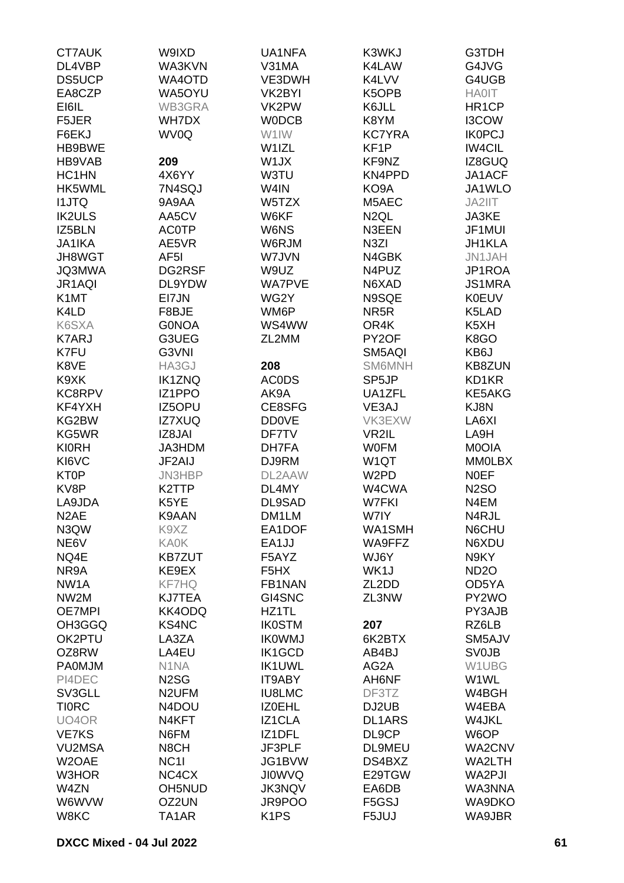| <b>CT7AUK</b>     | W9IXD              | UA1NFA            | K3WKJ              | G3TDH              |
|-------------------|--------------------|-------------------|--------------------|--------------------|
| DL4VBP            | WA3KVN             | V31MA             | K4LAW              | G4JVG              |
| <b>DS5UCP</b>     | WA4OTD             | VE3DWH            | K4LVV              | G4UGB              |
| EA8CZP            | WA5OYU             | VK2BYI            | K5OPB              | <b>HA0IT</b>       |
|                   |                    |                   |                    |                    |
| EI6IL             | WB3GRA             | VK2PW             | K6JLL              | HR <sub>1</sub> CP |
| F5JER             | WH7DX              | <b>WODCB</b>      | K8YM               | I3COW              |
| F6EKJ             | WV0Q               | W1IW              | <b>KC7YRA</b>      | <b>IK0PCJ</b>      |
| HB9BWE            |                    | W1IZL             | KF <sub>1</sub> P  | <b>IW4CIL</b>      |
| HB9VAB            | 209                | W1JX              | KF9NZ              | IZ8GUQ             |
| HC1HN             | 4X6YY              | W3TU              | KN4PPD             | JA1ACF             |
| HK5WML            | 7N4SQJ             | W4IN              | KO9A               | JA1WLO             |
| <b>I1JTQ</b>      | 9A9AA              | W5TZX             | M5AEC              | JA2IIT             |
| <b>IK2ULS</b>     | AA5CV              | W6KF              | N <sub>2</sub> QL  | JA3KE              |
| IZ5BLN            | <b>AC0TP</b>       | W6NS              | N3EEN              | JF1MUI             |
|                   |                    |                   |                    |                    |
| <b>JA1IKA</b>     | AE5VR              | W6RJM             | N <sub>3</sub> ZI  | JH1KLA             |
| JH8WGT            | AF <sub>5</sub> I  | W7JVN             | N4GBK              | JN1JAH             |
| <b>JQ3MWA</b>     | DG2RSF             | W9UZ              | N4PUZ              | JP1ROA             |
| JR1AQI            | DL9YDW             | <b>WA7PVE</b>     | N6XAD              | <b>JS1MRA</b>      |
| K <sub>1</sub> MT | EI7JN              | WG2Y              | N9SQE              | <b>K0EUV</b>       |
| K4LD              | F8BJE              | WM6P              | NR <sub>5</sub> R  | K5LAD              |
| K6SXA             | <b>GONOA</b>       | WS4WW             | OR4K               | K5XH               |
| <b>K7ARJ</b>      | G3UEG              | ZL2MM             | PY2OF              | K8GO               |
| K7FU              | G3VNI              |                   | SM5AQI             | KB6J               |
| K8VE              | HA3GJ              | 208               | <b>SM6MNH</b>      | <b>KB8ZUN</b>      |
|                   |                    |                   |                    |                    |
| K9XK              | <b>IK1ZNQ</b>      | <b>ACODS</b>      | SP <sub>5</sub> JP | KD1KR              |
| KC8RPV            | IZ1PPO             | AK9A              | UA1ZFL             | KE5AKG             |
| KF4YXH            | IZ5OPU             | CE8SFG            | VE3AJ              | KJ8N               |
| KG2BW             | <b>IZ7XUQ</b>      | <b>DD0VE</b>      | VK3EXW             | LA6XI              |
| KG5WR             | IZ8JAI             | DF7TV             | VR2IL              | LA9H               |
| <b>KI0RH</b>      | JA3HDM             | DH7FA             | <b>WOFM</b>        | M0OIA              |
| KI6VC             | JF2AIJ             | DJ9RM             | W <sub>1</sub> QT  | <b>MM0LBX</b>      |
| KT0P              | JN3HBP             | DL2AAW            | W <sub>2</sub> PD  | <b>NOEF</b>        |
| KV8P              | K <sub>2</sub> TTP | DL4MY             | W4CWA              | <b>N2SO</b>        |
| LA9JDA            | K5YE               | DL9SAD            | <b>W7FKI</b>       | N4EM               |
| N <sub>2</sub> AE | K9AAN              | DM1LM             | W7IY               | N4RJL              |
|                   |                    |                   |                    |                    |
| N3QW              | K9XZ               | EA1DOF            | WA1SMH             | N6CHU              |
| NE6V              | <b>KA0K</b>        | EA1JJ             | WA9FFZ             | N6XDU              |
| NQ4E              | <b>KB7ZUT</b>      | F5AYZ             | WJ6Y               | N9KY               |
| NR9A              | KE9EX              | F <sub>5</sub> HX | WK1J               | <b>ND2O</b>        |
| NW <sub>1</sub> A | KF7HQ              | FB1NAN            | ZL2DD              | OD5YA              |
| NW <sub>2</sub> M | <b>KJ7TEA</b>      | GI4SNC            | ZL3NW              | PY2WO              |
| <b>OE7MPI</b>     | KK4ODQ             | HZ1TL             |                    | PY3AJB             |
| OH3GGQ            | <b>KS4NC</b>       | <b>IK0STM</b>     | 207                | RZ6LB              |
| OK2PTU            | LA3ZA              | <b>IKOWMJ</b>     | 6K2BTX             | SM5AJV             |
| OZ8RW             | LA4EU              | IK1GCD            | AB4BJ              | <b>SV0JB</b>       |
| <b>PA0MJM</b>     | N <sub>1</sub> NA  | <b>IK1UWL</b>     | AG2A               | W1UBG              |
| PI4DEC            | N <sub>2</sub> SG  | IT9ABY            | AH6NF              | W1WL               |
|                   |                    |                   |                    |                    |
| SV3GLL            | N <sub>2</sub> UFM | <b>IU8LMC</b>     | DF3TZ              | W4BGH              |
| <b>TIORC</b>      | N4DOU              | <b>IZOEHL</b>     | DJ2UB              | W4EBA              |
| UO4OR             | N4KFT              | IZ1CLA            | <b>DL1ARS</b>      | W4JKL              |
| <b>VE7KS</b>      | N6FM               | IZ1DFL            | DL9CP              | W6OP               |
| <b>VU2MSA</b>     | N8CH               | JF3PLF            | DL9MEU             | WA2CNV             |
| W2OAE             | NC <sub>11</sub>   | JG1BVW            | DS4BXZ             | WA2LTH             |
| W3HOR             | NC4CX              | <b>JIOWVQ</b>     | E29TGW             | WA2PJI             |
| W4ZN              | <b>OH5NUD</b>      | <b>JK3NQV</b>     | EA6DB              | WA3NNA             |
| W6WVW             | OZ2UN              | JR9POO            | F5GSJ              | WA9DKO             |
| W8KC              | TA1AR              | K <sub>1</sub> PS | F5JUJ              | WA9JBR             |
|                   |                    |                   |                    |                    |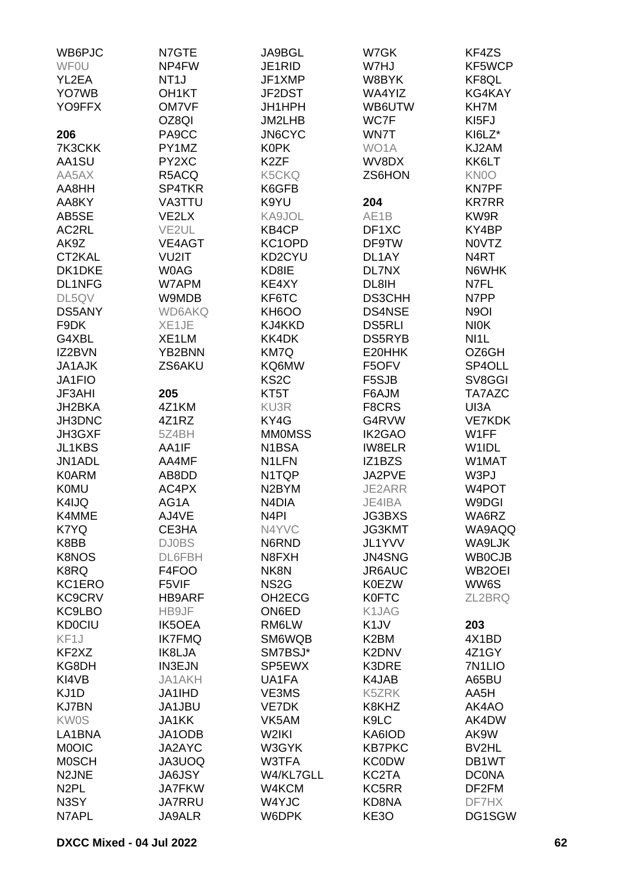| WB6PJC            | N7GTE              | JA9BGL             | W7GK              | KF4ZS               |
|-------------------|--------------------|--------------------|-------------------|---------------------|
| <b>WFOU</b>       | NP4FW              | JE1RID             | W7HJ              | KF5WCP              |
| YL2EA             | NT <sub>1</sub> J  | JF1XMP             | W8BYK             | KF8QL               |
| YO7WB             | OH <sub>1</sub> KT | JF2DST             | WA4YIZ            | KG4KAY              |
|                   |                    |                    |                   |                     |
| YO9FFX            | <b>OM7VF</b>       | JH1HPH             | WB6UTW            | KH7M                |
|                   | OZ8QI              | JM2LHB             | WC7F              | KI5FJ               |
| 206               | PA9CC              | <b>JN6CYC</b>      | WN7T              | KI6LZ*              |
| 7K3CKK            | PY1MZ              | <b>K0PK</b>        | WO1A              | KJ2AM               |
| AA1SU             | PY2XC              | K <sub>2</sub> ZF  | WV8DX             | KK6LT               |
| AA5AX             | R5ACQ              | <b>K5CKQ</b>       | ZS6HON            | KN0O                |
| AA8HH             | SP4TKR             | K6GFB              |                   | <b>KN7PF</b>        |
| AA8KY             | VA3TTU             | K9YU               | 204               | <b>KR7RR</b>        |
| AB5SE             | VE2LX              | KA9JOL             | AE <sub>1</sub> B | KW9R                |
| AC2RL             | VE2UL              | KB4CP              | DF1XC             | KY4BP               |
|                   |                    |                    |                   |                     |
| AK9Z              | VE4AGT             | KC1OPD             | DF9TW             | <b>NOVTZ</b>        |
| CT2KAL            | VU2IT              | KD2CYU             | DL1AY             | N4RT                |
| DK1DKE            | <b>WOAG</b>        | KD8IE              | DL7NX             | N6WHK               |
| DL1NFG            | W7APM              | KE4XY              | DL8IH             | N7FL                |
| DL5QV             | W9MDB              | KF6TC              | <b>DS3CHH</b>     | N7PP                |
| DS5ANY            | <b>WD6AKQ</b>      | KH6OO              | <b>DS4NSE</b>     | N <sub>9</sub> OI   |
| F9DK              | XE1JE              | KJ4KKD             | <b>DS5RLI</b>     | <b>NIOK</b>         |
| G4XBL             | XE1LM              | KK4DK              | DS5RYB            | NI1L                |
| IZ2BVN            | YB2BNN             | KM7Q               | E20HHK            | OZ6GH               |
| <b>JA1AJK</b>     | ZS6AKU             | KQ6MW              | F5OFV             | SP4OLL              |
| JA1FIO            |                    | KS <sub>2</sub> C  | F5SJB             | SV8GGI              |
|                   |                    |                    |                   |                     |
| <b>JF3AHI</b>     | 205                | KT5T               | F6AJM             | TA7AZC              |
| JH2BKA            | 4Z1KM              | KU3R               | F8CRS             | UI3A                |
| JH3DNC            | 4Z1RZ              | KY4G               | G4RVW             | <b>VE7KDK</b>       |
| JH3GXF            | 5Z4BH              | <b>MMOMSS</b>      | <b>IK2GAO</b>     | W1FF                |
| JL1KBS            | AA1IF              | N1BSA              | <b>IW8ELR</b>     | W <sub>1</sub> IDL  |
| JN1ADL            | AA4MF              | N <sub>1</sub> LFN | IZ1BZS            | W1MAT               |
| <b>K0ARM</b>      | AB8DD              | N1TQP              | JA2PVE            | W3PJ                |
| <b>K0MU</b>       | AC4PX              | N <sub>2</sub> BYM | JE2ARR            | W4POT               |
| K4IJQ             | AG1A               | N <sub>4</sub> DIA | JE4IBA            | W9DGI               |
| K4MME             | AJ4VE              | N <sub>4</sub> PI  | JG3BXS            | WA6RZ               |
| K7YQ              | CE3HA              | N4YVC              | JG3KMT            | WA9AQQ              |
|                   |                    |                    |                   |                     |
| K8BB              | <b>DJ0BS</b>       | N6RND              | JL1YVV            | WA9LJK              |
| <b>K8NOS</b>      | DL6FBH             | N8FXH              | JN4SNG            | <b>WB0CJB</b>       |
| K8RQ              | F4FOO              | NK8N               | JR6AUC            | WB <sub>2</sub> OEI |
| KC1ERO            | F5VIF              | NS <sub>2</sub> G  | <b>K0EZW</b>      | WW6S                |
| <b>KC9CRV</b>     | <b>HB9ARF</b>      | OH2ECG             | <b>K0FTC</b>      | ZL2BRQ              |
| KC9LBO            | HB9JF              | ON6ED              | K1JAG             |                     |
| <b>KD0CIU</b>     | <b>IK5OEA</b>      | RM6LW              | K <sub>1</sub> JV | 203                 |
| KF <sub>1</sub> J | <b>IK7FMQ</b>      | SM6WQB             | K <sub>2</sub> BM | 4X1BD               |
| KF2XZ             | IK8LJA             | SM7BSJ*            | K2DNV             | 4Z1GY               |
| KG8DH             | <b>IN3EJN</b>      | SP5EWX             | K3DRE             | 7N <sub>1</sub> LIO |
| KI4VB             | <b>JA1AKH</b>      | UA1FA              | K4JAB             | A65BU               |
|                   |                    |                    |                   |                     |
| KJ1D              | <b>JA1IHD</b>      | VE3MS              | K5ZRK             | AA5H                |
| <b>KJ7BN</b>      | JA1JBU             | VE7DK              | K8KHZ             | AK4AO               |
| <b>KW0S</b>       | <b>JA1KK</b>       | VK5AM              | K9LC              | AK4DW               |
| LA1BNA            | JA1ODB             | W2IKI              | KA6IOD            | AK9W                |
| <b>MOOIC</b>      | JA2AYC             | W3GYK              | <b>KB7PKC</b>     | BV2HL               |
| <b>MOSCH</b>      | JA3UOQ             | W3TFA              | <b>KC0DW</b>      | DB1WT               |
| N2JNE             | <b>JA6JSY</b>      | W4/KL7GLL          | KC2TA             | <b>DCONA</b>        |
| N <sub>2</sub> PL | <b>JA7FKW</b>      | W4KCM              | KC5RR             | DF2FM               |
| N3SY              | <b>JA7RRU</b>      | W4YJC              | KD8NA             | DF7HX               |
| N7APL             | <b>JA9ALR</b>      | W6DPK              | KE3O              | DG1SGW              |
|                   |                    |                    |                   |                     |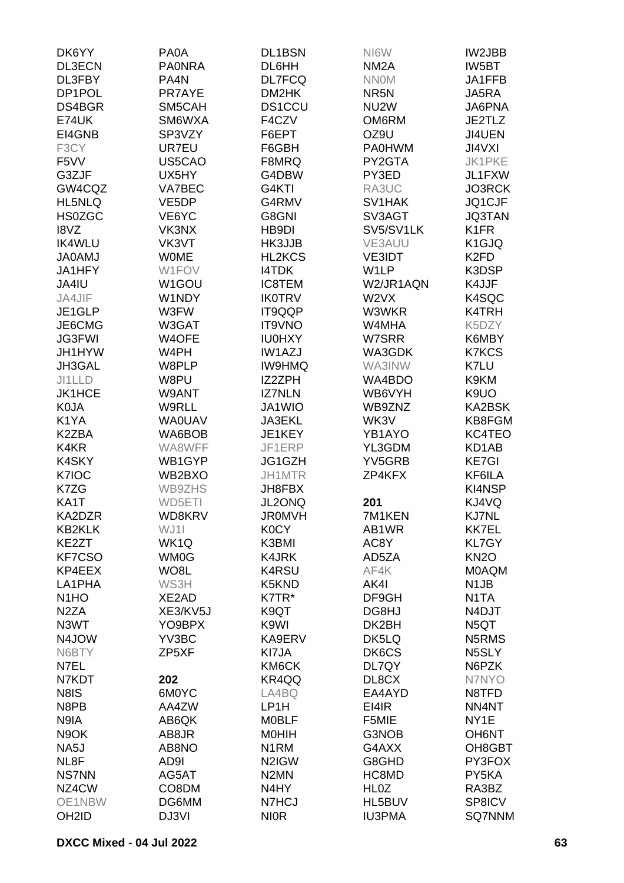| DK6YY                         | PA0A               | DL1BSN             | NI6W              | IW2JBB             |
|-------------------------------|--------------------|--------------------|-------------------|--------------------|
| DL3ECN                        | <b>PAONRA</b>      | DL6HH              | NM <sub>2</sub> A | IW5BT              |
| DL3FBY                        | PA4N               | <b>DL7FCQ</b>      | <b>NNOM</b>       | JA1FFB             |
| DP1POL                        | PR7AYE             | DM2HK              | NR <sub>5</sub> N | JA5RA              |
| DS4BGR                        | SM5CAH             | <b>DS1CCU</b>      | NU <sub>2</sub> W | JA6PNA             |
| <b>E74UK</b>                  | SM6WXA             | F4CZV              | OM6RM             | JE2TLZ             |
|                               |                    |                    |                   |                    |
| EI4GNB                        | SP3VZY             | F6EPT              | OZ9U              | JI4UEN             |
| F3CY                          | UR7EU              | F6GBH              | <b>PA0HWM</b>     | <b>JI4VXI</b>      |
| F <sub>5</sub> VV             | US5CAO             | F8MRQ              | PY2GTA            | <b>JK1PKE</b>      |
| G3ZJF                         | UX5HY              | G4DBW              | PY3ED             | JL1FXW             |
| GW4CQZ                        | VA7BEC             | G4KTI              | RA3UC             | JO3RCK             |
| HL5NLQ                        | VE <sub>5</sub> DP | G4RMV              | SV1HAK            | JQ1CJF             |
| <b>HS0ZGC</b>                 | VE6YC              | G8GNI              | SV3AGT            | <b>JQ3TAN</b>      |
| I8VZ                          | VK3NX              | HB9DI              | SV5/SV1LK         | K <sub>1</sub> FR  |
| <b>IK4WLU</b>                 | VK3VT              | HK3JJB             | VE3AUU            | K <sub>1</sub> GJQ |
| <b>JA0AMJ</b>                 | <b>WOME</b>        | HL2KCS             | <b>VE3IDT</b>     | K <sub>2</sub> FD  |
| JA1HFY                        | W1FOV              | <b>I4TDK</b>       | W1LP              | K3DSP              |
| JA4IU                         | W1GOU              | <b>IC8TEM</b>      | W2/JR1AQN         | K4JJF              |
| JA4JIF                        | W1NDY              | <b>IK0TRV</b>      | W2VX              | K4SQC              |
| JE1GLP                        | W3FW               | IT9QQP             | W3WKR             | K4TRH              |
| JE6CMG                        | W3GAT              | IT9VNO             | W4MHA             | K5DZY              |
| <b>JG3FWI</b>                 | W4OFE              | <b>IU0HXY</b>      | W7SRR             | K6MBY              |
| JH1HYW                        | W4PH               | <b>IW1AZJ</b>      | WA3GDK            | <b>K7KCS</b>       |
| JH3GAL                        | W8PLP              | <b>IW9HMQ</b>      | WA3INW            | K7LU               |
| JI1LLD                        | W8PU               | IZ2ZPH             | WA4BDO            | K9KM               |
| <b>JK1HCE</b>                 | W9ANT              | <b>IZ7NLN</b>      | WB6VYH            | K9UO               |
| <b>K0JA</b>                   | <b>W9RLL</b>       | JA1WIO             | WB9ZNZ            | KA2BSK             |
| K <sub>1</sub> YA             | <b>WA0UAV</b>      | <b>JA3EKL</b>      | WK3V              | KB8FGM             |
| K2ZBA                         | WA6BOB             | JE1KEY             | YB1AYO            | KC4TEO             |
| K4KR                          | WA8WFF             | JF1ERP             | YL3GDM            | KD1AB              |
| K4SKY                         | WB1GYP             | JG1GZH             | YV5GRB            | <b>KE7GI</b>       |
| K7IOC                         | WB2BXO             | JH1MTR             | ZP4KFX            | KF6ILA             |
| K7ZG                          | WB9ZHS             | JH8FBX             |                   | <b>KI4NSP</b>      |
| KA1T                          | WD5ETI             | JL2ONQ             | 201               | KJ4VQ              |
| KA2DZR                        | WD8KRV             | <b>JR0MVH</b>      | 7M1KEN            | <b>KJ7NL</b>       |
| <b>KB2KLK</b>                 | WJ1I               | <b>K0CY</b>        | AB1WR             | <b>KK7EL</b>       |
| KE2ZT                         | WK1Q               | K3BMI              | AC8Y              | <b>KL7GY</b>       |
| <b>KF7CSO</b>                 |                    |                    |                   |                    |
|                               | WM0G               | <b>K4JRK</b>       | AD5ZA             | KN <sub>2</sub> O  |
| KP4EEX                        | WO8L               | <b>K4RSU</b>       | AF4K              | <b>MOAQM</b>       |
| LA1PHA                        | WS3H               | K5KND              | AK4I              | N <sub>1</sub> JB  |
| N <sub>1</sub> H <sub>O</sub> | XE2AD              | K7TR*              | DF9GH             | N <sub>1</sub> TA  |
| N <sub>2</sub> ZA             | XE3/KV5J           | K9QT               | DG8HJ             | N4DJT              |
| N3WT                          | YO9BPX             | K9WI               | DK2BH             | N5QT               |
| N4JOW                         | YV3BC              | KA9ERV             | DK5LQ             | N5RMS              |
| N6BTY                         | ZP5XF              | KI7JA              | DK6CS             | N5SLY              |
| N7EL                          |                    | KM6CK              | DL7QY             | N6PZK              |
| N7KDT                         | 202                | KR4QQ              | DL8CX             | N7NYO              |
| N8IS                          | 6M0YC              | LA4BQ              | EA4AYD            | N8TFD              |
| N8PB                          | AA4ZW              | LP <sub>1</sub> H  | EI4IR             | NN4NT              |
| N9IA                          | AB6QK              | <b>MOBLF</b>       | F5MIE             | NY <sub>1</sub> E  |
| N9OK                          | AB8JR              | <b>MOHIH</b>       | G3NOB             | <b>OH6NT</b>       |
| NA <sub>5</sub> J             | AB8NO              | N <sub>1</sub> RM  | G4AXX             | OH8GBT             |
| NL8F                          | AD9I               | N <sub>2</sub> IGW | G8GHD             | PY3FOX             |
| <b>NS7NN</b>                  | AG5AT              | N <sub>2</sub> MN  | HC8MD             | PY5KA              |
| NZ4CW                         | CO8DM              | N4HY               | HL <sub>0</sub> Z | RA3BZ              |
| OE1NBW                        | DG6MM              | N7HCJ              | HL5BUV            | SP8ICV             |
| OH <sub>2</sub> ID            | DJ3VI              | <b>NIOR</b>        | <b>IU3PMA</b>     | <b>SQ7NNM</b>      |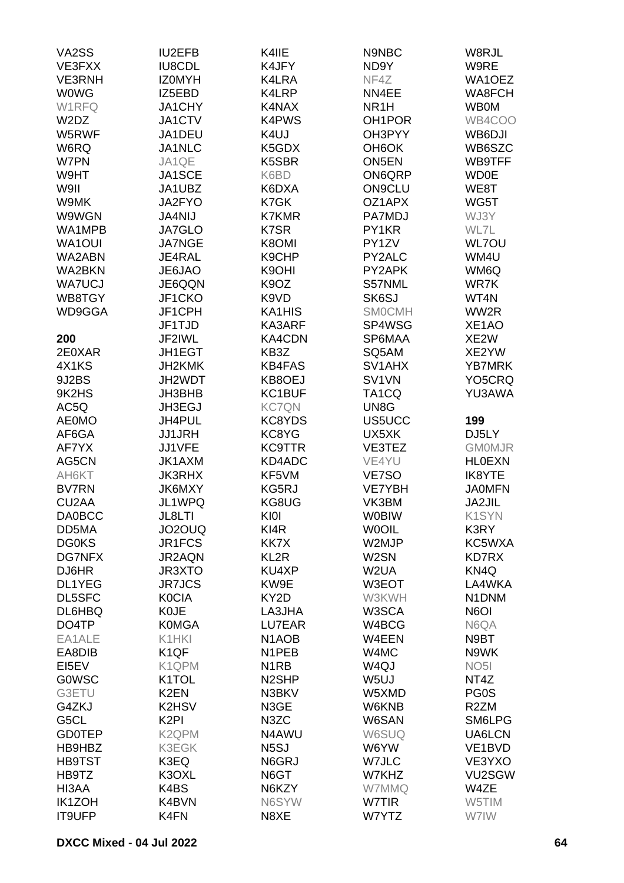| VA2SS                         | <b>IU2EFB</b>      | K4IIE                         | N9NBC               | W8RJL              |
|-------------------------------|--------------------|-------------------------------|---------------------|--------------------|
| VE3FXX                        | <b>IU8CDL</b>      | K4JFY                         | ND9Y                | W9RE               |
| <b>VE3RNH</b>                 | <b>IZOMYH</b>      | K4LRA                         | NF4Z                | WA1OEZ             |
| <b>WOWG</b>                   | IZ5EBD             | K4LRP                         | NN4EE               | WA8FCH             |
|                               | JA1CHY             |                               |                     |                    |
| W1RFQ                         |                    | K4NAX                         | NR <sub>1</sub> H   | <b>WB0M</b>        |
| W <sub>2</sub> D <sub>Z</sub> | JA1CTV             | <b>K4PWS</b>                  | OH <sub>1</sub> POR | WB4COO             |
| W5RWF                         | JA1DEU             | K4UJ                          | OH3PYY              | WB6DJI             |
| W6RQ                          | JA1NLC             | K5GDX                         | OH <sub>6</sub> OK  | WB6SZC             |
| W7PN                          | JA1QE              | K5SBR                         | <b>ON5EN</b>        | WB9TFF             |
| W9HT                          | JA1SCE             | K6BD                          | ON6QRP              | <b>WD0E</b>        |
| W9II                          | JA1UBZ             | K6DXA                         | <b>ON9CLU</b>       | WE8T               |
| W9MK                          | JA2FYO             | K7GK                          | OZ1APX              | WG5T               |
| W9WGN                         | <b>JA4NIJ</b>      | <b>K7KMR</b>                  | PA7MDJ              | WJ3Y               |
| WA1MPB                        | <b>JA7GLO</b>      | K7SR                          | PY1KR               | WL7L               |
| WA1OUI                        | <b>JA7NGE</b>      | K8OMI                         | PY1ZV               | <b>WL7OU</b>       |
| WA2ABN                        | JE4RAL             | K9CHP                         | PY2ALC              | WM4U               |
| WA2BKN                        | JE6JAO             | K9OHI                         | PY2APK              | WM6Q               |
| <b>WA7UCJ</b>                 | JE6QQN             | K <sub>9</sub> OZ             | S57NML              | WR7K               |
| WB8TGY                        | JF1CKO             | K <sub>9</sub> V <sub>D</sub> | SK6SJ               | WT4N               |
| WD9GGA                        | JF1CPH             | KA1HIS                        | <b>SMOCMH</b>       | WW2R               |
|                               | JF1TJD             | KA3ARF                        | SP4WSG              | XE <sub>1</sub> AO |
| 200                           | JF2IWL             | <b>KA4CDN</b>                 | SP6MAA              | XE2W               |
| 2E0XAR                        | JH1EGT             | KB3Z                          | SQ5AM               | XE2YW              |
| 4X1KS                         | JH2KMK             | <b>KB4FAS</b>                 | SV <sub>1</sub> AHX | <b>YB7MRK</b>      |
| 9J2BS                         | JH2WDT             | KB8OEJ                        | SV <sub>1VN</sub>   | YO5CRQ             |
| 9K2HS                         | JH3BHB             | KC1BUF                        | TA <sub>1</sub> CQ  | YU3AWA             |
| AC5Q                          | JH3EGJ             | <b>KC7QN</b>                  | UN8G                |                    |
| <b>AE0MO</b>                  | JH4PUL             | KC8YDS                        | <b>US5UCC</b>       | 199                |
| AF6GA                         | <b>JJ1JRH</b>      | KC8YG                         | UX5XK               | DJ5LY              |
| AF7YX                         | JJ1VFE             | <b>KC9TTR</b>                 | VE3TEZ              | <b>GMOMJR</b>      |
| AG5CN                         | JK1AXM             | KD4ADC                        | VE4YU               | <b>HLOEXN</b>      |
|                               |                    |                               |                     |                    |
| AH6KT                         | <b>JK3RHX</b>      | KF5VM                         | VE7SO               | IK8YTE             |
| <b>BV7RN</b>                  | <b>JK6MXY</b>      | KG5RJ                         | <b>VE7YBH</b>       | <b>JA0MFN</b>      |
| CU <sub>2</sub> AA            | JL1WPQ             | KG8UG                         | VK3BM               | JA2JIL             |
| <b>DA0BCC</b>                 | JL8LTI             | KIOI                          | <b>W0BIW</b>        | K1SYN              |
| DD5MA                         | JO2OUQ             | KI4R                          | <b>WOOIL</b>        | K3RY               |
| <b>DG0KS</b>                  | JR1FCS             | KK7X                          | W2MJP               | KC5WXA             |
| <b>DG7NFX</b>                 | JR2AQN             | KL <sub>2R</sub>              | W <sub>2</sub> SN   | <b>KD7RX</b>       |
| DJ6HR                         | <b>JR3XTO</b>      | KU4XP                         | W <sub>2</sub> UA   | KN <sub>4Q</sub>   |
| DL1YEG                        | <b>JR7JCS</b>      | KW9E                          | W3EOT               | LA4WKA             |
| DL5SFC                        | <b>K0CIA</b>       | KY2D                          | W3KWH               | N1DNM              |
| DL6HBQ                        | <b>K0JE</b>        | LA3JHA                        | W3SCA               | N6OI               |
| DO4TP                         | <b>K0MGA</b>       | LU7EAR                        | W4BCG               | N6QA               |
| EA1ALE                        | K1HKI              | N <sub>1</sub> AOB            | W4EEN               | N9BT               |
| EA8DIB                        | K <sub>1</sub> QF  | N1PEB                         | W4MC                | N9WK               |
| EI5EV                         | K1QPM              | N <sub>1</sub> RB             | W <sub>4Q</sub> J   | NO <sub>5</sub> I  |
| <b>GOWSC</b>                  | K1TOL              | N <sub>2</sub> SHP            | W <sub>5UJ</sub>    | NT4Z               |
| G3ETU                         | K <sub>2</sub> EN  | N3BKV                         | W5XMD               | PG <sub>0</sub> S  |
| G4ZKJ                         | K2HSV              | N3GE                          | W6KNB               | R <sub>2</sub> ZM  |
| G5CL                          | K <sub>2</sub> PI  | N3ZC                          | W6SAN               | SM6LPG             |
| <b>GD0TEP</b>                 | K <sub>2</sub> QPM | N4AWU                         | W6SUQ               | UA6LCN             |
| HB9HBZ                        | <b>K3EGK</b>       | N <sub>5</sub> SJ             | W6YW                | VE1BVD             |
| <b>HB9TST</b>                 | K3EQ               | N6GRJ                         | W7JLC               | VE3YXO             |
| HB9TZ                         | K3OXL              | N6GT                          | W7KHZ               | VU2SGW             |
| HI3AA                         | K4BS               | N6KZY                         | W7MMQ               | W4ZE               |
| IK1ZOH                        | K4BVN              | N6SYW                         | W7TIR               | W5TIM              |
| IT9UFP                        | K4FN               | N8XE                          | W7YTZ               | W7IW               |
|                               |                    |                               |                     |                    |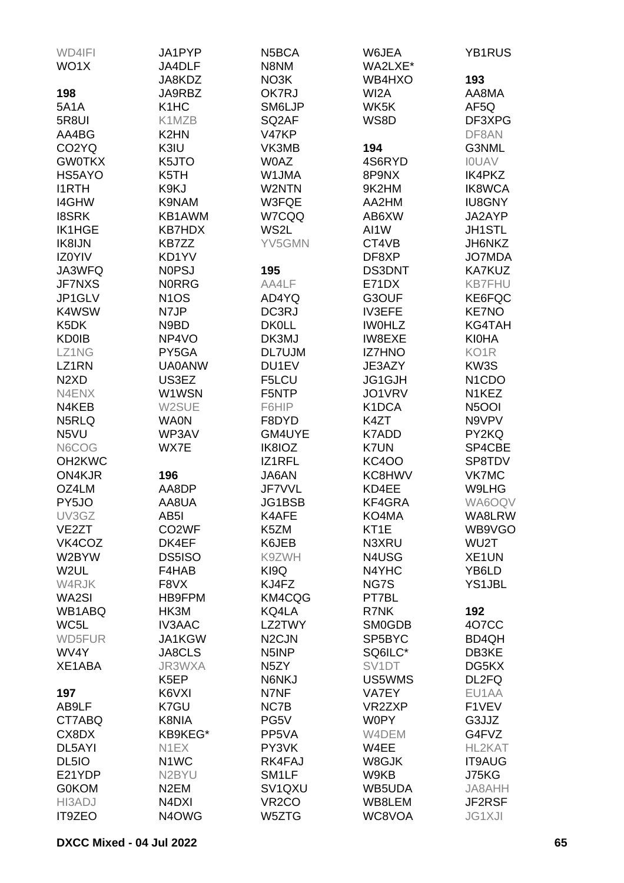| WD4IFI                        | JA1PYP                        | N <sub>5</sub> BCA              | W6JEA              | YB1RUS                          |
|-------------------------------|-------------------------------|---------------------------------|--------------------|---------------------------------|
| WO1X                          | JA4DLF                        | N8NM                            | WA2LXE*            |                                 |
|                               | JA8KDZ                        | NO3K                            | WB4HXO             | 193                             |
| 198                           | JA9RBZ                        | OK7RJ                           | WI <sub>2</sub> A  | AA8MA                           |
| <b>5A1A</b>                   | K <sub>1</sub> H <sub>C</sub> | SM6LJP                          | WK5K               | AF5Q                            |
| 5R8UI                         | K1MZB                         | SQ <sub>2</sub> AF              | WS8D               | DF3XPG                          |
| AA4BG                         | K <sub>2</sub> HN             | V47KP                           |                    | DF8AN                           |
| CO <sub>2</sub> YQ            | K3IU                          | VK3MB                           | 194                | G3NML                           |
| <b>GW0TKX</b>                 | K5JTO                         | <b>W0AZ</b>                     | 4S6RYD             | <b>IOUAV</b>                    |
| HS5AYO                        | K5TH                          | W1JMA                           | 8P9NX              | <b>IK4PKZ</b>                   |
| <b>I1RTH</b>                  | K9KJ                          | W2NTN                           | 9K2HM              | <b>IK8WCA</b>                   |
| <b>I4GHW</b>                  | K9NAM                         | W3FQE                           | AA2HM              | <b>IU8GNY</b>                   |
| <b>I8SRK</b>                  | KB1AWM                        | W7CQQ                           | AB6XW              | JA2AYP                          |
| <b>IK1HGE</b>                 | <b>KB7HDX</b>                 | WS2L                            | AI1W               | <b>JH1STL</b>                   |
| IK8IJN                        | KB7ZZ                         | YV5GMN                          | CT4VB              | JH6NKZ                          |
| IZ0YIV                        | KD1YV                         |                                 | DF8XP              | <b>JO7MDA</b>                   |
| JA3WFQ                        | <b>NOPSJ</b>                  | 195                             | DS3DNT             | <b>KA7KUZ</b>                   |
| JF7NXS                        | <b>NORRG</b>                  | AA4LF                           | E71DX              | <b>KB7FHU</b>                   |
| JP1GLV                        | <b>N1OS</b>                   | AD4YQ                           | G3OUF              | KE6FQC                          |
| K4WSW                         | N7JP                          | DC3RJ                           | <b>IV3EFE</b>      | <b>KE7NO</b>                    |
| K <sub>5</sub> DK             | N9BD                          | <b>DK0LL</b>                    | <b>IWOHLZ</b>      | KG4TAH                          |
| <b>KD0IB</b>                  | NP4VO                         | DK3MJ                           | IW8EXE             | <b>KI0HA</b>                    |
| LZ1NG                         | PY5GA                         | DL7UJM                          | <b>IZ7HNO</b>      | KO <sub>1</sub> R               |
| LZ1RN                         | <b>UA0ANW</b>                 | DU1EV                           | JE3AZY             | KW3S                            |
| N <sub>2</sub> X <sub>D</sub> | US3EZ                         | F5LCU                           | JG1GJH             | N <sub>1</sub> C <sub>D</sub> O |
| N4ENX                         | W1WSN                         | F5NTP                           | JO1VRV             | N1KEZ                           |
| N4KEB                         | W2SUE                         | F6HIP                           | K1DCA              | N <sub>5</sub> OOI              |
| N5RLQ                         | <b>WA0N</b>                   | F8DYD                           | K4ZT               | N9VPV                           |
| N5VU                          | WP3AV                         | GM4UYE                          | K7ADD              | PY2KQ                           |
| N6COG                         | WX7E                          | IK8IOZ                          | <b>K7UN</b>        | SP4CBE                          |
| OH <sub>2</sub> KWC           |                               | IZ1RFL                          | <b>KC4OO</b>       | SP8TDV                          |
| ON4KJR                        | 196                           | JA6AN                           | KC8HWV             | VK7MC                           |
| OZ4LM                         | AA8DP                         | JF7VVL                          | KD4EE              | W9LHG                           |
| PY5JO                         | AA8UA                         | JG1BSB                          | KF4GRA             | WA6OQV                          |
| UV3GZ                         | AB <sub>5</sub> I             | K4AFE                           | KO4MA              | WA8LRW                          |
| VE <sub>2</sub> ZT            | CO <sub>2</sub> WF            | K5ZM                            | KT <sub>1</sub> E  | WB9VGO                          |
| VK4COZ                        | DK4EF                         | K6JEB                           | N3XRU              | WU2T                            |
| W2BYW                         | DS5ISO                        | K9ZWH                           | N4USG              | XE <sub>1</sub> UN              |
| W <sub>2</sub> UL             | F4HAB                         | KI9Q                            | N4YHC              | YB6LD                           |
| W4RJK                         | F8VX                          | KJ4FZ                           | NG7S               | <b>YS1JBL</b>                   |
| WA2SI                         | HB9FPM                        | KM4CQG                          | PT7BL              |                                 |
| WB1ABQ                        | HK3M                          | KQ4LA                           | R7NK               | 192                             |
| WC5L                          | <b>IV3AAC</b>                 | LZ2TWY                          | <b>SM0GDB</b>      | 407CC                           |
| WD5FUR                        | JA1KGW                        | N <sub>2</sub> CJN              | SP5BYC             | BD4QH                           |
| WV4Y                          | JA8CLS                        | N <sub>5</sub> INP              | SQ6ILC*            | DB3KE                           |
| XE1ABA                        | JR3WXA                        | N <sub>5</sub> ZY               | SV <sub>1</sub> DT | DG5KX                           |
|                               | K <sub>5</sub> EP             | N6NKJ                           | US5WMS             | DL2FQ                           |
| 197                           | K6VXI                         | N7NF                            | VA7EY              | EU1AA                           |
| AB9LF                         | K7GU                          | NC7B                            | VR2ZXP             | F1VEV                           |
| CT7ABQ                        | K8NIA                         | PG5V                            | <b>W0PY</b>        | G3JJZ                           |
| CX8DX                         | KB9KEG*                       | PP5VA                           | W4DEM              | G4FVZ                           |
| DL5AYI                        | N <sub>1</sub> EX             | PY3VK                           | W4EE               | HL2KAT                          |
| DL <sub>5IO</sub>             | N <sub>1</sub> WC             | RK4FAJ                          | W8GJK              | <b>IT9AUG</b>                   |
| E21YDP                        | N2BYU                         | SM <sub>1</sub> LF              | W9KB               | J75KG                           |
| <b>G0KOM</b>                  | N <sub>2</sub> EM             | SV <sub>1</sub> Q <sub>XU</sub> | WB5UDA             | JA8AHH                          |
| HI3ADJ                        | N4DXI                         | VR <sub>2</sub> CO              | WB8LEM             | JF2RSF                          |
| IT9ZEO                        | N4OWG                         | W5ZTG                           | WC8VOA             | <b>JG1XJI</b>                   |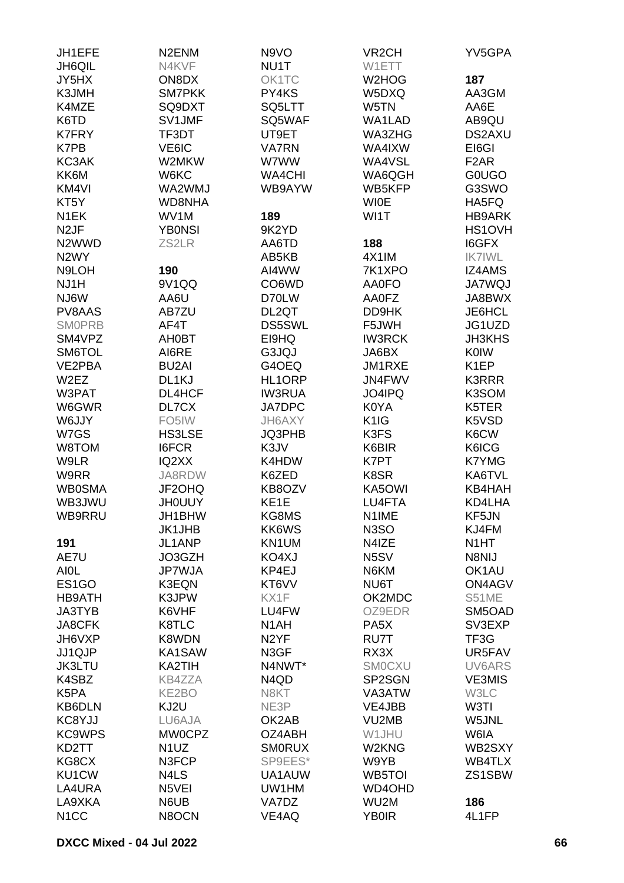| JH1EFE             | N <sub>2</sub> EN <sub>M</sub> | N9VO              | VR <sub>2</sub> CH            | YV5GPA            |
|--------------------|--------------------------------|-------------------|-------------------------------|-------------------|
| <b>JH6QIL</b>      | N4KVF                          | NU1T              | W1ETT                         |                   |
| JY5HX              | ON8DX                          | OK1TC             | W <sub>2</sub> HOG            | 187               |
| K3JMH              | <b>SM7PKK</b>                  | PY4KS             | W5DXQ                         | AA3GM             |
| K4MZE              | SQ9DXT                         | SQ5LTT            | W5TN                          | AA6E              |
| K6TD               | SV1JMF                         | SQ5WAF            | WA1LAD                        | AB9QU             |
| <b>K7FRY</b>       | TF3DT                          | UT9ET             | WA3ZHG                        | DS2AXU            |
| K7PB               | VE6IC                          | <b>VA7RN</b>      | WA4IXW                        | EI6GI             |
| KC3AK              | W2MKW                          | W7WW              | WA4VSL                        | F <sub>2</sub> AR |
| KK6M               | W6KC                           | <b>WA4CHI</b>     | WA6QGH                        | <b>GOUGO</b>      |
| KM4VI              | WA2WMJ                         | WB9AYW            | WB5KFP                        | G3SWO             |
| KT <sub>5</sub> Y  | <b>WD8NHA</b>                  |                   | <b>WIOE</b>                   | HA5FQ             |
| N <sub>1</sub> EK  | WV1M                           | 189               | WI1T                          | <b>HB9ARK</b>     |
| N <sub>2</sub> JF  | <b>YBONSI</b>                  | 9K2YD             |                               | HS1OVH            |
| N <sub>2</sub> WWD | ZS2LR                          | AA6TD             | 188                           | I6GFX             |
| N <sub>2</sub> WY  |                                | AB5KB             | 4X1IM                         | <b>IK7IWL</b>     |
| N9LOH              | 190                            | AI4WW             | 7K1XPO                        | <b>IZ4AMS</b>     |
| NJ1H               | 9V1QQ                          | CO6WD             | <b>AA0FO</b>                  | <b>JA7WQJ</b>     |
| NJ6W               | AA6U                           | D70LW             | AA0FZ                         | JA8BWX            |
| PV8AAS             | AB7ZU                          | DL2QT             | DD9HK                         | JE6HCL            |
| <b>SMOPRB</b>      | AF4T                           | <b>DS5SWL</b>     | F5JWH                         | JG1UZD            |
| SM4VPZ             | AH0BT                          | EI9HQ             | <b>IW3RCK</b>                 | <b>JH3KHS</b>     |
| SM6TOL             | AI6RE                          | G3JQJ             | JA6BX                         | <b>K0IW</b>       |
| VE2PBA             | <b>BU2AI</b>                   | G4OEQ             | JM1RXE                        | K <sub>1</sub> EP |
| W <sub>2</sub> EZ  | DL1KJ                          | HL1ORP            | JN4FWV                        | <b>K3RRR</b>      |
| W3PAT              | <b>DL4HCF</b>                  | <b>IW3RUA</b>     | JO4IPQ                        | K3SOM             |
| W6GWR              | DL7CX                          | <b>JA7DPC</b>     | K0YA                          | K5TER             |
| W6JJY              | FO <sub>5</sub> IW             | JH6AXY            | K <sub>1</sub> I <sub>G</sub> | K5VSD             |
| W7GS               | <b>HS3LSE</b>                  | JQ3PHB            | K3FS                          | K6CW              |
| W8TOM              | <b>I6FCR</b>                   | K3JV              | K6BIR                         | K6ICG             |
| W9LR               | IQ2XX                          | K4HDW             | K7PT                          | K7YMG             |
| W9RR               | JA8RDW                         | K6ZED             | K8SR                          | KA6TVL            |
| <b>WB0SMA</b>      | JF2OHQ                         | KB8OZV            | KA5OWI                        | KB4HAH            |
| WB3JWU             | <b>JH0UUY</b>                  | KE <sub>1</sub> E | LU4FTA                        | KD4LHA            |
| WB9RRU             | JH1BHW                         | KG8MS             | N1IME                         | KF5JN             |
|                    | <b>JK1JHB</b>                  | KK6WS             | N <sub>3</sub> SO             | KJ4FM             |
| 191                | JL1ANP                         | KN1UM             | N4IZE                         | N <sub>1</sub> HT |
| AE7U               | JO3GZH                         | KO4XJ             | N <sub>5</sub> SV             | N8NIJ             |
| <b>AIOL</b>        | JP7WJA                         | KP4EJ             | N6KM                          | OK1AU             |
| ES <sub>1</sub> GO | <b>K3EQN</b>                   | KT6VV             | NU6T                          | <b>ON4AGV</b>     |
| <b>HB9ATH</b>      | K3JPW                          | KX1F              | OK2MDC                        | S51ME             |
| JA3TYB             | K6VHF                          | LU4FW             | OZ9EDR                        | SM5OAD            |
| JA8CFK             | K8TLC                          | N <sub>1</sub> AH | PA <sub>5</sub> X             | SV3EXP            |
| JH6VXP             | K8WDN                          | N <sub>2</sub> YF | RU7T                          | TF3G              |
| JJ1QJP             | KA1SAW                         | N3GF              | RX3X                          | UR5FAV            |
| <b>JK3LTU</b>      | KA2TIH                         | N4NWT*            | <b>SMOCXU</b>                 | UV6ARS            |
| K4SBZ              | <b>KB4ZZA</b>                  | N4QD              | SP2SGN                        | <b>VE3MIS</b>     |
| K5PA               | KE2BO                          | N8KT              | VA3ATW                        | W3LC              |
| KB6DLN             | KJ2U                           | NE3P              | VE4JBB                        | W3TI              |
| KC8YJJ             | LU6AJA                         | OK2AB             | VU2MB                         | W5JNL             |
| <b>KC9WPS</b>      | <b>MW0CPZ</b>                  | OZ4ABH            | W1JHU                         | W6IA              |
| KD2TT              | N <sub>1</sub> UZ              | <b>SMORUX</b>     | W2KNG                         | WB2SXY            |
| KG8CX              | N3FCP                          | SP9EES*           | W9YB                          | WB4TLX            |
| KU1CW              | N4LS                           | UA1AUW            | WB5TOI                        | ZS1SBW            |
| LA4URA             | N5VEI                          | UW1HM             | WD4OHD                        |                   |
| LA9XKA             | N6UB                           | VA7DZ             | WU2M                          | 186               |
| N <sub>1</sub> CC  | N8OCN                          | VE4AQ             | <b>YB0IR</b>                  | 4L1FP             |
|                    |                                |                   |                               |                   |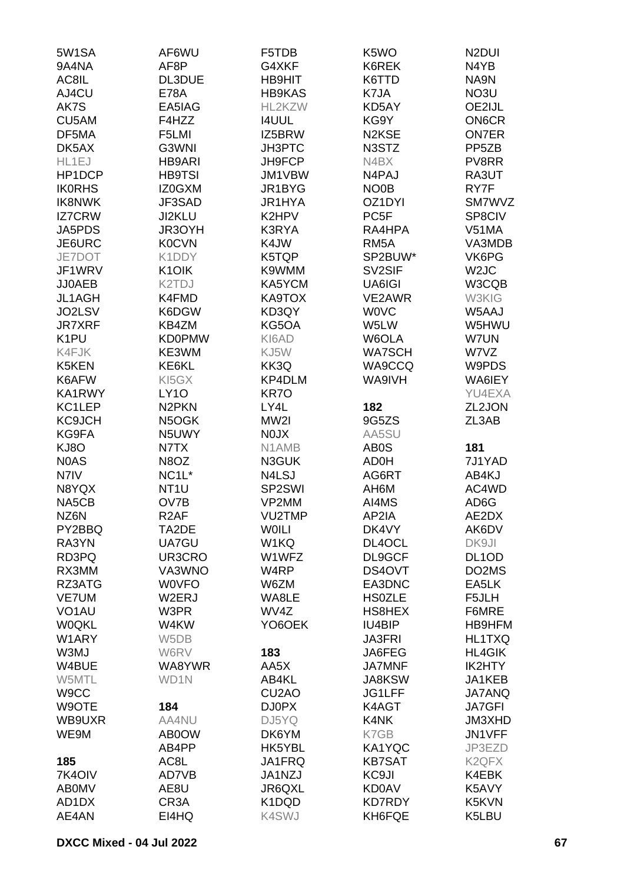| 5W1SA              | AF6WU              | F5TDB              | K <sub>5</sub> W <sub>O</sub>  | N <sub>2</sub> DUI |
|--------------------|--------------------|--------------------|--------------------------------|--------------------|
| 9A4NA              | AF8P               | G4XKF              | K6REK                          | N4YB               |
| AC8IL              | DL3DUE             | <b>HB9HIT</b>      | K6TTD                          | NA9N               |
| AJ4CU              | <b>E78A</b>        | <b>HB9KAS</b>      | K7JA                           | NO3U               |
| AK7S               | EA5IAG             | HL2KZW             | KD5AY                          | OE2IJL             |
| CU5AM              | F4HZZ              | <b>I4UUL</b>       | KG9Y                           | <b>ON6CR</b>       |
| DF5MA              | F5LMI              | IZ5BRW             | N <sub>2</sub> K <sub>SE</sub> | <b>ON7ER</b>       |
| DK5AX              | G3WNI              | <b>JH3PTC</b>      | N3STZ                          | PP <sub>5</sub> ZB |
| HL1EJ              | <b>HB9ARI</b>      | JH9FCP             | N4BX                           | PV8RR              |
| HP1DCP             | <b>HB9TSI</b>      | JM1VBW             | N4PAJ                          | RA3UT              |
| <b>IK0RHS</b>      | IZ0GXM             | JR1BYG             | NO0B                           | RY7F               |
| <b>IK8NWK</b>      | JF3SAD             | JR1HYA             | OZ1DYI                         | <b>SM7WVZ</b>      |
| <b>IZ7CRW</b>      | JI2KLU             | K2HPV              | PC <sub>5F</sub>               | SP8CIV             |
| JA5PDS             | JR3OYH             | K3RYA              | RA4HPA                         | V51MA              |
| JE6URC             | <b>K0CVN</b>       | K4JW               | RM <sub>5</sub> A              | VA3MDB             |
| JE7DOT             | K1DDY              | K5TQP              | SP2BUW*                        | VK6PG              |
|                    |                    |                    | SV2SIF                         |                    |
| JF1WRV             | K <sub>1</sub> OIK | K9WMM              |                                | W <sub>2</sub> JC  |
| <b>JJ0AEB</b>      | K2TDJ              | KA5YCM             | UA6IGI                         | W3CQB              |
| JL1AGH             | K4FMD              | KA9TOX             | VE2AWR                         | W3KIG              |
| JO2LSV             | K6DGW              | KD3QY              | <b>WOVC</b>                    | W5AAJ              |
| <b>JR7XRF</b>      | KB4ZM              | KG5OA              | W5LW                           | W5HWU              |
| K <sub>1</sub> PU  | <b>KD0PMW</b>      | KI6AD              | W6OLA                          | W7UN               |
| K4FJK              | KE3WM              | KJ5W               | <b>WA7SCH</b>                  | W7VZ               |
| K5KEN              | KE6KL              | KK3Q               | WA9CCQ                         | W9PDS              |
| K6AFW              | KI5GX              | KP4DLM             | WA9IVH                         | WA6IEY             |
| KA1RWY             | LY <sub>10</sub>   | KR7O               |                                | YU4EXA             |
| KC1LEP             | N <sub>2</sub> PKN | LY4L               | 182                            | ZL2JON             |
| <b>KC9JCH</b>      | N5OGK              | MW2I               | 9G5ZS                          | ZL3AB              |
| KG9FA              | N5UWY              | <b>NOJX</b>        | AA5SU                          |                    |
| KJ8O               | N7TX               | N1AMB              | AB <sub>0</sub> S              | 181                |
| <b>NOAS</b>        | N8OZ               | N3GUK              | AD0H                           | 7J1YAD             |
| N7IV               | NC <sub>1</sub> L* | N4LSJ              | AG6RT                          | AB4KJ              |
| N8YQX              | NT <sub>1</sub> U  | SP2SWI             | AH6M                           | AC4WD              |
| NA5CB              | OV7B               | VP2MM              | AI4MS                          | AD <sub>6</sub> G  |
| NZ6N               | R <sub>2</sub> AF  | VU2TMP             | AP2IA                          | AE2DX              |
| PY2BBQ             | TA2DE              | <b>WOILI</b>       | DK4VY                          | AK6DV              |
| RA3YN              | UA7GU              | W1KQ               | DL4OCL                         | DK9JI              |
| RD3PQ              | UR3CRO             | W1WFZ              | DL9GCF                         | DL <sub>1</sub> OD |
| RX3MM              | VA3WNO             | W4RP               | DS4OVT                         | DO2MS              |
| RZ3ATG             | <b>WOVFO</b>       | W6ZM               | EA3DNC                         | EA5LK              |
| <b>VE7UM</b>       | W2ERJ              | WA8LE              | <b>HS0ZLE</b>                  | F5JLH              |
| VO <sub>1</sub> AU | W3PR               | WV4Z               | HS8HEX                         | F6MRE              |
| <b>WOQKL</b>       | W4KW               | YO6OEK             | IU4BIP                         | HB9HFM             |
| W1ARY              | W <sub>5</sub> DB  |                    | <b>JA3FRI</b>                  | HL1TXQ             |
| W3MJ               | W6RV               | 183                | JA6FEG                         | <b>HL4GIK</b>      |
| W4BUE              | WA8YWR             | AA5X               | <b>JA7MNF</b>                  | IK2HTY             |
| W5MTL              | WD1N               | AB4KL              | <b>JA8KSW</b>                  | JA1KEB             |
| W9CC               |                    | CU <sub>2</sub> AO | JG1LFF                         | <b>JA7ANQ</b>      |
| W9OTE              | 184                | DJ0PX              | K4AGT                          | <b>JA7GFI</b>      |
| WB9UXR             | AA4NU              | DJ5YQ              | K4NK                           | JM3XHD             |
| WE9M               | AB0OW              | DK6YM              | K7GB                           | JN1VFF             |
|                    | AB4PP              | HK5YBL             | KA1YQC                         | JP3EZD             |
| 185                | AC8L               | JA1FRQ             | <b>KB7SAT</b>                  | K <sub>2</sub> QFX |
| 7K4OIV             | AD7VB              | JA1NZJ             | KC9JI                          | K4EBK              |
| <b>ABOMV</b>       | AE8U               | JR6QXL             | <b>KD0AV</b>                   | K5AVY              |
| AD1DX              | CR <sub>3</sub> A  | K1DQD              | <b>KD7RDY</b>                  | K5KVN              |
| AE4AN              | EI4HQ              | K4SWJ              | KH6FQE                         | K5LBU              |
|                    |                    |                    |                                |                    |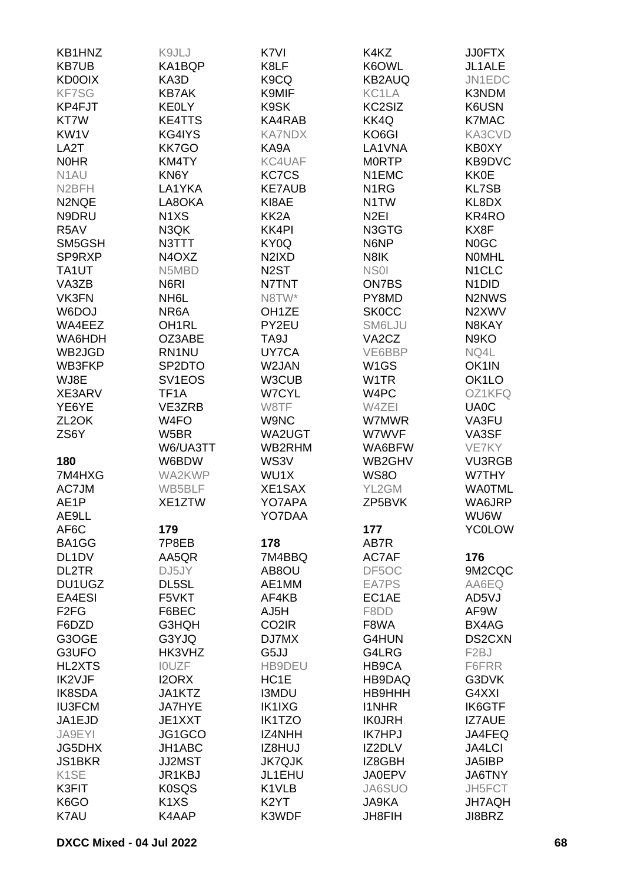| KB1HNZ                        | K9JLJ                         | K7VI                           | K4KZ                           | <b>JJ0FTX</b>                  |
|-------------------------------|-------------------------------|--------------------------------|--------------------------------|--------------------------------|
| <b>KB7UB</b>                  | KA1BQP                        | K8LF                           | K6OWL                          | JL1ALE                         |
| <b>KD0OIX</b>                 | KA3D                          | K9CQ                           | <b>KB2AUQ</b>                  | JN1EDC                         |
| <b>KF7SG</b>                  | <b>KB7AK</b>                  | K9MIF                          | KC1LA                          | K3NDM                          |
| KP4FJT                        | <b>KEOLY</b>                  | K9SK                           | KC2SIZ                         | K6USN                          |
| KT7W                          | <b>KE4TTS</b>                 | KA4RAB                         | KK4Q                           | <b>K7MAC</b>                   |
| KW1V                          | KG4IYS                        | <b>KA7NDX</b>                  | KO6GI                          | KA3CVD                         |
| LA <sub>2</sub> T             | KK7GO                         | KA9A                           | LA1VNA                         | KB0XY                          |
| <b>NOHR</b>                   | KM4TY                         | KC4UAF                         | <b>MORTP</b>                   | KB9DVC                         |
| N <sub>1</sub> AU             | KN6Y                          | <b>KC7CS</b>                   | N1EMC                          | <b>KK0E</b>                    |
| N <sub>2</sub> BFH            | LA1YKA                        | <b>KE7AUB</b>                  | N <sub>1</sub> RG              | <b>KL7SB</b>                   |
| N2NQE                         | LA8OKA                        | KI8AE                          | N1TW                           | KL8DX                          |
| N9DRU                         | N <sub>1</sub> X <sub>S</sub> | KK <sub>2</sub> A              | N <sub>2EI</sub>               | KR4RO                          |
| R5AV                          | N3QK                          | <b>KK4PI</b>                   | N3GTG                          | KX8F                           |
| SM5GSH                        | N3TTT                         | KY0Q                           | N6NP                           | N <sub>0</sub> GC              |
| SP9RXP                        | N4OXZ                         | N <sub>2</sub> IX <sub>D</sub> | N8IK                           | <b>NOMHL</b>                   |
|                               | N5MBD                         |                                |                                |                                |
| TA1UT                         | N <sub>6</sub> RI             | N <sub>2</sub> ST              | NS <sub>0</sub>                | N <sub>1</sub> CLC             |
| VA3ZB                         |                               | N7TNT                          | ON7BS                          | N <sub>1</sub> D <sub>ID</sub> |
| VK3FN                         | NH <sub>6</sub> L             | N8TW*                          | PY8MD                          | N2NWS                          |
| W6DOJ                         | NR6A                          | OH <sub>1</sub> ZE             | <b>SK0CC</b>                   | N2XWV                          |
| WA4EEZ                        | OH <sub>1</sub> RL            | PY2EU                          | SM6LJU                         | N8KAY                          |
| WA6HDH                        | OZ3ABE                        | TA9J                           | VA <sub>2</sub> C <sub>Z</sub> | N9KO                           |
| WB2JGD                        | RN1NU                         | UY7CA                          | VE6BBP                         | NQ4L                           |
| WB3FKP                        | SP2DTO                        | W2JAN                          | W <sub>1</sub> GS              | OK1IN                          |
| WJ8E                          | SV1EOS                        | W3CUB                          | W <sub>1</sub> TR              | OK <sub>1</sub> LO             |
| XE3ARV                        | TF1A                          | <b>W7CYL</b>                   | W4PC                           | OZ1KFQ                         |
| YE6YE                         | VE3ZRB                        | W8TF                           | W4ZEI                          | UA0C                           |
| ZL <sub>2</sub> OK            | W4FO                          | W9NC                           | W7MWR                          | VA3FU                          |
| ZS6Y                          | W5BR                          | WA2UGT                         | W7WVF                          | VA3SF                          |
|                               | W6/UA3TT                      | WB2RHM                         | WA6BFW                         | VE7KY                          |
| 180                           | W6BDW                         | WS3V                           | WB2GHV                         | <b>VU3RGB</b>                  |
| 7M4HXG                        | WA2KWP                        | WU1X                           | <b>WS80</b>                    | W7THY                          |
| AC7JM                         | WB5BLF                        | XE1SAX                         | YL2GM                          | <b>WA0TML</b>                  |
| AE <sub>1</sub> P             | XE1ZTW                        | YO7APA                         | ZP5BVK                         | WA6JRP                         |
| AE9LL                         |                               | YO7DAA                         |                                | WU6W                           |
| AF6C                          | 179                           |                                | 177                            | <b>YC0LOW</b>                  |
| BA1GG                         | 7P8EB                         | 178                            | AB7R                           |                                |
| DL <sub>1</sub> DV            | AA5QR                         | 7M4BBQ                         | AC7AF                          | 176                            |
| DL2TR                         | DJ5JY                         | AB8OU                          | DF5OC                          | 9M2CQC                         |
| DU1UGZ                        | DL5SL                         | AE1MM                          | EA7PS                          | AA6EQ                          |
| EA4ESI                        | F5VKT                         | AF4KB                          | EC1AE                          | AD5VJ                          |
| F <sub>2</sub> F <sub>G</sub> | F6BEC                         | AJ5H                           | F8DD                           | AF9W                           |
| F6DZD                         | G3HQH                         | CO <sub>2</sub> IR             | F8WA                           | BX4AG                          |
| G3OGE                         | G3YJQ                         | DJ7MX                          | G4HUN                          | DS2CXN                         |
| G3UFO                         | HK3VHZ                        | G5JJ                           | G4LRG                          | F <sub>2</sub> BJ              |
| <b>HL2XTS</b>                 | <b>IOUZF</b>                  | HB9DEU                         | HB9CA                          | F6FRR                          |
| IK2VJF                        | I2ORX                         | HC <sub>1</sub> E              | HB9DAQ                         | G3DVK                          |
| IK8SDA                        | JA1KTZ                        | <b>I3MDU</b>                   | HB9HHH                         | G4XXI                          |
| <b>IU3FCM</b>                 | <b>JA7HYE</b>                 | <b>IK1IXG</b>                  | <b>I1NHR</b>                   | <b>IK6GTF</b>                  |
| JA1EJD                        | JE1XXT                        | <b>IK1TZO</b>                  | <b>IK0JRH</b>                  | <b>IZ7AUE</b>                  |
| JA9EYI                        | JG1GCO                        | IZ4NHH                         | <b>IK7HPJ</b>                  | JA4FEQ                         |
| <b>JG5DHX</b>                 | JH1ABC                        | IZ8HUJ                         | IZ2DLV                         | <b>JA4LCI</b>                  |
| <b>JS1BKR</b>                 | <b>JJ2MST</b>                 | <b>JK7QJK</b>                  | IZ8GBH                         | JA5IBP                         |
| K <sub>1</sub> SE             | JR1KBJ                        | JL1EHU                         | <b>JA0EPV</b>                  | JA6TNY                         |
| K3FIT                         | <b>K0SQS</b>                  | K1VLB                          | JA6SUO                         | JH5FCT                         |
| K6GO                          | K <sub>1</sub> X <sub>S</sub> | K <sub>2</sub> YT              | JA9KA                          | <b>JH7AQH</b>                  |
| K7AU                          | K4AAP                         | K3WDF                          | <b>JH8FIH</b>                  | JI8BRZ                         |
|                               |                               |                                |                                |                                |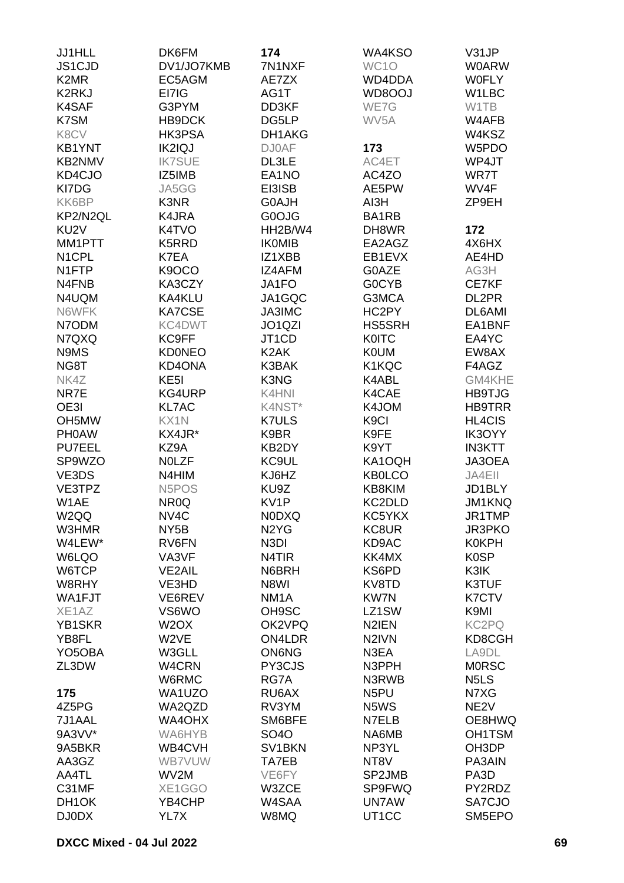| JJ1HLL                        | DK6FM                          | 174                             | WA4KSO             | V31JP                         |
|-------------------------------|--------------------------------|---------------------------------|--------------------|-------------------------------|
| JS1CJD                        | DV1/JO7KMB                     | 7N1NXF                          | WC1O               | <b>W0ARW</b>                  |
| K <sub>2</sub> M <sub>R</sub> | EC5AGM                         | AE7ZX                           | WD4DDA             | <b>WOFLY</b>                  |
|                               |                                |                                 |                    |                               |
| <b>K2RKJ</b>                  | EI7IG                          | AG1T                            | WD8OOJ             | W1LBC                         |
| K4SAF                         | G3PYM                          | DD3KF                           | WE7G               | W1TB                          |
| K7SM                          | HB9DCK                         | DG5LP                           | WV <sub>5</sub> A  | W4AFB                         |
| K8CV                          | HK3PSA                         | DH1AKG                          |                    | W4KSZ                         |
| <b>KB1YNT</b>                 | IK2IQJ                         | <b>DJ0AF</b>                    | 173                | W5PDO                         |
| KB2NMV                        | <b>IK7SUE</b>                  | DL3LE                           | AC4ET              | WP4JT                         |
| KD4CJO                        | IZ5IMB                         | EA1NO                           | AC4ZO              | WR7T                          |
| KI7DG                         | JA5GG                          | EI3ISB                          | AE5PW              | WV4F                          |
| KK6BP                         | K3NR                           | G0AJH                           | AI3H               | ZP9EH                         |
| KP2/N2QL                      | K4JRA                          | G0OJG                           | BA1RB              |                               |
| KU <sub>2</sub> V             | K4TVO                          | HH2B/W4                         | DH8WR              | 172                           |
| MM1PTT                        | K5RRD                          | <b>IKOMIB</b>                   | EA2AGZ             | 4X6HX                         |
| N <sub>1</sub> CPL            | K7EA                           | IZ1XBB                          | EB1EVX             | AE4HD                         |
| N1FTP                         | K <sub>9</sub> OCO             | IZ4AFM                          | G0AZE              |                               |
|                               |                                |                                 |                    | AG3H                          |
| N4FNB                         | KA3CZY                         | JA1FO                           | <b>GOCYB</b>       | CE7KF                         |
| N4UQM                         | KA4KLU                         | JA1GQC                          | G3MCA              | DL2PR                         |
| N6WFK                         | KA7CSE                         | JA3IMC                          | HC2PY              | DL6AMI                        |
| N7ODM                         | KC4DWT                         | JO <sub>1</sub> Q <sub>ZI</sub> | <b>HS5SRH</b>      | EA1BNF                        |
| N7QXQ                         | KC9FF                          | JT1CD                           | <b>KOITC</b>       | EA4YC                         |
| N9MS                          | <b>KD0NEO</b>                  | K <sub>2</sub> AK               | <b>K0UM</b>        | EW8AX                         |
| NG8T                          | <b>KD4ONA</b>                  | K3BAK                           | K1KQC              | F4AGZ                         |
| NK4Z                          | KE <sub>5</sub> I              | K3NG                            | K4ABL              | GM4KHE                        |
| NR7E                          | KG4URP                         | K4HNI                           | K4CAE              | <b>HB9TJG</b>                 |
| OE3I                          | <b>KL7AC</b>                   | K4NST*                          | K4JOM              | <b>HB9TRR</b>                 |
| OH <sub>5</sub> MW            | KX1N                           | <b>K7ULS</b>                    | K <sub>9</sub> Cl  | <b>HL4CIS</b>                 |
| <b>PH0AW</b>                  | KX4JR*                         | K9BR                            | K9FE               | IK3OYY                        |
| <b>PU7EEL</b>                 | KZ9A                           | KB2DY                           | K9YT               | <b>IN3KTT</b>                 |
| SP9WZO                        | <b>NOLZF</b>                   | KC9UL                           | KA1OQH             | JA3OEA                        |
| VE3DS                         | N4HIM                          | KJ6HZ                           | <b>KB0LCO</b>      | JA4EII                        |
|                               |                                |                                 |                    |                               |
| VE3TPZ                        | N <sub>5</sub> PO <sub>S</sub> | KU9Z                            | KB8KIM             | JD1BLY                        |
| W1AE                          | NR <sub>0</sub> Q              | KV1P                            | KC2DLD             | <b>JM1KNQ</b>                 |
| W <sub>2QQ</sub>              | NV <sub>4</sub> C              | <b>NODXQ</b>                    | KC5YKX             | JR1TMP                        |
| W3HMR                         | NY5B                           | N <sub>2</sub> Y <sub>G</sub>   | KC8UR              | <b>JR3PKO</b>                 |
| W4LEW*                        | RV6FN                          | N <sub>3</sub> DI               | KD9AC              | <b>K0KPH</b>                  |
| W6LQO                         | VA3VF                          | N4TIR                           | KK4MX              | <b>K0SP</b>                   |
| W6TCP                         | <b>VE2AIL</b>                  | N6BRH                           | KS6PD              | K3IK                          |
| W8RHY                         | VE3HD                          | N8WI                            | KV8TD              | K3TUF                         |
| WA1FJT                        | VE6REV                         | NM <sub>1</sub> A               | <b>KW7N</b>        | K7CTV                         |
| XE1AZ                         | VS6WO                          | OH9SC                           | LZ1SW              | K9MI                          |
| <b>YB1SKR</b>                 | W2OX                           | OK2VPQ                          | N <sub>2</sub> IEN | KC2PQ                         |
| YB8FL                         | W2VE                           | ON4LDR                          | N <sub>2</sub> IVN | KD8CGH                        |
| YO <sub>5</sub> OBA           | W3GLL                          | <b>ON6NG</b>                    | N3EA               | LA9DL                         |
| ZL3DW                         | W4CRN                          | PY3CJS                          | N3PPH              | <b>MORSC</b>                  |
|                               | W6RMC                          | RG7A                            | N3RWB              | N <sub>5</sub> L <sub>S</sub> |
| 175                           | WA1UZO                         | RU6AX                           | N <sub>5</sub> PU  | N7XG                          |
| 4Z5PG                         | WA2QZD                         | RV3YM                           | N5WS               | NE <sub>2V</sub>              |
| 7J1AAL                        | WA4OHX                         | SM6BFE                          | N7ELB              | OE8HWQ                        |
| 9A3VV*                        |                                |                                 | NA6MB              | OH1TSM                        |
|                               | WA6HYB                         | SO40                            |                    |                               |
| 9A5BKR                        | WB4CVH                         | SV1BKN                          | NP3YL              | OH3DP                         |
| AA3GZ                         | <b>WB7VUW</b>                  | TA7EB                           | NT8V               | PA3AIN                        |
| AA4TL                         | WV2M                           | VE6FY                           | SP2JMB             | PA <sub>3</sub> D             |
| C31MF                         | XE1GGO                         | W3ZCE                           | <b>SP9FWQ</b>      | PY2RDZ                        |
| DH1OK                         | YB4CHP                         | W4SAA                           | <b>UN7AW</b>       | SA7CJO                        |
| DJ0DX                         | YL7X                           | W8MQ                            | UT <sub>1</sub> CC | SM5EPO                        |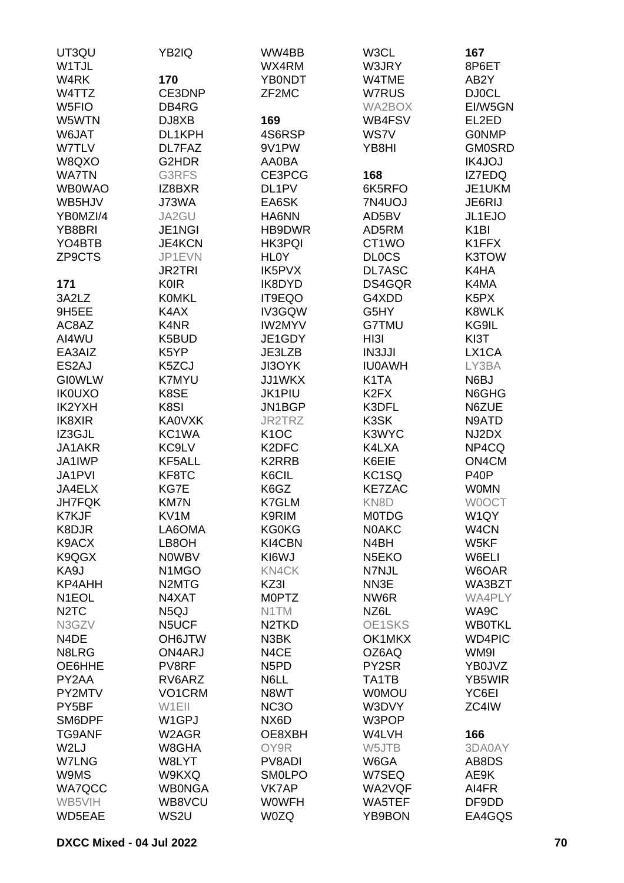| UT3QU                         | YB2IQ                           | WW4BB                         | W3CL               | 167                           |
|-------------------------------|---------------------------------|-------------------------------|--------------------|-------------------------------|
| W1TJL                         |                                 | WX4RM                         | W3JRY              | 8P6ET                         |
| W4RK                          | 170                             | <b>YB0NDT</b>                 | W4TME              | AB2Y                          |
| W4TTZ                         | CE3DNP                          | ZF2MC                         | W7RUS              | <b>DJ0CL</b>                  |
| W <sub>5FIO</sub>             | DB4RG                           |                               | WA2BOX             | EI/W5GN                       |
| W5WTN                         | DJ8XB                           | 169                           | WB4FSV             | EL2ED                         |
| W6JAT                         | DL1KPH                          | 4S6RSP                        | WS7V               | <b>GONMP</b>                  |
| W7TLV                         | DL7FAZ                          | 9V1PW                         | YB8HI              | <b>GM0SRD</b>                 |
| W8QXO                         | G2HDR                           | AA0BA                         |                    | IK4JOJ                        |
| <b>WA7TN</b>                  | G3RFS                           | CE3PCG                        | 168                | IZ7EDQ                        |
| <b>WB0WAO</b>                 | IZ8BXR                          | DL1PV                         | 6K5RFO             | JE1UKM                        |
| WB5HJV                        | J73WA                           | EA6SK                         | 7N4UOJ             | JE6RIJ                        |
| YB0MZI/4                      | JA2GU                           | HA6NN                         | AD5BV              | JL1EJO                        |
| YB8BRI                        | JE1NGI                          | HB9DWR                        | AD5RM              | K <sub>1</sub> BI             |
| YO4BTB                        | <b>JE4KCN</b>                   | <b>HK3PQI</b>                 | CT1WO              | K1FFX                         |
| ZP9CTS                        | JP1EVN                          | <b>HLOY</b>                   | <b>DLOCS</b>       | K3TOW                         |
|                               | <b>JR2TRI</b>                   | <b>IK5PVX</b>                 | DL7ASC             | K4HA                          |
| 171                           | <b>K0IR</b>                     | IK8DYD                        | DS4GQR             | K4MA                          |
| 3A2LZ                         | <b>KOMKL</b>                    | IT9EQO                        | G4XDD              | K <sub>5</sub> P <sub>X</sub> |
| 9H5EE                         | K4AX                            | IV3GQW                        | G5HY               | K8WLK                         |
| AC8AZ                         | K4NR                            | <b>IW2MYV</b>                 | <b>G7TMU</b>       | KG9IL                         |
| AI4WU                         | K5BUD                           | JE1GDY                        | HI3I               | KI3T                          |
| EA3AIZ                        | K5YP                            | JE3LZB                        | <b>IN3JJI</b>      | LX1CA                         |
| ES2AJ                         | K5ZCJ                           | JI3OYK                        | <b>IU0AWH</b>      | LY3BA                         |
| <b>GIOWLW</b>                 | <b>K7MYU</b>                    | JJ1WKX                        | K <sub>1</sub> TA  | N6BJ                          |
| <b>IK0UXO</b>                 | K8SE                            | <b>JK1PIU</b>                 | K <sub>2</sub> FX  | N6GHG                         |
| IK2YXH                        | K8SI                            | JN1BGP                        | K3DFL              | N6ZUE                         |
| IK8XIR                        | <b>KA0VXK</b>                   | JR2TRZ                        | K3SK               | N9ATD                         |
| IZ3GJL                        | KC1WA                           | K <sub>1</sub> OC             | K3WYC              | NJ2DX                         |
| JA1AKR                        | KC9LV                           | K2DFC                         | K4LXA              | NP4CQ                         |
| JA1IWP                        | KF5ALL                          | K2RRB                         | K6EIE              | ON4CM                         |
| JA1PVI                        | KF8TC                           | K6CIL                         | KC <sub>1</sub> SQ | P40P                          |
| JA4ELX                        | KG7E                            | K6GZ                          | <b>KE7ZAC</b>      | <b>WOMN</b>                   |
| <b>JH7FQK</b>                 | <b>KM7N</b>                     | K7GLM                         | KN8D               | <b>WOOCT</b>                  |
| K7KJF                         | KV1M                            | K9RIM                         | <b>MOTDG</b>       | W1QY                          |
| K8DJR                         | LA6OMA                          | <b>KG0KG</b>                  | <b>NOAKC</b>       | W <sub>4</sub> CN             |
| K9ACX                         | LB8OH                           | KI4CBN                        | N4BH               | W5KF                          |
| K9QGX                         | <b>NOWBV</b>                    | KI6WJ                         | N <sub>5</sub> EKO | W6ELI                         |
| KA9J                          | N <sub>1</sub> M <sub>G</sub> O | <b>KN4CK</b>                  | N7NJL              | W6OAR                         |
| KP4AHH                        | N <sub>2</sub> MT <sub>G</sub>  | KZ3I                          | NN3E               | WA3BZT                        |
| N <sub>1</sub> EOL            | N4XAT                           | <b>MOPTZ</b>                  | NW6R               | WA4PLY                        |
| N <sub>2</sub> T <sub>C</sub> | N <sub>5</sub> QJ               | N1TM                          | NZ6L               | WA9C                          |
| N3GZV                         | N5UCF                           | N <sub>2</sub> TKD            | OE1SKS             | <b>WB0TKL</b>                 |
| N4DE                          | OH6JTW                          | N3BK                          | OK1MKX             | <b>WD4PIC</b>                 |
| N8LRG                         | ON4ARJ                          | N4CE                          | OZ6AQ              | WM9I                          |
| OE6HHE                        | PV8RF                           | N <sub>5</sub> P <sub>D</sub> | PY2SR              | YB0JVZ                        |
| PY2AA                         | RV6ARZ                          | N6LL                          | TA1TB              | YB5WIR                        |
| PY2MTV                        | VO1CRM                          | N8WT                          | <b>WOMOU</b>       | YC6EI                         |
| PY5BF                         | W1EII                           | <b>NC3O</b>                   | W3DVY              | ZC4IW                         |
| SM6DPF                        | W1GPJ                           | NX6D                          | W3POP              |                               |
| <b>TG9ANF</b>                 | W2AGR                           | OE8XBH                        | W4LVH              | 166                           |
| W2LJ                          | W8GHA                           | OY9R                          | W5JTB              | 3DA0AY                        |
| <b>W7LNG</b>                  | W8LYT                           | PV8ADI                        | W6GA               | AB8DS                         |
| W9MS                          | W9KXQ                           | <b>SMOLPO</b><br><b>VK7AP</b> | W7SEQ              | AE9K                          |
| <b>WA7QCC</b><br>WB5VIH       | <b>WB0NGA</b><br>WB8VCU         | <b>WOWFH</b>                  | WA2VQF<br>WA5TEF   | AI4FR<br>DF9DD                |
| WD5EAE                        | WS2U                            | <b>W0ZQ</b>                   | YB9BON             | EA4GQS                        |
|                               |                                 |                               |                    |                               |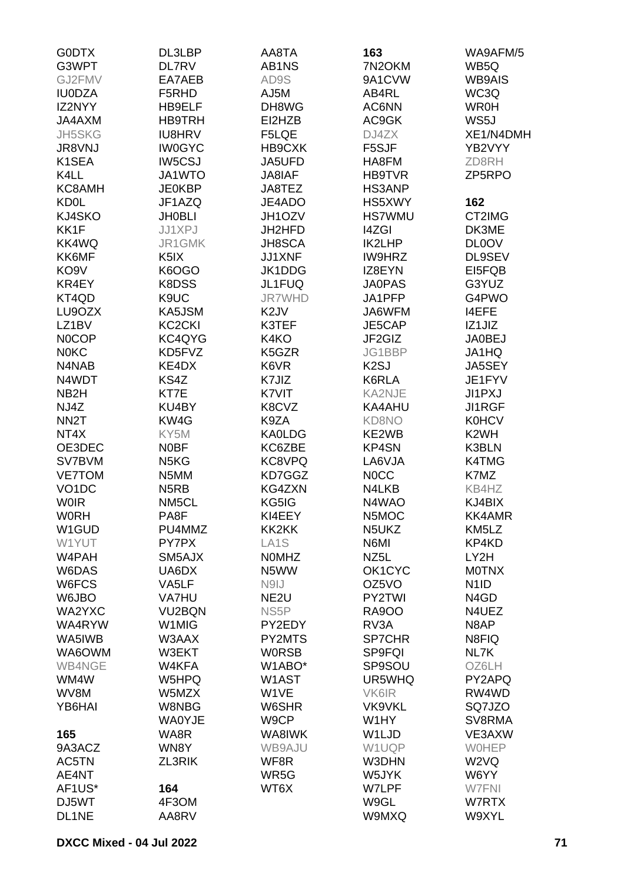| <b>GODTX</b>       | DL3LBP                        | AA8TA             | 163               | WA9AFM/5                      |
|--------------------|-------------------------------|-------------------|-------------------|-------------------------------|
| G3WPT              | DL7RV                         | AB1NS             | 7N2OKM            | WB5Q                          |
| GJ2FMV             | EA7AEB                        | AD9S              | 9A1CVW            | <b>WB9AIS</b>                 |
| <b>IU0DZA</b>      | F5RHD                         | AJ5M              | AB4RL             | WC3Q                          |
| IZ2NYY             | HB9ELF                        | DH8WG             | AC6NN             | <b>WR0H</b>                   |
|                    |                               |                   |                   |                               |
| JA4AXM             | <b>HB9TRH</b>                 | EI2HZB            | AC9GK             | WS5J                          |
| <b>JH5SKG</b>      | <b>IU8HRV</b>                 | F5LQE             | DJ4ZX             | XE1/N4DMH                     |
| <b>JR8VNJ</b>      | <b>IW0GYC</b>                 | HB9CXK            | F5SJF             | YB2VYY                        |
| K1SEA              | IW5CSJ                        | JA5UFD            | HA8FM             | ZD8RH                         |
| K4LL               | JA1WTO                        | JA8IAF            | <b>HB9TVR</b>     | ZP5RPO                        |
| KC8AMH             | <b>JE0KBP</b>                 | JA8TEZ            | HS3ANP            |                               |
| <b>KD0L</b>        | JF1AZQ                        | JE4ADO            | HS5XWY            | 162                           |
| KJ4SKO             | <b>JH0BLI</b>                 | JH1OZV            | <b>HS7WMU</b>     | CT2IMG                        |
| KK1F               | JJ1XPJ                        | JH2HFD            | <b>I4ZGI</b>      | DK3ME                         |
| KK4WQ              | JR1GMK                        | <b>JH8SCA</b>     | IK2LHP            | <b>DL0OV</b>                  |
| KK6MF              | K <sub>5</sub> IX             | JJ1XNF            | IW9HRZ            | DL9SEV                        |
| KO <sub>9</sub> V  | K6OGO                         | JK1DDG            | IZ8EYN            | EI5FQB                        |
| KR4EY              | K8DSS                         | JL1FUQ            | <b>JA0PAS</b>     | G3YUZ                         |
| KT4QD              | K9UC                          | <b>JR7WHD</b>     | JA1PFP            | G4PWO                         |
|                    |                               | K <sub>2</sub> JV | JA6WFM            | I4EFE                         |
| LU9OZX             | KA5JSM                        |                   |                   |                               |
| LZ1BV              | <b>KC2CKI</b>                 | K3TEF             | JE5CAP            | IZ1JIZ                        |
| <b>NOCOP</b>       | KC4QYG                        | K4KO              | JF2GIZ            | <b>JA0BEJ</b>                 |
| <b>NOKC</b>        | KD5FVZ                        | K5GZR             | JG1BBP            | JA1HQ                         |
| N4NAB              | KE4DX                         | K6VR              | K <sub>2</sub> SJ | JA5SEY                        |
| N4WDT              | KS4Z                          | K7JIZ             | K6RLA             | JE1FYV                        |
| NB <sub>2</sub> H  | KT7E                          | K7VIT             | KA2NJE            | JI1PXJ                        |
| NJ4Z               | KU4BY                         | K8CVZ             | KA4AHU            | JI1RGF                        |
| NN <sub>2</sub> T  | KW4G                          | K9ZA              | KD8NO             | <b>K0HCV</b>                  |
| NT4X               | KY5M                          | <b>KA0LDG</b>     | KE2WB             | K <sub>2</sub> WH             |
| OE3DEC             | <b>NOBF</b>                   | KC6ZBE            | KP4SN             | K3BLN                         |
| SV7BVM             | N <sub>5</sub> K <sub>G</sub> | KC8VPQ            | LA6VJA            | K4TMG                         |
| <b>VE7TOM</b>      | N5MM                          | KD7GGZ            | <b>NOCC</b>       | K7MZ                          |
| VO <sub>1</sub> DC | N <sub>5</sub> RB             | KG4ZXN            | N4LKB             | KB4HZ                         |
| <b>WOIR</b>        | NM5CL                         | KG5IG             | N4WAO             | KJ4BIX                        |
| <b>W0RH</b>        | PA8F                          | KI4EEY            | N5MOC             | KK4AMR                        |
|                    | PU4MMZ                        |                   |                   |                               |
| W1GUD              |                               | KK2KK             | N5UKZ             | KM5LZ                         |
| W1YUT              | PY7PX                         | LA <sub>1</sub> S | N6MI              | KP4KD                         |
| W4PAH              | SM5AJX                        | <b>NOMHZ</b>      | NZ <sub>5</sub> L | LY2H                          |
| W6DAS              | UA6DX                         | N5WW              | OK1CYC            | <b>MOTNX</b>                  |
| W6FCS              | VA5LF                         | N9IJ              | OZ5VO             | N <sub>1</sub> ID             |
| W6JBO              | <b>VA7HU</b>                  | NE <sub>2U</sub>  | PY2TWI            | N <sub>4</sub> G <sub>D</sub> |
| WA2YXC             | VU2BQN                        | NS <sub>5</sub> P | <b>RA9OO</b>      | N4UEZ                         |
| WA4RYW             | W <sub>1</sub> MIG            | PY2EDY            | RV3A              | N8AP                          |
| WA5IWB             | W3AAX                         | PY2MTS            | <b>SP7CHR</b>     | N8FIQ                         |
| WA6OWM             | W3EKT                         | <b>WORSB</b>      | <b>SP9FQI</b>     | NL7K                          |
| WB4NGE             | W4KFA                         | W1ABO*            | SP9SOU            | OZ6LH                         |
| WM4W               | W5HPQ                         | W1AST             | UR5WHQ            | PY2APQ                        |
| WV8M               | W5MZX                         | W1VE              | VK6IR             | RW4WD                         |
| YB6HAI             | W8NBG                         | W6SHR             | <b>VK9VKL</b>     | SQ7JZO                        |
|                    | <b>WA0YJE</b>                 | W9CP              | W1HY              | SV8RMA                        |
| 165                | WA8R                          | WA8IWK            | W1LJD             | VE3AXW                        |
| 9A3ACZ             | WN8Y                          | WB9AJU            | W1UQP             | <b>WOHEP</b>                  |
| AC5TN              | ZL3RIK                        | WF8R              | W3DHN             | W <sub>2</sub> VQ             |
| AE4NT              |                               | WR5G              | W5JYK             | W6YY                          |
|                    |                               |                   |                   |                               |
| AF1US*             | 164                           | WT6X              | W7LPF             | W7FNI                         |
| DJ5WT              | 4F3OM                         |                   | W9GL              | W7RTX                         |
| DL1NE              | AA8RV                         |                   | W9MXQ             | W9XYL                         |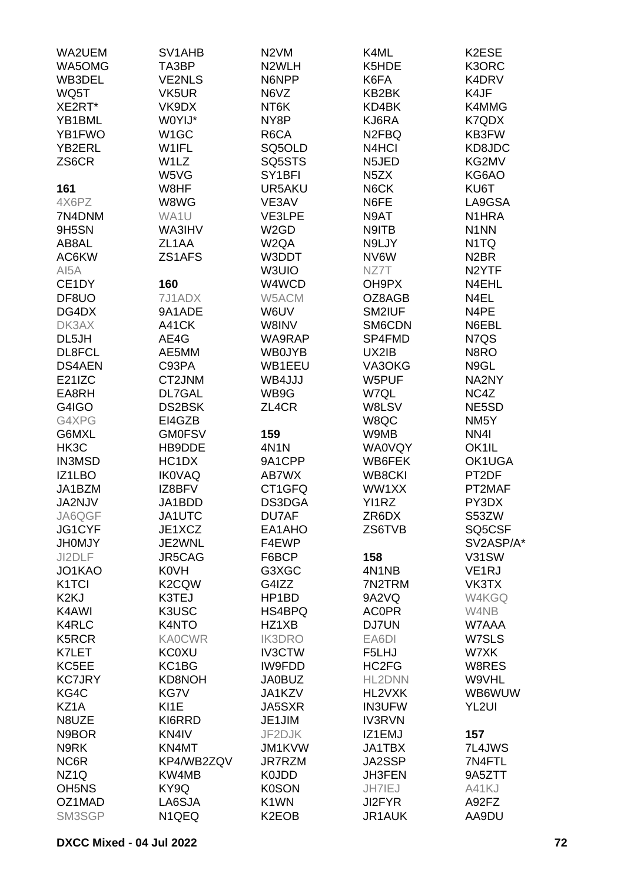| WA5OMG<br>N2WLH<br>K5HDE<br>K3ORC<br>TA3BP<br><b>VE2NLS</b><br>N6NPP<br>K6FA<br>K4DRV<br>WB3DEL<br>K4JF<br>WQ5T<br>VK5UR<br>N6VZ<br>KB2BK<br>XE2RT*<br>VK9DX<br>NT6K<br>KD4BK<br>K4MMG<br>W0YIJ*<br>KJ6RA<br>YB1BML<br>NY8P<br>K7QDX<br>YB1FWO<br>W1GC<br>R6CA<br>N <sub>2FBQ</sub><br>KB3FW<br>W1IFL<br>SQ5OLD<br>N4HCI<br>KD8JDC<br><b>YB2ERL</b><br>W1LZ<br>ZS6CR<br>SQ5STS<br>N5JED<br>KG2MV<br>W5VG<br>SY1BFI<br>N <sub>5</sub> ZX<br>KG6AO<br>W8HF<br>UR5AKU<br>N6CK<br>KU6T<br>161<br>4X6PZ<br>W8WG<br>VE3AV<br>N6FE<br>LA9GSA<br>7N4DNM<br>WA1U<br>VE3LPE<br>N9AT<br>N <sub>1</sub> HRA<br>W <sub>2</sub> GD<br>N9ITB<br>N <sub>1</sub> NN<br>9H5SN<br>WA3IHV<br>ZL1AA<br>W <sub>2</sub> QA<br>N9LJY<br>N <sub>1</sub> TQ<br>AB8AL<br>ZS1AFS<br>AC6KW<br>W3DDT<br>NV6W<br>N <sub>2</sub> BR<br>AI5A<br>W3UIO<br>NZ7T<br>N <sub>2</sub> YTF<br>CE1DY<br>160<br>W4WCD<br>N4EHL<br>OH9PX<br>W5ACM<br>N4EL<br>DF8UO<br>7J1ADX<br>OZ8AGB<br>9A1ADE<br>W6UV<br>SM2IUF<br>N4PE<br>DG4DX<br>DK3AX<br>A41CK<br>W8INV<br>SM6CDN<br>N6EBL<br>AE4G<br>DL5JH<br>WA9RAP<br>SP4FMD<br>N7QS<br>AE5MM<br>UX2IB<br>DL8FCL<br><b>WB0JYB</b><br>N8RO<br><b>DS4AEN</b><br>C93PA<br>WB1EEU<br>VA3OKG<br>N9GL<br>E21IZC<br>WB4JJJ<br>CT2JNM<br>W5PUF<br>NA2NY<br>DL7GAL<br>WB9G<br>W7QL<br>NC4Z<br>EA8RH<br>DS2BSK<br>W8LSV<br>NE5SD<br>G4IGO<br>ZL4CR<br>G4XPG<br>EI4GZB<br>W8QC<br>NM <sub>5</sub> Y<br>159<br>NN <sub>4</sub><br>G6MXL<br><b>GM0FSV</b><br>W9MB<br>HK3C<br>HB9DDE<br>4N1N<br><b>WA0VQY</b><br>OK1IL<br><b>IN3MSD</b><br>HC1DX<br>9A1CPP<br>WB6FEK<br>OK1UGA<br><b>IK0VAQ</b><br>PT2DF<br>IZ1LBO<br>AB7WX<br><b>WB8CKI</b><br>IZ8BFV<br>CT1GFQ<br>WW1XX<br>PT2MAF<br>JA1BZM<br>JA2NJV<br>DS3DGA<br>PY3DX<br>JA1BDD<br>YI1RZ<br>ZR6DX<br>JA6QGF<br>JA1UTC<br>DU7AF<br>S53ZW<br>JG1CYF<br>JE1XCZ<br>ZS6TVB<br>SQ5CSF<br>EA1AHO<br>F4EWP<br><b>JH0MJY</b><br>JE2WNL<br>SV2ASP/A*<br>JI2DLF<br>JR5CAG<br>F6BCP<br>158<br>V31SW<br><b>K0VH</b><br>JO1KAO<br>G3XGC<br>4N1NB<br>VE <sub>1</sub> RJ<br>K2CQW<br>K <sub>1</sub> TCI<br>G4IZZ<br>7N2TRM<br>VK3TX<br>K <sub>2K</sub> J<br>K3TEJ<br>HP1BD<br>9A2VQ<br>W4KGQ<br>K4AWI<br>K3USC<br><b>ACOPR</b><br>HS4BPQ<br>W4NB<br><b>K4RLC</b><br>K4NTO<br>HZ1XB<br>DJ7UN<br>W7AAA<br><b>IK3DRO</b><br>K5RCR<br><b>KA0CWR</b><br>EA6DI<br>W7SLS<br>K7LET<br><b>KC0XU</b><br><b>IV3CTW</b><br>F5LHJ<br>W7XK<br>KC5EE<br>KC1BG<br>HC2FG<br>IW9FDD<br>W8RES<br><b>KC7JRY</b><br>KD8NOH<br><b>JA0BUZ</b><br>HL2DNN<br>W9VHL<br>WB6WUW<br>KG4C<br>KG7V<br>JA1KZV<br>HL2VXK<br>KI1E<br>KZ1A<br><b>JA5SXR</b><br><b>IN3UFW</b><br>YL2UI<br>N8UZE<br>KI6RRD<br>JE1JIM<br><b>IV3RVN</b><br>N9BOR<br>KN4IV<br>JF2DJK<br>IZ1EMJ<br>157<br>N9RK<br>KN4MT<br><b>JM1KVW</b><br>JA1TBX<br>7L4JWS<br>NC6R<br>KP4/WB2ZQV<br><b>JR7RZM</b><br>JA2SSP<br>7N4FTL<br>NZ <sub>1Q</sub><br>KW4MB<br>K0JDD<br><b>JH3FEN</b><br>9A5ZTT<br>OH <sub>5</sub> N <sub>S</sub><br>KY9Q<br>JH7IEJ<br><b>K0SON</b><br>A41KJ<br>OZ1MAD<br>K <sub>1</sub> WN<br>A92FZ<br>LA6SJA<br>JI2FYR<br>K <sub>2</sub> EOB<br>SM3SGP<br>N <sub>1QEQ</sub><br>JR1AUK<br>AA9DU | WA2UEM | SV1AHB | N <sub>2</sub> VM | K4ML | K2ESE |
|------------------------------------------------------------------------------------------------------------------------------------------------------------------------------------------------------------------------------------------------------------------------------------------------------------------------------------------------------------------------------------------------------------------------------------------------------------------------------------------------------------------------------------------------------------------------------------------------------------------------------------------------------------------------------------------------------------------------------------------------------------------------------------------------------------------------------------------------------------------------------------------------------------------------------------------------------------------------------------------------------------------------------------------------------------------------------------------------------------------------------------------------------------------------------------------------------------------------------------------------------------------------------------------------------------------------------------------------------------------------------------------------------------------------------------------------------------------------------------------------------------------------------------------------------------------------------------------------------------------------------------------------------------------------------------------------------------------------------------------------------------------------------------------------------------------------------------------------------------------------------------------------------------------------------------------------------------------------------------------------------------------------------------------------------------------------------------------------------------------------------------------------------------------------------------------------------------------------------------------------------------------------------------------------------------------------------------------------------------------------------------------------------------------------------------------------------------------------------------------------------------------------------------------------------------------------------------------------------------------------------------------------------------------------------------------------------------------------------------------------------------------------------------------------------------------------------------------------------------------------------------------------------------------------------------------------------------------------------------------------------------------------------------------------------------------------|--------|--------|-------------------|------|-------|
|                                                                                                                                                                                                                                                                                                                                                                                                                                                                                                                                                                                                                                                                                                                                                                                                                                                                                                                                                                                                                                                                                                                                                                                                                                                                                                                                                                                                                                                                                                                                                                                                                                                                                                                                                                                                                                                                                                                                                                                                                                                                                                                                                                                                                                                                                                                                                                                                                                                                                                                                                                                                                                                                                                                                                                                                                                                                                                                                                                                                                                                                        |        |        |                   |      |       |
|                                                                                                                                                                                                                                                                                                                                                                                                                                                                                                                                                                                                                                                                                                                                                                                                                                                                                                                                                                                                                                                                                                                                                                                                                                                                                                                                                                                                                                                                                                                                                                                                                                                                                                                                                                                                                                                                                                                                                                                                                                                                                                                                                                                                                                                                                                                                                                                                                                                                                                                                                                                                                                                                                                                                                                                                                                                                                                                                                                                                                                                                        |        |        |                   |      |       |
|                                                                                                                                                                                                                                                                                                                                                                                                                                                                                                                                                                                                                                                                                                                                                                                                                                                                                                                                                                                                                                                                                                                                                                                                                                                                                                                                                                                                                                                                                                                                                                                                                                                                                                                                                                                                                                                                                                                                                                                                                                                                                                                                                                                                                                                                                                                                                                                                                                                                                                                                                                                                                                                                                                                                                                                                                                                                                                                                                                                                                                                                        |        |        |                   |      |       |
|                                                                                                                                                                                                                                                                                                                                                                                                                                                                                                                                                                                                                                                                                                                                                                                                                                                                                                                                                                                                                                                                                                                                                                                                                                                                                                                                                                                                                                                                                                                                                                                                                                                                                                                                                                                                                                                                                                                                                                                                                                                                                                                                                                                                                                                                                                                                                                                                                                                                                                                                                                                                                                                                                                                                                                                                                                                                                                                                                                                                                                                                        |        |        |                   |      |       |
|                                                                                                                                                                                                                                                                                                                                                                                                                                                                                                                                                                                                                                                                                                                                                                                                                                                                                                                                                                                                                                                                                                                                                                                                                                                                                                                                                                                                                                                                                                                                                                                                                                                                                                                                                                                                                                                                                                                                                                                                                                                                                                                                                                                                                                                                                                                                                                                                                                                                                                                                                                                                                                                                                                                                                                                                                                                                                                                                                                                                                                                                        |        |        |                   |      |       |
|                                                                                                                                                                                                                                                                                                                                                                                                                                                                                                                                                                                                                                                                                                                                                                                                                                                                                                                                                                                                                                                                                                                                                                                                                                                                                                                                                                                                                                                                                                                                                                                                                                                                                                                                                                                                                                                                                                                                                                                                                                                                                                                                                                                                                                                                                                                                                                                                                                                                                                                                                                                                                                                                                                                                                                                                                                                                                                                                                                                                                                                                        |        |        |                   |      |       |
|                                                                                                                                                                                                                                                                                                                                                                                                                                                                                                                                                                                                                                                                                                                                                                                                                                                                                                                                                                                                                                                                                                                                                                                                                                                                                                                                                                                                                                                                                                                                                                                                                                                                                                                                                                                                                                                                                                                                                                                                                                                                                                                                                                                                                                                                                                                                                                                                                                                                                                                                                                                                                                                                                                                                                                                                                                                                                                                                                                                                                                                                        |        |        |                   |      |       |
|                                                                                                                                                                                                                                                                                                                                                                                                                                                                                                                                                                                                                                                                                                                                                                                                                                                                                                                                                                                                                                                                                                                                                                                                                                                                                                                                                                                                                                                                                                                                                                                                                                                                                                                                                                                                                                                                                                                                                                                                                                                                                                                                                                                                                                                                                                                                                                                                                                                                                                                                                                                                                                                                                                                                                                                                                                                                                                                                                                                                                                                                        |        |        |                   |      |       |
|                                                                                                                                                                                                                                                                                                                                                                                                                                                                                                                                                                                                                                                                                                                                                                                                                                                                                                                                                                                                                                                                                                                                                                                                                                                                                                                                                                                                                                                                                                                                                                                                                                                                                                                                                                                                                                                                                                                                                                                                                                                                                                                                                                                                                                                                                                                                                                                                                                                                                                                                                                                                                                                                                                                                                                                                                                                                                                                                                                                                                                                                        |        |        |                   |      |       |
|                                                                                                                                                                                                                                                                                                                                                                                                                                                                                                                                                                                                                                                                                                                                                                                                                                                                                                                                                                                                                                                                                                                                                                                                                                                                                                                                                                                                                                                                                                                                                                                                                                                                                                                                                                                                                                                                                                                                                                                                                                                                                                                                                                                                                                                                                                                                                                                                                                                                                                                                                                                                                                                                                                                                                                                                                                                                                                                                                                                                                                                                        |        |        |                   |      |       |
|                                                                                                                                                                                                                                                                                                                                                                                                                                                                                                                                                                                                                                                                                                                                                                                                                                                                                                                                                                                                                                                                                                                                                                                                                                                                                                                                                                                                                                                                                                                                                                                                                                                                                                                                                                                                                                                                                                                                                                                                                                                                                                                                                                                                                                                                                                                                                                                                                                                                                                                                                                                                                                                                                                                                                                                                                                                                                                                                                                                                                                                                        |        |        |                   |      |       |
|                                                                                                                                                                                                                                                                                                                                                                                                                                                                                                                                                                                                                                                                                                                                                                                                                                                                                                                                                                                                                                                                                                                                                                                                                                                                                                                                                                                                                                                                                                                                                                                                                                                                                                                                                                                                                                                                                                                                                                                                                                                                                                                                                                                                                                                                                                                                                                                                                                                                                                                                                                                                                                                                                                                                                                                                                                                                                                                                                                                                                                                                        |        |        |                   |      |       |
|                                                                                                                                                                                                                                                                                                                                                                                                                                                                                                                                                                                                                                                                                                                                                                                                                                                                                                                                                                                                                                                                                                                                                                                                                                                                                                                                                                                                                                                                                                                                                                                                                                                                                                                                                                                                                                                                                                                                                                                                                                                                                                                                                                                                                                                                                                                                                                                                                                                                                                                                                                                                                                                                                                                                                                                                                                                                                                                                                                                                                                                                        |        |        |                   |      |       |
|                                                                                                                                                                                                                                                                                                                                                                                                                                                                                                                                                                                                                                                                                                                                                                                                                                                                                                                                                                                                                                                                                                                                                                                                                                                                                                                                                                                                                                                                                                                                                                                                                                                                                                                                                                                                                                                                                                                                                                                                                                                                                                                                                                                                                                                                                                                                                                                                                                                                                                                                                                                                                                                                                                                                                                                                                                                                                                                                                                                                                                                                        |        |        |                   |      |       |
|                                                                                                                                                                                                                                                                                                                                                                                                                                                                                                                                                                                                                                                                                                                                                                                                                                                                                                                                                                                                                                                                                                                                                                                                                                                                                                                                                                                                                                                                                                                                                                                                                                                                                                                                                                                                                                                                                                                                                                                                                                                                                                                                                                                                                                                                                                                                                                                                                                                                                                                                                                                                                                                                                                                                                                                                                                                                                                                                                                                                                                                                        |        |        |                   |      |       |
|                                                                                                                                                                                                                                                                                                                                                                                                                                                                                                                                                                                                                                                                                                                                                                                                                                                                                                                                                                                                                                                                                                                                                                                                                                                                                                                                                                                                                                                                                                                                                                                                                                                                                                                                                                                                                                                                                                                                                                                                                                                                                                                                                                                                                                                                                                                                                                                                                                                                                                                                                                                                                                                                                                                                                                                                                                                                                                                                                                                                                                                                        |        |        |                   |      |       |
|                                                                                                                                                                                                                                                                                                                                                                                                                                                                                                                                                                                                                                                                                                                                                                                                                                                                                                                                                                                                                                                                                                                                                                                                                                                                                                                                                                                                                                                                                                                                                                                                                                                                                                                                                                                                                                                                                                                                                                                                                                                                                                                                                                                                                                                                                                                                                                                                                                                                                                                                                                                                                                                                                                                                                                                                                                                                                                                                                                                                                                                                        |        |        |                   |      |       |
|                                                                                                                                                                                                                                                                                                                                                                                                                                                                                                                                                                                                                                                                                                                                                                                                                                                                                                                                                                                                                                                                                                                                                                                                                                                                                                                                                                                                                                                                                                                                                                                                                                                                                                                                                                                                                                                                                                                                                                                                                                                                                                                                                                                                                                                                                                                                                                                                                                                                                                                                                                                                                                                                                                                                                                                                                                                                                                                                                                                                                                                                        |        |        |                   |      |       |
|                                                                                                                                                                                                                                                                                                                                                                                                                                                                                                                                                                                                                                                                                                                                                                                                                                                                                                                                                                                                                                                                                                                                                                                                                                                                                                                                                                                                                                                                                                                                                                                                                                                                                                                                                                                                                                                                                                                                                                                                                                                                                                                                                                                                                                                                                                                                                                                                                                                                                                                                                                                                                                                                                                                                                                                                                                                                                                                                                                                                                                                                        |        |        |                   |      |       |
|                                                                                                                                                                                                                                                                                                                                                                                                                                                                                                                                                                                                                                                                                                                                                                                                                                                                                                                                                                                                                                                                                                                                                                                                                                                                                                                                                                                                                                                                                                                                                                                                                                                                                                                                                                                                                                                                                                                                                                                                                                                                                                                                                                                                                                                                                                                                                                                                                                                                                                                                                                                                                                                                                                                                                                                                                                                                                                                                                                                                                                                                        |        |        |                   |      |       |
|                                                                                                                                                                                                                                                                                                                                                                                                                                                                                                                                                                                                                                                                                                                                                                                                                                                                                                                                                                                                                                                                                                                                                                                                                                                                                                                                                                                                                                                                                                                                                                                                                                                                                                                                                                                                                                                                                                                                                                                                                                                                                                                                                                                                                                                                                                                                                                                                                                                                                                                                                                                                                                                                                                                                                                                                                                                                                                                                                                                                                                                                        |        |        |                   |      |       |
|                                                                                                                                                                                                                                                                                                                                                                                                                                                                                                                                                                                                                                                                                                                                                                                                                                                                                                                                                                                                                                                                                                                                                                                                                                                                                                                                                                                                                                                                                                                                                                                                                                                                                                                                                                                                                                                                                                                                                                                                                                                                                                                                                                                                                                                                                                                                                                                                                                                                                                                                                                                                                                                                                                                                                                                                                                                                                                                                                                                                                                                                        |        |        |                   |      |       |
|                                                                                                                                                                                                                                                                                                                                                                                                                                                                                                                                                                                                                                                                                                                                                                                                                                                                                                                                                                                                                                                                                                                                                                                                                                                                                                                                                                                                                                                                                                                                                                                                                                                                                                                                                                                                                                                                                                                                                                                                                                                                                                                                                                                                                                                                                                                                                                                                                                                                                                                                                                                                                                                                                                                                                                                                                                                                                                                                                                                                                                                                        |        |        |                   |      |       |
|                                                                                                                                                                                                                                                                                                                                                                                                                                                                                                                                                                                                                                                                                                                                                                                                                                                                                                                                                                                                                                                                                                                                                                                                                                                                                                                                                                                                                                                                                                                                                                                                                                                                                                                                                                                                                                                                                                                                                                                                                                                                                                                                                                                                                                                                                                                                                                                                                                                                                                                                                                                                                                                                                                                                                                                                                                                                                                                                                                                                                                                                        |        |        |                   |      |       |
|                                                                                                                                                                                                                                                                                                                                                                                                                                                                                                                                                                                                                                                                                                                                                                                                                                                                                                                                                                                                                                                                                                                                                                                                                                                                                                                                                                                                                                                                                                                                                                                                                                                                                                                                                                                                                                                                                                                                                                                                                                                                                                                                                                                                                                                                                                                                                                                                                                                                                                                                                                                                                                                                                                                                                                                                                                                                                                                                                                                                                                                                        |        |        |                   |      |       |
|                                                                                                                                                                                                                                                                                                                                                                                                                                                                                                                                                                                                                                                                                                                                                                                                                                                                                                                                                                                                                                                                                                                                                                                                                                                                                                                                                                                                                                                                                                                                                                                                                                                                                                                                                                                                                                                                                                                                                                                                                                                                                                                                                                                                                                                                                                                                                                                                                                                                                                                                                                                                                                                                                                                                                                                                                                                                                                                                                                                                                                                                        |        |        |                   |      |       |
|                                                                                                                                                                                                                                                                                                                                                                                                                                                                                                                                                                                                                                                                                                                                                                                                                                                                                                                                                                                                                                                                                                                                                                                                                                                                                                                                                                                                                                                                                                                                                                                                                                                                                                                                                                                                                                                                                                                                                                                                                                                                                                                                                                                                                                                                                                                                                                                                                                                                                                                                                                                                                                                                                                                                                                                                                                                                                                                                                                                                                                                                        |        |        |                   |      |       |
|                                                                                                                                                                                                                                                                                                                                                                                                                                                                                                                                                                                                                                                                                                                                                                                                                                                                                                                                                                                                                                                                                                                                                                                                                                                                                                                                                                                                                                                                                                                                                                                                                                                                                                                                                                                                                                                                                                                                                                                                                                                                                                                                                                                                                                                                                                                                                                                                                                                                                                                                                                                                                                                                                                                                                                                                                                                                                                                                                                                                                                                                        |        |        |                   |      |       |
|                                                                                                                                                                                                                                                                                                                                                                                                                                                                                                                                                                                                                                                                                                                                                                                                                                                                                                                                                                                                                                                                                                                                                                                                                                                                                                                                                                                                                                                                                                                                                                                                                                                                                                                                                                                                                                                                                                                                                                                                                                                                                                                                                                                                                                                                                                                                                                                                                                                                                                                                                                                                                                                                                                                                                                                                                                                                                                                                                                                                                                                                        |        |        |                   |      |       |
|                                                                                                                                                                                                                                                                                                                                                                                                                                                                                                                                                                                                                                                                                                                                                                                                                                                                                                                                                                                                                                                                                                                                                                                                                                                                                                                                                                                                                                                                                                                                                                                                                                                                                                                                                                                                                                                                                                                                                                                                                                                                                                                                                                                                                                                                                                                                                                                                                                                                                                                                                                                                                                                                                                                                                                                                                                                                                                                                                                                                                                                                        |        |        |                   |      |       |
|                                                                                                                                                                                                                                                                                                                                                                                                                                                                                                                                                                                                                                                                                                                                                                                                                                                                                                                                                                                                                                                                                                                                                                                                                                                                                                                                                                                                                                                                                                                                                                                                                                                                                                                                                                                                                                                                                                                                                                                                                                                                                                                                                                                                                                                                                                                                                                                                                                                                                                                                                                                                                                                                                                                                                                                                                                                                                                                                                                                                                                                                        |        |        |                   |      |       |
|                                                                                                                                                                                                                                                                                                                                                                                                                                                                                                                                                                                                                                                                                                                                                                                                                                                                                                                                                                                                                                                                                                                                                                                                                                                                                                                                                                                                                                                                                                                                                                                                                                                                                                                                                                                                                                                                                                                                                                                                                                                                                                                                                                                                                                                                                                                                                                                                                                                                                                                                                                                                                                                                                                                                                                                                                                                                                                                                                                                                                                                                        |        |        |                   |      |       |
|                                                                                                                                                                                                                                                                                                                                                                                                                                                                                                                                                                                                                                                                                                                                                                                                                                                                                                                                                                                                                                                                                                                                                                                                                                                                                                                                                                                                                                                                                                                                                                                                                                                                                                                                                                                                                                                                                                                                                                                                                                                                                                                                                                                                                                                                                                                                                                                                                                                                                                                                                                                                                                                                                                                                                                                                                                                                                                                                                                                                                                                                        |        |        |                   |      |       |
|                                                                                                                                                                                                                                                                                                                                                                                                                                                                                                                                                                                                                                                                                                                                                                                                                                                                                                                                                                                                                                                                                                                                                                                                                                                                                                                                                                                                                                                                                                                                                                                                                                                                                                                                                                                                                                                                                                                                                                                                                                                                                                                                                                                                                                                                                                                                                                                                                                                                                                                                                                                                                                                                                                                                                                                                                                                                                                                                                                                                                                                                        |        |        |                   |      |       |
|                                                                                                                                                                                                                                                                                                                                                                                                                                                                                                                                                                                                                                                                                                                                                                                                                                                                                                                                                                                                                                                                                                                                                                                                                                                                                                                                                                                                                                                                                                                                                                                                                                                                                                                                                                                                                                                                                                                                                                                                                                                                                                                                                                                                                                                                                                                                                                                                                                                                                                                                                                                                                                                                                                                                                                                                                                                                                                                                                                                                                                                                        |        |        |                   |      |       |
|                                                                                                                                                                                                                                                                                                                                                                                                                                                                                                                                                                                                                                                                                                                                                                                                                                                                                                                                                                                                                                                                                                                                                                                                                                                                                                                                                                                                                                                                                                                                                                                                                                                                                                                                                                                                                                                                                                                                                                                                                                                                                                                                                                                                                                                                                                                                                                                                                                                                                                                                                                                                                                                                                                                                                                                                                                                                                                                                                                                                                                                                        |        |        |                   |      |       |
|                                                                                                                                                                                                                                                                                                                                                                                                                                                                                                                                                                                                                                                                                                                                                                                                                                                                                                                                                                                                                                                                                                                                                                                                                                                                                                                                                                                                                                                                                                                                                                                                                                                                                                                                                                                                                                                                                                                                                                                                                                                                                                                                                                                                                                                                                                                                                                                                                                                                                                                                                                                                                                                                                                                                                                                                                                                                                                                                                                                                                                                                        |        |        |                   |      |       |
|                                                                                                                                                                                                                                                                                                                                                                                                                                                                                                                                                                                                                                                                                                                                                                                                                                                                                                                                                                                                                                                                                                                                                                                                                                                                                                                                                                                                                                                                                                                                                                                                                                                                                                                                                                                                                                                                                                                                                                                                                                                                                                                                                                                                                                                                                                                                                                                                                                                                                                                                                                                                                                                                                                                                                                                                                                                                                                                                                                                                                                                                        |        |        |                   |      |       |
|                                                                                                                                                                                                                                                                                                                                                                                                                                                                                                                                                                                                                                                                                                                                                                                                                                                                                                                                                                                                                                                                                                                                                                                                                                                                                                                                                                                                                                                                                                                                                                                                                                                                                                                                                                                                                                                                                                                                                                                                                                                                                                                                                                                                                                                                                                                                                                                                                                                                                                                                                                                                                                                                                                                                                                                                                                                                                                                                                                                                                                                                        |        |        |                   |      |       |
|                                                                                                                                                                                                                                                                                                                                                                                                                                                                                                                                                                                                                                                                                                                                                                                                                                                                                                                                                                                                                                                                                                                                                                                                                                                                                                                                                                                                                                                                                                                                                                                                                                                                                                                                                                                                                                                                                                                                                                                                                                                                                                                                                                                                                                                                                                                                                                                                                                                                                                                                                                                                                                                                                                                                                                                                                                                                                                                                                                                                                                                                        |        |        |                   |      |       |
|                                                                                                                                                                                                                                                                                                                                                                                                                                                                                                                                                                                                                                                                                                                                                                                                                                                                                                                                                                                                                                                                                                                                                                                                                                                                                                                                                                                                                                                                                                                                                                                                                                                                                                                                                                                                                                                                                                                                                                                                                                                                                                                                                                                                                                                                                                                                                                                                                                                                                                                                                                                                                                                                                                                                                                                                                                                                                                                                                                                                                                                                        |        |        |                   |      |       |
|                                                                                                                                                                                                                                                                                                                                                                                                                                                                                                                                                                                                                                                                                                                                                                                                                                                                                                                                                                                                                                                                                                                                                                                                                                                                                                                                                                                                                                                                                                                                                                                                                                                                                                                                                                                                                                                                                                                                                                                                                                                                                                                                                                                                                                                                                                                                                                                                                                                                                                                                                                                                                                                                                                                                                                                                                                                                                                                                                                                                                                                                        |        |        |                   |      |       |
|                                                                                                                                                                                                                                                                                                                                                                                                                                                                                                                                                                                                                                                                                                                                                                                                                                                                                                                                                                                                                                                                                                                                                                                                                                                                                                                                                                                                                                                                                                                                                                                                                                                                                                                                                                                                                                                                                                                                                                                                                                                                                                                                                                                                                                                                                                                                                                                                                                                                                                                                                                                                                                                                                                                                                                                                                                                                                                                                                                                                                                                                        |        |        |                   |      |       |
|                                                                                                                                                                                                                                                                                                                                                                                                                                                                                                                                                                                                                                                                                                                                                                                                                                                                                                                                                                                                                                                                                                                                                                                                                                                                                                                                                                                                                                                                                                                                                                                                                                                                                                                                                                                                                                                                                                                                                                                                                                                                                                                                                                                                                                                                                                                                                                                                                                                                                                                                                                                                                                                                                                                                                                                                                                                                                                                                                                                                                                                                        |        |        |                   |      |       |
|                                                                                                                                                                                                                                                                                                                                                                                                                                                                                                                                                                                                                                                                                                                                                                                                                                                                                                                                                                                                                                                                                                                                                                                                                                                                                                                                                                                                                                                                                                                                                                                                                                                                                                                                                                                                                                                                                                                                                                                                                                                                                                                                                                                                                                                                                                                                                                                                                                                                                                                                                                                                                                                                                                                                                                                                                                                                                                                                                                                                                                                                        |        |        |                   |      |       |
|                                                                                                                                                                                                                                                                                                                                                                                                                                                                                                                                                                                                                                                                                                                                                                                                                                                                                                                                                                                                                                                                                                                                                                                                                                                                                                                                                                                                                                                                                                                                                                                                                                                                                                                                                                                                                                                                                                                                                                                                                                                                                                                                                                                                                                                                                                                                                                                                                                                                                                                                                                                                                                                                                                                                                                                                                                                                                                                                                                                                                                                                        |        |        |                   |      |       |
|                                                                                                                                                                                                                                                                                                                                                                                                                                                                                                                                                                                                                                                                                                                                                                                                                                                                                                                                                                                                                                                                                                                                                                                                                                                                                                                                                                                                                                                                                                                                                                                                                                                                                                                                                                                                                                                                                                                                                                                                                                                                                                                                                                                                                                                                                                                                                                                                                                                                                                                                                                                                                                                                                                                                                                                                                                                                                                                                                                                                                                                                        |        |        |                   |      |       |
|                                                                                                                                                                                                                                                                                                                                                                                                                                                                                                                                                                                                                                                                                                                                                                                                                                                                                                                                                                                                                                                                                                                                                                                                                                                                                                                                                                                                                                                                                                                                                                                                                                                                                                                                                                                                                                                                                                                                                                                                                                                                                                                                                                                                                                                                                                                                                                                                                                                                                                                                                                                                                                                                                                                                                                                                                                                                                                                                                                                                                                                                        |        |        |                   |      |       |
|                                                                                                                                                                                                                                                                                                                                                                                                                                                                                                                                                                                                                                                                                                                                                                                                                                                                                                                                                                                                                                                                                                                                                                                                                                                                                                                                                                                                                                                                                                                                                                                                                                                                                                                                                                                                                                                                                                                                                                                                                                                                                                                                                                                                                                                                                                                                                                                                                                                                                                                                                                                                                                                                                                                                                                                                                                                                                                                                                                                                                                                                        |        |        |                   |      |       |
|                                                                                                                                                                                                                                                                                                                                                                                                                                                                                                                                                                                                                                                                                                                                                                                                                                                                                                                                                                                                                                                                                                                                                                                                                                                                                                                                                                                                                                                                                                                                                                                                                                                                                                                                                                                                                                                                                                                                                                                                                                                                                                                                                                                                                                                                                                                                                                                                                                                                                                                                                                                                                                                                                                                                                                                                                                                                                                                                                                                                                                                                        |        |        |                   |      |       |
|                                                                                                                                                                                                                                                                                                                                                                                                                                                                                                                                                                                                                                                                                                                                                                                                                                                                                                                                                                                                                                                                                                                                                                                                                                                                                                                                                                                                                                                                                                                                                                                                                                                                                                                                                                                                                                                                                                                                                                                                                                                                                                                                                                                                                                                                                                                                                                                                                                                                                                                                                                                                                                                                                                                                                                                                                                                                                                                                                                                                                                                                        |        |        |                   |      |       |
|                                                                                                                                                                                                                                                                                                                                                                                                                                                                                                                                                                                                                                                                                                                                                                                                                                                                                                                                                                                                                                                                                                                                                                                                                                                                                                                                                                                                                                                                                                                                                                                                                                                                                                                                                                                                                                                                                                                                                                                                                                                                                                                                                                                                                                                                                                                                                                                                                                                                                                                                                                                                                                                                                                                                                                                                                                                                                                                                                                                                                                                                        |        |        |                   |      |       |
|                                                                                                                                                                                                                                                                                                                                                                                                                                                                                                                                                                                                                                                                                                                                                                                                                                                                                                                                                                                                                                                                                                                                                                                                                                                                                                                                                                                                                                                                                                                                                                                                                                                                                                                                                                                                                                                                                                                                                                                                                                                                                                                                                                                                                                                                                                                                                                                                                                                                                                                                                                                                                                                                                                                                                                                                                                                                                                                                                                                                                                                                        |        |        |                   |      |       |
|                                                                                                                                                                                                                                                                                                                                                                                                                                                                                                                                                                                                                                                                                                                                                                                                                                                                                                                                                                                                                                                                                                                                                                                                                                                                                                                                                                                                                                                                                                                                                                                                                                                                                                                                                                                                                                                                                                                                                                                                                                                                                                                                                                                                                                                                                                                                                                                                                                                                                                                                                                                                                                                                                                                                                                                                                                                                                                                                                                                                                                                                        |        |        |                   |      |       |
|                                                                                                                                                                                                                                                                                                                                                                                                                                                                                                                                                                                                                                                                                                                                                                                                                                                                                                                                                                                                                                                                                                                                                                                                                                                                                                                                                                                                                                                                                                                                                                                                                                                                                                                                                                                                                                                                                                                                                                                                                                                                                                                                                                                                                                                                                                                                                                                                                                                                                                                                                                                                                                                                                                                                                                                                                                                                                                                                                                                                                                                                        |        |        |                   |      |       |
|                                                                                                                                                                                                                                                                                                                                                                                                                                                                                                                                                                                                                                                                                                                                                                                                                                                                                                                                                                                                                                                                                                                                                                                                                                                                                                                                                                                                                                                                                                                                                                                                                                                                                                                                                                                                                                                                                                                                                                                                                                                                                                                                                                                                                                                                                                                                                                                                                                                                                                                                                                                                                                                                                                                                                                                                                                                                                                                                                                                                                                                                        |        |        |                   |      |       |
|                                                                                                                                                                                                                                                                                                                                                                                                                                                                                                                                                                                                                                                                                                                                                                                                                                                                                                                                                                                                                                                                                                                                                                                                                                                                                                                                                                                                                                                                                                                                                                                                                                                                                                                                                                                                                                                                                                                                                                                                                                                                                                                                                                                                                                                                                                                                                                                                                                                                                                                                                                                                                                                                                                                                                                                                                                                                                                                                                                                                                                                                        |        |        |                   |      |       |
|                                                                                                                                                                                                                                                                                                                                                                                                                                                                                                                                                                                                                                                                                                                                                                                                                                                                                                                                                                                                                                                                                                                                                                                                                                                                                                                                                                                                                                                                                                                                                                                                                                                                                                                                                                                                                                                                                                                                                                                                                                                                                                                                                                                                                                                                                                                                                                                                                                                                                                                                                                                                                                                                                                                                                                                                                                                                                                                                                                                                                                                                        |        |        |                   |      |       |
|                                                                                                                                                                                                                                                                                                                                                                                                                                                                                                                                                                                                                                                                                                                                                                                                                                                                                                                                                                                                                                                                                                                                                                                                                                                                                                                                                                                                                                                                                                                                                                                                                                                                                                                                                                                                                                                                                                                                                                                                                                                                                                                                                                                                                                                                                                                                                                                                                                                                                                                                                                                                                                                                                                                                                                                                                                                                                                                                                                                                                                                                        |        |        |                   |      |       |
|                                                                                                                                                                                                                                                                                                                                                                                                                                                                                                                                                                                                                                                                                                                                                                                                                                                                                                                                                                                                                                                                                                                                                                                                                                                                                                                                                                                                                                                                                                                                                                                                                                                                                                                                                                                                                                                                                                                                                                                                                                                                                                                                                                                                                                                                                                                                                                                                                                                                                                                                                                                                                                                                                                                                                                                                                                                                                                                                                                                                                                                                        |        |        |                   |      |       |
|                                                                                                                                                                                                                                                                                                                                                                                                                                                                                                                                                                                                                                                                                                                                                                                                                                                                                                                                                                                                                                                                                                                                                                                                                                                                                                                                                                                                                                                                                                                                                                                                                                                                                                                                                                                                                                                                                                                                                                                                                                                                                                                                                                                                                                                                                                                                                                                                                                                                                                                                                                                                                                                                                                                                                                                                                                                                                                                                                                                                                                                                        |        |        |                   |      |       |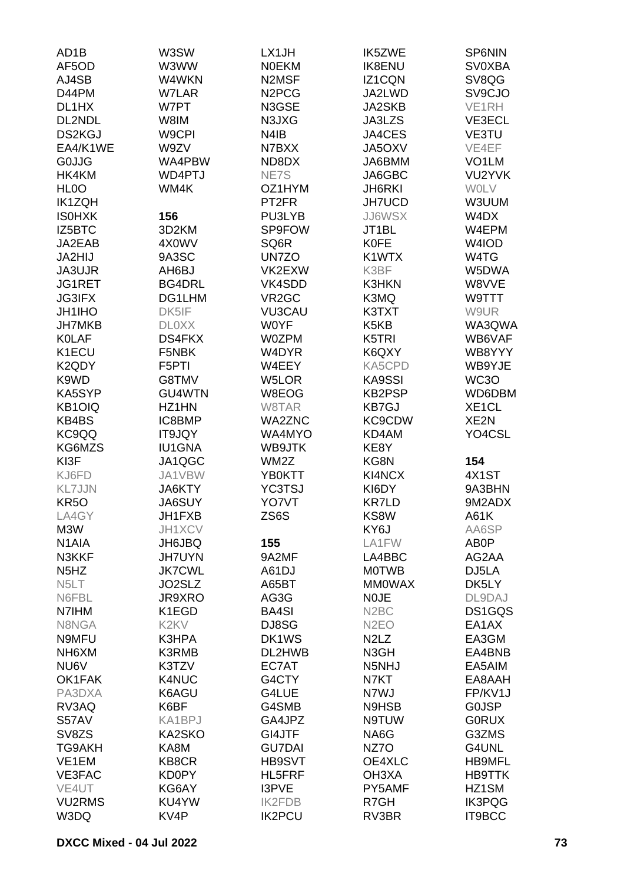| AD <sub>1</sub> B             | W3SW                          | LX1JH                          | <b>IK5ZWE</b>                 | SP6NIN             |
|-------------------------------|-------------------------------|--------------------------------|-------------------------------|--------------------|
| AF5OD                         | W3WW                          | <b>NOEKM</b>                   | <b>IK8ENU</b>                 | <b>SV0XBA</b>      |
| AJ4SB                         | W4WKN                         | N2MSF                          | IZ1CQN                        | SV8QG              |
| D44PM                         | <b>W7LAR</b>                  | N <sub>2</sub> PC <sub>G</sub> | JA2LWD                        | SV9CJO             |
| DL1HX                         | W7PT                          | N3GSE                          | <b>JA2SKB</b>                 | VE1RH              |
| DL2NDL                        | W8IM                          | N3JXG                          | JA3LZS                        | VE3ECL             |
| <b>DS2KGJ</b>                 | W9CPI                         | N4IB                           | JA4CES                        | VE3TU              |
| EA4/K1WE                      | W9ZV                          | N7BXX                          | JA5OXV                        | VE4EF              |
| <b>G0JJG</b>                  | WA4PBW                        | ND8DX                          | JA6BMM                        | VO <sub>1</sub> LM |
| HK4KM                         | WD4PTJ                        | NE7S                           | JA6GBC                        | VU2YVK             |
| HL <sub>0</sub> O             | WM4K                          | OZ1HYM                         | <b>JH6RKI</b>                 | <b>WOLV</b>        |
| <b>IK1ZQH</b>                 |                               | PT <sub>2FR</sub>              | <b>JH7UCD</b>                 | W3UUM              |
| <b>ISOHXK</b>                 | 156                           | PU3LYB                         | <b>JJ6WSX</b>                 | W4DX               |
| IZ5BTC                        | 3D2KM                         | SP9FOW                         | JT1BL                         | W4EPM              |
| JA2EAB                        | 4X0WV                         | SQ6R                           | <b>K0FE</b>                   | W4IOD              |
| JA2HIJ                        | 9A3SC                         | UN7ZO                          | K1WTX                         | W4TG               |
| JA3UJR                        | AH6BJ                         | VK2EXW                         | K3BF                          | W5DWA              |
| JG1RET                        | <b>BG4DRL</b>                 | VK4SDD                         | <b>K3HKN</b>                  | W8VVE              |
| <b>JG3IFX</b>                 | DG1LHM                        | VR <sub>2</sub> GC             | K3MQ                          | W9TTT              |
| <b>JH1IHO</b>                 | DK5IF                         | <b>VU3CAU</b>                  | K3TXT                         | W9UR               |
| <b>JH7MKB</b>                 | <b>DLOXX</b>                  | <b>WOYF</b>                    | K <sub>5</sub> K <sub>B</sub> | WA3QWA             |
| <b>KOLAF</b>                  | DS4FKX                        | <b>W0ZPM</b>                   | K5TRI                         | WB6VAF             |
| K1ECU                         | F5NBK                         | W4DYR                          | K6QXY                         | WB8YYY             |
| K <sub>2</sub> QDY            | F5PTI                         | W4EEY                          | KA5CPD                        | WB9YJE             |
| K9WD                          | G8TMV                         | W5LOR                          | KA9SSI                        | WC3O               |
| KA5SYP                        | <b>GU4WTN</b>                 | W8EOG                          | <b>KB2PSP</b>                 | WD6DBM             |
| KB1OIQ                        | HZ1HN                         | W8TAR                          | <b>KB7GJ</b>                  | XE <sub>1</sub> CL |
| KB4BS                         | IC8BMP                        | <b>WA2ZNC</b>                  | KC9CDW                        | XE2N               |
| KC9QQ                         | IT9JQY                        | WA4MYO                         | KD4AM                         | YO4CSL             |
| KG6MZS                        | <b>IU1GNA</b>                 | WB9JTK                         | KE8Y                          |                    |
| KI3F                          | JA1QGC                        | WM2Z                           | KG8N                          | 154                |
| KJ6FD                         | JA1VBW                        | <b>YB0KTT</b>                  | KI4NCX                        | 4X1ST              |
| <b>KL7JJN</b>                 | <b>JA6KTY</b>                 | <b>YC3TSJ</b>                  | KI6DY                         | 9A3BHN             |
| <b>KR50</b>                   | <b>JA6SUY</b>                 | YO7VT                          | <b>KR7LD</b>                  | 9M2ADX             |
| LA4GY                         | JH1FXB                        | ZS6S                           | KS8W                          | A61K               |
| M3W                           | JH1XCV                        |                                | KY6J                          | AA6SP              |
| N <sub>1</sub> AIA            | <b>JH6JBQ</b>                 | 155                            | LA1FW                         | AB0P               |
| N3KKF                         | <b>JH7UYN</b>                 | 9A2MF                          | LA4BBC                        | AG2AA              |
| N <sub>5</sub> H <sub>Z</sub> | <b>JK7CWL</b>                 | A61DJ                          | <b>MOTWB</b>                  | DJ5LA              |
| N <sub>5</sub> LT             | JO2SLZ                        | A65BT                          | <b>MMOWAX</b>                 | DK5LY              |
| N6FBL                         | JR9XRO                        | AG3G                           | <b>NOJE</b>                   | DL9DAJ             |
| N7IHM                         | K1EGD                         | <b>BA4SI</b>                   | N <sub>2</sub> BC             | DS1GQS             |
| N8NGA                         | K <sub>2</sub> K <sub>V</sub> | DJ8SG                          | N <sub>2</sub> EO             | EA1AX              |
| N9MFU                         | K3HPA                         | DK1WS                          | N <sub>2</sub> L <sub>Z</sub> | EA3GM              |
| NH6XM                         | <b>K3RMB</b>                  | DL2HWB                         | N3GH                          | EA4BNB             |
| NU6V                          | K3TZV                         | EC7AT                          | N5NHJ                         | EA5AIM             |
| OK1FAK                        | K4NUC                         | G4CTY                          | N7KT                          | EA8AAH             |
| PA3DXA                        | K6AGU                         | G4LUE                          | N7WJ                          | FP/KV1J            |
| RV3AQ                         | K6BF                          | G4SMB                          | N9HSB                         | <b>GOJSP</b>       |
| S57AV                         | KA1BPJ                        | GA4JPZ                         | N9TUW                         | <b>GORUX</b>       |
| SV8ZS                         | KA2SKO                        | GI4JTF                         | NA6G                          | G3ZMS              |
| <b>TG9AKH</b>                 | KA8M                          | <b>GU7DAI</b>                  | NZ7O                          | G4UNL              |
| VE1EM                         | KB8CR                         | HB9SVT                         | OE4XLC                        | <b>HB9MFL</b>      |
| VE3FAC                        | KD0PY                         | <b>HL5FRF</b>                  | OH3XA                         | <b>HB9TTK</b>      |
| VE4UT                         | KG6AY                         | I3PVE                          | PY5AMF                        | HZ1SM              |
| <b>VU2RMS</b>                 | KU4YW                         | <b>IK2FDB</b>                  | R7GH                          | <b>IK3PQG</b>      |
| W3DQ                          | KV4P                          | <b>IK2PCU</b>                  | RV3BR                         | IT9BCC             |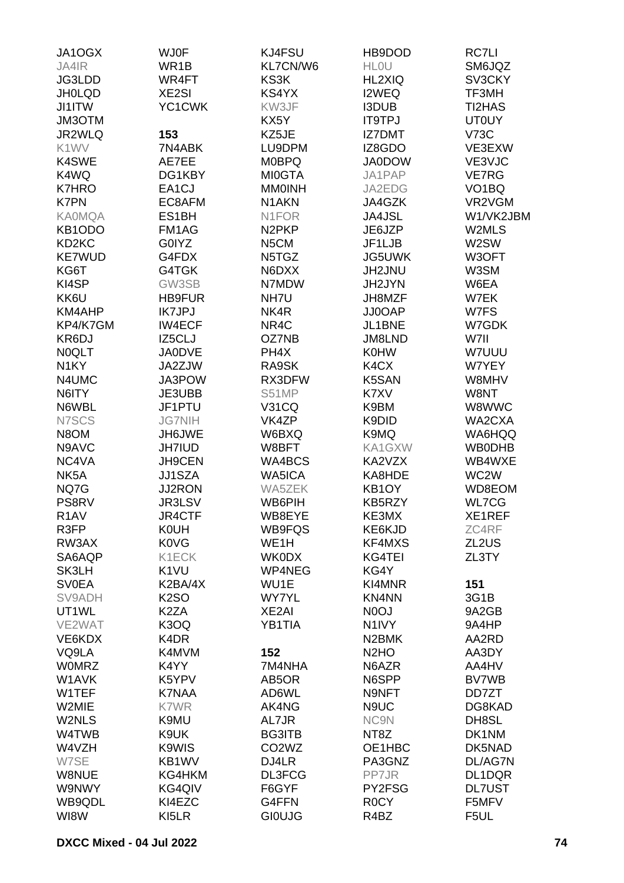| JA1OGX             | <b>WJ0F</b>       | KJ4FSU                         | HB9DOD                        | RC7LI              |
|--------------------|-------------------|--------------------------------|-------------------------------|--------------------|
| JA4IR              | WR1B              | KL7CN/W6                       | <b>HLOU</b>                   | SM6JQZ             |
| JG3LDD             | WR4FT             | KS3K                           | <b>HL2XIQ</b>                 | SV3CKY             |
| <b>JH0LQD</b>      | XE2SI             | KS4YX                          | I2WEQ                         | TF3MH              |
| <b>JI1ITW</b>      | YC1CWK            | KW3JF                          | <b>I3DUB</b>                  | TI2HAS             |
| JM3OTM             |                   | KX5Y                           | <b>IT9TPJ</b>                 | <b>UT0UY</b>       |
| JR2WLQ             | 153               | KZ5JE                          | <b>IZ7DMT</b>                 | <b>V73C</b>        |
| K1WV               | 7N4ABK            | LU9DPM                         | IZ8GDO                        | VE3EXW             |
| K4SWE              | AE7EE             | <b>MOBPQ</b>                   | <b>JA0DOW</b>                 | VE3VJC             |
| K4WQ               | DG1KBY            | <b>MI0GTA</b>                  | JA1PAP                        | VE7RG              |
| <b>K7HRO</b>       | EA1CJ             | <b>MMOINH</b>                  | JA2EDG                        | VO <sub>1</sub> BQ |
|                    |                   | N <sub>1</sub> AKN             |                               | VR2VGM             |
| <b>K7PN</b>        | EC8AFM            |                                | JA4GZK                        |                    |
| <b>KA0MQA</b>      | ES1BH             | N <sub>1</sub> FOR             | <b>JA4JSL</b>                 | W1/VK2JBM          |
| KB1ODO             | FM1AG             | N <sub>2</sub> PKP             | JE6JZP                        | W2MLS              |
| KD <sub>2</sub> KC | G0IYZ             | N5CM                           | JF1LJB                        | W2SW               |
| <b>KE7WUD</b>      | G4FDX             | N5TGZ                          | <b>JG5UWK</b>                 | W3OFT              |
| KG6T               | G4TGK             | N6DXX                          | JH2JNU                        | W3SM               |
| KI4SP              | GW3SB             | N7MDW                          | JH2JYN                        | W6EA               |
| KK6U               | <b>HB9FUR</b>     | NH7U                           | JH8MZF                        | W7EK               |
| KM4AHP             | <b>IK7JPJ</b>     | NK4R                           | JJ0OAP                        | W7FS               |
| KP4/K7GM           | <b>IW4ECF</b>     | NR4C                           | JL1BNE                        | W7GDK              |
| KR6DJ              | IZ5CLJ            | OZ7NB                          | JM8LND                        | W7II               |
| <b>NOQLT</b>       | <b>JA0DVE</b>     | PH4X                           | <b>K0HW</b>                   | W7UUU              |
| N <sub>1</sub> KY  | JA2ZJW            | RA9SK                          | K4CX                          | W7YEY              |
| N4UMC              | JA3POW            | RX3DFW                         | K5SAN                         | W8MHV              |
| N6ITY              | JE3UBB            | S51MP                          | K7XV                          | W8NT               |
| N6WBL              | JF1PTU            | <b>V31CQ</b>                   | K9BM                          | W8WWC              |
| N7SCS              | <b>JG7NIH</b>     | VK4ZP                          | K9DID                         | WA2CXA             |
| N8OM               | JH6JWE            | W6BXQ                          | K9MQ                          | WA6HQQ             |
| N9AVC              | <b>JH7IUD</b>     | W8BFT                          | KA1GXW                        | <b>WB0DHB</b>      |
| NC4VA              | JH9CEN            | WA4BCS                         | KA2VZX                        | WB4WXE             |
| NK <sub>5</sub> A  | JJ1SZA            | WA5ICA                         | KA8HDE                        | WC2W               |
| NQ7G               | <b>JJ2RON</b>     | WA5ZEK                         | KB1OY                         | WD8EOM             |
| PS8RV              | JR3LSV            | WB6PIH                         | KB5RZY                        | <b>WL7CG</b>       |
| R <sub>1</sub> AV  | JR4CTF            | WB8EYE                         | KE3MX                         | XE1REF             |
| R3FP               | <b>K0UH</b>       | WB9FQS                         | KE6KJD                        | ZC4RF              |
| RW3AX              | <b>K0VG</b>       | WE <sub>1</sub> H              | KF4MXS                        | ZL2US              |
| SA6AQP             | K1ECK             | <b>WK0DX</b>                   | <b>KG4TEI</b>                 | ZL3TY              |
| SK3LH              | K <sub>1</sub> VU | WP4NEG                         | KG4Y                          |                    |
| <b>SV0EA</b>       | K2BA/4X           | WU1E                           | KI4MNR                        | 151                |
| SV9ADH             |                   | <b>WY7YL</b>                   | KN4NN                         |                    |
|                    | K <sub>2</sub> SO |                                |                               | 3G1B               |
| UT1WL              | K <sub>2</sub> ZA | XE2AI                          | N <sub>0</sub> OJ             | 9A2GB              |
| VE2WAT             | K3OQ              | YB1TIA                         | N <sub>1</sub> <sub>IV</sub>  | 9A4HP              |
| VE6KDX             | K4DR              |                                | N <sub>2</sub> BMK            | AA2RD              |
| VQ9LA              | K4MVM             | 152                            | N <sub>2</sub> H <sub>O</sub> | AA3DY              |
| <b>WOMRZ</b>       | K4YY              | 7M4NHA                         | N6AZR                         | AA4HV              |
| W1AVK              | K5YPV             | AB5OR                          | N6SPP                         | <b>BV7WB</b>       |
| W1TEF              | <b>K7NAA</b>      | AD6WL                          | N9NFT                         | DD7ZT              |
| W2MIE              | K7WR              | AK4NG                          | N9UC                          | DG8KAD             |
| W2NLS              | K9MU              | AL7JR                          | NC9N                          | DH8SL              |
| W4TWB              | K9UK              | <b>BG3ITB</b>                  | NT8Z                          | DK1NM              |
| W4VZH              | K9WIS             | CO <sub>2</sub> W <sub>Z</sub> | OE1HBC                        | DK5NAD             |
| W7SE               | KB1WV             | DJ4LR                          | PA3GNZ                        | DL/AG7N            |
| W8NUE              | KG4HKM            | DL3FCG                         | PP7JR                         | DL1DQR             |
| W9NWY              | KG4QIV            | F6GYF                          | PY2FSG                        | <b>DL7UST</b>      |
| WB9QDL             | KI4EZC            | G4FFN                          | R <sub>0</sub> CY             | F5MFV              |
| WI8W               | KI5LR             | <b>GIOUJG</b>                  | R4BZ                          | F5UL               |
|                    |                   |                                |                               |                    |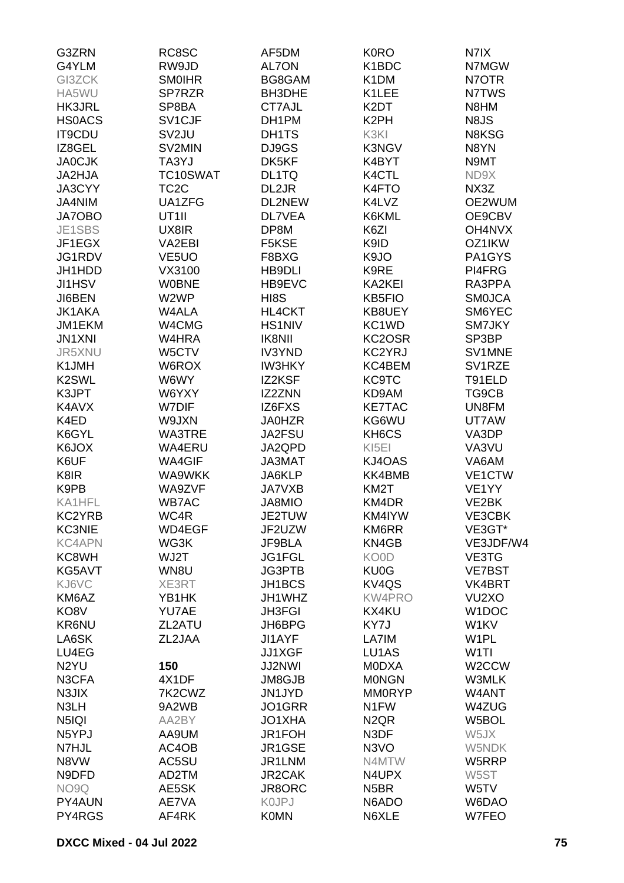| G3ZRN              | RC8SC              | AF5DM         | <b>K0RO</b>                   | N7IX                |
|--------------------|--------------------|---------------|-------------------------------|---------------------|
| G4YLM              | RW9JD              | AL7ON         | K1BDC                         | N7MGW               |
| GI3ZCK             | <b>SMOIHR</b>      | BG8GAM        | K <sub>1</sub> DM             | N7OTR               |
| HA5WU              | SP7RZR             | BH3DHE        | K1LEE                         | N7TWS               |
|                    |                    | CT7AJL        |                               | N8HM                |
| <b>HK3JRL</b>      | SP8BA              |               | K <sub>2</sub> DT             |                     |
| <b>HSOACS</b>      | SV1CJF             | DH1PM         | K <sub>2</sub> PH             | N8JS                |
| <b>IT9CDU</b>      | SV <sub>2</sub> JU | DH1TS         | K3KI                          | N8KSG               |
| IZ8GEL             | SV2MIN             | DJ9GS         | K3NGV                         | N8YN                |
| <b>JA0CJK</b>      | TA3YJ              | DK5KF         | K4BYT                         | N9MT                |
| JA2HJA             | TC10SWAT           | DL1TQ         | K4CTL                         | ND9X                |
| JA3CYY             | TC <sub>2</sub> C  | DL2JR         | K4FTO                         | NX3Z                |
| JA4NIM             | UA1ZFG             | DL2NEW        | K4LVZ                         | OE2WUM              |
| <b>JA7OBO</b>      | UT <sub>1</sub>    | <b>DL7VEA</b> | K6KML                         | OE9CBV              |
| JE1SBS             | UX8IR              | DP8M          | K6ZI                          | OH4NVX              |
| JF1EGX             | VA2EBI             | F5KSE         | K9ID                          | OZ1IKW              |
| JG1RDV             | VE <sub>5</sub> UO | F8BXG         | K9JO                          | PA1GYS              |
|                    |                    |               | K9RE                          |                     |
| JH1HDD             | VX3100             | <b>HB9DLI</b> |                               | PI4FRG              |
| JI1HSV             | <b>W0BNE</b>       | HB9EVC        | KA2KEI                        | RA3PPA              |
| JI6BEN             | W2WP               | HI8S          | <b>KB5FIO</b>                 | <b>SMOJCA</b>       |
| <b>JK1AKA</b>      | <b>W4ALA</b>       | HL4CKT        | KB8UEY                        | SM6YEC              |
| JM1EKM             | W4CMG              | <b>HS1NIV</b> | KC1WD                         | <b>SM7JKY</b>       |
| <b>JN1XNI</b>      | W4HRA              | <b>IK8NII</b> | KC2OSR                        | SP3BP               |
| JR5XNU             | W5CTV              | <b>IV3YND</b> | KC2YRJ                        | SV1MNE              |
| K1JMH              | W6ROX              | <b>IW3HKY</b> | KC4BEM                        | SV <sub>1</sub> RZE |
| K <sub>2</sub> SWL | W6WY               | IZ2KSF        | <b>KC9TC</b>                  | T91ELD              |
| K3JPT              | W6YXY              | IZ2ZNN        | KD9AM                         | TG9CB               |
| K4AVX              | W7DIF              | IZ6FXS        | <b>KE7TAC</b>                 | UN8FM               |
| K4ED               | W9JXN              | <b>JA0HZR</b> | KG6WU                         | UT7AW               |
|                    |                    |               |                               | VA3DP               |
| K6GYL              | <b>WA3TRE</b>      | JA2FSU        | KH6CS                         |                     |
| K6JOX              | WA4ERU             | JA2QPD        | KI <sub>5EI</sub>             | VA3VU               |
| K6UF               | <b>WA4GIF</b>      | JA3MAT        | KJ4OAS                        | VA6AM               |
| K8IR               | <b>WA9WKK</b>      | JA6KLP        | KK4BMB                        | VE1CTW              |
| K9PB               | WA9ZVF             | <b>JA7VXB</b> | KM2T                          | VE <sub>1</sub> YY  |
| KA1HFL             | <b>WB7AC</b>       | JA8MIO        | KM4DR                         | VE2BK               |
| KC2YRB             | WC4R               | JE2TUW        | KM4IYW                        | VE3CBK              |
| <b>KC3NIE</b>      | WD4EGF             | JF2UZW        | KM6RR                         | VE3GT*              |
| <b>KC4APN</b>      | WG3K               | JF9BLA        | KN4GB                         | VE3JDF/W4           |
| KC8WH              | WJ2T               | JG1FGL        | KO0D                          | VE3TG               |
| KG5AVT             | WN8U               | JG3PTB        | KU0G                          | <b>VE7BST</b>       |
| KJ6VC              | XE3RT              | JH1BCS        | KV4QS                         | VK4BRT              |
| KM6AZ              | YB1HK              | JH1WHZ        | <b>KW4PRO</b>                 | VU <sub>2</sub> XO  |
| KO8V               | YU7AE              | <b>JH3FGI</b> | KX4KU                         | W1DOC               |
| <b>KR6NU</b>       |                    | JH6BPG        |                               | W1KV                |
|                    | ZL2ATU             |               | KY7J                          |                     |
| LA6SK              | ZL2JAA             | <b>JI1AYF</b> | LA7IM                         | W <sub>1</sub> PL   |
| LU4EG              |                    | <b>JJ1XGF</b> | LU1AS                         | W <sub>1</sub> TI   |
| N <sub>2</sub> YU  | 150                | <b>JJ2NWI</b> | <b>MODXA</b>                  | W <sub>2</sub> CCW  |
| N3CFA              | 4X1DF              | JM8GJB        | <b>MONGN</b>                  | W3MLK               |
| N3JIX              | 7K2CWZ             | JN1JYD        | <b>MM0RYP</b>                 | W4ANT               |
| N3LH               | 9A2WB              | JO1GRR        | N <sub>1</sub> FW             | W4ZUG               |
| N5IQI              | AA2BY              | JO1XHA        | N <sub>2</sub> Q <sub>R</sub> | W5BOL               |
| N5YPJ              | AA9UM              | JR1FOH        | N3DF                          | W5JX                |
| N7HJL              | AC4OB              | JR1GSE        | N3VO                          | W5NDK               |
| N8VW               | AC5SU              | JR1LNM        | N4MTW                         | W5RRP               |
| N9DFD              | AD2TM              | <b>JR2CAK</b> | N4UPX                         | W5ST                |
| NO9Q               | AE5SK              | JR8ORC        | N <sub>5</sub> BR             | W5TV                |
| PY4AUN             | AE7VA              | <b>KOJPJ</b>  | N6ADO                         | W6DAO               |
|                    |                    |               |                               |                     |
| PY4RGS             | AF4RK              | <b>K0MN</b>   | N6XLE                         | W7FEO               |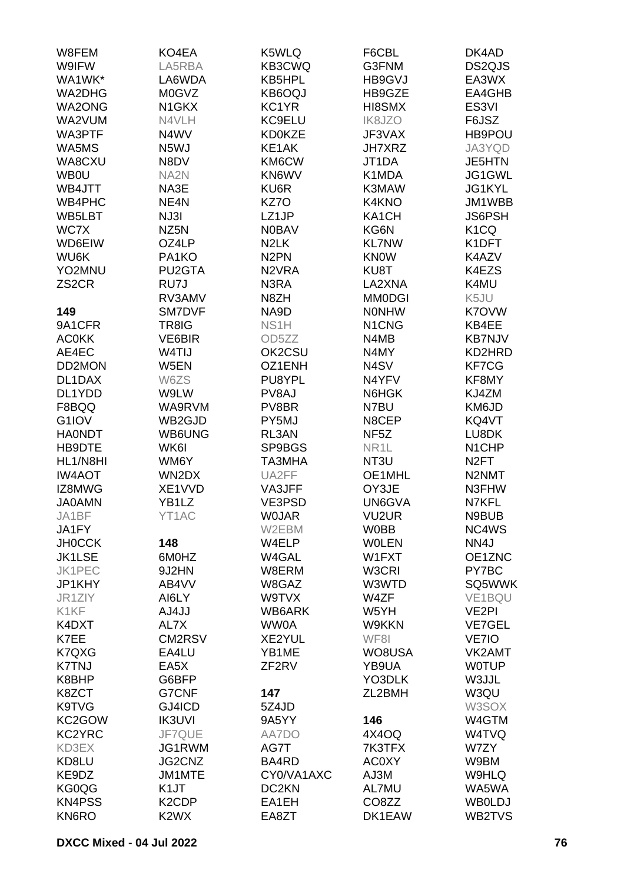| W8FEM              | KO4EA                         | K5WLQ              | F6CBL                          | DK4AD              |
|--------------------|-------------------------------|--------------------|--------------------------------|--------------------|
| W9IFW              | LA5RBA                        | KB3CWQ             | G3FNM                          | DS2QJS             |
| WA1WK*             | LA6WDA                        | KB5HPL             | HB9GVJ                         | EA3WX              |
| WA2DHG             | M0GVZ                         | KB6OQJ             | HB9GZE                         | EA4GHB             |
| WA2ONG             | N <sub>1</sub> GKX            | KC1YR              | HI8SMX                         | ES3VI              |
| WA2VUM             | N4VLH                         | KC9ELU             | <b>IK8JZO</b>                  | F6JSZ              |
| WA3PTF             | N4WV                          | <b>KD0KZE</b>      | JF3VAX                         | HB9POU             |
| WA5MS              | N5WJ                          | KE1AK              | <b>JH7XRZ</b>                  | JA3YQD             |
| WA8CXU             | N8DV                          | KM6CW              | JT1DA                          | <b>JE5HTN</b>      |
| <b>WB0U</b>        | NA <sub>2N</sub>              | KN6WV              | K1MDA                          | JG1GWL             |
| WB4JTT             | NA3E                          | KU6R               | K3MAW                          | JG1KYL             |
| WB4PHC             | NE4N                          | KZ7O               | K4KNO                          | JM1WBB             |
|                    |                               |                    |                                |                    |
| WB5LBT<br>WC7X     | NJ3I                          | LZ1JP              | KA1CH                          | <b>JS6PSH</b>      |
|                    | NZ <sub>5</sub> N             | <b>N0BAV</b>       | KG6N                           | K <sub>1</sub> CQ  |
| WD6EIW             | OZ4LP                         | N <sub>2</sub> LK  | <b>KL7NW</b>                   | K1DFT              |
| WU6K               | PA1KO                         | N <sub>2</sub> PN  | <b>KNOW</b>                    | K4AZV              |
| YO2MNU             | PU2GTA                        | N <sub>2</sub> VRA | KU8T                           | K4EZS              |
| ZS <sub>2</sub> CR | RU7J                          | N3RA               | LA2XNA                         | K4MU               |
|                    | RV3AMV                        | N8ZH               | <b>MM0DGI</b>                  | K5JU               |
| 149                | <b>SM7DVF</b>                 | NA9D               | <b>NONHW</b>                   | K7OVW              |
| 9A1CFR             | TR8IG                         | NS <sub>1</sub> H  | N <sub>1</sub> C <sub>NG</sub> | KB4EE              |
| <b>AC0KK</b>       | VE6BIR                        | OD <sub>5</sub> ZZ | N4MB                           | <b>KB7NJV</b>      |
| AE4EC              | W4TIJ                         | OK2CSU             | N4MY                           | KD2HRD             |
| DD2MON             | W5EN                          | OZ1ENH             | N4SV                           | KF7CG              |
| DL1DAX             | W6ZS                          | PU8YPL             | N4YFV                          | KF8MY              |
| DL1YDD             | W9LW                          | PV8AJ              | N6HGK                          | KJ4ZM              |
| F8BQQ              | WA9RVM                        | PV8BR              | N7BU                           | KM6JD              |
| G1IOV              | WB2GJD                        | PY5MJ              | N8CEP                          | KQ4VT              |
| <b>HA0NDT</b>      | WB6UNG                        | RL3AN              | NF <sub>5</sub> Z              | LU8DK              |
| HB9DTE             | WK6I                          | SP9BGS             | NR <sub>1</sub> L              | N <sub>1</sub> CHP |
| HL1/N8HI           | WM6Y                          | TA3MHA             | NT3U                           | N <sub>2</sub> FT  |
| <b>IW4AOT</b>      | WN2DX                         | UA2FF              | OE1MHL                         | N2NMT              |
| IZ8MWG             | XE1VVD                        | VA3JFF             | OY3JE                          | N3FHW              |
| <b>JA0AMN</b>      | YB <sub>1</sub> LZ            | VE3PSD             | UN6GVA                         | N7KFL              |
| JA1BF              | YT1AC                         | <b>WOJAR</b>       | VU <sub>2</sub> UR             | N9BUB              |
| JA1FY              |                               | W2EBM              | <b>W0BB</b>                    | NC4WS              |
| <b>JH0CCK</b>      | 148                           | W4ELP              | <b>WOLEN</b>                   | NN4J               |
| <b>JK1LSE</b>      | 6M0HZ                         | W4GAL              | W1FXT                          | OE1ZNC             |
| JK1PEC             | 9J2HN                         | W8ERM              | W3CRI                          | PY7BC              |
| JP1KHY             | AB4VV                         | W8GAZ              | W3WTD                          | SQ5WWK             |
| JR1ZIY             | AI6LY                         | W9TVX              | W4ZF                           | VE1BQU             |
| K1KF               | AJ4JJ                         | WB6ARK             | W5YH                           | VE <sub>2</sub> PI |
| K4DXT              | AL7X                          | WW0A               | W9KKN                          | <b>VE7GEL</b>      |
| K7EE               | CM2RSV                        | XE2YUL             | WF8I                           | VE7IO              |
| K7QXG              | EA4LU                         | YB1ME              | WO8USA                         | VK2AMT             |
| <b>K7TNJ</b>       | EA5X                          | ZF <sub>2RV</sub>  | YB9UA                          | <b>WOTUP</b>       |
| K8BHP              | G6BFP                         |                    | YO3DLK                         | W3JJL              |
| K8ZCT              | <b>G7CNF</b>                  | 147                | ZL2BMH                         | W3QU               |
| K9TVG              | GJ4ICD                        | 5Z4JD              |                                | W3SOX              |
| KC2GOW             | <b>IK3UVI</b>                 | 9A5YY              | 146                            | W4GTM              |
| KC2YRC             | JF7QUE                        | AA7DO              | 4X4OQ                          | W4TVQ              |
| KD3EX              | JG1RWM                        | AG7T               | 7K3TFX                         | W7ZY               |
| KD8LU              | JG2CNZ                        | BA4RD              | <b>AC0XY</b>                   | W9BM               |
| KE9DZ              | JM1MTE                        | CY0/VA1AXC         | AJ3M                           | W9HLQ              |
| KG0QG              | K <sub>1</sub> JT             | DC <sub>2</sub> KN | AL7MU                          | WA5WA              |
| <b>KN4PSS</b>      | K <sub>2</sub> CDP            | EA1EH              | CO8ZZ                          | <b>WB0LDJ</b>      |
| KN6RO              | K <sub>2</sub> W <sub>X</sub> | EA8ZT              | DK1EAW                         | WB2TVS             |
|                    |                               |                    |                                |                    |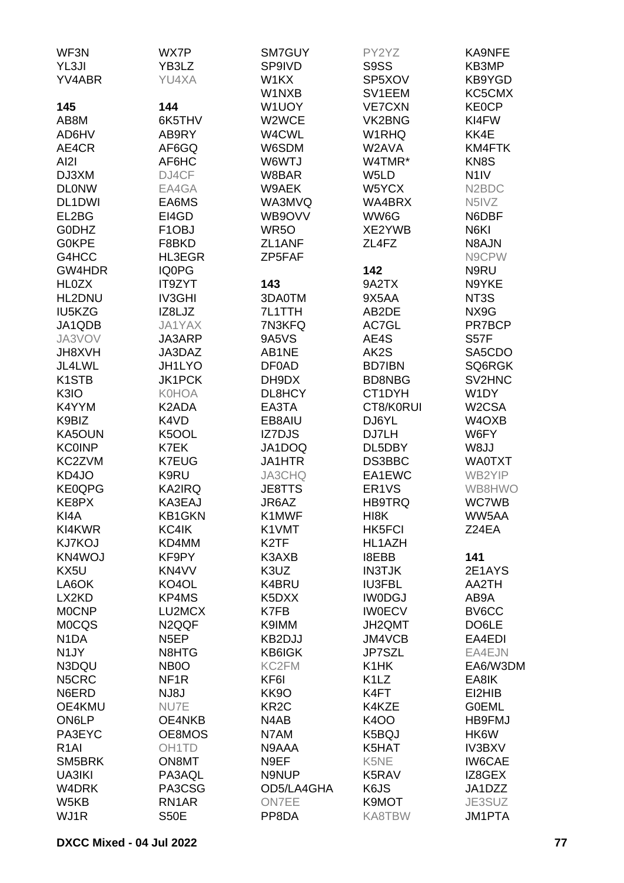| WF3N               | WX7P               | SM7GUY            | PY2YZ                         | KA9NFE                          |
|--------------------|--------------------|-------------------|-------------------------------|---------------------------------|
| YL3JI              | YB3LZ              | SP9IVD            | S9SS                          | KB3MP                           |
| YV4ABR             | YU4XA              | W1KX              | SP5XOV                        | KB9YGD                          |
|                    |                    | W1NXB             | SV1EEM                        | KC5CMX                          |
| 145                | 144                | W1UOY             | <b>VE7CXN</b>                 | <b>KE0CP</b>                    |
|                    |                    | W2WCE             |                               | KI4FW                           |
| AB8M               | 6K5THV             |                   | VK2BNG                        |                                 |
| AD6HV              | AB9RY              | W4CWL             | W1RHQ                         | KK4E                            |
| AE4CR              | AF6GQ              | W6SDM             | W2AVA                         | KM4FTK                          |
| AI2I               | AF6HC              | W6WTJ             | W4TMR*                        | KN8S                            |
| DJ3XM              | DJ4CF              | W8BAR             | W5LD                          | N <sub>1</sub> IV               |
| <b>DLONW</b>       | EA4GA              | W9AEK             | W5YCX                         | N <sub>2</sub> B <sub>D</sub> C |
| DL1DWI             | EA6MS              | WA3MVQ            | WA4BRX                        | N5IVZ                           |
| EL2BG              | EI4GD              | WB9OVV            | WW6G                          | N6DBF                           |
| <b>G0DHZ</b>       | F1OBJ              | WR5O              | XE2YWB                        | N6KI                            |
| <b>GOKPE</b>       | F8BKD              | ZL1ANF            | ZL4FZ                         | N8AJN                           |
| G4HCC              | HL3EGR             | ZP5FAF            |                               | N9CPW                           |
| GW4HDR             | <b>IQ0PG</b>       |                   | 142                           | N9RU                            |
| <b>HL0ZX</b>       | IT9ZYT             | 143               | 9A2TX                         | N9YKE                           |
| HL2DNU             | IV3GHI             | 3DA0TM            | 9X5AA                         | NT3S                            |
| IU5KZG             | IZ8LJZ             | 7L1TTH            | AB2DE                         | NX9G                            |
| JA1QDB             | JA1YAX             | 7N3KFQ            | AC7GL                         | PR7BCP                          |
| JA3VOV             | JA3ARP             | 9A5VS             | AE4S                          | S57F                            |
| JH8XVH             | JA3DAZ             | AB1NE             | AK2S                          | SA5CDO                          |
| JL4LWL             | JH1LYO             | DF0AD             | <b>BD7IBN</b>                 | SQ6RGK                          |
| K <sub>1</sub> STB | <b>JK1PCK</b>      | DH9DX             | <b>BD8NBG</b>                 | SV2HNC                          |
| K3IO               | <b>K0HOA</b>       | DL8HCY            | CT1DYH                        | W1DY                            |
|                    |                    |                   |                               |                                 |
| K4YYM              | K2ADA              | EA3TA             | CT8/K0RUI                     | W2CSA                           |
| K9BIZ              | K4VD               | EB8AIU            | DJ6YL                         | W4OXB                           |
| KA5OUN             | <b>K5OOL</b>       | IZ7DJS            | DJ7LH                         | W6FY                            |
| <b>KC0INP</b>      | K7EK               | JA1DOQ            | DL5DBY                        | W8JJ                            |
| KC2ZVM             | <b>K7EUG</b>       | JA1HTR            | DS3BBC                        | <b>WA0TXT</b>                   |
| KD4JO              | K9RU               | JA3CHQ            | EA1EWC                        | WB2YIP                          |
| <b>KE0QPG</b>      | KA2IRQ             | JE8TTS            | ER <sub>1</sub> VS            | WB8HWO                          |
| KE8PX              | KA3EAJ             | JR6AZ             | <b>HB9TRQ</b>                 | <b>WC7WB</b>                    |
| KI4A               | <b>KB1GKN</b>      | K1MWF             | HI8K                          | WW5AA                           |
| KI4KWR             | KC4IK              | K1VMT             | <b>HK5FCI</b>                 | Z24EA                           |
| <b>KJ7KOJ</b>      | KD4MM              | K <sub>2</sub> TF | HL1AZH                        |                                 |
| KN4WOJ             | KF9PY              | K3AXB             | <b>I8EBB</b>                  | 141                             |
| KX5U               | KN4VV              | K3UZ              | <b>IN3TJK</b>                 | 2E1AYS                          |
| LA6OK              | KO <sub>4</sub> OL | K4BRU             | <b>IU3FBL</b>                 | AA2TH                           |
| LX2KD              | KP4MS              | K5DXX             | <b>IWODGJ</b>                 | AB9A                            |
| <b>MOCNP</b>       | LU2MCX             | K7FB              | <b>IWOECV</b>                 | BV6CC                           |
| <b>MOCQS</b>       | N <sub>2QQF</sub>  | K9IMM             | JH2QMT                        | DO6LE                           |
| N <sub>1</sub> DA  | N <sub>5</sub> EP  | KB2DJJ            | JM4VCB                        | EA4EDI                          |
| N <sub>1</sub> JY  | N8HTG              | KB6IGK            | JP7SZL                        | EA4EJN                          |
| N3DQU              | NB <sub>0</sub>    | KC2FM             | K1HK                          | EA6/W3DM                        |
| N5CRC              | NF <sub>1R</sub>   | KF <sub>6</sub>   | K <sub>1</sub> L <sub>Z</sub> | EA8IK                           |
| N6ERD              | NJ8J               | KK9O              | K4FT                          | EI2HIB                          |
| OE4KMU             | NU7E               | KR <sub>2</sub> C | K4KZE                         | <b>GOEML</b>                    |
| ON6LP              | OE4NKB             | N4AB              | <b>K4OO</b>                   | <b>HB9FMJ</b>                   |
| PA3EYC             | OE8MOS             | N7AM              | K5BQJ                         | HK6W                            |
| R <sub>1</sub> AI  | OH <sub>1</sub> TD | N9AAA             | K5HAT                         | <b>IV3BXV</b>                   |
| SM5BRK             | ON8MT              | N9EF              | K5NE                          | <b>IW6CAE</b>                   |
| UA3IKI             | PA3AQL             | N9NUP             | K5RAV                         | IZ8GEX                          |
| W4DRK              | PA3CSG             | OD5/LA4GHA        | K6JS                          | JA1DZZ                          |
| W5KB               | RN1AR              | <b>ON7EE</b>      | K9MOT                         | JE3SUZ                          |
| WJ1R               | <b>S50E</b>        | PP8DA             | KA8TBW                        | <b>JM1PTA</b>                   |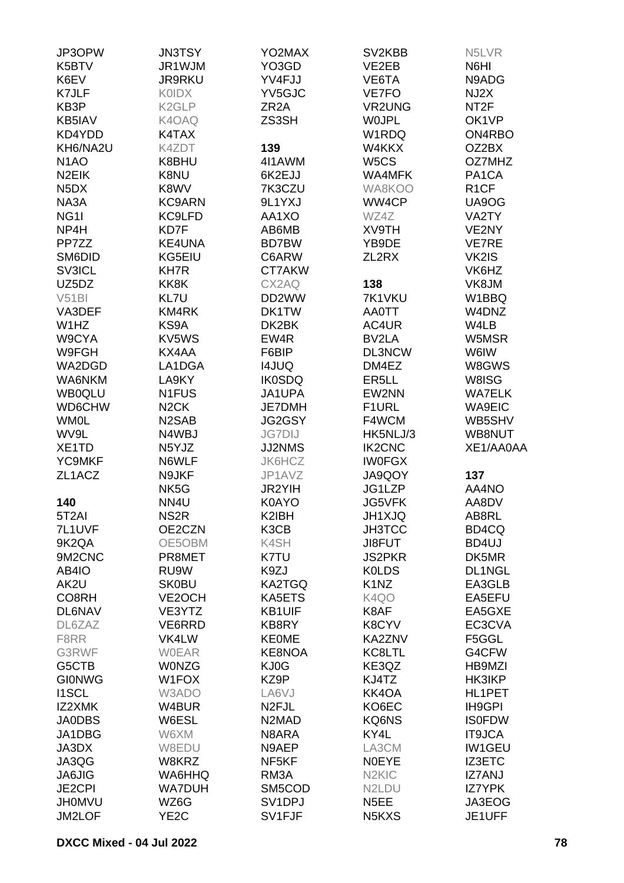| JP3OPW                        | <b>JN3TSY</b>      | YO2MAX                         | SV2KBB                         | N <sub>5</sub> LVR |
|-------------------------------|--------------------|--------------------------------|--------------------------------|--------------------|
| K5BTV                         | JR1WJM             | YO3GD                          | VE2EB                          | N6HI               |
| K6EV                          | <b>JR9RKU</b>      | YV4FJJ                         | VE6TA                          | N9ADG              |
| K7JLF                         | <b>KOIDX</b>       | YV5GJC                         | VE7FO                          | NJ2X               |
| KB3P                          | K <sub>2</sub> GLP | ZR <sub>2</sub> A              | <b>VR2UNG</b>                  | NT <sub>2</sub> F  |
| KB5IAV                        | K4OAQ              | ZS3SH                          | <b>WOJPL</b>                   | OK1VP              |
| KD4YDD                        | K4TAX              |                                | W1RDQ                          | ON4RBO             |
| KH6/NA2U                      | K4ZDT              | 139                            | W4KKX                          | OZ2BX              |
| N <sub>1</sub> AO             | K8BHU              | 4I1AWM                         | W <sub>5</sub> CS              | OZ7MHZ             |
| N <sub>2</sub> EIK            | K8NU               | 6K2EJJ                         | <b>WA4MFK</b>                  | PA <sub>1</sub> CA |
| N <sub>5</sub> D <sub>X</sub> | K8WV               | 7K3CZU                         | WA8KOO                         | R <sub>1</sub> CF  |
| NA3A                          | <b>KC9ARN</b>      | 9L1YXJ                         | WW4CP                          | UA9OG              |
| NG <sub>11</sub>              | KC9LFD             | AA1XO                          | WZ4Z                           | VA2TY              |
| NP4H                          | KD7F               | AB6MB                          | <b>XV9TH</b>                   | VE2NY              |
| PP7ZZ                         | KE4UNA             | <b>BD7BW</b>                   | YB9DE                          | <b>VE7RE</b>       |
| SM6DID                        | KG5EIU             | C6ARW                          | ZL2RX                          | VK2IS              |
| SV3ICL                        | <b>KH7R</b>        | CT7AKW                         |                                | VK6HZ              |
| UZ5DZ                         | KK8K               | CX2AQ                          | 138                            | VK8JM              |
| V51B1                         | KL7U               | DD2WW                          | 7K1VKU                         | W1BBQ              |
| VA3DEF                        | KM4RK              | DK1TW                          | <b>AA0TT</b>                   | W4DNZ              |
| W1HZ                          | KS9A               | DK2BK                          | AC4UR                          | W4LB               |
|                               | KV5WS              | EW4R                           | BV2LA                          |                    |
| W9CYA                         |                    |                                |                                | W5MSR              |
| W9FGH                         | KX4AA              | F6BIP                          | DL3NCW                         | W6IW               |
| WA2DGD                        | LA1DGA             | <b>I4JUQ</b>                   | DM4EZ                          | W8GWS              |
| WA6NKM                        | LA9KY              | <b>IK0SDQ</b>                  | ER <sub>5</sub> LL             | W8ISG              |
| <b>WB0QLU</b>                 | N1FUS              | JA1UPA                         | EW2NN                          | <b>WA7ELK</b>      |
| WD6CHW                        | N <sub>2</sub> CK  | <b>JE7DMH</b>                  | F <sub>1</sub> URL             | <b>WA9EIC</b>      |
| <b>WM0L</b>                   | N <sub>2</sub> SAB | JG2GSY                         | F4WCM                          | WB5SHV             |
| WV9L                          | N4WBJ              | <b>JG7DIJ</b>                  | HK5NLJ/3                       | WB8NUT             |
| XE <sub>1</sub> TD            | N5YJZ              | JJ2NMS                         | <b>IK2CNC</b>                  | XE1/AA0AA          |
| YC9MKF                        | N6WLF              | JK6HCZ                         | <b>IWOFGX</b>                  |                    |
| ZL1ACZ                        | N9JKF              | JP1AVZ                         | JA9QOY                         | 137                |
|                               | NK <sub>5</sub> G  | JR2YIH                         | JG1LZP                         | AA4NO              |
| 140                           | NN <sub>4U</sub>   | K0AYO                          | <b>JG5VFK</b>                  | AA8DV              |
| 5T <sub>2</sub> AI            | NS <sub>2R</sub>   | K2IBH                          | JH1XJQ                         | AB8RL              |
| 7L1UVF                        | OE2CZN             | K3CB                           | <b>JH3TCC</b>                  | BD4CQ              |
| 9K2QA                         | OE5OBM             | K4SH                           | <b>JI8FUT</b>                  | BD4UJ              |
| 9M2CNC                        | PR8MET             | K7TU                           | <b>JS2PKR</b>                  | DK5MR              |
| AB4IO                         | RU9W               | K9ZJ                           | <b>KOLDS</b>                   | DL1NGL             |
| AK2U                          | <b>SK0BU</b>       | <b>KA2TGQ</b>                  | K1NZ                           | EA3GLB             |
| CO8RH                         | VE2OCH             | KA5ETS                         | K4QO                           | EA5EFU             |
| <b>DL6NAV</b>                 | VE3YTZ             | KB1UIF                         | K8AF                           | EA5GXE             |
| DL6ZAZ                        | VE6RRD             | KB8RY                          | K8CYV                          | EC3CVA             |
| F8RR                          | VK4LW              | <b>KEOME</b>                   | KA2ZNV                         | F5GGL              |
| G3RWF                         | <b>WOEAR</b>       | KE8NOA                         | KC8LTL                         | G4CFW              |
| G5CTB                         | <b>WONZG</b>       | KJ0G                           | KE3QZ                          | <b>HB9MZI</b>      |
| <b>GIONWG</b>                 | W1FOX              | KZ9P                           | KJ4TZ                          | HK3IKP             |
| <b>I1SCL</b>                  | W3ADO              | LA6VJ                          | KK4OA                          | HL1PET             |
| IZ2XMK                        | W4BUR              | N <sub>2</sub> FJL             | KO6EC                          | IH9GPI             |
| <b>JA0DBS</b>                 | W6ESL              | N <sub>2</sub> M <sub>AD</sub> | KQ6NS                          | <b>ISOFDW</b>      |
| JA1DBG                        | W6XM               | N8ARA                          | KY4L                           | <b>IT9JCA</b>      |
| JA3DX                         | W8EDU              | N9AEP                          | LA3CM                          | <b>IW1GEU</b>      |
| JA3QG                         | W8KRZ              | NF5KF                          | <b>NOEYE</b>                   | <b>IZ3ETC</b>      |
| <b>JA6JIG</b>                 | WA6HHQ             | RM3A                           | N <sub>2</sub> KI <sub>C</sub> | <b>IZ7ANJ</b>      |
| <b>JE2CPI</b>                 | <b>WA7DUH</b>      | SM5COD                         | N <sub>2</sub> L <sub>DU</sub> | <b>IZ7YPK</b>      |
| <b>JH0MVU</b>                 | WZ6G               | SV <sub>1</sub> DPJ            | N <sub>5</sub> EE              | JA3EOG             |
| JM2LOF                        | YE <sub>2</sub> C  | SV1FJF                         | N5KXS                          | JE1UFF             |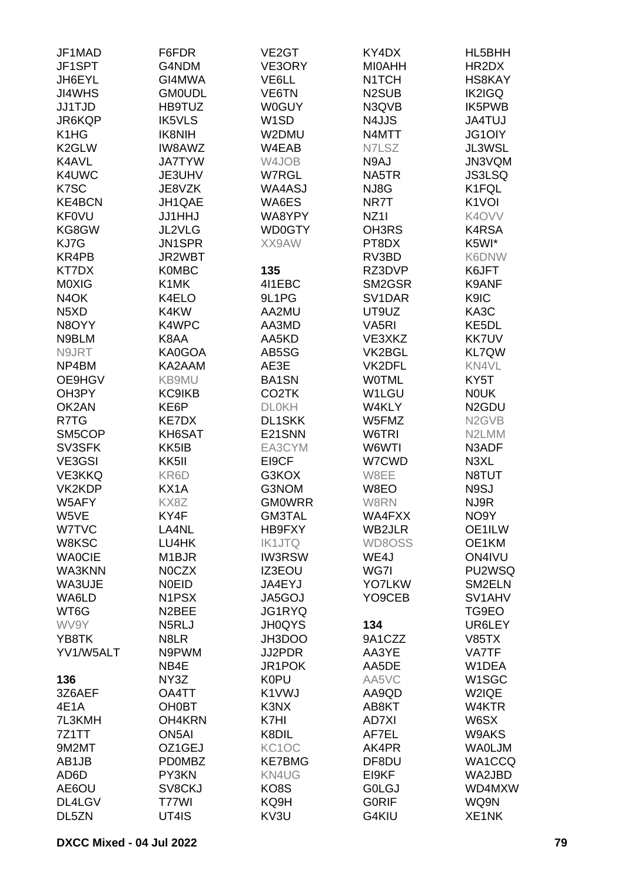| JF1MAD                        | F6FDR              | VE <sub>2</sub> GT | KY4DX                          | HL5BHH                          |
|-------------------------------|--------------------|--------------------|--------------------------------|---------------------------------|
| JF1SPT                        | G4NDM              | VE3ORY             | <b>MIOAHH</b>                  | HR2DX                           |
| JH6EYL                        | GI4MWA             | VE6LL              | N <sub>1</sub> TCH             | HS8KAY                          |
| <b>JI4WHS</b>                 | <b>GM0UDL</b>      | VE6TN              | N <sub>2</sub> SU <sub>B</sub> | <b>IK2IGQ</b>                   |
| <b>JJ1TJD</b>                 | HB9TUZ             | <b>W0GUY</b>       | N3QVB                          | IK5PWB                          |
| JR6KQP                        | <b>IK5VLS</b>      | W <sub>1</sub> SD  | N4JJS                          | <b>JA4TUJ</b>                   |
| K <sub>1</sub> H <sub>G</sub> | <b>IK8NIH</b>      | W2DMU              | N4MTT                          | <b>JG1OIY</b>                   |
| K <sub>2</sub> GLW            | IW8AWZ             | W4EAB              | N7LSZ                          | JL3WSL                          |
|                               |                    |                    |                                |                                 |
| K4AVL                         | <b>JA7TYW</b>      | W4JOB              | N9AJ                           | JN3VQM                          |
| K4UWC                         | JE3UHV             | W7RGL              | NA5TR                          | <b>JS3LSQ</b>                   |
| K7SC                          | JE8VZK             | WA4ASJ             | NJ8G                           | K1FQL                           |
| <b>KE4BCN</b>                 | JH1QAE             | WA6ES              | NR7T                           | K <sub>1</sub> VOI              |
| <b>KF0VU</b>                  | <b>JJ1HHJ</b>      | WA8YPY             | NZ <sub>11</sub>               | K4OVV                           |
| KG8GW                         | <b>JL2VLG</b>      | WD0GTY             | OH3RS                          | K4RSA                           |
| KJ7G                          | JN1SPR             | XX9AW              | PT8DX                          | K5WI*                           |
| KR4PB                         | JR2WBT             |                    | RV3BD                          | K6DNW                           |
| KT7DX                         | <b>K0MBC</b>       | 135                | RZ3DVP                         | K6JFT                           |
| M0XIG                         | K1MK               | 411EBC             | SM2GSR                         | K9ANF                           |
| N <sub>4</sub> OK             | K4ELO              | 9L1PG              | SV1DAR                         | K9IC                            |
| N <sub>5</sub> X <sub>D</sub> | K4KW               | AA2MU              | UT9UZ                          | KA3C                            |
| N8OYY                         | K4WPC              | AA3MD              | VA <sub>5</sub> RI             | KE <sub>5</sub> DL              |
| N9BLM                         | K8AA               | AA5KD              | VE3XKZ                         | <b>KK7UV</b>                    |
| N9JRT                         | KA0GOA             | AB5SG              | VK2BGL                         | <b>KL7QW</b>                    |
| NP4BM                         | KA2AAM             | AE3E               | VK2DFL                         | KN4VL                           |
| OE9HGV                        | KB9MU              | <b>BA1SN</b>       | <b>WOTML</b>                   | KY5T                            |
| OH3PY                         | <b>KC9IKB</b>      | CO <sub>2</sub> TK | W1LGU                          | <b>NOUK</b>                     |
| OK2AN                         | KE6P               | <b>DLOKH</b>       | W4KLY                          | N <sub>2</sub> GDU              |
|                               |                    |                    |                                |                                 |
| R7TG                          | KE7DX              | <b>DL1SKK</b>      | W5FMZ                          | N <sub>2</sub> G <sub>VB</sub>  |
| SM5COP                        | KH6SAT             | E21SNN             | W6TRI                          | N2LMM                           |
| SV3SFK                        | KK5IB              | EA3CYM             | W6WTI                          | N3ADF                           |
| VE3GSI                        | KK5II              | EI9CF              | W7CWD                          | N3XL                            |
| VE3KKQ                        | KR6D               | G3KOX              | W8EE                           | N8TUT                           |
| VK2KDP                        | KX1A               | G3NOM              | W8EO                           | N9SJ                            |
| W5AFY                         | KX8Z               | <b>GM0WRR</b>      | W8RN                           | NJ9R                            |
| W5VE                          | KY4F               | <b>GM3TAL</b>      | WA4FXX                         | NO9Y                            |
| W7TVC                         | LA4NL              | HB9FXY             | WB2JLR                         | OE1ILW                          |
| W8KSC                         | LU4HK              | <b>IK1JTQ</b>      | WD8OSS                         | OE1KM                           |
| <b>WAOCIE</b>                 | M1BJR              | <b>IW3RSW</b>      | WE4J                           | ON4IVU                          |
| WA3KNN                        | N0CZX              | IZ3EOU             | WG7I                           | PU2WSQ                          |
| WA3UJE                        | <b>NOEID</b>       | JA4EYJ             | <b>YO7LKW</b>                  | SM2ELN                          |
| WA6LD                         | N1PSX              | JA5GOJ             | YO9CEB                         | SV <sub>1</sub> AH <sub>V</sub> |
| WT6G                          | N <sub>2</sub> BEE | JG1RYQ             |                                | TG9EO                           |
| WV9Y                          | N5RLJ              | <b>JH0QYS</b>      | 134                            | UR6LEY                          |
| YB8TK                         | N8LR               | JH3DOO             | 9A1CZZ                         | <b>V85TX</b>                    |
| YV1/W5ALT                     | N9PWM              | JJ2PDR             | AA3YE                          | VA7TF                           |
|                               | NB4E               | JR1POK             | AA5DE                          | W1DEA                           |
| 136                           | NY3Z               | <b>K0PU</b>        | AA5VC                          | W <sub>1</sub> SGC              |
| 3Z6AEF                        | OA4TT              | K1VWJ              | AA9QD                          | W2IQE                           |
| 4E1A                          | <b>OH0BT</b>       | K3NX               | AB8KT                          | W4KTR                           |
| 7L3KMH                        | OH4KRN             | K7HI               | AD7XI                          | W6SX                            |
| 7Z1TT                         | ON <sub>5</sub> AI | K8DIL              | AF7EL                          | W9AKS                           |
|                               |                    |                    |                                |                                 |
| 9M2MT                         | OZ1GEJ             | KC1OC              | AK4PR                          | <b>WAOLJM</b>                   |
| AB1JB                         | <b>PD0MBZ</b>      | <b>KE7BMG</b>      | DF8DU                          | WA1CCQ                          |
| AD <sub>6</sub> D             | PY3KN              | KN4UG              | EI9KF                          | WA2JBD                          |
| AE6OU                         | SV8CKJ             | KO8S               | <b>GOLGJ</b>                   | WD4MXW                          |
| DL4LGV                        | T77WI              | KQ9H               | <b>GORIF</b>                   | WQ9N                            |
| DL5ZN                         | UT4IS              | KV3U               | G4KIU                          | XE1NK                           |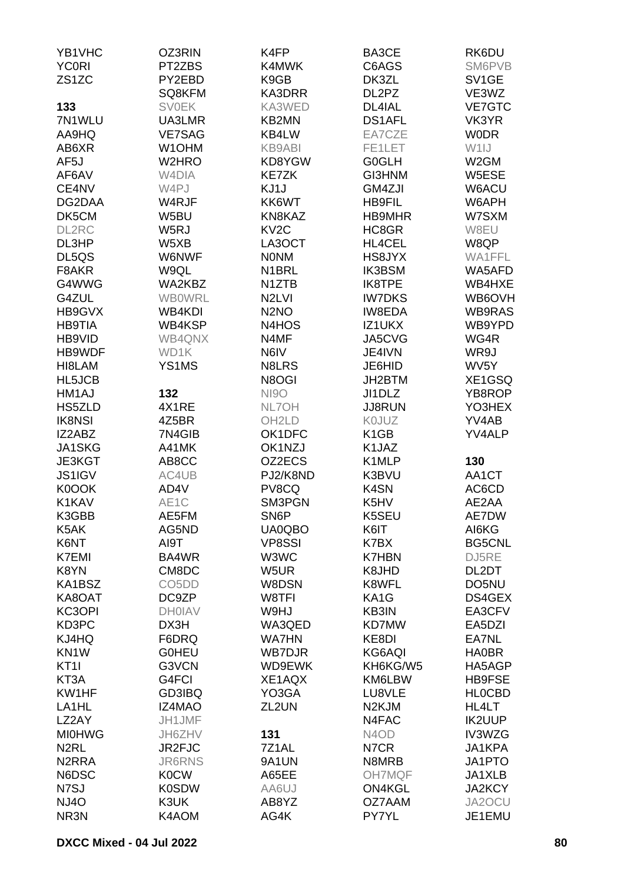| YB1VHC             | OZ3RIN                         | K4FP               | BA3CE                         | RK6DU              |
|--------------------|--------------------------------|--------------------|-------------------------------|--------------------|
| <b>YC0RI</b>       | PT2ZBS                         | K4MWK              | C6AGS                         | SM6PVB             |
| ZS <sub>1</sub> ZC | PY2EBD                         | K9GB               | DK3ZL                         | SV <sub>1</sub> GE |
|                    | SQ8KFM                         | KA3DRR             | DL2PZ                         | VE3WZ              |
| 133                | <b>SV0EK</b>                   | KA3WED             | DL4IAL                        | <b>VE7GTC</b>      |
| 7N1WLU             | UA3LMR                         | KB2MN              | <b>DS1AFL</b>                 | VK3YR              |
|                    |                                |                    |                               |                    |
| AA9HQ              | <b>VE7SAG</b>                  | KB4LW              | EA7CZE                        | <b>WODR</b>        |
| AB6XR              | W1OHM                          | <b>KB9ABI</b>      | FE1LET                        | W1IJ               |
| AF <sub>5</sub> J  | W <sub>2</sub> HRO             | KD8YGW             | <b>G0GLH</b>                  | W2GM               |
| AF6AV              | W <sub>4</sub> DIA             | <b>KE7ZK</b>       | GI3HNM                        | W5ESE              |
| CE4NV              | W4PJ                           | KJ1J               | GM4ZJI                        | W6ACU              |
| DG2DAA             | W4RJF                          | KK6WT              | <b>HB9FIL</b>                 | W6APH              |
| DK5CM              | W5BU                           | KN8KAZ             | HB9MHR                        | W7SXM              |
| DL2RC              | W5RJ                           | KV <sub>2</sub> C  | HC8GR                         | W8EU               |
| DL3HP              | W5XB                           | LA3OCT             | HL4CEL                        | W8QP               |
| DL5QS              | W6NWF                          | <b>NONM</b>        | HS8JYX                        | WA1FFL             |
| F8AKR              | W9QL                           | N <sub>1</sub> BRL | <b>IK3BSM</b>                 | WA5AFD             |
| G4WWG              | WA2KBZ                         | N <sub>1</sub> ZTB | IK8TPE                        | WB4HXE             |
| G4ZUL              | <b>WB0WRL</b>                  | N <sub>2</sub> LVI | <b>IW7DKS</b>                 | WB6OVH             |
| HB9GVX             | WB4KDI                         | N <sub>2</sub> NO  | <b>IW8EDA</b>                 | WB9RAS             |
| <b>HB9TIA</b>      | WB4KSP                         | N4HOS              | IZ1UKX                        | WB9YPD             |
| HB9VID             | WB4QNX                         | N4MF               | JA5CVG                        | WG4R               |
| HB9WDF             | WD1K                           | N6IV               | JE4IVN                        | WR9J               |
| HI8LAM             | YS1MS                          | N8LRS              | JE6HID                        | WV <sub>5</sub> Y  |
| HL5JCB             |                                | N8OGI              | JH2BTM                        | XE1GSQ             |
| HM1AJ              | 132                            | <b>NI9O</b>        | JI1DLZ                        | YB8ROP             |
|                    |                                |                    |                               |                    |
| HS5ZLD             | 4X1RE                          | NL7OH              | <b>JJ8RUN</b>                 | YO3HEX             |
| <b>IK8NSI</b>      | 4Z5BR                          | OH <sub>2</sub> LD | K0JUZ                         | YV4AB              |
| IZ2ABZ             | 7N4GIB                         | OK1DFC             | K <sub>1</sub> GB             | YV4ALP             |
| JA1SKG             | A41MK                          | OK1NZJ             | K1JAZ                         |                    |
| JE3KGT             | AB8CC                          | OZ2ECS             | K1MLP                         | 130                |
| <b>JS1IGV</b>      | AC4UB                          | PJ2/K8ND           | K3BVU                         | AA1CT              |
| K0OOK              | AD4V                           | PV8CQ              | K4SN                          | AC6CD              |
| K1KAV              | AE1C                           | SM3PGN             | K5HV                          | AE2AA              |
| K3GBB              | AE5FM                          | SN <sub>6</sub> P  | K5SEU                         | AE7DW              |
| K5AK               | AG5ND                          | <b>UA0QBO</b>      | K6IT                          | AI6KG              |
| K6NT               | AI9T                           | <b>VP8SSI</b>      | K7BX                          | <b>BG5CNL</b>      |
| <b>K7EMI</b>       | BA4WR                          | W3WC               | <b>K7HBN</b>                  | DJ5RE              |
| K8YN               | CM8DC                          | W5UR               | K8JHD                         | DL2DT              |
| KA1BSZ             | CO <sub>5</sub> D <sub>D</sub> | W8DSN              | K8WFL                         | DO5NU              |
| KA8OAT             | DC9ZP                          | W8TFI              | KA1G                          | DS4GEX             |
| KC3OPI             | <b>DH0IAV</b>                  | W9HJ               | KB3IN                         | EA3CFV             |
| KD3PC              | DX3H                           | WA3QED             | KD7MW                         | EA5DZI             |
| KJ4HQ              | F6DRQ                          | <b>WA7HN</b>       | KE8DI                         | EA7NL              |
| KN <sub>1</sub> W  | <b>GOHEU</b>                   | <b>WB7DJR</b>      | KG6AQI                        | <b>HA0BR</b>       |
| KT <sub>1</sub>    | G3VCN                          | WD9EWK             | KH6KG/W5                      | HA5AGP             |
| KT3A               | G4FCI                          | XE1AQX             | KM6LBW                        | HB9FSE             |
| KW1HF              | GD3IBQ                         | YO3GA              | LU8VLE                        | <b>HLOCBD</b>      |
| LA <sub>1</sub> HL | <b>IZ4MAO</b>                  | ZL2UN              | N <sub>2</sub> KJM            | HL4LT              |
| LZ2AY              | JH1JMF                         |                    | N4FAC                         | <b>IK2UUP</b>      |
| <b>MI0HWG</b>      | JH6ZHV                         | 131                | N <sub>4</sub> O <sub>D</sub> | IV3WZG             |
| N <sub>2</sub> RL  | JR2FJC                         | 7Z1AL              | N7CR                          | JA1KPA             |
| N <sub>2</sub> RRA | <b>JR6RNS</b>                  | 9A1UN              | N8MRB                         | JA1PTO             |
| N6DSC              | <b>K0CW</b>                    | A65EE              | <b>OH7MQF</b>                 | JA1XLB             |
| N7SJ               | <b>K0SDW</b>                   | AA6UJ              | <b>ON4KGL</b>                 | JA2KCY             |
| <b>NJ4O</b>        | K3UK                           | AB8YZ              | OZ7AAM                        | JA2OCU             |
| NR3N               | K4AOM                          | AG4K               | PY7YL                         | JE1EMU             |
|                    |                                |                    |                               |                    |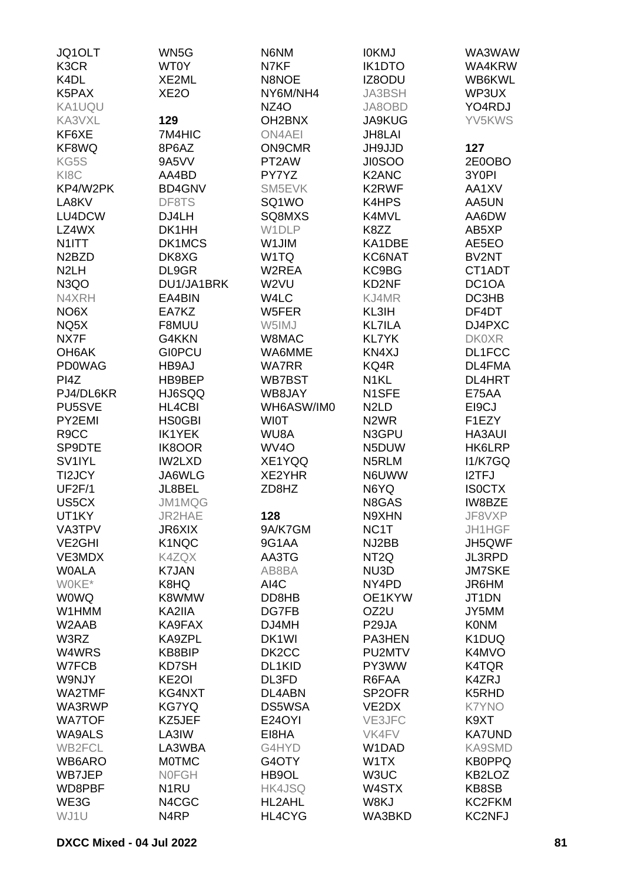| JQ1OLT                         | WN5G               | N6NM                | <b>IOKMJ</b>                  | WA3WAW             |
|--------------------------------|--------------------|---------------------|-------------------------------|--------------------|
| K3CR                           | WT0Y               | N7KF                | <b>IK1DTO</b>                 | WA4KRW             |
| K <sub>4</sub> DL              | XE2ML              | N8NOE               | IZ8ODU                        | WB6KWL             |
| K5PAX                          | XE <sub>2</sub> O  | NY6M/NH4            | <b>JA3BSH</b>                 | WP3UX              |
| KA1UQU                         |                    | NZ <sub>4</sub> O   | JA8OBD                        | YO4RDJ             |
| KA3VXL                         | 129                | OH <sub>2</sub> BNX | <b>JA9KUG</b>                 | YV5KWS             |
| KF6XE                          | 7M4HIC             | <b>ON4AEI</b>       | JH8LAI                        |                    |
| KF8WQ                          | 8P6AZ              | <b>ON9CMR</b>       | JH9JJD                        | 127                |
| KG5S                           | 9A5VV              | PT2AW               | <b>JI0SOO</b>                 | 2E0OBO             |
| KI8C                           | AA4BD              | PY7YZ               | K2ANC                         | 3Y0PI              |
| KP4/W2PK                       | <b>BD4GNV</b>      | SM5EVK              | K2RWF                         | AA1XV              |
| LA8KV                          | DF8TS              | SQ1WO               | K4HPS                         | AA5UN              |
| LU4DCW                         | DJ4LH              | SQ8MXS              | K4MVL                         | AA6DW              |
| LZ4WX                          | DK1HH              | W1DLP               | K8ZZ                          | AB5XP              |
| N1ITT                          | DK1MCS             | W1JIM               | KA1DBE                        | AE5EO              |
| N <sub>2</sub> B <sub>ZD</sub> |                    | W1TQ                |                               | BV2NT              |
| N <sub>2</sub> LH              | DK8XG              |                     | KC6NAT                        |                    |
|                                | DL9GR              | W2REA               | KC9BG                         | CT1ADT             |
| N <sub>3</sub> QO              | DU1/JA1BRK         | W2VU                | KD2NF                         | DC <sub>1</sub> OA |
| N4XRH                          | EA4BIN             | W4LC                | KJ4MR                         | DC3HB              |
| NO <sub>6</sub> X              | EA7KZ              | W5FER               | KL3IH                         | DF4DT              |
| NQ5X                           | F8MUU              | W5IMJ               | <b>KL7ILA</b>                 | DJ4PXC             |
| NX7F                           | G4KKN              | W8MAC               | <b>KL7YK</b>                  | <b>DK0XR</b>       |
| OH <sub>6</sub> AK             | <b>GIOPCU</b>      | WA6MME              | KN4XJ                         | DL1FCC             |
| <b>PD0WAG</b>                  | HB9AJ              | <b>WA7RR</b>        | KQ4R                          | DL4FMA             |
| PI4Z                           | HB9BEP             | WB7BST              | N <sub>1</sub> KL             | <b>DL4HRT</b>      |
| PJ4/DL6KR                      | HJ6SQQ             | WB8JAY              | N1SFE                         | E75AA              |
| PU5SVE                         | HL4CBI             | WH6ASW/IM0          | N <sub>2</sub> L <sub>D</sub> | EI9CJ              |
| PY2EMI                         | <b>HS0GBI</b>      | <b>WIOT</b>         | N <sub>2</sub> WR             | F1EZY              |
| R <sub>9</sub> CC              | <b>IK1YEK</b>      | WU8A                | N3GPU                         | <b>HA3AUI</b>      |
| SP9DTE                         | <b>IK8OOR</b>      | WV <sub>4</sub> O   | N5DUW                         | HK6LRP             |
| SV <sub>1IYL</sub>             | IW2LXD             | XE1YQQ              | N5RLM                         | <b>I1/K7GQ</b>     |
| TI2JCY                         | JA6WLG             | XE2YHR              | N6UWW                         | I2TFJ              |
| <b>UF2F/1</b>                  | JL8BEL             | ZD8HZ               | N6YQ                          | <b>ISOCTX</b>      |
| US5CX                          | JM1MQG             |                     | N8GAS                         | IW8BZE             |
| UT1KY                          | JR2HAE             | 128                 | N9XHN                         | JF8VXP             |
| VA3TPV                         | JR6XIX             | 9A/K7GM             | NC <sub>1</sub> T             | <b>JH1HGF</b>      |
| VE <sub>2</sub> GHI            | K1NQC              | 9G1AA               | NJ2BB                         | JH5QWF             |
| VE3MDX                         | K4ZQX              | AA3TG               | NT <sub>2Q</sub>              | <b>JL3RPD</b>      |
| <b>WOALA</b>                   | K7JAN              | AB8BA               | NU3D                          | <b>JM7SKE</b>      |
| WOKE*                          | K8HQ               | AI4C                | NY4PD                         | JR6HM              |
| <b>WOWQ</b>                    | K8WMW              | DD8HB               | OE1KYW                        | JT1DN              |
| W1HMM                          | KA2IIA             | DG7FB               | OZ2U                          | JY5MM              |
| W <sub>2</sub> AAB             | KA9FAX             | DJ4MH               | P <sub>29</sub> JA            | <b>KONM</b>        |
| W3RZ                           | KA9ZPL             | DK <sub>1</sub> WI  | PA3HEN                        | K1DUQ              |
| W4WRS                          | KB8BIP             | DK <sub>2</sub> CC  | PU2MTV                        | K4MVO              |
| W7FCB                          | KD7SH              | DL1KID              | PY3WW                         | K4TQR              |
| W9NJY                          | KE <sub>2</sub> OI | DL3FD               | R6FAA                         | K4ZRJ              |
| WA2TMF                         | KG4NXT             | DL4ABN              | SP <sub>2</sub> OFR           | K5RHD              |
| WA3RWP                         | KG7YQ              | DS5WSA              | VE2DX                         | <b>K7YNO</b>       |
| <b>WA7TOF</b>                  | KZ5JEF             | <b>E24OYI</b>       | VE3JFC                        | K9XT               |
| <b>WA9ALS</b>                  | LA3IW              | EI8HA               | <b>VK4FV</b>                  | <b>KA7UND</b>      |
| <b>WB2FCL</b>                  | LA3WBA             | G4HYD               | W1DAD                         | <b>KA9SMD</b>      |
| WB6ARO                         | <b>MOTMC</b>       | G4OTY               | W1TX                          | <b>KB0PPQ</b>      |
| WB7JEP                         | <b>NOFGH</b>       | HB9OL               | W3UC                          | KB2LOZ             |
| WD8PBF                         | N <sub>1</sub> RU  | HK4JSQ              | W4STX                         | KB8SB              |
| WE3G                           | N4CGC              | HL2AHL              | W8KJ                          | KC2FKM             |
| WJ1U                           | N4RP               | HL4CYG              | WA3BKD                        | <b>KC2NFJ</b>      |
|                                |                    |                     |                               |                    |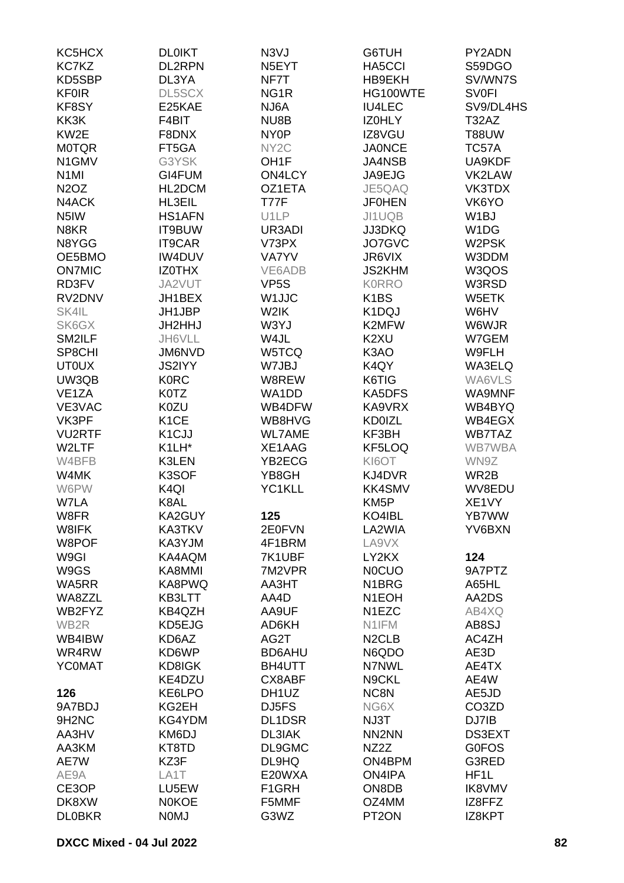| KC5HCX                        | <b>DL0IKT</b>      | N <sub>3</sub> VJ  | G6TUH                              | PY2ADN            |
|-------------------------------|--------------------|--------------------|------------------------------------|-------------------|
| KC7KZ                         | <b>DL2RPN</b>      | N5EYT              | HA5CCI                             | S59DGO            |
| KD5SBP                        | DL3YA              | NF7T               | HB9EKH                             | SV/WN7S           |
| <b>KF0IR</b>                  | DL5SCX             | NG <sub>1</sub> R  | HG100WTE                           | <b>SV0FI</b>      |
| KF8SY                         | E25KAE             | NJ6A               | <b>IU4LEC</b>                      | SV9/DL4HS         |
| KK3K                          | F4BIT              | NU8B               | IZ0HLY                             | T32AZ             |
| KW2E                          | F8DNX              | NY <sub>0</sub> P  | IZ8VGU                             |                   |
|                               |                    |                    |                                    | T88UW             |
| <b>MOTQR</b>                  | FT5GA              | NY <sub>2</sub> C  | <b>JA0NCE</b>                      | TC57A             |
| N1GMV                         | G3YSK              | OH <sub>1</sub> F  | JA4NSB                             | UA9KDF            |
| N <sub>1</sub> MI             | GI4FUM             | <b>ON4LCY</b>      | JA9EJG                             | VK2LAW            |
| N <sub>2</sub> O <sub>Z</sub> | HL2DCM             | OZ1ETA             | JE5QAQ                             | VK3TDX            |
| N4ACK                         | HL3EIL             | T77F               | <b>JF0HEN</b>                      | VK6YO             |
| N <sub>5</sub> IW             | <b>HS1AFN</b>      | U1LP               | JI1UQB                             | W <sub>1</sub> BJ |
| N8KR                          | IT9BUW             | UR3ADI             | <b>JJ3DKQ</b>                      | W1DG              |
| N8YGG                         | IT9CAR             | V73PX              | JO7GVC                             | W2PSK             |
| OE5BMO                        | <b>IW4DUV</b>      | <b>VA7YV</b>       | JR6VIX                             | W3DDM             |
| <b>ON7MIC</b>                 | <b>IZOTHX</b>      | VE6ADB             | <b>JS2KHM</b>                      | W3QOS             |
| RD3FV                         | JA2VUT             | VP <sub>5</sub> S  | <b>K0RRO</b>                       | W3RSD             |
| RV2DNV                        | JH1BEX             | W1JJC              | K <sub>1</sub> BS                  | W5ETK             |
| SK4IL                         | JH1JBP             | W2IK               | K1DQJ                              | W6HV              |
| SK6GX                         | JH2HHJ             | W3YJ               | K2MFW                              | W6WJR             |
| SM2ILF                        | JH6VLL             | W4JL               | K <sub>2</sub> XU                  | W7GEM             |
| SP8CHI                        | JM6NVD             | W5TCQ              | K3AO                               | W9FLH             |
| <b>UT0UX</b>                  | <b>JS2IYY</b>      | W7JBJ              | K4QY                               | WA3ELQ            |
| UW3QB                         | <b>K0RC</b>        | W8REW              | K6TIG                              | WA6VLS            |
| VE <sub>1</sub> ZA            | K0TZ               | WA1DD              | KA5DFS                             | WA9MNF            |
| VE3VAC                        | K0ZU               | WB4DFW             | KA9VRX                             | WB4BYQ            |
| VK3PF                         | K <sub>1</sub> CE  | WB8HVG             | <b>KD0IZL</b>                      | WB4EGX            |
| <b>VU2RTF</b>                 | K <sub>1</sub> CJJ | <b>WL7AME</b>      | KF3BH                              | WB7TAZ            |
| W2LTF                         | K1LH*              | XE1AAG             | KF5LOQ                             | <b>WB7WBA</b>     |
| W4BFB                         | K3LEN              | YB2ECG             | KI6OT                              | WN9Z              |
|                               | K3SOF              | YB8GH              |                                    | WR2B              |
| W4MK                          |                    | YC1KLL             | KJ4DVR                             |                   |
| W6PW                          | K <sub>4Q</sub>    |                    | <b>KK4SMV</b><br>KM <sub>5</sub> P | WV8EDU            |
| W7LA                          | K8AL               |                    |                                    | XE1VY             |
| W8FR                          | KA2GUY             | 125                | KO4IBL                             | YB7WW             |
| W8IFK                         | KA3TKV             | 2E0FVN             | LA2WIA                             | YV6BXN            |
| W8POF                         | KA3YJM             | 4F1BRM             | LA9VX                              |                   |
| W9GI                          | KA4AQM             | 7K1UBF             | LY2KX                              | 124               |
| W9GS                          | KA8MMI             | 7M2VPR             | <b>NOCUO</b>                       | 9A7PTZ            |
| WA5RR                         | KA8PWQ             | AA3HT              | N <sub>1</sub> BRG                 | A65HL             |
| WA8ZZL                        | KB3LTT             | AA4D               | N <sub>1</sub> EOH                 | AA2DS             |
| WB2FYZ                        | KB4QZH             | AA9UF              | N <sub>1</sub> EZC                 | AB4XQ             |
| WB2R                          | KD5EJG             | AD6KH              | N1IFM                              | AB8SJ             |
| WB4IBW                        | KD6AZ              | AG2T               | N <sub>2</sub> CLB                 | AC4ZH             |
| WR4RW                         | KD6WP              | <b>BD6AHU</b>      | N6QDO                              | AE3D              |
| <b>YCOMAT</b>                 | KD8IGK             | BH4UTT             | N7NWL                              | AE4TX             |
|                               | KE4DZU             | CX8ABF             | N9CKL                              | AE4W              |
| 126                           | KE6LPO             | DH <sub>1</sub> UZ | NC8N                               | AE5JD             |
| 9A7BDJ                        | KG2EH              | DJ5FS              | NG6X                               | CO3ZD             |
| 9H <sub>2</sub> NC            | KG4YDM             | DL1DSR             | NJ3T                               | DJ7IB             |
| AA3HV                         | KM6DJ              | <b>DL3IAK</b>      | NN <sub>2</sub> NN                 | DS3EXT            |
| AA3KM                         | KT8TD              | DL9GMC             | NZ2Z                               | <b>G0FOS</b>      |
| AE7W                          | KZ3F               | DL9HQ              | ON4BPM                             | G3RED             |
| AE9A                          | LA1T               | E20WXA             | <b>ON4IPA</b>                      | HF1L              |
| CE3OP                         | LU5EW              | F1GRH              | ON8DB                              | <b>IK8VMV</b>     |
| DK8XW                         | <b>N0KOE</b>       | F5MMF              | OZ4MM                              | IZ8FFZ            |
| <b>DL0BKR</b>                 | <b>NOMJ</b>        | G3WZ               | PT <sub>2</sub> ON                 | IZ8KPT            |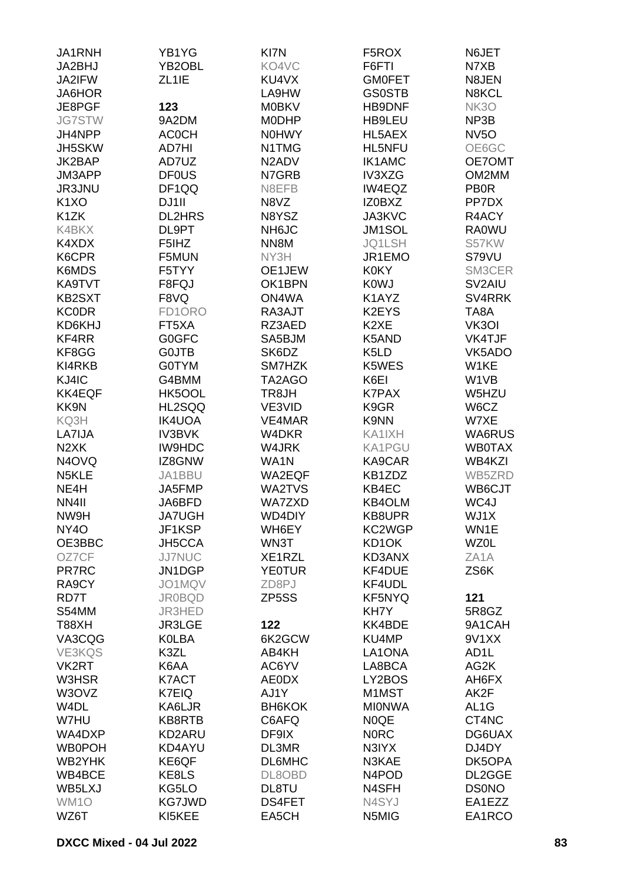| JA1RNH                        | YB1YG              | KI7N                           | F5ROX                          | N6JET               |
|-------------------------------|--------------------|--------------------------------|--------------------------------|---------------------|
| JA2BHJ                        | YB2OBL             | KO4VC                          | F6FTI                          | N7XB                |
| JA2IFW                        | ZL <sub>1</sub> IE | KU4VX                          | <b>GMOFET</b>                  | N8JEN               |
| JA6HOR                        |                    | LA9HW                          | <b>GS0STB</b>                  | N8KCL               |
|                               |                    |                                |                                |                     |
| JE8PGF                        | 123                | <b>M0BKV</b>                   | HB9DNF                         | <b>NK3O</b>         |
| <b>JG7STW</b>                 | 9A2DM              | <b>MODHP</b>                   | HB9LEU                         | NP3B                |
| JH4NPP                        | <b>ACOCH</b>       | <b>N0HWY</b>                   | HL5AEX                         | <b>NV5O</b>         |
| JH5SKW                        | AD7HI              | N1TMG                          | HL5NFU                         | OE6GC               |
| JK2BAP                        | AD7UZ              | N <sub>2</sub> AD <sub>V</sub> | <b>IK1AMC</b>                  | OE7OMT              |
| JM3APP                        | <b>DF0US</b>       | N7GRB                          | IV3XZG                         | OM2MM               |
| JR3JNU                        | DF1QQ              | N8EFB                          | IW4EQZ                         | <b>PB0R</b>         |
| K <sub>1</sub> X <sub>O</sub> | DJ1II              | N8VZ                           | IZ0BXZ                         | PP7DX               |
| K <sub>1</sub> ZK             | <b>DL2HRS</b>      | N8YSZ                          | JA3KVC                         | R4ACY               |
| K4BKX                         | DL9PT              | NH6JC                          | JM1SOL                         | <b>RA0WU</b>        |
| K4XDX                         | F5IHZ              | NN8M                           | JQ1LSH                         | S57KW               |
| K6CPR                         |                    |                                |                                |                     |
|                               | F5MUN              | NY3H                           | JR1EMO                         | S79VU               |
| K6MDS                         | F5TYY              | OE1JEW                         | <b>K0KY</b>                    | SM3CER              |
| KA9TVT                        | F8FQJ              | OK1BPN                         | <b>KOWJ</b>                    | SV <sub>2</sub> AIU |
| <b>KB2SXT</b>                 | F8VQ               | ON4WA                          | K1AYZ                          | SV4RRK              |
| <b>KC0DR</b>                  | FD1ORO             | RA3AJT                         | K2EYS                          | TA8A                |
| KD6KHJ                        | FT5XA              | RZ3AED                         | K <sub>2</sub> XE              | VK3OI               |
| KF4RR                         | G0GFC              | SA5BJM                         | K5AND                          | VK4TJF              |
| KF8GG                         | <b>GOJTB</b>       | SK6DZ                          | K <sub>5</sub> L <sub>D</sub>  | VK5ADO              |
| KI4RKB                        | <b>G0TYM</b>       | SM7HZK                         | K5WES                          | W1KE                |
| KJ4IC                         | G4BMM              | TA2AGO                         | K6EI                           | W <sub>1</sub> VB   |
| <b>KK4EQF</b>                 | HK5OOL             | TR8JH                          | <b>K7PAX</b>                   | W5HZU               |
|                               |                    |                                |                                |                     |
| KK9N                          | HL2SQQ             | VE3VID                         | K9GR                           | W6CZ                |
| KQ3H                          | <b>IK4UOA</b>      | VE4MAR                         | K9NN                           | W7XE                |
| LA7IJA                        | <b>IV3BVK</b>      | W4DKR                          | KA1IXH                         | WA6RUS              |
| N <sub>2</sub> XK             | <b>IW9HDC</b>      | W4JRK                          | KA1PGU                         | <b>WB0TAX</b>       |
| N <sub>4</sub> OVQ            | IZ8GNW             | WA1N                           | KA9CAR                         | WB4KZI              |
| N <sub>5</sub> KLE            | JA1BBU             | WA2EQF                         | KB1ZDZ                         | WB5ZRD              |
| NE4H                          | JA5FMP             | WA2TVS                         | KB4EC                          | WB6CJT              |
| NN4II                         | JA6BFD             | <b>WA7ZXD</b>                  | <b>KB4OLM</b>                  | WC4J                |
| NW9H                          | <b>JA7UGH</b>      | WD4DIY                         | KB8UPR                         | WJ1X                |
| <b>NY40</b>                   | JF1KSP             | WH6EY                          | KC2WGP                         | WN1E                |
| OE3BBC                        | JH5CCA             | WN3T                           | KD1OK                          | <b>WZ0L</b>         |
| OZ7CF                         | <b>JJ7NUC</b>      | XE1RZL                         | KD3ANX                         | ZA <sub>1</sub> A   |
|                               | JN1DGP             | <b>YE0TUR</b>                  | KF4DUE                         | ZS6K                |
| <b>PR7RC</b>                  |                    |                                |                                |                     |
| RA9CY                         | JO1MQV             | ZD8PJ                          | KF4UDL                         |                     |
| RD7T                          | <b>JR0BQD</b>      | ZP <sub>5</sub> SS             | <b>KF5NYQ</b>                  | 121                 |
| S54MM                         | JR3HED             |                                | KH7Y                           | 5R8GZ               |
| <b>T88XH</b>                  | JR3LGE             | 122                            | KK4BDE                         | 9A1CAH              |
| VA3CQG                        | <b>KOLBA</b>       | 6K2GCW                         | KU4MP                          | 9V1XX               |
| VE3KQS                        | K3ZL               | AB4KH                          | LA1ONA                         | AD <sub>1</sub> L   |
| VK2RT                         | K6AA               | AC6YV                          | LA8BCA                         | AG2K                |
| W3HSR                         | K7ACT              | <b>AE0DX</b>                   | LY2BOS                         | AH6FX               |
| W3OVZ                         | K7EIQ              | AJ1Y                           | M1MST                          | AK2F                |
| W <sub>4</sub> DL             | KA6LJR             | <b>BH6KOK</b>                  | <b>MIONWA</b>                  | AL <sub>1</sub> G   |
| W7HU                          | KB8RTB             | C6AFQ                          | <b>NOQE</b>                    | CT4NC               |
| WA4DXP                        | KD2ARU             | DF9IX                          | <b>NORC</b>                    | DG6UAX              |
| <b>WB0POH</b>                 | KD4AYU             | DL3MR                          |                                | DJ4DY               |
|                               |                    |                                | N3IYX                          |                     |
| WB2YHK                        | KE6QF              | <b>DL6MHC</b>                  | N3KAE                          | DK5OPA              |
| WB4BCE                        | KE8LS              | DL8OBD                         | N <sub>4</sub> PO <sub>D</sub> | DL2GGE              |
| WB5LXJ                        | KG5LO              | DL8TU                          | N4SFH                          | <b>DS0NO</b>        |
| WM1O                          | <b>KG7JWD</b>      | DS4FET                         | N4SYJ                          | EA1EZZ              |
| WZ6T                          | KI5KEE             | EA5CH                          | N5MIG                          | EA1RCO              |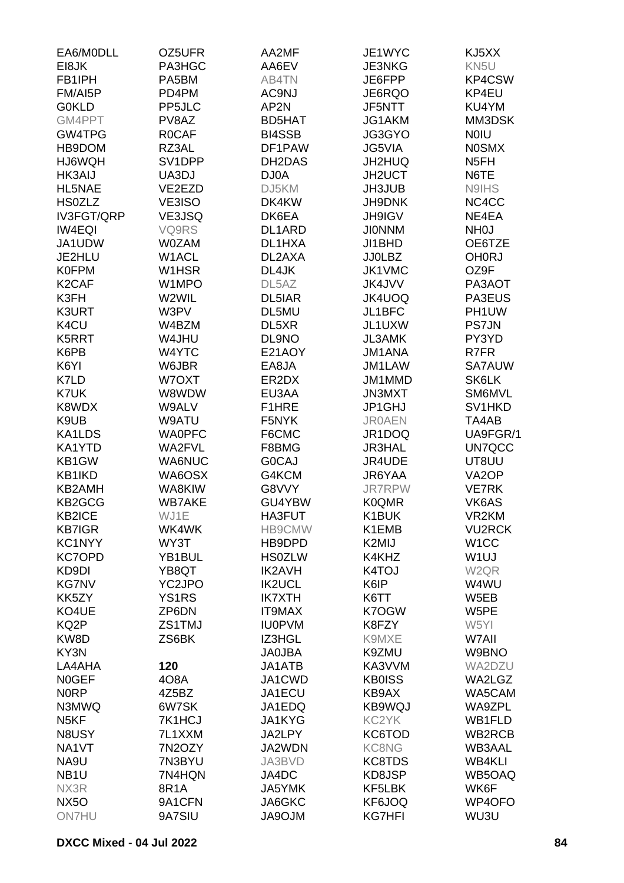| EA6/MODLL          | OZ5UFR        | AA2MF              | JE1WYC        | KJ5XX              |
|--------------------|---------------|--------------------|---------------|--------------------|
| EI8JK              | PA3HGC        | AA6EV              | JE3NKG        | KN5U               |
| FB1IPH             | PA5BM         | AB4TN              | JE6FPP        | KP4CSW             |
| FM/AI5P            | PD4PM         | AC9NJ              | JE6RQO        | KP4EU              |
| <b>G0KLD</b>       | PP5JLC        | AP2N               | <b>JF5NTT</b> | KU4YM              |
| GM4PPT             | PV8AZ         | <b>BD5HAT</b>      | JG1AKM        | MM3DSK             |
| GW4TPG             | R0CAF         | <b>BI4SSB</b>      | JG3GYO        | <b>NOIU</b>        |
| HB9DOM             | RZ3AL         | DF1PAW             | <b>JG5VIA</b> | <b>NOSMX</b>       |
| HJ6WQH             | SV1DPP        | DH2DAS             | JH2HUQ        | N5FH               |
| <b>HK3AIJ</b>      | UA3DJ         | DJ0A               | <b>JH2UCT</b> | N6TE               |
| HL5NAE             | VE2EZD        | DJ5KM              | JH3JUB        | N9IHS              |
| <b>HS0ZLZ</b>      | VE3ISO        | DK4KW              | <b>JH9DNK</b> | NC4CC              |
| IV3FGT/QRP         | VE3JSQ        | DK6EA              | <b>JH9IGV</b> | NE4EA              |
| <b>IW4EQI</b>      | VQ9RS         | DL1ARD             | <b>JIONNM</b> | <b>NHOJ</b>        |
| JA1UDW             | <b>W0ZAM</b>  | DL1HXA             | JI1BHD        | OE6TZE             |
| JE2HLU             | W1ACL         | DL2AXA             | <b>JJ0LBZ</b> | <b>OH0RJ</b>       |
| <b>K0FPM</b>       | W1HSR         | DL4JK              | <b>JK1VMC</b> | OZ9F               |
| K <sub>2</sub> CAF | W1MPO         | DL <sub>5</sub> AZ | <b>JK4JVV</b> | PA3AOT             |
| K3FH               | W2WIL         | DL5IAR             | <b>JK4UOQ</b> | PA3EUS             |
| K3URT              | W3PV          | DL5MU              | JL1BFC        | PH1UW              |
| K4CU               | W4BZM         | DL5XR              | JL1UXW        | <b>PS7JN</b>       |
| K5RRT              | W4JHU         | DL9NO              | <b>JL3AMK</b> | PY3YD              |
| K6PB               | W4YTC         | E21AOY             | <b>JM1ANA</b> | R7FR               |
| K6YI               | W6JBR         | EA8JA              | <b>JM1LAW</b> | <b>SA7AUW</b>      |
| K7LD               | W7OXT         | ER2DX              | JM1MMD        | SK6LK              |
| K7UK               | W8WDW         | EU3AA              | <b>JN3MXT</b> | SM6MVL             |
| K8WDX              | W9ALV         | F1HRE              | JP1GHJ        | SV1HKD             |
| K9UB               | W9ATU         | F5NYK              | <b>JR0AEN</b> | TA4AB              |
| KA1LDS             | <b>WA0PFC</b> | F6CMC              | JR1DOQ        | UA9FGR/1           |
| KA1YTD             | <b>WA2FVL</b> | F8BMG              | <b>JR3HAL</b> | UN7QCC             |
| KB1GW              | <b>WA6NUC</b> | <b>GOCAJ</b>       | JR4UDE        | UT8UU              |
| KB1IKD             | WA6OSX        | G4KCM              | JR6YAA        | VA <sub>2</sub> OP |
| <b>KB2AMH</b>      | WA8KIW        | G8VVY              | <b>JR7RPW</b> | <b>VE7RK</b>       |
| KB2GCG             | <b>WB7AKE</b> | GU4YBW             | <b>K0QMR</b>  | VK6AS              |
| KB2ICE             | WJ1E          | HA3FUT             | K1BUK         | VR2KM              |
| <b>KB7IGR</b>      | WK4WK         | HB9CMW             | K1EMB         | <b>VU2RCK</b>      |
| KC1NYY             | WY3T          | HB9DPD             | K2MIJ         | W <sub>1</sub> CC  |
| <b>KC7OPD</b>      | YB1BUL        | <b>HS0ZLW</b>      | K4KHZ         | W <sub>1</sub> UJ  |
| KD9DI              | YB8QT         | <b>IK2AVH</b>      | K4TOJ         | W <sub>2QR</sub>   |
| <b>KG7NV</b>       | YC2JPO        | <b>IK2UCL</b>      | K6IP          | W4WU               |
| KK5ZY              | <b>YS1RS</b>  | <b>IK7XTH</b>      | K6TT          | W5EB               |
| KO4UE              | ZP6DN         | <b>IT9MAX</b>      | K7OGW         | W5PE               |
| KQ2P               | ZS1TMJ        | <b>IU0PVM</b>      | K8FZY         | W5YI               |
| KW8D               | ZS6BK         | IZ3HGL             | K9MXE         | W7AII              |
| KY3N               |               | <b>JA0JBA</b>      | K9ZMU         | W9BNO              |
| LA4AHA             | 120           | JA1ATB             | KA3VVM        | WA2DZU             |
| <b>NOGEF</b>       | 4O8A          | JA1CWD             | <b>KB0ISS</b> | WA2LGZ             |
| <b>NORP</b>        | 4Z5BZ         | JA1ECU             | KB9AX         | WA5CAM             |
| N3MWQ              | 6W7SK         | JA1EDQ             | KB9WQJ        | WA9ZPL             |
| N <sub>5</sub> KF  | 7K1HCJ        | JA1KYG             | KC2YK         | WB1FLD             |
| N8USY              | 7L1XXM        | JA2LPY             | KC6TOD        | WB2RCB             |
| NA1VT              | 7N2OZY        | JA2WDN             | KC8NG         | <b>WB3AAL</b>      |
| NA9U               | 7N3BYU        | JA3BVD             | KC8TDS        | <b>WB4KLI</b>      |
| NB <sub>1U</sub>   | 7N4HQN        | JA4DC              | KD8JSP        | WB5OAQ             |
| NX3R               | 8R1A          | JA5YMK             | KF5LBK        | WK6F               |
| <b>NX5O</b>        | 9A1CFN        | JA6GKC             | KF6JOQ        | WP4OFO             |
| <b>ON7HU</b>       | 9A7SIU        | <b>MLOPAL</b>      | <b>KG7HFI</b> | WU3U               |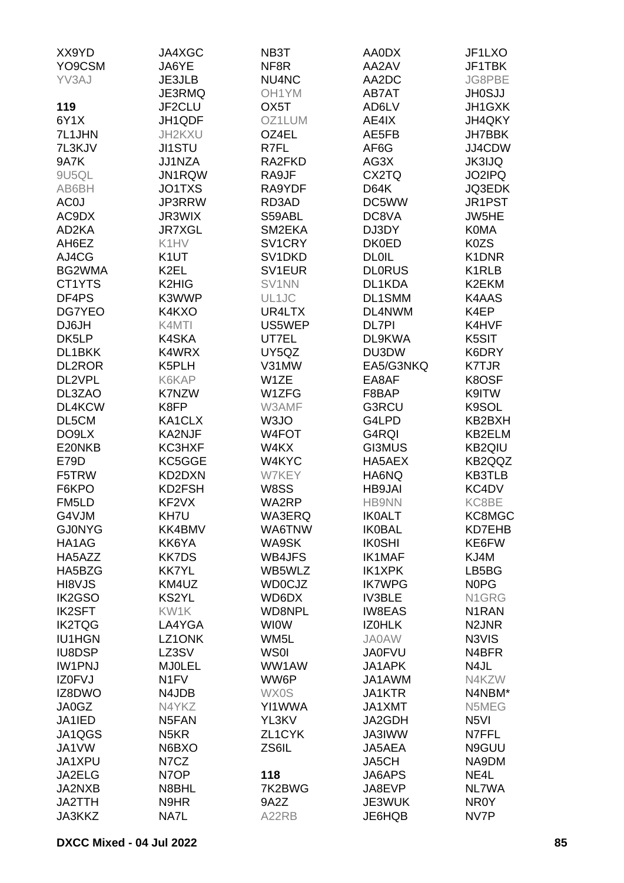| XX9YD           | JA4XGC             | NB3T                | AA0DX         | JF1LXO             |
|-----------------|--------------------|---------------------|---------------|--------------------|
| YO9CSM          | JA6YE              | NF8R                | AA2AV         | JF1TBK             |
| YV3AJ           | JE3JLB             | NU4NC               | AA2DC         | JG8PBE             |
|                 | JE3RMQ             | OH <sub>1</sub> YM  | AB7AT         | <b>JH0SJJ</b>      |
| 119             | JF2CLU             | OX <sub>5</sub> T   | AD6LV         | JH1GXK             |
| 6Y1X            | JH1QDF             | OZ1LUM              | AE4IX         | JH4QKY             |
| 7L1JHN          | JH2KXU             | OZ4EL               | AE5FB         | JH7BBK             |
| 7L3KJV          | <b>JI1STU</b>      | R7FL                | AF6G          | JJ4CDW             |
| 9A7K            |                    | RA2FKD              |               |                    |
|                 | JJ1NZA             |                     | AG3X          | <b>JK3IJQ</b>      |
| 9U5QL           | JN1RQW             | RA9JF               | CX2TQ         | JO2IPQ             |
| AB6BH           | JO1TXS             | RA9YDF              | <b>D64K</b>   | <b>JQ3EDK</b>      |
| AC <sub>0</sub> | JP3RRW             | RD3AD               | DC5WW         | JR1PST             |
| AC9DX           | JR3WIX             | S59ABL              | DC8VA         | JW5HE              |
| AD2KA           | <b>JR7XGL</b>      | SM2EKA              | DJ3DY         | <b>K0MA</b>        |
| AH6EZ           | K1HV               | SV <sub>1</sub> CRY | <b>DK0ED</b>  | K0ZS               |
| AJ4CG           | K <sub>1</sub> UT  | SV1DKD              | <b>DL0IL</b>  | K1DNR              |
| BG2WMA          | K <sub>2EL</sub>   | SV <sub>1</sub> EUR | <b>DLORUS</b> | K1RLB              |
| CT1YTS          | K2HIG              | SV1NN               | DL1KDA        | K2EKM              |
| DF4PS           | K3WWP              | UL1JC               | DL1SMM        | K4AAS              |
| DG7YEO          | K4KXO              | UR4LTX              | DL4NWM        | K4EP               |
| DJ6JH           | K4MTI              | US5WEP              | <b>DL7PI</b>  | K4HVF              |
| DK5LP           | K4SKA              | UT7EL               | DL9KWA        | K5SIT              |
| DL1BKK          | K4WRX              | UY5QZ               | DU3DW         | K6DRY              |
| <b>DL2ROR</b>   | K5PLH              | V31MW               | EA5/G3NKQ     | <b>K7TJR</b>       |
| DL2VPL          | K6KAP              | W1ZE                | EA8AF         | K8OSF              |
| DL3ZAO          | K7NZW              | W1ZFG               | F8BAP         | K9ITW              |
| DL4KCW          | K8FP               | W3AMF               | G3RCU         | K9SOL              |
| DL5CM           | KA1CLX             | W <sub>3</sub> JO   | G4LPD         | KB2BXH             |
| DO9LX           | KA2NJF             | W4FOT               | G4RQI         | KB2ELM             |
| E20NKB          | KC3HXF             | W4KX                | <b>GI3MUS</b> | KB2QIU             |
| E79D            | KC5GGE             | W4KYC               | HA5AEX        | KB2QQZ             |
| F5TRW           | KD2DXN             | W7KEY               | HA6NQ         | <b>KB3TLB</b>      |
| F6KPO           | KD2FSH             | W8SS                | <b>HB9JAI</b> | KC4DV              |
| FM5LD           | KF <sub>2</sub> VX | WA2RP               | <b>HB9NN</b>  | KC8BE              |
| G4VJM           | KH7U               | WA3ERQ              | <b>IK0ALT</b> | KC8MGC             |
| <b>GJ0NYG</b>   | KK4BMV             | WA6TNW              | <b>IK0BAL</b> | KD7EHB             |
| HA1AG           | KK6YA              | WA9SK               | <b>IK0SHI</b> | KE6FW              |
| HA5AZZ          | <b>KK7DS</b>       | WB4JFS              | <b>IK1MAF</b> | KJ4M               |
|                 |                    |                     |               |                    |
| HA5BZG          | <b>KK7YL</b>       | WB5WLZ              | <b>IK1XPK</b> | LB5BG              |
| HI8VJS          | KM4UZ              | <b>WD0CJZ</b>       | <b>IK7WPG</b> | N0PG               |
| IK2GSO          | <b>KS2YL</b>       | WD6DX               | <b>IV3BLE</b> | N1GRG              |
| <b>IK2SFT</b>   | KW1K               | WD8NPL              | <b>IW8EAS</b> | N <sub>1</sub> RAN |
| <b>IK2TQG</b>   | LA4YGA             | <b>WIOW</b>         | <b>IZOHLK</b> | N <sub>2</sub> JNR |
| <b>IU1HGN</b>   | LZ1ONK             | WM <sub>5</sub> L   | <b>JA0AW</b>  | N3VIS              |
| <b>IU8DSP</b>   | LZ3SV              | <b>WSOI</b>         | <b>JA0FVU</b> | N4BFR              |
| <b>IW1PNJ</b>   | <b>MJ0LEL</b>      | WW1AW               | JA1APK        | N4JL               |
| IZ0FVJ          | N <sub>1</sub> FV  | WW6P                | JA1AWM        | N4KZW              |
| IZ8DWO          | N4JDB              | <b>WX0S</b>         | JA1KTR        | N4NBM*             |
| JA0GZ           | N4YKZ              | YI1WWA              | JA1XMT        | N5MEG              |
| JA1IED          | N5FAN              | YL3KV               | JA2GDH        | N <sub>5</sub> VI  |
| JA1QGS          | N <sub>5</sub> KR  | ZL1CYK              | <b>JA3IWW</b> | N7FFL              |
| JA1VW           | N6BXO              | ZS6IL               | JA5AEA        | N9GUU              |
| JA1XPU          | N7CZ               |                     | JA5CH         | NA9DM              |
| JA2ELG          | N7OP               | 118                 | JA6APS        | NE4L               |
| JA2NXB          | N8BHL              | 7K2BWG              | JA8EVP        | NL7WA              |
| JA2TTH          | N9HR               | 9A2Z                | JE3WUK        | NR0Y               |
| <b>JA3KKZ</b>   | NA7L               | A22RB               | JE6HQB        | NV7P               |
|                 |                    |                     |               |                    |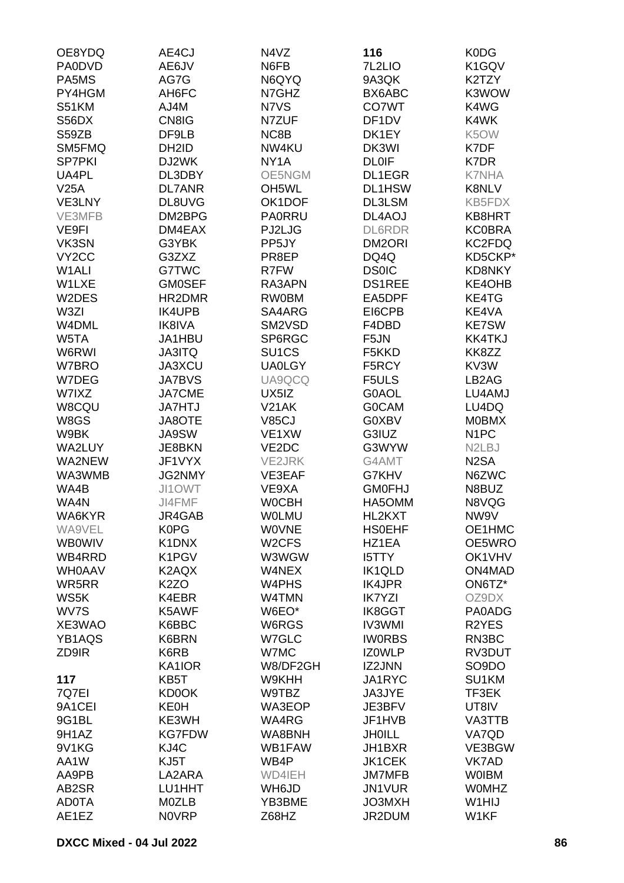| OE8YDQ             | AE4CJ              | N4VZ               | 116                | K0DG                            |
|--------------------|--------------------|--------------------|--------------------|---------------------------------|
| <b>PA0DVD</b>      | AE6JV              | N6FB               | 7L2LIO             | K1GQV                           |
| PA5MS              | AG7G               | N6QYQ              | 9A3QK              | K2TZY                           |
| PY4HGM             |                    |                    |                    |                                 |
|                    | AH6FC              | N7GHZ              | BX6ABC             | K3WOW                           |
| S51KM              | AJ4M               | N7VS               | CO7WT              | K4WG                            |
| S56DX              | CN8IG              | N7ZUF              | DF <sub>1</sub> DV | K4WK                            |
| S59ZB              | DF9LB              | NC8B               | DK1EY              | K5OW                            |
| SM5FMQ             | DH <sub>2</sub> ID | NW4KU              | DK3WI              | K7DF                            |
| <b>SP7PKI</b>      | DJ2WK              | NY <sub>1</sub> A  | <b>DL0IF</b>       | K7DR                            |
| UA4PL              | DL3DBY             | OE5NGM             | DL1EGR             | <b>K7NHA</b>                    |
| V25A               | <b>DL7ANR</b>      | OH <sub>5</sub> WL | DL1HSW             | K8NLV                           |
| VE3LNY             | DL8UVG             | OK1DOF             | DL3LSM             | KB5FDX                          |
| VE3MFB             | DM2BPG             | <b>PA0RRU</b>      | DL4AOJ             | KB8HRT                          |
| VE9FI              | DM4EAX             | PJ2LJG             | <b>DL6RDR</b>      | <b>KC0BRA</b>                   |
| VK3SN              | G3YBK              | PP <sub>5</sub> JY | DM2ORI             | KC2FDQ                          |
| VY <sub>2</sub> CC |                    |                    |                    |                                 |
|                    | G3ZXZ              | PR8EP              | DQ4Q               | KD5CKP*                         |
| W1ALI              | G7TWC              | R7FW               | <b>DS0IC</b>       | KD8NKY                          |
| W1LXE              | <b>GM0SEF</b>      | RA3APN             | <b>DS1REE</b>      | KE4OHB                          |
| W2DES              | HR2DMR             | <b>RW0BM</b>       | EA5DPF             | KE4TG                           |
| W3ZI               | <b>IK4UPB</b>      | SA4ARG             | EI6CPB             | KE4VA                           |
| W4DML              | <b>IK8IVA</b>      | SM2VSD             | F4DBD              | <b>KE7SW</b>                    |
| W5TA               | JA1HBU             | SP6RGC             | F <sub>5</sub> JN  | <b>KK4TKJ</b>                   |
| W6RWI              | <b>JA3ITQ</b>      | SU <sub>1</sub> CS | F5KKD              | KK8ZZ                           |
| W7BRO              | <b>JA3XCU</b>      | <b>UA0LGY</b>      | F5RCY              | KV3W                            |
| W7DEG              | <b>JA7BVS</b>      | UA9QCQ             | F5ULS              | LB2AG                           |
| W7IXZ              | <b>JA7CME</b>      | UX5IZ              | G0AOL              | LU4AMJ                          |
|                    |                    |                    |                    |                                 |
| W8CQU              | <b>JA7HTJ</b>      | <b>V21AK</b>       | <b>GOCAM</b>       | LU4DQ                           |
| W8GS               | <b>JA8OTE</b>      | <b>V85CJ</b>       | G0XBV              | <b>MOBMX</b>                    |
| W9BK               | <b>JA9SW</b>       | VE1XW              | G3IUZ              | N <sub>1</sub> PC               |
| WA2LUY             | JE8BKN             | VE2DC              | G3WYW              | N <sub>2</sub> L <sub>B</sub> J |
| WA2NEW             | JF1VYX             | <b>VE2JRK</b>      | G4AMT              | N <sub>2</sub> SA               |
| WA3WMB             | <b>JG2NMY</b>      | VE3EAF             | G7KHV              | N6ZWC                           |
| WA4B               | JI1OWT             | VE9XA              | <b>GM0FHJ</b>      | N8BUZ                           |
| WA4N               | JI4FMF             | <b>WOCBH</b>       | HA5OMM             | N8VQG                           |
| WA6KYR             | JR4GAB             | <b>WOLMU</b>       | HL2KXT             | NW9V                            |
| WA9VEL             | <b>K0PG</b>        | <b>WOVNE</b>       | <b>HSOEHF</b>      | OE1HMC                          |
| <b>WB0WIV</b>      | K1DNX              | W <sub>2</sub> CFS | HZ1EA              | OE5WRO                          |
| WB4RRD             | K1PGV              | W3WGW              | <b>I5TTY</b>       | OK1VHV                          |
| <b>WHOAAV</b>      | K2AQX              | W4NEX              | IK1QLD             | ON4MAD                          |
| WR5RR              | K <sub>2</sub> ZO  | W <sub>4</sub> PHS | <b>IK4JPR</b>      | ON6TZ*                          |
|                    |                    |                    |                    |                                 |
| WS5K               | K4EBR              | W4TMN              | <b>IK7YZI</b>      | OZ9DX                           |
| WV7S               | K5AWF              | W6EO*              | IK8GGT             | PA0ADG                          |
| XE3WAO             | K6BBC              | W6RGS              | <b>IV3WMI</b>      | R <sub>2</sub> YES              |
| YB1AQS             | K6BRN              | W7GLC              | <b>IWORBS</b>      | RN3BC                           |
| ZD9IR              | K6RB               | W7MC               | <b>IZOWLP</b>      | RV3DUT                          |
|                    | KA1IOR             | W8/DF2GH           | <b>IZ2JNN</b>      | SO <sub>9</sub> DO              |
| 117                | KB5T               | W9KHH              | JA1RYC             | SU1KM                           |
| 7Q7EI              | <b>KD0OK</b>       | W9TBZ              | JA3JYE             | TF3EK                           |
| 9A1CEI             | <b>KE0H</b>        | WA3EOP             | JE3BFV             | UT8IV                           |
| 9G1BL              | KE3WH              | WA4RG              | JF1HVB             | VA3TTB                          |
| 9H1AZ              | <b>KG7FDW</b>      | WA8BNH             | <b>JHOILL</b>      | VA7QD                           |
| 9V1KG              | KJ4C               | WB1FAW             | JH1BXR             | VE3BGW                          |
|                    | KJ5T               | WB4P               | <b>JK1CEK</b>      | VK7AD                           |
| AA1W               |                    |                    |                    |                                 |
| AA9PB              | LA2ARA             | WD4IEH             | <b>JM7MFB</b>      | <b>WOIBM</b>                    |
| AB2SR              | LU1HHT             | WH6JD              | JN1VUR             | <b>WOMHZ</b>                    |
| <b>AD0TA</b>       | <b>MOZLB</b>       | YB3BME             | <b>JO3MXH</b>      | W1HIJ                           |
| AE1EZ              | <b>NOVRP</b>       | Z68HZ              | JR2DUM             | W1KF                            |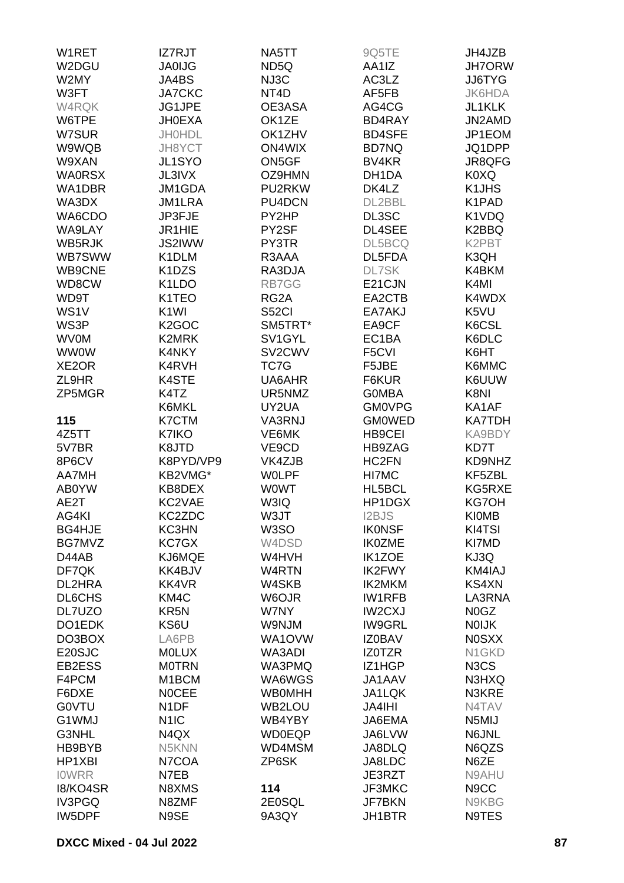| W1RET         | <b>IZ7RJT</b>                   | NA5TT               | 9Q5TE             | JH4JZB                        |
|---------------|---------------------------------|---------------------|-------------------|-------------------------------|
| W2DGU         | <b>JA0IJG</b>                   | ND5Q                | AA1IZ             | <b>JH7ORW</b>                 |
| W2MY          | JA4BS                           | NJ3C                | AC3LZ             | <b>JJ6TYG</b>                 |
| W3FT          | <b>JA7CKC</b>                   | NT <sub>4</sub> D   | AF5FB             | <b>JK6HDA</b>                 |
| W4RQK         | JG1JPE                          | OE3ASA              | AG4CG             | JL1KLK                        |
|               |                                 |                     |                   |                               |
| W6TPE         | <b>JH0EXA</b>                   | OK1ZE               | BD4RAY            | JN2AMD                        |
| W7SUR         | <b>JH0HDL</b>                   | OK1ZHV              | <b>BD4SFE</b>     | JP1EOM                        |
| W9WQB         | JH8YCT                          | <b>ON4WIX</b>       | <b>BD7NQ</b>      | JQ1DPP                        |
| W9XAN         | JL1SYO                          | ON5GF               | BV <sub>4KR</sub> | JR8QFG                        |
| <b>WA0RSX</b> | <b>JL3IVX</b>                   | OZ9HMN              | DH1DA             | K0XQ                          |
| WA1DBR        | JM1GDA                          | PU2RKW              | DK4LZ             | K1JHS                         |
| WA3DX         | <b>JM1LRA</b>                   | PU4DCN              | DL2BBL            | K1PAD                         |
| WA6CDO        | JP3FJE                          | PY2HP               | DL3SC             | K1VDQ                         |
| WA9LAY        | JR1HIE                          | PY2SF               | DL4SEE            | K2BBQ                         |
| WB5RJK        | JS2IWW                          | PY3TR               | DL5BCQ            | K2PBT                         |
| <b>WB7SWW</b> | K1DLM                           | R3AAA               | DL5FDA            | K3QH                          |
| WB9CNE        | K <sub>1</sub> D <sub>Z</sub> S | RA3DJA              | <b>DL7SK</b>      | K4BKM                         |
| WD8CW         | K <sub>1</sub> LDO              | RB7GG               | E21CJN            | K4MI                          |
| WD9T          | K1TEO                           | RG <sub>2</sub> A   | EA2CTB            | K4WDX                         |
|               | K <sub>1</sub> WI               |                     |                   |                               |
| WS1V          |                                 | <b>S52CI</b>        | EA7AKJ            | K5VU                          |
| WS3P          | K <sub>2</sub> GOC              | SM5TRT*             | EA9CF             | K6CSL                         |
| <b>WV0M</b>   | K2MRK                           | SV1GYL              | EC1BA             | K6DLC                         |
| <b>WW0W</b>   | K4NKY                           | SV <sub>2</sub> CWV | F5CVI             | K6HT                          |
| XE2OR         | K4RVH                           | TC7G                | F5JBE             | K6MMC                         |
| ZL9HR         | K4STE                           | UA6AHR              | F6KUR             | K6UUW                         |
| ZP5MGR        | K <sub>4</sub> T <sub>Z</sub>   | UR5NMZ              | <b>GOMBA</b>      | K8NI                          |
|               | K6MKL                           | UY2UA               | <b>GM0VPG</b>     | KA1AF                         |
| 115           | <b>K7CTM</b>                    | VA3RNJ              | <b>GMOWED</b>     | <b>KA7TDH</b>                 |
| 4Z5TT         | K7IKO                           | VE6MK               | <b>HB9CEI</b>     | KA9BDY                        |
| 5V7BR         | K8JTD                           | VE9CD               | HB9ZAG            | KD7T                          |
| 8P6CV         | K8PYD/VP9                       | VK4ZJB              | HC2FN             | KD9NHZ                        |
| AA7MH         | KB2VMG*                         | <b>WOLPF</b>        | HI7MC             | KF5ZBL                        |
| AB0YW         | KB8DEX                          | <b>WOWT</b>         | HL5BCL            | KG5RXE                        |
| AE2T          | KC2VAE                          | W3IQ                | HP1DGX            | <b>KG7OH</b>                  |
| AG4KI         | KC2ZDC                          | W3JT                | I2BJS             | <b>KI0MB</b>                  |
| BG4HJE        | <b>KC3HN</b>                    | W <sub>3</sub> SO   | <b>IKONSF</b>     | KI4TSI                        |
| BG7MVZ        | KC7GX                           | W4DSD               | <b>IK0ZME</b>     | KI7MD                         |
| D44AB         |                                 | W4HVH               |                   |                               |
|               | KJ6MQE                          |                     | <b>IK1ZOE</b>     | KJ3Q                          |
| DF7QK         | KK4BJV                          | W4RTN               | <b>IK2FWY</b>     | KM4IAJ                        |
| DL2HRA        | KK4VR                           | W4SKB               | IK2MKM            | <b>KS4XN</b>                  |
| <b>DL6CHS</b> | KM4C                            | W6OJR               | <b>IW1RFB</b>     | LA3RNA                        |
| DL7UZO        | KR <sub>5N</sub>                | W7NY                | <b>IW2CXJ</b>     | N <sub>0</sub> GZ             |
| DO1EDK        | KS6U                            | <b>ML/RW</b>        | <b>IW9GRL</b>     | <b>NOIJK</b>                  |
| DO3BOX        | LA6PB                           | WA1OVW              | <b>IZ0BAV</b>     | <b>NOSXX</b>                  |
| E20SJC        | <b>MOLUX</b>                    | <b>WA3ADI</b>       | <b>IZOTZR</b>     | N <sub>1</sub> GKD            |
| EB2ESS        | <b>MOTRN</b>                    | WA3PMQ              | IZ1HGP            | N <sub>3</sub> C <sub>S</sub> |
| F4PCM         | M <sub>1</sub> BCM              | WA6WGS              | JA1AAV            | N3HXQ                         |
| F6DXE         | <b>NOCEE</b>                    | <b>WBOMHH</b>       | JA1LQK            | N3KRE                         |
| <b>GOVTU</b>  | N <sub>1</sub> DF               | <b>WB2LOU</b>       | <b>JA4IHI</b>     | N4TAV                         |
| G1WMJ         | N <sub>1</sub> IC               | WB4YBY              | JA6EMA            | N5MIJ                         |
| G3NHL         | N4QX                            | <b>WD0EQP</b>       | JA6LVW            | N6JNL                         |
| HB9BYB        | N5KNN                           | WD4MSM              | JA8DLQ            | N6QZS                         |
| HP1XBI        | N7COA                           | ZP6SK               | JA8LDC            | N6ZE                          |
| <b>IOWRR</b>  | N7EB                            |                     | JE3RZT            | N9AHU                         |
| 18/KO4SR      | N8XMS                           | 114                 | JF3MKC            | N <sub>9</sub> CC             |
| <b>IV3PGQ</b> | N8ZMF                           |                     |                   |                               |
|               |                                 | 2E0SQL              | <b>JF7BKN</b>     | N9KBG                         |
| <b>IW5DPF</b> | N9SE                            | 9A3QY               | JH1BTR            | N9TES                         |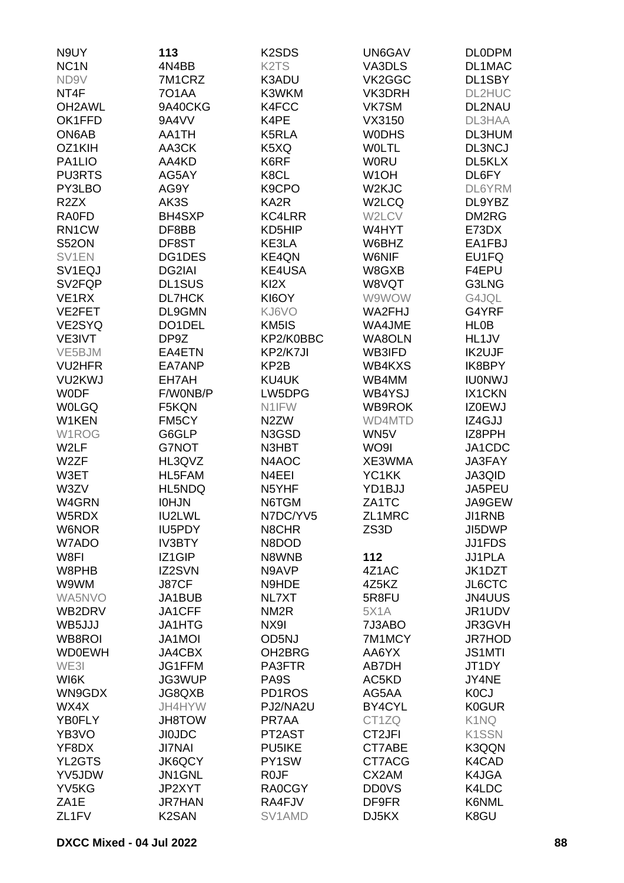| N9UY                | 113                | K <sub>2</sub> SD <sub>S</sub> | UN6GAV             | <b>DLODPM</b>      |
|---------------------|--------------------|--------------------------------|--------------------|--------------------|
| NC <sub>1</sub> N   | 4N4BB              | K <sub>2</sub> T <sub>S</sub>  | VA3DLS             | DL1MAC             |
| ND9V                | 7M1CRZ             | K3ADU                          | VK2GGC             | DL1SBY             |
| NT4F                | <b>701AA</b>       | K3WKM                          | VK3DRH             | DL2HUC             |
| OH <sub>2</sub> AWL | 9A40CKG            | K4FCC                          | VK7SM              | DL2NAU             |
| OK1FFD              | 9A4VV              | K4PE                           | VX3150             | DL3HAA             |
| ON6AB               | AA1TH              | K5RLA                          | <b>WODHS</b>       | DL3HUM             |
|                     |                    |                                |                    |                    |
| OZ1KIH              | AA3CK              | K5XQ                           | <b>WOLTL</b>       | DL3NCJ             |
| PA1LIO              | AA4KD              | K6RF                           | <b>W0RU</b>        | DL5KLX             |
| <b>PU3RTS</b>       | AG5AY              | K8CL                           | W <sub>1</sub> OH  | DL6FY              |
| PY3LBO              | AG9Y               | K9CPO                          | W <sub>2</sub> KJC | DL6YRM             |
| R <sub>2</sub> ZX   | AK3S               | KA <sub>2</sub> R              | W2LCQ              | DL9YBZ             |
| <b>RA0FD</b>        | BH4SXP             | <b>KC4LRR</b>                  | W2LCV              | DM2RG              |
| RN1CW               | DF8BB              | KD5HIP                         | W4HYT              | E73DX              |
| <b>S52ON</b>        | DF8ST              | KE3LA                          | W6BHZ              | EA1FBJ             |
| SV1EN               | DG1DES             | KE4QN                          | W6NIF              | EU1FQ              |
| SV <sub>1</sub> EQJ | DG2IAI             | KE4USA                         | W8GXB              | F4EPU              |
| SV <sub>2FQP</sub>  | <b>DL1SUS</b>      | KI <sub>2</sub> X              | W8VQT              | G3LNG              |
| VE1RX               | <b>DL7HCK</b>      | KI6OY                          | W9WOW              | G4JQL              |
| VE2FET              | DL9GMN             | KJ6VO                          | WA2FHJ             | G4YRF              |
| VE2SYQ              | DO1DEL             | KM5IS                          | WA4JME             | <b>HL0B</b>        |
| VE3IVT              | DP9Z               | KP2/K0BBC                      | WA8OLN             | HL1JV              |
| VE5BJM              | EA4ETN             | KP2/K7JI                       | WB3IFD             | IK2UJF             |
| <b>VU2HFR</b>       | EA7ANP             | KP2B                           | WB4KXS             | IK8BPY             |
| VU2KWJ              | EH7AH              | KU4UK                          | WB4MM              | <b>IU0NWJ</b>      |
| <b>WODF</b>         | F/W0NB/P           | LW5DPG                         | WB4YSJ             | IX1CKN             |
| <b>WOLGQ</b>        | F5KQN              | N1IFW                          | WB9ROK             | <b>IZ0EWJ</b>      |
| W1KEN               | FM5CY              | N <sub>2</sub> ZW              | WD4MTD             | IZ4GJJ             |
| W1ROG               | G6GLP              | N3GSD                          | WN5V               | IZ8PPH             |
| W2LF                | G7NOT              | N3HBT                          | WO9I               | JA1CDC             |
| W2ZF                | HL3QVZ             | N4AOC                          | XE3WMA             | JA3FAY             |
| W3ET                | HL5FAM             | N4EEI                          | YC1KK              | <b>JA3QID</b>      |
| W3ZV                | HL5NDQ             | N5YHF                          | YD1BJJ             | JA5PEU             |
| W4GRN               | <b>IOHJN</b>       | N6TGM                          | ZA1TC              | JA9GEW             |
| W5RDX               | IU2LWL             | N7DC/YV5                       | ZL1MRC             | <b>JI1RNB</b>      |
| W6NOR               | IU5PDY             | N8CHR                          | ZS3D               | JI5DWP             |
| W7ADO               | <b>IV3BTY</b>      | N8DOD                          |                    | <b>JJ1FDS</b>      |
| W8FI                |                    |                                |                    | JJ1PLA             |
|                     | IZ1GIP             | N8WNB                          | 112                |                    |
| W8PHB               | IZ2SVN             | N9AVP                          | 4Z1AC              | JK1DZT             |
| W9WM                | J87CF              | N9HDE                          | 4Z5KZ              | JL6CTC             |
| WA5NVO              | JA1BUB             | NL7XT                          | 5R8FU              | <b>JN4UUS</b>      |
| WB2DRV              | JA1CFF             | NM <sub>2R</sub>               | <b>5X1A</b>        | JR1UDV             |
| WB5JJJ              | JA1HTG             | NX9I                           | 7J3ABO             | JR3GVH             |
| WB8ROI              | <b>JA1MOI</b>      | OD5NJ                          | 7M1MCY             | <b>JR7HOD</b>      |
| <b>WD0EWH</b>       | JA4CBX             | OH <sub>2</sub> BRG            | AA6YX              | <b>JS1MTI</b>      |
| WE3I                | JG1FFM             | PA3FTR                         | AB7DH              | JT1DY              |
| WI6K                | JG3WUP             | PA9S                           | AC5KD              | JY4NE              |
| WN9GDX              | JG8QXB             | PD1ROS                         | AG5AA              | <b>K0CJ</b>        |
| WX4X                | JH4HYW             | PJ2/NA2U                       | BY4CYL             | <b>K0GUR</b>       |
| YB0FLY              | <b>JH8TOW</b>      | PR7AA                          | CT1ZQ              | K1NQ               |
| YB3VO               | <b>JIOJDC</b>      | PT2AST                         | CT2JFI             | K <sub>1</sub> SSN |
| YF8DX               | <b>JI7NAI</b>      | PU5IKE                         | CT7ABE             | K3QQN              |
| YL2GTS              | JK6QCY             | PY1SW                          | CT7ACG             | K4CAD              |
| YV5JDW              | JN1GNL             | R <sub>0</sub> JF              | CX2AM              | K4JGA              |
| YV5KG               | JP2XYT             | <b>RA0CGY</b>                  | <b>DD0VS</b>       | K4LDC              |
| ZA <sub>1</sub> E   | <b>JR7HAN</b>      | RA4FJV                         | DF9FR              | K6NML              |
| ZL <sub>1</sub> FV  | K <sub>2</sub> SAN | SV1AMD                         | DJ5KX              | K8GU               |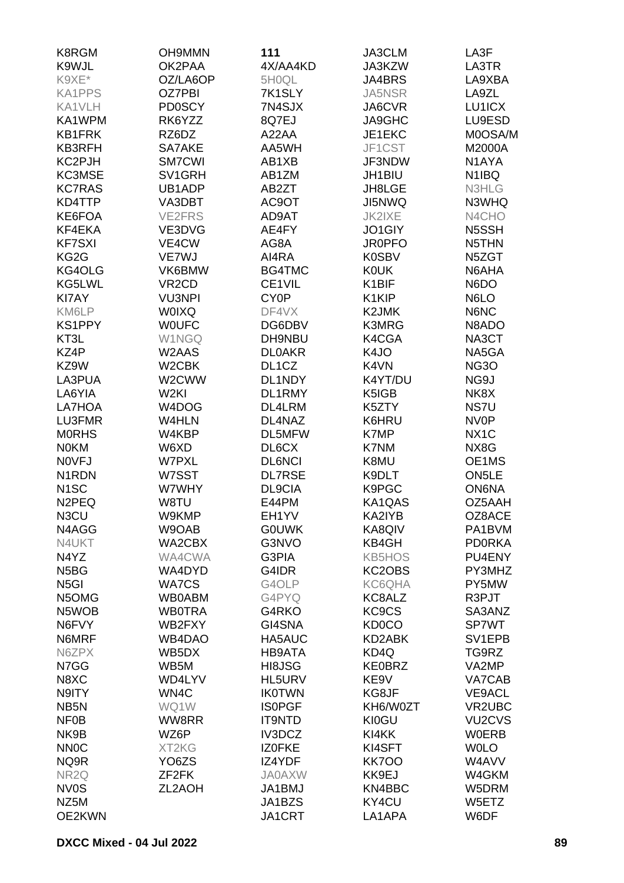| K8RGM                         | <b>OH9MMN</b>      | 111                | JA3CLM                         | LA3F                            |
|-------------------------------|--------------------|--------------------|--------------------------------|---------------------------------|
| K9WJL                         | OK2PAA             | 4X/AA4KD           | JA3KZW                         | LA3TR                           |
| K9XE*                         | OZ/LA6OP           | 5H0QL              | JA4BRS                         | LA9XBA                          |
| <b>KA1PPS</b>                 | <b>OZ7PBI</b>      | 7K1SLY             | JA5NSR                         | LA9ZL                           |
| KA1VLH                        | <b>PD0SCY</b>      | 7N4SJX             | JA6CVR                         | LU1ICX                          |
| KA1WPM                        | RK6YZZ             | 8Q7EJ              | JA9GHC                         | LU9ESD                          |
| <b>KB1FRK</b>                 | RZ6DZ              | A22AA              | JE1EKC                         | M0OSA/M                         |
| KB3RFH                        | SA7AKE             | AA5WH              | JF1CST                         | M2000A                          |
| KC2PJH                        | <b>SM7CWI</b>      | AB1XB              | JF3NDW                         | N1AYA                           |
| KC3MSE                        | SV1GRH             | AB1ZM              | JH1BIU                         | N1IBQ                           |
| <b>KC7RAS</b>                 | UB1ADP             | AB2ZT              | JH8LGE                         | N3HLG                           |
| KD4TTP                        | VA3DBT             | AC9OT              | JI5NWQ                         | N3WHQ                           |
| KE6FOA                        | <b>VE2FRS</b>      | AD9AT              | <b>JK2IXE</b>                  | N4CHO                           |
| KF4EKA                        | VE3DVG             | AE4FY              | JO1GIY                         | N5SSH                           |
| <b>KF7SXI</b>                 | VE4CW              | AG8A               | <b>JR0PFO</b>                  | N5THN                           |
| KG2G                          | VE7WJ              | AI4RA              | K0SBV                          | N5ZGT                           |
| KG4OLG                        | VK6BMW             | BG4TMC             | <b>K0UK</b>                    | N6AHA                           |
| KG5LWL                        | VR <sub>2</sub> CD | CE1VIL             | K1BIF                          | N6DO                            |
| <b>KI7AY</b>                  | <b>VU3NPI</b>      | CY <sub>0</sub> P  | K1KIP                          | N6LO                            |
| KM6LP                         | <b>WOIXQ</b>       | DF4VX              | K2JMK                          | N6NC                            |
| <b>KS1PPY</b>                 | <b>WOUFC</b>       | DG6DBV             | K3MRG                          | N8ADO                           |
| KT3L                          | <b>W1NGQ</b>       | DH9NBU             | K4CGA                          | NA3CT                           |
| KZ4P                          | W2AAS              | <b>DLOAKR</b>      | K4JO                           | NA5GA                           |
| KZ9W                          | W <sub>2</sub> CBK | DL <sub>1</sub> CZ | K4VN                           | <b>NG3O</b>                     |
| LA3PUA                        | W2CWW              | DL1NDY             | K4YT/DU                        | NG9J                            |
| LA6YIA                        | W <sub>2KI</sub>   | DL1RMY             | K5IGB                          | NK8X                            |
| LA7HOA                        | W4DOG              | DL4LRM             | K5ZTY                          | NS7U                            |
| LU3FMR                        | W4HLN              | DL4NAZ             | K6HRU                          | <b>NV0P</b>                     |
| <b>MORHS</b>                  | W4KBP              | DL5MFW             | K7MP                           | NX <sub>1</sub> C               |
| <b>NOKM</b>                   | W6XD               | DL6CX              | K7NM                           | NX8G                            |
| <b>NOVFJ</b>                  | <b>W7PXL</b>       | <b>DL6NCI</b>      | K8MU                           | OE1MS                           |
| N <sub>1</sub> RDN            | W7SST              | <b>DL7RSE</b>      | K9DLT                          | ON <sub>5</sub> LE              |
| N <sub>1</sub> SC             | W7WHY              | DL9CIA             | K9PGC                          | <b>ON6NA</b>                    |
| N <sub>2</sub> PEQ            | W8TU               | E44PM              | KA1QAS                         | OZ5AAH                          |
| N3CU                          | W9KMP              | EH1YV              | KA2IYB                         | OZ8ACE                          |
| N4AGG                         | W9OAB              | <b>GOUWK</b>       | KA8QIV                         | PA1BVM                          |
| N4UKT                         | WA2CBX             | G3NVO              | KB4GH                          | <b>PD0RKA</b>                   |
| N4YZ                          | WA4CWA             | G3PIA              | <b>KB5HOS</b>                  | PU4ENY                          |
| N <sub>5</sub> B <sub>G</sub> | WA4DYD             | G4IDR              | KC2OBS                         | PY3MHZ                          |
| N <sub>5</sub> GI             | <b>WA7CS</b>       | G4OLP              | KC6QHA                         | PY5MW                           |
| N5OMG                         | <b>WB0ABM</b>      | G4PYQ              | KC8ALZ                         | R3PJT                           |
| N5WOB                         | <b>WB0TRA</b>      | G4RKO              | KC <sub>9</sub> C <sub>S</sub> | SA3ANZ                          |
| N6FVY                         | WB2FXY             | GI4SNA             | KD0CO                          | SP7WT                           |
| N6MRF                         | WB4DAO             | HA5AUC             | KD2ABK                         | SV1EPB                          |
| N6ZPX                         | WB5DX              | HB9ATA             | KD4Q                           | TG9RZ                           |
| N7GG                          | WB5M               | HI8JSG             | <b>KE0BRZ</b>                  | VA2MP                           |
| N8XC                          | WD4LYV             | HL5URV             | KE9V                           | VA7CAB                          |
| N9ITY                         | WN4C               | <b>IK0TWN</b>      | KG8JF                          | <b>VE9ACL</b>                   |
| NB <sub>5</sub> N             | WQ1W               | <b>ISOPGF</b>      | KH6/W0ZT                       | <b>VR2UBC</b>                   |
| <b>NF0B</b>                   | WW8RR              | <b>IT9NTD</b>      | <b>KI0GU</b>                   | VU <sub>2</sub> CV <sub>S</sub> |
| NK9B                          | WZ6P               | IV3DCZ             | KI4KK                          | <b>WOERB</b>                    |
| <b>NNOC</b>                   | XT2KG              | <b>IZOFKE</b>      | KI4SFT                         | <b>WOLO</b>                     |
| NQ9R                          | YO6ZS              | IZ4YDF             | <b>KK700</b>                   | W4AVV                           |
| NR <sub>2Q</sub>              | ZF <sub>2</sub> FK | <b>JA0AXW</b>      | KK9EJ                          | W4GKM                           |
| <b>NV0S</b>                   | ZL2AOH             | JA1BMJ             | KN4BBC                         | W5DRM                           |
| NZ5M                          |                    | JA1BZS             | KY4CU                          | W5ETZ                           |
| OE2KWN                        |                    | <b>JA1CRT</b>      | LA1APA                         | W6DF                            |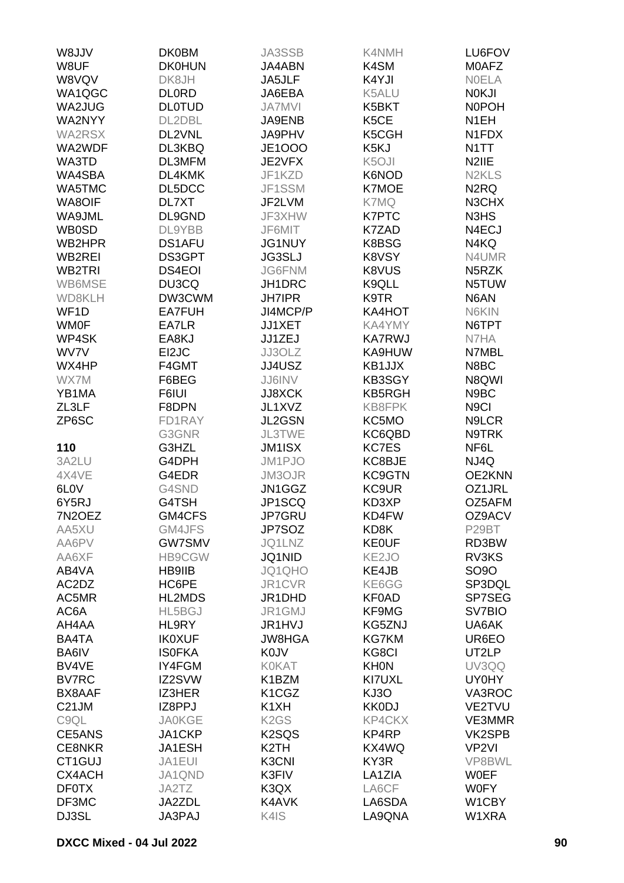| VUL8W               | <b>DK0BM</b>  | JA3SSB                          | <b>K4NMH</b>       | LU6FOV                         |
|---------------------|---------------|---------------------------------|--------------------|--------------------------------|
| W8UF                | <b>DK0HUN</b> | JA4ABN                          | K4SM               | <b>MOAFZ</b>                   |
| W8VQV               | DK8JH         | JA5JLF                          | K4YJI              | <b>NOELA</b>                   |
| WA1QGC              | <b>DLORD</b>  | JA6EBA                          | K5ALU              | <b>NOKJI</b>                   |
| WA2JUG              | <b>DLOTUD</b> | <b>JA7MVI</b>                   | K5BKT              | <b>NOPOH</b>                   |
| WA2NYY              | DL2DBL        | JA9ENB                          | K <sub>5</sub> CE  | N <sub>1</sub> EH              |
| <b>WA2RSX</b>       | DL2VNL        | JA9PHV                          | K5CGH              | N1FDX                          |
| WA2WDF              | DL3KBQ        | <b>JE1000</b>                   | K5KJ               | N <sub>1</sub> TT              |
| WA3TD               | DL3MFM        | JE2VFX                          | K <sub>5</sub> OJI | N <sub>2</sub> IIE             |
| WA4SBA              | DL4KMK        | JF1KZD                          | K6NOD              | N <sub>2</sub> KL <sub>S</sub> |
| WA5TMC              | DL5DCC        | JF1SSM                          | <b>K7MOE</b>       | N <sub>2</sub> RQ              |
| <b>WA8OIF</b>       | DL7XT         | JF2LVM                          | K7MQ               | N3CHX                          |
| WA9JML              | DL9GND        | JF3XHW                          | K7PTC              | N3HS                           |
| <b>WB0SD</b>        | DL9YBB        | JF6MIT                          | K7ZAD              | N4ECJ                          |
| WB2HPR              | DS1AFU        | <b>JG1NUY</b>                   | K8BSG              | N4KQ                           |
| WB2REI              | DS3GPT        | <b>JG3SLJ</b>                   | K8VSY              | N4UMR                          |
| WB <sub>2</sub> TRI | <b>DS4EOI</b> | <b>JG6FNM</b>                   | K8VUS              | N5RZK                          |
| WB6MSE              | DU3CQ         | JH1DRC                          | K9QLL              | N5TUW                          |
| WD8KLH              | DW3CWM        | <b>JH7IPR</b>                   | K9TR               | N6AN                           |
| WF <sub>1</sub> D   | <b>EA7FUH</b> | JI4MCP/P                        | KA4HOT             | N6KIN                          |
| <b>WM0F</b>         | EA7LR         | JJ1XET                          | <b>KA4YMY</b>      | N6TPT                          |
| WP4SK               | EA8KJ         | JJ1ZEJ                          | <b>KA7RWJ</b>      | N7HA                           |
| WV7V                | EI2JC         | JJ3OLZ                          | KA9HUW             | N7MBL                          |
| WX4HP               | F4GMT         | JJ4USZ                          | KB1JJX             | N8BC                           |
| WX7M                | F6BEG         | JJ6INV                          | KB3SGY             | N8QWI                          |
| YB1MA               | F6IUI         | <b>JJ8XCK</b>                   | <b>KB5RGH</b>      | N9BC                           |
| ZL3LF               | F8DPN         | JL1XVZ                          | KB8FPK             | N <sub>9</sub> Cl              |
| ZP6SC               | FD1RAY        | JL2GSN                          | KC5MO              | N9LCR                          |
|                     | G3GNR         | <b>JL3TWE</b>                   | KC6QBD             | N9TRK                          |
| 110                 | G3HZL         | JM1ISX                          | KC7ES              | NF6L                           |
| 3A2LU               | G4DPH         | JM1PJO                          | KC8BJE             | NJ4Q                           |
| 4X4VE               | G4EDR         | JM3OJR                          | KC9GTN             | OE2KNN                         |
| 6L <sub>0</sub> V   | G4SND         | JN1GGZ                          | KC9UR              | OZ1JRL                         |
| 6Y5RJ               | G4TSH         | JP1SCQ                          | KD3XP              | OZ5AFM                         |
| 7N2OEZ              | GM4CFS        | JP7GRU                          | KD4FW              | OZ9ACV                         |
| AA5XU               | GM4JFS        | JP7SOZ                          | KD8K               | P29BT                          |
| AA6PV               | <b>GW7SMV</b> | JQ1LNZ                          | <b>KE0UF</b>       | RD3BW                          |
| AA6XF               | <b>HB9CGW</b> | JQ1NID                          | KE <sub>2JO</sub>  | RV3KS                          |
| AB4VA               | <b>HB9IIB</b> | JQ1QHO                          | KE4JB              | SO9O                           |
| AC2DZ               | HC6PE         | JR1CVR                          | KE6GG              | SP3DQL                         |
| AC5MR               | HL2MDS        | JR1DHD                          | KF0AD              | SP7SEG                         |
| AC6A                | HL5BGJ        | JR1GMJ                          | KF9MG              | SV7BIO                         |
| AH4AA               | HL9RY         | JR1HVJ                          | KG5ZNJ             | UA6AK                          |
| BA4TA               | <b>IK0XUF</b> | <b>JW8HGA</b>                   | <b>KG7KM</b>       | UR6EO                          |
| BA6IV               | <b>ISOFKA</b> | <b>K0JV</b>                     | KG8CI              | UT2LP                          |
| BV4VE               | IY4FGM        | <b>K0KAT</b>                    | <b>KHON</b>        | UV3QQ                          |
| <b>BV7RC</b>        | IZ2SVW        | K1BZM                           | KI7UXL             | <b>UY0HY</b>                   |
| BX8AAF              | IZ3HER        | K <sub>1</sub> C <sub>G</sub> Z | KJ3O               | VA3ROC                         |
| C <sub>21</sub> JM  | IZ8PPJ        | K <sub>1</sub> XH               | <b>KK0DJ</b>       | VE2TVU                         |
| C9QL                | <b>JA0KGE</b> | K <sub>2</sub> G <sub>S</sub>   | <b>KP4CKX</b>      | VE3MMR                         |
| CE5ANS              | JA1CKP        | K <sub>2</sub> SQ <sub>S</sub>  | KP4RP              | VK2SPB                         |
| <b>CE8NKR</b>       | JA1ESH        | K <sub>2</sub> TH               | KX4WQ              | VP <sub>2VI</sub>              |
| CT1GUJ              | JA1EUI        | K3CNI                           | KY3R               | VP8BWL                         |
| CX4ACH              | JA1QND        | K3FIV                           | LA1ZIA             | <b>WOEF</b>                    |
| <b>DF0TX</b>        | JA2TZ         | K3QX                            | LA6CF              | <b>W0FY</b>                    |
| DF3MC               | JA2ZDL        | K4AVK                           | LA6SDA             | W1CBY                          |
| DJ3SL               | JA3PAJ        | K4IS                            | LA9QNA             | W1XRA                          |
|                     |               |                                 |                    |                                |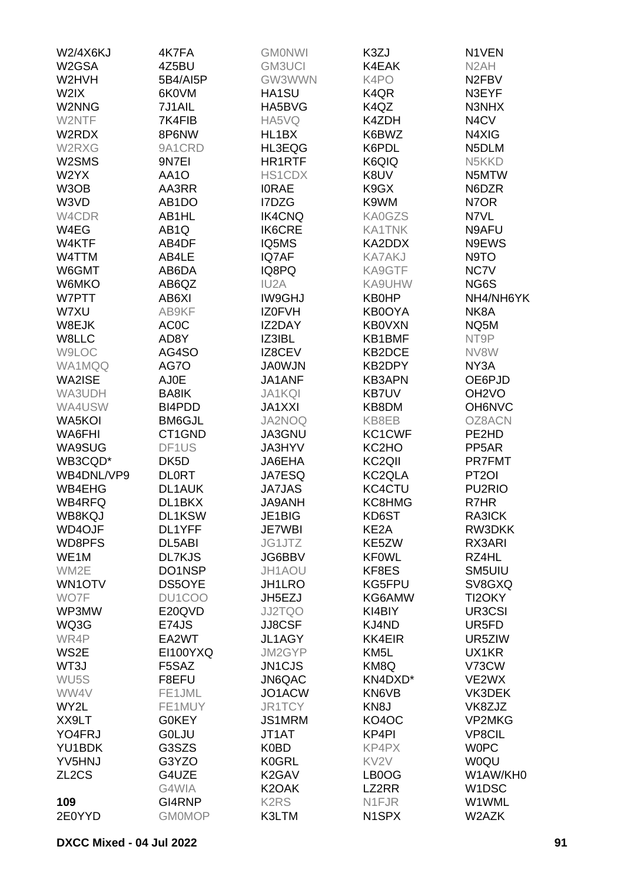| <b>W2/4X6KJ</b>    | 4K7FA              | <b>GMONWI</b>                 | K3ZJ                           | N1VEN                          |
|--------------------|--------------------|-------------------------------|--------------------------------|--------------------------------|
| W2GSA              | 4Z5BU              | <b>GM3UCI</b>                 | K4EAK                          | N <sub>2</sub> AH              |
| W2HVH              | 5B4/AI5P           | GW3WWN                        | K4PO                           | N <sub>2</sub> FB <sub>V</sub> |
| W2IX               | 6K0VM              | HA1SU                         | K <sub>4</sub> Q <sub>R</sub>  | N3EYF                          |
| W2NNG              | 7J1AIL             | HA5BVG                        | K4QZ                           | N3NHX                          |
|                    |                    | HA5VQ                         | K4ZDH                          |                                |
| W2NTF              | 7K4FIB             |                               |                                | N4CV                           |
| W2RDX              | 8P6NW              | HL1BX                         | K6BWZ                          | N4XIG                          |
| W2RXG              | 9A1CRD             | HL3EQG                        | K6PDL                          | N5DLM                          |
| W2SMS              | 9N7EI              | HR1RTF                        | K6QIQ                          | N5KKD                          |
| W2YX               | AA1O               | HS1CDX                        | K8UV                           | N5MTW                          |
| W3OB               | AA3RR              | <b>IORAE</b>                  | K9GX                           | N6DZR                          |
| W3VD               | AB <sub>1</sub> DO | I7DZG                         | K9WM                           | N7OR                           |
| W4CDR              | AB1HL              | <b>IK4CNQ</b>                 | <b>KA0GZS</b>                  | N7VL                           |
| W4EG               | AB <sub>1</sub> Q  | <b>IK6CRE</b>                 | <b>KA1TNK</b>                  | N9AFU                          |
| W4KTF              | AB4DF              | IQ5MS                         | KA2DDX                         | N9EWS                          |
| W4TTM              | AB4LE              | IQ7AF                         | <b>KA7AKJ</b>                  | N9TO                           |
| W6GMT              | AB6DA              | IQ8PQ                         | KA9GTF                         | NC7V                           |
| W6MKO              | AB6QZ              | IU <sub>2</sub> A             | KA9UHW                         | NG6S                           |
| W7PTT              | AB6XI              | <b>IW9GHJ</b>                 | <b>KB0HP</b>                   | NH4/NH6YK                      |
|                    | AB9KF              |                               |                                |                                |
| W7XU               |                    | <b>IZ0FVH</b>                 | KB0OYA                         | NK8A                           |
| W8EJK              | <b>AC0C</b>        | IZ2DAY                        | <b>KB0VXN</b>                  | NQ5M                           |
| W8LLC              | AD8Y               | IZ3IBL                        | KB1BMF                         | NT9P                           |
| W9LOC              | AG4SO              | IZ8CEV                        | KB2DCE                         | NV8W                           |
| WA1MQQ             | AG7O               | <b>JA0WJN</b>                 | KB2DPY                         | NY3A                           |
| WA2ISE             | AJ0E               | JA1ANF                        | <b>KB3APN</b>                  | OE6PJD                         |
| WA3UDH             | BA8IK              | <b>JA1KQI</b>                 | <b>KB7UV</b>                   | OH <sub>2</sub> VO             |
| WA4USW             | BI4PDD             | <b>JA1XXI</b>                 | KB8DM                          | OH6NVC                         |
| WA5KOI             | <b>BM6GJL</b>      | JA2NOQ                        | KB8EB                          | OZ8ACN                         |
| <b>WA6FHI</b>      | CT1GND             | JA3GNU                        | KC1CWF                         | PE2HD                          |
| <b>WA9SUG</b>      | DF1US              | JA3HYV                        | KC2HO                          | PP <sub>5</sub> AR             |
| WB3CQD*            | DK <sub>5</sub> D  | JA6EHA                        | KC <sub>2QII</sub>             | <b>PR7FMT</b>                  |
| WB4DNL/VP9         | <b>DLORT</b>       | JA7ESQ                        | KC2QLA                         | PT <sub>2</sub> OI             |
| WB4EHG             | <b>DL1AUK</b>      | <b>JA7JAS</b>                 | KC4CTU                         | PU <sub>2</sub> RIO            |
| <b>WB4RFQ</b>      | DL1BKX             | <b>JA9ANH</b>                 | KC8HMG                         | R7HR                           |
|                    |                    |                               | KD6ST                          |                                |
| WB8KQJ             | DL1KSW             | JE1BIG                        |                                | RA3ICK                         |
| <b>WD4OJF</b>      | DL1YFF             | JE7WBI                        | KE <sub>2</sub> A              | RW3DKK                         |
| WD8PFS             | DL5ABI             | JG1JTZ                        | KE5ZW                          | RX3ARI                         |
| WE1M               | <b>DL7KJS</b>      | JG6BBV                        | <b>KF0WL</b>                   | RZ4HL                          |
| WM2E               | DO1NSP             | JH1AOU                        | KF8ES                          | SM5UIU                         |
| WN1OTV             | DS5OYE             | JH1LRO                        | KG5FPU                         | SV8GXQ                         |
| WO7F               | DU1COO             | JH5EZJ                        | KG6AMW                         | TI2OKY                         |
| WP3MW              | E20QVD             | <b>JJ2TQO</b>                 | KI4BIY                         | UR3CSI                         |
| WQ3G               | E74JS              | JJ8CSF                        | KJ4ND                          | UR5FD                          |
| WR4P               | EA2WT              | JL1AGY                        | <b>KK4EIR</b>                  | UR5ZIW                         |
| WS2E               | <b>EI100YXQ</b>    | JM2GYP                        | KM <sub>5</sub> L              | UX1KR                          |
| WT3J               | F5SAZ              | JN1CJS                        | KM8Q                           | V73CW                          |
| WU <sub>5</sub> S  | F8EFU              | JN6QAC                        | KN4DXD*                        | VE2WX                          |
| WW4V               | FE1JML             | JO1ACW                        | KN6VB                          | VK3DEK                         |
| WY2L               | FE1MUY             | JR1TCY                        | KN <sub>8</sub> J              | VK8ZJZ                         |
| XX9LT              | G0KEY              | JS1MRM                        | KO4OC                          | <b>VP2MKG</b>                  |
| YO4FRJ             | <b>GOLJU</b>       | JT1AT                         | KP4PI                          | <b>VP8CIL</b>                  |
|                    |                    |                               |                                |                                |
| YU1BDK             | G3SZS              | K0BD                          | KP4PX                          | <b>WOPC</b>                    |
| YV5HNJ             | G3YZO              | <b>K0GRL</b>                  | KV <sub>2V</sub>               | <b>WOQU</b>                    |
| ZL <sub>2</sub> CS | G4UZE              | K <sub>2</sub> GAV            | LB0OG                          | W1AW/KH0                       |
|                    | G4WIA              | K <sub>2</sub> OAK            | LZ2RR                          | W1DSC                          |
| 109                | GI4RNP             | K <sub>2</sub> R <sub>S</sub> | N1FJR                          | W1WML                          |
| 2E0YYD             | <b>GM0MOP</b>      | K3LTM                         | N <sub>1</sub> SP <sub>X</sub> | W2AZK                          |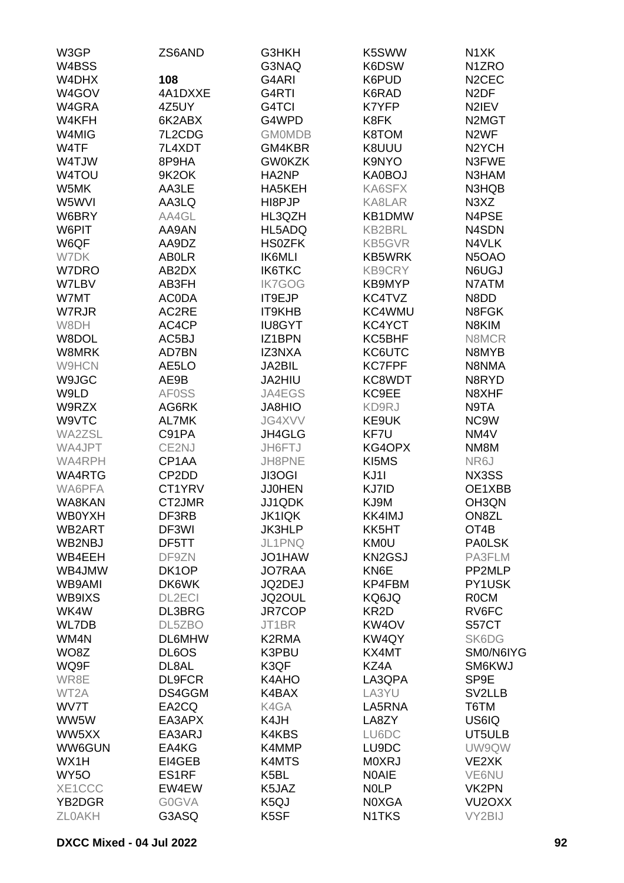| W3GP              | ZS6AND             | G3HKH         | K5SWW              | N <sub>1</sub> XK               |
|-------------------|--------------------|---------------|--------------------|---------------------------------|
| W4BSS             |                    | G3NAQ         | K6DSW              | N <sub>1</sub> ZRO              |
| W4DHX             | 108                | G4ARI         | K6PUD              | N <sub>2</sub> CEC              |
| W4GOV             | 4A1DXXE            | G4RTI         | K6RAD              | N <sub>2</sub> DF               |
| W4GRA             | 4Z5UY              | G4TCI         | K7YFP              | N2IEV                           |
| W4KFH             | 6K2ABX             | G4WPD         | K8FK               | N <sub>2</sub> M <sub>G</sub> T |
| W4MIG             | 7L2CDG             | <b>GMOMDB</b> | K8TOM              | N <sub>2</sub> WF               |
| W4TF              | 7L4XDT             | GM4KBR        | K8UUU              | N <sub>2</sub> YCH              |
| W4TJW             | 8P9HA              | <b>GW0KZK</b> | K9NYO              | N3FWE                           |
| W4TOU             | 9K2OK              | HA2NP         | <b>KA0BOJ</b>      | N3HAM                           |
| W5MK              | AA3LE              | HA5KEH        | KA6SFX             | N3HQB                           |
| W5WVI             | AA3LQ              | HI8PJP        | KA8LAR             | N3XZ                            |
| W6BRY             | AA4GL              | HL3QZH        | KB1DMW             | N4PSE                           |
| W6PIT             | AA9AN              | HL5ADQ        | <b>KB2BRL</b>      | N4SDN                           |
| W6QF              | AA9DZ              | <b>HS0ZFK</b> | <b>KB5GVR</b>      | N4VLK                           |
| W7DK              | <b>ABOLR</b>       | <b>IK6MLI</b> | <b>KB5WRK</b>      | N5OAO                           |
| W7DRO             | AB2DX              | <b>IK6TKC</b> | <b>KB9CRY</b>      | N6UGJ                           |
| W7LBV             | AB3FH              | <b>IK7GOG</b> | KB9MYP             | N7ATM                           |
| W7MT              | <b>ACODA</b>       | IT9EJP        | KC4TVZ             | N8DD                            |
| W7RJR             | AC2RE              | IT9KHB        | KC4WMU             | N8FGK                           |
| W8DH              | AC4CP              | <b>IU8GYT</b> | KC4YCT             | N8KIM                           |
| W8DOL             | AC5BJ              | IZ1BPN        | KC5BHF             | N8MCR                           |
| W8MRK             | AD7BN              | IZ3NXA        | KC6UTC             | N8MYB                           |
| <b>W9HCN</b>      | AE5LO              | JA2BIL        | <b>KC7FPF</b>      | N8NMA                           |
| W9JGC             | AE9B               | JA2HIU        | KC8WDT             | N8RYD                           |
| W9LD              | <b>AF0SS</b>       | JA4EGS        | KC9EE              | N8XHF                           |
| W9RZX             | AG6RK              | <b>JA8HIO</b> | KD9RJ              | N9TA                            |
| W9VTC             | AL7MK              | JG4XVV        | KE9UK              | NC9W                            |
|                   |                    |               | KF7U               |                                 |
| <b>WA2ZSL</b>     | C91PA              | JH4GLG        |                    | NM4V                            |
| WA4JPT            | CE2NJ              | JH6FTJ        | KG4OPX             | NM8M                            |
| <b>WA4RPH</b>     | CP1AA              | JH8PNE        | KI5MS              | NR6J                            |
| WA4RTG            | CP2DD              | <b>JI3OGI</b> | KJ11               | NX3SS                           |
| WA6PFA            | CT1YRV             | <b>JJ0HEN</b> | KJ7ID              | OE1XBB                          |
| WA8KAN            | CT2JMR             | JJ1QDK        | KJ9M               | OH3QN                           |
| <b>WB0YXH</b>     | DF3RB              | <b>JK1IQK</b> | KK4IMJ             | ON8ZL                           |
| WB2ART            | DF3WI              | <b>JK3HLP</b> | KK5HT              | OT <sub>4</sub> B               |
| WB2NBJ            | DF5TT              | JL1PNQ        | <b>KM0U</b>        | <b>PAOLSK</b>                   |
| WB4EEH            | DF9ZN              | JO1HAW        | <b>KN2GSJ</b>      | PA3FLM                          |
| WB4JMW            | DK <sub>1</sub> OP | <b>JO7RAA</b> | KN6E               | PP2MLP                          |
| WB9AMI            | DK6WK              | JQ2DEJ        | KP4FBM             | PY1USK                          |
| WB9IXS            | DL2ECI             | JQ2OUL        | KQ6JQ              | <b>ROCM</b>                     |
| WK4W              | <b>DL3BRG</b>      | JR7COP        | KR <sub>2</sub> D  | RV6FC                           |
| WL7DB             | DL5ZBO             | JT1BR         | KW <sub>4</sub> OV | S57CT                           |
| WM4N              | DL6MHW             | K2RMA         | KW4QY              | SK6DG                           |
| WO8Z              | DL6OS              | K3PBU         | KX4MT              | SM0/N6IYG                       |
| WQ9F              | DL8AL              | K3QF          | KZ4A               | SM6KWJ                          |
| WR8E              | <b>DL9FCR</b>      | K4AHO         | LA3QPA             | SP9E                            |
| WT2A              | DS4GGM             | K4BAX         | LA3YU              | SV2LLB                          |
| WV7T              | EA2CQ              | K4GA          | LA5RNA             | T6TM                            |
| WW5W              | EA3APX             | K4JH          | LA8ZY              | US6IQ                           |
| WW5XX             | EA3ARJ             | K4KBS         | LU6DC              | UT5ULB                          |
| WW6GUN            | EA4KG              | K4MMP         | LU9DC              | UW9QW                           |
| WX1H              | EI4GEB             | K4MTS         | <b>MOXRJ</b>       | VE2XK                           |
| WY <sub>5</sub> O | ES1RF              | K5BL          | <b>NOAIE</b>       | VE6NU                           |
| XE1CCC            | EW4EW              | K5JAZ         | <b>NOLP</b>        | VK2PN                           |
| YB2DGR            | <b>G0GVA</b>       | K5QJ          | N0XGA              | VU <sub>2</sub> OXX             |
| <b>ZLOAKH</b>     | G3ASQ              | K5SF          | N1TKS              | VY2BIJ                          |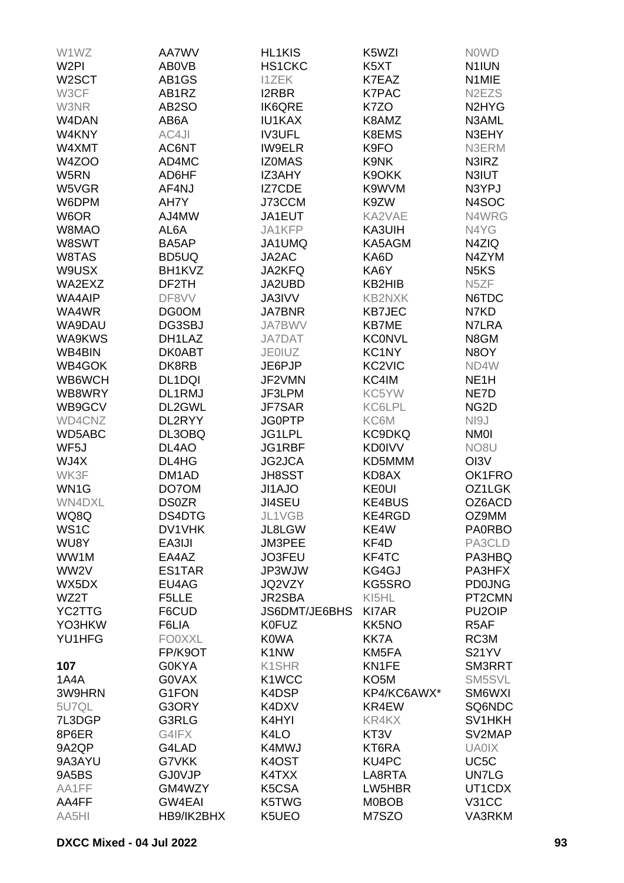| W1WZ               | AA7WV              | <b>HL1KIS</b>     | K5WZI              | <b>NOWD</b>                    |
|--------------------|--------------------|-------------------|--------------------|--------------------------------|
| W <sub>2PI</sub>   | AB0VB              | HS1CKC            | K5XT               | N <sub>1</sub> IUN             |
| W <sub>2</sub> SCT | AB1GS              | <b>I1ZEK</b>      | K7EAZ              | N1MIE                          |
| W3CF               | AB1RZ              | <b>I2RBR</b>      | <b>K7PAC</b>       | N <sub>2</sub> EZ <sub>S</sub> |
| W3NR               | AB2SO              | <b>IK6QRE</b>     | K7ZO               | N <sub>2</sub> HY <sub>G</sub> |
| W4DAN              | AB6A               | <b>IU1KAX</b>     | K8AMZ              | N3AML                          |
| W4KNY              | AC4JI              | <b>IV3UFL</b>     | K8EMS              | N3EHY                          |
| W4XMT              | AC6NT              | <b>IW9ELR</b>     | K9FO               | N3ERM                          |
| W4ZOO              | AD4MC              | <b>IZOMAS</b>     | K9NK               | N3IRZ                          |
| W5RN               | AD6HF              | IZ3AHY            | K9OKK              | N3IUT                          |
| W5VGR              | AF4NJ              | IZ7CDE            | K9WVM              | N3YPJ                          |
| W6DPM              | AH7Y               | J73CCM            | K9ZW               | N4SOC                          |
|                    |                    |                   |                    |                                |
| W6OR               | AJ4MW              | JA1EUT            | KA2VAE             | N4WRG                          |
| W8MAO              | AL6A               | JA1KFP            | KA3UIH             | N4YG                           |
| W8SWT              | BA5AP              | JA1UMQ            | KA5AGM             | N4ZIQ                          |
| W8TAS              | BD5UQ              | JA2AC             | KA6D               | N4ZYM                          |
| W9USX              | BH1KVZ             | JA2KFQ            | KA6Y               | N <sub>5</sub> K <sub>S</sub>  |
| WA2EXZ             | DF2TH              | JA2UBD            | KB2HIB             | N <sub>5</sub> ZF              |
| <b>WA4AIP</b>      | DF8VV              | <b>JA3IVV</b>     | <b>KB2NXK</b>      | N6TDC                          |
| WA4WR              | DG0OM              | <b>JA7BNR</b>     | <b>KB7JEC</b>      | N7KD                           |
| WA9DAU             | DG3SBJ             | <b>JA7BWV</b>     | <b>KB7ME</b>       | N7LRA                          |
| WA9KWS             | DH1LAZ             | JA7DAT            | <b>KCONVL</b>      | N8GM                           |
| WB4BIN             | <b>DK0ABT</b>      | <b>JE0IUZ</b>     | KC1NY              | N8OY                           |
| WB4GOK             | DK8RB              | JE6PJP            | KC <sub>2VIC</sub> | ND4W                           |
| WB6WCH             | DL1DQI             | JF2VMN            | KC4IM              | NE <sub>1</sub> H              |
| WB8WRY             | DL1RMJ             | JF3LPM            | KC5YW              | NE7D                           |
| WB9GCV             | DL2GWL             | <b>JF7SAR</b>     | KC6LPL             | NG <sub>2</sub> D              |
| WD4CNZ             | DL2RYY             | <b>JG0PTP</b>     | KC6M               | NI9J                           |
| WD5ABC             | DL3OBQ             | JG1LPL            | KC9DKQ             | <b>NM0I</b>                    |
| WF <sub>5</sub> J  | DL4AO              | JG1RBF            | <b>KD0IVV</b>      | NO <sub>8</sub> U              |
| WJ4X               | DL4HG              | JG2JCA            | KD5MMM             | OI3V                           |
| WK3F               | DM <sub>1</sub> AD | <b>JH8SST</b>     | KD8AX              | OK1FRO                         |
| WN <sub>1</sub> G  | DO7OM              | JI1AJO            | <b>KE0UI</b>       | OZ1LGK                         |
| WN4DXL             | <b>DS0ZR</b>       | <b>JI4SEU</b>     | <b>KE4BUS</b>      | OZ6ACD                         |
| WQ8Q               | DS4DTG             | JL1VGB            | KE4RGD             | OZ9MM                          |
| WS <sub>1</sub> C  | DV1VHK             | JL8LGW            | KE4W               | <b>PA0RBO</b>                  |
| WU8Y               | EA3IJI             | JM3PEE            | KF4D               | PA3CLD                         |
| WW1M               | EA4AZ              | JO3FEU            | KF4TC              | PA3HBQ                         |
| WW2V               | ES1TAR             | JP3WJW            | KG4GJ              | PA3HFX                         |
| WX5DX              | EU4AG              | JQ2VZY            | KG5SRO             | <b>PD0JNG</b>                  |
| WZ2T               | F5LLE              | JR2SBA            | KI5HL              | PT2CMN                         |
| YC2TTG             | F6CUD              | JS6DMT/JE6BHS     | <b>KI7AR</b>       | PU <sub>2</sub> OIP            |
| YO3HKW             | F6LIA              | <b>K0FUZ</b>      | KK5NO              | R <sub>5</sub> AF              |
| YU1HFG             | <b>FO0XXL</b>      | <b>K0WA</b>       | <b>KK7A</b>        | RC3M                           |
|                    | FP/K9OT            | K <sub>1</sub> NW | KM5FA              | <b>S21YV</b>                   |
| 107                | <b>G0KYA</b>       | K1SHR             | KN1FE              | SM3RRT                         |
| 1A4A               | <b>GOVAX</b>       | K1WCC             | KO <sub>5</sub> M  | SM5SVL                         |
| 3W9HRN             | G1FON              | K4DSP             | KP4/KC6AWX*        | SM6WXI                         |
| 5U7QL              | G3ORY              | K4DXV             | KR4EW              | SQ6NDC                         |
| 7L3DGP             | G3RLG              | K4HYI             | KR4KX              | SV1HKH                         |
| 8P6ER              | G4IFX              | K4LO              | KT3V               | SV2MAP                         |
| 9A2QP              | G4LAD              | K4MWJ             | KT6RA              | <b>UA0IX</b>                   |
| 9A3AYU             | G7VKK              | K4OST             | KU4PC              | UC <sub>5</sub> C              |
|                    |                    |                   |                    |                                |
| 9A5BS              | <b>GJ0VJP</b>      | K4TXX             | LA8RTA             | <b>UN7LG</b>                   |
| AA1FF              | GM4WZY             | K5CSA             | LW5HBR             | UT1CDX                         |
| AA4FF              | <b>GW4EAI</b>      | K5TWG             | <b>M0BOB</b>       | <b>V31CC</b>                   |
| AA5HI              | HB9/IK2BHX         | K5UEO             | M7SZO              | VA3RKM                         |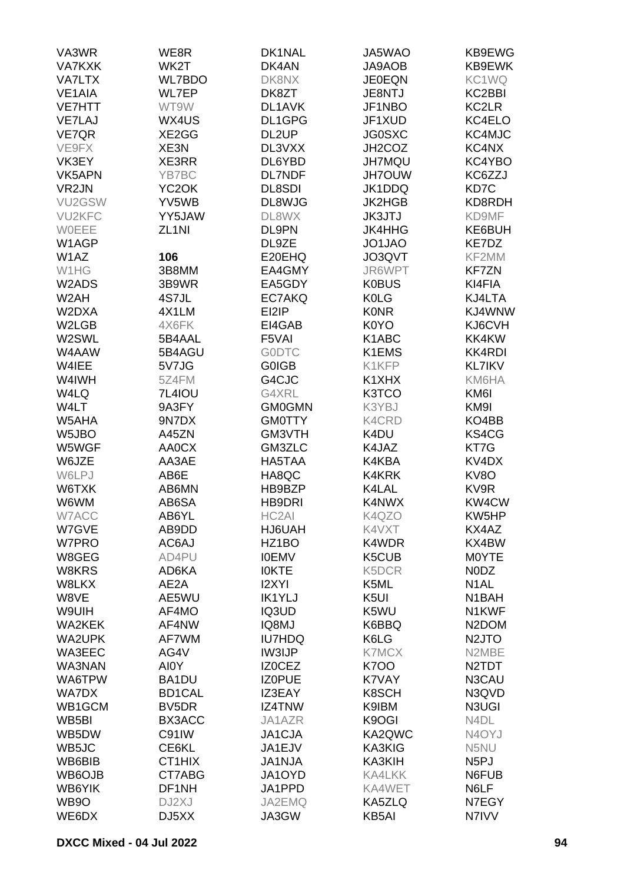| VA3WR             | WE8R               | DK1NAL             | JA5WAO           | KB9EWG                         |
|-------------------|--------------------|--------------------|------------------|--------------------------------|
| <b>VA7KXK</b>     | WK2T               | DK4AN              | <b>JA9AOB</b>    | KB9EWK                         |
| <b>VA7LTX</b>     | <b>WL7BDO</b>      | DK8NX              | <b>JE0EQN</b>    | KC1WQ                          |
| VE1AIA            | <b>WL7EP</b>       | DK8ZT              | JE8NTJ           | KC2BBI                         |
| <b>VE7HTT</b>     | WT9W               | DL1AVK             | JF1NBO           | KC2LR                          |
| <b>VE7LAJ</b>     | WX4US              | DL1GPG             | JF1XUD           | KC4ELO                         |
| VE7QR             | XE2GG              | DL <sub>2</sub> UP | <b>JG0SXC</b>    | KC4MJC                         |
| VE9FX             | XE3N               | DL3VXX             | JH2COZ           | KC4NX                          |
|                   | XE3RR              |                    |                  |                                |
| VK3EY             |                    | DL6YBD             | <b>JH7MQU</b>    | KC4YBO                         |
| VK5APN            | YB7BC              | <b>DL7NDF</b>      | <b>JH7OUW</b>    | KC6ZZJ                         |
| VR <sub>2JN</sub> | YC <sub>2</sub> OK | <b>DL8SDI</b>      | JK1DDQ           | KD7C                           |
| VU2GSW            | YV5WB              | DL8WJG             | <b>JK2HGB</b>    | KD8RDH                         |
| <b>VU2KFC</b>     | YY5JAW             | DL8WX              | <b>JK3JTJ</b>    | KD9MF                          |
| WOEEE             | ZL <sub>1NI</sub>  | DL9PN              | <b>JK4HHG</b>    | KE6BUH                         |
| W1AGP             |                    | DL9ZE              | JO1JAO           | KE7DZ                          |
| W <sub>1</sub> AZ | 106                | E20EHQ             | JO3QVT           | KF2MM                          |
| W1HG              | 3B8MM              | EA4GMY             | JR6WPT           | <b>KF7ZN</b>                   |
| W2ADS             | 3B9WR              | EA5GDY             | <b>K0BUS</b>     | KI4FIA                         |
| W <sub>2</sub> AH | 4S7JL              | EC7AKQ             | <b>K0LG</b>      | KJ4LTA                         |
| W2DXA             | 4X1LM              | EI2IP              | <b>KONR</b>      | KJ4WNW                         |
| W2LGB             | 4X6FK              | EI4GAB             | K0YO             | KJ6CVH                         |
| W2SWL             | 5B4AAL             | F5VAI              | K1ABC            | KK4KW                          |
| W4AAW             | 5B4AGU             | <b>GODTC</b>       | K1EMS            | <b>KK4RDI</b>                  |
| W4IEE             | 5V7JG              | <b>GOIGB</b>       | K1KFP            | <b>KL7IKV</b>                  |
| W4IWH             | 5Z4FM              | G4CJC              | K1XHX            | KM6HA                          |
| W4LQ              | <b>7L4IOU</b>      | G4XRL              | K3TCO            | KM6I                           |
| W4LT              | 9A3FY              | <b>GM0GMN</b>      | K3YBJ            | KM9I                           |
| W5AHA             | 9N7DX              | <b>GM0TTY</b>      | <b>K4CRD</b>     | KO4BB                          |
| W5JBO             | A45ZN              | GM3VTH             | K4DU             | KS4CG                          |
| W5WGF             | <b>AA0CX</b>       | GM3ZLC             | K4JAZ            | KT7G                           |
| W6JZE             | AA3AE              | HA5TAA             | K4KBA            | KV <sub>4</sub> D <sub>X</sub> |
| W6LPJ             | AB6E               | HA8QC              | K4KRK            | KV8O                           |
| W6TXK             | AB6MN              | HB9BZP             | K4LAL            | KV9R                           |
| W6WM              | AB6SA              | HB9DRI             | K4NWX            | KW4CW                          |
|                   |                    | HC2AI              |                  |                                |
| W7ACC             | AB6YL              |                    | K4QZO            | KW5HP                          |
| W7GVE             | AB9DD              | HJ6UAH             | K4VXT            | KX4AZ                          |
| W7PRO             | AC6AJ              | HZ1BO              | K4WDR            | KX4BW                          |
| W8GEG             | AD4PU              | <b>IOEMV</b>       | K5CUB            | M0YTE                          |
| W8KRS             | AD6KA              | <b>IOKTE</b>       | K5DCR            | N0DZ                           |
| W8LKX             | AE2A               | <b>I2XYI</b>       | K5ML             | N <sub>1</sub> AL              |
| W8VE              | AE5WU              | <b>IK1YLJ</b>      | K <sub>5UI</sub> | N <sub>1</sub> BAH             |
| W9UIH             | AF4MO              | IQ3UD              | K5WU             | N1KWF                          |
| <b>WA2KEK</b>     | AF4NW              | IQ8MJ              | K6BBQ            | N <sub>2</sub> DOM             |
| <b>WA2UPK</b>     | AF7WM              | <b>IU7HDQ</b>      | K6LG             | N <sub>2</sub> JTO             |
| WA3EEC            | AG4V               | IW3IJP             | <b>K7MCX</b>     | N2MBE                          |
| WA3NAN            | AI0Y               | <b>IZOCEZ</b>      | <b>K700</b>      | N <sub>2</sub> TDT             |
| WA6TPW            | BA1DU              | <b>IZOPUE</b>      | K7VAY            | N3CAU                          |
| <b>WA7DX</b>      | <b>BD1CAL</b>      | IZ3EAY             | K8SCH            | N3QVD                          |
| WB1GCM            | BV5DR              | IZ4TNW             | K9IBM            | N3UGI                          |
| WB5BI             | BX3ACC             | JA1AZR             | K9OGI            | N4DL                           |
| WB5DW             | C91IW              | JA1CJA             | KA2QWC           | N <sub>4</sub> OYJ             |
| WB5JC             | CE6KL              | JA1EJV             | KA3KIG           | N5NU                           |
| WB6BIB            | CT1HIX             | <b>JA1NJA</b>      | KA3KIH           | N <sub>5</sub> PJ              |
| WB6OJB            | CT7ABG             | JA1OYD             | <b>KA4LKK</b>    | N6FUB                          |
| WB6YIK            | DF1NH              | JA1PPD             | KA4WET           | N6LF                           |
| WB9O              | DJ2XJ              | JA2EMQ             | KA5ZLQ           | N7EGY                          |
| WE6DX             | DJ5XX              | JA3GW              | KB5AI            | N7IVV                          |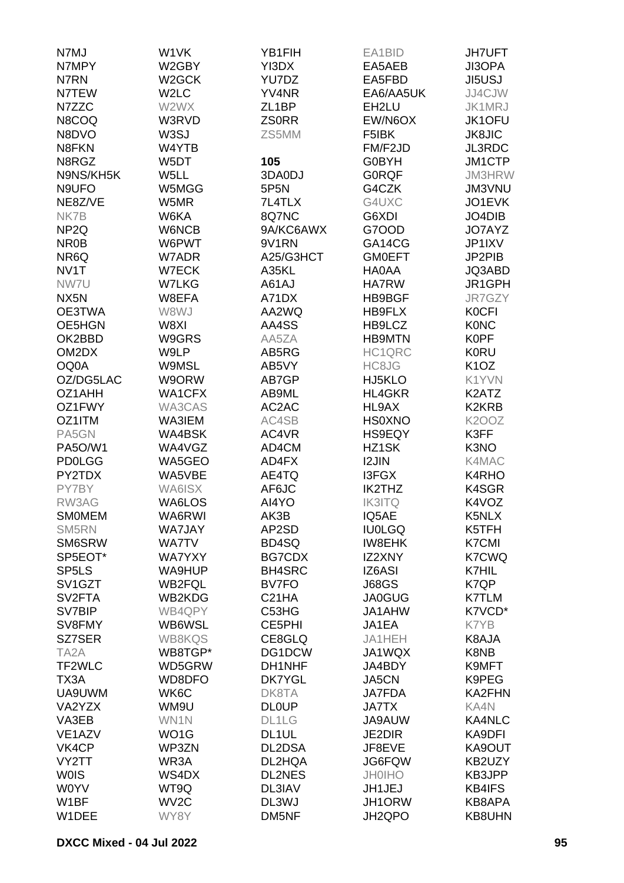| N7MJ                             | W1VK               | YB1FIH             | EA1BID        | <b>JH7UFT</b>                 |
|----------------------------------|--------------------|--------------------|---------------|-------------------------------|
| N7MPY                            | W2GBY              | YI3DX              | EA5AEB        | <b>JI3OPA</b>                 |
| N7RN                             | W <sub>2</sub> GCK | YU7DZ              | EA5FBD        | <b>JI5USJ</b>                 |
| N7TEW                            | W <sub>2</sub> LC  | YV4NR              | EA6/AA5UK     | JJ4CJW                        |
| N7ZZC                            | W2WX               | ZL <sub>1</sub> BP | EH2LU         | JK1MRJ                        |
| N8COQ                            | W3RVD              | <b>ZS0RR</b>       | EW/N6OX       | JK1OFU                        |
| N8DVO                            | W3SJ               | ZS5MM              | F5IBK         | <b>JK8JIC</b>                 |
| N8FKN                            | W4YTB              |                    | FM/F2JD       | <b>JL3RDC</b>                 |
| N8RGZ                            | W5DT               | 105                | G0BYH         | JM1CTP                        |
| N9NS/KH5K                        | W5LL               | 3DA0DJ             | <b>GORQF</b>  | JM3HRW                        |
| N9UFO                            | W5MGG              | 5P5N               | G4CZK         | <b>JM3VNU</b>                 |
| NE8Z/VE                          | W5MR               | 7L4TLX             | G4UXC         | JO1EVK                        |
| NK7B                             | W6KA               | 8Q7NC              | G6XDI         | JO4DIB                        |
| NP <sub>2Q</sub>                 | W6NCB              | 9A/KC6AWX          | G7OOD         | JO7AYZ                        |
| NR <sub>0</sub> B                | W6PWT              | 9V1RN              | GA14CG        | JP1IXV                        |
| NR6Q                             | W7ADR              | A25/G3HCT          | <b>GMOEFT</b> | JP2PIB                        |
| NV1T                             | W7ECK              | A35KL              | HA0AA         | JQ3ABD                        |
| NW7U                             | <b>W7LKG</b>       | A61AJ              | <b>HA7RW</b>  | JR1GPH                        |
| NX <sub>5</sub> N                | W8EFA              | A71DX              | HB9BGF        | JR7GZY                        |
| OE3TWA                           | W8WJ               | AA2WQ              | HB9FLX        | <b>K0CFI</b>                  |
| OE5HGN                           | W8XI               | AA4SS              | HB9LCZ        | <b>KONC</b>                   |
| OK2BBD                           | W9GRS              | AA5ZA              | <b>HB9MTN</b> | <b>K0PF</b>                   |
| OM2DX                            | W9LP               | AB5RG              | HC1QRC        | <b>K0RU</b>                   |
| OQ0A                             | W9MSL              | AB5VY              | HC8JG         | K <sub>1</sub> O <sub>Z</sub> |
| OZ/DG5LAC                        | W9ORW              | AB7GP              | HJ5KLO        | K1YVN                         |
| OZ1AHH                           | <b>WA1CFX</b>      | AB9ML              | <b>HL4GKR</b> | K2ATZ                         |
| OZ1FWY                           | WA3CAS             | AC2AC              | HL9AX         | K2KRB                         |
| OZ1ITM                           | WA3IEM             | AC4SB              | <b>HS0XNO</b> | <b>K2OOZ</b>                  |
| PA5GN                            | WA4BSK             | AC4VR              | <b>HS9EQY</b> | K3FF                          |
| <b>PA5O/W1</b>                   | WA4VGZ             | AD4CM              | HZ1SK         | K3NO                          |
| <b>PD0LGG</b>                    | WA5GEO             | AD4FX              | <b>I2JIN</b>  | K4MAC                         |
| PY2TDX                           | WA5VBE             | AE4TQ              | <b>I3FGX</b>  | K4RHO                         |
| PY7BY                            | WA6ISX             | AF6JC              | <b>IK2THZ</b> | K4SGR                         |
| RW3AG                            | WA6LOS             | AI4YO              | <b>IK3ITQ</b> | K4VOZ                         |
| <b>SMOMEM</b>                    | WA6RWI             | AK3B               | IQ5AE         | K5NLX                         |
| SM5RN                            | WA7JAY             | AP2SD              | <b>IU0LGQ</b> | K5TFH                         |
| SM6SRW                           | <b>WA7TV</b>       | BD4SQ              | <b>IW8EHK</b> | <b>K7CMI</b>                  |
| SP5EOT*                          | <b>WA7YXY</b>      | <b>BG7CDX</b>      | IZ2XNY        | <b>K7CWQ</b>                  |
| SP <sub>5</sub> LS               | WA9HUP             | <b>BH4SRC</b>      | IZ6ASI        | <b>K7HIL</b>                  |
| SV <sub>1</sub> G <sub>Z</sub> T | <b>WB2FQL</b>      | <b>BV7FO</b>       | <b>J68GS</b>  | K7QP                          |
| SV <sub>2</sub> FTA              | WB2KDG             | C <sub>21</sub> HA | <b>JA0GUG</b> | <b>K7TLM</b>                  |
| SV7BIP                           | WB4QPY             | C53HG              | JA1AHW        | K7VCD*                        |
| SV8FMY                           | WB6WSL             | CE5PHI             | JA1EA         | K7YB                          |
| SZ7SER                           | <b>WB8KQS</b>      | CE8GLQ             | JA1HEH        | K8AJA                         |
| TA <sub>2</sub> A                | WB8TGP*            | DG1DCW             | JA1WQX        | K8NB                          |
| TF2WLC                           | WD5GRW             | DH1NHF             | JA4BDY        | K9MFT                         |
| TX3A                             | WD8DFO             | <b>DK7YGL</b>      | JA5CN         | K9PEG                         |
| UA9UWM                           | WK6C               | DK8TA              | JA7FDA        | KA2FHN                        |
| VA2YZX                           | WM9U               | <b>DL0UP</b>       | <b>JA7TX</b>  | KA4N                          |
| VA3EB                            | WN1N               | DL1LG              | JA9AUW        | <b>KA4NLC</b>                 |
| VE <sub>1</sub> AZV              | WO1G               | DL1UL              | <b>JE2DIR</b> | KA9DFI                        |
| VK4CP                            | WP3ZN              | DL2DSA             | JF8EVE        | KA9OUT                        |
| VY2TT                            | WR3A               | DL2HQA             | JG6FQW        | KB2UZY                        |
| <b>WOIS</b>                      | WS4DX              | <b>DL2NES</b>      | <b>JH0IHO</b> | KB3JPP                        |
| <b>WOYV</b>                      | WT9Q               | DL3IAV             | JH1JEJ        | <b>KB4IFS</b>                 |
| W1BF                             | WV <sub>2</sub> C  | DL3WJ              | JH1ORW        | KB8APA                        |
| W1DEE                            | WY8Y               | DM5NF              | JH2QPO        | KB8UHN                        |
|                                  |                    |                    |               |                               |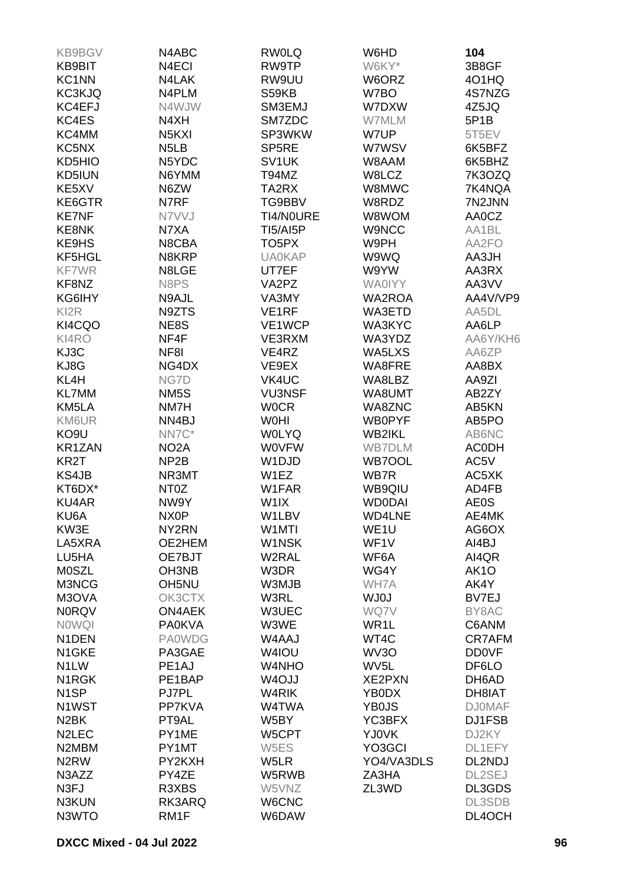| <b>KB9BGV</b>                  | N4ABC                          | <b>RW0LQ</b>       | W6HD              | 104               |
|--------------------------------|--------------------------------|--------------------|-------------------|-------------------|
| <b>KB9BIT</b>                  | N4ECI                          | RW9TP              | W6KY*             | 3B8GF             |
| KC1NN                          | N4LAK                          | RW9UU              | W6ORZ             | 401HQ             |
|                                | N4PLM                          |                    | W7BO              | 4S7NZG            |
| <b>KC3KJQ</b>                  |                                | S59KB              |                   |                   |
| KC4EFJ                         | N4WJW                          | SM3EMJ             | W7DXW             | 4Z5JQ             |
| KC4ES                          | N4XH                           | SM7ZDC             | W7MLM             | 5P1B              |
| KC4MM                          | N <sub>5</sub> K <sub>XI</sub> | SP3WKW             | W7UP              | 5T5EV             |
| KC5NX                          | N <sub>5</sub> L <sub>B</sub>  | SP <sub>5</sub> RE | W7WSV             | 6K5BFZ            |
| KD5HIO                         | N5YDC                          | SV <sub>1</sub> UK | W8AAM             | 6K5BHZ            |
| KD5IUN                         | N6YMM                          | T94MZ              | W8LCZ             | 7K3OZQ            |
| KE5XV                          | N6ZW                           | TA2RX              | W8MWC             | 7K4NQA            |
| KE6GTR                         | N7RF                           | TG9BBV             | W8RDZ             | 7N2JNN            |
| <b>KE7NF</b>                   | N7VVJ                          | TI4/NOURE          | W8WOM             | AA0CZ             |
| KE8NK                          | N7XA                           | <b>TI5/AI5P</b>    | <b>W9NCC</b>      | AA1BL             |
| KE9HS                          | N8CBA                          | TO <sub>5</sub> PX | W9PH              | AA2FO             |
| KF5HGL                         | N8KRP                          | <b>UA0KAP</b>      | W9WQ              | AA3JH             |
| <b>KF7WR</b>                   | N8LGE                          |                    |                   |                   |
|                                |                                | UT7EF              | W9YW              | AA3RX             |
| KF8NZ                          | N8PS                           | VA2PZ              | <b>WA0IYY</b>     | AA3VV             |
| KG6IHY                         | N9AJL                          | VA3MY              | <b>WA2ROA</b>     | AA4V/VP9          |
| KI <sub>2</sub> R              | N9ZTS                          | VE <sub>1</sub> RF | WA3ETD            | AA5DL             |
| KI4CQO                         | NE8S                           | VE1WCP             | WA3KYC            | AA6LP             |
| KI4RO                          | NF4F                           | VE3RXM             | WA3YDZ            | AA6Y/KH6          |
| KJ3C                           | NF8I                           | VE4RZ              | WA5LXS            | AA6ZP             |
| KJ8G                           | NG4DX                          | VE9EX              | WA8FRE            | AA8BX             |
| KL4H                           | NG7D                           | VK4UC              | WA8LBZ            | AA9ZI             |
| <b>KL7MM</b>                   | NM <sub>5</sub> S              | <b>VU3NSF</b>      | WA8UMT            | AB2ZY             |
| KM5LA                          | NM7H                           | <b>WOCR</b>        | WA8ZNC            | AB5KN             |
| KM6UR                          | NN4BJ                          | <b>WOHI</b>        | <b>WB0PYF</b>     | AB5PO             |
| KO <sub>9U</sub>               | NN7C*                          | <b>WOLYQ</b>       | <b>WB2IKL</b>     | AB6NC             |
|                                |                                |                    |                   |                   |
| KR1ZAN                         | NO <sub>2</sub> A              | <b>WOVFW</b>       | <b>WB7DLM</b>     | <b>ACODH</b>      |
| KR <sub>2</sub> T              | NP <sub>2</sub> B              | W1DJD              | WB7OOL            | AC5V              |
| KS4JB                          | NR3MT                          | W1EZ               | WB7R              | AC5XK             |
| KT6DX*                         | NT <sub>0</sub> Z              | W1FAR              | WB9QIU            | AD4FB             |
| <b>KU4AR</b>                   | NW9Y                           | W <sub>1</sub> IX  | <b>WD0DAI</b>     | AE0S              |
| KU6A                           | NX <sub>0</sub> P              | W1LBV              | <b>WD4LNE</b>     | AE4MK             |
| KW3E                           | NY2RN                          | W1MTI              | WE1U              | AG6OX             |
| LA5XRA                         | OE2HEM                         | W1NSK              | WF1V              | AI4BJ             |
| LU5HA                          | OE7BJT                         | W2RAL              | WF6A              | AI4QR             |
| <b>MOSZL</b>                   | OH3NB                          | W3DR               | WG4Y              | AK <sub>1</sub> O |
| M3NCG                          | OH5NU                          | W3MJB              | WH7A              | AK4Y              |
| M3OVA                          | OK3CTX                         | W3RL               | <b>WJ0J</b>       | BV7EJ             |
| <b>N0RQV</b>                   | <b>ON4AEK</b>                  | W3UEC              | WQ7V              | BY8AC             |
| <b>NOWQI</b>                   | <b>PA0KVA</b>                  | W3WE               | WR <sub>1</sub> L | C6ANM             |
| N1DEN                          | <b>PA0WDG</b>                  | W4AAJ              | WT4C              | <b>CR7AFM</b>     |
|                                |                                |                    |                   |                   |
| N1GKE                          | PA3GAE                         | W4IOU              | WV3O              | <b>DD0VF</b>      |
| N <sub>1</sub> LW              | PE <sub>1</sub> AJ             | W4NHO              | WV <sub>5</sub> L | DF6LO             |
| N <sub>1</sub> RGK             | PE1BAP                         | W <sub>4</sub> OJJ | <b>XE2PXN</b>     | DH6AD             |
| N <sub>1</sub> SP              | PJ7PL                          | W4RIK              | YB0DX             | DH8IAT            |
| N1WST                          | PP7KVA                         | W4TWA              | YB0JS             | <b>DJ0MAF</b>     |
| N <sub>2</sub> BK              | PT9AL                          | W5BY               | YC3BFX            | DJ1FSB            |
| N <sub>2</sub> LEC             | PY1ME                          | W5CPT              | YJ0VK             | DJ2KY             |
| N <sub>2</sub> M <sub>BM</sub> | PY1MT                          | W5ES               | YO3GCI            | DL1EFY            |
| N <sub>2</sub> RW              | PY2KXH                         | W <sub>5</sub> LR  | YO4/VA3DLS        | DL2NDJ            |
| N3AZZ                          | PY4ZE                          | W5RWB              | ZA3HA             | DL2SEJ            |
| N <sub>3FJ</sub>               | R3XBS                          | W5VNZ              | ZL3WD             | DL3GDS            |
| N3KUN                          | RK3ARQ                         | W6CNC              |                   | DL3SDB            |
| N3WTO                          | RM <sub>1</sub> F              | W6DAW              |                   | DL4OCH            |
|                                |                                |                    |                   |                   |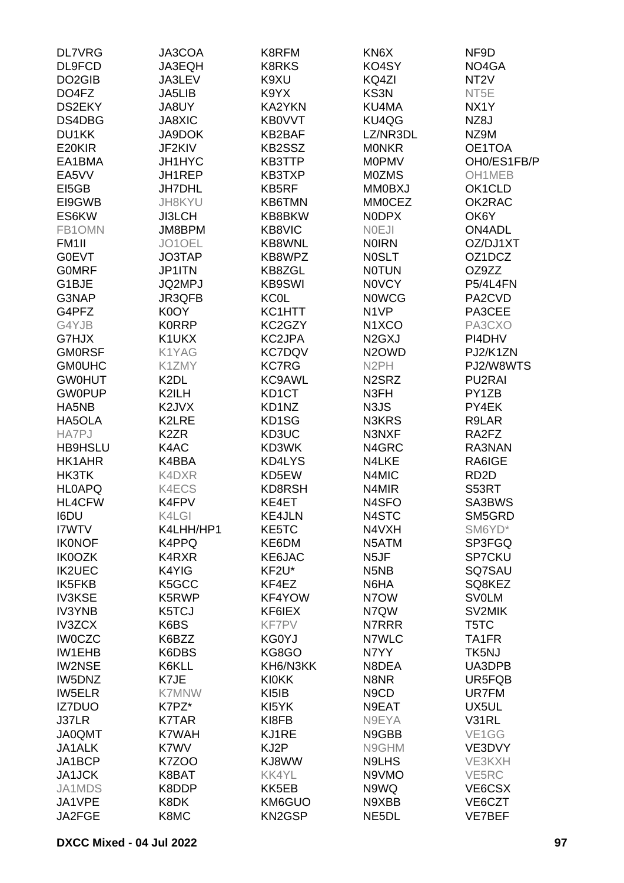| <b>DL7VRG</b>       | JA3COA            | K8RFM         | KN6X                            | NF9D               |
|---------------------|-------------------|---------------|---------------------------------|--------------------|
| DL9FCD              | JA3EQH            | <b>K8RKS</b>  | KO4SY                           | NO4GA              |
| DO <sub>2</sub> GIB | JA3LEV            | K9XU          | KQ4ZI                           | NT <sub>2</sub> V  |
| DO4FZ               | JA5LIB            | K9YX          | KS3N                            | NT5E               |
| DS2EKY              | JA8UY             | KA2YKN        | KU4MA                           | NX <sub>1</sub> Y  |
| DS4DBG              | JA8XIC            | <b>KB0VVT</b> | KU4QG                           | NZ8J               |
| DU1KK               | JA9DOK            | KB2BAF        | LZ/NR3DL                        | NZ9M               |
| E20KIR              | JF2KIV            | KB2SSZ        | <b>MONKR</b>                    | OE1TOA             |
|                     |                   |               |                                 |                    |
| EA1BMA              | JH1HYC            | KB3TTP        | <b>MOPMV</b>                    | OH0/ES1FB/P        |
| EA5VV               | JH1REP            | KB3TXP        | <b>MOZMS</b>                    | OH1MEB             |
| EI5GB               | <b>JH7DHL</b>     | KB5RF         | <b>MM0BXJ</b>                   | OK1CLD             |
| EI9GWB              | JH8KYU            | KB6TMN        | <b>MMOCEZ</b>                   | OK2RAC             |
| ES6KW               | <b>JI3LCH</b>     | KB8BKW        | <b>NODPX</b>                    | OK6Y               |
| FB1OMN              | JM8BPM            | KB8VIC        | <b>NOEJI</b>                    | <b>ON4ADL</b>      |
| FM <sub>1</sub> II  | JO1OEL            | KB8WNL        | <b>NOIRN</b>                    | OZ/DJ1XT           |
| <b>G0EVT</b>        | JO3TAP            | KB8WPZ        | <b>NOSLT</b>                    | OZ1DCZ             |
| <b>GOMRF</b>        | JP1ITN            | KB8ZGL        | <b>NOTUN</b>                    | OZ9ZZ              |
| G1BJE               | JQ2MPJ            | <b>KB9SWI</b> | <b>NOVCY</b>                    | P5/4L4FN           |
| G3NAP               | JR3QFB            | <b>KC0L</b>   | <b>NOWCG</b>                    | PA2CVD             |
| G4PFZ               | K0OY              | KC1HTT        | N <sub>1</sub> VP               | PA3CEE             |
| G4YJB               | <b>KORRP</b>      | KC2GZY        | N <sub>1</sub> X <sub>CO</sub>  | PA3CXO             |
| G7HJX               | K1UKX             | KC2JPA        | N <sub>2</sub> G <sub>X</sub> J | PI4DHV             |
| <b>GMORSF</b>       | K1YAG             | <b>KC7DQV</b> | N <sub>2</sub> OW <sub>D</sub>  | PJ2/K1ZN           |
| <b>GMOUHC</b>       | K1ZMY             | <b>KC7RG</b>  | N <sub>2</sub> PH               | PJ2/W8WTS          |
| <b>GW0HUT</b>       | K <sub>2</sub> DL | <b>KC9AWL</b> | N <sub>2</sub> SR <sub>Z</sub>  | PU <sub>2RAI</sub> |
| <b>GW0PUP</b>       | K2ILH             | KD1CT         | N3FH                            | PY1ZB              |
|                     |                   | KD1NZ         |                                 |                    |
| HA5NB               | K2JVX             |               | N3JS                            | PY4EK              |
| HA5OLA              | K2LRE             | KD1SG         | N3KRS                           | R9LAR              |
| HA7PJ               | K <sub>2</sub> ZR | KD3UC         | N3NXF                           | RA2FZ              |
| <b>HB9HSLU</b>      | K4AC              | KD3WK         | N4GRC                           | RA3NAN             |
| HK1AHR              | K4BBA             | KD4LYS        | N4LKE                           | RA6IGE             |
| HK3TK               | K4DXR             | KD5EW         | N4MIC                           | RD <sub>2</sub> D  |
| <b>HL0APQ</b>       | K4ECS             | KD8RSH        | N4MIR                           | S53RT              |
| <b>HL4CFW</b>       | K4FPV             | KE4ET         | N <sub>4</sub> SFO              | SA3BWS             |
| I6DU                | K4LGI             | <b>KE4JLN</b> | N4STC                           | SM5GRD             |
| <b>I7WTV</b>        | K4LHH/HP1         | KE5TC         | N4VXH                           | SM6YD*             |
| <b>IK0NOF</b>       | K4PPQ             | KE6DM         | N5ATM                           | SP3FGQ             |
| <b>IK0OZK</b>       | K4RXR             | KE6JAC        | N5JF                            | SP7CKU             |
| <b>IK2UEC</b>       | K4YIG             | KF2U*         | N <sub>5</sub> N <sub>B</sub>   | SQ7SAU             |
| IK5FKB              | K5GCC             | KF4EZ         | N6HA                            | SQ8KEZ             |
| <b>IV3KSE</b>       | K5RWP             | KF4YOW        | N7OW                            | <b>SV0LM</b>       |
| <b>IV3YNB</b>       | K5TCJ             | KF6IEX        | N7QW                            | SV2MIK             |
| <b>IV3ZCX</b>       | K6BS              | <b>KF7PV</b>  | N7RRR                           | T <sub>5</sub> TC  |
| <b>IWOCZC</b>       | K6BZZ             | <b>KG0YJ</b>  | N7WLC                           | TA1FR              |
| IW1EHB              | K6DBS             | KG8GO         | N7YY                            | TK5NJ              |
| <b>IW2NSE</b>       | K6KLL             | KH6/N3KK      | N8DEA                           | UA3DPB             |
| IW5DNZ              | K7JE              | <b>KI0KK</b>  | N8NR                            | UR5FQB             |
| <b>IW5ELR</b>       | <b>K7MNW</b>      | KI5IB         | N <sub>9</sub> C <sub>D</sub>   | <b>UR7FM</b>       |
| <b>IZ7DUO</b>       | K7PZ*             | KI5YK         | N9EAT                           | UX5UL              |
| J37LR               | <b>K7TAR</b>      | KI8FB         | N9EYA                           | V31RL              |
| <b>JA0QMT</b>       | <b>K7WAH</b>      | KJ1RE         | N9GBB                           | VE1GG              |
| JA1ALK              | K7WV              | KJ2P          | N9GHM                           | VE3DVY             |
| JA1BCP              | <b>K7ZOO</b>      | KJ8WW         | N9LHS                           | VE3KXH             |
| <b>JA1JCK</b>       | K8BAT             | <b>KK4YL</b>  | N9VMO                           | VE5RC              |
| JA1MDS              | K8DDP             | KK5EB         | N9WQ                            | VE6CSX             |
| JA1VPE              | K8DK              | KM6GUO        | N9XBB                           | VE6CZT             |
| JA2FGE              | K8MC              | KN2GSP        | NE5DL                           | VE7BEF             |
|                     |                   |               |                                 |                    |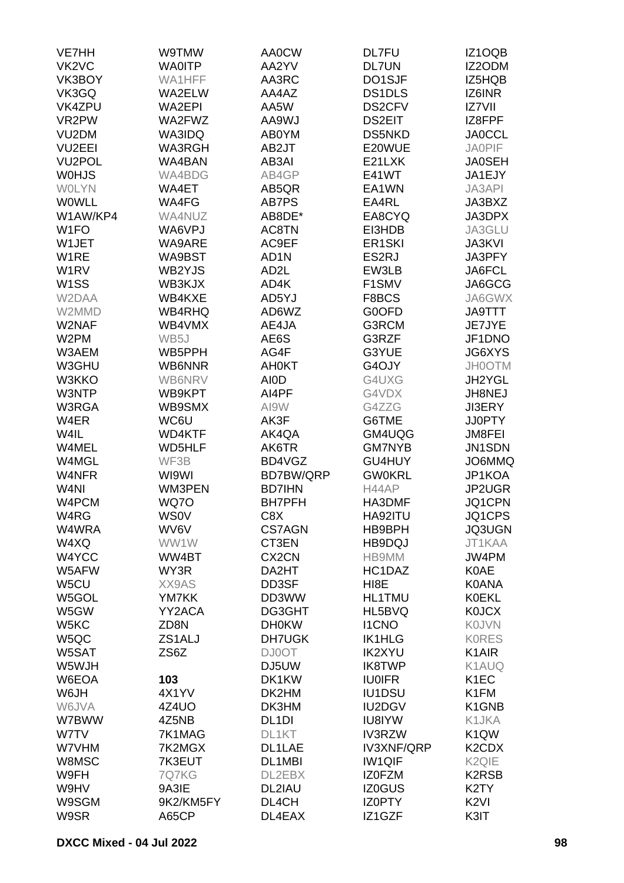| <b>VE7HH</b>                   | W9TMW         | <b>AA0CW</b>       | <b>DL7FU</b>        | IZ1OQB                         |
|--------------------------------|---------------|--------------------|---------------------|--------------------------------|
| VK <sub>2</sub> V <sub>C</sub> | <b>WA0ITP</b> | AA2YV              | <b>DL7UN</b>        | IZ2ODM                         |
| VK3BOY                         | WA1HFF        | AA3RC              | DO1SJF              | IZ5HQB                         |
| VK3GQ                          | WA2ELW        | AA4AZ              | DS1DLS              | IZ6INR                         |
| VK4ZPU                         | <b>WA2EPI</b> | AA5W               | DS2CFV              | IZ7VII                         |
| VR2PW                          | WA2FWZ        | <b>AA9WJ</b>       | <b>DS2EIT</b>       | IZ8FPF                         |
| VU <sub>2</sub> DM             | <b>WA3IDQ</b> | AB0YM              | <b>DS5NKD</b>       | <b>JA0CCL</b>                  |
| VU <sub>2</sub> EEI            | <b>WA3RGH</b> | AB2JT              | E20WUE              | <b>JA0PIF</b>                  |
| VU <sub>2</sub> POL            | WA4BAN        | AB3AI              | E21LXK              | <b>JA0SEH</b>                  |
| <b>WOHJS</b>                   | WA4BDG        | AB4GP              | E41WT               | JA1EJY                         |
| <b>WOLYN</b>                   | WA4ET         | AB5QR              | EA1WN               | <b>JA3API</b>                  |
| WOWLL                          | WA4FG         | AB7PS              | EA4RL               | JA3BXZ                         |
| W1AW/KP4                       | WA4NUZ        | AB8DE*             | EA8CYQ              | JA3DPX                         |
| W <sub>1</sub> FO              | WA6VPJ        | AC8TN              | EI3HDB              | JA3GLU                         |
| W1JET                          | WA9ARE        | AC9EF              | ER <sub>1</sub> SKI | <b>JA3KVI</b>                  |
| W1RE                           | WA9BST        | AD <sub>1</sub> N  | ES2RJ               | JA3PFY                         |
| W <sub>1</sub> RV              | WB2YJS        | AD <sub>2</sub> L  | EW3LB               | JA6FCL                         |
| W <sub>1</sub> SS              | WB3KJX        | AD4K               | F1SMV               | JA6GCG                         |
| W2DAA                          | WB4KXE        | AD5YJ              | F8BCS               | JA6GWX                         |
| W2MMD                          | <b>WB4RHQ</b> | AD6WZ              | G0OFD               | <b>JA9TTT</b>                  |
| W2NAF                          | WB4VMX        | AE4JA              | G3RCM               | JE7JYE                         |
| W <sub>2</sub> PM              | WB5J          | AE6S               | G3RZF               | JF1DNO                         |
| W3AEM                          | WB5PPH        | AG4F               | G3YUE               | <b>JG6XYS</b>                  |
| W3GHU                          | WB6NNR        | <b>AH0KT</b>       | G4OJY               | <b>JH0OTM</b>                  |
| W3KKO                          | WB6NRV        | <b>AIOD</b>        | G4UXG               | JH2YGL                         |
| W3NTP                          | WB9KPT        | AI4PF              | G4VDX               | JH8NEJ                         |
| W3RGA                          | WB9SMX        | AI9W               | G4ZZG               | <b>JI3ERY</b>                  |
| W4ER                           | WC6U          | AK3F               | G6TME               | <b>JJ0PTY</b>                  |
| W4IL                           | <b>WD4KTF</b> | AK4QA              | GM4UQG              | <b>JM8FEI</b>                  |
| W4MEL                          | <b>WD5HLF</b> | AK6TR              | <b>GM7NYB</b>       | JN1SDN                         |
| W4MGL                          | WF3B          | BD4VGZ             | GU4HUY              | JO6MMQ                         |
| W4NFR                          | WI9WI         | BD7BW/QRP          | <b>GW0KRL</b>       | JP1KOA                         |
| W <sub>4</sub> NI              | WM3PEN        | <b>BD7IHN</b>      | H44AP               | JP2UGR                         |
| W4PCM                          | WQ7O          | <b>BH7PFH</b>      | HA3DMF              | JQ1CPN                         |
| W4RG                           | <b>WS0V</b>   | C8X                | HA92ITU             | JQ1CPS                         |
| W4WRA                          | WV6V          | <b>CS7AGN</b>      | HB9BPH              | <b>JQ3UGN</b>                  |
| W4XQ                           | WW1W          | CT3EN              | HB9DQJ              | JT1KAA                         |
| W4YCC                          | WW4BT         | CX <sub>2</sub> CN | HB9MM               | JW4PM                          |
| W5AFW                          | WY3R          | DA2HT              | HC1DAZ              | <b>K0AE</b>                    |
| W5CU                           | XX9AS         | DD3SF              | HI <sub>8</sub> E   | <b>K0ANA</b>                   |
| W5GOL                          | YM7KK         | DD3WW              | <b>HL1TMU</b>       | <b>K0EKL</b>                   |
| W5GW                           | YY2ACA        | DG3GHT             | HL5BVQ              | <b>K0JCX</b>                   |
| W5KC                           | ZD8N          | <b>DH0KW</b>       | <b>I1CNO</b>        | <b>KOJVN</b>                   |
| W5QC                           | ZS1ALJ        | <b>DH7UGK</b>      | <b>IK1HLG</b>       | <b>KORES</b>                   |
| W5SAT                          | ZS6Z          | <b>DJ0OT</b>       | <b>IK2XYU</b>       | K <sub>1</sub> AIR             |
| W5WJH                          |               | DJ5UW              | <b>IK8TWP</b>       | K1AUQ                          |
| W6EOA                          | 103           | DK1KW              | <b>IU0IFR</b>       | K <sub>1</sub> EC              |
| W6JH                           | 4X1YV         | DK2HM              | <b>IU1DSU</b>       | K1FM                           |
| W6JVA                          | 4Z4UO         | DK3HM              | <b>IU2DGV</b>       | K <sub>1</sub> GN <sub>B</sub> |
| W7BWW                          | 4Z5NB         | DL <sub>1</sub> DI | <b>IU8IYW</b>       | K1JKA                          |
| W7TV                           | 7K1MAG        | DL1KT              | <b>IV3RZW</b>       | K <sub>1</sub> QW              |
| W7VHM                          | 7K2MGX        | DL1LAE             | <b>IV3XNF/QRP</b>   | K <sub>2</sub> CD <sub>X</sub> |
| W8MSC                          | 7K3EUT        | DL1MBI             | <b>IW1QIF</b>       | K <sub>2</sub> Q <sub>IE</sub> |
| W9FH                           | 7Q7KG         | DL2EBX             | <b>IZOFZM</b>       | K <sub>2</sub> R <sub>SB</sub> |
| W9HV                           | 9A3IE         | DL2IAU             | IZ0GUS              | K <sub>2</sub> TY              |
| W9SGM                          | 9K2/KM5FY     | DL4CH              | IZ0PTY              | K <sub>2VI</sub>               |
| W9SR                           | A65CP         | DL4EAX             | IZ1GZF              | K3IT                           |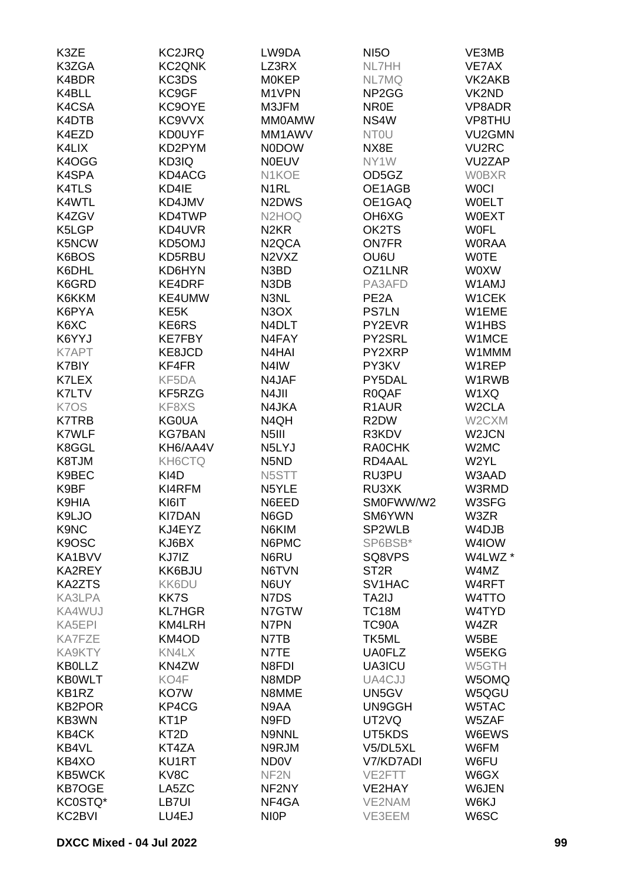| K3ZE          | <b>KC2JRQ</b>     | LW9DA                           | <b>NI5O</b>                    | VE3MB              |
|---------------|-------------------|---------------------------------|--------------------------------|--------------------|
| K3ZGA         | <b>KC2QNK</b>     | LZ3RX                           | NL7HH                          | VE7AX              |
| K4BDR         | KC3DS             | <b>MOKEP</b>                    | NL7MQ                          | VK2AKB             |
| K4BLL         | KC9GF             | M1VPN                           | NP <sub>2</sub> G <sub>G</sub> | VK2ND              |
| K4CSA         | KC9OYE            | M3JFM                           | <b>NR0E</b>                    | VP8ADR             |
| K4DTB         | KC9VVX            | <b>MM0AMW</b>                   | NS4W                           | VP8THU             |
| K4EZD         | <b>KD0UYF</b>     | MM1AWV                          | <b>NTOU</b>                    | VU2GMN             |
|               |                   |                                 |                                |                    |
| K4LIX         | KD2PYM            | <b>N0DOW</b>                    | NX8E                           | <b>VU2RC</b>       |
| K4OGG         | KD3IQ             | <b>N0EUV</b>                    | NY1W                           | VU2ZAP             |
| K4SPA         | KD4ACG            | N1KOE                           | OD5GZ                          | <b>WOBXR</b>       |
| <b>K4TLS</b>  | KD4IE             | N <sub>1</sub> RL               | OE1AGB                         | <b>WOCI</b>        |
| K4WTL         | KD4JMV            | N <sub>2</sub> D <sub>W</sub> S | OE1GAQ                         | <b>WOELT</b>       |
| K4ZGV         | KD4TWP            | N <sub>2</sub> HO <sub>Q</sub>  | OH <sub>6</sub> X <sub>G</sub> | <b>W0EXT</b>       |
| K5LGP         | KD4UVR            | N <sub>2</sub> KR               | OK2TS                          | <b>WOFL</b>        |
| K5NCW         | KD5OMJ            | N <sub>2</sub> QCA              | <b>ON7FR</b>                   | <b>WORAA</b>       |
| K6BOS         | KD5RBU            | N <sub>2</sub> V <sub>X</sub> Z | OU6U                           | <b>WOTE</b>        |
| K6DHL         | KD6HYN            | N3BD                            | OZ1LNR                         | <b>WOXW</b>        |
| K6GRD         | KE4DRF            | N3DB                            | PA3AFD                         | W1AMJ              |
| K6KKM         | KE4UMW            | N3NL                            | PE <sub>2</sub> A              | W1CEK              |
| K6PYA         | KE <sub>5</sub> K | N <sub>3</sub> O <sub>X</sub>   | <b>PS7LN</b>                   | W1EME              |
| K6XC          | KE6RS             | N4DLT                           | PY2EVR                         | W1HBS              |
| K6YYJ         | <b>KE7FBY</b>     | N4FAY                           | PY2SRL                         | W1MCE              |
| K7APT         | KE8JCD            | N <sub>4</sub> H <sub>A</sub> I | PY2XRP                         | W1MMM              |
| K7BIY         | KF4FR             | N4IW                            | PY3KV                          | W1REP              |
| K7LEX         | KF5DA             | N4JAF                           | PY5DAL                         | W1RWB              |
| K7LTV         | KF5RZG            | N4JII                           | R0QAF                          | W1XQ               |
| K7OS          | KF8XS             | N4JKA                           | R <sub>1</sub> AUR             | W <sub>2</sub> CLA |
| <b>K7TRB</b>  | <b>KG0UA</b>      | N4QH                            | R <sub>2</sub> DW              | W2CXM              |
| K7WLF         | <b>KG7BAN</b>     | N <sub>5</sub> III              | R3KDV                          | W2JCN              |
| K8GGL         | KH6/AA4V          | N5LYJ                           | <b>RAOCHK</b>                  | W2MC               |
| K8TJM         | KH6CTQ            | N <sub>5</sub> N <sub>D</sub>   | RD4AAL                         | W2YL               |
| K9BEC         | KI4D              | N5STT                           | RU3PU                          | W3AAD              |
| K9BF          | KI4RFM            | N5YLE                           | RU3XK                          | W3RMD              |
| K9HIA         | KI6IT             | N6EED                           | SM0FWW/W2                      | W3SFG              |
| K9LJO         | <b>KI7DAN</b>     | N6GD                            | SM6YWN                         | W3ZR               |
| K9NC          | KJ4EYZ            | N6KIM                           | SP2WLB                         | W4DJB              |
| K9OSC         | KJ6BX             | N6PMC                           | SP6BSB*                        | W4IOW              |
|               |                   |                                 |                                |                    |
| KA1BVV        | KJ7IZ             | N6RU                            | SQ8VPS                         | W4LWZ *            |
| KA2REY        | KK6BJU            | N6TVN                           | ST <sub>2R</sub>               | W4MZ               |
| <b>KA2ZTS</b> | KK6DU             | N6UY                            | SV1HAC                         | W4RFT              |
| KA3LPA        | KK7S              | N7DS                            | TA2IJ                          | W4TTO              |
| KA4WUJ        | <b>KL7HGR</b>     | N7GTW                           | <b>TC18M</b>                   | W4TYD              |
| KA5EPI        | KM4LRH            | N7PN                            | TC90A                          | W4ZR               |
| <b>KA7FZE</b> | KM4OD             | N7TB                            | TK5ML                          | W5BE               |
| KA9KTY        | KN4LX             | N7TE                            | <b>UA0FLZ</b>                  | W5EKG              |
| <b>KB0LLZ</b> | KN4ZW             | N8FDI                           | UA3ICU                         | W5GTH              |
| <b>KB0WLT</b> | KO4F              | N8MDP                           | UA4CJJ                         | W5OMQ              |
| KB1RZ         | KO7W              | N8MME                           | UN5GV                          | W5QGU              |
| <b>KB2POR</b> | KP4CG             | N9AA                            | UN9GGH                         | W5TAC              |
| KB3WN         | KT <sub>1</sub> P | N9FD                            | UT2VQ                          | W5ZAF              |
| KB4CK         | KT <sub>2</sub> D | N9NNL                           | UT5KDS                         | W6EWS              |
| KB4VL         | KT4ZA             | N9RJM                           | V5/DL5XL                       | W6FM               |
| KB4XO         | <b>KU1RT</b>      | <b>ND0V</b>                     | V7/KD7ADI                      | W6FU               |
| <b>KB5WCK</b> | KV8C              | NF <sub>2N</sub>                | VE2FTT                         | W6GX               |
| <b>KB7OGE</b> | LA5ZC             | NF2NY                           | VE2HAY                         | W6JEN              |
| KC0STQ*       | LB7UI             | NF4GA                           | VE2NAM                         | W6KJ               |
| KC2BVI        | LU4EJ             | <b>NIOP</b>                     | VE3EEM                         | W6SC               |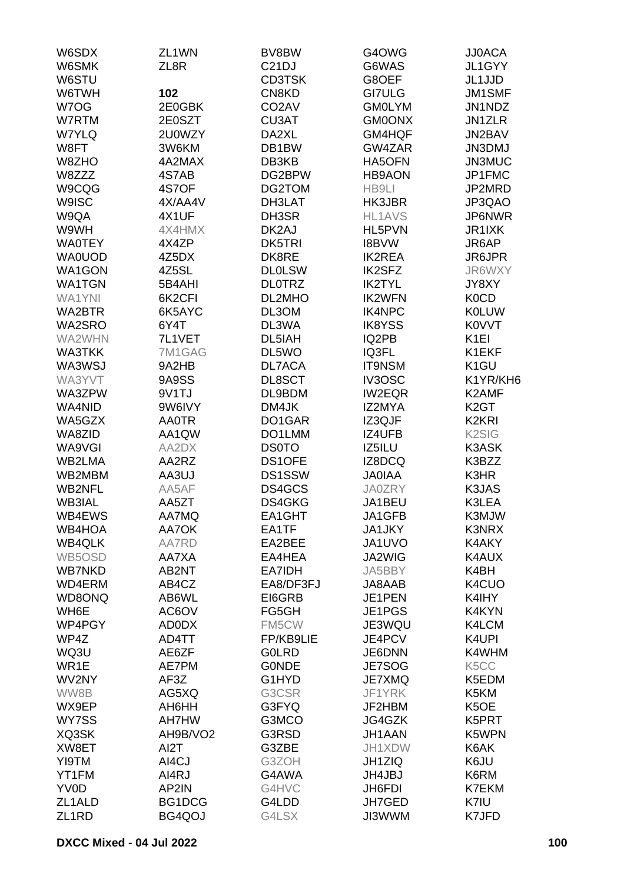| W6SDX              | ZL <sub>1</sub> WN | BV8BW              | G4OWG           | <b>JJ0ACA</b>      |
|--------------------|--------------------|--------------------|-----------------|--------------------|
| W6SMK              | ZL8R               | C <sub>21</sub> DJ | G6WAS           | JL1GYY             |
| W6STU              |                    | <b>CD3TSK</b>      | G8OEF           | JL1JJD             |
| W6TWH              | 102                | CN8KD              | <b>GI7ULG</b>   | JM1SMF             |
| W7OG               | 2E0GBK             | CO <sub>2</sub> AV | <b>GM0LYM</b>   | JN1NDZ             |
| W7RTM              | 2E0SZT             | CU3AT              | <b>GM0ONX</b>   | JN1ZLR             |
| <b>W7YLQ</b>       | 2U0WZY             | DA2XL              | GM4HQF          | JN2BAV             |
| W8FT               | 3W6KM              | DB1BW              | GW4ZAR          | <b>JN3DMJ</b>      |
| W8ZHO              | 4A2MAX             | DB3KB              | HA5OFN          | JN3MUC             |
| W8ZZZ              | 4S7AB              | DG2BPW             | <b>HB9AON</b>   | JP1FMC             |
| W9CQG              | 4S7OF              |                    |                 | JP2MRD             |
| <b>W9ISC</b>       | 4X/AA4V            | DG2TOM<br>DH3LAT   | HB9LI<br>HK3JBR | JP3QAO             |
|                    |                    |                    |                 |                    |
| W9QA               | 4X1UF              | DH3SR              | <b>HL1AVS</b>   | JP6NWR             |
| W9WH               | 4X4HMX             | DK2AJ              | HL5PVN          | JR1IXK             |
| <b>WA0TEY</b>      | 4X4ZP              | DK5TRI             | <b>I8BVW</b>    | JR6AP              |
| <b>WA0UOD</b>      | 4Z5DX              | DK8RE              | <b>IK2REA</b>   | JR6JPR             |
| WA1GON             | 4Z5SL              | <b>DL0LSW</b>      | <b>IK2SFZ</b>   | JR6WXY             |
| <b>WA1TGN</b>      | 5B4AHI             | <b>DLOTRZ</b>      | <b>IK2TYL</b>   | JY8XY              |
| <b>WA1YNI</b>      | 6K2CFI             | DL2MHO             | <b>IK2WFN</b>   | <b>K0CD</b>        |
| <b>WA2BTR</b>      | 6K5AYC             | DL3OM              | IK4NPC          | <b>K0LUW</b>       |
| WA2SRO             | 6Y4T               | DL3WA              | <b>IK8YSS</b>   | K0VVT              |
| WA2WHN             | 7L1VET             | DL5IAH             | IQ2PB           | K <sub>1EI</sub>   |
| <b>WA3TKK</b>      | 7M1GAG             | DL5WO              | IQ3FL           | K1EKF              |
| WA3WSJ             | 9A2HB              | DL7ACA             | <b>IT9NSM</b>   | K <sub>1</sub> GU  |
| WA3YVT             | 9A9SS              | DL8SCT             | IV3OSC          | K1YR/KH6           |
| WA3ZPW             | 9V1TJ              | DL9BDM             | <b>IW2EQR</b>   | K2AMF              |
| WA4NID             | 9W6IVY             | DM4JK              | IZ2MYA          | K <sub>2</sub> GT  |
| WA5GZX             | <b>AA0TR</b>       | DO1GAR             | IZ3QJF          | K2KRI              |
| WA8ZID             | AA1QW              | DO1LMM             | IZ4UFB          | K <sub>2</sub> SIG |
| WA9VGI             | AA2DX              | <b>DS0TO</b>       | IZ5ILU          | <b>K3ASK</b>       |
| WB2LMA             | AA2RZ              | DS1OFE             | IZ8DCQ          | K3BZZ              |
| WB2MBM             | AA3UJ              | <b>DS1SSW</b>      | <b>JAOIAA</b>   | K3HR               |
| <b>WB2NFL</b>      | AA5AF              | DS4GCS             | <b>JA0ZRY</b>   | K3JAS              |
| <b>WB3IAL</b>      | AA5ZT              | DS4GKG             | JA1BEU          | K3LEA              |
| WB4EWS             | AA7MQ              | EA1GHT             | JA1GFB          | K3MJW              |
| WB4HOA             | AA7OK              | EA1TF              | JA1JKY          | <b>K3NRX</b>       |
| <b>WB4QLK</b>      | AA7RD              | EA2BEE             | JA1UVO          | K4AKY              |
| WB5OSD             | AA7XA              | EA4HEA             | JA2WIG          | K4AUX              |
| <b>WB7NKD</b>      | AB2NT              | EA7IDH             | JA5BBY          | K4BH               |
| WD4ERM             | AB4CZ              | EA8/DF3FJ          | JA8AAB          | K4CUO              |
| WD8ONQ             | AB6WL              | EI6GRB             | JE1PEN          | K4IHY              |
| WH6E               | AC6OV              | FG5GH              | JE1PGS          | K4KYN              |
| WP4PGY             | AD0DX              |                    | JE3WQU          | K4LCM              |
|                    |                    | FM5CW              |                 |                    |
| WP4Z               | AD4TT              | FP/KB9LIE          | JE4PCV          | K4UPI              |
| WQ3U               | AE6ZF              | <b>GOLRD</b>       | JE6DNN          | K4WHM              |
| WR1E               | AE7PM              | <b>GONDE</b>       | JE7SOG          | K <sub>5</sub> CC  |
| WV2NY              | AF3Z               | G1HYD              | JE7XMQ          | K5EDM              |
| WW8B               | AG5XQ              | G3CSR              | JF1YRK          | K5KM               |
| WX9EP              | AH6HH              | G3FYQ              | JF2HBM          | K <sub>5</sub> OE  |
| WY7SS              | <b>AH7HW</b>       | G3MCO              | JG4GZK          | K5PRT              |
| XQ3SK              | AH9B/VO2           | G3RSD              | JH1AAN          | K5WPN              |
| XW8ET              | AI2T               | G3ZBE              | JH1XDW          | K6AK               |
| YI9TM              | AI4CJ              | G3ZOH              | JH1ZIQ          | K6JU               |
| YT1FM              | AI4RJ              | G4AWA              | JH4JBJ          | K6RM               |
| YV0D               | AP2IN              | G4HVC              | JH6FDI          | K7EKM              |
| ZL1ALD             | BG1DCG             | G4LDD              | JH7GED          | K7IU               |
| ZL <sub>1</sub> RD | BG4QOJ             | G4LSX              | JI3WWM          | K7JFD              |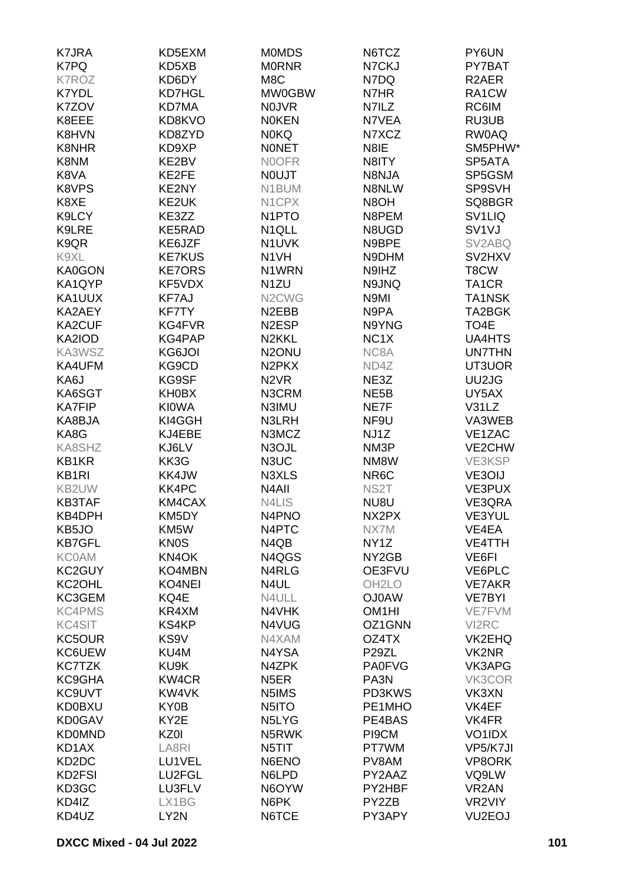| <b>K7JRA</b>                   | KD5EXM             | <b>MOMDS</b>                   | N6TCZ              | PY6UN               |
|--------------------------------|--------------------|--------------------------------|--------------------|---------------------|
| K7PQ                           | KD5XB              | <b>MORNR</b>                   | N7CKJ              | PY7BAT              |
| <b>K7ROZ</b>                   | KD6DY              | M8C                            | N7DQ               | R <sub>2</sub> AER  |
|                                |                    |                                |                    |                     |
| K7YDL                          | <b>KD7HGL</b>      | MW0GBW                         | N7HR               | RA1CW               |
| K7ZOV                          | KD7MA              | <b>NOJVR</b>                   | N7ILZ              | RC6IM               |
| K8EEE                          | KD8KVO             | <b>NOKEN</b>                   | N7VEA              | RU3UB               |
| K8HVN                          | KD8ZYD             | <b>N0KQ</b>                    | N7XCZ              | RW0AQ               |
| <b>K8NHR</b>                   | KD9XP              | <b>NONET</b>                   | N8IE               | SM5PHW*             |
| K8NM                           | KE2BV              | N0OFR                          | N8ITY              | SP5ATA              |
| K8VA                           | KE2FE              | <b>NOUJT</b>                   | N8NJA              | SP5GSM              |
| K8VPS                          | KE2NY              | N1BUM                          | N8NLW              | SP9SVH              |
| K8XE                           | KE2UK              | N1CPX                          | N8OH               | SQ8BGR              |
| K9LCY                          | KE3ZZ              | N <sub>1</sub> PTO             | N8PEM              | SV <sub>1</sub> LIQ |
| K9LRE                          | KE5RAD             | N <sub>1QLL</sub>              | N8UGD              | SV <sub>1V</sub> J  |
| K9QR                           | KE6JZF             | N1UVK                          | N9BPE              | SV2ABQ              |
|                                |                    |                                |                    |                     |
| K9XL                           | <b>KE7KUS</b>      | N <sub>1</sub> VH              | N9DHM              | SV2HXV              |
| KA0GON                         | <b>KE7ORS</b>      | N1WRN                          | N9IHZ              | T8CW                |
| KA1QYP                         | KF5VDX             | N <sub>1</sub> ZU              | N9JNQ              | TA <sub>1</sub> CR  |
| KA1UUX                         | <b>KF7AJ</b>       | N <sub>2</sub> CW <sub>G</sub> | N9MI               | <b>TA1NSK</b>       |
| KA2AEY                         | <b>KF7TY</b>       | N <sub>2</sub> EBB             | N9PA               | TA2BGK              |
| KA2CUF                         | KG4FVR             | N <sub>2</sub> ESP             | N9YNG              | TO <sub>4</sub> E   |
| KA2IOD                         | KG4PAP             | N <sub>2</sub> KKL             | NC <sub>1</sub> X  | <b>UA4HTS</b>       |
| KA3WSZ                         | KG6JOI             | N <sub>2</sub> ONU             | NC8A               | <b>UN7THN</b>       |
| KA4UFM                         | KG9CD              | N <sub>2</sub> PK <sub>X</sub> | ND4Z               | UT3UOR              |
| KA6J                           | KG9SF              | N <sub>2</sub> V <sub>R</sub>  | NE3Z               | UU2JG               |
| KA6SGT                         | KH0BX              | N3CRM                          | NE <sub>5</sub> B  | UY5AX               |
| <b>KA7FIP</b>                  | <b>KIOWA</b>       |                                | NE7F               | V31LZ               |
|                                |                    | N3IMU                          |                    |                     |
| KA8BJA                         | KI4GGH             | <b>N3LRH</b>                   | NF9U               | VA3WEB              |
| KA8G                           | KJ4EBE             | N3MCZ                          | NJ1Z               | VE1ZAC              |
| KA8SHZ                         | KJ6LV              | N3OJL                          | NM3P               | VE2CHW              |
| KB1KR                          | KK3G               | N3UC                           | NM8W               | VE3KSP              |
| <b>KB1RI</b>                   | KK4JW              | N3XLS                          | NR6C               | VE3OIJ              |
| KB2UW                          | KK4PC              | N <sub>4</sub> All             | NS <sub>2</sub> T  | VE3PUX              |
| <b>KB3TAF</b>                  | KM4CAX             | <b>N4LIS</b>                   | NU8U               | VE3QRA              |
| KB4DPH                         | KM5DY              | N4PNO                          | NX2PX              | VE3YUL              |
| KB5JO                          | KM <sub>5</sub> W  | N4PTC                          | NX7M               | VE4EA               |
| <b>KB7GFL</b>                  | <b>KN0S</b>        | N4QB                           | NY <sub>1</sub> Z  | VE4TTH              |
| <b>KC0AM</b>                   | KN <sub>4</sub> OK | N4QGS                          | NY <sub>2</sub> GB | VE6FI               |
| KC2GUY                         | KO4MBN             | N4RLG                          | OE3FVU             | VE6PLC              |
| KC2OHL                         | <b>KO4NEI</b>      | N4UL                           | OH <sub>2</sub> LO | <b>VE7AKR</b>       |
| KC3GEM                         | KQ4E               |                                |                    |                     |
|                                |                    | N4ULL                          | <b>OJ0AW</b>       | <b>VE7BYI</b>       |
| <b>KC4PMS</b>                  | KR4XM              | N4VHK                          | OM <sub>1</sub> HI | VE7FVM              |
| <b>KC4SIT</b>                  | KS4KP              | N4VUG                          | OZ1GNN             | VI2RC               |
| KC5OUR                         | KS9V               | N4XAM                          | OZ4TX              | VK2EHQ              |
| KC6UEW                         | KU4M               | N4YSA                          | P <sub>29</sub> ZL | VK2NR               |
| <b>KC7TZK</b>                  | KU9K               | N4ZPK                          | <b>PA0FVG</b>      | VK3APG              |
| KC9GHA                         | KW4CR              | N <sub>5</sub> ER              | PA3N               | VK3COR              |
| <b>KC9UVT</b>                  | KW4VK              | N5IMS                          | PD3KWS             | VK3XN               |
| <b>KD0BXU</b>                  | KY0B               | N5ITO                          | PE1MHO             | VK4EF               |
| <b>KD0GAV</b>                  | KY2E               | N5LYG                          | PE4BAS             | VK4FR               |
| <b>KD0MND</b>                  | KZ0I               | N5RWK                          | PI9CM              | VO1IDX              |
| KD1AX                          | LA8RI              | N5TIT                          | PT7WM              | VP5/K7JI            |
| KD <sub>2</sub> D <sub>C</sub> | LU1VEL             | N6ENO                          | PV8AM              | VP8ORK              |
|                                |                    |                                |                    |                     |
| KD2FSI                         | LU2FGL             | N6LPD                          | PY2AAZ             | VQ9LW               |
| KD3GC                          | LU3FLV             | N6OYW                          | PY2HBF             | VR <sub>2</sub> AN  |
| KD4IZ                          | LX1BG              | N6PK                           | PY2ZB              | VR2VIY              |
| KD4UZ                          | LY2N               | N6TCE                          | PY3APY             | VU <sub>2</sub> EOJ |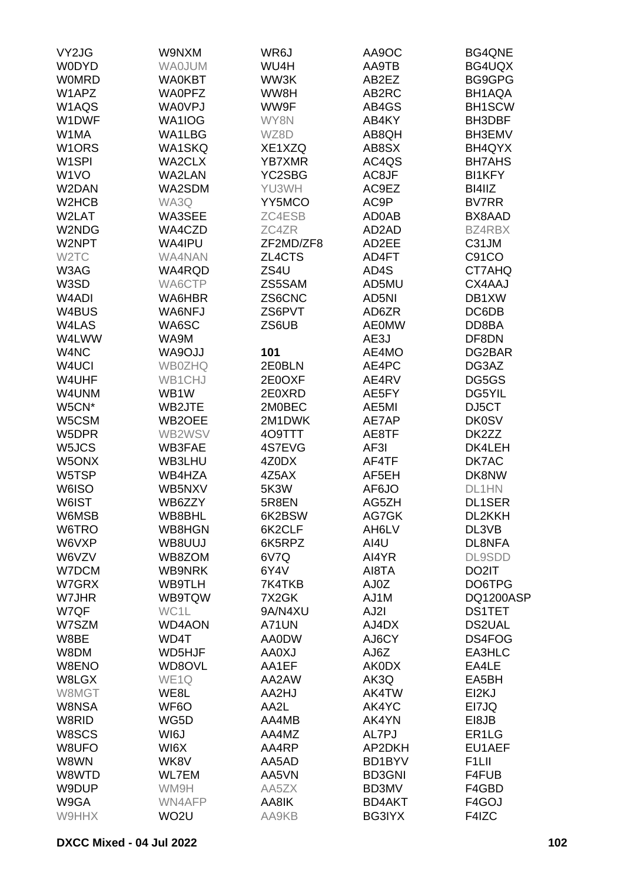| VY2JG              | W9NXM             | WR6J          | AA9OC         | <b>BG4QNE</b>      |
|--------------------|-------------------|---------------|---------------|--------------------|
| <b>WODYD</b>       | <b>WAOJUM</b>     | WU4H          | AA9TB         | BG4UQX             |
| <b>WOMRD</b>       | <b>WA0KBT</b>     | WW3K          | AB2EZ         | BG9GPG             |
|                    |                   |               |               |                    |
| W1APZ              | <b>WA0PFZ</b>     | WW8H          | AB2RC         | BH1AQA             |
| W1AQS              | <b>WA0VPJ</b>     | WW9F          | AB4GS         | <b>BH1SCW</b>      |
| W1DWF              | WA1IOG            | WY8N          | AB4KY         | BH3DBF             |
| W1MA               | WA1LBG            | WZ8D          | AB8QH         | BH3EMV             |
| W <sub>1</sub> ORS | <b>WA1SKQ</b>     | XE1XZQ        | AB8SX         | BH4QYX             |
| W <sub>1</sub> SPI | <b>WA2CLX</b>     | <b>YB7XMR</b> | AC4QS         | <b>BH7AHS</b>      |
| W <sub>1</sub> VO  | <b>WA2LAN</b>     | YC2SBG        | AC8JF         | <b>BI1KFY</b>      |
| W2DAN              | WA2SDM            | YU3WH         | AC9EZ         | BI4IIZ             |
| W <sub>2</sub> HCB | WA3Q              | YY5MCO        | AC9P          | <b>BV7RR</b>       |
| W2LAT              | WA3SEE            | ZC4ESB        | AD0AB         | BX8AAD             |
| W2NDG              | WA4CZD            | ZC4ZR         | AD2AD         | BZ4RBX             |
| W2NPT              | WA4IPU            | ZF2MD/ZF8     | AD2EE         | C31JM              |
| W <sub>2</sub> TC  | <b>WA4NAN</b>     | ZL4CTS        | AD4FT         | <b>C91CO</b>       |
| W3AG               | WA4RQD            | ZS4U          | AD4S          | CT7AHQ             |
| W3SD               | WA6CTP            | ZS5SAM        | AD5MU         | CX4AAJ             |
|                    |                   |               |               |                    |
| W4ADI              | WA6HBR            | ZS6CNC        | AD5NI         | DB1XW              |
| W4BUS              | WA6NFJ            | ZS6PVT        | AD6ZR         | DC6DB              |
| W4LAS              | WA6SC             | ZS6UB         | <b>AE0MW</b>  | DD8BA              |
| W4LWW              | WA9M              |               | AE3J          | DF8DN              |
| W4NC               | <b>ULOBAW</b>     | 101           | AE4MO         | DG2BAR             |
| W4UCI              | <b>WB0ZHQ</b>     | 2E0BLN        | AE4PC         | DG3AZ              |
| W4UHF              | WB1CHJ            | 2E0OXF        | AE4RV         | DG5GS              |
| W4UNM              | WB1W              | 2E0XRD        | AE5FY         | DG5YIL             |
| W5CN*              | WB2JTE            | 2M0BEC        | AE5MI         | DJ5CT              |
| W5CSM              | WB2OEE            | 2M1DWK        | AE7AP         | <b>DK0SV</b>       |
| W5DPR              | WB2WSV            | 4O9TTT        | AE8TF         | DK2ZZ              |
| W5JCS              | WB3FAE            | 4S7EVG        | AF3I          | DK4LEH             |
| W5ONX              | WB3LHU            | 4Z0DX         | AF4TF         | DK7AC              |
| W5TSP              | WB4HZA            | 4Z5AX         | AF5EH         | DK8NW              |
| W6ISO              | WB5NXV            | 5K3W          | AF6JO         | DL1HN              |
| W6IST              | WB6ZZY            | 5R8EN         | AG5ZH         | <b>DL1SER</b>      |
| W6MSB              | WB8BHL            | 6K2BSW        | AG7GK         | DL2KKH             |
| W6TRO              | WB8HGN            | 6K2CLF        | AH6LV         | DL3VB              |
| W6VXP              | WB8UUJ            | 6K5RPZ        | AI4U          | <b>DL8NFA</b>      |
| W6VZV              | WB8ZOM            | 6V7Q          | AI4YR         | <b>DL9SDD</b>      |
|                    | <b>WB9NRK</b>     |               |               |                    |
| W7DCM              |                   | 6Y4V          | AI8TA         | DO2IT              |
| W7GRX              | WB9TLH            | 7K4TKB        | AJ0Z          | DO6TPG             |
| W7JHR              | WB9TQW            | 7X2GK         | AJ1M          | DQ1200ASP          |
| W7QF               | WC <sub>1</sub> L | 9A/N4XU       | AJ2I          | <b>DS1TET</b>      |
| W7SZM              | <b>WD4AON</b>     | A71UN         | AJ4DX         | <b>DS2UAL</b>      |
| W8BE               | WD4T              | AA0DW         | AJ6CY         | DS4FOG             |
| W8DM               | WD5HJF            | <b>LX0AA</b>  | AJ6Z          | EA3HLC             |
| W8ENO              | WD8OVL            | AA1EF         | <b>AK0DX</b>  | EA4LE              |
| W8LGX              | WE <sub>1Q</sub>  | AA2AW         | AK3Q          | EA5BH              |
| W8MGT              | WE8L              | AA2HJ         | AK4TW         | EI2KJ              |
| W8NSA              | WF6O              | AA2L          | AK4YC         | EI7JQ              |
| W8RID              | WG5D              | AA4MB         | AK4YN         | EI8JB              |
| W8SCS              | WI6J              | AA4MZ         | AL7PJ         | ER1LG              |
| W8UFO              | WI6X              | AA4RP         | AP2DKH        | EU1AEF             |
| W8WN               | WK8V              | AA5AD         | BD1BYV        | F <sub>1</sub> LII |
| W8WTD              | WL7EM             | AA5VN         | <b>BD3GNI</b> | F4FUB              |
| W9DUP              | WM9H              | AA5ZX         | BD3MV         | F4GBD              |
| W9GA               | WN4AFP            | AA8IK         | <b>BD4AKT</b> | F4GOJ              |
| W9HHX              | WO <sub>2</sub> U | AA9KB         | <b>BG3IYX</b> | F4IZC              |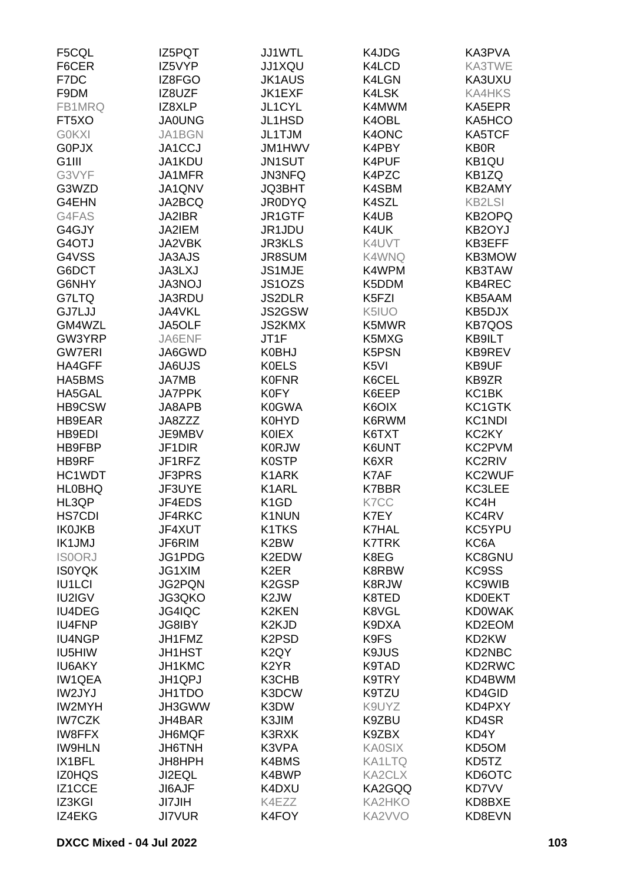| F5CQL              | IZ5PQT        | JJ1WTL                         | K4JDG            | KA3PVA              |
|--------------------|---------------|--------------------------------|------------------|---------------------|
| F6CER              | IZ5VYP        | JJ1XQU                         | K4LCD            | KA3TWE              |
| F7DC               | IZ8FGO        | <b>JK1AUS</b>                  | K4LGN            | KA3UXU              |
| F9DM               | IZ8UZF        | JK1EXF                         | K4LSK            | <b>KA4HKS</b>       |
| FB1MRQ             | IZ8XLP        | JL1CYL                         | K4MWM            | KA5EPR              |
| FT5XO              | <b>JA0UNG</b> | JL1HSD                         | K4OBL            | KA5HCO              |
| <b>G0KXI</b>       | JA1BGN        | JL1TJM                         | K4ONC            | <b>KA5TCF</b>       |
| <b>G0PJX</b>       | JA1CCJ        | JM1HWV                         | K4PBY            | <b>KB0R</b>         |
| G <sub>1</sub> III | JA1KDU        |                                |                  |                     |
|                    |               | JN1SUT                         | K4PUF            | KB1QU               |
| G3VYF              | JA1MFR        | <b>JN3NFQ</b>                  | K4PZC            | KB1ZQ               |
| G3WZD              | JA1QNV        | <b>JQ3BHT</b>                  | K4SBM            | KB2AMY              |
| G4EHN              | JA2BCQ        | <b>JR0DYQ</b>                  | K4SZL            | <b>KB2LSI</b>       |
| G4FAS              | JA2IBR        | JR1GTF                         | K4UB             | KB2OPQ              |
| G4GJY              | JA2IEM        | JR1JDU                         | K4UK             | KB2OYJ              |
| G4OTJ              | JA2VBK        | <b>JR3KLS</b>                  | K4UVT            | KB3EFF              |
| G4VSS              | <b>JA3AJS</b> | JR8SUM                         | K4WNQ            | KB3MOW              |
| G6DCT              | <b>JA3LXJ</b> | JS1MJE                         | K4WPM            | KB3TAW              |
| G6NHY              | <b>JA3NOJ</b> | JS1OZS                         | K5DDM            | KB4REC              |
| G7LTQ              | JA3RDU        | <b>JS2DLR</b>                  | K5FZI            | KB5AAM              |
| <b>GJ7LJJ</b>      | JA4VKL        | JS2GSW                         | K5IUO            | KB5DJX              |
| GM4WZL             | JA5OLF        | <b>JS2KMX</b>                  | K5MWR            | <b>KB7QOS</b>       |
| GW3YRP             | JA6ENF        | JT1F                           | K5MXG            | KB9ILT              |
| <b>GW7ERI</b>      | JA6GWD        | <b>K0BHJ</b>                   | K5PSN            | KB9REV              |
| HA4GFF             | JA6UJS        | <b>K0ELS</b>                   | K <sub>5VI</sub> | KB9UF               |
| HA5BMS             | <b>JA7MB</b>  | <b>K0FNR</b>                   | K6CEL            | KB9ZR               |
| HA5GAL             | <b>JA7PPK</b> | <b>K0FY</b>                    | K6EEP            | KC1BK               |
| HB9CSW             | JA8APB        | <b>K0GWA</b>                   | K6OIX            | KC <sub>1</sub> GTK |
| <b>HB9EAR</b>      | JA8ZZZ        | <b>K0HYD</b>                   | K6RWM            | KC1NDI              |
|                    |               |                                |                  |                     |
| HB9EDI             | JE9MBV        | <b>KOIEX</b>                   | K6TXT            | KC <sub>2</sub> KY  |
| HB9FBP             | JF1DIR        | <b>K0RJW</b>                   | K6UNT            | KC2PVM              |
| HB9RF              | JF1RFZ        | <b>K0STP</b>                   | K6XR             | <b>KC2RIV</b>       |
| HC1WDT             | JF3PRS        | K1ARK                          | K7AF             | KC2WUF              |
| <b>HLOBHQ</b>      | JF3UYE        | K1ARL                          | <b>K7BBR</b>     | KC3LEE              |
| HL3QP              | JF4EDS        | K <sub>1</sub> GD              | K7CC             | KC4H                |
| <b>HS7CDI</b>      | JF4RKC        | K1NUN                          | K7EY             | KC4RV               |
| <b>IK0JKB</b>      | JF4XUT        | K1TKS                          | <b>K7HAL</b>     | KC5YPU              |
| <b>IK1JMJ</b>      | JF6RIM        | K2BW                           | <b>K7TRK</b>     | KC6A                |
| <b>ISOORJ</b>      | JG1PDG        | K2EDW                          | K8EG             | KC8GNU              |
| <b>IS0YQK</b>      | JG1XIM        | K <sub>2</sub> ER              | K8RBW            | KC9SS               |
| <b>IU1LCI</b>      | <b>JG2PQN</b> | K <sub>2</sub> GSP             | K8RJW            | <b>KC9WIB</b>       |
| IU2IGV             | JG3QKO        | K <sub>2</sub> JW              | K8TED            | <b>KD0EKT</b>       |
| <b>IU4DEG</b>      | JG4IQC        | K2KEN                          | K8VGL            | <b>KD0WAK</b>       |
| <b>IU4FNP</b>      | <b>JG8IBY</b> | K <sub>2</sub> KJD             | K9DXA            | KD2EOM              |
| <b>IU4NGP</b>      | JH1FMZ        | K <sub>2</sub> P <sub>SD</sub> | K9FS             | KD2KW               |
| IU5HIW             | <b>JH1HST</b> | K <sub>2</sub> QY              | K9JUS            | KD2NBC              |
| <b>IU6AKY</b>      | JH1KMC        | K <sub>2</sub> YR              | K9TAD            | KD2RWC              |
| <b>IW1QEA</b>      | JH1QPJ        | K3CHB                          | K9TRY            | KD4BWM              |
| IW2JYJ             | JH1TDO        | K3DCW                          | K9TZU            | KD4GID              |
| <b>IW2MYH</b>      | JH3GWW        | K3DW                           | K9UYZ            | KD4PXY              |
| <b>IW7CZK</b>      | JH4BAR        | K3JIM                          | K9ZBU            | KD4SR               |
|                    |               |                                |                  |                     |
| <b>IW8FFX</b>      | JH6MQF        | K3RXK                          | K9ZBX            | KD4Y                |
| <b>IW9HLN</b>      | <b>JH6TNH</b> | K3VPA                          | <b>KA0SIX</b>    | KD5OM               |
| IX1BFL             | JH8HPH        | K4BMS                          | <b>KA1LTQ</b>    | KD5TZ               |
| <b>IZ0HQS</b>      | <b>JI2EQL</b> | K4BWP                          | KA2CLX           | KD6OTC              |
| IZ1CCE             | JI6AJF        | K4DXU                          | KA2GQQ           | <b>KD7VV</b>        |
| IZ3KGI             | <b>JI7JIH</b> | K4EZZ                          | KA2HKO           | KD8BXE              |
| IZ4EKG             | <b>JI7VUR</b> | K4FOY                          | KA2VVO           | KD8EVN              |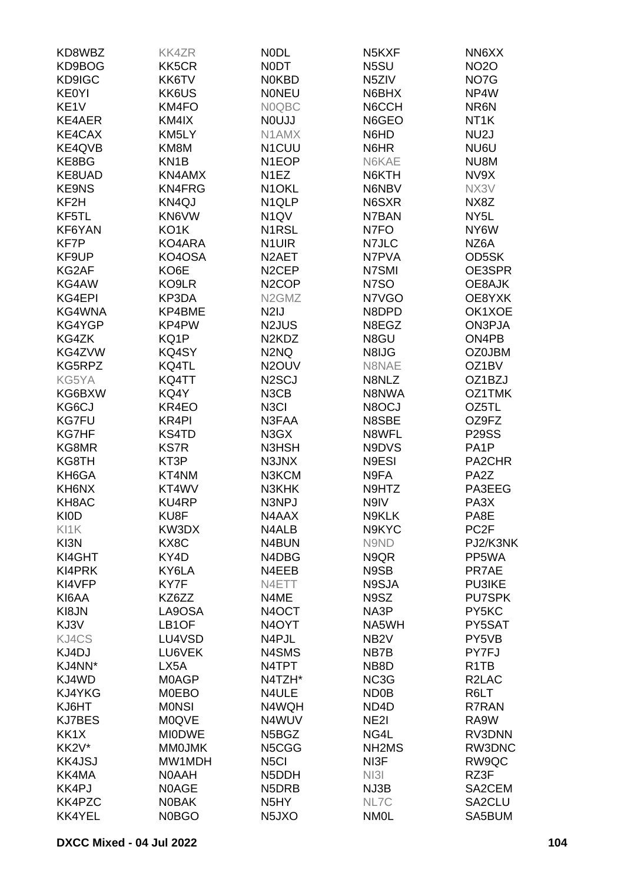| KD8WBZ             | <b>KK4ZR</b>       | <b>NODL</b>                              | N <sub>5</sub> KXF             | NN6XX                         |
|--------------------|--------------------|------------------------------------------|--------------------------------|-------------------------------|
| KD9BOG             | KK5CR              | <b>NODT</b>                              | N5SU                           | <b>NO2O</b>                   |
| KD9IGC             | KK6TV              | <b>NOKBD</b>                             | N <sub>5</sub> ZIV             | NO7G                          |
| <b>KE0YI</b>       | KK6US              | <b>NONEU</b>                             | N6BHX                          | NP4W                          |
| KE <sub>1V</sub>   | KM4FO              | N0QBC                                    | N6CCH                          | NR6N                          |
| KE4AER             | KM4IX              | <b>NOUJJ</b>                             | N6GEO                          | NT <sub>1</sub> K             |
| KE4CAX             | KM5LY              | N1AMX                                    | N6HD                           | NU <sub>2</sub> J             |
| KE4QVB             | KM8M               | N1CUU                                    | N6HR                           | NU6U                          |
| KE8BG              | KN <sub>1</sub> B  | N1EOP                                    | N6KAE                          | NU8M                          |
| KE8UAD             | KN4AMX             | N <sub>1</sub> EZ                        | N6KTH                          | NV9X                          |
| <b>KE9NS</b>       | KN4FRG             | N <sub>1</sub> OKL                       | N6NBV                          | NX3V                          |
| KF <sub>2</sub> H  | KN4QJ              | N <sub>1QLP</sub>                        | N6SXR                          | NX8Z                          |
| KF5TL              | KN6VW              | N <sub>1</sub> QV                        | N7BAN                          | NY <sub>5</sub> L             |
| KF6YAN             | KO1K               | N1RSL                                    | N7FO                           | NY6W                          |
| KF7P               | KO4ARA             |                                          | N7JLC                          | NZ6A                          |
|                    | KO4OSA             | N <sub>1</sub> UIR<br>N <sub>2</sub> AET | N7PVA                          |                               |
| KF9UP              |                    |                                          |                                | OD5SK                         |
| KG2AF              | KO6E               | N <sub>2</sub> CEP                       | N7SMI                          | OE3SPR                        |
| KG4AW              | KO9LR              | N <sub>2</sub> COP                       | N7SO                           | OE8AJK                        |
| KG4EPI             | KP3DA              | N <sub>2</sub> GM <sub>Z</sub>           | N7VGO                          | OE8YXK                        |
| KG4WNA             | KP4BME             | N <sub>2</sub> IJ                        | N8DPD                          | OK1XOE                        |
| KG4YGP             | KP4PW              | N <sub>2</sub> JUS                       | N8EGZ                          | ON3PJA                        |
| KG4ZK              | KQ1P               | N <sub>2</sub> KD <sub>Z</sub>           | N8GU                           | ON4PB                         |
| KG4ZVW             | KQ4SY              | N <sub>2</sub> N <sub>Q</sub>            | N8IJG                          | <b>OZ0JBM</b>                 |
| KG5RPZ             | KQ4TL              | N <sub>2</sub> OU <sub>V</sub>           | N8NAE                          | OZ1BV                         |
| KG5YA              | KQ4TT              | N <sub>2</sub> SCJ                       | N8NLZ                          | OZ1BZJ                        |
| KG6BXW             | KQ4Y               | N3CB                                     | N8NWA                          | OZ1TMK                        |
| KG6CJ              | KR4EO              | N <sub>3</sub> Cl                        | N8OCJ                          | OZ5TL                         |
| <b>KG7FU</b>       | KR4PI              | N3FAA                                    | N8SBE                          | OZ9FZ                         |
| <b>KG7HF</b>       | <b>KS4TD</b>       | N3GX                                     | N8WFL                          | <b>P29SS</b>                  |
| KG8MR              | <b>KS7R</b>        | N3HSH                                    | N9DVS                          | PA <sub>1</sub> P             |
| KG8TH              | KT3P               | N3JNX                                    | N9ESI                          | PA2CHR                        |
| KH6GA              | KT4NM              | N3KCM                                    | N9FA                           | PA <sub>2</sub> Z             |
| KH6NX              | KT4WV              | N3KHK                                    | N9HTZ                          | PA3EEG                        |
| KH8AC              | <b>KU4RP</b>       | N3NPJ                                    | N9IV                           | PA3X                          |
| <b>KIOD</b>        | KU8F               | N4AAX                                    | N9KLK                          | PA8E                          |
| KI1K               | KW3DX              | N4ALB                                    | N9KYC                          | PC <sub>2F</sub>              |
| KI3N               | KX8C               | N4BUN                                    | N9ND                           | PJ2/K3NK                      |
| KI4GHT             | KY4D               | N4DBG                                    | N9QR                           | PP5WA                         |
| KI4PRK             | KY6LA              | N4EEB                                    | N9SB                           | PR7AE                         |
| KI4VFP             | KY7F               | N4ETT                                    | N9SJA                          | <b>PU3IKE</b>                 |
| KI6AA              | KZ6ZZ              | N4ME                                     | N9SZ                           | <b>PU7SPK</b>                 |
| KI8JN              | LA9OSA             | N4OCT                                    | NA3P                           | PY5KC                         |
| KJ3V               | LB <sub>1</sub> OF | N <sub>4</sub> OYT                       | NA5WH                          | PY5SAT                        |
| KJ4CS              | LU4VSD             | N4PJL                                    | NB <sub>2</sub> V              | PY5VB                         |
| KJ4DJ              | LU6VEK             | N4SMS                                    | NB7B                           | PY7FJ                         |
| KJ4NN*             | LX5A               | N4TPT                                    | NB8D                           | R <sub>1</sub> T <sub>B</sub> |
| KJ4WD              | <b>MOAGP</b>       | N4TZH*                                   | NC3G                           | R <sub>2</sub> LAC            |
| KJ4YKG             | <b>MOEBO</b>       | N4ULE                                    | ND <sub>0</sub> B              | R6LT                          |
| KJ6HT              | <b>MONSI</b>       | N4WQH                                    | ND4D                           | R7RAN                         |
| <b>KJ7BES</b>      | <b>M0QVE</b>       | N4WUV                                    | NE <sub>2</sub>                | RA9W                          |
| KK1X               | <b>MIODWE</b>      | N5BGZ                                    | NG4L                           | RV3DNN                        |
| KK <sub>2V</sub> * | <b>MMOJMK</b>      | N5CGG                                    | NH <sub>2</sub> M <sub>S</sub> | RW3DNC                        |
| <b>KK4JSJ</b>      | MW1MDH             | N <sub>5Cl</sub>                         | NI3F                           | RW9QC                         |
| KK4MA              | <b>NOAAH</b>       | N5DDH                                    | NI3I                           | RZ3F                          |
| KK4PJ              | N0AGE              | N5DRB                                    | NJ3B                           | SA2CEM                        |
| KK4PZC             | <b>NOBAK</b>       | N <sub>5</sub> HY                        | NL7C                           | SA2CLU                        |
| <b>KK4YEL</b>      | <b>N0BGO</b>       | N <sub>5</sub> JXO                       | <b>NMOL</b>                    | SA5BUM                        |
|                    |                    |                                          |                                |                               |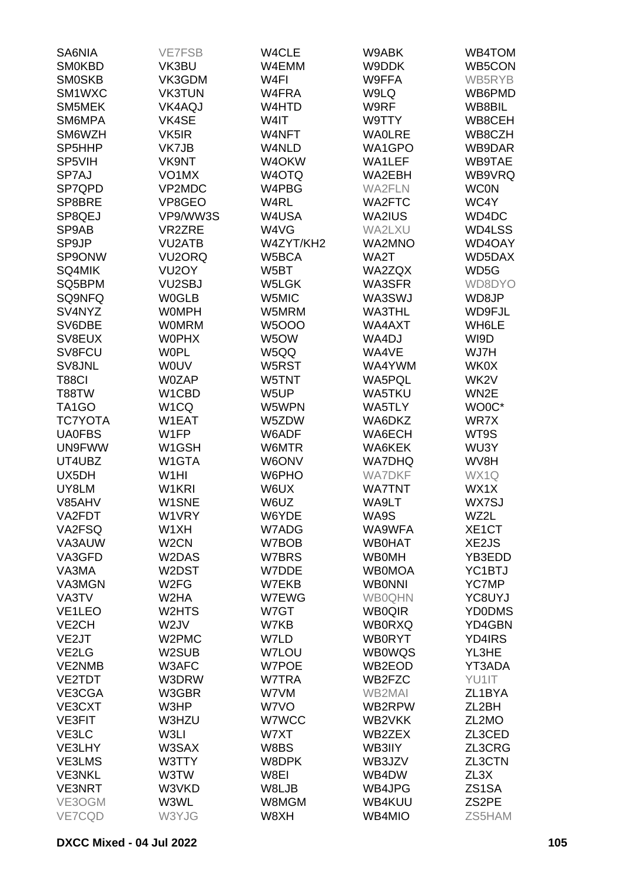| SA6NIA                         | <b>VE7FSB</b>       | W4CLE        | W9ABK         | WB4TOM              |
|--------------------------------|---------------------|--------------|---------------|---------------------|
| <b>SM0KBD</b>                  | VK3BU               | W4EMM        | W9DDK         | WB5CON              |
| <b>SMOSKB</b>                  | VK3GDM              | W4FI         | W9FFA         | WB5RYB              |
| SM1WXC                         | <b>VK3TUN</b>       | W4FRA        | W9LQ          | WB6PMD              |
|                                |                     |              |               | WB8BIL              |
| SM5MEK                         | <b>VK4AQJ</b>       | W4HTD        | W9RF          |                     |
| SM6MPA                         | VK4SE               | W4IT         | W9TTY         | WB8CEH              |
| SM6WZH                         | VK5IR               | W4NFT        | <b>WAOLRE</b> | WB8CZH              |
| SP <sub>5</sub> HHP            | VK7JB               | W4NLD        | WA1GPO        | WB9DAR              |
| SP5VIH                         | <b>VK9NT</b>        | W4OKW        | WA1LEF        | WB9TAE              |
| SP7AJ                          | VO <sub>1</sub> MX  | W4OTQ        | WA2EBH        | WB9VRQ              |
| SP7QPD                         | VP2MDC              | W4PBG        | <b>WA2FLN</b> | <b>WC0N</b>         |
| SP8BRE                         | VP8GEO              | W4RL         | <b>WA2FTC</b> | WC4Y                |
| SP8QEJ                         | VP9/WW3S            | W4USA        | <b>WA2IUS</b> | WD4DC               |
| SP9AB                          | <b>VR2ZRE</b>       | W4VG         | WA2LXU        | WD4LSS              |
| SP9JP                          | <b>VU2ATB</b>       | W4ZYT/KH2    | <b>WA2MNO</b> | WD4OAY              |
| SP9ONW                         | VU <sub>2</sub> ORQ | W5BCA        | WA2T          | WD5DAX              |
| SQ4MIK                         | VU <sub>2</sub> OY  | W5BT         | WA2ZQX        | WD5G                |
| SQ5BPM                         | VU2SBJ              | W5LGK        | WA3SFR        | WD8DYO              |
|                                |                     |              |               |                     |
| SQ9NFQ                         | <b>W0GLB</b>        | W5MIC        | WA3SWJ        | WD8JP               |
| SV4NYZ                         | <b>WOMPH</b>        | W5MRM        | <b>WA3THL</b> | WD9FJL              |
| SV6DBE                         | <b>WOMRM</b>        | <b>W5OOO</b> | WA4AXT        | WH6LE               |
| SV8EUX                         | <b>WOPHX</b>        | W5OW         | WA4DJ         | WI9D                |
| SV8FCU                         | <b>WOPL</b>         | W5QQ         | WA4VE         | WJ7H                |
| SV8JNL                         | WOUV                | W5RST        | WA4YWM        | <b>WK0X</b>         |
| <b>T88CI</b>                   | W0ZAP               | W5TNT        | WA5PQL        | WK2V                |
| T88TW                          | W1CBD               | W5UP         | <b>WA5TKU</b> | WN2E                |
| TA <sub>1</sub> GO             | W <sub>1</sub> CQ   | W5WPN        | WA5TLY        | WO0C*               |
| <b>TC7YOTA</b>                 | W1EAT               | W5ZDW        | WA6DKZ        | WR7X                |
| <b>UA0FBS</b>                  | W1FP                | W6ADF        | WA6ECH        | WT9S                |
| <b>UN9FWW</b>                  | W1GSH               | W6MTR        | WA6KEK        | WU3Y                |
| UT4UBZ                         | W1GTA               | W6ONV        | <b>WA7DHQ</b> | WV8H                |
| UX5DH                          | W <sub>1</sub> HI   | W6PHO        | <b>WA7DKF</b> | WX1Q                |
| UY8LM                          | W1KRI               | W6UX         | <b>WA7TNT</b> | WX1X                |
| V85AHV                         | W1SNE               | W6UZ         | WA9LT         | WX7SJ               |
| VA2FDT                         |                     |              |               |                     |
|                                | W1VRY               | W6YDE        | WA9S          | WZ2L                |
| VA2FSQ                         | W1XH                | W7ADG        | WA9WFA        | XE <sub>1</sub> CT  |
| VA3AUW                         | W <sub>2</sub> CN   | W7BOB        | <b>WB0HAT</b> | XE2JS               |
| VA3GFD                         | W2DAS               | W7BRS        | <b>WBOMH</b>  | YB3EDD              |
| VA3MA                          | W2DST               | W7DDE        | <b>WB0MOA</b> | YC <sub>1</sub> BTJ |
| VA3MGN                         | W <sub>2</sub> FG   | W7EKB        | <b>WBONNI</b> | <b>YC7MP</b>        |
| VA3TV                          | W2HA                | W7EWG        | <b>WB0QHN</b> | YC8UYJ              |
| VE <sub>1</sub> LEO            | W2HTS               | W7GT         | <b>WB0QIR</b> | <b>YD0DMS</b>       |
| VE <sub>2</sub> CH             | W <sub>2J</sub> V   | W7KB         | <b>WB0RXQ</b> | YD4GBN              |
| VE2JT                          | W2PMC               | W7LD         | <b>WB0RYT</b> | YD4IRS              |
| VE <sub>2</sub> L <sub>G</sub> | W2SUB               | <b>W7LOU</b> | <b>WB0WQS</b> | YL3HE               |
| VE2NMB                         | W3AFC               | W7POE        | WB2EOD        | YT3ADA              |
| VE2TDT                         | W3DRW               | W7TRA        | WB2FZC        | YU1IT               |
| VE3CGA                         | W3GBR               | W7VM         | WB2MAI        | ZL1BYA              |
| VE3CXT                         | W3HP                | W7VO         | WB2RPW        | ZL <sub>2</sub> BH  |
| <b>VE3FIT</b>                  | W3HZU               | W7WCC        | WB2VKK        | ZL2MO               |
| VE3LC                          | W3LI                | W7XT         | WB2ZEX        | ZL3CED              |
| VE3LHY                         | W3SAX               | W8BS         | WB3IIY        | ZL3CRG              |
|                                |                     |              |               |                     |
| VE3LMS                         | W3TTY               | W8DPK        | WB3JZV        | ZL3CTN              |
| <b>VE3NKL</b>                  | W3TW                | W8EI         | WB4DW         | ZL3X                |
| <b>VE3NRT</b>                  | W3VKD               | W8LJB        | WB4JPG        | ZS <sub>1</sub> SA  |
| VE3OGM                         | W3WL                | W8MGM        | WB4KUU        | ZS2PE               |
| VE7CQD                         | W3YJG               | W8XH         | WB4MIO        | ZS5HAM              |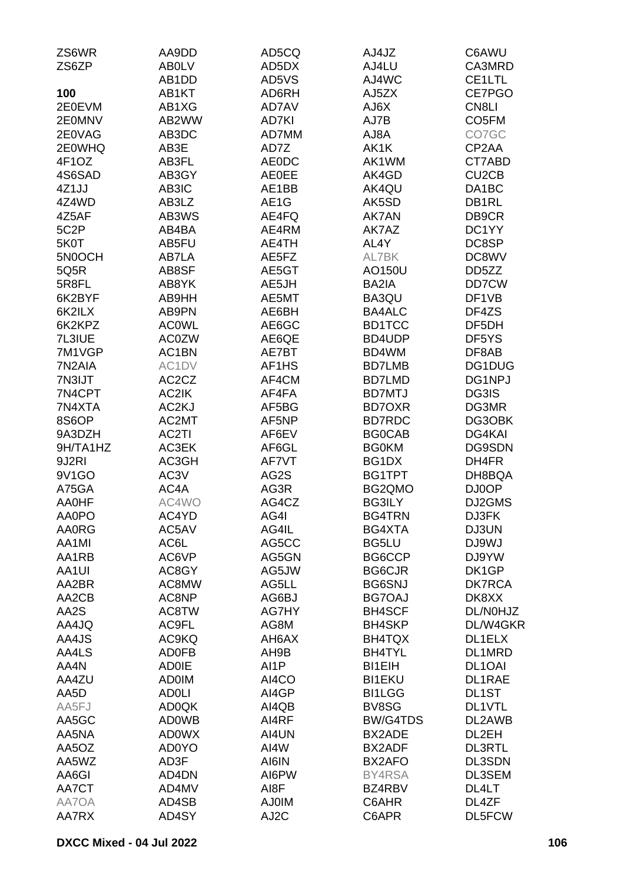| ZS6WR               | AA9DD          | AD5CQ                          | AJ4JZ           | C6AWU                          |
|---------------------|----------------|--------------------------------|-----------------|--------------------------------|
| ZS6ZP               | AB0LV          | AD5DX                          | AJ4LU           | CA3MRD                         |
|                     | AB1DD          | AD5VS                          | AJ4WC           | CE1LTL                         |
| 100                 | AB1KT          | AD6RH                          | AJ5ZX           | CE7PGO                         |
| 2E0EVM              | AB1XG          | AD7AV                          | AJ6X            | CN <sub>8LI</sub>              |
| 2E0MNV              | AB2WW          | AD7KI                          | AJ7B            | CO <sub>5</sub> FM             |
| 2E0VAG              | AB3DC          | AD7MM                          | AJ8A            | CO7GC                          |
| 2E0WHQ              | AB3E           | AD7Z                           | AK1K            | CP2AA                          |
| 4F1OZ               | AB3FL          | <b>AE0DC</b>                   | AK1WM           | CT7ABD                         |
| 4S6SAD              | AB3GY          | <b>AE0EE</b>                   | AK4GD           | CU <sub>2</sub> C <sub>B</sub> |
| 4Z1JJ               | AB3IC          | AE1BB                          | AK4QU           | DA1BC                          |
| 4Z4WD               | AB3LZ          | AE <sub>1</sub> G              | AK5SD           | DB1RL                          |
| 4Z5AF               | AB3WS          | AE4FQ                          | <b>AK7AN</b>    | DB9CR                          |
| 5C2P                | AB4BA          | AE4RM                          | AK7AZ           | DC1YY                          |
|                     |                | AE4TH                          | AL4Y            | DC8SP                          |
| 5K0T<br>5N0OCH      | AB5FU<br>AB7LA | AE5FZ                          | AL7BK           | DC8WV                          |
|                     | AB8SF          | AE5GT                          |                 |                                |
| 5Q5R                | AB8YK          | AE5JH                          | AO150U          | DD5ZZ                          |
| 5R8FL               |                |                                | BA2IA           | DD7CW                          |
| 6K2BYF              | AB9HH          | AE5MT                          | BA3QU           | DF1VB                          |
| 6K2ILX              | AB9PN          | AE6BH                          | <b>BA4ALC</b>   | DF4ZS                          |
| 6K2KPZ              | <b>ACOWL</b>   | AE6GC                          | <b>BD1TCC</b>   | DF5DH                          |
| 7L3IUE              | <b>AC0ZW</b>   | AE6QE                          | BD4UDP          | DF5YS                          |
| 7M1VGP              | AC1BN          | AE7BT                          | BD4WM           | DF8AB                          |
| 7N <sub>2</sub> AIA | AC1DV          | AF <sub>1</sub> H <sub>S</sub> | <b>BD7LMB</b>   | DG1DUG                         |
| 7N3IJT              | AC2CZ          | AF4CM                          | <b>BD7LMD</b>   | DG1NPJ                         |
| 7N4CPT              | AC2IK          | AF4FA                          | <b>BD7MTJ</b>   | DG3IS                          |
| 7N4XTA              | AC2KJ          | AF5BG                          | <b>BD7OXR</b>   | DG3MR                          |
| 8S6OP               | AC2MT          | AF5NP                          | <b>BD7RDC</b>   | DG3OBK                         |
| 9A3DZH              | AC2TI          | AF6EV                          | <b>BG0CAB</b>   | DG4KAI                         |
| 9H/TA1HZ            | AC3EK          | AF6GL                          | <b>BG0KM</b>    | DG9SDN                         |
| 9J2RI               | AC3GH          | AF7VT                          | BG1DX           | DH4FR                          |
| 9V1GO               | AC3V           | AG2S                           | BG1TPT          | DH8BQA                         |
| A75GA               | AC4A           | AG3R                           | BG2QMO          | DJ0OP                          |
| AA0HF               | AC4WO          | AG4CZ                          | <b>BG3ILY</b>   | DJ2GMS                         |
| AA0PO               | AC4YD          | AG4I                           | <b>BG4TRN</b>   | DJ3FK                          |
| <b>AA0RG</b>        | AC5AV          | AG4IL                          | BG4XTA          | DJ3UN                          |
| AA1MI               | AC6L           | AG5CC                          | <b>BG5LU</b>    | DJ9WJ                          |
| AA1RB               | AC6VP          | AG5GN                          | BG6CCP          | DJ9YW                          |
| AA1UI               | AC8GY          | AG5JW                          | <b>BG6CJR</b>   | DK1GP                          |
| AA2BR               | AC8MW          | AG5LL                          | <b>BG6SNJ</b>   | <b>DK7RCA</b>                  |
| AA2CB               | AC8NP          | AG6BJ                          | BG7OAJ          | DK8XX                          |
| AA2S                | AC8TW          | AG7HY                          | <b>BH4SCF</b>   | DL/N0HJZ                       |
| AA4JQ               | AC9FL          | AG8M                           | <b>BH4SKP</b>   | DL/W4GKR                       |
| AA4JS               | AC9KQ          | AH6AX                          | BH4TQX          | DL1ELX                         |
| AA4LS               | <b>AD0FB</b>   | AH9B                           | <b>BH4TYL</b>   | DL1MRD                         |
| AA4N                | <b>AD0IE</b>   | AI1P                           | <b>BI1EIH</b>   | DL <sub>1</sub> OAI            |
| AA4ZU               | <b>AD0IM</b>   | AI4CO                          | <b>BI1EKU</b>   | DL1RAE                         |
| AA5D                | <b>ADOLI</b>   | AI4GP                          | <b>BI1LGG</b>   | DL1ST                          |
| AA5FJ               | AD0QK          | AI4QB                          | BV8SG           | DL1VTL                         |
| AA5GC               | <b>AD0WB</b>   | AI4RF                          | <b>BW/G4TDS</b> | DL2AWB                         |
| AA5NA               | <b>AD0WX</b>   | AI4UN                          | BX2ADE          | DL2EH                          |
| AA5OZ               | <b>AD0YO</b>   | AI4W                           | BX2ADF          | <b>DL3RTL</b>                  |
| AA5WZ               | AD3F           | AI6IN                          | BX2AFO          | <b>DL3SDN</b>                  |
| AA6GI               | AD4DN          | AI6PW                          | BY4RSA          | DL3SEM                         |
| AA7CT               | AD4MV          | AI8F                           | BZ4RBV          | DL4LT                          |
| AA7OA               | AD4SB          | <b>AJ0IM</b>                   | C6AHR           | DL4ZF                          |
| AA7RX               | AD4SY          | AJ2C                           | C6APR           | DL5FCW                         |
|                     |                |                                |                 |                                |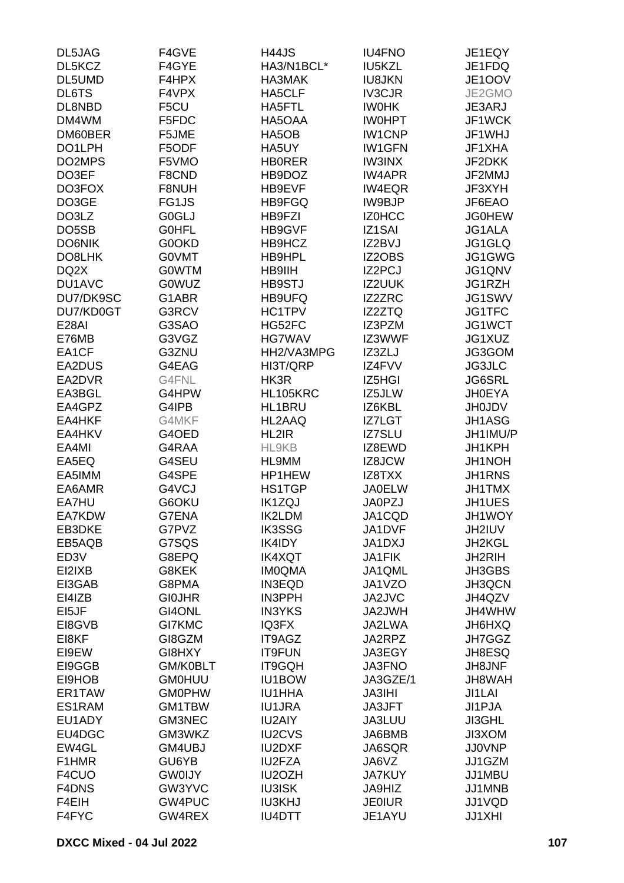| DL5JAG             | F4GVE         | <b>H44JS</b>  | <b>IU4FNO</b> | JE1EQY        |
|--------------------|---------------|---------------|---------------|---------------|
| DL5KCZ             | F4GYE         | HA3/N1BCL*    | <b>IU5KZL</b> | JE1FDQ        |
| DL5UMD             | F4HPX         | HA3MAK        | <b>IU8JKN</b> | JE1OOV        |
| DL6TS              | F4VPX         | HA5CLF        | <b>IV3CJR</b> | JE2GMO        |
| DL8NBD             | F5CU          | HA5FTL        | <b>IWOHK</b>  | JE3ARJ        |
| DM4WM              | F5FDC         | HA5OAA        | <b>IWOHPT</b> | JF1WCK        |
| DM60BER            | F5JME         | HA5OB         | <b>IW1CNP</b> | JF1WHJ        |
| DO1LPH             | F5ODF         |               |               |               |
|                    |               | HA5UY         | <b>IW1GFN</b> | JF1XHA        |
| DO2MPS             | F5VMO         | <b>HBORER</b> | <b>IW3INX</b> | JF2DKK        |
| DO3EF              | F8CND         | HB9DOZ        | <b>IW4APR</b> | JF2MMJ        |
| DO3FOX             | F8NUH         | HB9EVF        | <b>IW4EQR</b> | JF3XYH        |
| DO3GE              | FG1JS         | <b>HB9FGQ</b> | IW9BJP        | JF6EAO        |
| DO3LZ              | <b>G0GLJ</b>  | <b>HB9FZI</b> | <b>IZOHCC</b> | <b>JG0HEW</b> |
| DO5SB              | <b>GOHFL</b>  | HB9GVF        | <b>IZ1SAI</b> | JG1ALA        |
| <b>DO6NIK</b>      | <b>G0OKD</b>  | HB9HCZ        | IZ2BVJ        | JG1GLQ        |
| DO8LHK             | <b>GOVMT</b>  | <b>HB9HPL</b> | IZ2OBS        | JG1GWG        |
| DQ2X               | <b>GOWTM</b>  | <b>HB9IIH</b> | IZ2PCJ        | JG1QNV        |
| DU1AVC             | <b>G0WUZ</b>  | <b>HB9STJ</b> | IZ2UUK        | JG1RZH        |
| DU7/DK9SC          | G1ABR         | HB9UFQ        | IZ2ZRC        | JG1SWV        |
| DU7/KD0GT          | G3RCV         | HC1TPV        | IZ2ZTQ        | JG1TFC        |
| E <sub>28</sub> AI | G3SAO         | HG52FC        | IZ3PZM        | JG1WCT        |
| E76MB              | G3VGZ         | <b>HG7WAV</b> | IZ3WWF        | JG1XUZ        |
| EA1CF              | G3ZNU         | HH2/VA3MPG    | IZ3ZLJ        | JG3GOM        |
| EA2DUS             | G4EAG         | HI3T/QRP      | IZ4FVV        | <b>JG3JLC</b> |
| EA2DVR             | G4FNL         | HK3R          | IZ5HGI        | <b>JG6SRL</b> |
| EA3BGL             | G4HPW         | HL105KRC      | IZ5JLW        | <b>JH0EYA</b> |
| EA4GPZ             | G4IPB         | HL1BRU        | IZ6KBL        | <b>JH0JDV</b> |
| EA4HKF             | G4MKF         | HL2AAQ        | <b>IZ7LGT</b> | JH1ASG        |
| EA4HKV             | G4OED         | HL2IR         | IZ7SLU        | JH1IMU/P      |
| EA4MI              | G4RAA         | HL9KB         | IZ8EWD        | JH1KPH        |
| EA5EQ              | G4SEU         | HL9MM         | IZ8JCW        | <b>JH1NOH</b> |
| EA5IMM             | G4SPE         | HP1HEW        | IZ8TXX        | <b>JH1RNS</b> |
| EA6AMR             | G4VCJ         | <b>HS1TGP</b> | <b>JA0ELW</b> | <b>JH1TMX</b> |
| EA7HU              | G6OKU         | <b>IK1ZQJ</b> | <b>JA0PZJ</b> | JH1UES        |
| EA7KDW             | G7ENA         | IK2LDM        | JA1CQD        | JH1WOY        |
| EB3DKE             | G7PVZ         | IK3SSG        | JA1DVF        | JH2IUV        |
| EB5AQB             | G7SQS         | IK4IDY        | JA1DXJ        | JH2KGL        |
| ED <sub>3</sub> V  | G8EPQ         | <b>IK4XQT</b> | JA1FIK        | JH2RIH        |
| EI2IXB             |               |               |               |               |
|                    | G8KEK         | <b>IMOQMA</b> | JA1QML        | JH3GBS        |
| EI3GAB             | G8PMA         | <b>IN3EQD</b> | JA1VZO        | JH3QCN        |
| EI4IZB             | <b>GIOJHR</b> | <b>IN3PPH</b> | JA2JVC        | JH4QZV        |
| EI5JF              | GI4ONL        | <b>IN3YKS</b> | JA2JWH        | JH4WHW        |
| EI8GVB             | <b>GI7KMC</b> | IQ3FX         | JA2LWA        | JH6HXQ        |
| EI8KF              | GI8GZM        | IT9AGZ        | JA2RPZ        | JH7GGZ        |
| EI9EW              | GI8HXY        | <b>IT9FUN</b> | JA3EGY        | JH8ESQ        |
| EI9GGB             | GM/K0BLT      | <b>IT9GQH</b> | <b>JA3FNO</b> | <b>JH8JNF</b> |
| EI9HOB             | <b>GM0HUU</b> | <b>IU1BOW</b> | JA3GZE/1      | <b>JH8WAH</b> |
| ER1TAW             | <b>GM0PHW</b> | <b>IU1HHA</b> | <b>JA3IHI</b> | JI1LAI        |
| ES1RAM             | GM1TBW        | <b>IU1JRA</b> | JA3JFT        | JI1PJA        |
| EU1ADY             | GM3NEC        | <b>IU2AIY</b> | JA3LUU        | JI3GHL        |
| EU4DGC             | GM3WKZ        | <b>IU2CVS</b> | JA6BMB        | <b>JI3XOM</b> |
| EW4GL              | GM4UBJ        | IU2DXF        | JA6SQR        | <b>JJ0VNP</b> |
| F1HMR              | GU6YB         | <b>IU2FZA</b> | JA6VZ         | JJ1GZM        |
| F4CUO              | <b>GW0IJY</b> | IU2OZH        | <b>JA7KUY</b> | JJ1MBU        |
| F4DNS              | GW3YVC        | <b>IU3ISK</b> | <b>JA9HIZ</b> | JJ1MNB        |
| F4EIH              | GW4PUC        | <b>IU3KHJ</b> | <b>JE0IUR</b> | JJ1VQD        |
| F4FYC              | GW4REX        | <b>IU4DTT</b> | JE1AYU        | <b>JJ1XHI</b> |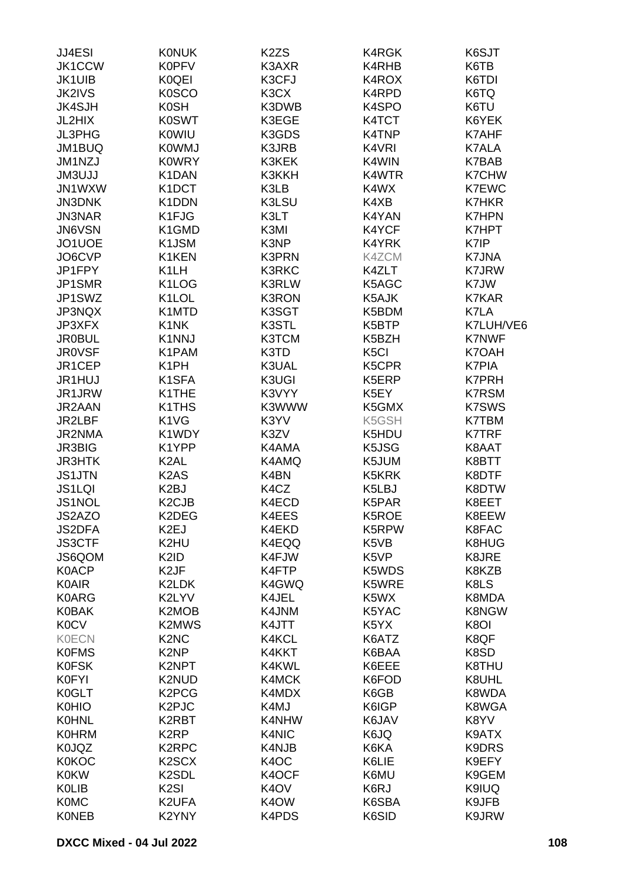| JJ4ESI        | <b>KONUK</b>                   | K <sub>2</sub> ZS | K4RGK             | K6SJT        |
|---------------|--------------------------------|-------------------|-------------------|--------------|
| <b>JK1CCW</b> | <b>K0PFV</b>                   | K3AXR             | K4RHB             | K6TB         |
| <b>JK1UIB</b> | K0QEI                          | K3CFJ             | K4ROX             | K6TDI        |
| <b>JK2IVS</b> | <b>K0SCO</b>                   | K3CX              | K4RPD             | K6TQ         |
| <b>JK4SJH</b> | <b>K0SH</b>                    | K3DWB             | K4SPO             | K6TU         |
| JL2HIX        | <b>K0SWT</b>                   | K3EGE             | K4TCT             | K6YEK        |
| <b>JL3PHG</b> | <b>K0WIU</b>                   | K3GDS             | K4TNP             | K7AHF        |
|               |                                |                   |                   |              |
| JM1BUQ        | <b>K0WMJ</b>                   | K3JRB             | K4VRI             | <b>K7ALA</b> |
| JM1NZJ        | <b>K0WRY</b>                   | K3KEK             | K4WIN             | K7BAB        |
| <b>JM3UJJ</b> | K1DAN                          | K3KKH             | K4WTR             | K7CHW        |
| JN1WXW        | K1DCT                          | K3LB              | K4WX              | <b>K7EWC</b> |
| <b>JN3DNK</b> | K1DDN                          | K3LSU             | K4XB              | K7HKR        |
| <b>JN3NAR</b> | K1FJG                          | K3LT              | K4YAN             | <b>K7HPN</b> |
| JN6VSN        | K1GMD                          | K3MI              | K4YCF             | K7HPT        |
| JO1UOE        | K1JSM                          | K3NP              | K4YRK             | K7IP         |
| JO6CVP        | K1KEN                          | K3PRN             | K4ZCM             | K7JNA        |
| JP1FPY        | K <sub>1</sub> LH              | <b>K3RKC</b>      | K4ZLT             | <b>K7JRW</b> |
| JP1SMR        | K <sub>1</sub> LOG             | K3RLW             | K5AGC             | K7JW         |
| JP1SWZ        | K <sub>1</sub> LOL             | <b>K3RON</b>      | K5AJK             | K7KAR        |
| JP3NQX        | K1MTD                          | K3SGT             | K5BDM             | K7LA         |
| JP3XFX        | K1NK                           | K3STL             | K5BTP             | K7LUH/VE6    |
| <b>JR0BUL</b> | K1NNJ                          | K3TCM             | K5BZH             | <b>K7NWF</b> |
| <b>JR0VSF</b> | K1PAM                          | K3TD              | K <sub>5</sub> Cl | K7OAH        |
| JR1CEP        | K <sub>1</sub> PH              | K3UAL             | K5CPR             | <b>K7PIA</b> |
| JR1HUJ        | K <sub>1</sub> SFA             | K3UGI             | K5ERP             | K7PRH        |
| JR1JRW        | K1THE                          | K3VYY             | K5EY              | <b>K7RSM</b> |
| JR2AAN        | K1THS                          | K3WWW             | K5GMX             | <b>K7SWS</b> |
| JR2LBF        | K1VG                           | K3YV              | K5GSH             | K7TBM        |
| JR2NMA        | K1WDY                          | K3ZV              | K5HDU             | <b>K7TRF</b> |
| <b>JR3BIG</b> | K1YPP                          | K4AMA             | K5JSG             | K8AAT        |
| <b>JR3HTK</b> | K <sub>2</sub> AL              | K4AMQ             | K5JUM             | K8BTT        |
| <b>JS1JTN</b> | K <sub>2</sub> A <sub>S</sub>  | K4BN              | K5KRK             | K8DTF        |
| <b>JS1LQI</b> | K <sub>2</sub> BJ              | K4CZ              | K5LBJ             | K8DTW        |
| <b>JS1NOL</b> | K <sub>2</sub> CJ <sub>B</sub> | K4ECD             | K5PAR             | K8EET        |
| JS2AZO        | K2DEG                          | K4EES             | K5ROE             | K8EEW        |
| <b>JS2DFA</b> | K2EJ                           | K4EKD             | K5RPW             | K8FAC        |
| <b>JS3CTF</b> | K2HU                           | K4EQQ             | K5VB              | K8HUG        |
| JS6QOM        | K2ID                           | K4FJW             | K5VP              | K8JRE        |
| <b>K0ACP</b>  | K <sub>2</sub> JF              | K4FTP             | K5WDS             | K8KZB        |
| <b>K0AIR</b>  | K2LDK                          | K4GWQ             | K5WRE             | K8LS         |
| <b>K0ARG</b>  | K2LYV                          | K4JEL             | K5WX              | K8MDA        |
| <b>K0BAK</b>  | K2MOB                          | K4JNM             | K5YAC             | K8NGW        |
| <b>K0CV</b>   | K2MWS                          | K4JTT             | K5YX              | K8OI         |
|               | K <sub>2</sub> N <sub>C</sub>  |                   |                   |              |
| <b>K0ECN</b>  |                                | K4KCL             | K6ATZ             | K8QF         |
| <b>K0FMS</b>  | K <sub>2</sub> NP              | K4KKT             | K6BAA             | K8SD         |
| <b>K0FSK</b>  | K2NPT                          | K4KWL             | K6EEE             | K8THU        |
| <b>K0FYI</b>  | K2NUD                          | K4MCK             | K6FOD             | K8UHL        |
| K0GLT         | K <sub>2</sub> PC <sub>G</sub> | K4MDX             | K6GB              | K8WDA        |
| <b>K0HIO</b>  | K <sub>2</sub> PJC             | K4MJ              | K6IGP             | K8WGA        |
| <b>K0HNL</b>  | K2RBT                          | K4NHW             | K6JAV             | K8YV         |
| <b>K0HRM</b>  | K <sub>2</sub> RP              | K4NIC             | K6JQ              | K9ATX        |
| <b>K0JQZ</b>  | K <sub>2</sub> RPC             | K4NJB             | K6KA              | K9DRS        |
| <b>K0KOC</b>  | K <sub>2</sub> SC <sub>X</sub> | K <sub>4</sub> OC | K6LIE             | K9EFY        |
| <b>K0KW</b>   | K <sub>2</sub> SDL             | K4OCF             | K6MU              | K9GEM        |
| <b>KOLIB</b>  | K <sub>2</sub> SI              | K <sub>4</sub> OV | K6RJ              | K9IUQ        |
| <b>K0MC</b>   | K2UFA                          | K <sub>4</sub> OW | K6SBA             | K9JFB        |
| <b>KONEB</b>  | K2YNY                          | K4PDS             | K6SID             | K9JRW        |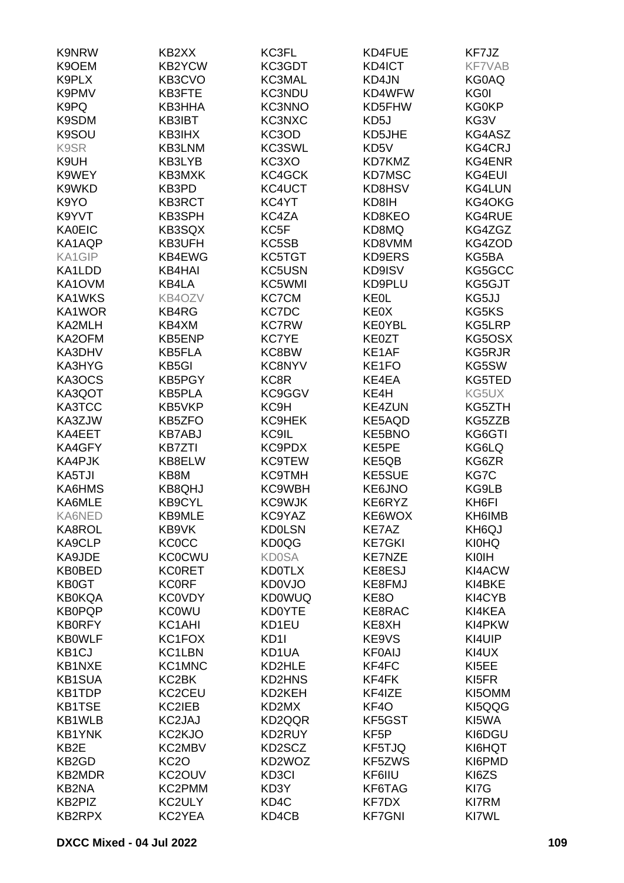| <b>K9NRW</b>       | KB2XX               | KC3FL             | KD4FUE            | KF7JZ         |
|--------------------|---------------------|-------------------|-------------------|---------------|
| K9OEM              | <b>KB2YCW</b>       | KC3GDT            | KD4ICT            | <b>KF7VAB</b> |
| K9PLX              | KB3CVO              | KC3MAL            | KD4JN             | <b>KG0AQ</b>  |
| K9PMV              | KB3FTE              | <b>KC3NDU</b>     | KD4WFW            | KG0I          |
|                    |                     |                   |                   | <b>KG0KP</b>  |
| K9PQ               | KB3HHA              | <b>KC3NNO</b>     | KD5FHW            |               |
| K9SDM              | KB3IBT              | KC3NXC            | KD5J              | KG3V          |
| K9SOU              | KB3IHX              | KC3OD             | KD5JHE            | KG4ASZ        |
| K9SR               | KB3LNM              | KC3SWL            | KD5V              | <b>KG4CRJ</b> |
| K9UH               | KB3LYB              | KC3XO             | KD7KMZ            | KG4ENR        |
| K9WEY              | KB3MXK              | KC4GCK            | <b>KD7MSC</b>     | KG4EUI        |
| K9WKD              | KB3PD               | KC4UCT            | KD8HSV            | KG4LUN        |
| K9YO               | <b>KB3RCT</b>       | KC4YT             | KD8IH             | KG4OKG        |
| K9YVT              | KB3SPH              | KC4ZA             | KD8KEO            | KG4RUE        |
| <b>KA0EIC</b>      | KB3SQX              | KC5F              | KD8MQ             | KG4ZGZ        |
| KA1AQP             | KB3UFH              | KC5SB             | KD8VMM            | KG4ZOD        |
| KA1GIP             | KB4EWG              | KC5TGT            | KD9ERS            | KG5BA         |
| KA1LDD             | KB4HAI              | KC5USN            | KD9ISV            | KG5GCC        |
| KA1OVM             | KB4LA               | KC5WMI            | KD9PLU            | KG5GJT        |
| KA1WKS             | KB4OZV              | <b>KC7CM</b>      | <b>KE0L</b>       | KG5JJ         |
| KA1WOR             | KB4RG               | KC7DC             | <b>KE0X</b>       | KG5KS         |
| KA2MLH             | KB4XM               | <b>KC7RW</b>      | <b>KE0YBL</b>     | KG5LRP        |
|                    | KB5ENP              | <b>KC7YE</b>      | <b>KE0ZT</b>      |               |
| KA2OFM             |                     |                   |                   | KG5OSX        |
| KA3DHV             | <b>KB5FLA</b>       | KC8BW             | KE1AF             | KG5RJR        |
| KA3HYG             | KB5GI               | <b>KC8NYV</b>     | KE1FO             | KG5SW         |
| KA3OCS             | KB5PGY              | KC8R              | KE4EA             | KG5TED        |
| KA3QOT             | <b>KB5PLA</b>       | KC9GGV            | KE4H              | KG5UX         |
| KA3TCC             | KB5VKP              | KC <sub>9</sub> H | <b>KE4ZUN</b>     | KG5ZTH        |
| KA3ZJW             | KB5ZFO              | <b>KC9HEK</b>     | KE5AQD            | KG5ZZB        |
| KA4EET             | <b>KB7ABJ</b>       | KC9IL             | KE5BNO            | KG6GTI        |
| KA4GFY             | <b>KB7ZTI</b>       | KC9PDX            | KE5PE             | KG6LQ         |
| KA4PJK             | KB8ELW              | <b>KC9TEW</b>     | KE5QB             | KG6ZR         |
| KA5TJI             | KB8M                | <b>KC9TMH</b>     | KE5SUE            | KG7C          |
| KA6HMS             | <b>KB8QHJ</b>       | KC9WBH            | KE6JNO            | KG9LB         |
| KA6MLE             | <b>KB9CYL</b>       | <b>KC9WJK</b>     | KE6RYZ            | KH6FI         |
| KA6NED             | KB9MLE              | KC9YAZ            | KE6WOX            | KH6IMB        |
| KA8ROL             | KB9VK               | <b>KD0LSN</b>     | KE7AZ             | KH6QJ         |
| KA9CLP             | <b>KC0CC</b>        | <b>KD0QG</b>      | <b>KE7GKI</b>     | <b>KI0HQ</b>  |
| KA9JDE             | <b>KC0CWU</b>       | <b>KD0SA</b>      | <b>KE7NZE</b>     | KIOIH         |
| <b>KB0BED</b>      | <b>KCORET</b>       | <b>KD0TLX</b>     | KE8ESJ            | KI4ACW        |
| KB0GT              | <b>KC0RF</b>        | <b>KD0VJO</b>     | KE8FMJ            | KI4BKE        |
| <b>KB0KQA</b>      | <b>KC0VDY</b>       | <b>KD0WUQ</b>     | KE8O              | KI4CYB        |
| <b>KB0PQP</b>      | <b>KC0WU</b>        | <b>KD0YTE</b>     | KE8RAC            | KI4KEA        |
| <b>KB0RFY</b>      | KC1AHI              | KD1EU             | KE8XH             | KI4PKW        |
| <b>KB0WLF</b>      | KC1FOX              | KD <sub>11</sub>  | KE9VS             | KI4UIP        |
| KB <sub>1CJ</sub>  | KC1LBN              | KD1UA             | <b>KF0AIJ</b>     | KI4UX         |
| KB1NXE             | KC1MNC              | KD2HLE            | KF4FC             | KI5EE         |
| <b>KB1SUA</b>      | KC2BK               | KD2HNS            | KF4FK             | KI5FR         |
| KB1TDP             | KC2CEU              | KD2KEH            | KF4IZE            | KI5OMM        |
|                    |                     |                   |                   |               |
| <b>KB1TSE</b>      | KC2IEB              | KD2MX             | KF4O              | KI5QQG        |
| KB1WLB             | KC2JAJ              | KD2QQR            | KF5GST            | KI5WA         |
| <b>KB1YNK</b>      | KC <sub>2</sub> KJO | KD2RUY            | KF <sub>5</sub> P | KI6DGU        |
| KB <sub>2</sub> E  | KC2MBV              | KD2SCZ            | KF5TJQ            | KI6HQT        |
| KB <sub>2</sub> GD | KC <sub>2</sub> O   | KD2WOZ            | KF5ZWS            | KI6PMD        |
| <b>KB2MDR</b>      | KC2OUV              | KD3CI             | KF6IIU            | KI6ZS         |
| KB2NA              | KC2PMM              | KD3Y              | KF6TAG            | KI7G          |
| KB2PIZ             | KC2ULY              | KD4C              | KF7DX             | KI7RM         |
| KB2RPX             | KC2YEA              | KD4CB             | <b>KF7GNI</b>     | KI7WL         |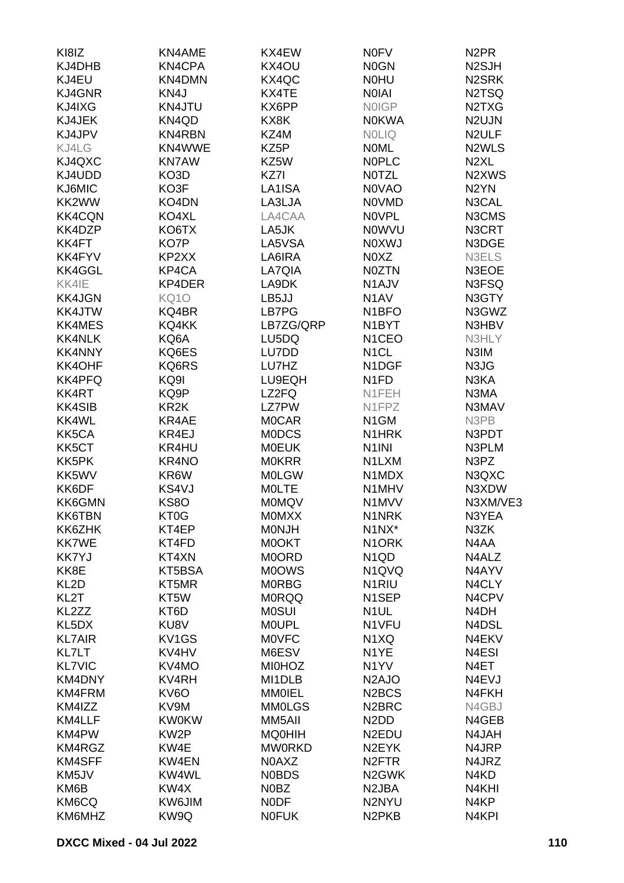| KI8IZ             | KN4AME            | KX4EW         | <b>NOFV</b>                    | N <sub>2</sub> PR               |
|-------------------|-------------------|---------------|--------------------------------|---------------------------------|
| KJ4DHB            | KN4CPA            | KX4OU         | <b>NOGN</b>                    | N <sub>2</sub> SJH              |
| KJ4EU             | KN4DMN            | KX4QC         | <b>NOHU</b>                    | N <sub>2</sub> SRK              |
| KJ4GNR            | KN4J              | KX4TE         | <b>NOIAI</b>                   | N2TSQ                           |
| KJ4IXG            | KN4JTU            | KX6PP         | <b>NOIGP</b>                   | N <sub>2</sub> T <sub>X</sub> G |
| KJ4JEK            | KN4QD             | KX8K          | <b>NOKWA</b>                   | N2UJN                           |
| KJ4JPV            | KN4RBN            | KZ4M          | <b>NOLIQ</b>                   | N <sub>2</sub> ULF              |
| KJ4LG             | KN4WWE            | KZ5P          | <b>NOML</b>                    | N <sub>2</sub> WLS              |
| KJ4QXC            | <b>KN7AW</b>      | KZ5W          | <b>NOPLC</b>                   | N <sub>2</sub> XL               |
| KJ4UDD            | KO3D              | KZ7I          | <b>NOTZL</b>                   | N2XWS                           |
| KJ6MIC            | KO3F              | LA1ISA        | <b>NOVAO</b>                   | N <sub>2</sub> YN               |
| KK2WW             | KO4DN             | LA3LJA        | <b>NOVMD</b>                   | N3CAL                           |
| <b>KK4CQN</b>     | KO4XL             | LA4CAA        | <b>NOVPL</b>                   | N3CMS                           |
| KK4DZP            | KO6TX             | LA5JK         | <b>NOWVU</b>                   | N3CRT                           |
| KK4FT             | KO7P              | LA5VSA        | <b>NOXWJ</b>                   | N3DGE                           |
| KK4FYV            | KP2XX             | LA6IRA        | N0XZ                           | N3ELS                           |
| KK4GGL            | KP4CA             | LA7QIA        | <b>N0ZTN</b>                   | N3EOE                           |
| KK4IE             | KP4DER            | LA9DK         | N1AJV                          | N3FSQ                           |
| <b>KK4JGN</b>     | <b>KQ10</b>       | LB5JJ         | N <sub>1</sub> AV              | N3GTY                           |
| KK4JTW            | KQ4BR             | LB7PG         | N <sub>1</sub> BFO             | N3GWZ                           |
| <b>KK4MES</b>     | KQ4KK             | LB7ZG/QRP     | N <sub>1</sub> BYT             | N3HBV                           |
| <b>KK4NLK</b>     | KQ6A              | LU5DQ         | N <sub>1</sub> CEO             | N3HLY                           |
| <b>KK4NNY</b>     | KQ6ES             | LU7DD         | N <sub>1</sub> CL              | N3IM                            |
| KK4OHF            | KQ6RS             | LU7HZ         | N1DGF                          | N3JG                            |
| <b>KK4PFQ</b>     | KQ9I              | LU9EQH        | N <sub>1</sub> FD              | N3KA                            |
| KK4RT             | KQ9P              | LZ2FQ         | N1FEH                          | N3MA                            |
| <b>KK4SIB</b>     | KR <sub>2</sub> K | <b>LZ7PW</b>  | N1FPZ                          | N3MAV                           |
| KK4WL             | KR4AE             | <b>MOCAR</b>  | N <sub>1</sub> GM              | N3PB                            |
| KK5CA             | KR4EJ             | <b>MODCS</b>  | N1HRK                          | N3PDT                           |
| KK5CT             | KR4HU             | <b>MOEUK</b>  | N <sub>1</sub> INI             | N3PLM                           |
| KK5PK             | KR4NO             | <b>MOKRR</b>  | N1LXM                          | N3PZ                            |
| KK5WV             | KR6W              | <b>MOLGW</b>  | N1MDX                          | N3QXC                           |
| KK6DF             | KS4VJ             | <b>MOLTE</b>  | N1MHV                          | N3XDW                           |
| KK6GMN            | KS8O              | <b>MOMQV</b>  | N1MVV                          | N3XM/VE3                        |
| <b>KK6TBN</b>     | KT0G              | <b>MOMXX</b>  | N1NRK                          | N3YEA                           |
| KK6ZHK            | KT4EP             | <b>MONJH</b>  | N1NX*                          | N3ZK                            |
| <b>KK7WE</b>      | KT4FD             | M0OKT         | N <sub>1</sub> ORK             | N4AA                            |
| <b>KK7YJ</b>      | KT4XN             | M0ORD         | N <sub>1</sub> Q <sub>D</sub>  | N4ALZ                           |
| KK8E              | KT5BSA            | <b>MOOWS</b>  | N1QVQ                          | N4AYV                           |
| KL <sub>2</sub> D | KT5MR             | <b>MORBG</b>  | N <sub>1</sub> RIU             | N4CLY                           |
| KL <sub>2</sub> T | KT5W              | <b>MORQQ</b>  | N <sub>1</sub> SEP             | N4CPV                           |
| KL2ZZ             | KT6D              | <b>MOSUI</b>  | N <sub>1</sub> UL              | N <sub>4</sub> DH               |
| KL5DX             | KU8V              | <b>MOUPL</b>  | N1VFU                          | N4DSL                           |
| <b>KL7AIR</b>     | KV1GS             | <b>MOVFC</b>  | N1XQ                           | N4EKV                           |
| KL7LT             | KV4HV             | M6ESV         | N <sub>1</sub> YE              | N <sub>4</sub> ESI              |
| <b>KL7VIC</b>     | KV4MO             | <b>MI0HOZ</b> | N <sub>1</sub> YV              | N4ET                            |
| KM4DNY            | KV4RH             | MI1DLB        | N <sub>2</sub> AJO             | N4EVJ                           |
| KM4FRM            | KV6O              | <b>MM0IEL</b> | N <sub>2</sub> BCS             | N4FKH                           |
| KM4IZZ            | KV9M              | <b>MM0LGS</b> | N <sub>2</sub> BRC             | N4GBJ                           |
| KM4LLF            | <b>KW0KW</b>      | MM5AII        | N <sub>2</sub> D <sub>D</sub>  | N4GEB                           |
| KM4PW             | KW <sub>2</sub> P | <b>MQ0HIH</b> | N <sub>2</sub> EDU             | N4JAH                           |
| KM4RGZ            | KW4E              | <b>MW0RKD</b> | N <sub>2</sub> EYK             | N4JRP                           |
| KM4SFF            | KW4EN             | N0AXZ         | N <sub>2</sub> FTR             | N4JRZ                           |
| KM5JV             | KW4WL             | <b>NOBDS</b>  | N <sub>2</sub> GWK             | N4KD                            |
| KM6B              | KW4X              | N0BZ          | N <sub>2</sub> JBA             | N4KHI                           |
| KM6CQ             | KW6JIM            | <b>NODF</b>   | N2NYU                          | N4KP                            |
| KM6MHZ            | KW9Q              | <b>NOFUK</b>  | N <sub>2</sub> PK <sub>B</sub> | N4KPI                           |
|                   |                   |               |                                |                                 |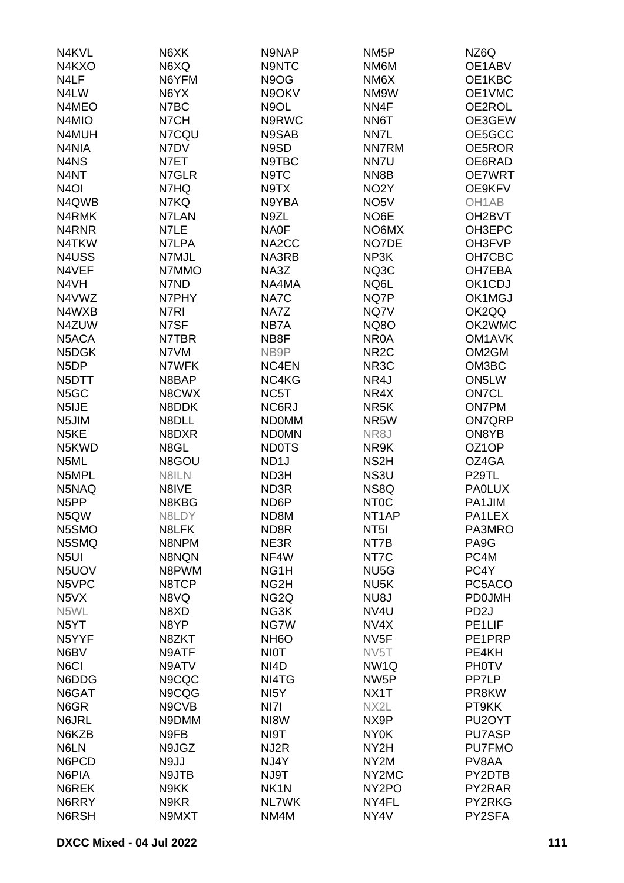| N4KVL                          | N6XK  | N9NAP             | NM <sub>5</sub> P  | NZ6Q                |
|--------------------------------|-------|-------------------|--------------------|---------------------|
| N4KXO                          | N6XQ  | N9NTC             | NM6M               | OE1ABV              |
| N4LF                           | N6YFM | N9OG              | NM <sub>6</sub> X  | OE1KBC              |
| N4LW                           | N6YX  | N9OKV             | NM9W               | OE1VMC              |
| N4MEO                          | N7BC  | N9OL              | NN4F               | OE2ROL              |
| N4MIO                          | N7CH  | N9RWC             | NN6T               | OE3GEW              |
| N4MUH                          | N7CQU | N9SAB             | NN7L               | OE5GCC              |
| N4NIA                          | N7DV  | N9SD              | <b>NN7RM</b>       | OE5ROR              |
| N4NS                           | N7ET  | N9TBC             | NN7U               | OE6RAD              |
| N4NT                           | N7GLR | N9TC              | NN8B               | OE7WRT              |
| N <sub>4</sub> OI              | N7HQ  | N9TX              | NO <sub>2</sub> Y  | OE9KFV              |
| N4QWB                          | N7KQ  | N9YBA             | NO <sub>5</sub> V  | OH1AB               |
| N4RMK                          | N7LAN | N9ZL              | NO6E               | OH <sub>2</sub> BVT |
| N <sub>4</sub> RN <sub>R</sub> | N7LE  | NA0F              | NO6MX              | OH3EPC              |
| N4TKW                          | N7LPA | NA2CC             | NO7DE              | OH3FVP              |
| N4USS                          | N7MJL | NA3RB             | NP3K               | OH7CBC              |
| N4VEF                          | N7MMO | NA3Z              | NQ3C               | OH7EBA              |
| N4VH                           | N7ND  | NA4MA             | NQ6L               | OK1CDJ              |
| N4VWZ                          | N7PHY | NA7C              | NQ7P               | OK1MGJ              |
| N4WXB                          | N7RI  | NA7Z              | NQ7V               | OK2QQ               |
| N4ZUW                          | N7SF  | NB7A              | <b>NQ8O</b>        | OK2WMC              |
| N5ACA                          | N7TBR | NB8F              | NR <sub>0</sub> A  | OM <sub>1</sub> AVK |
| N5DGK                          | N7VM  | NB9P              | NR <sub>2</sub> C  | OM2GM               |
|                                | N7WFK |                   |                    |                     |
| N <sub>5</sub> DP              |       | NC4EN             | NR <sub>3</sub> C  | OM3BC               |
| N5DTT                          | N8BAP | NC4KG             | NR4J               | ON5LW               |
| N <sub>5</sub> GC              | N8CWX | NC5T              | NR4X               | <b>ON7CL</b>        |
| N5IJE                          | N8DDK | NC6RJ             | NR <sub>5</sub> K  | <b>ON7PM</b>        |
| N5JIM                          | N8DLL | <b>NDOMM</b>      | NR5W               | <b>ON7QRP</b>       |
| N <sub>5</sub> KE              | N8DXR | <b>NDOMN</b>      | NR8J               | ON8YB               |
| N5KWD                          | N8GL  | <b>ND0TS</b>      | NR9K               | OZ1OP               |
| N5ML                           | N8GOU | ND <sub>1</sub> J | NS <sub>2</sub> H  | OZ4GA               |
| N5MPL                          | N8ILN | ND3H              | NS3U               | P <sub>29</sub> TL  |
| N5NAQ                          | N8IVE | ND3R              | NS8Q               | <b>PAOLUX</b>       |
| N <sub>5</sub> PP              | N8KBG | ND <sub>6</sub> P | NT <sub>0</sub> C  | PA1JIM              |
| N5QW                           | N8LDY | ND <sub>8</sub> M | NT <sub>1</sub> AP | PA1LEX              |
| N5SMO                          | N8LFK | ND8R              | NT <sub>5</sub>    | PA3MRO              |
| N5SMQ                          | N8NPM | NE3R              | NT7B               | PA9G                |
| N <sub>5U</sub>                | N8NQN | NF4W              | NT7C               | PC4M                |
| N5UOV                          | N8PWM | NG <sub>1</sub> H | NU <sub>5</sub> G  | PC4Y                |
| N5VPC                          | N8TCP | NG <sub>2</sub> H | NU <sub>5</sub> K  | PC5ACO              |
| N <sub>5</sub> VX              | N8VQ  | NG <sub>2</sub> Q | NU8J               | <b>PD0JMH</b>       |
| N5WL                           | N8XD  | NG3K              | NV4U               | PD <sub>2</sub> J   |
| N <sub>5</sub> YT              | N8YP  | NG7W              | NV4X               | PE1LIF              |
| N5YYF                          | N8ZKT | NH <sub>6</sub> O | NV <sub>5F</sub>   | PE1PRP              |
| N6BV                           | N9ATF | <b>NIOT</b>       | NV <sub>5</sub> T  | PE4KH               |
| N6CI                           | N9ATV | NI <sub>4</sub> D | NW <sub>1Q</sub>   | <b>PH0TV</b>        |
| N6DDG                          | N9CQC | NI4TG             | NW <sub>5</sub> P  | PP7LP               |
| N6GAT                          | N9CQG | NI <sub>5</sub> Y | NX1T               | PR8KW               |
| N6GR                           | N9CVB | NI7I              | NX2L               | PT9KK               |
| N6JRL                          | N9DMM | NI8W              | NX9P               | PU <sub>2</sub> OYT |
| N6KZB                          | N9FB  | NI9T              | <b>NY0K</b>        | PU7ASP              |
| N6LN                           | N9JGZ | NJ2R              | NY2H               | <b>PU7FMO</b>       |
| N6PCD                          | N9JJ  | NJ4Y              | NY <sub>2</sub> M  | PV8AA               |
| N6PIA                          | N9JTB | NJ9T              | NY2MC              | PY2DTB              |
| N6REK                          | N9KK  | NK <sub>1</sub> N | NY <sub>2</sub> PO | PY2RAR              |
| N6RRY                          | N9KR  | <b>NL7WK</b>      | NY4FL              | PY2RKG              |
| N6RSH                          | N9MXT | NM4M              | NY4V               | PY2SFA              |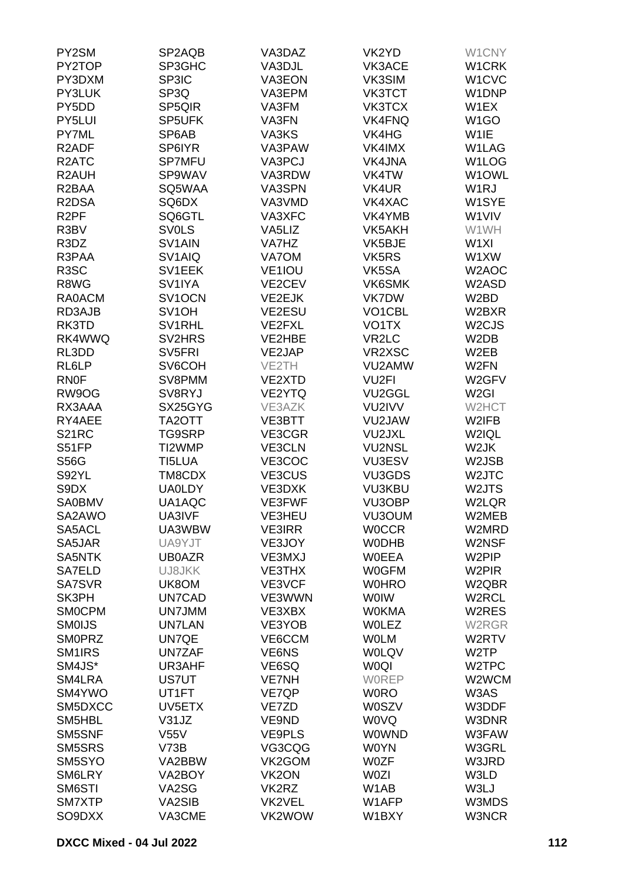| PY2SM                         | SP2AQB                 | VA3DAZ             | VK2YD                      | W1CNY                          |
|-------------------------------|------------------------|--------------------|----------------------------|--------------------------------|
| PY2TOP                        | SP3GHC                 | VA3DJL             | VK3ACE                     | W1CRK                          |
| PY3DXM                        | SP3IC                  | VA3EON             | VK3SIM                     | W <sub>1</sub> CV <sub>C</sub> |
| PY3LUK                        | SP3Q                   | VA3EPM             | <b>VK3TCT</b>              | W1DNP                          |
| PY5DD                         | SP5QIR                 | VA3FM              | VK3TCX                     | W1EX                           |
| PY5LUI                        | SP5UFK                 | VA3FN              | <b>VK4FNQ</b>              | W <sub>1</sub> GO              |
| PY7ML                         | SP6AB                  | VA3KS              | VK4HG                      | W1IE                           |
| R <sub>2</sub> ADF            | SP6IYR                 | VA3PAW             | VK4IMX                     | W1LAG                          |
| R <sub>2</sub> ATC            | SP7MFU                 | VA3PCJ             | <b>VK4JNA</b>              | W1LOG                          |
| R <sub>2</sub> AUH            | SP9WAV                 | VA3RDW             | VK4TW                      | W1OWL                          |
| R <sub>2</sub> BAA            | SQ5WAA                 | VA3SPN             | VK4UR                      | W <sub>1</sub> RJ              |
| R2DSA                         | SQ6DX                  | VA3VMD             | VK4XAC                     | W1SYE                          |
| R <sub>2</sub> PF             | SQ6GTL                 | VA3XFC             | VK4YMB                     | W1VIV                          |
| R3BV                          | <b>SVOLS</b>           | VA5LIZ             | VK5AKH                     | W1WH                           |
| R <sub>3</sub> D <sub>Z</sub> | SV <sub>1</sub> AIN    | VA7HZ              | VK5BJE                     | W <sub>1XI</sub>               |
| R3PAA                         | SV <sub>1</sub> AIQ    | <b>VA7OM</b>       | VK <sub>5</sub> RS         | W1XW                           |
| R <sub>3</sub> SC             | SV1EEK                 | VE1IOU             | VK5SA                      | W2AOC                          |
| R8WG                          | SV1IYA                 | VE2CEV             | VK6SMK                     | W2ASD                          |
| <b>RA0ACM</b>                 | SV <sub>1</sub> OCN    | VE2EJK             | <b>VK7DW</b>               | W <sub>2</sub> BD              |
| RD3AJB                        | SV <sub>1</sub> OH     | VE2ESU             | VO1CBL                     | W2BXR                          |
| RK3TD                         | SV1RHL                 | <b>VE2FXL</b>      | VO <sub>1</sub> TX         | W <sub>2</sub> CJS             |
| RK4WWQ                        | SV2HRS                 | VE2HBE             | VR <sub>2</sub> LC         | W <sub>2</sub> DB              |
| RL3DD                         | SV <sub>5FRI</sub>     | VE2JAP             | VR2XSC                     | W2EB                           |
| RL6LP                         | SV6COH                 | VE2TH              | VU2AMW                     | W2FN                           |
| <b>RN0F</b>                   | SV8PMM                 | VE2XTD             | VU <sub>2FI</sub>          | W2GFV                          |
| RW9OG                         | SV8RYJ                 | VE2YTQ             | VU <sub>2</sub> GGL        | W <sub>2</sub> GI              |
| RX3AAA                        | SX25GYG                | VE3AZK             | VU2IVV                     | W2HCT                          |
| RY4AEE                        | TA2OTT                 | VE3BTT             | VU2JAW                     | W2IFB                          |
| S21RC                         | TG9SRP                 | VE3CGR             | VU2JXL                     | W2IQL                          |
| S51FP                         | TI2WMP                 | VE3CLN             | <b>VU2NSL</b>              | W2JK                           |
| <b>S56G</b>                   | TI5LUA                 | VE3COC             | VU3ESV                     | W2JSB                          |
| S92YL                         | TM8CDX                 | VE3CUS             | VU3GDS                     | W2JTC                          |
| S9DX                          | <b>UA0LDY</b>          | VE3DXK             | <b>VU3KBU</b>              | W2JTS                          |
| <b>SA0BMV</b>                 | UA1AQC                 | <b>VE3FWF</b>      | VU3OBP                     | W2LQR                          |
| SA2AWO                        | UA3IVF                 | VE3HEU             | VU3OUM                     | W2MEB                          |
| SA5ACL                        | UA3WBW                 | <b>VE3IRR</b>      | <b>WOCCR</b>               | W2MRD                          |
| SA5JAR                        | UA9YJT                 | VE3JOY             | <b>WODHB</b>               | W2NSF                          |
| SA5NTK                        | UB0AZR                 | VE3MXJ             | <b>WOEEA</b>               | W <sub>2</sub> PIP             |
| <b>SA7ELD</b>                 | UJ8JKK                 | <b>VE3THX</b>      | <b>W0GFM</b>               | W <sub>2</sub> PIR             |
| SA7SVR                        | UK8OM                  | VE3VCF             | <b>WOHRO</b>               | W2QBR                          |
| SK3PH                         | UN7CAD                 | VE3WWN             | <b>WOIW</b>                | W2RCL                          |
| <b>SMOCPM</b>                 | UN7JMM                 | VE3XBX             | <b>W0KMA</b>               | W2RES                          |
| <b>SMOIJS</b>                 | UN7LAN                 | VE3YOB             | <b>WOLEZ</b>               | W2RGR                          |
| <b>SMOPRZ</b>                 | UN7QE                  | VE6CCM             | <b>WOLM</b>                | W2RTV                          |
| SM <sub>1</sub> IRS           | UN7ZAF                 | <b>VE6NS</b>       | <b>WOLQV</b>               | W2TP                           |
| SM4JS*                        | UR3AHF                 | VE6SQ              | <b>WOQI</b>                | W2TPC                          |
| SM4LRA                        | <b>US7UT</b>           | <b>VE7NH</b>       | <b>WOREP</b>               | W2WCM                          |
| SM4YWO                        | UT1FT                  | VE7QP              | <b>WORO</b>                | W3AS                           |
| SM5DXCC                       | UV5ETX                 | VE7ZD              | <b>W0SZV</b>               | W3DDF                          |
| SM5HBL                        | V31JZ                  | VE9ND              | <b>WOVQ</b>                | W3DNR                          |
| SM5SNF                        | V55V                   | <b>VE9PLS</b>      | <b>WOWND</b>               | W3FAW                          |
| SM5SRS                        | V73B                   | VG3CQG             | <b>W0YN</b>                | W3GRL                          |
| SM5SYO                        | VA2BBW                 | VK2GOM             | <b>W0ZF</b>                | W3JRD                          |
| SM6LRY                        | VA2BOY                 | VK <sub>2</sub> ON | W0ZI                       | W3LD                           |
| SM6STI<br>SM7XTP              | VA2SG<br><b>VA2SIB</b> | VK2RZ<br>VK2VEL    | W <sub>1</sub> AB<br>W1AFP | W3LJ<br>W3MDS                  |
| SO9DXX                        | VA3CME                 | VK2WOW             | W1BXY                      | W3NCR                          |
|                               |                        |                    |                            |                                |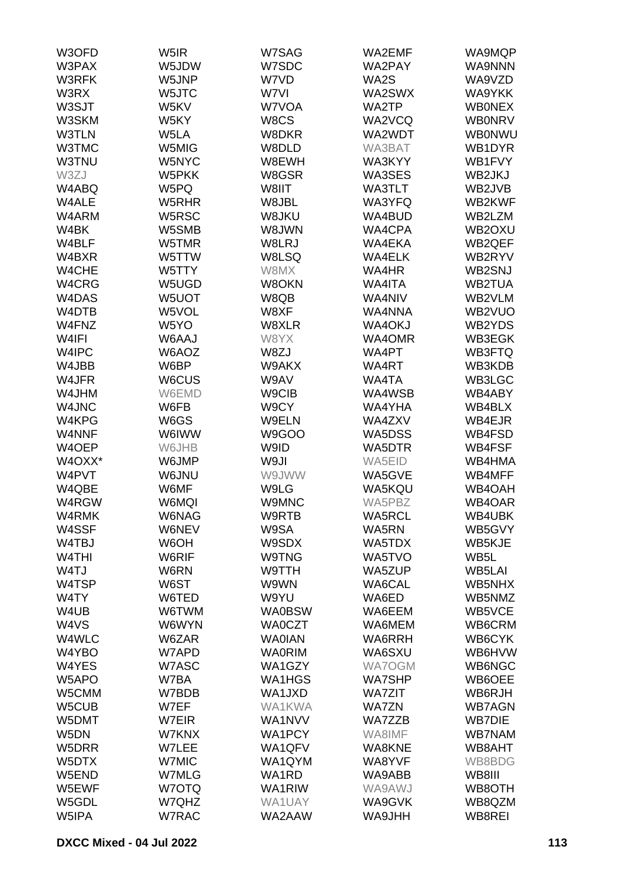| W3OFD              | W5IR         | W7SAG         | WA2EMF        | WA9MQP        |
|--------------------|--------------|---------------|---------------|---------------|
| W3PAX              | W5JDW        | W7SDC         | WA2PAY        | WA9NNN        |
| W3RFK              | W5JNP        | W7VD          | WA2S          | WA9VZD        |
| W3RX               | W5JTC        | W7VI          | WA2SWX        | WA9YKK        |
| W3SJT              | W5KV         | W7VOA         | WA2TP         | <b>WBONEX</b> |
| W3SKM              | W5KY         | W8CS          | WA2VCQ        | <b>WB0NRV</b> |
| W3TLN              | W5LA         |               | WA2WDT        |               |
|                    |              | W8DKR         |               | WB0NWU        |
| W3TMC              | W5MIG        | W8DLD         | WA3BAT        | WB1DYR        |
| W3TNU              | W5NYC        | W8EWH         | WA3KYY        | WB1FVY        |
| W3ZJ               | W5PKK        | W8GSR         | WA3SES        | WB2JKJ        |
| W4ABQ              | W5PQ         | W8IIT         | <b>WA3TLT</b> | WB2JVB        |
| W4ALE              | W5RHR        | W8JBL         | WA3YFQ        | WB2KWF        |
| W4ARM              | W5RSC        | W8JKU         | WA4BUD        | WB2LZM        |
| W4BK               | W5SMB        | W8JWN         | WA4CPA        | WB2OXU        |
| W4BLF              | W5TMR        | W8LRJ         | WA4EKA        | WB2QEF        |
| W4BXR              | W5TTW        | W8LSQ         | <b>WA4ELK</b> | WB2RYV        |
| W4CHE              | W5TTY        | W8MX          | WA4HR         | WB2SNJ        |
| W4CRG              | W5UGD        | W8OKN         | <b>WA4ITA</b> | <b>WB2TUA</b> |
| W4DAS              | W5UOT        | W8QB          | WA4NIV        | WB2VLM        |
| W4DTB              | W5VOL        | W8XF          | WA4NNA        | WB2VUO        |
| W4FNZ              | W5YO         | W8XLR         | <b>WA4OKJ</b> | WB2YDS        |
| W4IFI              | W6AAJ        | W8YX          | WA4OMR        | WB3EGK        |
| W4IPC              | W6AOZ        | W8ZJ          | WA4PT         | <b>WB3FTQ</b> |
| W4JBB              | W6BP         | W9AKX         | WA4RT         | WB3KDB        |
| W4JFR              | W6CUS        | W9AV          | WA4TA         | WB3LGC        |
| W4JHM              | W6EMD        | W9CIB         | WA4WSB        | WB4ABY        |
| W4JNC              | W6FB         | W9CY          | WA4YHA        | WB4BLX        |
| W4KPG              | W6GS         | W9ELN         | WA4ZXV        | WB4EJR        |
| W4NNF              | W6IWW        | W9GOO         | WA5DSS        | WB4FSD        |
| W4OEP              | W6JHB        | W9ID          | WA5DTR        | WB4FSF        |
| W4OXX*             | W6JMP        | W9JI          | WA5EID        | WB4HMA        |
| W4PVT              | W6JNU        | W9JWW         | WA5GVE        | WB4MFF        |
| W4QBE              | W6MF         | W9LG          | WA5KQU        | WB4OAH        |
| W4RGW              | W6MQI        | W9MNC         | WA5PBZ        | WB4OAR        |
| W4RMK              |              | W9RTB         | <b>WA5RCL</b> | WB4UBK        |
|                    | W6NAG        |               |               |               |
| W4SSF              | W6NEV        | W9SA          | WA5RN         | WB5GVY        |
| W4TBJ              | W6OH         | W9SDX         | WA5TDX        | WB5KJE        |
| W <sub>4</sub> THI | W6RIF        | W9TNG         | WA5TVO        | WB5L          |
| W4TJ               | W6RN         | W9TTH         | WA5ZUP        | WB5LAI        |
| W4TSP              | W6ST         | W9WN          | WA6CAL        | WB5NHX        |
| W4TY               | W6TED        | W9YU          | WA6ED         | WB5NMZ        |
| W4UB               | W6TWM        | <b>WA0BSW</b> | WA6EEM        | WB5VCE        |
| W4VS               | W6WYN        | <b>WA0CZT</b> | WA6MEM        | WB6CRM        |
| W4WLC              | W6ZAR        | <b>WAOIAN</b> | WA6RRH        | WB6CYK        |
| W4YBO              | W7APD        | <b>WA0RIM</b> | WA6SXU        | WB6HVW        |
| W4YES              | W7ASC        | WA1GZY        | WA7OGM        | WB6NGC        |
| W <sub>5</sub> APO | W7BA         | WA1HGS        | <b>WA7SHP</b> | WB6OEE        |
| W5CMM              | W7BDB        | WA1JXD        | <b>WA7ZIT</b> | WB6RJH        |
| W5CUB              | W7EF         | <b>WA1KWA</b> | <b>WA7ZN</b>  | <b>WB7AGN</b> |
| W5DMT              | W7EIR        | WA1NVV        | WA7ZZB        | <b>WB7DIE</b> |
| W <sub>5</sub> DN  | W7KNX        | WA1PCY        | WA8IMF        | <b>WB7NAM</b> |
| W5DRR              | W7LEE        | WA1QFV        | <b>WA8KNE</b> | WB8AHT        |
| W5DTX              | W7MIC        | WA1QYM        | WA8YVF        | WB8BDG        |
| W5END              | W7MLG        | WA1RD         | WA9ABB        | WB8III        |
| W5EWF              | W7OTQ        | WA1RIW        | WA9AWJ        | WB8OTH        |
| W5GDL              | W7QHZ        | WA1UAY        | WA9GVK        | WB8QZM        |
| W5IPA              | <b>W7RAC</b> | WA2AAW        | <b>WA9JHH</b> | WB8REI        |